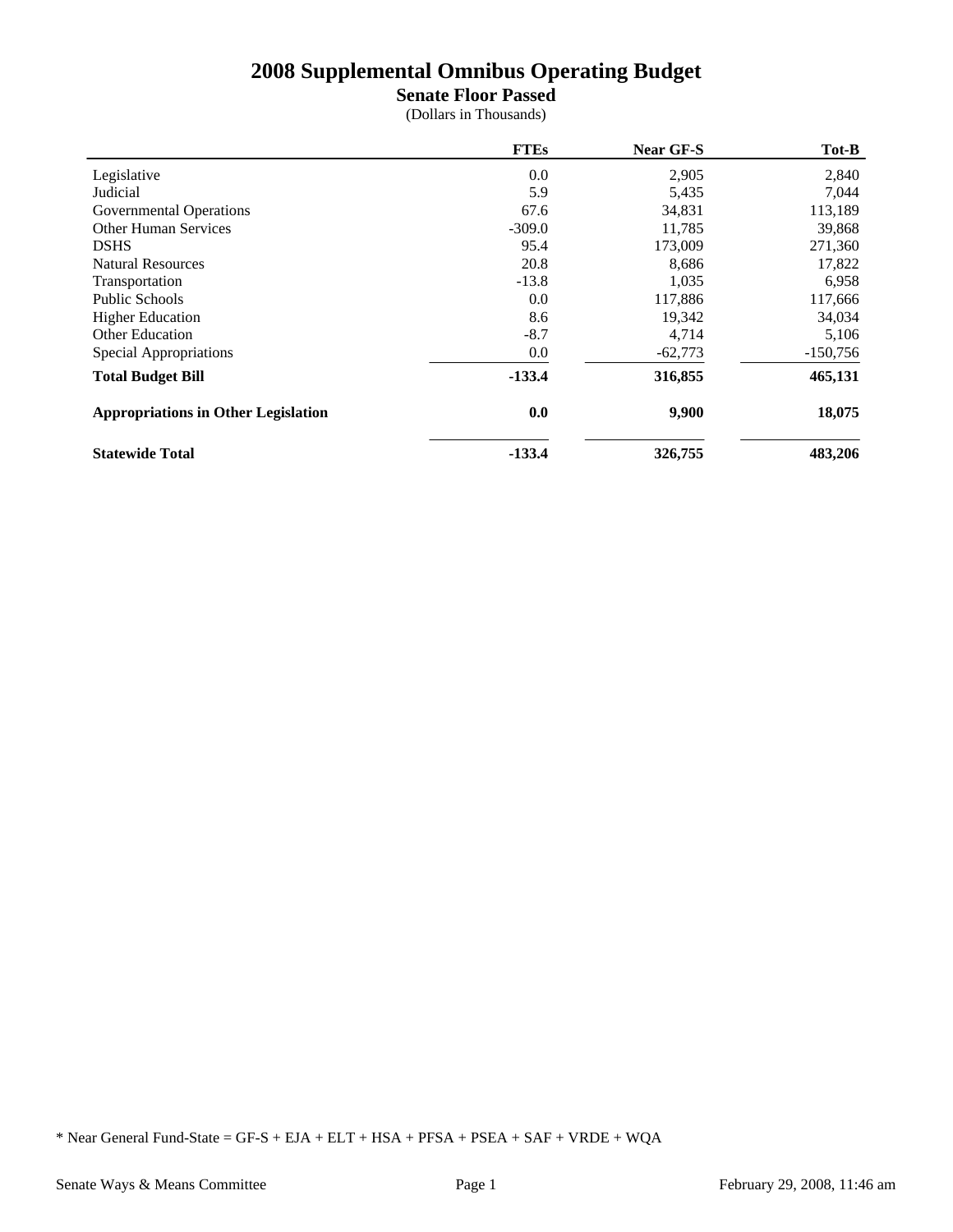**Senate Floor Passed**

(Dollars in Thousands)

|                                            | <b>FTEs</b> | <b>Near GF-S</b> | Tot-B      |
|--------------------------------------------|-------------|------------------|------------|
| Legislative                                | 0.0         | 2,905            | 2,840      |
| Judicial                                   | 5.9         | 5,435            | 7,044      |
| Governmental Operations                    | 67.6        | 34,831           | 113,189    |
| <b>Other Human Services</b>                | $-309.0$    | 11,785           | 39,868     |
| <b>DSHS</b>                                | 95.4        | 173,009          | 271,360    |
| <b>Natural Resources</b>                   | 20.8        | 8,686            | 17,822     |
| Transportation                             | $-13.8$     | 1,035            | 6,958      |
| Public Schools                             | 0.0         | 117,886          | 117,666    |
| <b>Higher Education</b>                    | 8.6         | 19,342           | 34,034     |
| <b>Other Education</b>                     | $-8.7$      | 4,714            | 5,106      |
| Special Appropriations                     | 0.0         | $-62,773$        | $-150,756$ |
| <b>Total Budget Bill</b>                   | $-133.4$    | 316,855          | 465,131    |
| <b>Appropriations in Other Legislation</b> | 0.0         | 9,900            | 18,075     |
| <b>Statewide Total</b>                     | $-133.4$    | 326,755          | 483,206    |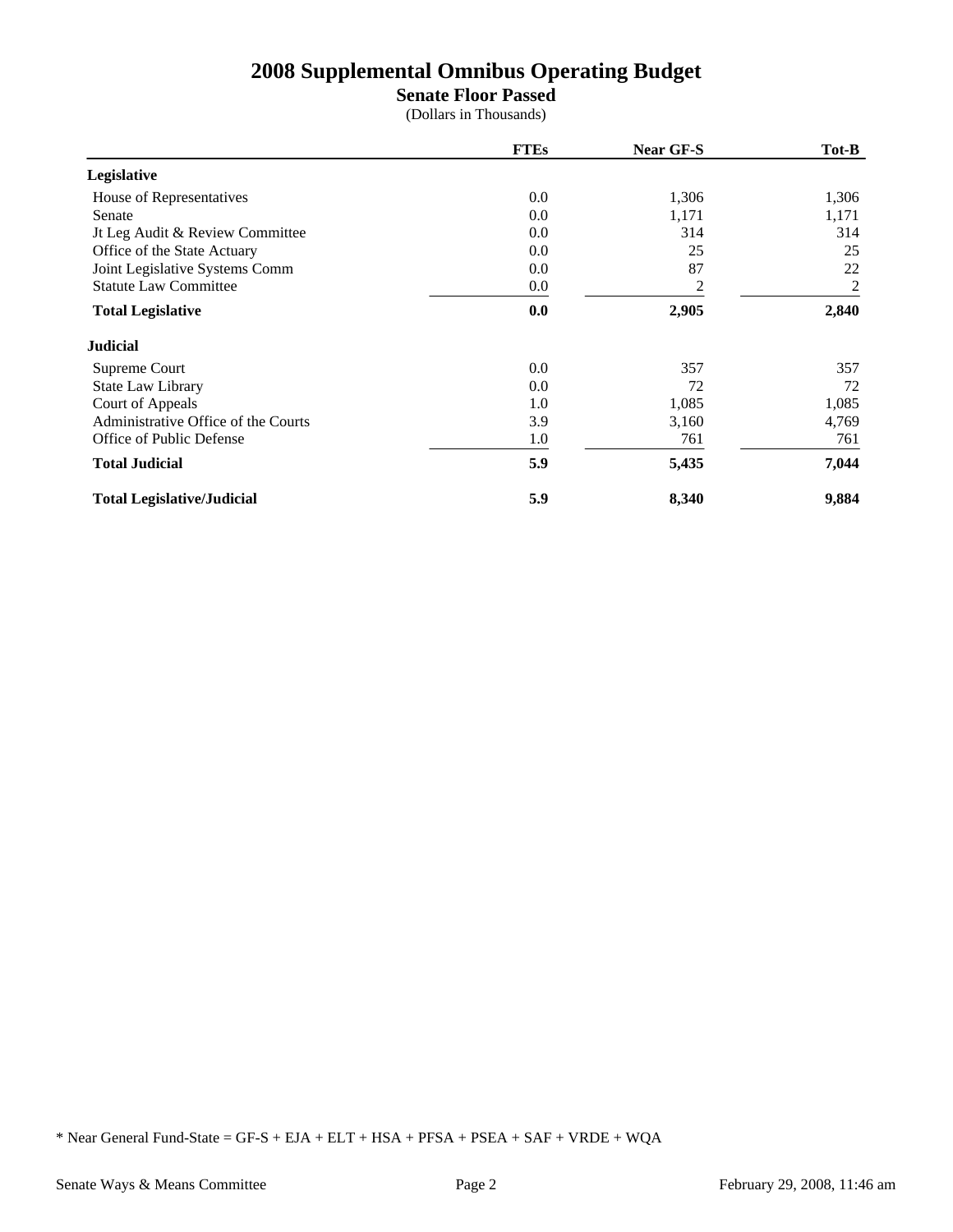### **Senate Floor Passed**

(Dollars in Thousands)

|                                     | <b>FTEs</b> | Near GF-S | Tot-B |
|-------------------------------------|-------------|-----------|-------|
| Legislative                         |             |           |       |
| House of Representatives            | 0.0         | 1,306     | 1,306 |
| Senate                              | 0.0         | 1,171     | 1,171 |
| It Leg Audit & Review Committee     | 0.0         | 314       | 314   |
| Office of the State Actuary         | 0.0         | 25        | 25    |
| Joint Legislative Systems Comm      | 0.0         | 87        | 22    |
| <b>Statute Law Committee</b>        | 0.0         | 2         | 2     |
| <b>Total Legislative</b>            | 0.0         | 2,905     | 2,840 |
| <b>Judicial</b>                     |             |           |       |
| Supreme Court                       | 0.0         | 357       | 357   |
| State Law Library                   | 0.0         | 72        | 72    |
| Court of Appeals                    | 1.0         | 1,085     | 1,085 |
| Administrative Office of the Courts | 3.9         | 3,160     | 4,769 |
| Office of Public Defense            | 1.0         | 761       | 761   |
| <b>Total Judicial</b>               | 5.9         | 5,435     | 7,044 |
| <b>Total Legislative/Judicial</b>   | 5.9         | 8,340     | 9,884 |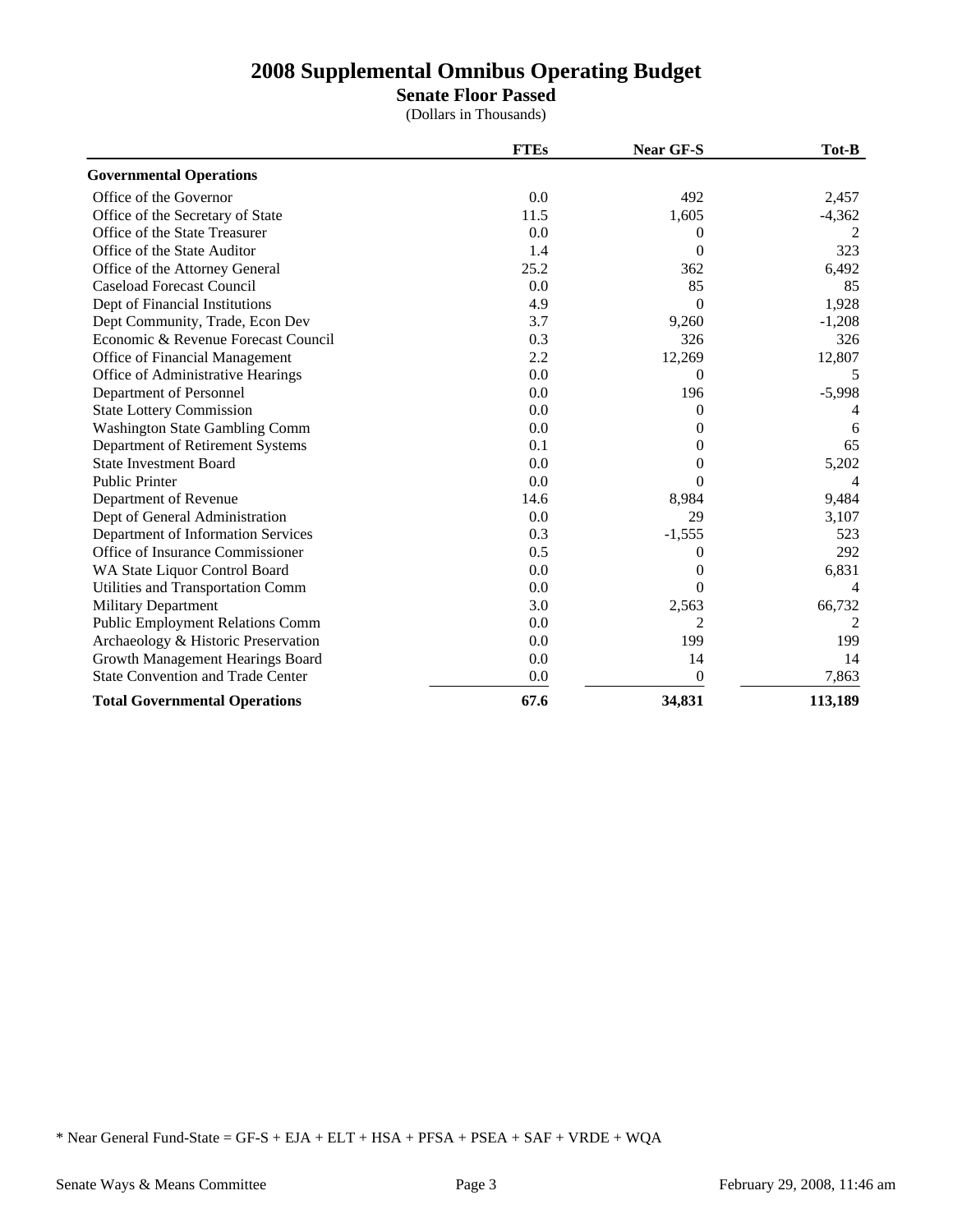**Senate Floor Passed**

(Dollars in Thousands)

|                                          | <b>FTEs</b> | <b>Near GF-S</b> | Tot-B          |
|------------------------------------------|-------------|------------------|----------------|
| <b>Governmental Operations</b>           |             |                  |                |
| Office of the Governor                   | 0.0         | 492              | 2,457          |
| Office of the Secretary of State         | 11.5        | 1,605            | $-4,362$       |
| Office of the State Treasurer            | 0.0         | 0                | 2              |
| Office of the State Auditor              | 1.4         | 0                | 323            |
| Office of the Attorney General           | 25.2        | 362              | 6,492          |
| <b>Caseload Forecast Council</b>         | 0.0         | 85               | 85             |
| Dept of Financial Institutions           | 4.9         | $\Omega$         | 1,928          |
| Dept Community, Trade, Econ Dev          | 3.7         | 9,260            | $-1,208$       |
| Economic & Revenue Forecast Council      | 0.3         | 326              | 326            |
| Office of Financial Management           | 2.2         | 12,269           | 12,807         |
| Office of Administrative Hearings        | 0.0         | $\Omega$         | 5              |
| Department of Personnel                  | 0.0         | 196              | $-5,998$       |
| <b>State Lottery Commission</b>          | 0.0         | $\Omega$         |                |
| <b>Washington State Gambling Comm</b>    | 0.0         | $\theta$         | 6              |
| Department of Retirement Systems         | 0.1         | $\theta$         | 65             |
| <b>State Investment Board</b>            | 0.0         | 0                | 5,202          |
| <b>Public Printer</b>                    | 0.0         | 0                | $\overline{4}$ |
| Department of Revenue                    | 14.6        | 8,984            | 9,484          |
| Dept of General Administration           | 0.0         | 29               | 3,107          |
| Department of Information Services       | 0.3         | $-1,555$         | 523            |
| Office of Insurance Commissioner         | 0.5         | 0                | 292            |
| WA State Liquor Control Board            | 0.0         | $\theta$         | 6,831          |
| Utilities and Transportation Comm        | 0.0         | 0                | 4              |
| <b>Military Department</b>               | 3.0         | 2,563            | 66,732         |
| <b>Public Employment Relations Comm</b>  | 0.0         | 2                |                |
| Archaeology & Historic Preservation      | 0.0         | 199              | 199            |
| Growth Management Hearings Board         | 0.0         | 14               | 14             |
| <b>State Convention and Trade Center</b> | 0.0         | $\theta$         | 7,863          |
| <b>Total Governmental Operations</b>     | 67.6        | 34,831           | 113,189        |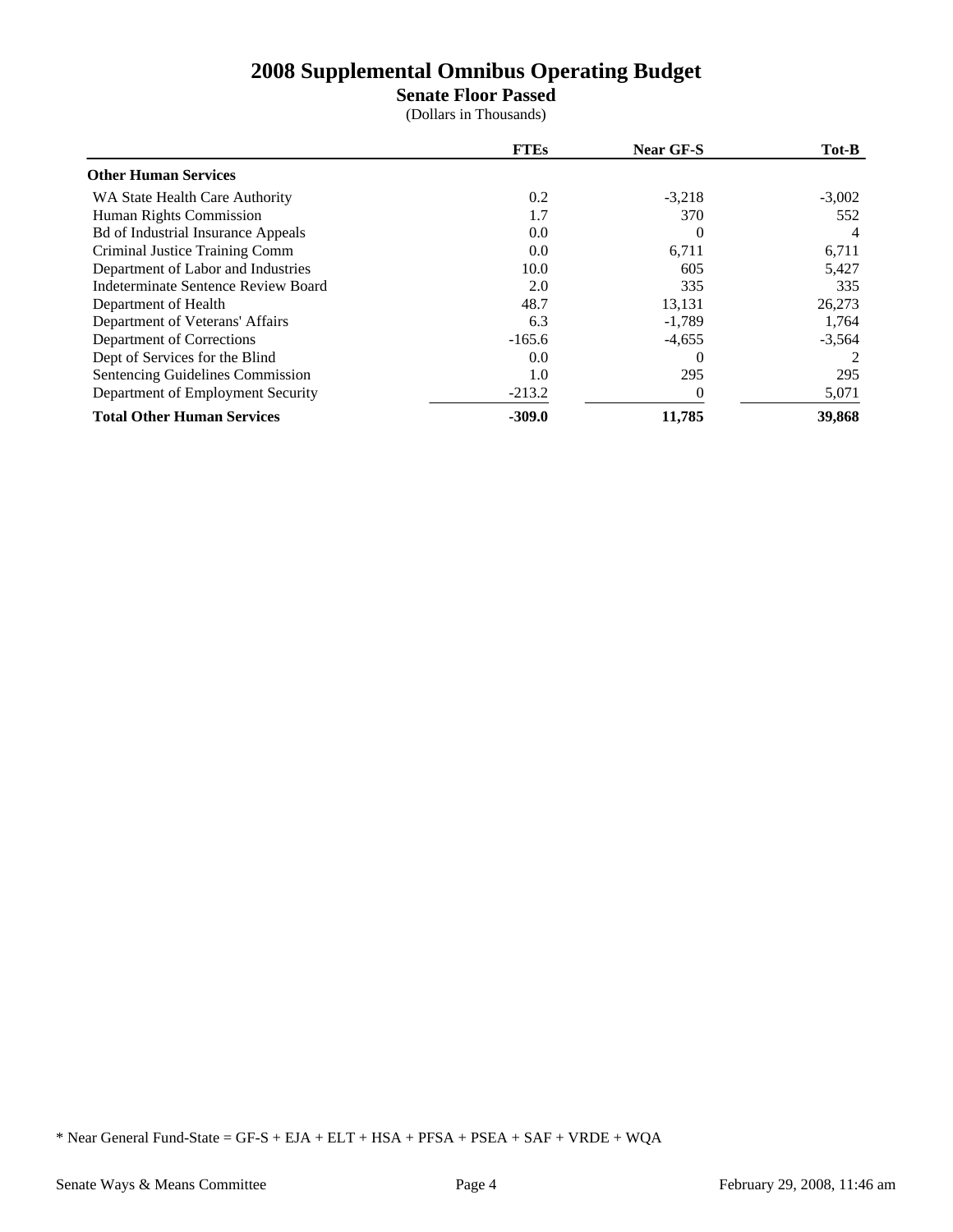## **Senate Floor Passed**

(Dollars in Thousands)

|                                           | <b>FTEs</b> | Near GF-S | Tot-B         |
|-------------------------------------------|-------------|-----------|---------------|
| <b>Other Human Services</b>               |             |           |               |
| WA State Health Care Authority            | 0.2         | $-3,218$  | $-3,002$      |
| Human Rights Commission                   | 1.7         | 370       | 552           |
| <b>Bd of Industrial Insurance Appeals</b> | 0.0         | $\Omega$  | 4             |
| Criminal Justice Training Comm            | 0.0         | 6,711     | 6,711         |
| Department of Labor and Industries        | 10.0        | 605       | 5,427         |
| Indeterminate Sentence Review Board       | 2.0         | 335       | 335           |
| Department of Health                      | 48.7        | 13,131    | 26,273        |
| Department of Veterans' Affairs           | 6.3         | $-1,789$  | 1,764         |
| Department of Corrections                 | $-165.6$    | $-4,655$  | $-3,564$      |
| Dept of Services for the Blind            | 0.0         |           | $\mathcal{L}$ |
| Sentencing Guidelines Commission          | 1.0         | 295       | 295           |
| Department of Employment Security         | $-213.2$    | $\Omega$  | 5,071         |
| <b>Total Other Human Services</b>         | $-309.0$    | 11,785    | 39,868        |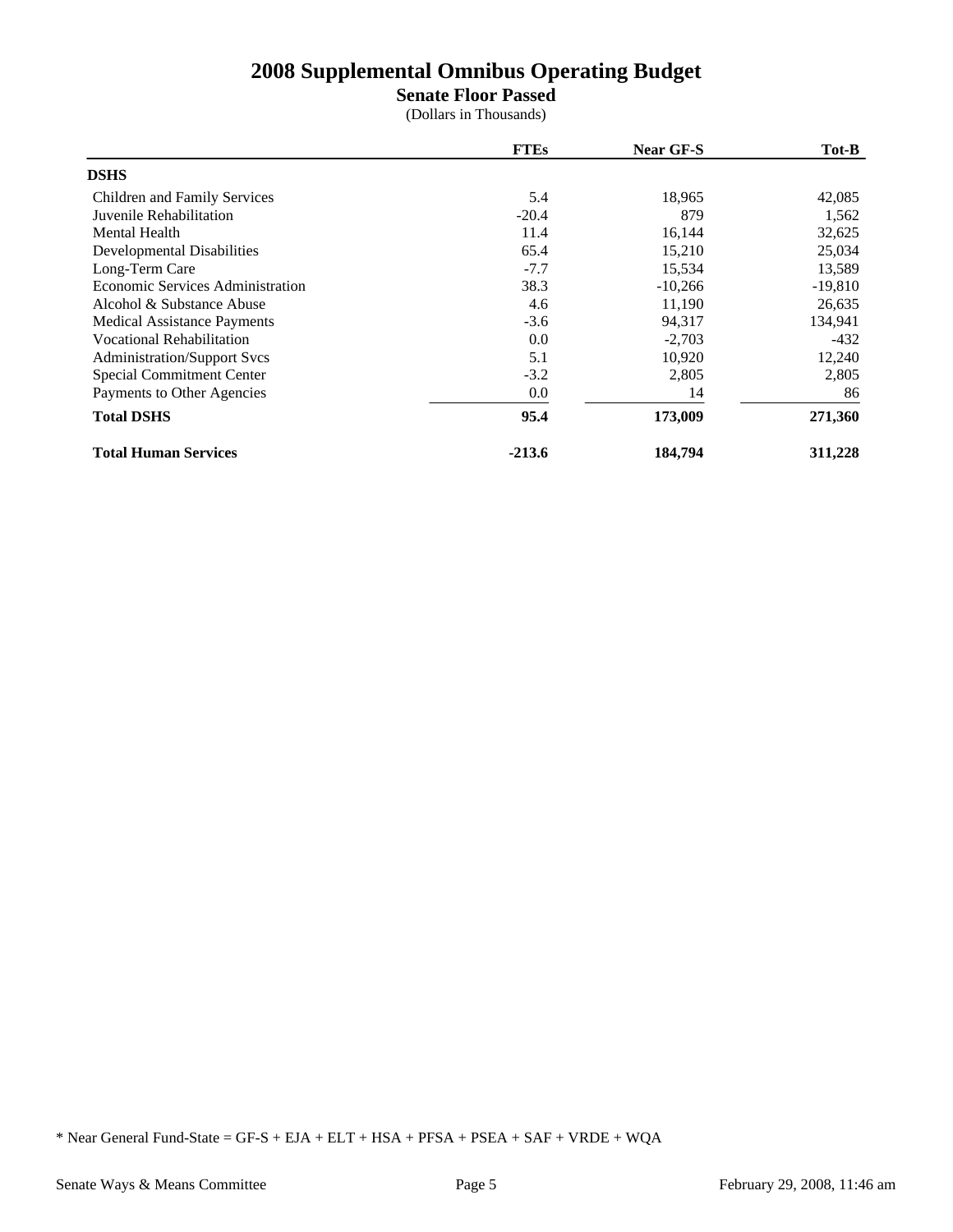**Senate Floor Passed**

(Dollars in Thousands)

|                                    | <b>FTEs</b> | <b>Near GF-S</b> | Tot-B     |
|------------------------------------|-------------|------------------|-----------|
| <b>DSHS</b>                        |             |                  |           |
| Children and Family Services       | 5.4         | 18,965           | 42,085    |
| Juvenile Rehabilitation            | $-20.4$     | 879              | 1,562     |
| Mental Health                      | 11.4        | 16,144           | 32,625    |
| Developmental Disabilities         | 65.4        | 15,210           | 25,034    |
| Long-Term Care                     | $-7.7$      | 15,534           | 13,589    |
| Economic Services Administration   | 38.3        | $-10,266$        | $-19,810$ |
| Alcohol & Substance Abuse          | 4.6         | 11,190           | 26,635    |
| <b>Medical Assistance Payments</b> | $-3.6$      | 94,317           | 134,941   |
| <b>Vocational Rehabilitation</b>   | 0.0         | $-2,703$         | $-432$    |
| <b>Administration/Support Svcs</b> | 5.1         | 10,920           | 12,240    |
| Special Commitment Center          | $-3.2$      | 2,805            | 2,805     |
| Payments to Other Agencies         | 0.0         | 14               | 86        |
| <b>Total DSHS</b>                  | 95.4        | 173,009          | 271,360   |
| <b>Total Human Services</b>        | $-213.6$    | 184,794          | 311,228   |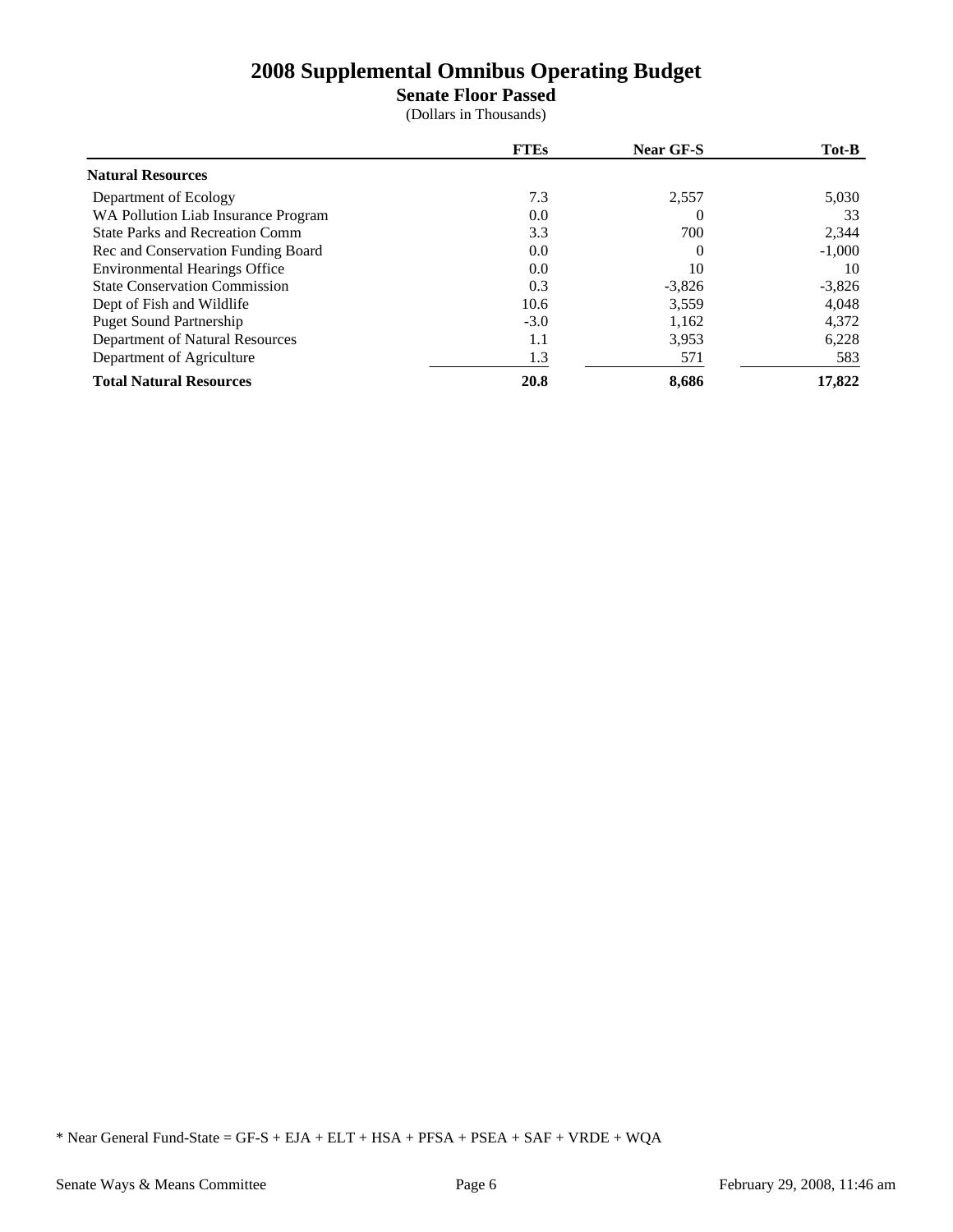**Senate Floor Passed**

(Dollars in Thousands)

|                                        | <b>FTEs</b> | <b>Near GF-S</b> | Tot-B    |
|----------------------------------------|-------------|------------------|----------|
| <b>Natural Resources</b>               |             |                  |          |
| Department of Ecology                  | 7.3         | 2,557            | 5,030    |
| WA Pollution Liab Insurance Program    | 0.0         | $\Omega$         | 33       |
| <b>State Parks and Recreation Comm</b> | 3.3         | 700              | 2,344    |
| Rec and Conservation Funding Board     | 0.0         | $\theta$         | $-1,000$ |
| <b>Environmental Hearings Office</b>   | 0.0         | 10               | 10       |
| <b>State Conservation Commission</b>   | 0.3         | $-3,826$         | $-3,826$ |
| Dept of Fish and Wildlife              | 10.6        | 3,559            | 4,048    |
| <b>Puget Sound Partnership</b>         | $-3.0$      | 1,162            | 4,372    |
| Department of Natural Resources        | 1.1         | 3,953            | 6,228    |
| Department of Agriculture              | 1.3         | 571              | 583      |
| <b>Total Natural Resources</b>         | 20.8        | 8,686            | 17,822   |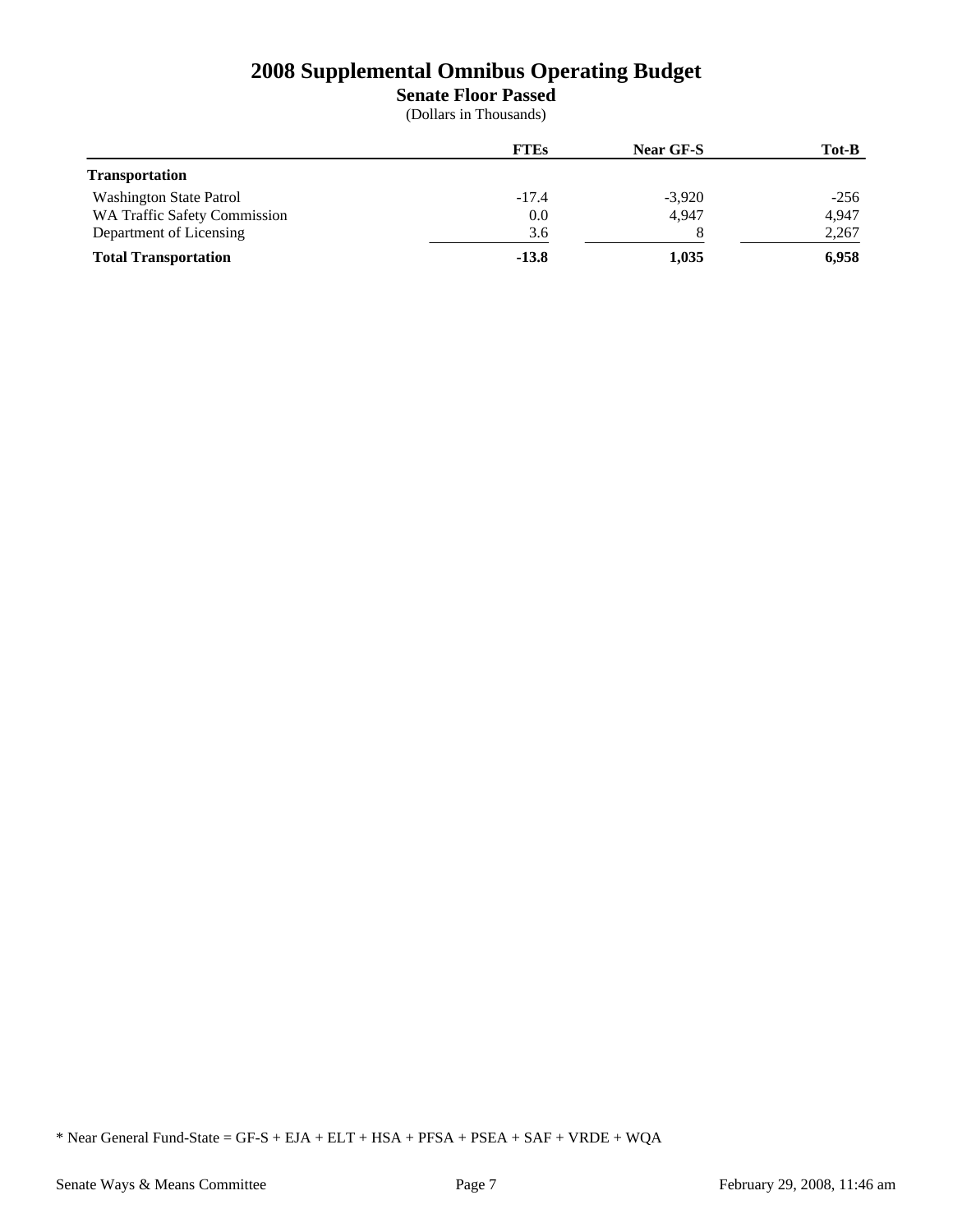**Senate Floor Passed**

(Dollars in Thousands)

|                                     | <b>FTEs</b> | <b>Near GF-S</b> | Tot-B  |
|-------------------------------------|-------------|------------------|--------|
| <b>Transportation</b>               |             |                  |        |
| <b>Washington State Patrol</b>      | $-17.4$     | $-3,920$         | $-256$ |
| <b>WA Traffic Safety Commission</b> | 0.0         | 4.947            | 4,947  |
| Department of Licensing             | 3.6         |                  | 2,267  |
| <b>Total Transportation</b>         | $-13.8$     | 1,035            | 6,958  |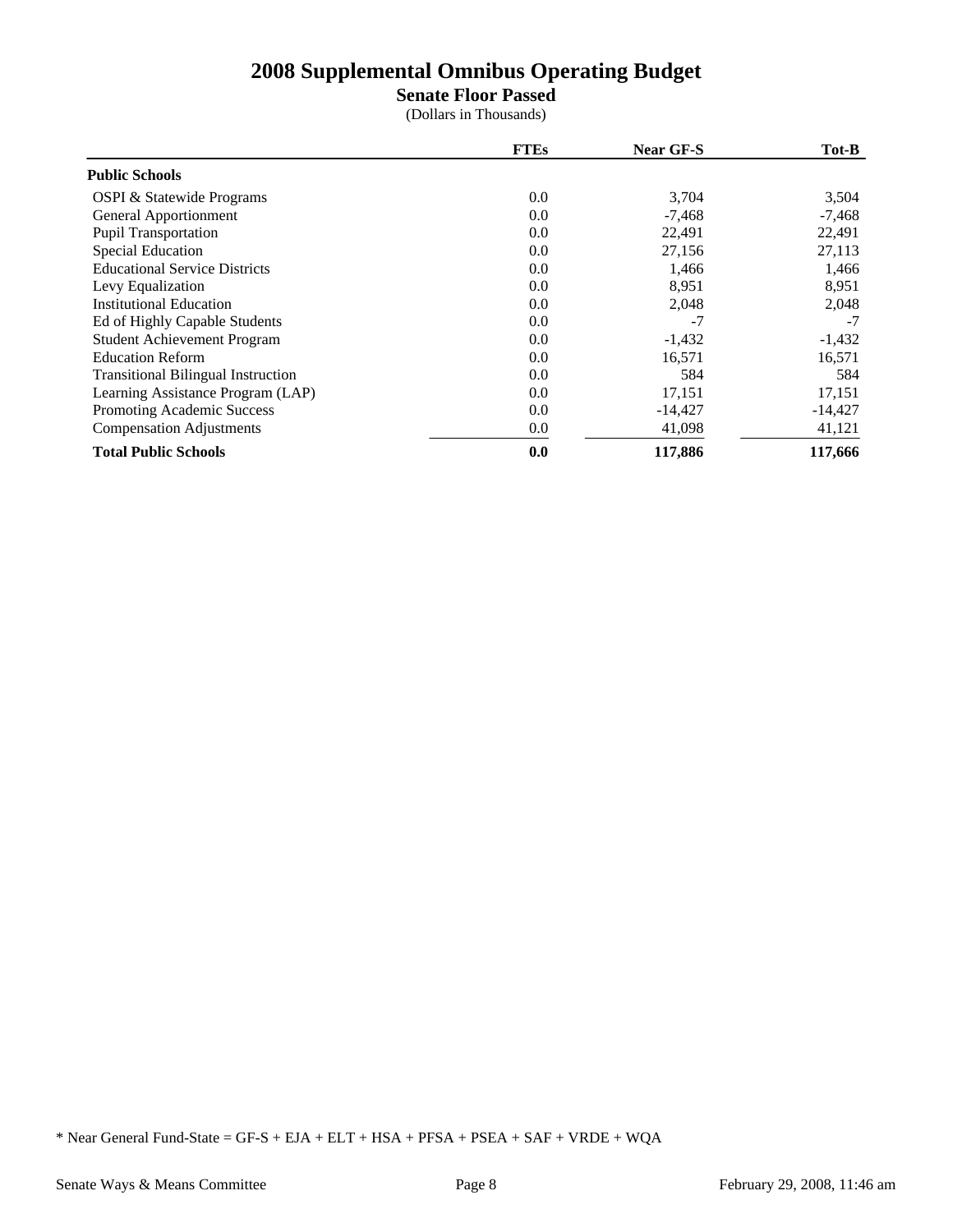### **Senate Floor Passed**

(Dollars in Thousands)

|                                           | <b>FTEs</b> | <b>Near GF-S</b> | Tot-B     |
|-------------------------------------------|-------------|------------------|-----------|
| <b>Public Schools</b>                     |             |                  |           |
| <b>OSPI &amp; Statewide Programs</b>      | 0.0         | 3,704            | 3,504     |
| General Apportionment                     | 0.0         | $-7,468$         | $-7,468$  |
| <b>Pupil Transportation</b>               | 0.0         | 22,491           | 22,491    |
| <b>Special Education</b>                  | 0.0         | 27,156           | 27,113    |
| <b>Educational Service Districts</b>      | 0.0         | 1,466            | 1,466     |
| Levy Equalization                         | 0.0         | 8,951            | 8,951     |
| <b>Institutional Education</b>            | 0.0         | 2,048            | 2,048     |
| Ed of Highly Capable Students             | 0.0         | $-7$             | $-7$      |
| <b>Student Achievement Program</b>        | 0.0         | $-1,432$         | $-1,432$  |
| <b>Education Reform</b>                   | 0.0         | 16,571           | 16,571    |
| <b>Transitional Bilingual Instruction</b> | 0.0         | 584              | 584       |
| Learning Assistance Program (LAP)         | 0.0         | 17,151           | 17,151    |
| Promoting Academic Success                | 0.0         | $-14,427$        | $-14,427$ |
| <b>Compensation Adjustments</b>           | 0.0         | 41,098           | 41,121    |
| <b>Total Public Schools</b>               | 0.0         | 117,886          | 117,666   |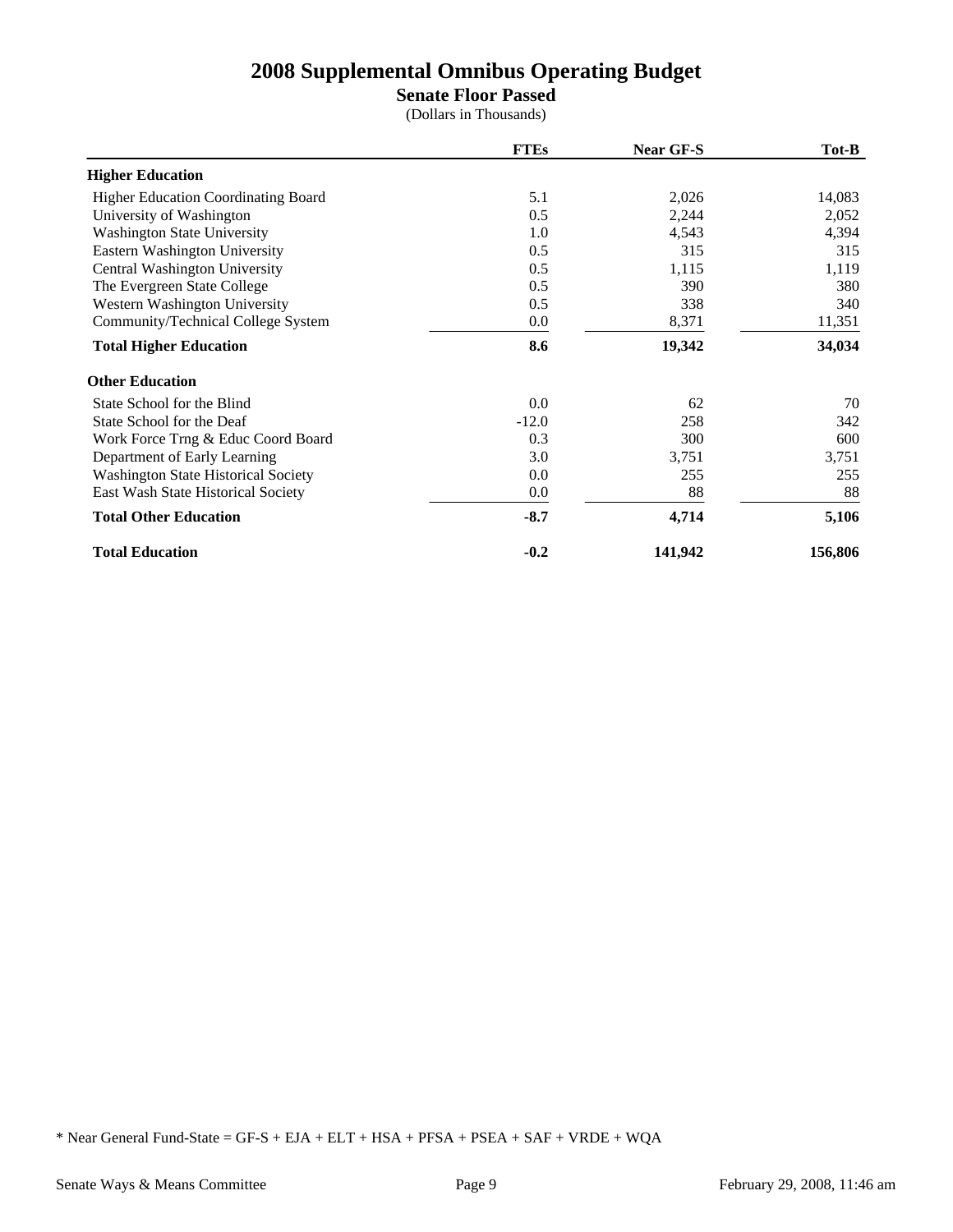## **Senate Floor Passed**

(Dollars in Thousands)

|                                            | <b>FTEs</b> | Near GF-S | Tot-B   |
|--------------------------------------------|-------------|-----------|---------|
| <b>Higher Education</b>                    |             |           |         |
| <b>Higher Education Coordinating Board</b> | 5.1         | 2,026     | 14,083  |
| University of Washington                   | 0.5         | 2,244     | 2,052   |
| Washington State University                | 1.0         | 4,543     | 4,394   |
| Eastern Washington University              | 0.5         | 315       | 315     |
| Central Washington University              | 0.5         | 1,115     | 1,119   |
| The Evergreen State College                | 0.5         | 390       | 380     |
| Western Washington University              | 0.5         | 338       | 340     |
| Community/Technical College System         | 0.0         | 8,371     | 11,351  |
| <b>Total Higher Education</b>              | 8.6         | 19,342    | 34,034  |
| <b>Other Education</b>                     |             |           |         |
| State School for the Blind                 | 0.0         | 62        | 70      |
| State School for the Deaf                  | $-12.0$     | 258       | 342     |
| Work Force Trng & Educ Coord Board         | 0.3         | 300       | 600     |
| Department of Early Learning               | 3.0         | 3,751     | 3,751   |
| Washington State Historical Society        | 0.0         | 255       | 255     |
| East Wash State Historical Society         | 0.0         | 88        | 88      |
| <b>Total Other Education</b>               | $-8.7$      | 4,714     | 5,106   |
| <b>Total Education</b>                     | $-0.2$      | 141,942   | 156,806 |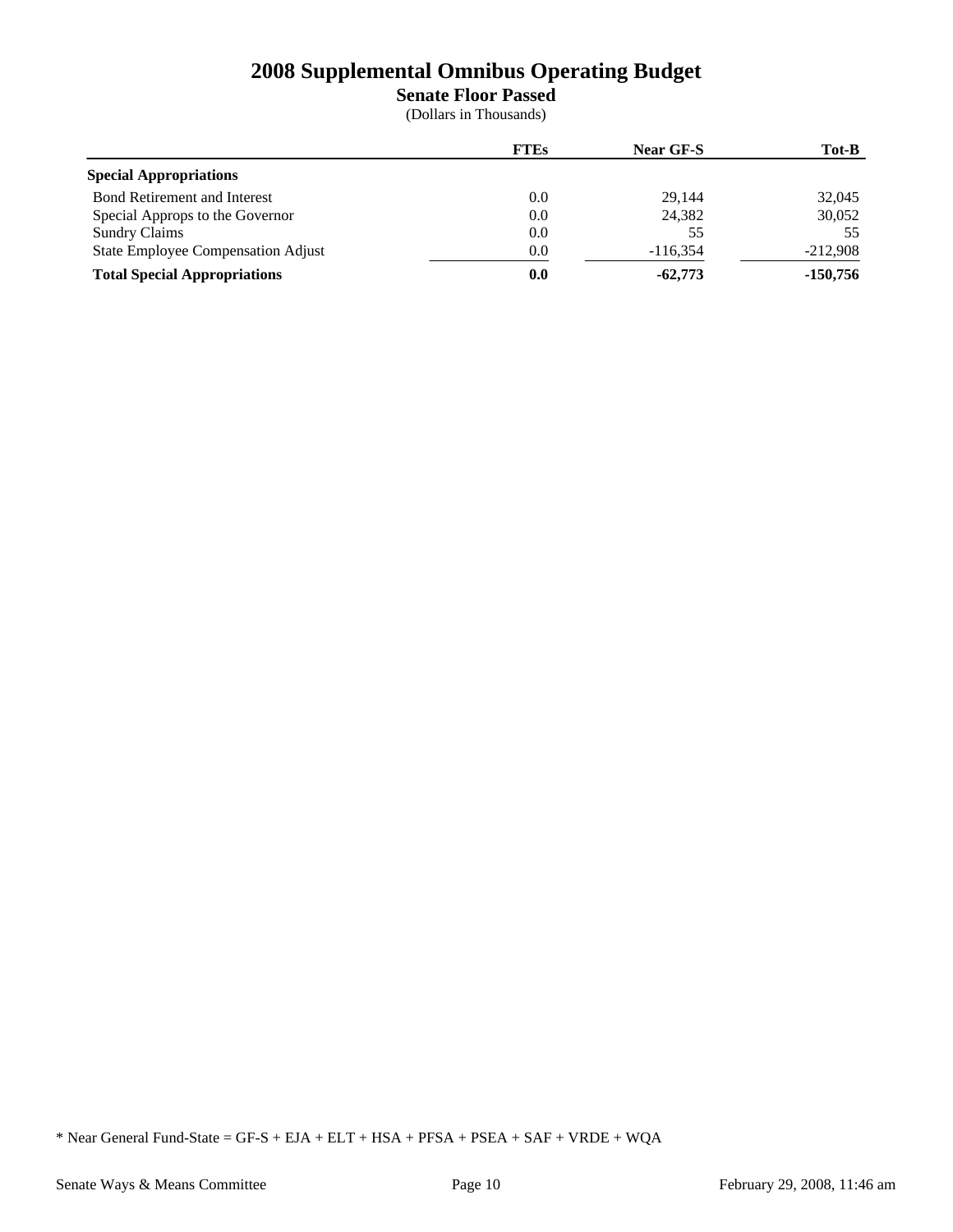**Senate Floor Passed**

(Dollars in Thousands)

|                                     | <b>FTEs</b> | <b>Near GF-S</b> | Tot-B      |
|-------------------------------------|-------------|------------------|------------|
| <b>Special Appropriations</b>       |             |                  |            |
| <b>Bond Retirement and Interest</b> | $0.0\,$     | 29.144           | 32,045     |
| Special Approps to the Governor     | 0.0         | 24.382           | 30,052     |
| <b>Sundry Claims</b>                | 0.0         | 55               | 55         |
| State Employee Compensation Adjust  | 0.0         | $-116.354$       | $-212.908$ |
| <b>Total Special Appropriations</b> | 0.0         | $-62,773$        | $-150.756$ |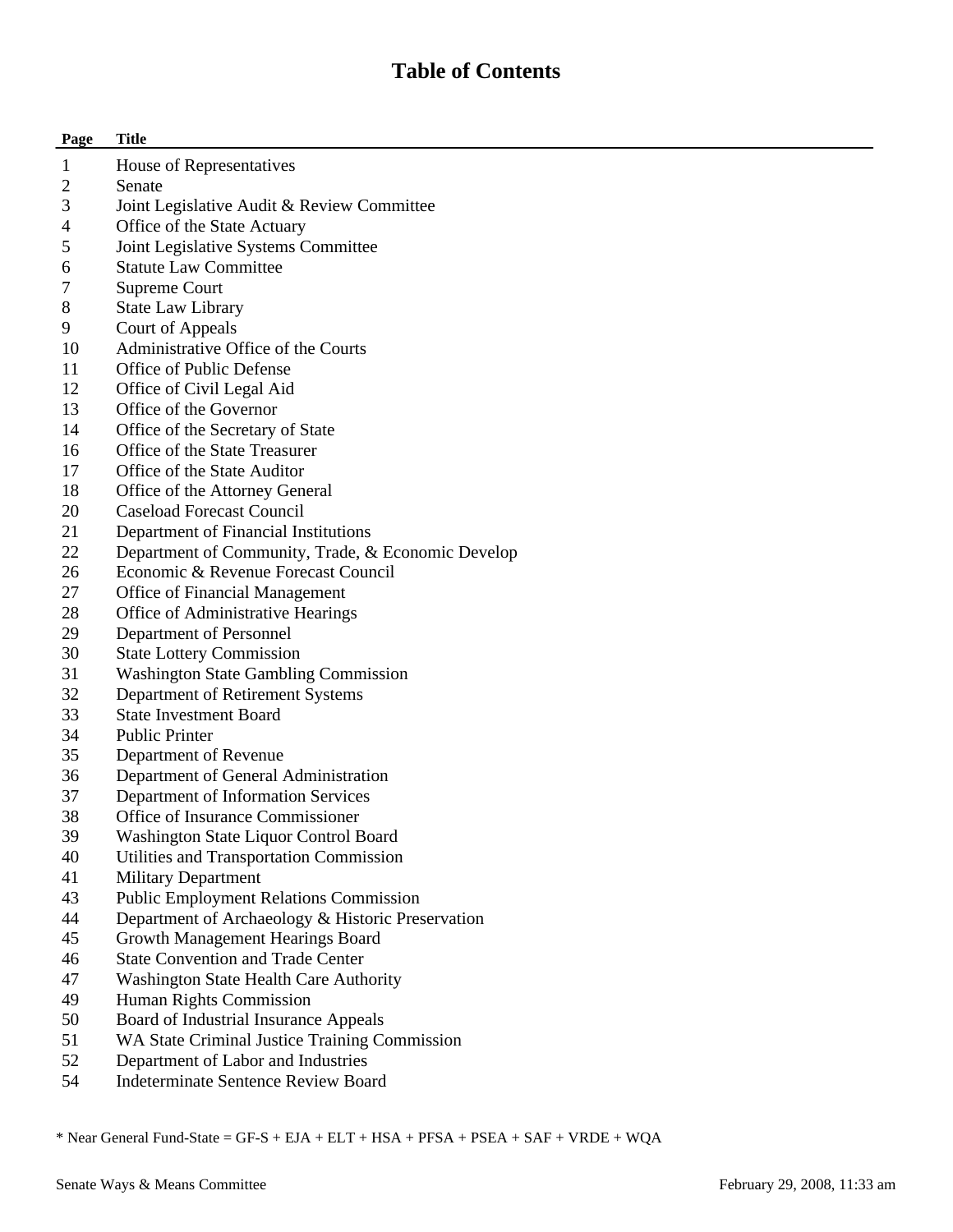## **Table of Contents**

| Page             | <b>Title</b>                                       |
|------------------|----------------------------------------------------|
| 1                | House of Representatives                           |
| 2                | Senate                                             |
| 3                | Joint Legislative Audit & Review Committee         |
| 4                | Office of the State Actuary                        |
| 5                | Joint Legislative Systems Committee                |
| 6                | <b>Statute Law Committee</b>                       |
| 7                | Supreme Court                                      |
| 8                | <b>State Law Library</b>                           |
| 9                | Court of Appeals                                   |
| 10               | Administrative Office of the Courts                |
| 11               | Office of Public Defense                           |
| 12               | Office of Civil Legal Aid                          |
| 13               | Office of the Governor                             |
| 14               | Office of the Secretary of State                   |
| 16               | Office of the State Treasurer                      |
| 17               | Office of the State Auditor                        |
| 18               | Office of the Attorney General                     |
| 20               | Caseload Forecast Council                          |
| 21               | Department of Financial Institutions               |
| 22               | Department of Community, Trade, & Economic Develop |
| 26               | Economic & Revenue Forecast Council                |
| 27               | Office of Financial Management                     |
| 28               | Office of Administrative Hearings                  |
| 29               | Department of Personnel                            |
| 30               | <b>State Lottery Commission</b>                    |
| 31               | <b>Washington State Gambling Commission</b>        |
| 32               | Department of Retirement Systems                   |
| 33               | <b>State Investment Board</b>                      |
| 34               | <b>Public Printer</b>                              |
| 35               | Department of Revenue                              |
| 36               | Department of General Administration               |
| 37               | Department of Information Services                 |
| 38               | Office of Insurance Commissioner                   |
| 39               | Washington State Liquor Control Board              |
| 40               | Utilities and Transportation Commission            |
| 41               | <b>Military Department</b>                         |
| 43               | <b>Public Employment Relations Commission</b>      |
| 44               | Department of Archaeology & Historic Preservation  |
| 45               | Growth Management Hearings Board                   |
| 46               | <b>State Convention and Trade Center</b>           |
| 47               | Washington State Health Care Authority             |
| 49               | Human Rights Commission                            |
| 50               | Board of Industrial Insurance Appeals              |
| 51               | WA State Criminal Justice Training Commission      |
| 52               | Department of Labor and Industries                 |
| $\sim$ $\lambda$ |                                                    |

54 Indeterminate Sentence Review Board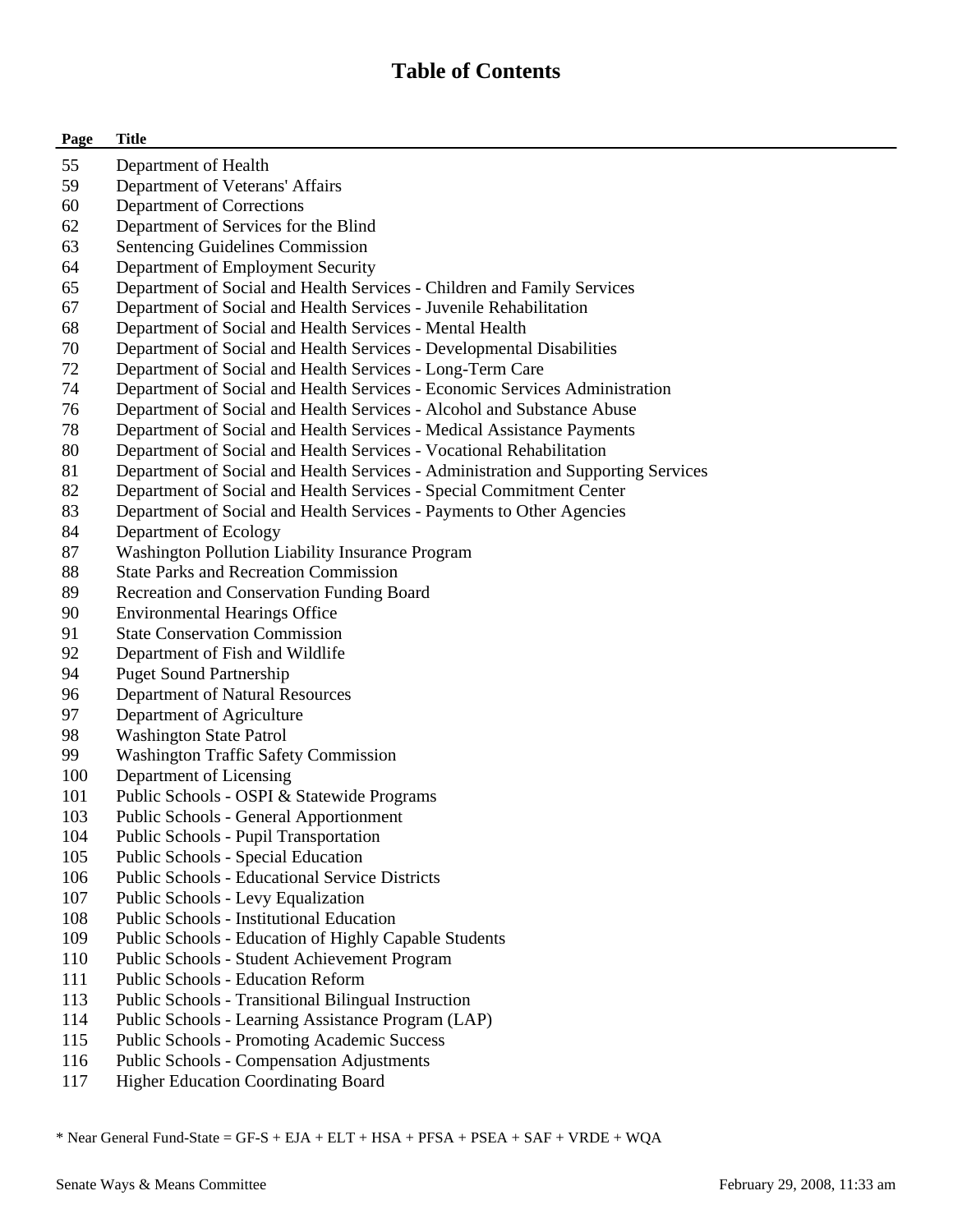## **Table of Contents**

| Page | <b>Title</b>                                                                      |
|------|-----------------------------------------------------------------------------------|
| 55   | Department of Health                                                              |
| 59   | Department of Veterans' Affairs                                                   |
| 60   | Department of Corrections                                                         |
| 62   | Department of Services for the Blind                                              |
| 63   | Sentencing Guidelines Commission                                                  |
| 64   | Department of Employment Security                                                 |
| 65   | Department of Social and Health Services - Children and Family Services           |
| 67   | Department of Social and Health Services - Juvenile Rehabilitation                |
| 68   | Department of Social and Health Services - Mental Health                          |
| 70   | Department of Social and Health Services - Developmental Disabilities             |
| 72   | Department of Social and Health Services - Long-Term Care                         |
| 74   | Department of Social and Health Services - Economic Services Administration       |
| 76   | Department of Social and Health Services - Alcohol and Substance Abuse            |
| 78   | Department of Social and Health Services - Medical Assistance Payments            |
| 80   | Department of Social and Health Services - Vocational Rehabilitation              |
| 81   | Department of Social and Health Services - Administration and Supporting Services |
| 82   | Department of Social and Health Services - Special Commitment Center              |
| 83   | Department of Social and Health Services - Payments to Other Agencies             |
| 84   | Department of Ecology                                                             |
| 87   | Washington Pollution Liability Insurance Program                                  |
| 88   | <b>State Parks and Recreation Commission</b>                                      |
| 89   | Recreation and Conservation Funding Board                                         |
| 90   | <b>Environmental Hearings Office</b>                                              |
| 91   | <b>State Conservation Commission</b>                                              |
| 92   | Department of Fish and Wildlife                                                   |
| 94   | <b>Puget Sound Partnership</b>                                                    |
| 96   | Department of Natural Resources                                                   |
| 97   | Department of Agriculture                                                         |
| 98   | <b>Washington State Patrol</b>                                                    |
| 99   | <b>Washington Traffic Safety Commission</b>                                       |
| 100  | Department of Licensing                                                           |
| 101  | Public Schools - OSPI & Statewide Programs                                        |
| 103  | <b>Public Schools - General Apportionment</b>                                     |
| 104  | <b>Public Schools - Pupil Transportation</b>                                      |
| 105  | Public Schools - Special Education                                                |
| 106  | <b>Public Schools - Educational Service Districts</b>                             |
| 107  | Public Schools - Levy Equalization                                                |
| 108  | <b>Public Schools - Institutional Education</b>                                   |
| 109  | Public Schools - Education of Highly Capable Students                             |
| 110  | Public Schools - Student Achievement Program                                      |
| 111  | <b>Public Schools - Education Reform</b>                                          |
| 113  | Public Schools - Transitional Bilingual Instruction                               |
| 114  | Public Schools - Learning Assistance Program (LAP)                                |
| 115  | <b>Public Schools - Promoting Academic Success</b>                                |
| 116  | <b>Public Schools - Compensation Adjustments</b>                                  |

117 Higher Education Coordinating Board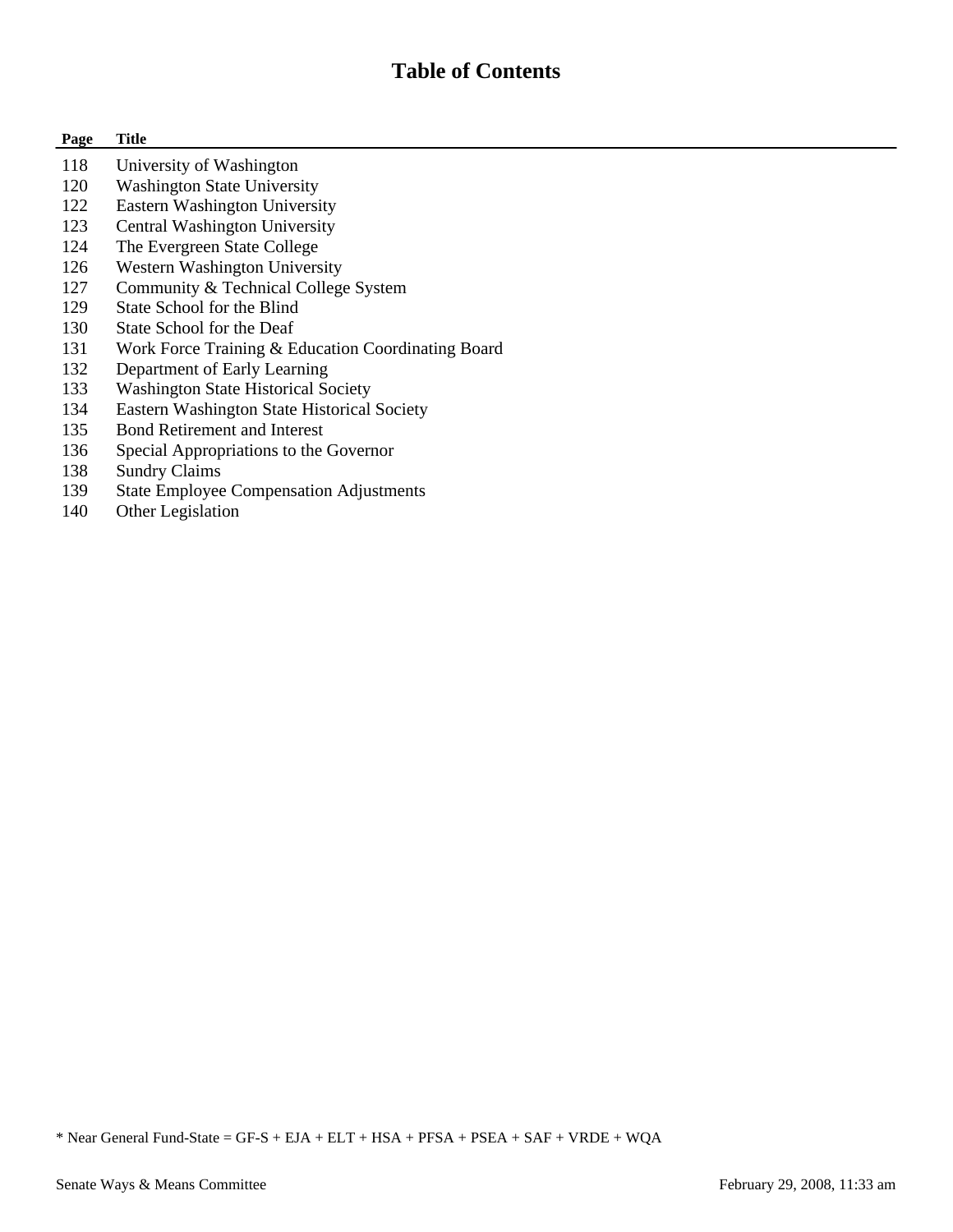## **Table of Contents**

#### **Page Title**

- 118 University of Washington
- 120 Washington State University
- 122 Eastern Washington University
- 123 Central Washington University
- 124 The Evergreen State College
- 126 Western Washington University
- 127 Community & Technical College System
- 129 State School for the Blind
- 130 State School for the Deaf
- 131 Work Force Training & Education Coordinating Board
- 132 Department of Early Learning
- 133 Washington State Historical Society
- 134 Eastern Washington State Historical Society
- 135 Bond Retirement and Interest
- 136 Special Appropriations to the Governor
- 138 Sundry Claims
- 139 State Employee Compensation Adjustments
- 140 Other Legislation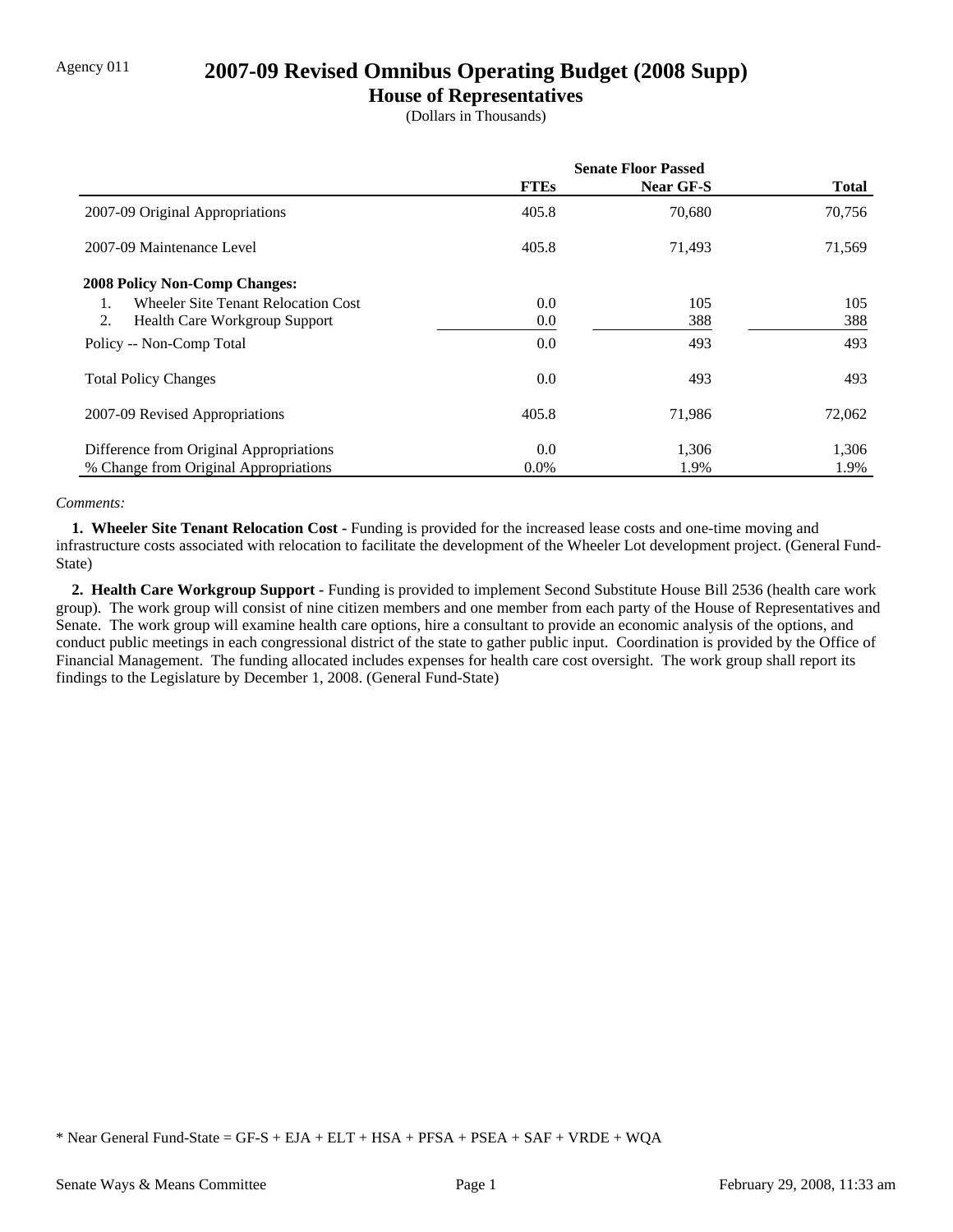### Agency 011 **2007-09 Revised Omnibus Operating Budget (2008 Supp)**

### **House of Representatives**

(Dollars in Thousands)

|                                            | <b>Senate Floor Passed</b> |           |              |
|--------------------------------------------|----------------------------|-----------|--------------|
|                                            | <b>FTEs</b>                | Near GF-S | <b>Total</b> |
| 2007-09 Original Appropriations            | 405.8                      | 70,680    | 70,756       |
| 2007-09 Maintenance Level                  | 405.8                      | 71,493    | 71,569       |
| <b>2008 Policy Non-Comp Changes:</b>       |                            |           |              |
| <b>Wheeler Site Tenant Relocation Cost</b> | 0.0                        | 105       | 105          |
| 2.<br><b>Health Care Workgroup Support</b> | 0.0                        | 388       | 388          |
| Policy -- Non-Comp Total                   | 0.0                        | 493       | 493          |
| <b>Total Policy Changes</b>                | 0.0                        | 493       | 493          |
| 2007-09 Revised Appropriations             | 405.8                      | 71,986    | 72,062       |
| Difference from Original Appropriations    | 0.0                        | 1,306     | 1,306        |
| % Change from Original Appropriations      | $0.0\%$                    | 1.9%      | 1.9%         |

#### *Comments:*

**1. Wheeler Site Tenant Relocation Cost - Funding is provided for the increased lease costs and one-time moving and** infrastructure costs associated with relocation to facilitate the development of the Wheeler Lot development project. (General Fund-State)

 **2. Health Care Workgroup Support -** Funding is provided to implement Second Substitute House Bill 2536 (health care work group). The work group will consist of nine citizen members and one member from each party of the House of Representatives and Senate. The work group will examine health care options, hire a consultant to provide an economic analysis of the options, and conduct public meetings in each congressional district of the state to gather public input. Coordination is provided by the Office of Financial Management. The funding allocated includes expenses for health care cost oversight. The work group shall report its findings to the Legislature by December 1, 2008. (General Fund-State)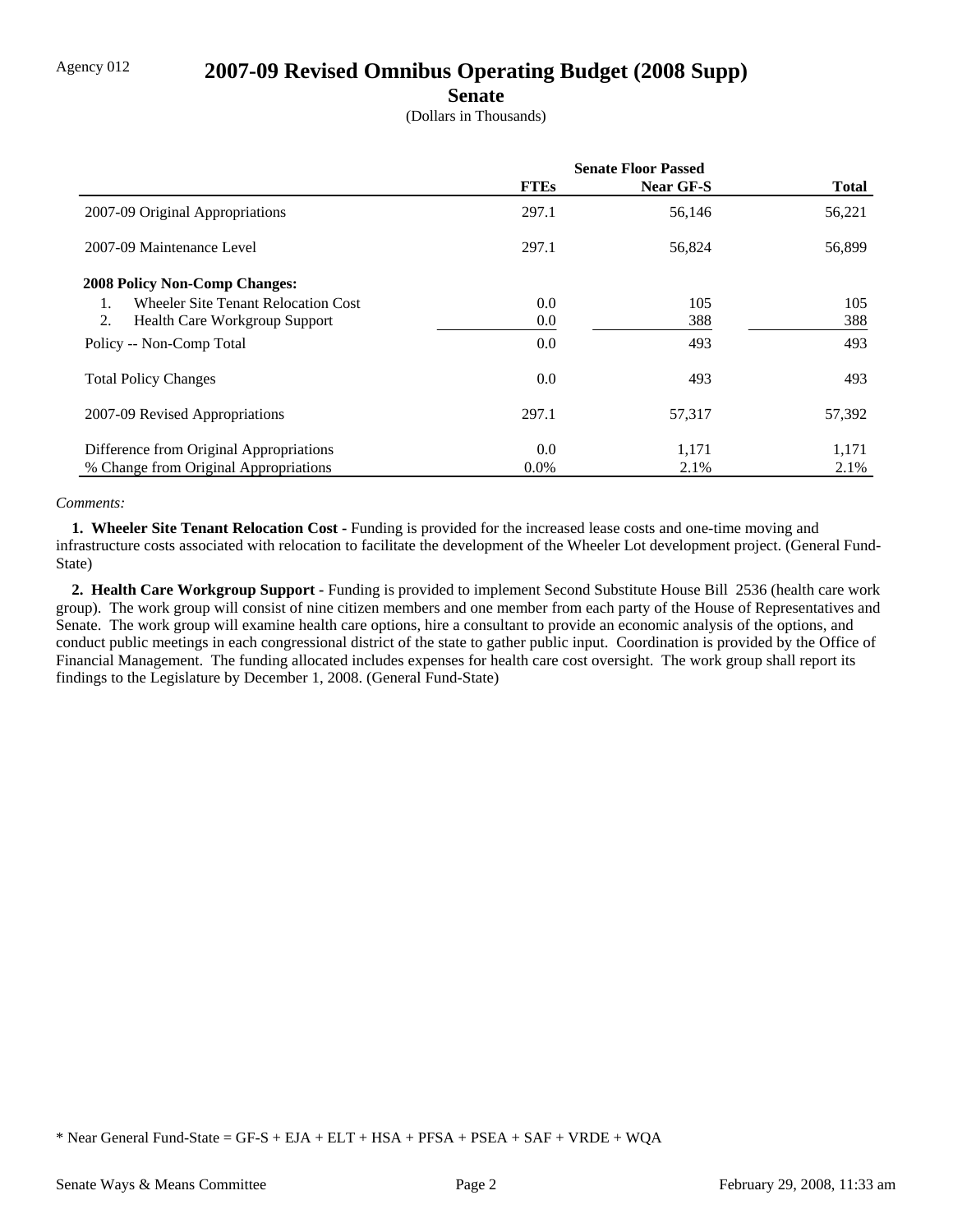### Agency 012 **2007-09 Revised Omnibus Operating Budget (2008 Supp)**

### **Senate**

(Dollars in Thousands)

|                                            | <b>Senate Floor Passed</b> |           |              |
|--------------------------------------------|----------------------------|-----------|--------------|
|                                            | <b>FTEs</b>                | Near GF-S | <b>Total</b> |
| 2007-09 Original Appropriations            | 297.1                      | 56,146    | 56,221       |
| 2007-09 Maintenance Level                  | 297.1                      | 56,824    | 56,899       |
| <b>2008 Policy Non-Comp Changes:</b>       |                            |           |              |
| Wheeler Site Tenant Relocation Cost        | $0.0\,$                    | 105       | 105          |
| 2.<br><b>Health Care Workgroup Support</b> | 0.0                        | 388       | 388          |
| Policy -- Non-Comp Total                   | 0.0                        | 493       | 493          |
| <b>Total Policy Changes</b>                | 0.0                        | 493       | 493          |
| 2007-09 Revised Appropriations             | 297.1                      | 57,317    | 57,392       |
| Difference from Original Appropriations    | 0.0                        | 1,171     | 1,171        |
| % Change from Original Appropriations      | $0.0\%$                    | 2.1%      | 2.1%         |

#### *Comments:*

**1. Wheeler Site Tenant Relocation Cost - Funding is provided for the increased lease costs and one-time moving and** infrastructure costs associated with relocation to facilitate the development of the Wheeler Lot development project. (General Fund-State)

 **2. Health Care Workgroup Support -** Funding is provided to implement Second Substitute House Bill 2536 (health care work group). The work group will consist of nine citizen members and one member from each party of the House of Representatives and Senate. The work group will examine health care options, hire a consultant to provide an economic analysis of the options, and conduct public meetings in each congressional district of the state to gather public input. Coordination is provided by the Office of Financial Management. The funding allocated includes expenses for health care cost oversight. The work group shall report its findings to the Legislature by December 1, 2008. (General Fund-State)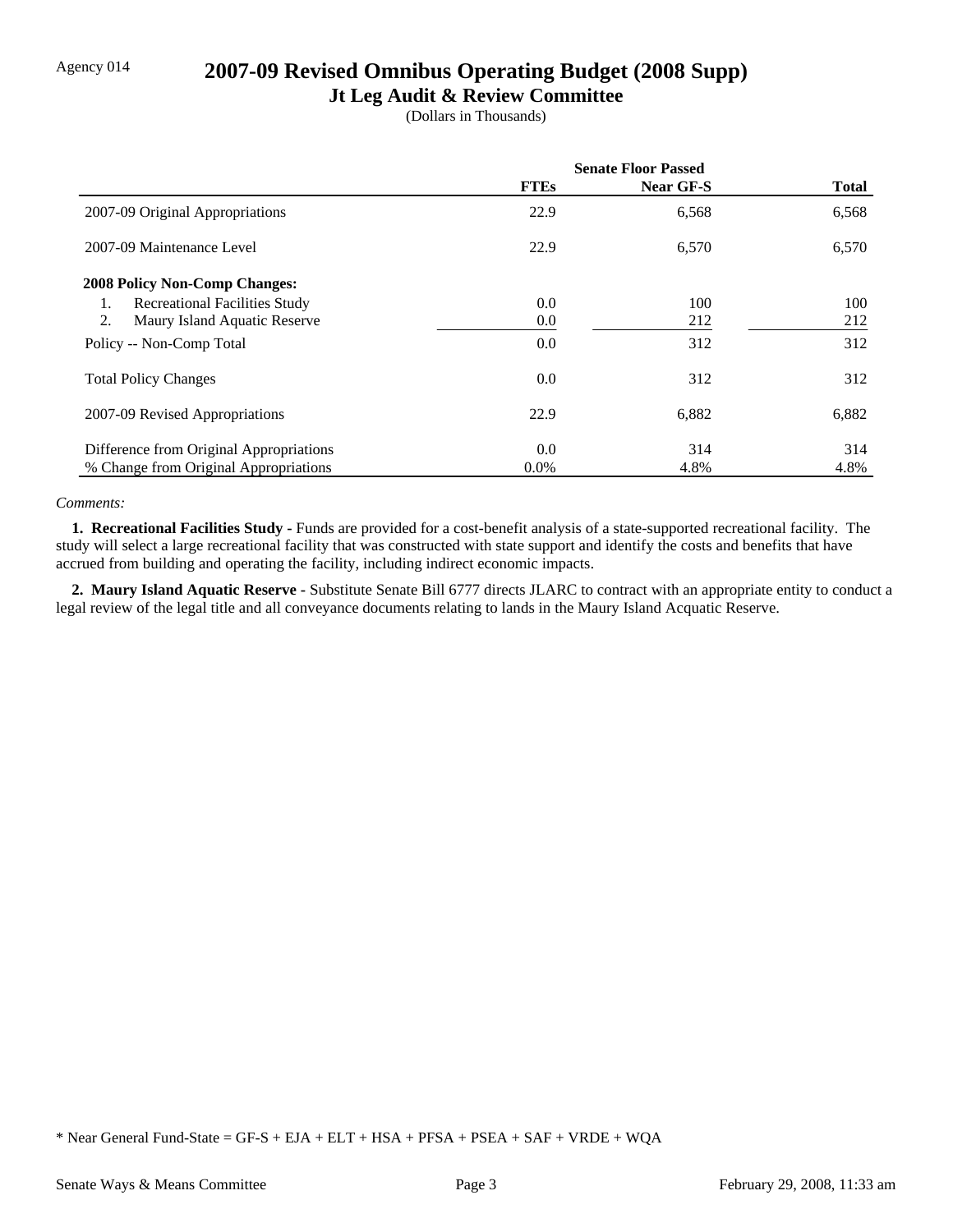### Agency 014 **2007-09 Revised Omnibus Operating Budget (2008 Supp)**

### **Jt Leg Audit & Review Committee**

(Dollars in Thousands)

|                                            | <b>Senate Floor Passed</b> |           |              |
|--------------------------------------------|----------------------------|-----------|--------------|
|                                            | <b>FTEs</b>                | Near GF-S | <b>Total</b> |
| 2007-09 Original Appropriations            | 22.9                       | 6,568     | 6,568        |
| 2007-09 Maintenance Level                  | 22.9                       | 6,570     | 6,570        |
| <b>2008 Policy Non-Comp Changes:</b>       |                            |           |              |
| <b>Recreational Facilities Study</b><br>1. | 0.0                        | 100       | 100          |
| Maury Island Aquatic Reserve<br>2.         | $0.0\,$                    | 212       | 212          |
| Policy -- Non-Comp Total                   | 0.0                        | 312       | 312          |
| <b>Total Policy Changes</b>                | $0.0\,$                    | 312       | 312          |
| 2007-09 Revised Appropriations             | 22.9                       | 6,882     | 6,882        |
| Difference from Original Appropriations    | 0.0                        | 314       | 314          |
| % Change from Original Appropriations      | $0.0\%$                    | 4.8%      | 4.8%         |

#### *Comments:*

**1. Recreational Facilities Study - Funds** are provided for a cost-benefit analysis of a state-supported recreational facility. The study will select a large recreational facility that was constructed with state support and identify the costs and benefits that have accrued from building and operating the facility, including indirect economic impacts.

 **2. Maury Island Aquatic Reserve -** Substitute Senate Bill 6777 directs JLARC to contract with an appropriate entity to conduct a legal review of the legal title and all conveyance documents relating to lands in the Maury Island Acquatic Reserve.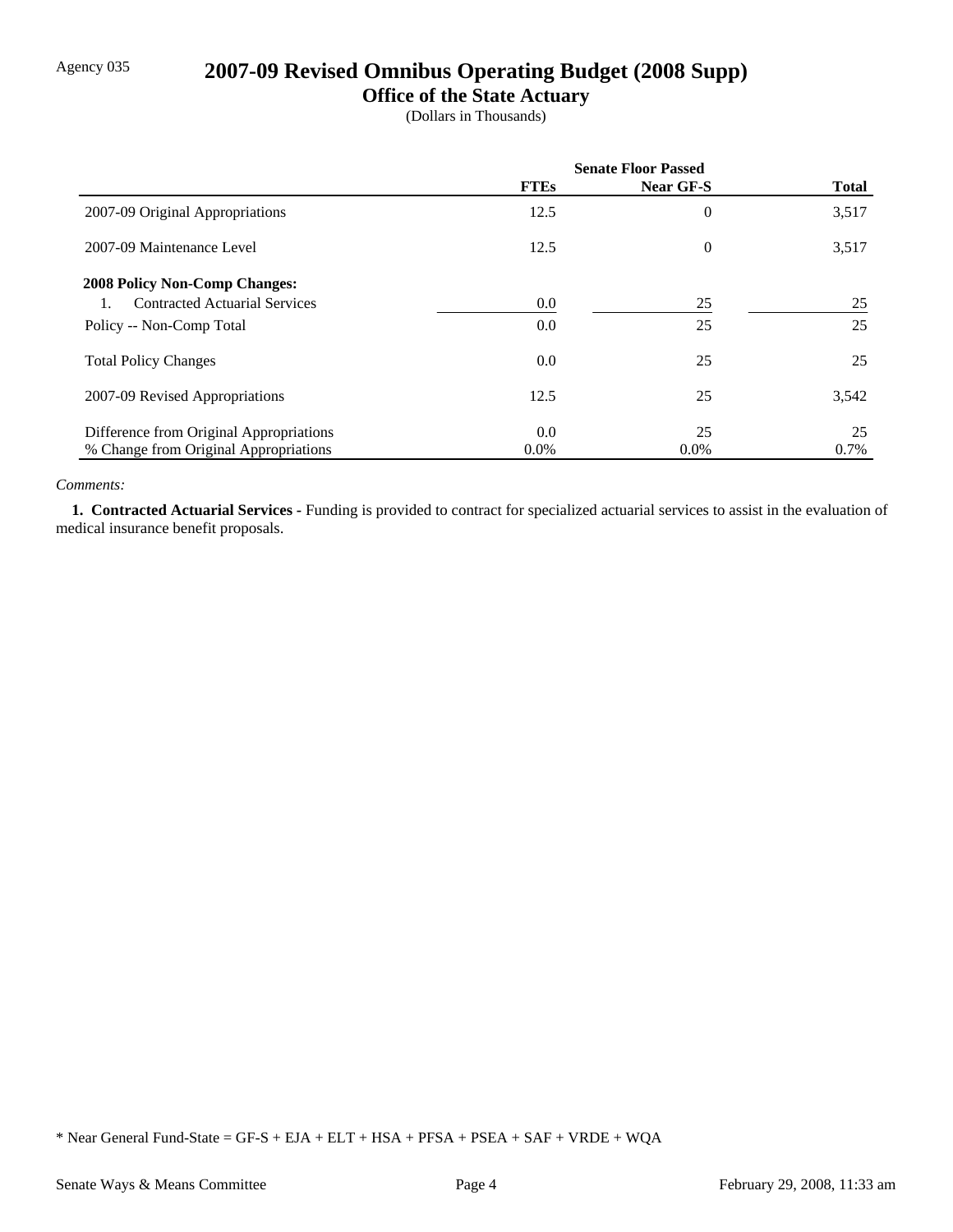## Agency 035 **2007-09 Revised Omnibus Operating Budget (2008 Supp)**

### **Office of the State Actuary**

(Dollars in Thousands)

|                                         | <b>Senate Floor Passed</b> |                  |              |
|-----------------------------------------|----------------------------|------------------|--------------|
|                                         | <b>FTEs</b>                | <b>Near GF-S</b> | <b>Total</b> |
| 2007-09 Original Appropriations         | 12.5                       | $\overline{0}$   | 3,517        |
| 2007-09 Maintenance Level               | 12.5                       | $\overline{0}$   | 3,517        |
| <b>2008 Policy Non-Comp Changes:</b>    |                            |                  |              |
| <b>Contracted Actuarial Services</b>    | $0.0\,$                    | 25               | 25           |
| Policy -- Non-Comp Total                | 0.0                        | 25               | 25           |
| <b>Total Policy Changes</b>             | 0.0                        | 25               | 25           |
| 2007-09 Revised Appropriations          | 12.5                       | 25               | 3,542        |
| Difference from Original Appropriations | 0.0                        | 25               | 25           |
| % Change from Original Appropriations   | $0.0\%$                    | $0.0\%$          | 0.7%         |

#### *Comments:*

 **1. Contracted Actuarial Services -** Funding is provided to contract for specialized actuarial services to assist in the evaluation of medical insurance benefit proposals.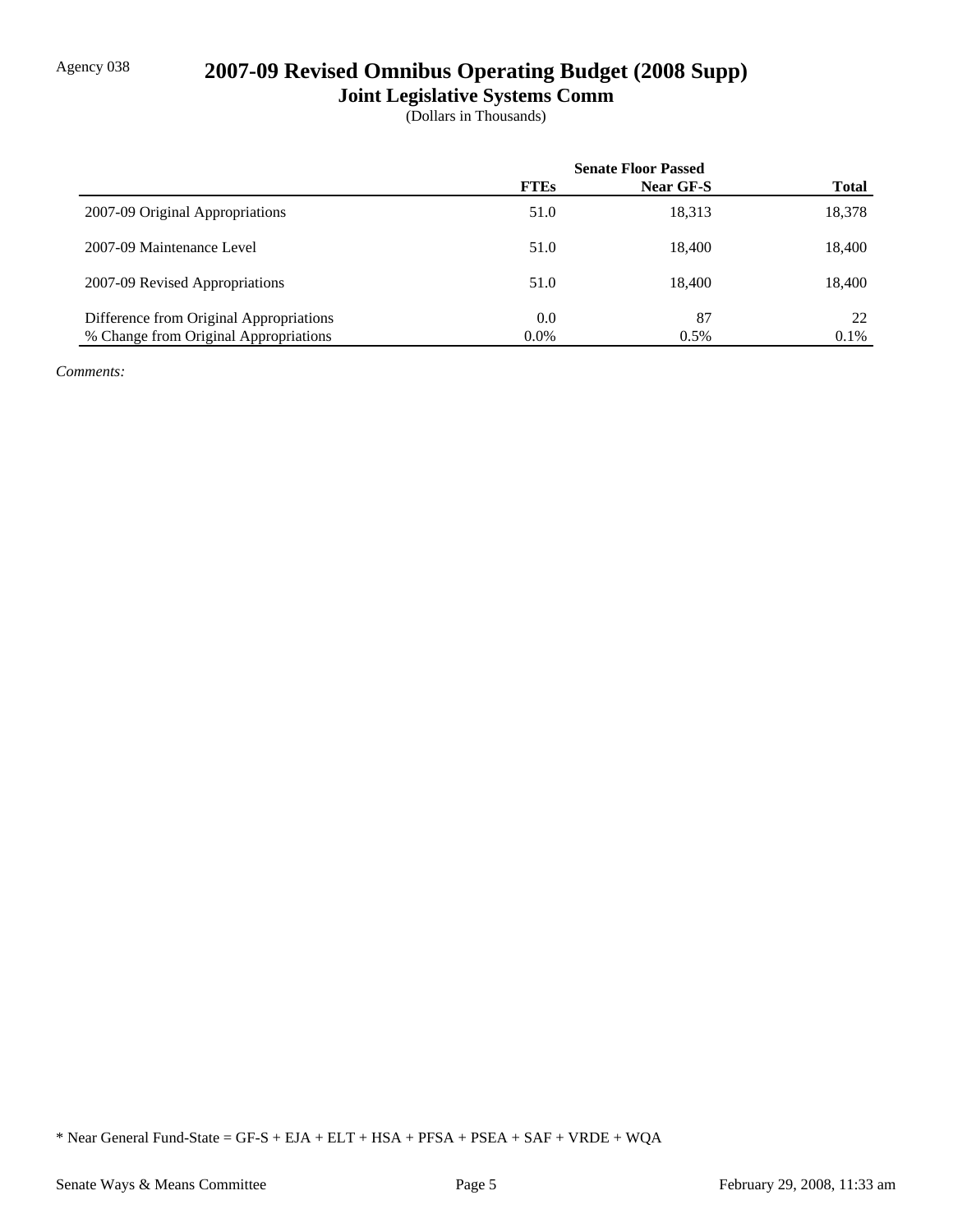## Agency 038 **2007-09 Revised Omnibus Operating Budget (2008 Supp)**

**Joint Legislative Systems Comm**

(Dollars in Thousands)

|                                         | <b>Senate Floor Passed</b> |           |              |
|-----------------------------------------|----------------------------|-----------|--------------|
|                                         | <b>FTEs</b>                | Near GF-S | <b>Total</b> |
| 2007-09 Original Appropriations         | 51.0                       | 18,313    | 18,378       |
| 2007-09 Maintenance Level               | 51.0                       | 18.400    | 18,400       |
| 2007-09 Revised Appropriations          | 51.0                       | 18.400    | 18,400       |
| Difference from Original Appropriations | 0.0                        | 87        | 22.          |
| % Change from Original Appropriations   | $0.0\%$                    | 0.5%      | 0.1%         |

*Comments:*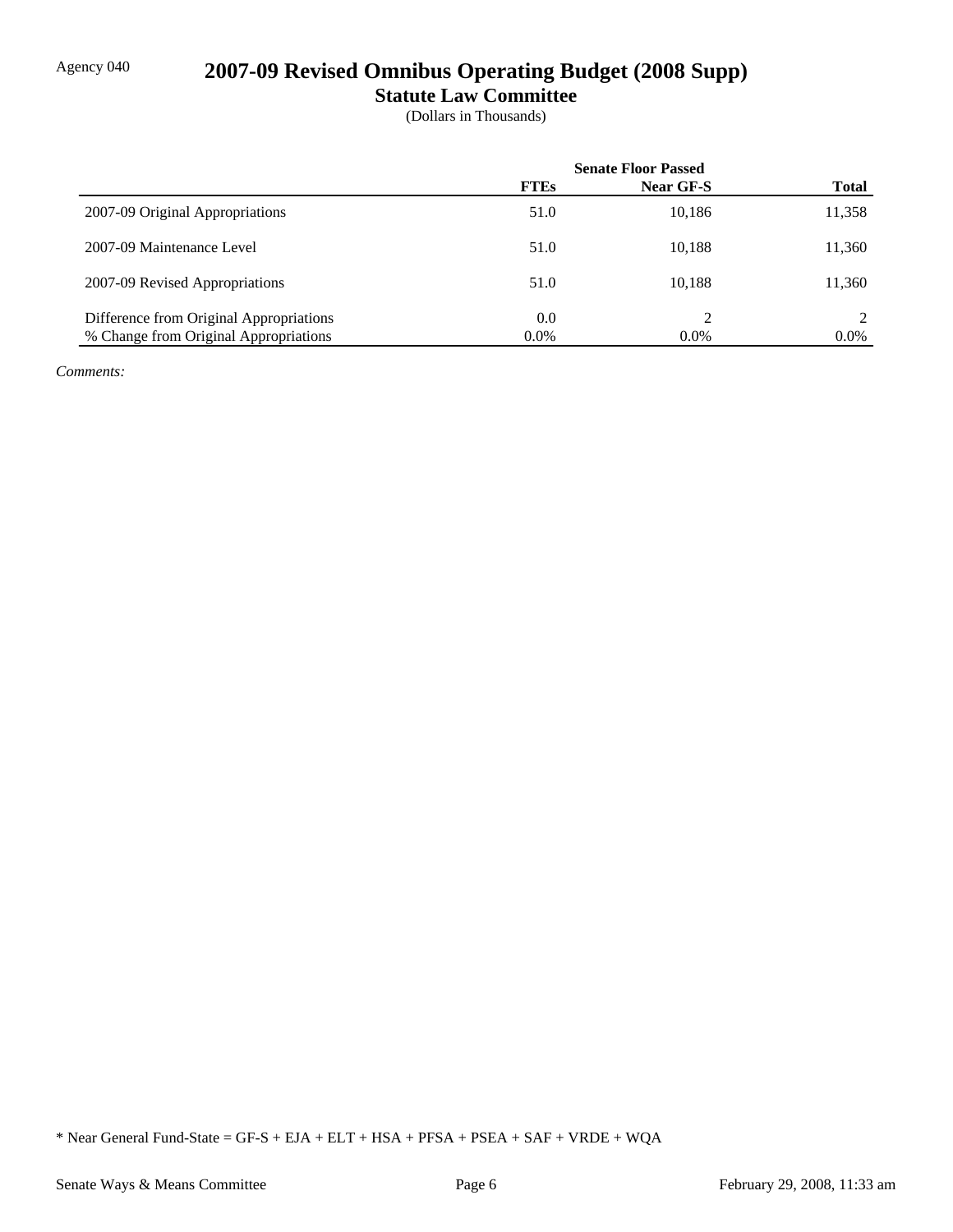# Agency 040 **2007-09 Revised Omnibus Operating Budget (2008 Supp)**

**Statute Law Committee**

(Dollars in Thousands)

|                                         | <b>Senate Floor Passed</b> |           |              |
|-----------------------------------------|----------------------------|-----------|--------------|
|                                         | <b>FTEs</b>                | Near GF-S | <b>Total</b> |
| 2007-09 Original Appropriations         | 51.0                       | 10,186    | 11,358       |
| 2007-09 Maintenance Level               | 51.0                       | 10,188    | 11,360       |
| 2007-09 Revised Appropriations          | 51.0                       | 10.188    | 11,360       |
| Difference from Original Appropriations | 0.0                        | ∍         |              |
| % Change from Original Appropriations   | $0.0\%$                    | $0.0\%$   | $0.0\%$      |

*Comments:*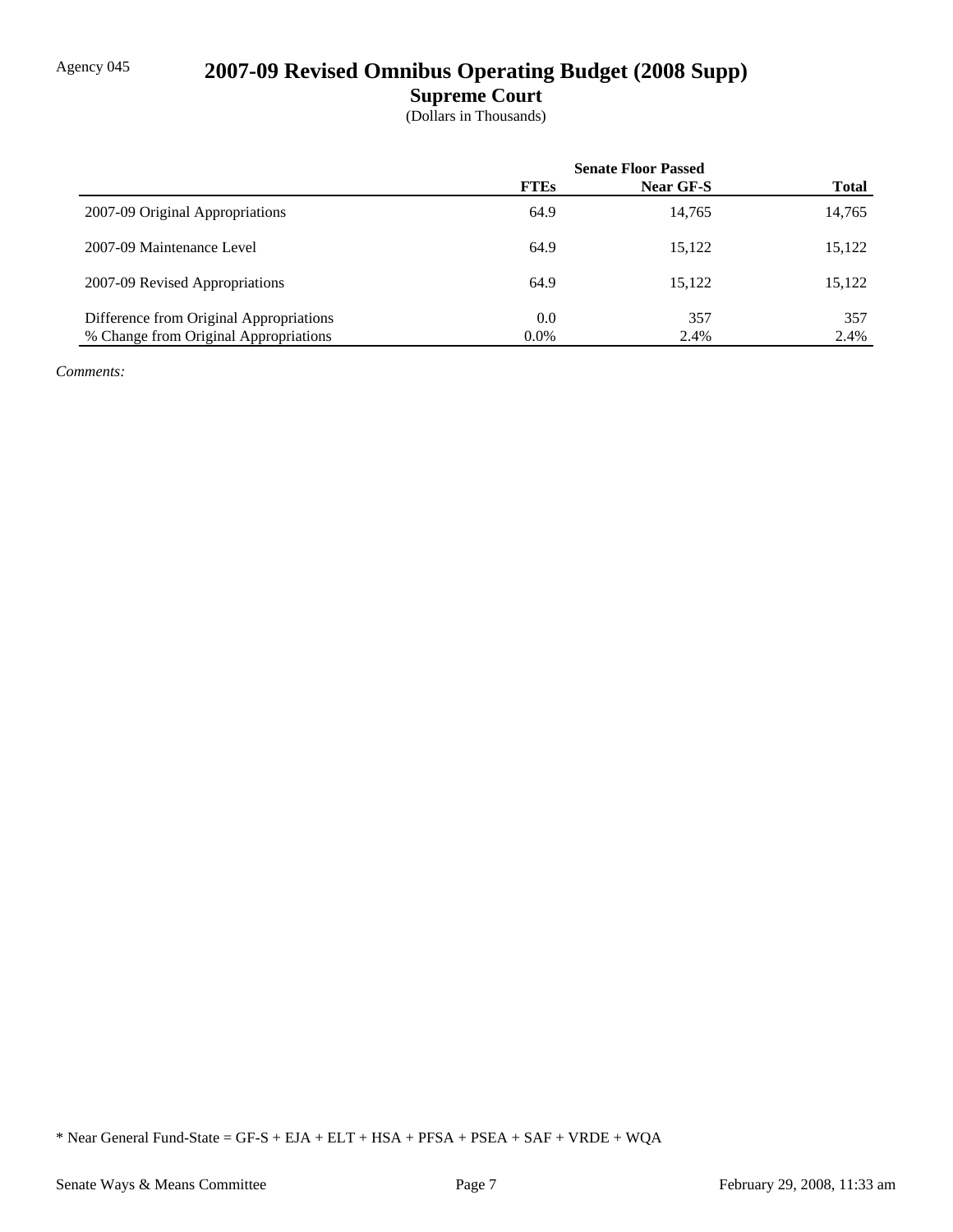## Agency 045 **2007-09 Revised Omnibus Operating Budget (2008 Supp)**

**Supreme Court**

(Dollars in Thousands)

|                                         | <b>Senate Floor Passed</b> |           |              |
|-----------------------------------------|----------------------------|-----------|--------------|
|                                         | <b>FTEs</b>                | Near GF-S | <b>Total</b> |
| 2007-09 Original Appropriations         | 64.9                       | 14,765    | 14,765       |
| 2007-09 Maintenance Level               | 64.9                       | 15,122    | 15,122       |
| 2007-09 Revised Appropriations          | 64.9                       | 15.122    | 15,122       |
| Difference from Original Appropriations | 0.0                        | 357       | 357          |
| % Change from Original Appropriations   | $0.0\%$                    | 2.4%      | 2.4%         |

*Comments:*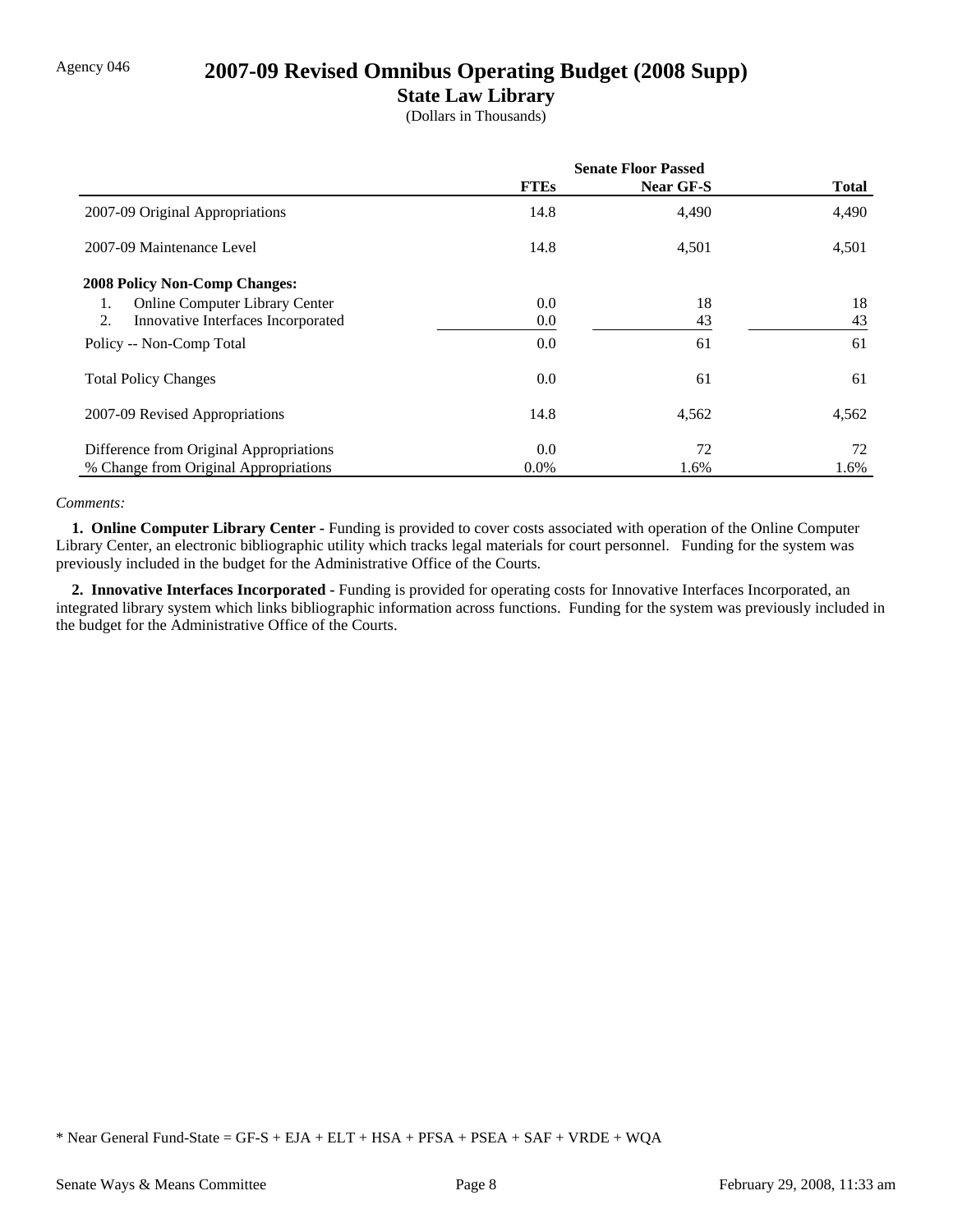### Agency 046 **2007-09 Revised Omnibus Operating Budget (2008 Supp)**

### **State Law Library**

(Dollars in Thousands)

|                                             | <b>Senate Floor Passed</b> |           |              |
|---------------------------------------------|----------------------------|-----------|--------------|
|                                             | <b>FTEs</b>                | Near GF-S | <b>Total</b> |
| 2007-09 Original Appropriations             | 14.8                       | 4,490     | 4,490        |
| 2007-09 Maintenance Level                   | 14.8                       | 4,501     | 4,501        |
| <b>2008 Policy Non-Comp Changes:</b>        |                            |           |              |
| <b>Online Computer Library Center</b><br>1. | 0.0                        | 18        | 18           |
| 2.<br>Innovative Interfaces Incorporated    | 0.0                        | 43        | 43           |
| Policy -- Non-Comp Total                    | 0.0                        | 61        | 61           |
| <b>Total Policy Changes</b>                 | 0.0                        | 61        | 61           |
| 2007-09 Revised Appropriations              | 14.8                       | 4,562     | 4,562        |
| Difference from Original Appropriations     | 0.0                        | 72        | 72           |
| % Change from Original Appropriations       | $0.0\%$                    | 1.6%      | 1.6%         |

#### *Comments:*

 **1. Online Computer Library Center -** Funding is provided to cover costs associated with operation of the Online Computer Library Center, an electronic bibliographic utility which tracks legal materials for court personnel. Funding for the system was previously included in the budget for the Administrative Office of the Courts.

 **2. Innovative Interfaces Incorporated -** Funding is provided for operating costs for Innovative Interfaces Incorporated, an integrated library system which links bibliographic information across functions. Funding for the system was previously included in the budget for the Administrative Office of the Courts.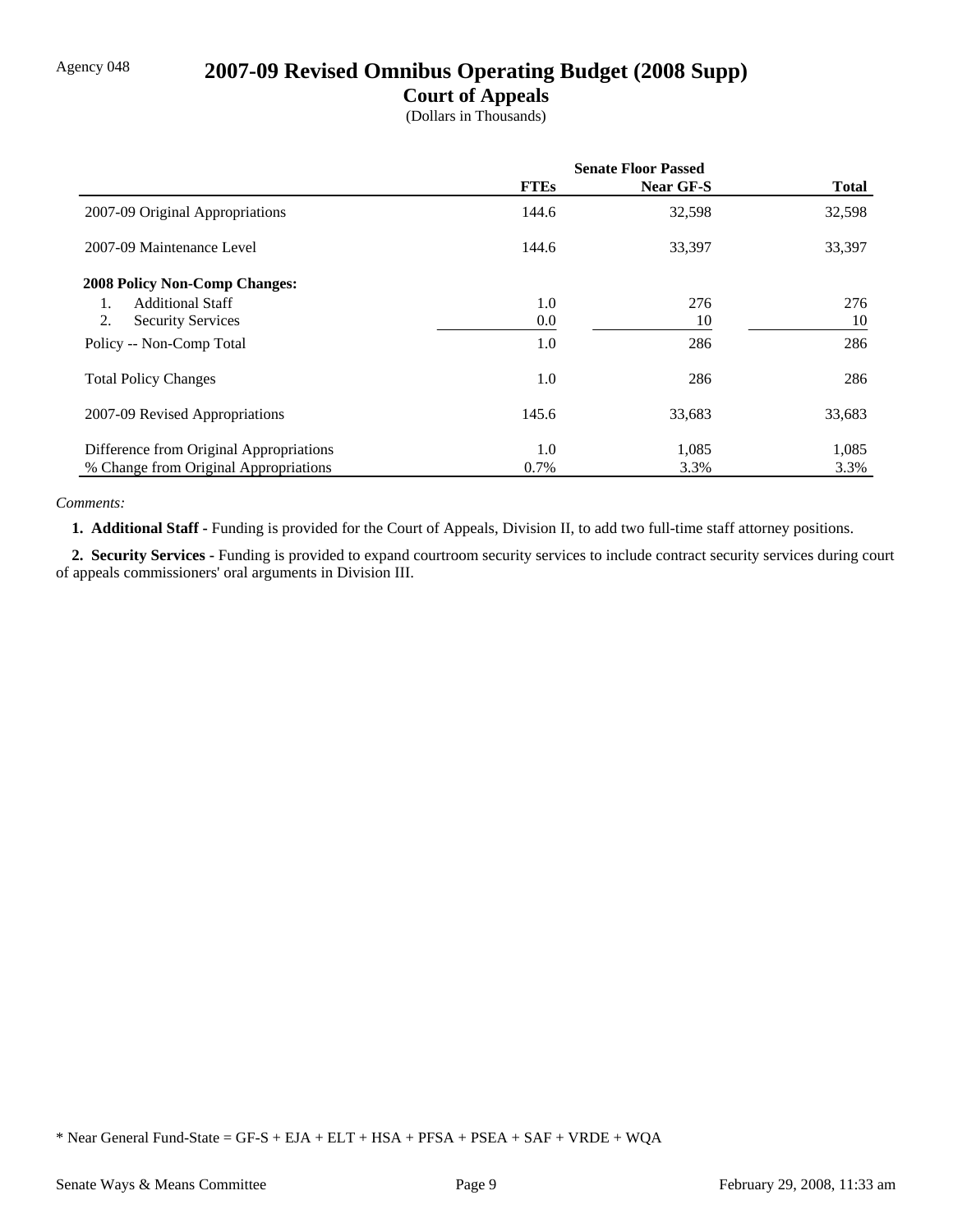## Agency 048 **2007-09 Revised Omnibus Operating Budget (2008 Supp)**

### **Court of Appeals**

(Dollars in Thousands)

|                                         | <b>Senate Floor Passed</b> |                  |              |
|-----------------------------------------|----------------------------|------------------|--------------|
|                                         | <b>FTEs</b>                | <b>Near GF-S</b> | <b>Total</b> |
| 2007-09 Original Appropriations         | 144.6                      | 32,598           | 32,598       |
| 2007-09 Maintenance Level               | 144.6                      | 33,397           | 33,397       |
| <b>2008 Policy Non-Comp Changes:</b>    |                            |                  |              |
| <b>Additional Staff</b><br>1.           | 1.0                        | 276              | 276          |
| 2.<br><b>Security Services</b>          | 0.0                        | 10               | 10           |
| Policy -- Non-Comp Total                | 1.0                        | 286              | 286          |
| <b>Total Policy Changes</b>             | 1.0                        | 286              | 286          |
| 2007-09 Revised Appropriations          | 145.6                      | 33,683           | 33,683       |
| Difference from Original Appropriations | 1.0                        | 1,085            | 1,085        |
| % Change from Original Appropriations   | 0.7%                       | 3.3%             | 3.3%         |

#### *Comments:*

 **1. Additional Staff -** Funding is provided for the Court of Appeals, Division II, to add two full-time staff attorney positions.

 **2. Security Services -** Funding is provided to expand courtroom security services to include contract security services during court of appeals commissioners' oral arguments in Division III.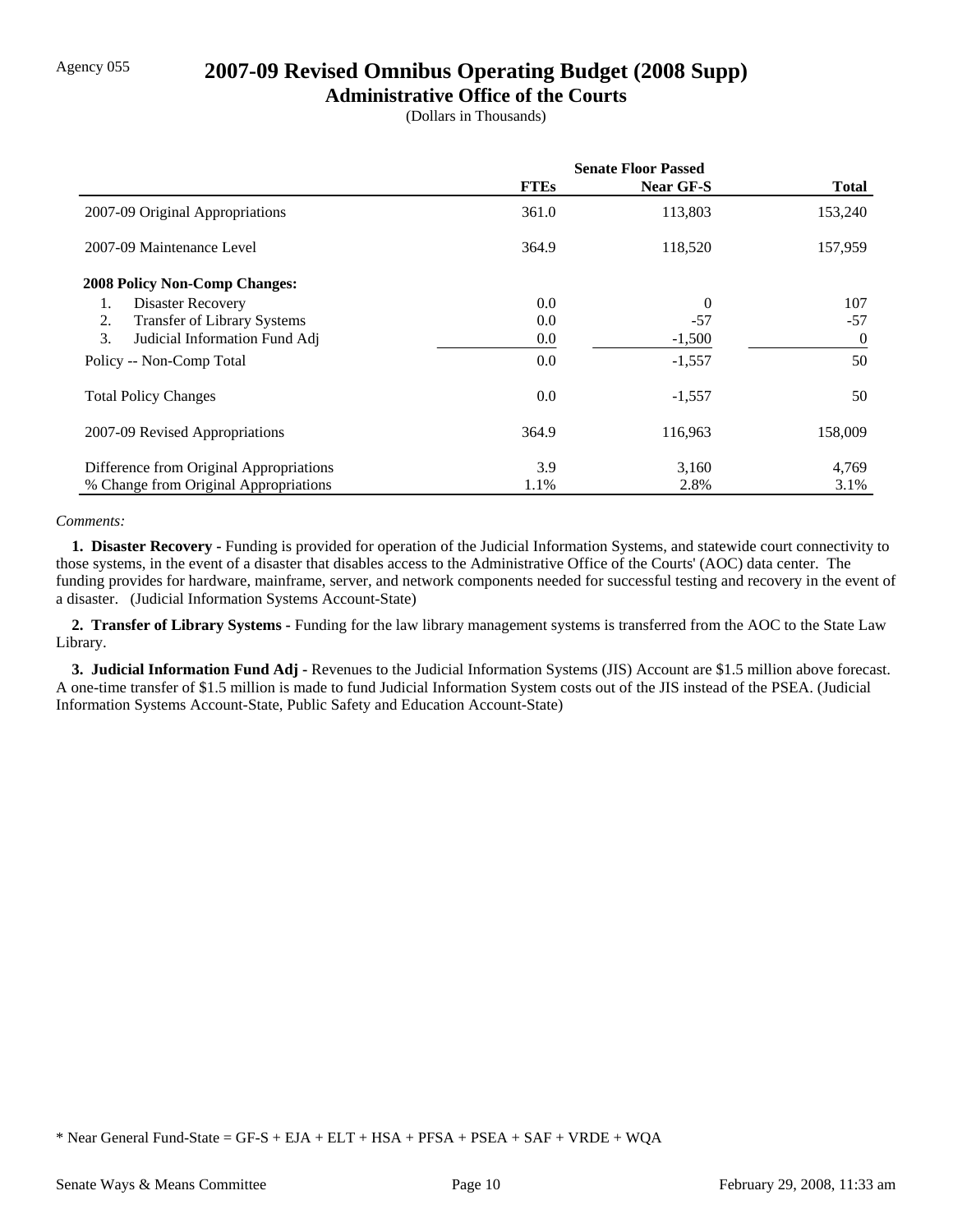### Agency 055 **2007-09 Revised Omnibus Operating Budget (2008 Supp)**

### **Administrative Office of the Courts**

(Dollars in Thousands)

|                                         | <b>Senate Floor Passed</b> |                  |                |
|-----------------------------------------|----------------------------|------------------|----------------|
|                                         | <b>FTEs</b>                | <b>Near GF-S</b> | <b>Total</b>   |
| 2007-09 Original Appropriations         | 361.0                      | 113,803          | 153,240        |
| 2007-09 Maintenance Level               | 364.9                      | 118,520          | 157,959        |
| <b>2008 Policy Non-Comp Changes:</b>    |                            |                  |                |
| Disaster Recovery<br>1.                 | 0.0                        | $\overline{0}$   | 107            |
| Transfer of Library Systems<br>2.       | 0.0                        | $-57$            | $-57$          |
| 3.<br>Judicial Information Fund Adj     | 0.0                        | $-1,500$         | $\overline{0}$ |
| Policy -- Non-Comp Total                | 0.0                        | $-1,557$         | 50             |
| <b>Total Policy Changes</b>             | 0.0                        | $-1,557$         | 50             |
| 2007-09 Revised Appropriations          | 364.9                      | 116,963          | 158,009        |
| Difference from Original Appropriations | 3.9                        | 3,160            | 4,769          |
| % Change from Original Appropriations   | 1.1%                       | 2.8%             | 3.1%           |

#### *Comments:*

 **1. Disaster Recovery -** Funding is provided for operation of the Judicial Information Systems, and statewide court connectivity to those systems, in the event of a disaster that disables access to the Administrative Office of the Courts' (AOC) data center. The funding provides for hardware, mainframe, server, and network components needed for successful testing and recovery in the event of a disaster. (Judicial Information Systems Account-State)

 **2. Transfer of Library Systems -** Funding for the law library management systems is transferred from the AOC to the State Law Library.

 **3. Judicial Information Fund Adj -** Revenues to the Judicial Information Systems (JIS) Account are \$1.5 million above forecast. A one-time transfer of \$1.5 million is made to fund Judicial Information System costs out of the JIS instead of the PSEA. (Judicial Information Systems Account-State, Public Safety and Education Account-State)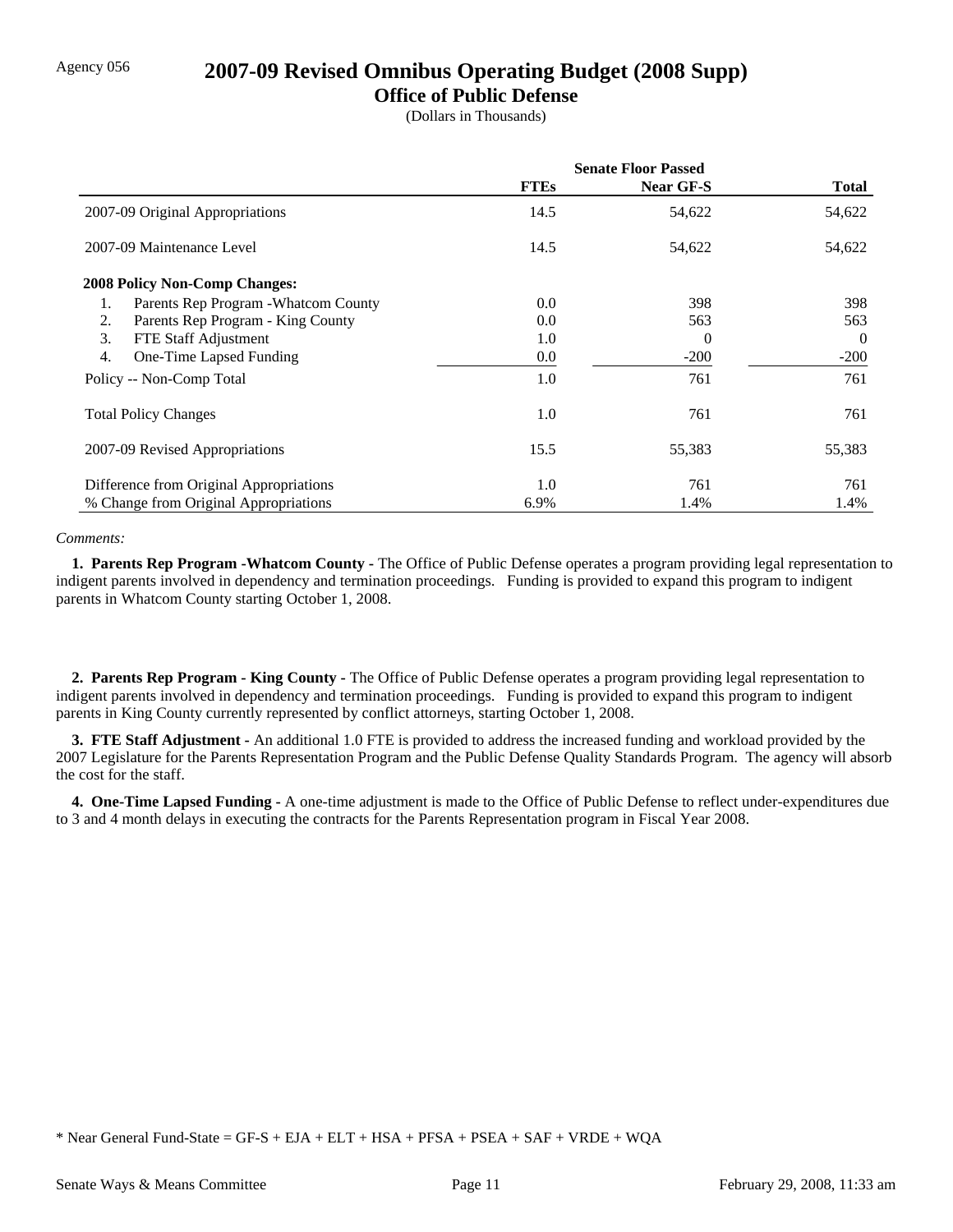### Agency 056 **2007-09 Revised Omnibus Operating Budget (2008 Supp)**

### **Office of Public Defense**

(Dollars in Thousands)

|                                            | <b>Senate Floor Passed</b> |                  |                |
|--------------------------------------------|----------------------------|------------------|----------------|
|                                            | <b>FTEs</b>                | <b>Near GF-S</b> | Total          |
| 2007-09 Original Appropriations            | 14.5                       | 54,622           | 54,622         |
| 2007-09 Maintenance Level                  | 14.5                       | 54,622           | 54,622         |
| <b>2008 Policy Non-Comp Changes:</b>       |                            |                  |                |
| Parents Rep Program - Whatcom County<br>1. | 0.0                        | 398              | 398            |
| Parents Rep Program - King County<br>2.    | 0.0                        | 563              | 563            |
| 3.<br>FTE Staff Adjustment                 | 1.0                        | $\Omega$         | $\overline{0}$ |
| One-Time Lapsed Funding<br>4.              | 0.0                        | $-200$           | $-200$         |
| Policy -- Non-Comp Total                   | 1.0                        | 761              | 761            |
| <b>Total Policy Changes</b>                | 1.0                        | 761              | 761            |
| 2007-09 Revised Appropriations             | 15.5                       | 55,383           | 55,383         |
| Difference from Original Appropriations    | 1.0                        | 761              | 761            |
| % Change from Original Appropriations      | 6.9%                       | 1.4%             | 1.4%           |

#### *Comments:*

 **1. Parents Rep Program -Whatcom County -** The Office of Public Defense operates a program providing legal representation to indigent parents involved in dependency and termination proceedings. Funding is provided to expand this program to indigent parents in Whatcom County starting October 1, 2008.

 **2. Parents Rep Program - King County -** The Office of Public Defense operates a program providing legal representation to indigent parents involved in dependency and termination proceedings. Funding is provided to expand this program to indigent parents in King County currently represented by conflict attorneys, starting October 1, 2008.

 **3. FTE Staff Adjustment -** An additional 1.0 FTE is provided to address the increased funding and workload provided by the 2007 Legislature for the Parents Representation Program and the Public Defense Quality Standards Program. The agency will absorb the cost for the staff.

 **4. One-Time Lapsed Funding -** A one-time adjustment is made to the Office of Public Defense to reflect under-expenditures due to 3 and 4 month delays in executing the contracts for the Parents Representation program in Fiscal Year 2008.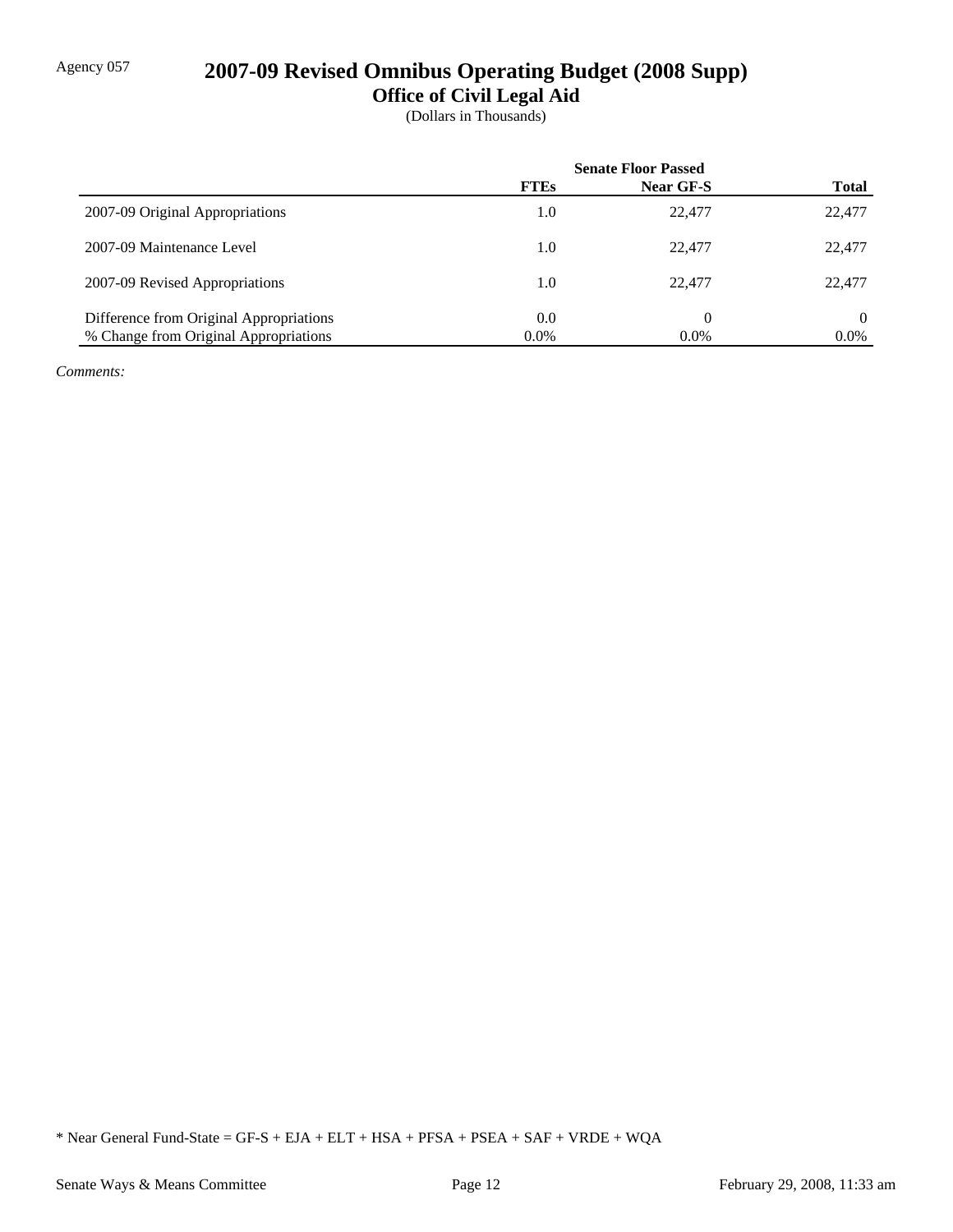## Agency 057 **2007-09 Revised Omnibus Operating Budget (2008 Supp)**

**Office of Civil Legal Aid**

(Dollars in Thousands)

|                                         | <b>Senate Floor Passed</b> |           |              |
|-----------------------------------------|----------------------------|-----------|--------------|
|                                         | <b>FTEs</b>                | Near GF-S | <b>Total</b> |
| 2007-09 Original Appropriations         | 1.0                        | 22,477    | 22,477       |
| 2007-09 Maintenance Level               | 1.0                        | 22,477    | 22,477       |
| 2007-09 Revised Appropriations          | 1.0                        | 22.477    | 22,477       |
| Difference from Original Appropriations | 0.0                        | 0         | $\Omega$     |
| % Change from Original Appropriations   | $0.0\%$                    | $0.0\%$   | $0.0\%$      |

*Comments:*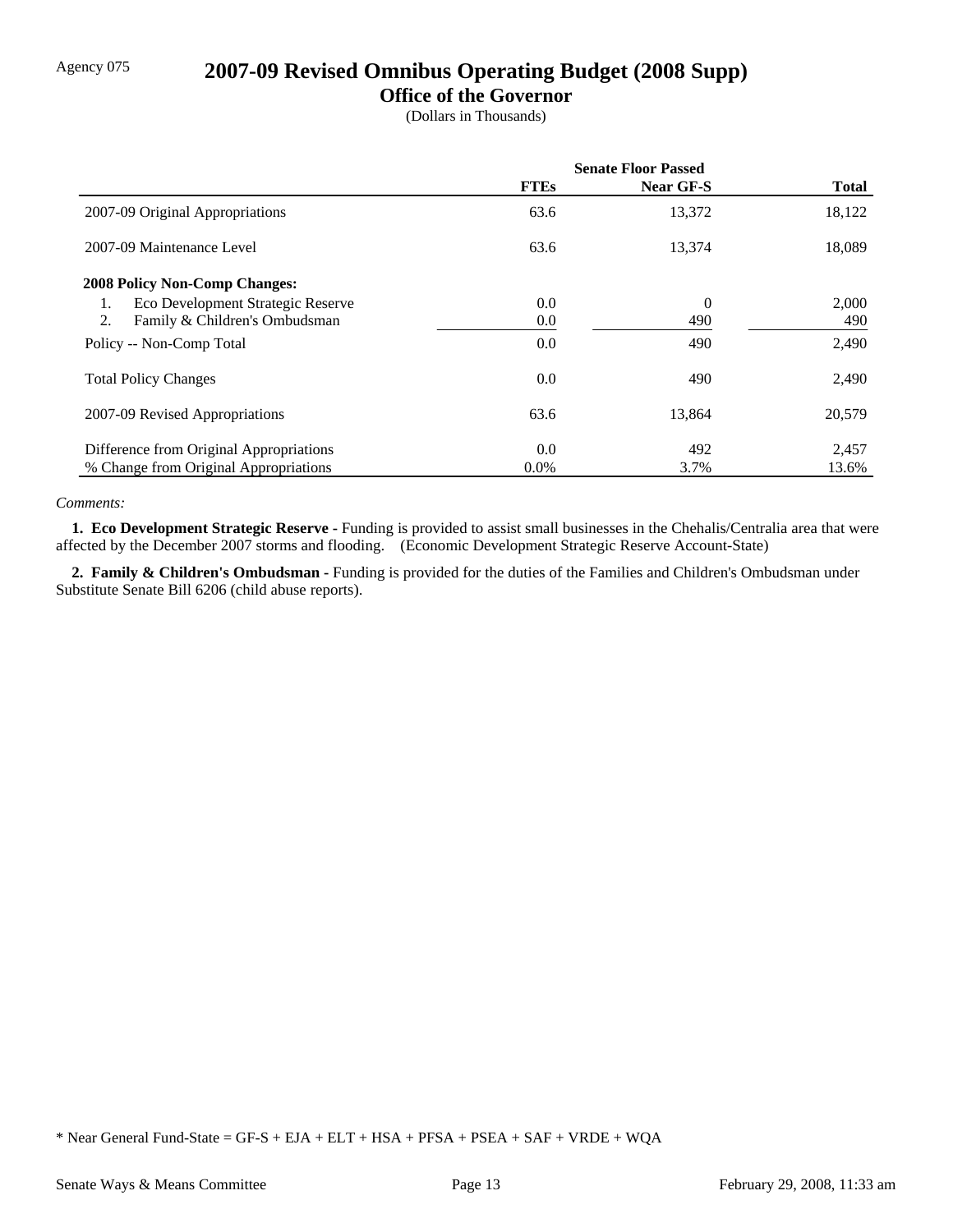# Agency 075 **2007-09 Revised Omnibus Operating Budget (2008 Supp)**

### **Office of the Governor**

(Dollars in Thousands)

|                                         | <b>Senate Floor Passed</b> |                  |              |
|-----------------------------------------|----------------------------|------------------|--------------|
|                                         | <b>FTEs</b>                | <b>Near GF-S</b> | <b>Total</b> |
| 2007-09 Original Appropriations         | 63.6                       | 13,372           | 18,122       |
| 2007-09 Maintenance Level               | 63.6                       | 13,374           | 18,089       |
| <b>2008 Policy Non-Comp Changes:</b>    |                            |                  |              |
| Eco Development Strategic Reserve<br>1. | 0.0                        | $\overline{0}$   | 2,000        |
| 2.<br>Family & Children's Ombudsman     | 0.0                        | 490              | 490          |
| Policy -- Non-Comp Total                | 0.0                        | 490              | 2,490        |
| <b>Total Policy Changes</b>             | 0.0                        | 490              | 2,490        |
| 2007-09 Revised Appropriations          | 63.6                       | 13,864           | 20,579       |
| Difference from Original Appropriations | 0.0                        | 492              | 2,457        |
| % Change from Original Appropriations   | $0.0\%$                    | 3.7%             | 13.6%        |

#### *Comments:*

 **1. Eco Development Strategic Reserve -** Funding is provided to assist small businesses in the Chehalis/Centralia area that were affected by the December 2007 storms and flooding. (Economic Development Strategic Reserve Account-State)

 **2. Family & Children's Ombudsman -** Funding is provided for the duties of the Families and Children's Ombudsman under Substitute Senate Bill 6206 (child abuse reports).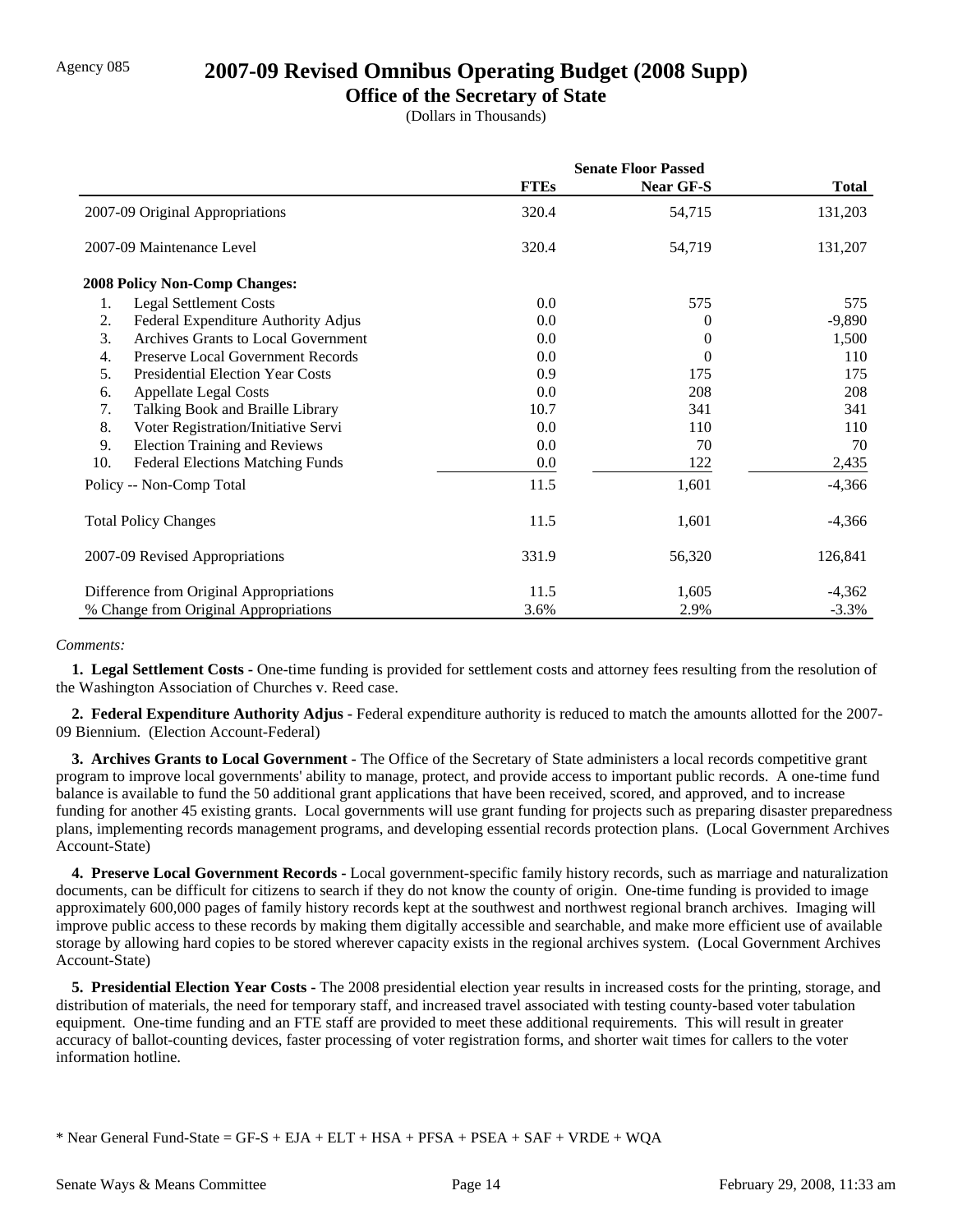### Agency 085 **2007-09 Revised Omnibus Operating Budget (2008 Supp)**

### **Office of the Secretary of State**

(Dollars in Thousands)

|     |                                         | <b>Senate Floor Passed</b> |                  |              |
|-----|-----------------------------------------|----------------------------|------------------|--------------|
|     |                                         | <b>FTEs</b>                | <b>Near GF-S</b> | <b>Total</b> |
|     | 2007-09 Original Appropriations         | 320.4                      | 54,715           | 131,203      |
|     | 2007-09 Maintenance Level               | 320.4                      | 54,719           | 131,207      |
|     | 2008 Policy Non-Comp Changes:           |                            |                  |              |
| 1.  | <b>Legal Settlement Costs</b>           | 0.0                        | 575              | 575          |
| 2.  | Federal Expenditure Authority Adjus     | 0.0                        | 0                | $-9,890$     |
| 3.  | Archives Grants to Local Government     | 0.0                        | 0                | 1,500        |
| 4.  | Preserve Local Government Records       | 0.0                        | 0                | 110          |
| 5.  | <b>Presidential Election Year Costs</b> | 0.9                        | 175              | 175          |
| 6.  | <b>Appellate Legal Costs</b>            | 0.0                        | 208              | 208          |
| 7.  | Talking Book and Braille Library        | 10.7                       | 341              | 341          |
| 8.  | Voter Registration/Initiative Servi     | 0.0                        | 110              | 110          |
| 9.  | <b>Election Training and Reviews</b>    | 0.0                        | 70               | 70           |
| 10. | <b>Federal Elections Matching Funds</b> | 0.0                        | 122              | 2,435        |
|     | Policy -- Non-Comp Total                | 11.5                       | 1,601            | $-4,366$     |
|     | <b>Total Policy Changes</b>             | 11.5                       | 1,601            | $-4,366$     |
|     | 2007-09 Revised Appropriations          | 331.9                      | 56,320           | 126,841      |
|     | Difference from Original Appropriations | 11.5                       | 1,605            | $-4,362$     |
|     | % Change from Original Appropriations   | 3.6%                       | 2.9%             | $-3.3\%$     |

#### *Comments:*

 **1. Legal Settlement Costs -** One-time funding is provided for settlement costs and attorney fees resulting from the resolution of the Washington Association of Churches v. Reed case.

 **2. Federal Expenditure Authority Adjus -** Federal expenditure authority is reduced to match the amounts allotted for the 2007- 09 Biennium. (Election Account-Federal)

 **3. Archives Grants to Local Government -** The Office of the Secretary of State administers a local records competitive grant program to improve local governments' ability to manage, protect, and provide access to important public records. A one-time fund balance is available to fund the 50 additional grant applications that have been received, scored, and approved, and to increase funding for another 45 existing grants. Local governments will use grant funding for projects such as preparing disaster preparedness plans, implementing records management programs, and developing essential records protection plans. (Local Government Archives Account-State)

 **4. Preserve Local Government Records -** Local government-specific family history records, such as marriage and naturalization documents, can be difficult for citizens to search if they do not know the county of origin. One-time funding is provided to image approximately 600,000 pages of family history records kept at the southwest and northwest regional branch archives. Imaging will improve public access to these records by making them digitally accessible and searchable, and make more efficient use of available storage by allowing hard copies to be stored wherever capacity exists in the regional archives system. (Local Government Archives Account-State)

**5. Presidential Election Year Costs -** The 2008 presidential election year results in increased costs for the printing, storage, and distribution of materials, the need for temporary staff, and increased travel associated with testing county-based voter tabulation equipment. One-time funding and an FTE staff are provided to meet these additional requirements. This will result in greater accuracy of ballot-counting devices, faster processing of voter registration forms, and shorter wait times for callers to the voter information hotline.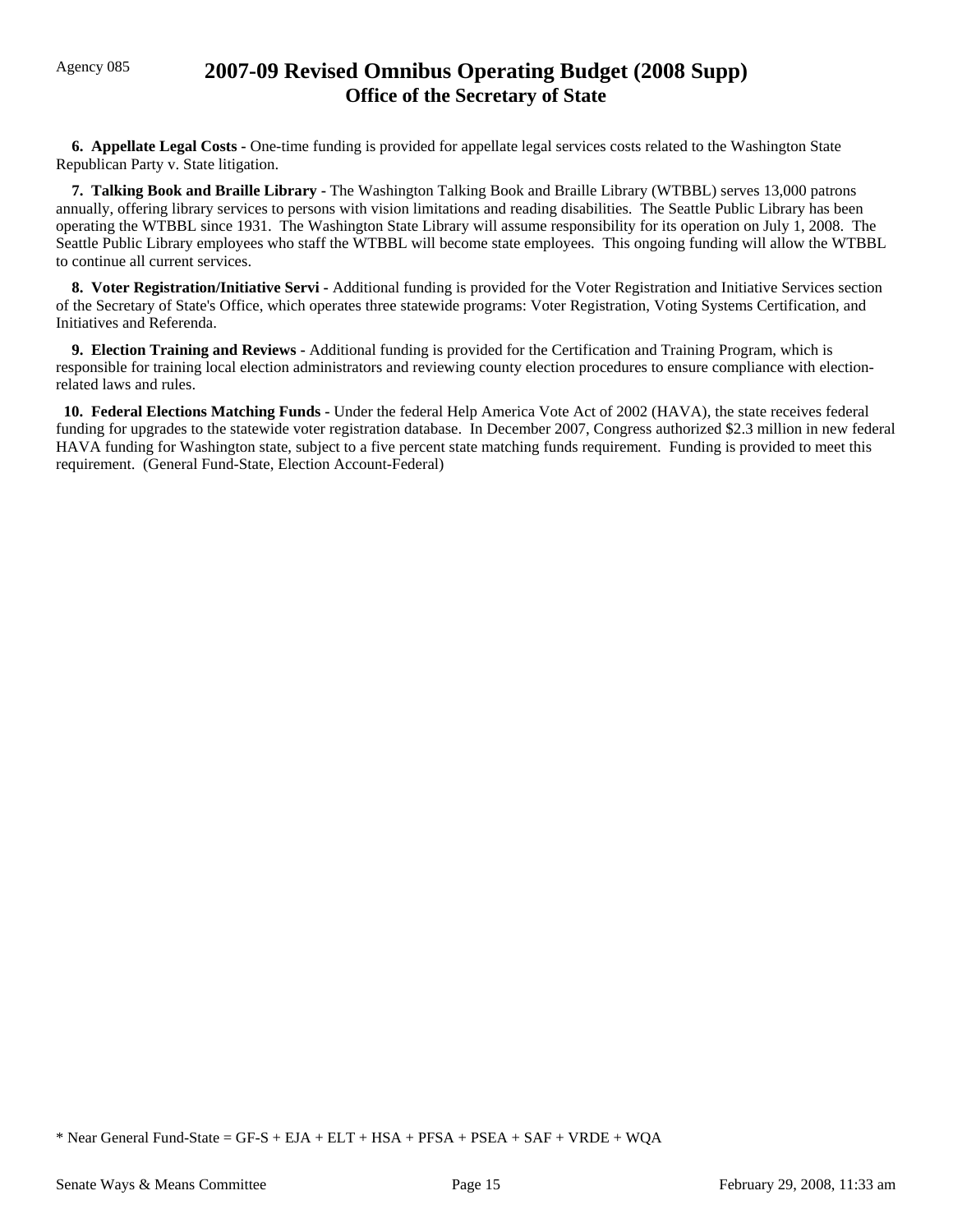### Agency 085 **2007-09 Revised Omnibus Operating Budget (2008 Supp) Office of the Secretary of State**

**6. Appellate Legal Costs -** One-time funding is provided for appellate legal services costs related to the Washington State Republican Party v. State litigation.

 **7. Talking Book and Braille Library -** The Washington Talking Book and Braille Library (WTBBL) serves 13,000 patrons annually, offering library services to persons with vision limitations and reading disabilities. The Seattle Public Library has been operating the WTBBL since 1931. The Washington State Library will assume responsibility for its operation on July 1, 2008. The Seattle Public Library employees who staff the WTBBL will become state employees. This ongoing funding will allow the WTBBL to continue all current services.

 **8. Voter Registration/Initiative Servi -** Additional funding is provided for the Voter Registration and Initiative Services section of the Secretary of State's Office, which operates three statewide programs: Voter Registration, Voting Systems Certification, and Initiatives and Referenda.

 **9. Election Training and Reviews -** Additional funding is provided for the Certification and Training Program, which is responsible for training local election administrators and reviewing county election procedures to ensure compliance with electionrelated laws and rules.

 **10. Federal Elections Matching Funds -** Under the federal Help America Vote Act of 2002 (HAVA), the state receives federal funding for upgrades to the statewide voter registration database. In December 2007, Congress authorized \$2.3 million in new federal HAVA funding for Washington state, subject to a five percent state matching funds requirement. Funding is provided to meet this requirement. (General Fund-State, Election Account-Federal)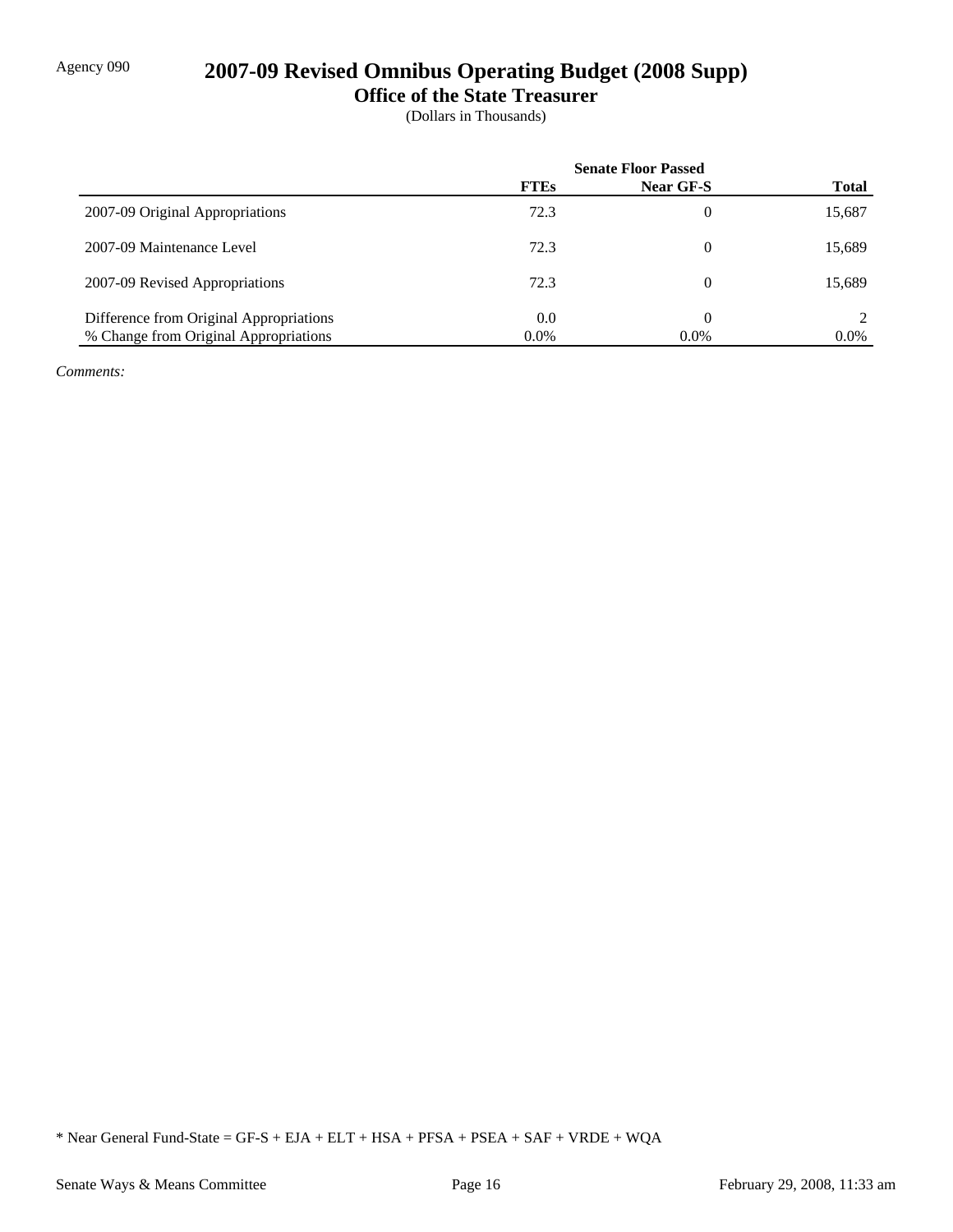# Agency 090 **2007-09 Revised Omnibus Operating Budget (2008 Supp)**

**Office of the State Treasurer**

(Dollars in Thousands)

|                                         | <b>Senate Floor Passed</b> |           |              |
|-----------------------------------------|----------------------------|-----------|--------------|
|                                         | <b>FTEs</b>                | Near GF-S | <b>Total</b> |
| 2007-09 Original Appropriations         | 72.3                       | 0         | 15,687       |
| 2007-09 Maintenance Level               | 72.3                       | 0         | 15,689       |
| 2007-09 Revised Appropriations          | 72.3                       | 0         | 15,689       |
| Difference from Original Appropriations | 0.0                        | 0         |              |
| % Change from Original Appropriations   | $0.0\%$                    | $0.0\%$   | $0.0\%$      |

*Comments:*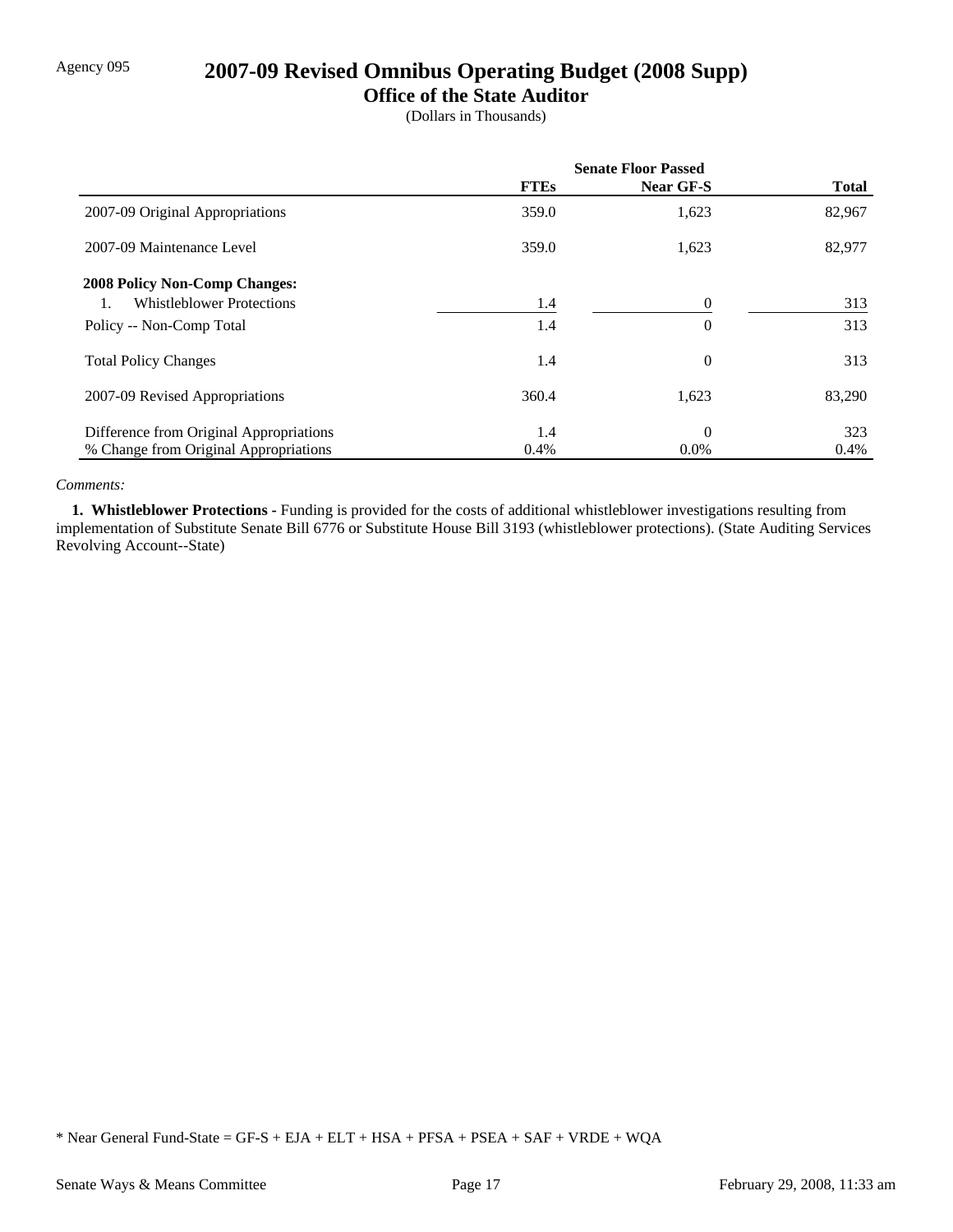## Agency 095 **2007-09 Revised Omnibus Operating Budget (2008 Supp)**

### **Office of the State Auditor**

(Dollars in Thousands)

|                                         | <b>Senate Floor Passed</b> |           |              |
|-----------------------------------------|----------------------------|-----------|--------------|
|                                         | <b>FTEs</b>                | Near GF-S | <b>Total</b> |
| 2007-09 Original Appropriations         | 359.0                      | 1,623     | 82,967       |
| 2007-09 Maintenance Level               | 359.0                      | 1,623     | 82,977       |
| <b>2008 Policy Non-Comp Changes:</b>    |                            |           |              |
| <b>Whistleblower Protections</b>        | 1.4                        |           | 313          |
| Policy -- Non-Comp Total                | 1.4                        | $\theta$  | 313          |
| <b>Total Policy Changes</b>             | 1.4                        | $\Omega$  | 313          |
| 2007-09 Revised Appropriations          | 360.4                      | 1,623     | 83,290       |
| Difference from Original Appropriations | 1.4                        | $\theta$  | 323          |
| % Change from Original Appropriations   | 0.4%                       | $0.0\%$   | $0.4\%$      |

#### *Comments:*

 **1. Whistleblower Protections -** Funding is provided for the costs of additional whistleblower investigations resulting from implementation of Substitute Senate Bill 6776 or Substitute House Bill 3193 (whistleblower protections). (State Auditing Services Revolving Account--State)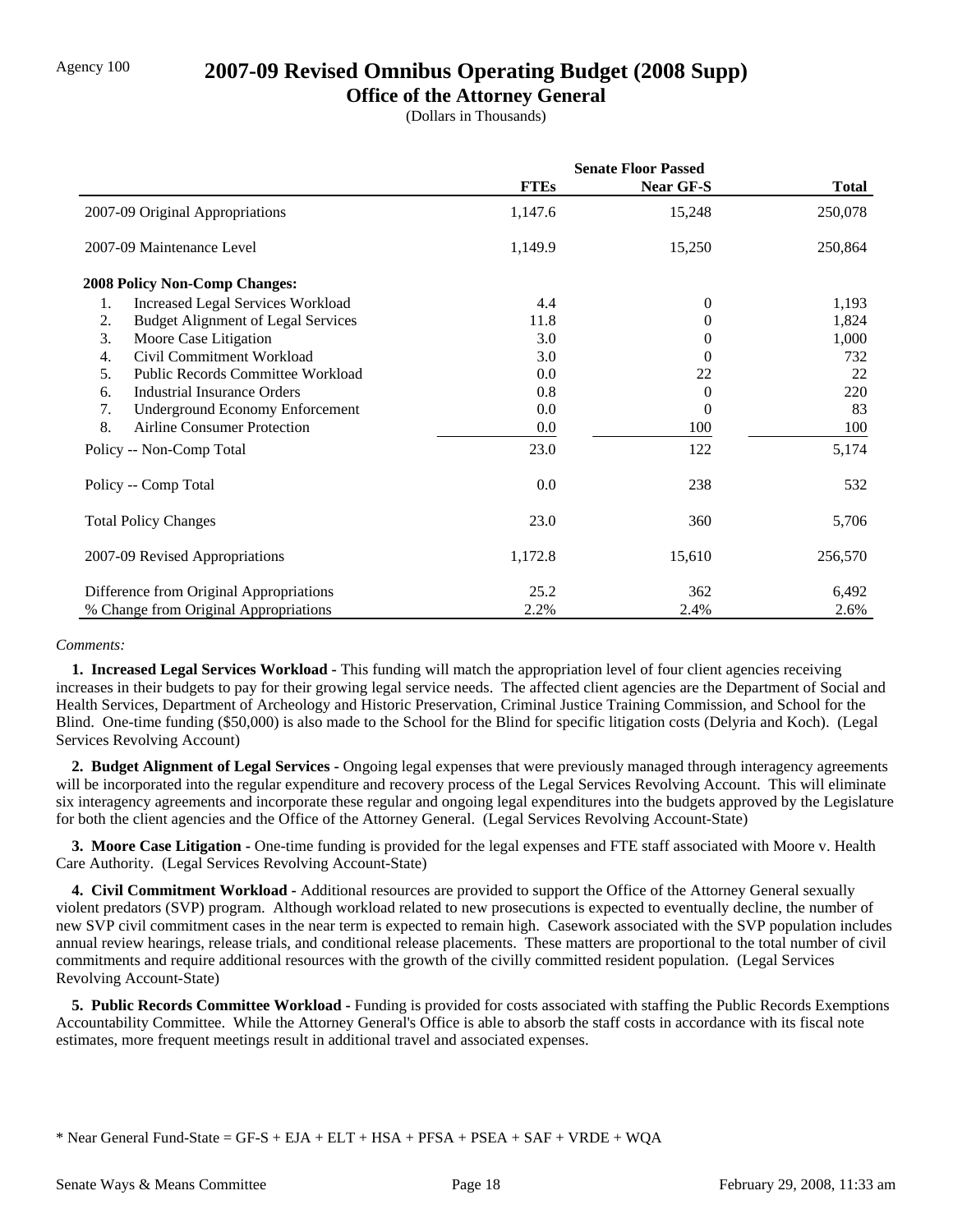### Agency 100 **2007-09 Revised Omnibus Operating Budget (2008 Supp)**

### **Office of the Attorney General**

(Dollars in Thousands)

|                                                 | <b>Senate Floor Passed</b> |           |              |
|-------------------------------------------------|----------------------------|-----------|--------------|
|                                                 | <b>FTEs</b>                | Near GF-S | <b>Total</b> |
| 2007-09 Original Appropriations                 | 1,147.6                    | 15,248    | 250,078      |
| 2007-09 Maintenance Level                       | 1,149.9                    | 15,250    | 250,864      |
| <b>2008 Policy Non-Comp Changes:</b>            |                            |           |              |
| 1.<br><b>Increased Legal Services Workload</b>  | 4.4                        | $\theta$  | 1,193        |
| 2.<br><b>Budget Alignment of Legal Services</b> | 11.8                       | 0         | 1,824        |
| 3.<br>Moore Case Litigation                     | 3.0                        | $\Omega$  | 1,000        |
| Civil Commitment Workload<br>4.                 | 3.0                        | 0         | 732          |
| Public Records Committee Workload<br>5.         | 0.0                        | 22        | 22           |
| <b>Industrial Insurance Orders</b><br>6.        | 0.8                        | $\theta$  | 220          |
| <b>Underground Economy Enforcement</b><br>7.    | 0.0                        | 0         | 83           |
| 8.<br><b>Airline Consumer Protection</b>        | 0.0                        | 100       | 100          |
| Policy -- Non-Comp Total                        | 23.0                       | 122       | 5,174        |
| Policy -- Comp Total                            | 0.0                        | 238       | 532          |
| <b>Total Policy Changes</b>                     | 23.0                       | 360       | 5,706        |
| 2007-09 Revised Appropriations                  | 1,172.8                    | 15,610    | 256,570      |
| Difference from Original Appropriations         | 25.2                       | 362       | 6,492        |
| % Change from Original Appropriations           | 2.2%                       | 2.4%      | 2.6%         |

#### *Comments:*

 **1. Increased Legal Services Workload -** This funding will match the appropriation level of four client agencies receiving increases in their budgets to pay for their growing legal service needs. The affected client agencies are the Department of Social and Health Services, Department of Archeology and Historic Preservation, Criminal Justice Training Commission, and School for the Blind. One-time funding (\$50,000) is also made to the School for the Blind for specific litigation costs (Delyria and Koch). (Legal Services Revolving Account)

 **2. Budget Alignment of Legal Services -** Ongoing legal expenses that were previously managed through interagency agreements will be incorporated into the regular expenditure and recovery process of the Legal Services Revolving Account. This will eliminate six interagency agreements and incorporate these regular and ongoing legal expenditures into the budgets approved by the Legislature for both the client agencies and the Office of the Attorney General. (Legal Services Revolving Account-State)

**3. Moore Case Litigation -** One-time funding is provided for the legal expenses and FTE staff associated with Moore v. Health Care Authority. (Legal Services Revolving Account-State)

 **4. Civil Commitment Workload -** Additional resources are provided to support the Office of the Attorney General sexually violent predators (SVP) program. Although workload related to new prosecutions is expected to eventually decline, the number of new SVP civil commitment cases in the near term is expected to remain high. Casework associated with the SVP population includes annual review hearings, release trials, and conditional release placements. These matters are proportional to the total number of civil commitments and require additional resources with the growth of the civilly committed resident population. (Legal Services Revolving Account-State)

 **5. Public Records Committee Workload -** Funding is provided for costs associated with staffing the Public Records Exemptions Accountability Committee. While the Attorney General's Office is able to absorb the staff costs in accordance with its fiscal note estimates, more frequent meetings result in additional travel and associated expenses.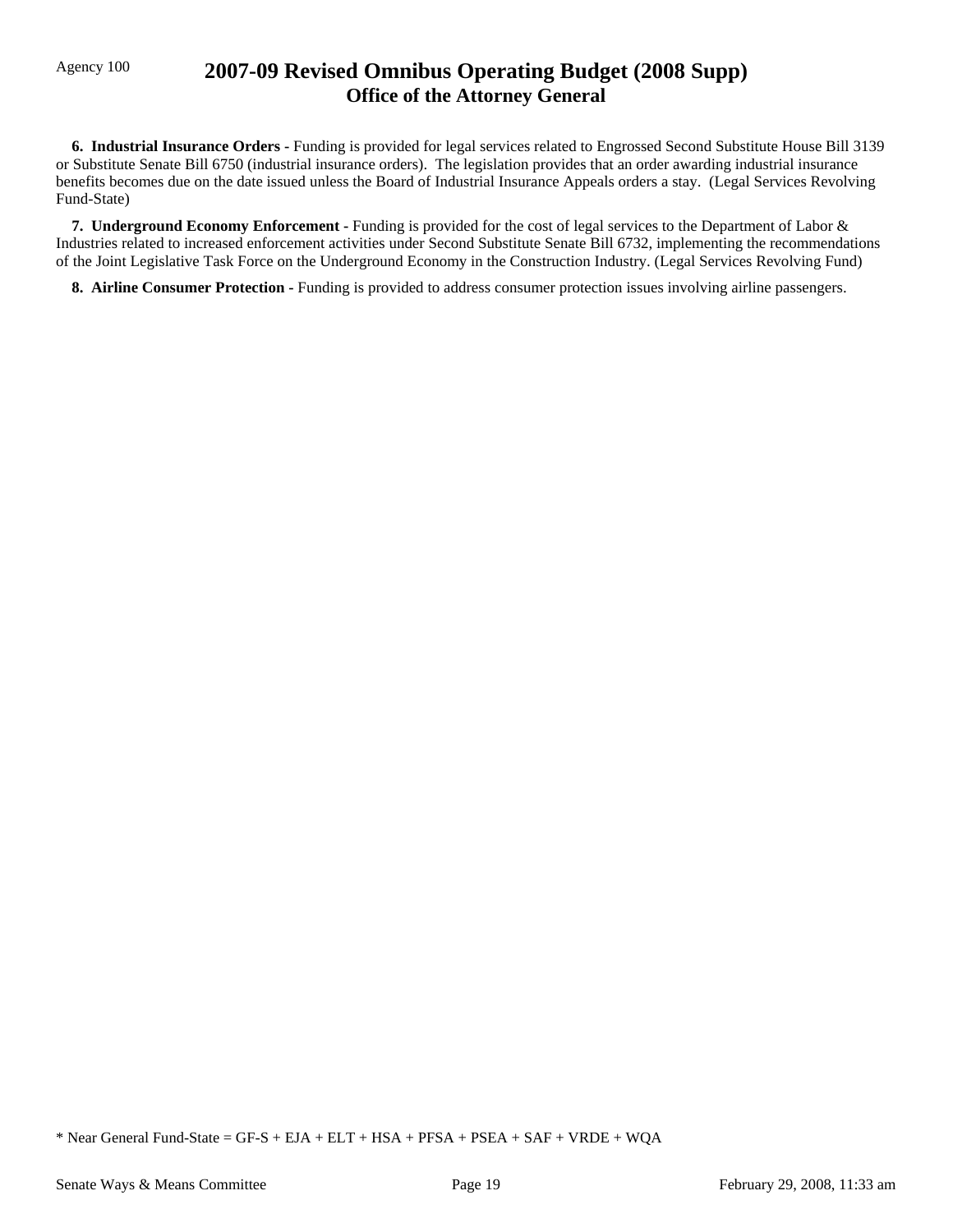### Agency 100 **2007-09 Revised Omnibus Operating Budget (2008 Supp) Office of the Attorney General**

 **6. Industrial Insurance Orders -** Funding is provided for legal services related to Engrossed Second Substitute House Bill 3139 or Substitute Senate Bill 6750 (industrial insurance orders). The legislation provides that an order awarding industrial insurance benefits becomes due on the date issued unless the Board of Industrial Insurance Appeals orders a stay. (Legal Services Revolving Fund-State)

 **7. Underground Economy Enforcement -** Funding is provided for the cost of legal services to the Department of Labor & Industries related to increased enforcement activities under Second Substitute Senate Bill 6732, implementing the recommendations of the Joint Legislative Task Force on the Underground Economy in the Construction Industry. (Legal Services Revolving Fund)

**8. Airline Consumer Protection - Funding is provided to address consumer protection issues involving airline passengers.**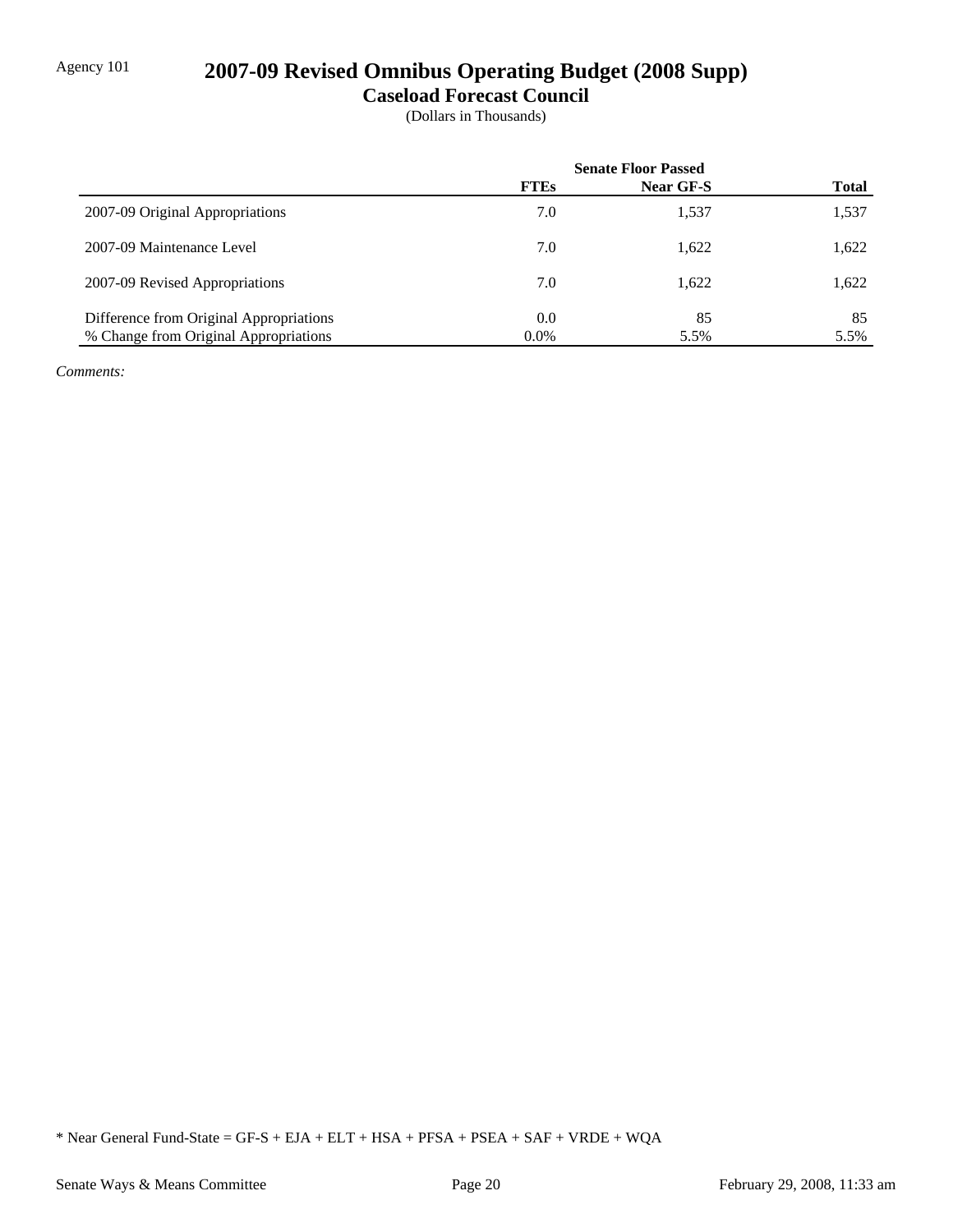## Agency 101 **2007-09 Revised Omnibus Operating Budget (2008 Supp)**

**Caseload Forecast Council**

(Dollars in Thousands)

|                                         | <b>Senate Floor Passed</b> |           |              |
|-----------------------------------------|----------------------------|-----------|--------------|
|                                         | <b>FTEs</b>                | Near GF-S | <b>Total</b> |
| 2007-09 Original Appropriations         | 7.0                        | 1,537     | 1,537        |
| 2007-09 Maintenance Level               | 7.0                        | 1,622     | 1,622        |
| 2007-09 Revised Appropriations          | 7.0                        | 1.622     | 1,622        |
| Difference from Original Appropriations | 0.0                        | 85        | 85           |
| % Change from Original Appropriations   | $0.0\%$                    | 5.5%      | 5.5%         |

*Comments:*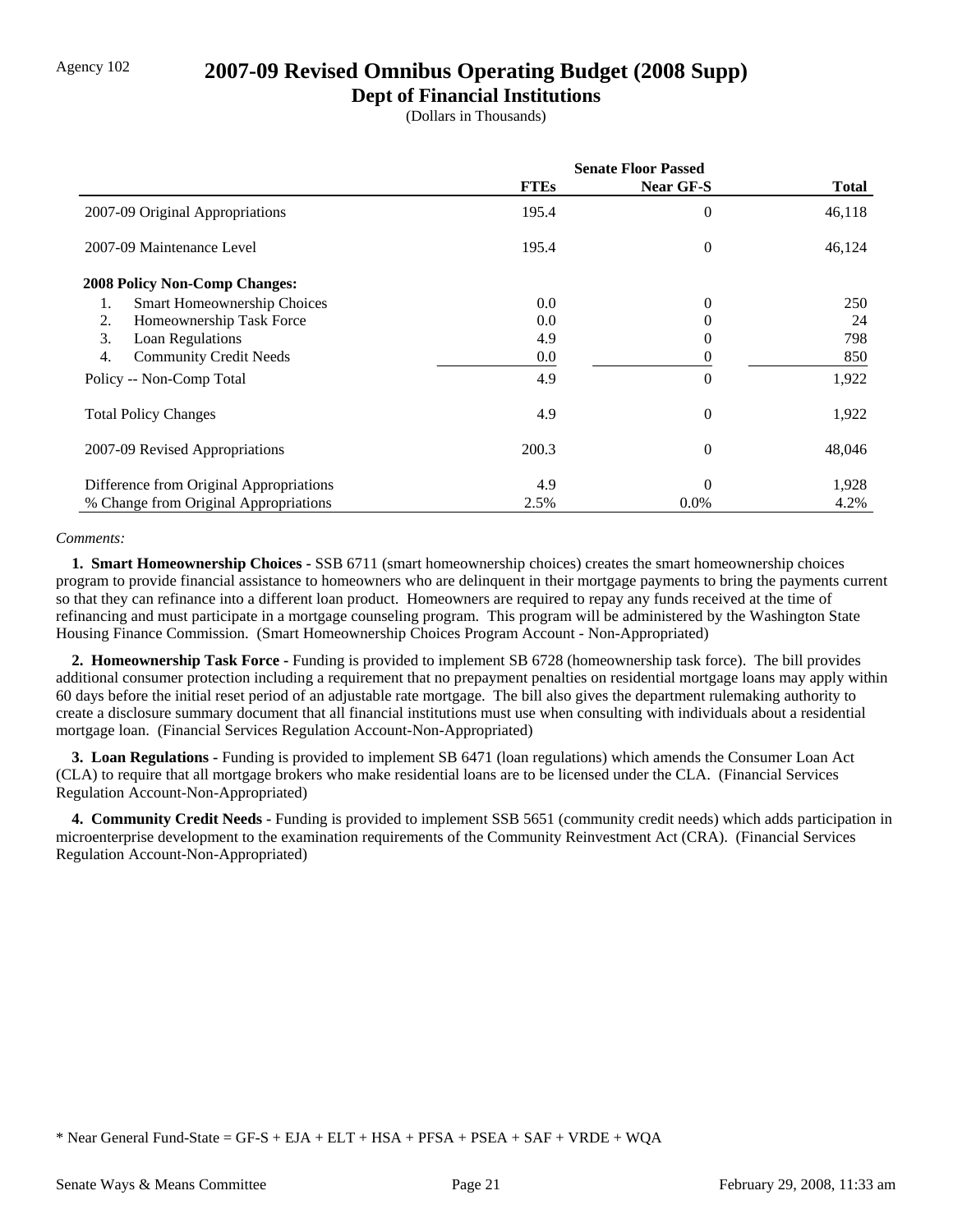### Agency 102 **2007-09 Revised Omnibus Operating Budget (2008 Supp)**

### **Dept of Financial Institutions**

(Dollars in Thousands)

|                                         | <b>Senate Floor Passed</b> |                  |        |
|-----------------------------------------|----------------------------|------------------|--------|
|                                         | <b>FTEs</b>                | <b>Near GF-S</b> | Total  |
| 2007-09 Original Appropriations         | 195.4                      | $\theta$         | 46,118 |
| 2007-09 Maintenance Level               | 195.4                      | $\theta$         | 46,124 |
| <b>2008 Policy Non-Comp Changes:</b>    |                            |                  |        |
| Smart Homeownership Choices<br>1.       | 0.0                        | $\theta$         | 250    |
| Homeownership Task Force<br>2.          | 0.0                        | 0                | 24     |
| 3.<br>Loan Regulations                  | 4.9                        | 0                | 798    |
| <b>Community Credit Needs</b><br>4.     | 0.0                        | 0                | 850    |
| Policy -- Non-Comp Total                | 4.9                        | $\Omega$         | 1,922  |
| <b>Total Policy Changes</b>             | 4.9                        | $\theta$         | 1,922  |
| 2007-09 Revised Appropriations          | 200.3                      | $\theta$         | 48,046 |
| Difference from Original Appropriations | 4.9                        | $\Omega$         | 1,928  |
| % Change from Original Appropriations   | 2.5%                       | $0.0\%$          | 4.2%   |

#### *Comments:*

 **1. Smart Homeownership Choices -** SSB 6711 (smart homeownership choices) creates the smart homeownership choices program to provide financial assistance to homeowners who are delinquent in their mortgage payments to bring the payments current so that they can refinance into a different loan product. Homeowners are required to repay any funds received at the time of refinancing and must participate in a mortgage counseling program. This program will be administered by the Washington State Housing Finance Commission. (Smart Homeownership Choices Program Account - Non-Appropriated)

 **2. Homeownership Task Force -** Funding is provided to implement SB 6728 (homeownership task force). The bill provides additional consumer protection including a requirement that no prepayment penalties on residential mortgage loans may apply within 60 days before the initial reset period of an adjustable rate mortgage. The bill also gives the department rulemaking authority to create a disclosure summary document that all financial institutions must use when consulting with individuals about a residential mortgage loan. (Financial Services Regulation Account-Non-Appropriated)

 **3. Loan Regulations -** Funding is provided to implement SB 6471 (loan regulations) which amends the Consumer Loan Act (CLA) to require that all mortgage brokers who make residential loans are to be licensed under the CLA. (Financial Services Regulation Account-Non-Appropriated)

 **4. Community Credit Needs -** Funding is provided to implement SSB 5651 (community credit needs) which adds participation in microenterprise development to the examination requirements of the Community Reinvestment Act (CRA). (Financial Services Regulation Account-Non-Appropriated)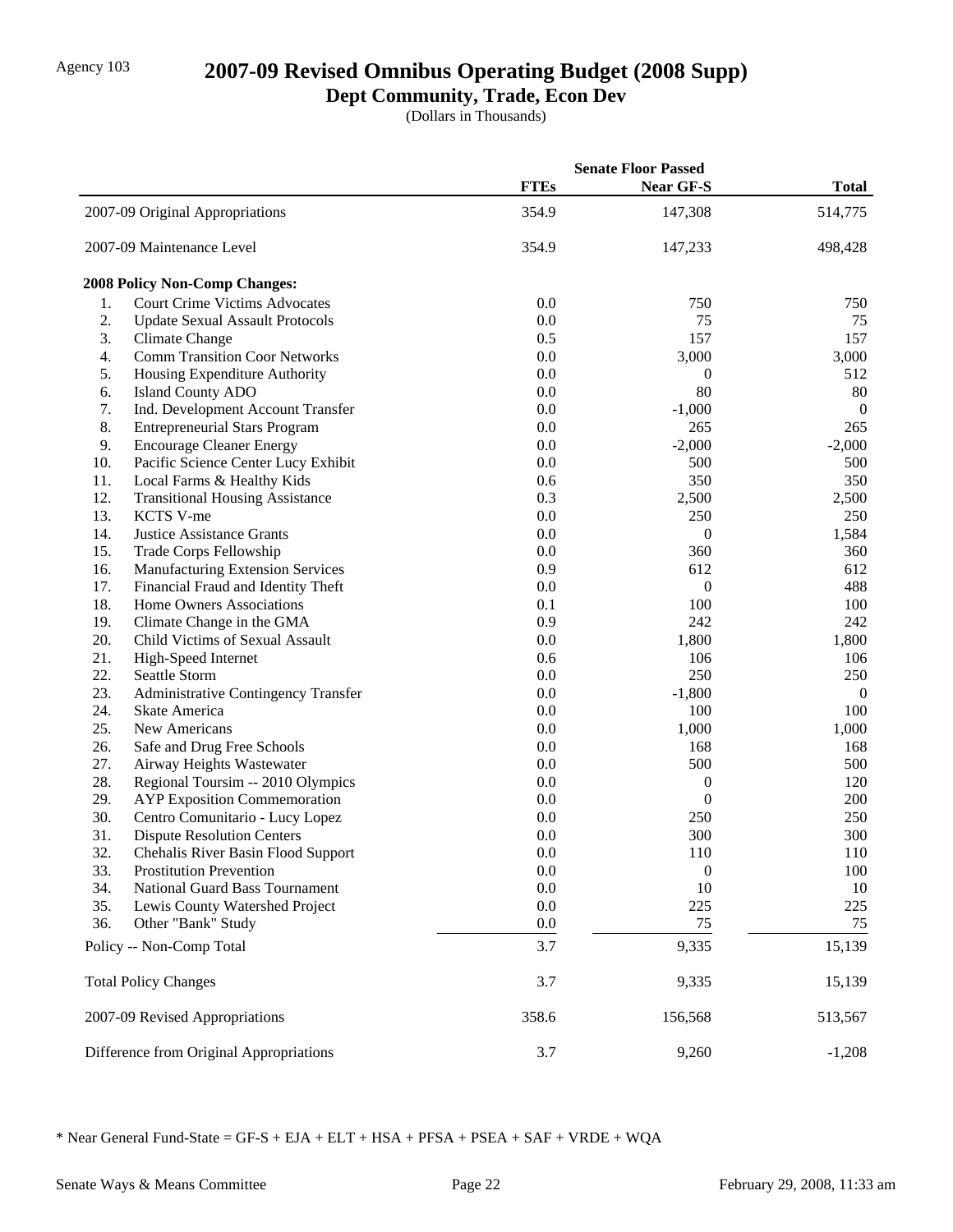## Agency 103 **2007-09 Revised Omnibus Operating Budget (2008 Supp)**

## **Dept Community, Trade, Econ Dev**

(Dollars in Thousands)

|     |                                         | <b>Senate Floor Passed</b> |                  |                |
|-----|-----------------------------------------|----------------------------|------------------|----------------|
|     |                                         | <b>FTEs</b>                | <b>Near GF-S</b> | <b>Total</b>   |
|     | 2007-09 Original Appropriations         | 354.9                      | 147,308          | 514,775        |
|     | 2007-09 Maintenance Level               | 354.9                      | 147,233          | 498,428        |
|     | <b>2008 Policy Non-Comp Changes:</b>    |                            |                  |                |
| 1.  | <b>Court Crime Victims Advocates</b>    | 0.0                        | 750              | 750            |
| 2.  | <b>Update Sexual Assault Protocols</b>  | 0.0                        | 75               | 75             |
| 3.  | Climate Change                          | 0.5                        | 157              | 157            |
| 4.  | <b>Comm Transition Coor Networks</b>    | 0.0                        | 3,000            | 3,000          |
| 5.  | Housing Expenditure Authority           | 0.0                        | 0                | 512            |
| 6.  | <b>Island County ADO</b>                | 0.0                        | 80               | $80\,$         |
| 7.  | Ind. Development Account Transfer       | 0.0                        | $-1,000$         | $\overline{0}$ |
| 8.  | <b>Entrepreneurial Stars Program</b>    | 0.0                        | 265              | 265            |
| 9.  | <b>Encourage Cleaner Energy</b>         | 0.0                        | $-2,000$         | $-2,000$       |
| 10. | Pacific Science Center Lucy Exhibit     | 0.0                        | 500              | 500            |
| 11. | Local Farms & Healthy Kids              | 0.6                        | 350              | 350            |
| 12. | <b>Transitional Housing Assistance</b>  | 0.3                        | 2,500            | 2,500          |
| 13. | KCTS V-me                               | 0.0                        | 250              | 250            |
| 14. | <b>Justice Assistance Grants</b>        | 0.0                        | $\boldsymbol{0}$ | 1,584          |
| 15. | Trade Corps Fellowship                  | 0.0                        | 360              | 360            |
| 16. | <b>Manufacturing Extension Services</b> | 0.9                        | 612              | 612            |
| 17. | Financial Fraud and Identity Theft      | 0.0                        | 0                | 488            |
| 18. | Home Owners Associations                | 0.1                        | 100              | 100            |
| 19. | Climate Change in the GMA               | 0.9                        | 242              | 242            |
| 20. | Child Victims of Sexual Assault         | 0.0                        | 1,800            | 1,800          |
| 21. | High-Speed Internet                     | 0.6                        | 106              | 106            |
| 22. | Seattle Storm                           | 0.0                        | 250              | 250            |
| 23. | Administrative Contingency Transfer     | 0.0                        | $-1,800$         | $\overline{0}$ |
| 24. | Skate America                           | 0.0                        | 100              | 100            |
| 25. | New Americans                           | 0.0                        | 1,000            | 1,000          |
| 26. | Safe and Drug Free Schools              | 0.0                        | 168              | 168            |
| 27. | Airway Heights Wastewater               | 0.0                        | 500              | 500            |
| 28. | Regional Toursim -- 2010 Olympics       | 0.0                        | $\boldsymbol{0}$ | 120            |
| 29. | <b>AYP</b> Exposition Commemoration     | 0.0                        | $\boldsymbol{0}$ | 200            |
| 30. | Centro Comunitario - Lucy Lopez         | 0.0                        | 250              | 250            |
| 31. | <b>Dispute Resolution Centers</b>       | 0.0                        | 300              | 300            |
| 32. | Chehalis River Basin Flood Support      | 0.0                        | 110              | 110            |
| 33. | <b>Prostitution Prevention</b>          | 0.0                        | $\boldsymbol{0}$ | 100            |
| 34. | National Guard Bass Tournament          | 0.0                        | 10               | 10             |
| 35. | Lewis County Watershed Project          | 0.0                        | 225              | 225            |
| 36. | Other "Bank" Study                      | 0.0                        | 75               | 75             |
|     | Policy -- Non-Comp Total                | 3.7                        | 9,335            | 15,139         |
|     | <b>Total Policy Changes</b>             | 3.7                        | 9,335            | 15,139         |
|     | 2007-09 Revised Appropriations          | 358.6                      | 156,568          | 513,567        |
|     | Difference from Original Appropriations | 3.7                        | 9,260            | $-1,208$       |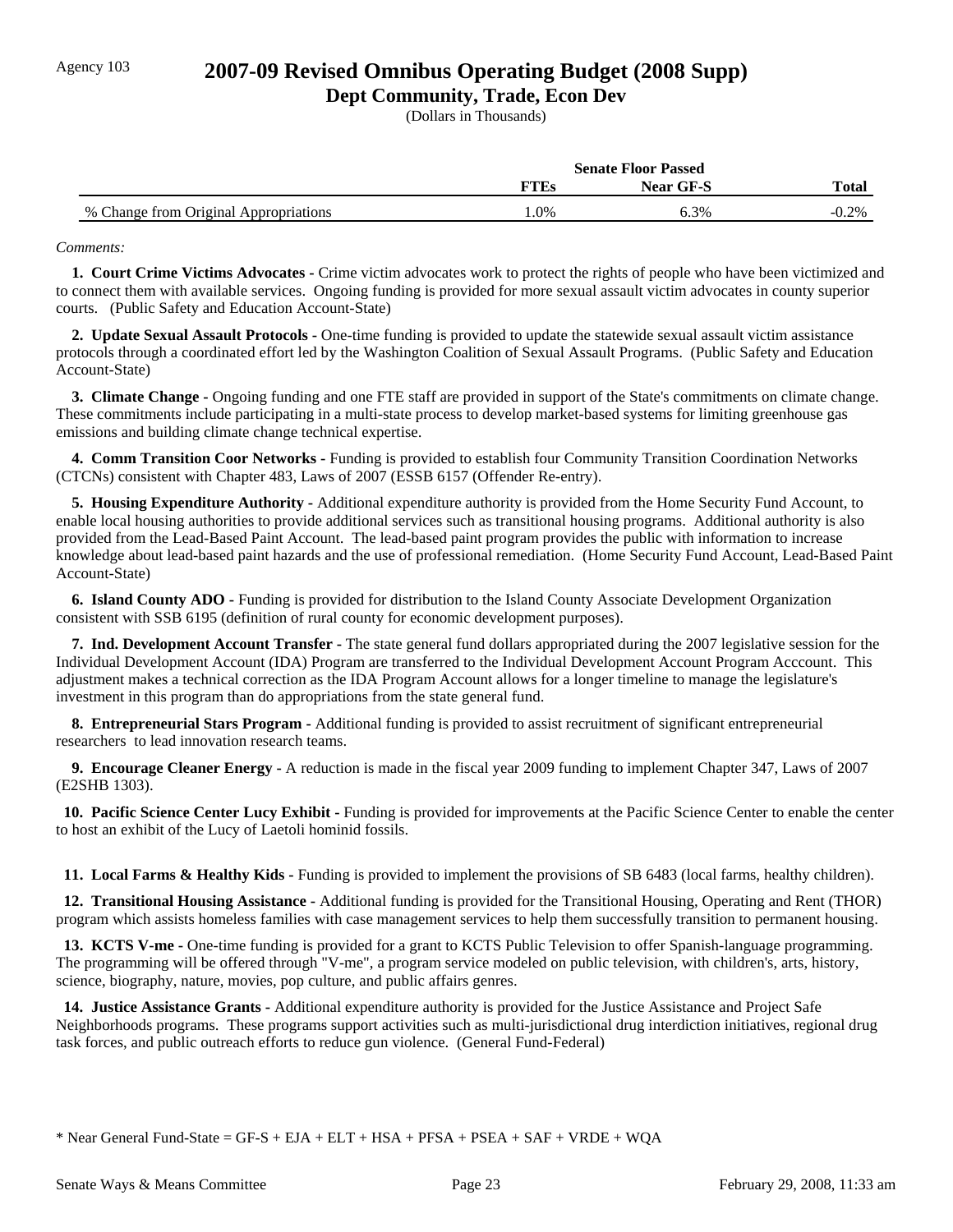### Agency 103 **2007-09 Revised Omnibus Operating Budget (2008 Supp)**

### **Dept Community, Trade, Econ Dev**

(Dollars in Thousands)

|                                       | <b>Senate Floor Passed</b> |                  |         |
|---------------------------------------|----------------------------|------------------|---------|
|                                       | <b>TTES</b>                | <b>Near GF-S</b> | Total   |
| % Change from Original Appropriations | .0%                        | 6.3%             | $0.2\%$ |

#### *Comments:*

 **1. Court Crime Victims Advocates -** Crime victim advocates work to protect the rights of people who have been victimized and to connect them with available services. Ongoing funding is provided for more sexual assault victim advocates in county superior courts. (Public Safety and Education Account-State)

 **2. Update Sexual Assault Protocols -** One-time funding is provided to update the statewide sexual assault victim assistance protocols through a coordinated effort led by the Washington Coalition of Sexual Assault Programs. (Public Safety and Education Account-State)

 **3. Climate Change -** Ongoing funding and one FTE staff are provided in support of the State's commitments on climate change. These commitments include participating in a multi-state process to develop market-based systems for limiting greenhouse gas emissions and building climate change technical expertise.

 **4. Comm Transition Coor Networks -** Funding is provided to establish four Community Transition Coordination Networks (CTCNs) consistent with Chapter 483, Laws of 2007 (ESSB 6157 (Offender Re-entry).

 **5. Housing Expenditure Authority -** Additional expenditure authority is provided from the Home Security Fund Account, to enable local housing authorities to provide additional services such as transitional housing programs. Additional authority is also provided from the Lead-Based Paint Account. The lead-based paint program provides the public with information to increase knowledge about lead-based paint hazards and the use of professional remediation. (Home Security Fund Account, Lead-Based Paint Account-State)

 **6. Island County ADO -** Funding is provided for distribution to the Island County Associate Development Organization consistent with SSB 6195 (definition of rural county for economic development purposes).

 **7. Ind. Development Account Transfer -** The state general fund dollars appropriated during the 2007 legislative session for the Individual Development Account (IDA) Program are transferred to the Individual Development Account Program Acccount. This adjustment makes a technical correction as the IDA Program Account allows for a longer timeline to manage the legislature's investment in this program than do appropriations from the state general fund.

 **8. Entrepreneurial Stars Program -** Additional funding is provided to assist recruitment of significant entrepreneurial researchers to lead innovation research teams.

 **9. Encourage Cleaner Energy -** A reduction is made in the fiscal year 2009 funding to implement Chapter 347, Laws of 2007 (E2SHB 1303).

 **10. Pacific Science Center Lucy Exhibit - Funding is provided for improvements at the Pacific Science Center to enable the center** to host an exhibit of the Lucy of Laetoli hominid fossils.

 **11. Local Farms & Healthy Kids -** Funding is provided to implement the provisions of SB 6483 (local farms, healthy children).

 **12. Transitional Housing Assistance -** Additional funding is provided for the Transitional Housing, Operating and Rent (THOR) program which assists homeless families with case management services to help them successfully transition to permanent housing.

 **13. KCTS V-me -** One-time funding is provided for a grant to KCTS Public Television to offer Spanish-language programming. The programming will be offered through "V-me", a program service modeled on public television, with children's, arts, history, science, biography, nature, movies, pop culture, and public affairs genres.

 **14. Justice Assistance Grants -** Additional expenditure authority is provided for the Justice Assistance and Project Safe Neighborhoods programs. These programs support activities such as multi-jurisdictional drug interdiction initiatives, regional drug task forces, and public outreach efforts to reduce gun violence. (General Fund-Federal)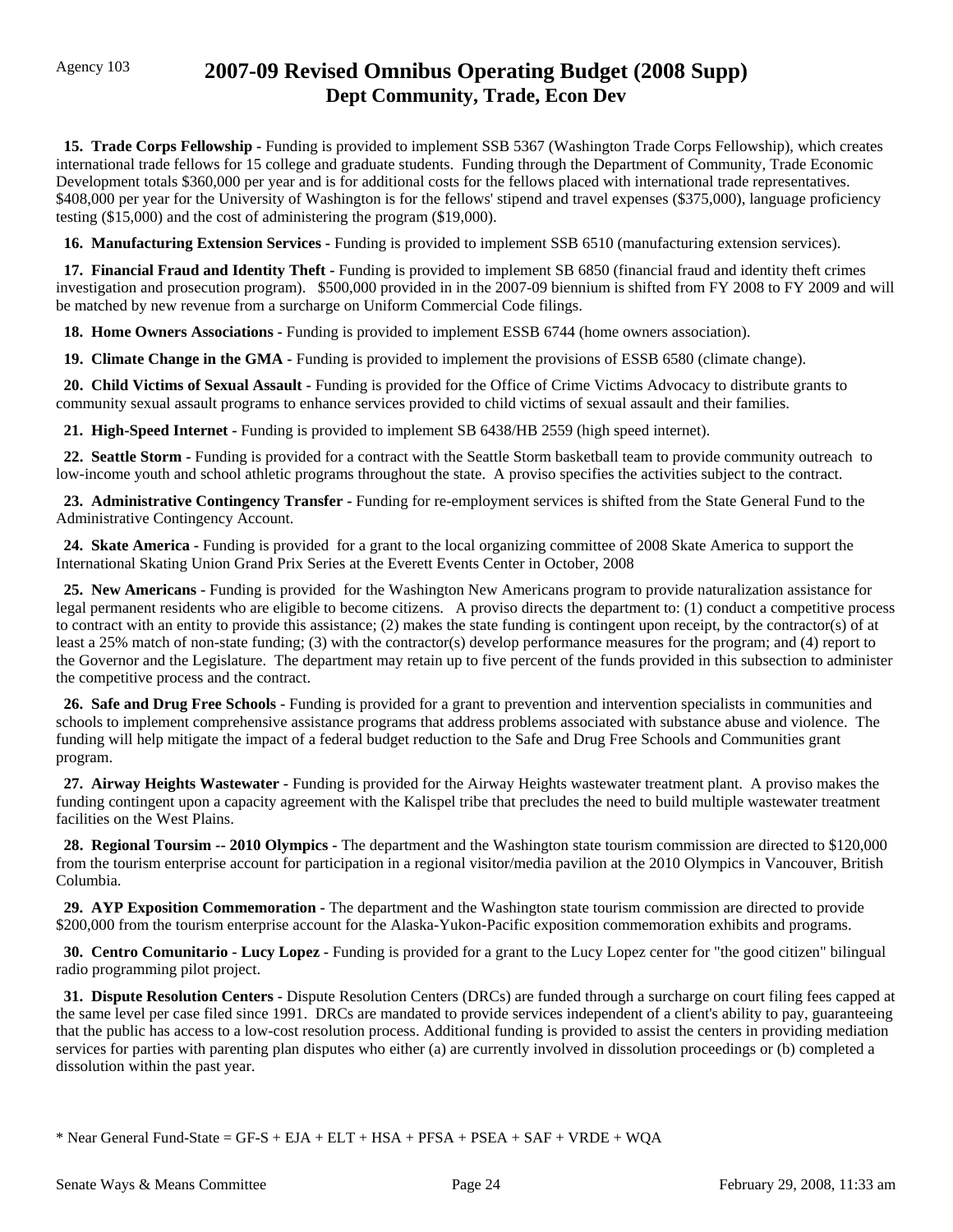## Agency 103 **2007-09 Revised Omnibus Operating Budget (2008 Supp) Dept Community, Trade, Econ Dev**

 **15. Trade Corps Fellowship -** Funding is provided to implement SSB 5367 (Washington Trade Corps Fellowship), which creates international trade fellows for 15 college and graduate students. Funding through the Department of Community, Trade Economic Development totals \$360,000 per year and is for additional costs for the fellows placed with international trade representatives. \$408,000 per year for the University of Washington is for the fellows' stipend and travel expenses (\$375,000), language proficiency testing (\$15,000) and the cost of administering the program (\$19,000).

 **16. Manufacturing Extension Services -** Funding is provided to implement SSB 6510 (manufacturing extension services).

 **17. Financial Fraud and Identity Theft -** Funding is provided to implement SB 6850 (financial fraud and identity theft crimes investigation and prosecution program). \$500,000 provided in in the 2007-09 biennium is shifted from FY 2008 to FY 2009 and will be matched by new revenue from a surcharge on Uniform Commercial Code filings.

 **18. Home Owners Associations -** Funding is provided to implement ESSB 6744 (home owners association).

 **19. Climate Change in the GMA -** Funding is provided to implement the provisions of ESSB 6580 (climate change).

 **20. Child Victims of Sexual Assault -** Funding is provided for the Office of Crime Victims Advocacy to distribute grants to community sexual assault programs to enhance services provided to child victims of sexual assault and their families.

 **21. High-Speed Internet -** Funding is provided to implement SB 6438/HB 2559 (high speed internet).

 **22. Seattle Storm -** Funding is provided for a contract with the Seattle Storm basketball team to provide community outreach to low-income youth and school athletic programs throughout the state. A proviso specifies the activities subject to the contract.

**23. Administrative Contingency Transfer** - Funding for re-employment services is shifted from the State General Fund to the Administrative Contingency Account.

 **24. Skate America -** Funding is provided for a grant to the local organizing committee of 2008 Skate America to support the International Skating Union Grand Prix Series at the Everett Events Center in October, 2008

 **25. New Americans -** Funding is provided for the Washington New Americans program to provide naturalization assistance for legal permanent residents who are eligible to become citizens. A proviso directs the department to: (1) conduct a competitive process to contract with an entity to provide this assistance; (2) makes the state funding is contingent upon receipt, by the contractor(s) of at least a 25% match of non-state funding; (3) with the contractor(s) develop performance measures for the program; and (4) report to the Governor and the Legislature. The department may retain up to five percent of the funds provided in this subsection to administer the competitive process and the contract.

 **26. Safe and Drug Free Schools -** Funding is provided for a grant to prevention and intervention specialists in communities and schools to implement comprehensive assistance programs that address problems associated with substance abuse and violence. The funding will help mitigate the impact of a federal budget reduction to the Safe and Drug Free Schools and Communities grant program.

 **27. Airway Heights Wastewater -** Funding is provided for the Airway Heights wastewater treatment plant. A proviso makes the funding contingent upon a capacity agreement with the Kalispel tribe that precludes the need to build multiple wastewater treatment facilities on the West Plains.

**28. Regional Toursim -- 2010 Olympics -** The department and the Washington state tourism commission are directed to \$120,000 from the tourism enterprise account for participation in a regional visitor/media pavilion at the 2010 Olympics in Vancouver, British Columbia.

 **29. AYP Exposition Commemoration -** The department and the Washington state tourism commission are directed to provide \$200,000 from the tourism enterprise account for the Alaska-Yukon-Pacific exposition commemoration exhibits and programs.

 **30. Centro Comunitario - Lucy Lopez -** Funding is provided for a grant to the Lucy Lopez center for "the good citizen" bilingual radio programming pilot project.

 **31. Dispute Resolution Centers -** Dispute Resolution Centers (DRCs) are funded through a surcharge on court filing fees capped at the same level per case filed since 1991. DRCs are mandated to provide services independent of a client's ability to pay, guaranteeing that the public has access to a low-cost resolution process. Additional funding is provided to assist the centers in providing mediation services for parties with parenting plan disputes who either (a) are currently involved in dissolution proceedings or (b) completed a dissolution within the past year.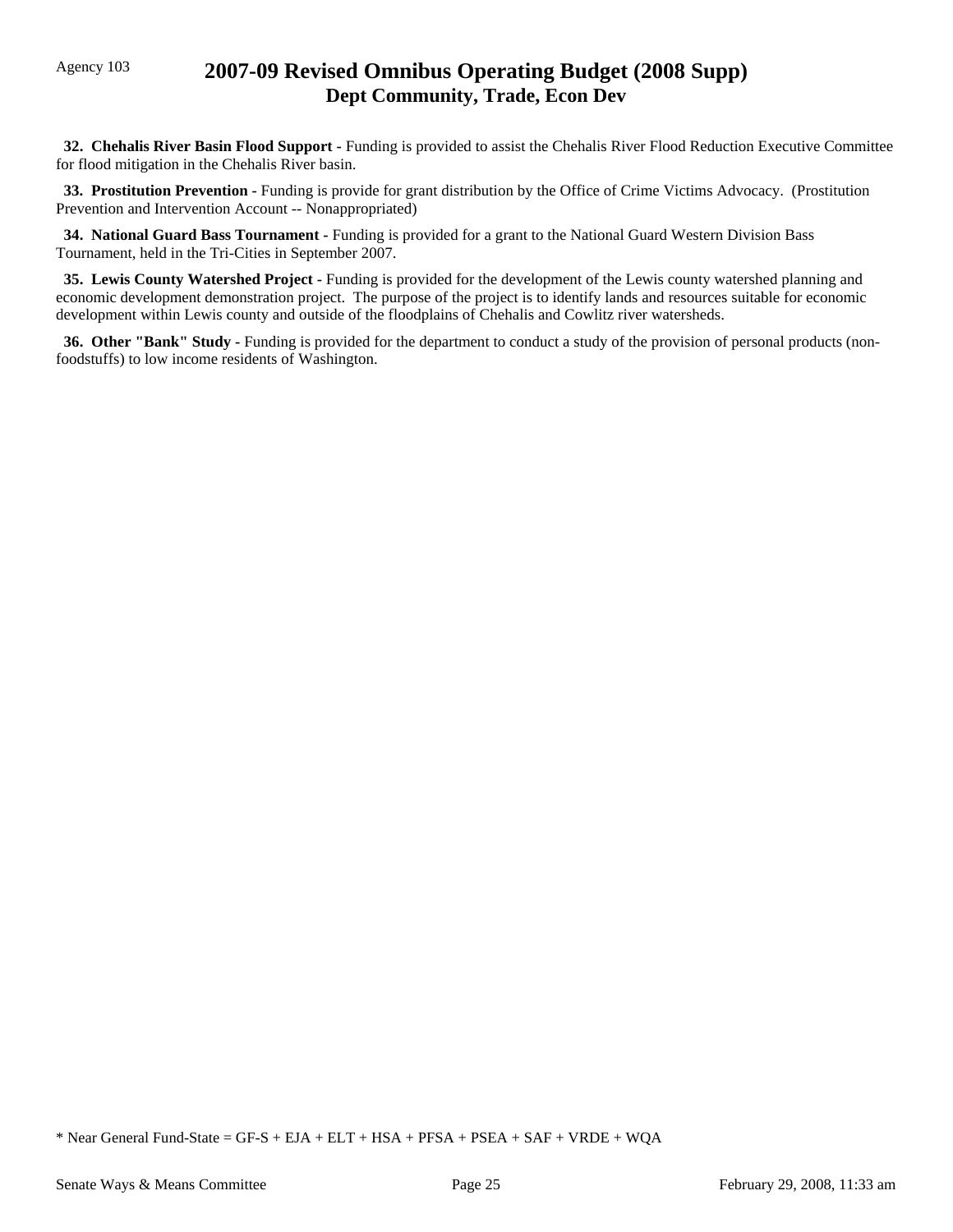## Agency 103 **2007-09 Revised Omnibus Operating Budget (2008 Supp) Dept Community, Trade, Econ Dev**

 **32. Chehalis River Basin Flood Support -** Funding is provided to assist the Chehalis River Flood Reduction Executive Committee for flood mitigation in the Chehalis River basin.

**33. Prostitution Prevention -** Funding is provide for grant distribution by the Office of Crime Victims Advocacy. (Prostitution Prevention and Intervention Account -- Nonappropriated)

 **34. National Guard Bass Tournament -** Funding is provided for a grant to the National Guard Western Division Bass Tournament, held in the Tri-Cities in September 2007.

 **35. Lewis County Watershed Project -** Funding is provided for the development of the Lewis county watershed planning and economic development demonstration project. The purpose of the project is to identify lands and resources suitable for economic development within Lewis county and outside of the floodplains of Chehalis and Cowlitz river watersheds.

 **36. Other "Bank" Study -** Funding is provided for the department to conduct a study of the provision of personal products (nonfoodstuffs) to low income residents of Washington.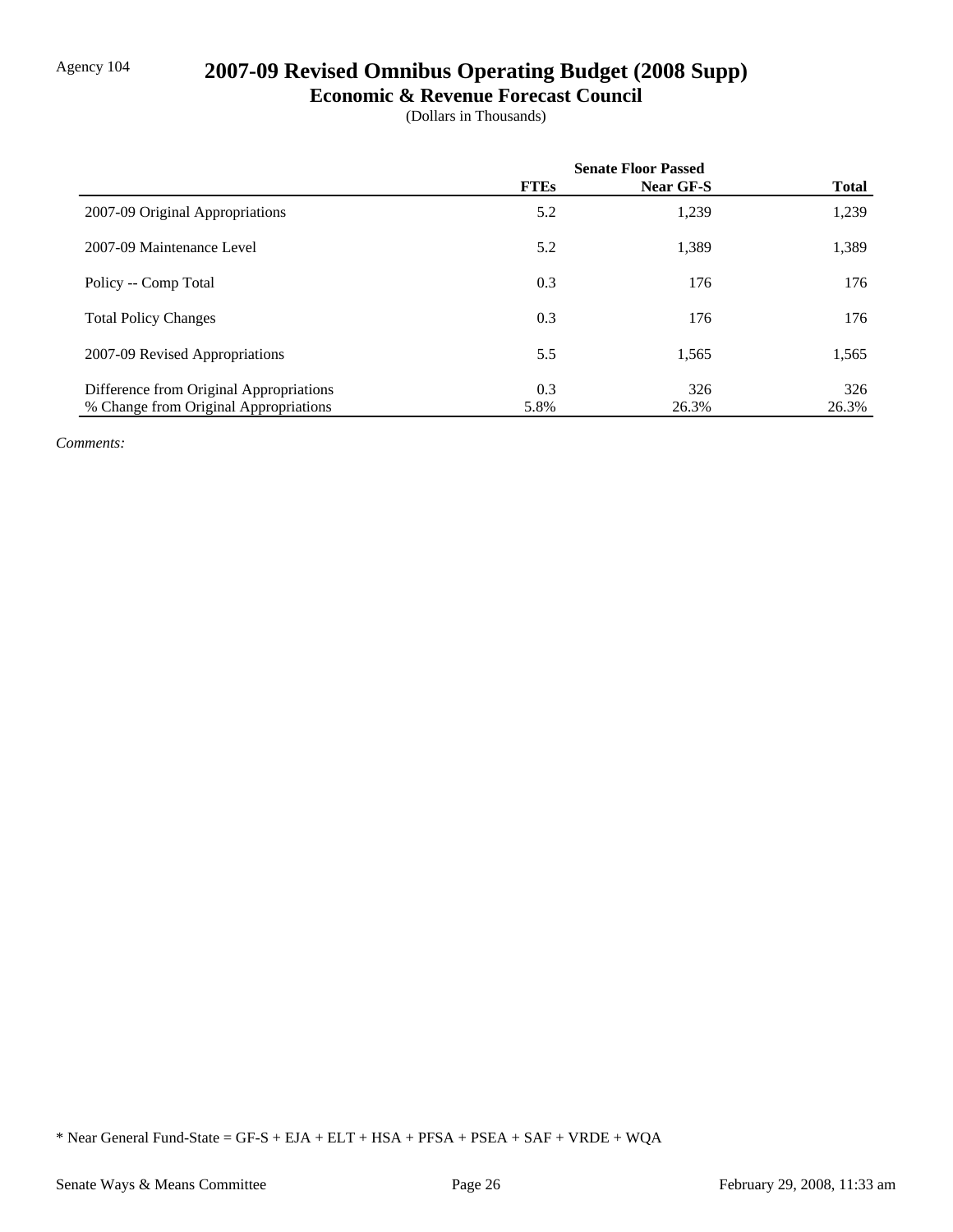# Agency 104 **2007-09 Revised Omnibus Operating Budget (2008 Supp)**

#### **Economic & Revenue Forecast Council**

(Dollars in Thousands)

|                                         | <b>Senate Floor Passed</b> |           |              |
|-----------------------------------------|----------------------------|-----------|--------------|
|                                         | <b>FTEs</b>                | Near GF-S | <b>Total</b> |
| 2007-09 Original Appropriations         | 5.2                        | 1,239     | 1,239        |
| 2007-09 Maintenance Level               | 5.2                        | 1,389     | 1,389        |
| Policy -- Comp Total                    | 0.3                        | 176       | 176          |
| <b>Total Policy Changes</b>             | 0.3                        | 176       | 176          |
| 2007-09 Revised Appropriations          | 5.5                        | 1,565     | 1,565        |
| Difference from Original Appropriations | 0.3                        | 326       | 326          |
| % Change from Original Appropriations   | 5.8%                       | 26.3%     | 26.3%        |

*Comments:*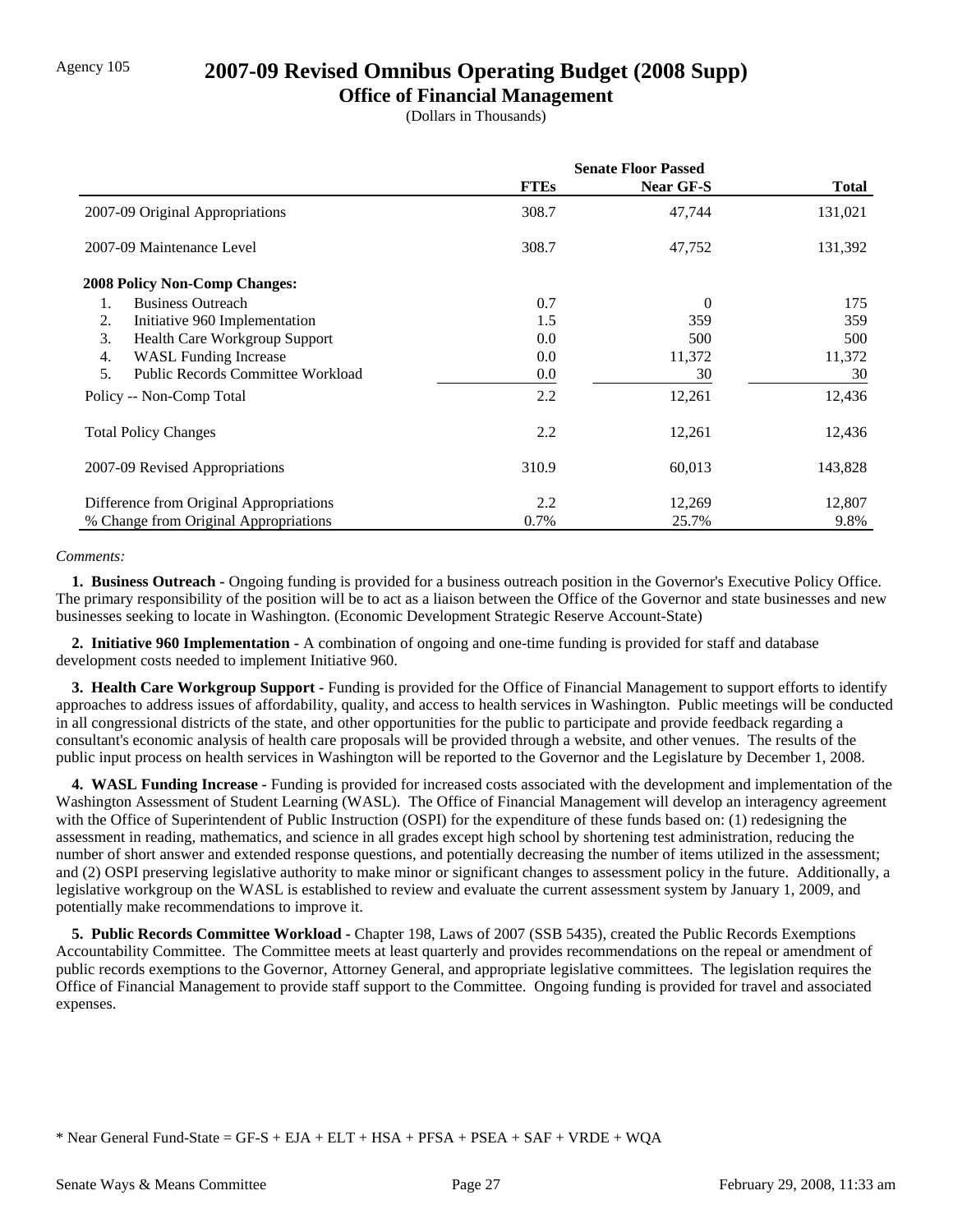## Agency 105 **2007-09 Revised Omnibus Operating Budget (2008 Supp)**

### **Office of Financial Management**

(Dollars in Thousands)

|                                                | <b>Senate Floor Passed</b> |                  |              |
|------------------------------------------------|----------------------------|------------------|--------------|
|                                                | <b>FTEs</b>                | <b>Near GF-S</b> | <b>Total</b> |
| 2007-09 Original Appropriations                | 308.7                      | 47,744           | 131,021      |
| 2007-09 Maintenance Level                      | 308.7                      | 47,752           | 131,392      |
| <b>2008 Policy Non-Comp Changes:</b>           |                            |                  |              |
| <b>Business Outreach</b><br>1.                 | 0.7                        | $\Omega$         | 175          |
| Initiative 960 Implementation<br>2.            | 1.5                        | 359              | 359          |
| 3.<br>Health Care Workgroup Support            | 0.0                        | 500              | 500          |
| <b>WASL Funding Increase</b><br>4.             | 0.0                        | 11,372           | 11,372       |
| 5.<br><b>Public Records Committee Workload</b> | 0.0                        | 30               | 30           |
| Policy -- Non-Comp Total                       | 2.2                        | 12,261           | 12,436       |
| <b>Total Policy Changes</b>                    | 2.2                        | 12,261           | 12,436       |
| 2007-09 Revised Appropriations                 | 310.9                      | 60,013           | 143,828      |
| Difference from Original Appropriations        | 2.2                        | 12,269           | 12,807       |
| % Change from Original Appropriations          | 0.7%                       | 25.7%            | 9.8%         |

#### *Comments:*

 **1. Business Outreach -** Ongoing funding is provided for a business outreach position in the Governor's Executive Policy Office. The primary responsibility of the position will be to act as a liaison between the Office of the Governor and state businesses and new businesses seeking to locate in Washington. (Economic Development Strategic Reserve Account-State)

 **2. Initiative 960 Implementation -** A combination of ongoing and one-time funding is provided for staff and database development costs needed to implement Initiative 960.

 **3. Health Care Workgroup Support -** Funding is provided for the Office of Financial Management to support efforts to identify approaches to address issues of affordability, quality, and access to health services in Washington. Public meetings will be conducted in all congressional districts of the state, and other opportunities for the public to participate and provide feedback regarding a consultant's economic analysis of health care proposals will be provided through a website, and other venues. The results of the public input process on health services in Washington will be reported to the Governor and the Legislature by December 1, 2008.

 **4. WASL Funding Increase -** Funding is provided for increased costs associated with the development and implementation of the Washington Assessment of Student Learning (WASL). The Office of Financial Management will develop an interagency agreement with the Office of Superintendent of Public Instruction (OSPI) for the expenditure of these funds based on: (1) redesigning the assessment in reading, mathematics, and science in all grades except high school by shortening test administration, reducing the number of short answer and extended response questions, and potentially decreasing the number of items utilized in the assessment; and (2) OSPI preserving legislative authority to make minor or significant changes to assessment policy in the future. Additionally, a legislative workgroup on the WASL is established to review and evaluate the current assessment system by January 1, 2009, and potentially make recommendations to improve it.

 **5. Public Records Committee Workload -** Chapter 198, Laws of 2007 (SSB 5435), created the Public Records Exemptions Accountability Committee. The Committee meets at least quarterly and provides recommendations on the repeal or amendment of public records exemptions to the Governor, Attorney General, and appropriate legislative committees. The legislation requires the Office of Financial Management to provide staff support to the Committee. Ongoing funding is provided for travel and associated expenses.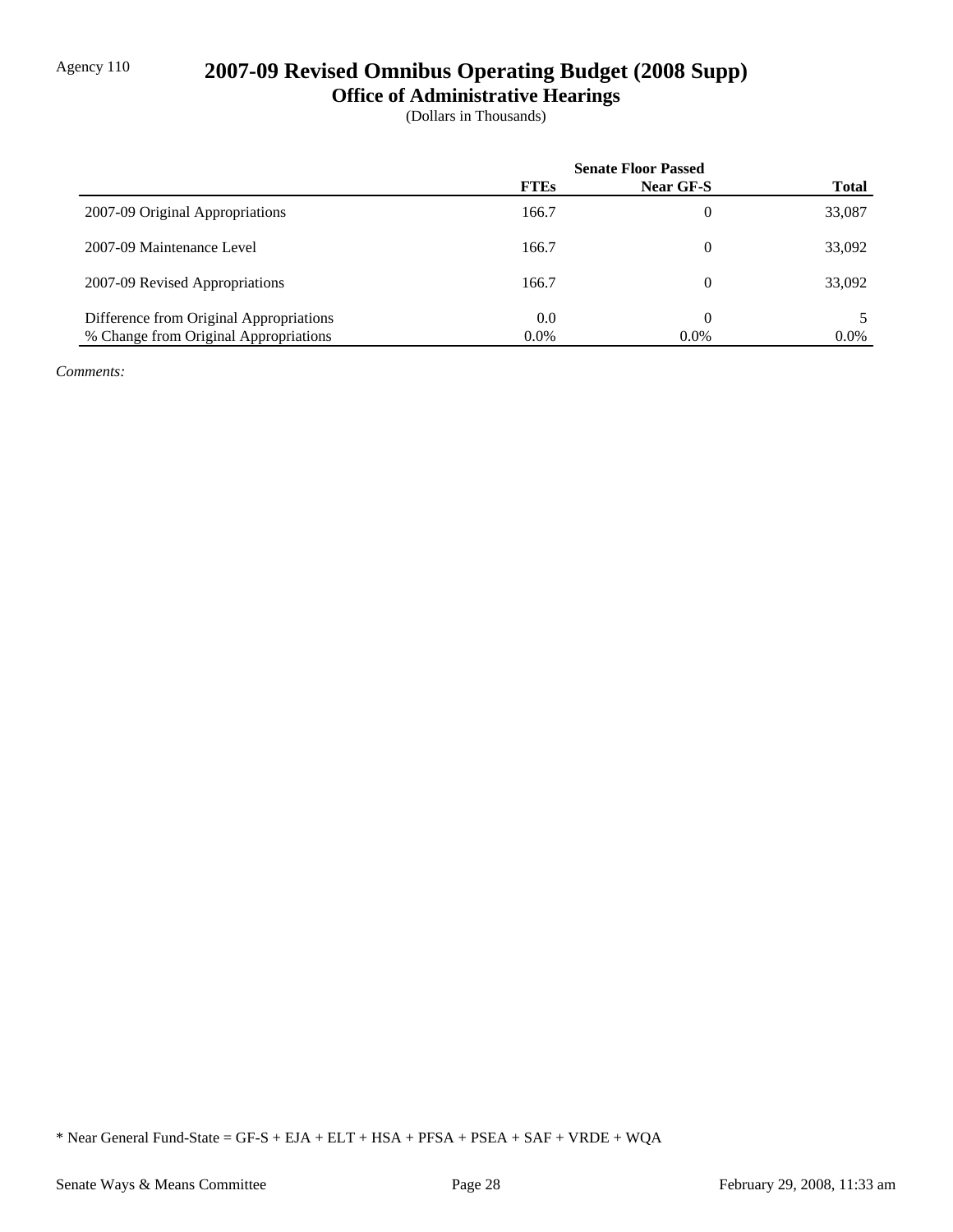# Agency 110 **2007-09 Revised Omnibus Operating Budget (2008 Supp)**

**Office of Administrative Hearings**

(Dollars in Thousands)

|                                         | <b>Senate Floor Passed</b> |           |              |
|-----------------------------------------|----------------------------|-----------|--------------|
|                                         | <b>FTEs</b>                | Near GF-S | <b>Total</b> |
| 2007-09 Original Appropriations         | 166.7                      | 0         | 33,087       |
| 2007-09 Maintenance Level               | 166.7                      | 0         | 33,092       |
| 2007-09 Revised Appropriations          | 166.7                      | 0         | 33,092       |
| Difference from Original Appropriations | 0.0                        | 0         |              |
| % Change from Original Appropriations   | $0.0\%$                    | $0.0\%$   | $0.0\%$      |

*Comments:*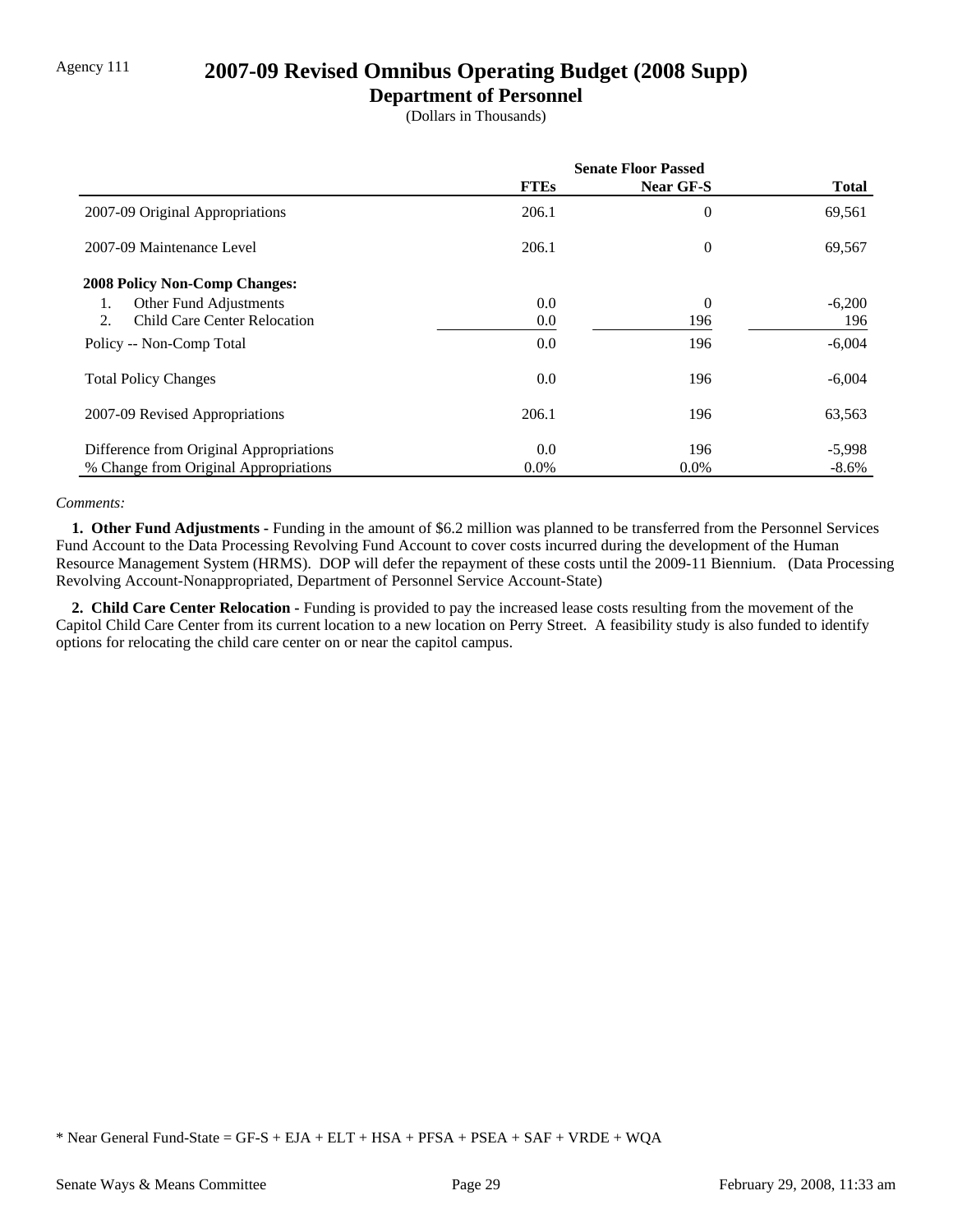## Agency 111 **2007-09 Revised Omnibus Operating Budget (2008 Supp)**

### **Department of Personnel**

(Dollars in Thousands)

|                                           | <b>Senate Floor Passed</b> |                |              |
|-------------------------------------------|----------------------------|----------------|--------------|
|                                           | <b>FTEs</b>                | Near GF-S      | <b>Total</b> |
| 2007-09 Original Appropriations           | 206.1                      | 0              | 69,561       |
| 2007-09 Maintenance Level                 | 206.1                      | $\overline{0}$ | 69,567       |
| <b>2008 Policy Non-Comp Changes:</b>      |                            |                |              |
| Other Fund Adjustments<br>1.              | 0.0                        | $\overline{0}$ | $-6,200$     |
| <b>Child Care Center Relocation</b><br>2. | 0.0                        | 196            | 196          |
| Policy -- Non-Comp Total                  | 0.0                        | 196            | $-6,004$     |
| <b>Total Policy Changes</b>               | 0.0                        | 196            | $-6,004$     |
| 2007-09 Revised Appropriations            | 206.1                      | 196            | 63,563       |
| Difference from Original Appropriations   | 0.0                        | 196            | $-5,998$     |
| % Change from Original Appropriations     | $0.0\%$                    | $0.0\%$        | $-8.6\%$     |

#### *Comments:*

 **1. Other Fund Adjustments -** Funding in the amount of \$6.2 million was planned to be transferred from the Personnel Services Fund Account to the Data Processing Revolving Fund Account to cover costs incurred during the development of the Human Resource Management System (HRMS). DOP will defer the repayment of these costs until the 2009-11 Biennium. (Data Processing Revolving Account-Nonappropriated, Department of Personnel Service Account-State)

 **2. Child Care Center Relocation -** Funding is provided to pay the increased lease costs resulting from the movement of the Capitol Child Care Center from its current location to a new location on Perry Street. A feasibility study is also funded to identify options for relocating the child care center on or near the capitol campus.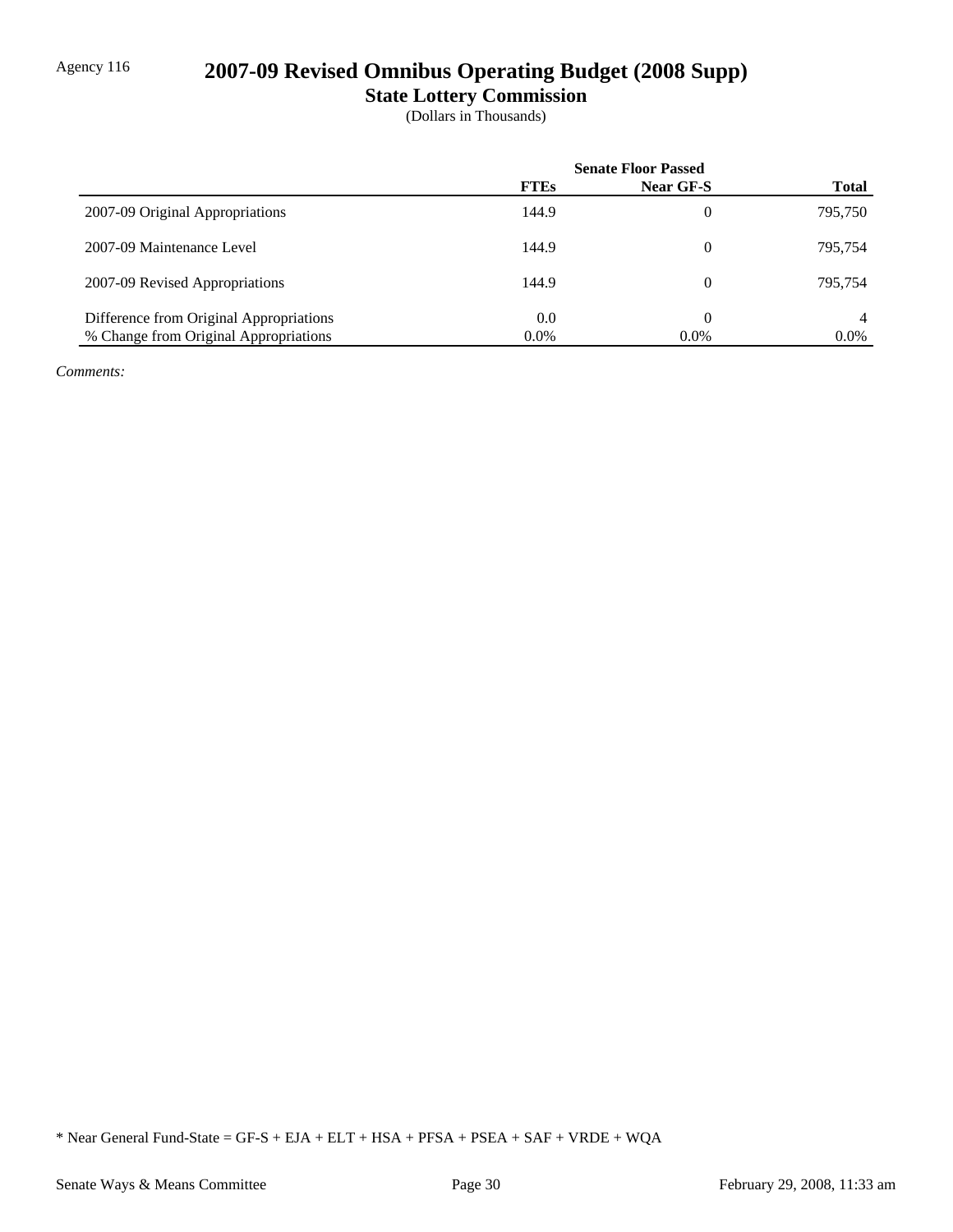# Agency 116 **2007-09 Revised Omnibus Operating Budget (2008 Supp)**

**State Lottery Commission**

(Dollars in Thousands)

|                                         | <b>Senate Floor Passed</b> |                  |              |
|-----------------------------------------|----------------------------|------------------|--------------|
|                                         | <b>FTEs</b>                | <b>Near GF-S</b> | <b>Total</b> |
| 2007-09 Original Appropriations         | 144.9                      | 0                | 795,750      |
| 2007-09 Maintenance Level               | 144.9                      | 0                | 795,754      |
| 2007-09 Revised Appropriations          | 144.9                      | 0                | 795.754      |
| Difference from Original Appropriations | 0.0                        | 0                | 4            |
| % Change from Original Appropriations   | $0.0\%$                    | $0.0\%$          | $0.0\%$      |

*Comments:*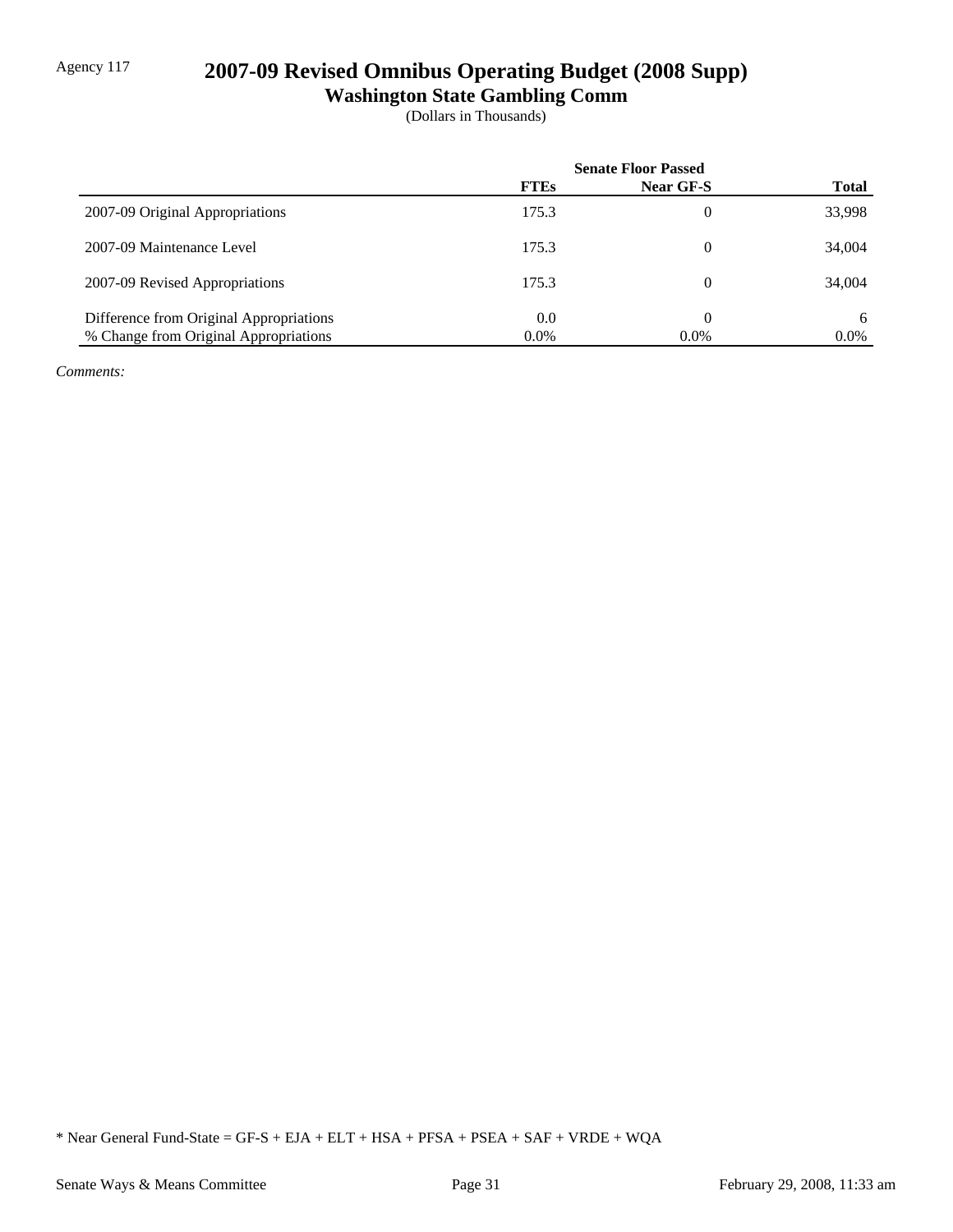# Agency 117 **2007-09 Revised Omnibus Operating Budget (2008 Supp)**

**Washington State Gambling Comm**

(Dollars in Thousands)

|                                         | <b>Senate Floor Passed</b> |           |              |
|-----------------------------------------|----------------------------|-----------|--------------|
|                                         | <b>FTEs</b>                | Near GF-S | <b>Total</b> |
| 2007-09 Original Appropriations         | 175.3                      | 0         | 33,998       |
| 2007-09 Maintenance Level               | 175.3                      | 0         | 34,004       |
| 2007-09 Revised Appropriations          | 175.3                      | 0         | 34,004       |
| Difference from Original Appropriations | 0.0                        | 0         | 6            |
| % Change from Original Appropriations   | $0.0\%$                    | $0.0\%$   | $0.0\%$      |

*Comments:*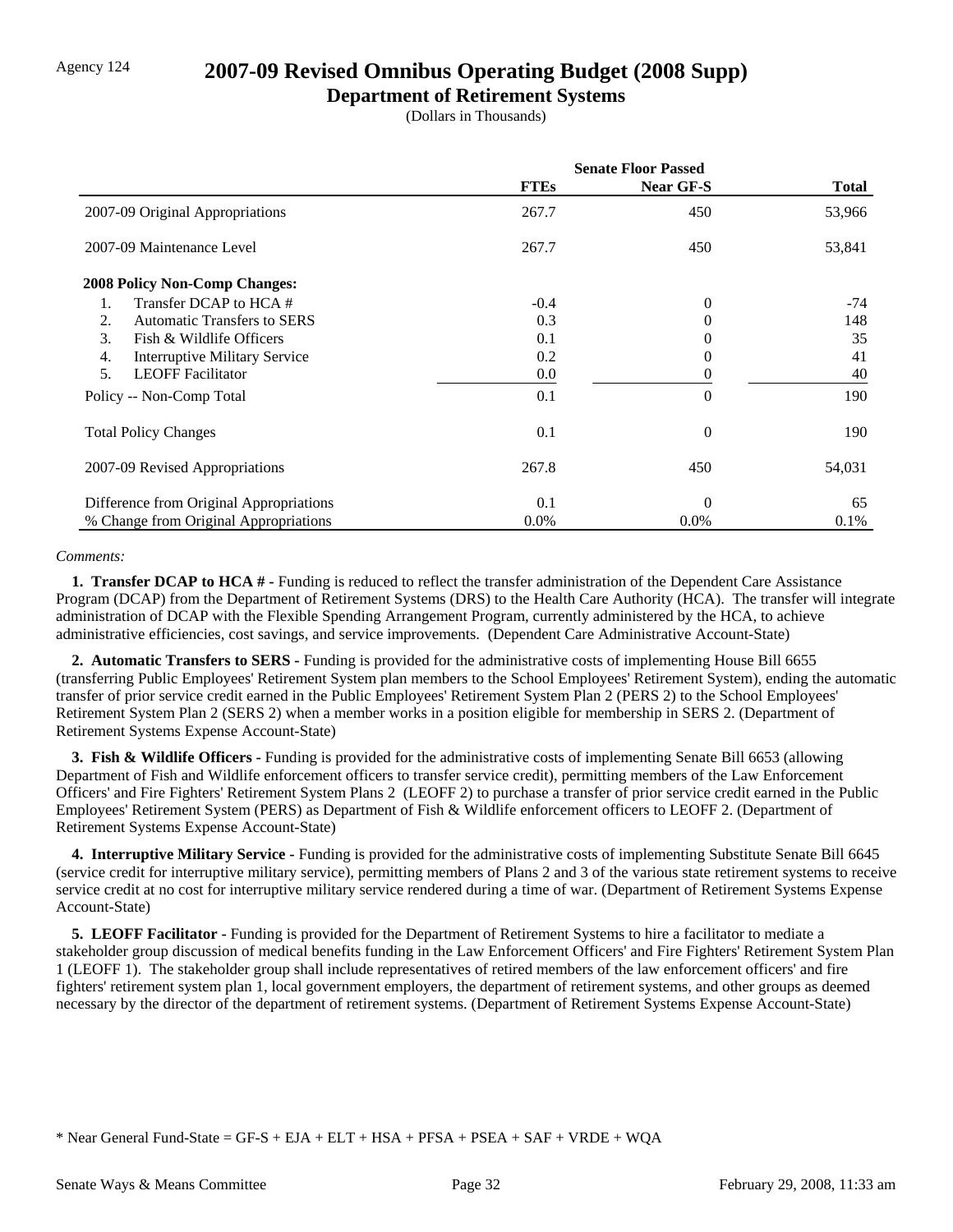## Agency 124 **2007-09 Revised Omnibus Operating Budget (2008 Supp)**

#### **Department of Retirement Systems**

(Dollars in Thousands)

|                                            | <b>Senate Floor Passed</b> |                  |        |
|--------------------------------------------|----------------------------|------------------|--------|
|                                            | <b>FTEs</b>                | <b>Near GF-S</b> | Total  |
| 2007-09 Original Appropriations            | 267.7                      | 450              | 53,966 |
| 2007-09 Maintenance Level                  | 267.7                      | 450              | 53,841 |
| <b>2008 Policy Non-Comp Changes:</b>       |                            |                  |        |
| Transfer DCAP to HCA #<br>1.               | $-0.4$                     | $\overline{0}$   | $-74$  |
| 2.<br><b>Automatic Transfers to SERS</b>   | 0.3                        | 0                | 148    |
| 3.<br>Fish & Wildlife Officers             | 0.1                        | 0                | 35     |
| <b>Interruptive Military Service</b><br>4. | 0.2                        | 0                | 41     |
| 5.<br><b>LEOFF</b> Facilitator             | 0.0                        | 0                | 40     |
| Policy -- Non-Comp Total                   | 0.1                        | $\overline{0}$   | 190    |
| <b>Total Policy Changes</b>                | 0.1                        | $\overline{0}$   | 190    |
| 2007-09 Revised Appropriations             | 267.8                      | 450              | 54,031 |
| Difference from Original Appropriations    | 0.1                        | $\Omega$         | 65     |
| % Change from Original Appropriations      | $0.0\%$                    | $0.0\%$          | 0.1%   |

#### *Comments:*

 **1. Transfer DCAP to HCA # -** Funding is reduced to reflect the transfer administration of the Dependent Care Assistance Program (DCAP) from the Department of Retirement Systems (DRS) to the Health Care Authority (HCA). The transfer will integrate administration of DCAP with the Flexible Spending Arrangement Program, currently administered by the HCA, to achieve administrative efficiencies, cost savings, and service improvements. (Dependent Care Administrative Account-State)

 **2. Automatic Transfers to SERS -** Funding is provided for the administrative costs of implementing House Bill 6655 (transferring Public Employees' Retirement System plan members to the School Employees' Retirement System), ending the automatic transfer of prior service credit earned in the Public Employees' Retirement System Plan 2 (PERS 2) to the School Employees' Retirement System Plan 2 (SERS 2) when a member works in a position eligible for membership in SERS 2. (Department of Retirement Systems Expense Account-State)

**3. Fish & Wildlife Officers -** Funding is provided for the administrative costs of implementing Senate Bill 6653 (allowing Department of Fish and Wildlife enforcement officers to transfer service credit), permitting members of the Law Enforcement Officers' and Fire Fighters' Retirement System Plans 2 (LEOFF 2) to purchase a transfer of prior service credit earned in the Public Employees' Retirement System (PERS) as Department of Fish & Wildlife enforcement officers to LEOFF 2. (Department of Retirement Systems Expense Account-State)

 **4. Interruptive Military Service -** Funding is provided for the administrative costs of implementing Substitute Senate Bill 6645 (service credit for interruptive military service), permitting members of Plans 2 and 3 of the various state retirement systems to receive service credit at no cost for interruptive military service rendered during a time of war. (Department of Retirement Systems Expense Account-State)

 **5. LEOFF Facilitator -** Funding is provided for the Department of Retirement Systems to hire a facilitator to mediate a stakeholder group discussion of medical benefits funding in the Law Enforcement Officers' and Fire Fighters' Retirement System Plan 1 (LEOFF 1). The stakeholder group shall include representatives of retired members of the law enforcement officers' and fire fighters' retirement system plan 1, local government employers, the department of retirement systems, and other groups as deemed necessary by the director of the department of retirement systems. (Department of Retirement Systems Expense Account-State)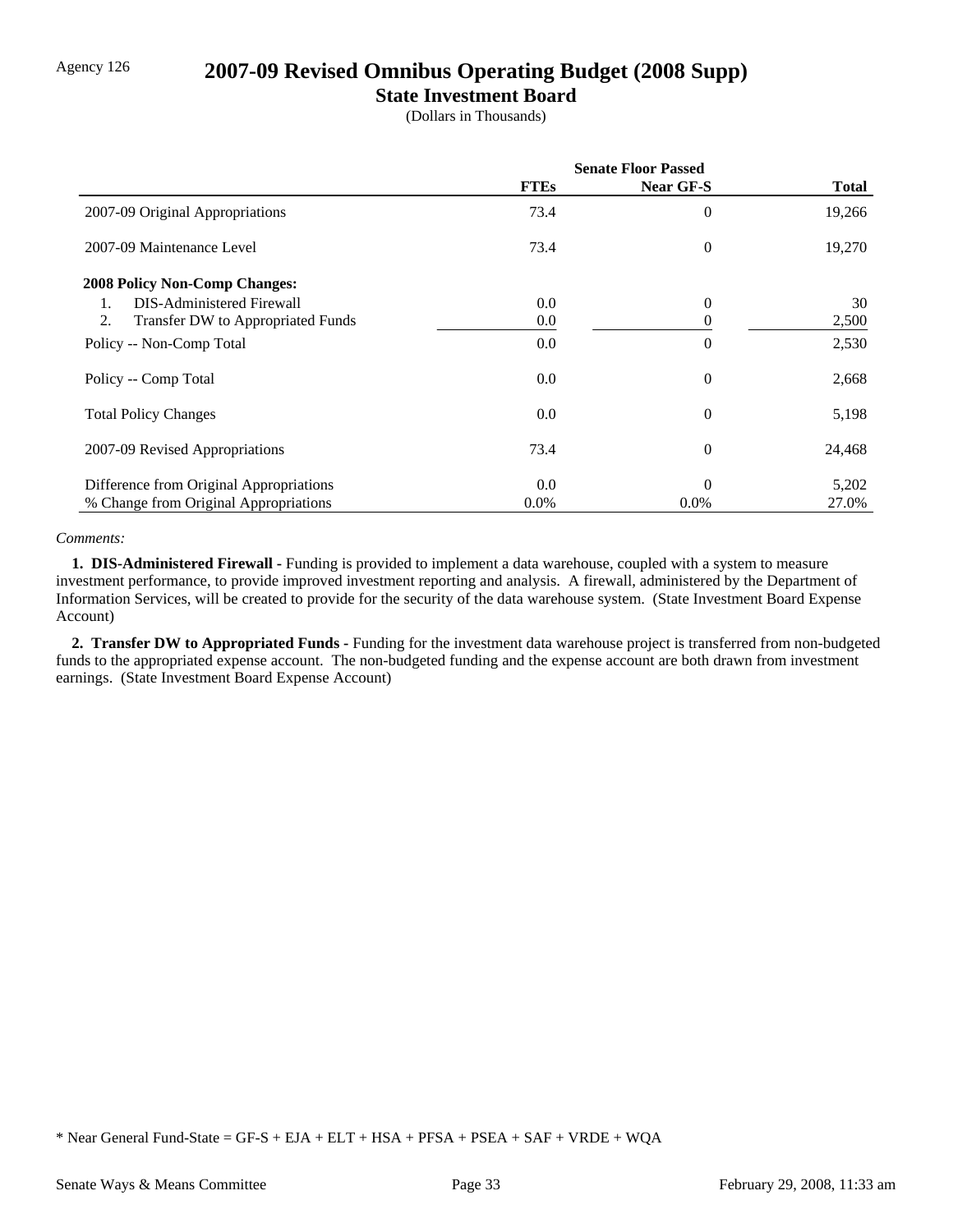## Agency 126 **2007-09 Revised Omnibus Operating Budget (2008 Supp)**

### **State Investment Board**

(Dollars in Thousands)

|                                                          | <b>Senate Floor Passed</b> |                  |        |
|----------------------------------------------------------|----------------------------|------------------|--------|
|                                                          | <b>FTEs</b>                | <b>Near GF-S</b> | Total  |
| 2007-09 Original Appropriations                          | 73.4                       | 0                | 19,266 |
| 2007-09 Maintenance Level                                | 73.4                       | 0                | 19,270 |
| <b>2008 Policy Non-Comp Changes:</b>                     |                            |                  |        |
| <b>DIS-Administered Firewall</b><br>$\mathbf{1}_{\cdot}$ | 0.0                        | $\theta$         | 30     |
| 2.<br>Transfer DW to Appropriated Funds                  | 0.0                        | 0                | 2,500  |
| Policy -- Non-Comp Total                                 | 0.0                        | $\overline{0}$   | 2,530  |
| Policy -- Comp Total                                     | 0.0                        | 0                | 2,668  |
| <b>Total Policy Changes</b>                              | 0.0                        | $\overline{0}$   | 5,198  |
| 2007-09 Revised Appropriations                           | 73.4                       | 0                | 24,468 |
| Difference from Original Appropriations                  | 0.0                        | $\Omega$         | 5,202  |
| % Change from Original Appropriations                    | $0.0\%$                    | $0.0\%$          | 27.0%  |

#### *Comments:*

 **1. DIS-Administered Firewall -** Funding is provided to implement a data warehouse, coupled with a system to measure investment performance, to provide improved investment reporting and analysis. A firewall, administered by the Department of Information Services, will be created to provide for the security of the data warehouse system. (State Investment Board Expense Account)

 **2. Transfer DW to Appropriated Funds -** Funding for the investment data warehouse project is transferred from non-budgeted funds to the appropriated expense account. The non-budgeted funding and the expense account are both drawn from investment earnings. (State Investment Board Expense Account)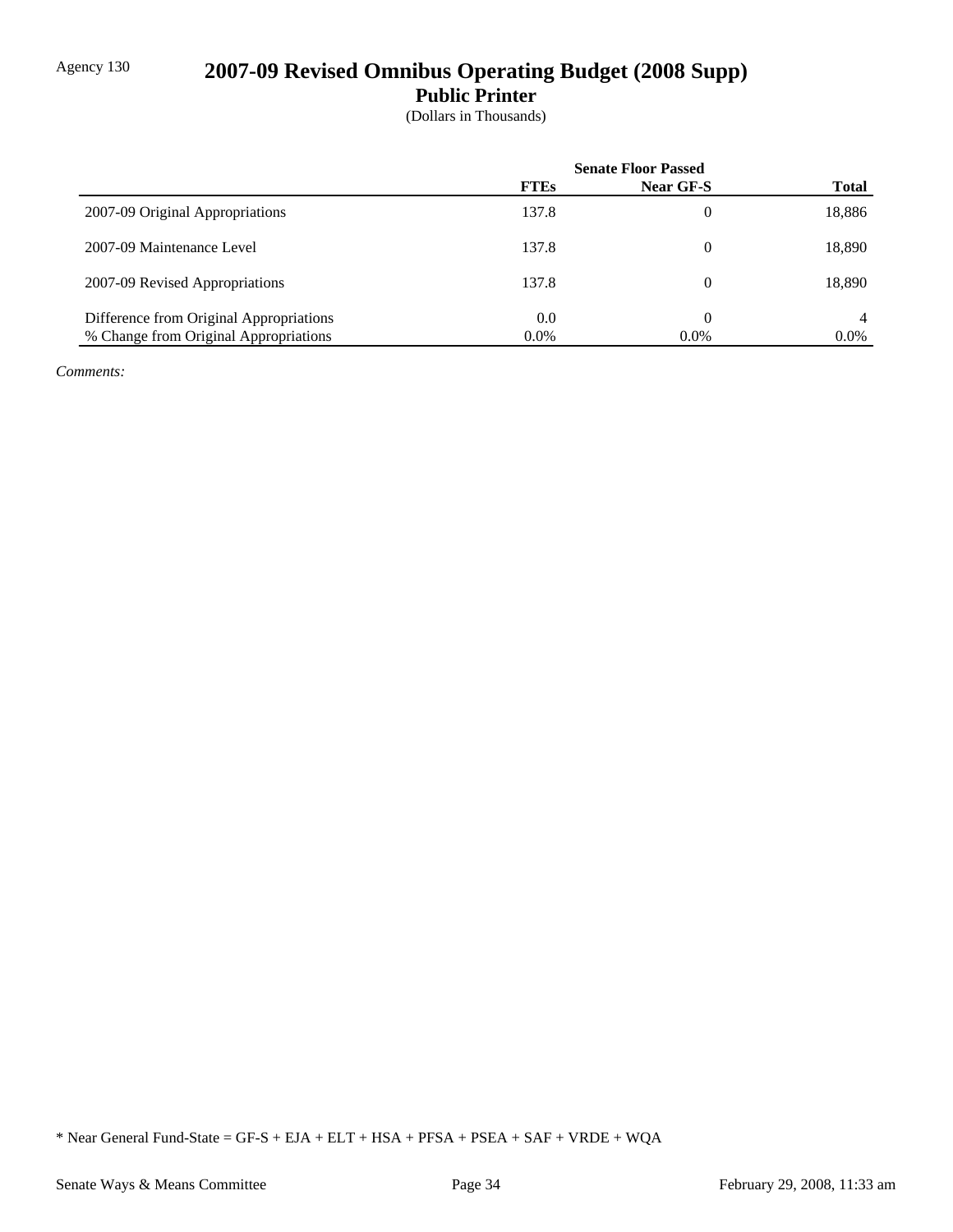# Agency 130 **2007-09 Revised Omnibus Operating Budget (2008 Supp)**

**Public Printer**

(Dollars in Thousands)

|                                         | <b>Senate Floor Passed</b> |                |              |
|-----------------------------------------|----------------------------|----------------|--------------|
|                                         | <b>FTEs</b>                | Near GF-S      | <b>Total</b> |
| 2007-09 Original Appropriations         | 137.8                      | $\overline{0}$ | 18,886       |
| 2007-09 Maintenance Level               | 137.8                      | $\Omega$       | 18,890       |
| 2007-09 Revised Appropriations          | 137.8                      | $\theta$       | 18,890       |
| Difference from Original Appropriations | 0.0                        | $\Omega$       | 4            |
| % Change from Original Appropriations   | $0.0\%$                    | $0.0\%$        | $0.0\%$      |

*Comments:*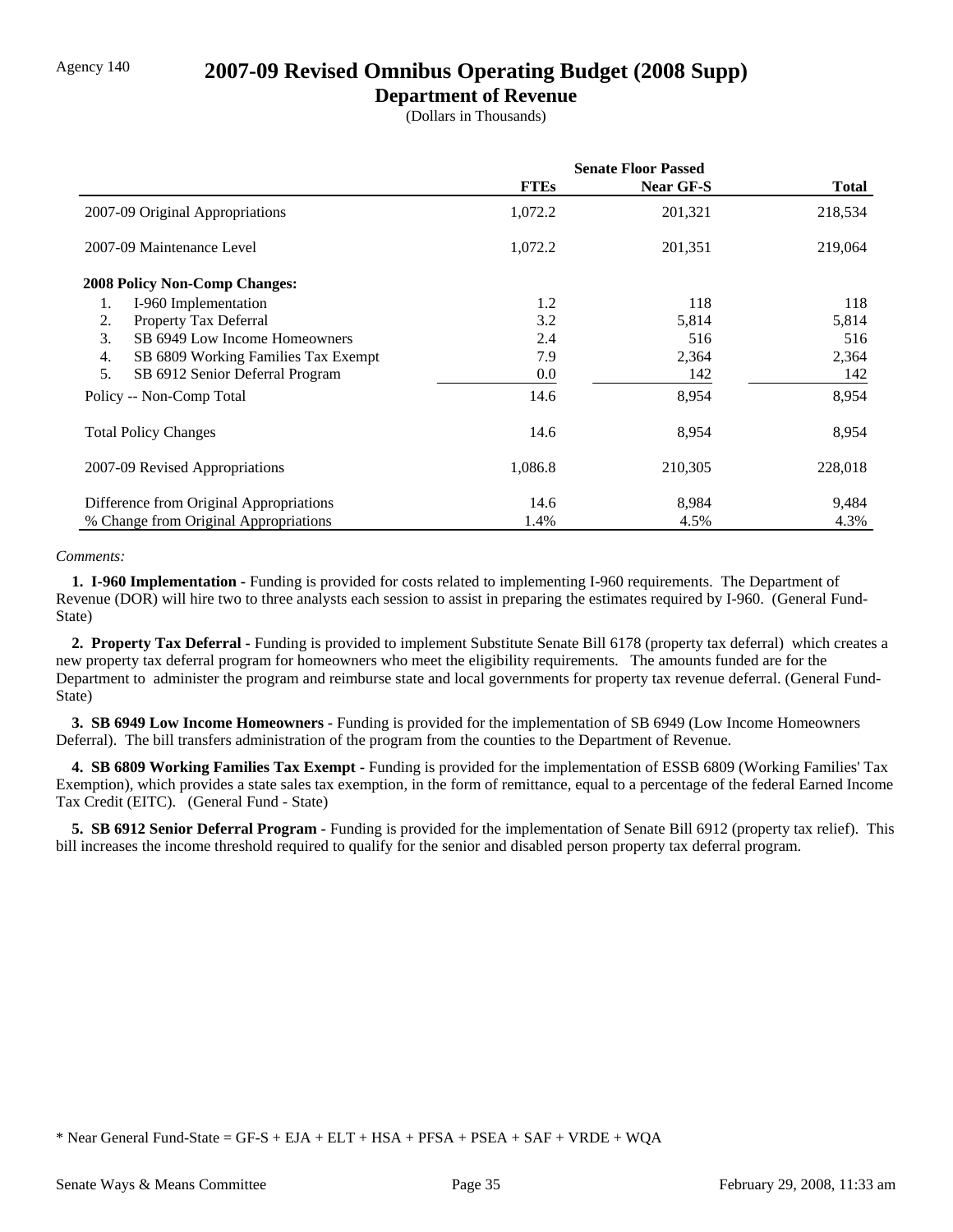### Agency 140 **2007-09 Revised Omnibus Operating Budget (2008 Supp)**

#### **Department of Revenue**

(Dollars in Thousands)

|                                           | <b>Senate Floor Passed</b> |                  |              |
|-------------------------------------------|----------------------------|------------------|--------------|
|                                           | <b>FTEs</b>                | <b>Near GF-S</b> | <b>Total</b> |
| 2007-09 Original Appropriations           | 1,072.2                    | 201,321          | 218,534      |
| 2007-09 Maintenance Level                 | 1,072.2                    | 201,351          | 219,064      |
| <b>2008 Policy Non-Comp Changes:</b>      |                            |                  |              |
| 1.<br>I-960 Implementation                | 1.2                        | 118              | 118          |
| Property Tax Deferral<br>2.               | 3.2                        | 5,814            | 5,814        |
| 3.<br>SB 6949 Low Income Homeowners       | 2.4                        | 516              | 516          |
| 4.<br>SB 6809 Working Families Tax Exempt | 7.9                        | 2,364            | 2,364        |
| 5.<br>SB 6912 Senior Deferral Program     | 0.0                        | 142              | 142          |
| Policy -- Non-Comp Total                  | 14.6                       | 8,954            | 8,954        |
| <b>Total Policy Changes</b>               | 14.6                       | 8,954            | 8,954        |
| 2007-09 Revised Appropriations            | 1,086.8                    | 210,305          | 228,018      |
| Difference from Original Appropriations   | 14.6                       | 8,984            | 9,484        |
| % Change from Original Appropriations     | 1.4%                       | 4.5%             | 4.3%         |

#### *Comments:*

 **1. I-960 Implementation -** Funding is provided for costs related to implementing I-960 requirements. The Department of Revenue (DOR) will hire two to three analysts each session to assist in preparing the estimates required by I-960. (General Fund-State)

 **2. Property Tax Deferral -** Funding is provided to implement Substitute Senate Bill 6178 (property tax deferral) which creates a new property tax deferral program for homeowners who meet the eligibility requirements. The amounts funded are for the Department to administer the program and reimburse state and local governments for property tax revenue deferral. (General Fund-State)

 **3. SB 6949 Low Income Homeowners -** Funding is provided for the implementation of SB 6949 (Low Income Homeowners Deferral). The bill transfers administration of the program from the counties to the Department of Revenue.

 **4. SB 6809 Working Families Tax Exempt -** Funding is provided for the implementation of ESSB 6809 (Working Families' Tax Exemption), which provides a state sales tax exemption, in the form of remittance, equal to a percentage of the federal Earned Income Tax Credit (EITC). (General Fund - State)

 **5. SB 6912 Senior Deferral Program -** Funding is provided for the implementation of Senate Bill 6912 (property tax relief). This bill increases the income threshold required to qualify for the senior and disabled person property tax deferral program.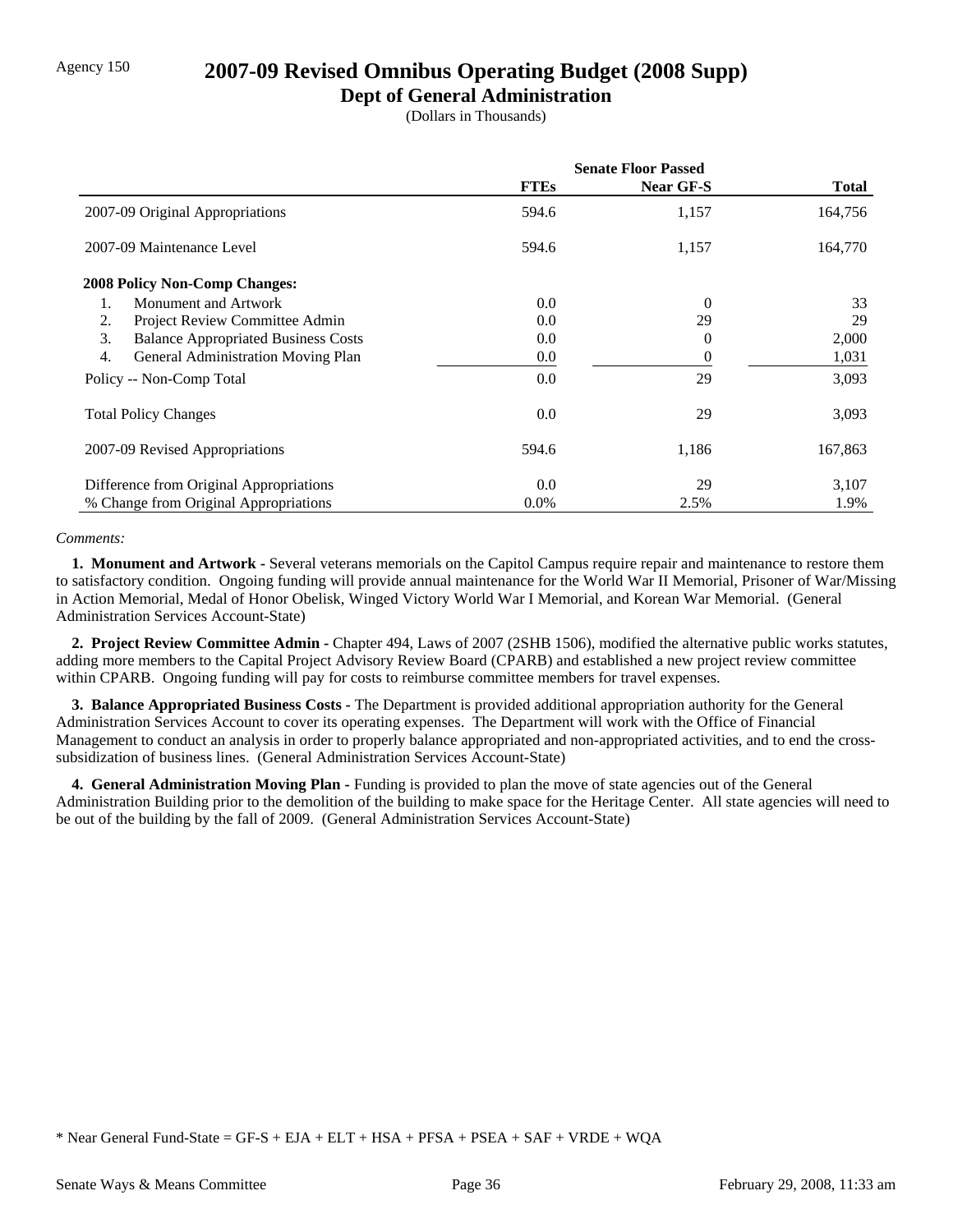### Agency 150 **2007-09 Revised Omnibus Operating Budget (2008 Supp)**

### **Dept of General Administration**

(Dollars in Thousands)

|                                                  | <b>Senate Floor Passed</b> |                  |         |
|--------------------------------------------------|----------------------------|------------------|---------|
|                                                  | <b>FTEs</b>                | <b>Near GF-S</b> | Total   |
| 2007-09 Original Appropriations                  | 594.6                      | 1,157            | 164,756 |
| 2007-09 Maintenance Level                        | 594.6                      | 1,157            | 164,770 |
| 2008 Policy Non-Comp Changes:                    |                            |                  |         |
| Monument and Artwork                             | 0.0                        | $\overline{0}$   | 33      |
| Project Review Committee Admin<br>2.             | 0.0                        | 29               | 29      |
| 3.<br><b>Balance Appropriated Business Costs</b> | 0.0                        | 0                | 2,000   |
| 4.<br>General Administration Moving Plan         | $0.0\,$                    | 0                | 1,031   |
| Policy -- Non-Comp Total                         | 0.0                        | 29               | 3,093   |
| <b>Total Policy Changes</b>                      | 0.0                        | 29               | 3,093   |
| 2007-09 Revised Appropriations                   | 594.6                      | 1,186            | 167,863 |
| Difference from Original Appropriations          | 0.0                        | 29               | 3,107   |
| % Change from Original Appropriations            | $0.0\%$                    | 2.5%             | 1.9%    |

#### *Comments:*

 **1. Monument and Artwork -** Several veterans memorials on the Capitol Campus require repair and maintenance to restore them to satisfactory condition. Ongoing funding will provide annual maintenance for the World War II Memorial, Prisoner of War/Missing in Action Memorial, Medal of Honor Obelisk, Winged Victory World War I Memorial, and Korean War Memorial. (General Administration Services Account-State)

 **2. Project Review Committee Admin -** Chapter 494, Laws of 2007 (2SHB 1506), modified the alternative public works statutes, adding more members to the Capital Project Advisory Review Board (CPARB) and established a new project review committee within CPARB. Ongoing funding will pay for costs to reimburse committee members for travel expenses.

 **3. Balance Appropriated Business Costs -** The Department is provided additional appropriation authority for the General Administration Services Account to cover its operating expenses. The Department will work with the Office of Financial Management to conduct an analysis in order to properly balance appropriated and non-appropriated activities, and to end the crosssubsidization of business lines. (General Administration Services Account-State)

 **4. General Administration Moving Plan -** Funding is provided to plan the move of state agencies out of the General Administration Building prior to the demolition of the building to make space for the Heritage Center. All state agencies will need to be out of the building by the fall of 2009. (General Administration Services Account-State)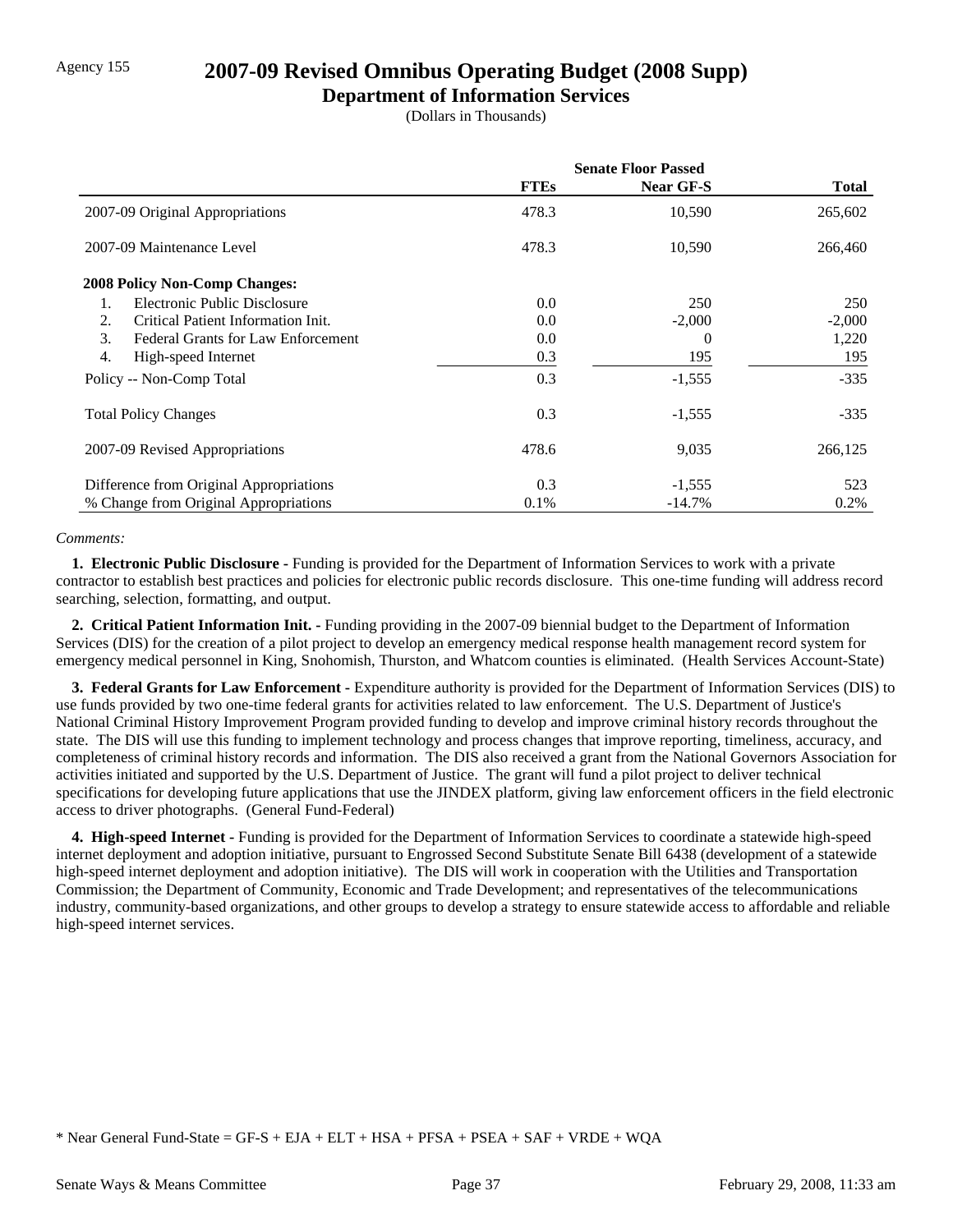## Agency 155 **2007-09 Revised Omnibus Operating Budget (2008 Supp)**

### **Department of Information Services**

(Dollars in Thousands)

|                                                 | <b>Senate Floor Passed</b> |                  |          |
|-------------------------------------------------|----------------------------|------------------|----------|
|                                                 | <b>FTEs</b>                | <b>Near GF-S</b> | Total    |
| 2007-09 Original Appropriations                 | 478.3                      | 10,590           | 265,602  |
| 2007-09 Maintenance Level                       | 478.3                      | 10,590           | 266,460  |
| <b>2008 Policy Non-Comp Changes:</b>            |                            |                  |          |
| Electronic Public Disclosure                    | 0.0                        | 250              | 250      |
| Critical Patient Information Init.<br>2.        | 0.0                        | $-2,000$         | $-2,000$ |
| 3.<br><b>Federal Grants for Law Enforcement</b> | 0.0                        | 0                | 1,220    |
| 4.<br>High-speed Internet                       | 0.3                        | 195              | 195      |
| Policy -- Non-Comp Total                        | 0.3                        | $-1,555$         | $-335$   |
| <b>Total Policy Changes</b>                     | 0.3                        | $-1,555$         | $-335$   |
| 2007-09 Revised Appropriations                  | 478.6                      | 9,035            | 266,125  |
| Difference from Original Appropriations         | 0.3                        | $-1,555$         | 523      |
| % Change from Original Appropriations           | 0.1%                       | $-14.7\%$        | $0.2\%$  |

#### *Comments:*

 **1. Electronic Public Disclosure -** Funding is provided for the Department of Information Services to work with a private contractor to establish best practices and policies for electronic public records disclosure. This one-time funding will address record searching, selection, formatting, and output.

 **2. Critical Patient Information Init. -** Funding providing in the 2007-09 biennial budget to the Department of Information Services (DIS) for the creation of a pilot project to develop an emergency medical response health management record system for emergency medical personnel in King, Snohomish, Thurston, and Whatcom counties is eliminated. (Health Services Account-State)

 **3. Federal Grants for Law Enforcement -** Expenditure authority is provided for the Department of Information Services (DIS) to use funds provided by two one-time federal grants for activities related to law enforcement. The U.S. Department of Justice's National Criminal History Improvement Program provided funding to develop and improve criminal history records throughout the state. The DIS will use this funding to implement technology and process changes that improve reporting, timeliness, accuracy, and completeness of criminal history records and information. The DIS also received a grant from the National Governors Association for activities initiated and supported by the U.S. Department of Justice. The grant will fund a pilot project to deliver technical specifications for developing future applications that use the JINDEX platform, giving law enforcement officers in the field electronic access to driver photographs. (General Fund-Federal)

 **4. High-speed Internet -** Funding is provided for the Department of Information Services to coordinate a statewide high-speed internet deployment and adoption initiative, pursuant to Engrossed Second Substitute Senate Bill 6438 (development of a statewide high-speed internet deployment and adoption initiative). The DIS will work in cooperation with the Utilities and Transportation Commission; the Department of Community, Economic and Trade Development; and representatives of the telecommunications industry, community-based organizations, and other groups to develop a strategy to ensure statewide access to affordable and reliable high-speed internet services.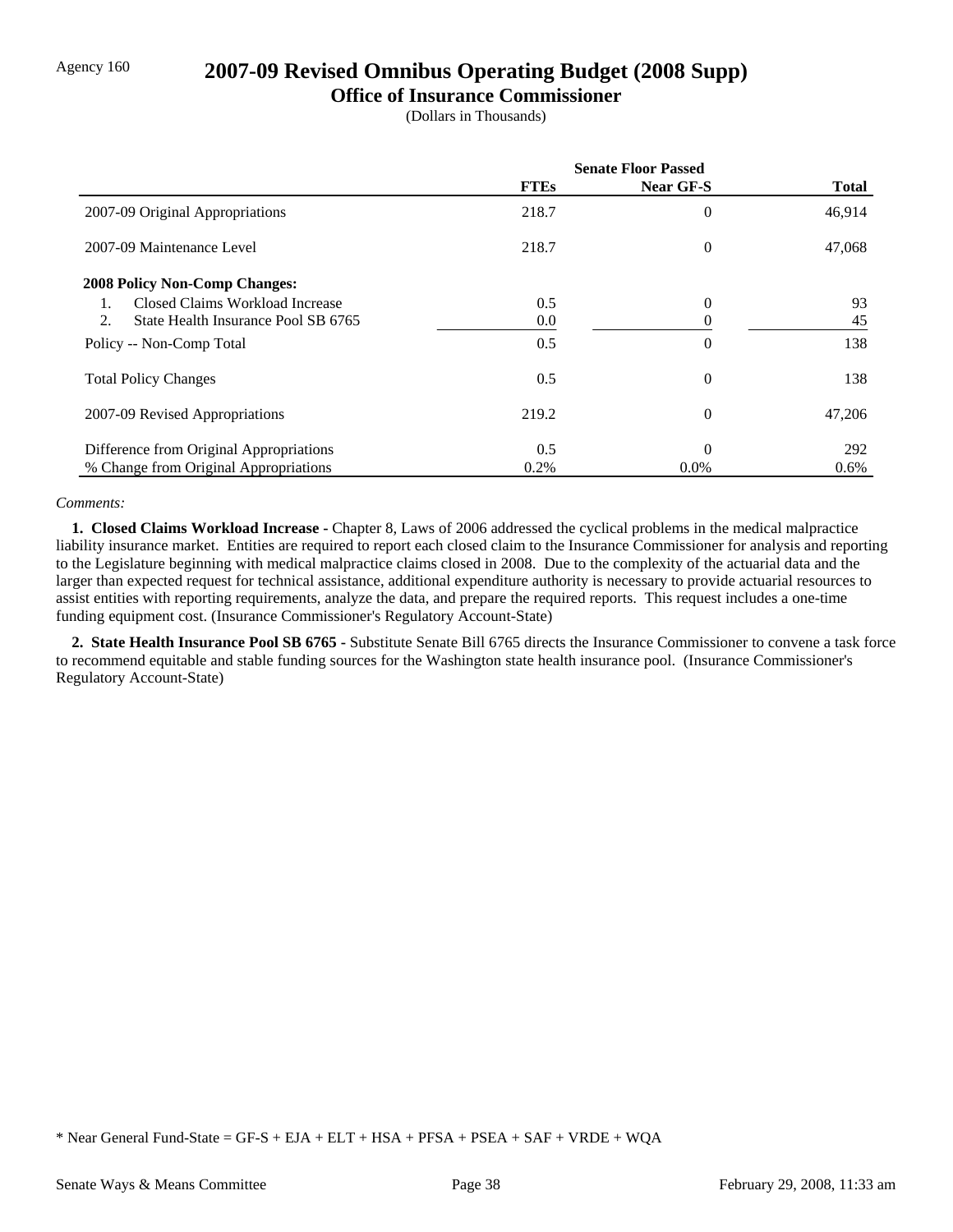### Agency 160 **2007-09 Revised Omnibus Operating Budget (2008 Supp)**

#### **Office of Insurance Commissioner**

(Dollars in Thousands)

|                                           | <b>Senate Floor Passed</b> |                  |              |
|-------------------------------------------|----------------------------|------------------|--------------|
|                                           | <b>FTEs</b>                | <b>Near GF-S</b> | <b>Total</b> |
| 2007-09 Original Appropriations           | 218.7                      | 0                | 46,914       |
| 2007-09 Maintenance Level                 | 218.7                      | $\overline{0}$   | 47,068       |
| <b>2008 Policy Non-Comp Changes:</b>      |                            |                  |              |
| Closed Claims Workload Increase           | 0.5                        | 0                | 93           |
| 2.<br>State Health Insurance Pool SB 6765 | 0.0                        | 0                | 45           |
| Policy -- Non-Comp Total                  | 0.5                        | 0                | 138          |
| <b>Total Policy Changes</b>               | 0.5                        | $\overline{0}$   | 138          |
| 2007-09 Revised Appropriations            | 219.2                      | $\overline{0}$   | 47,206       |
| Difference from Original Appropriations   | 0.5                        | $\Omega$         | 292          |
| % Change from Original Appropriations     | 0.2%                       | $0.0\%$          | $0.6\%$      |

#### *Comments:*

 **1. Closed Claims Workload Increase -** Chapter 8, Laws of 2006 addressed the cyclical problems in the medical malpractice liability insurance market. Entities are required to report each closed claim to the Insurance Commissioner for analysis and reporting to the Legislature beginning with medical malpractice claims closed in 2008. Due to the complexity of the actuarial data and the larger than expected request for technical assistance, additional expenditure authority is necessary to provide actuarial resources to assist entities with reporting requirements, analyze the data, and prepare the required reports. This request includes a one-time funding equipment cost. (Insurance Commissioner's Regulatory Account-State)

 **2. State Health Insurance Pool SB 6765 -** Substitute Senate Bill 6765 directs the Insurance Commissioner to convene a task force to recommend equitable and stable funding sources for the Washington state health insurance pool. (Insurance Commissioner's Regulatory Account-State)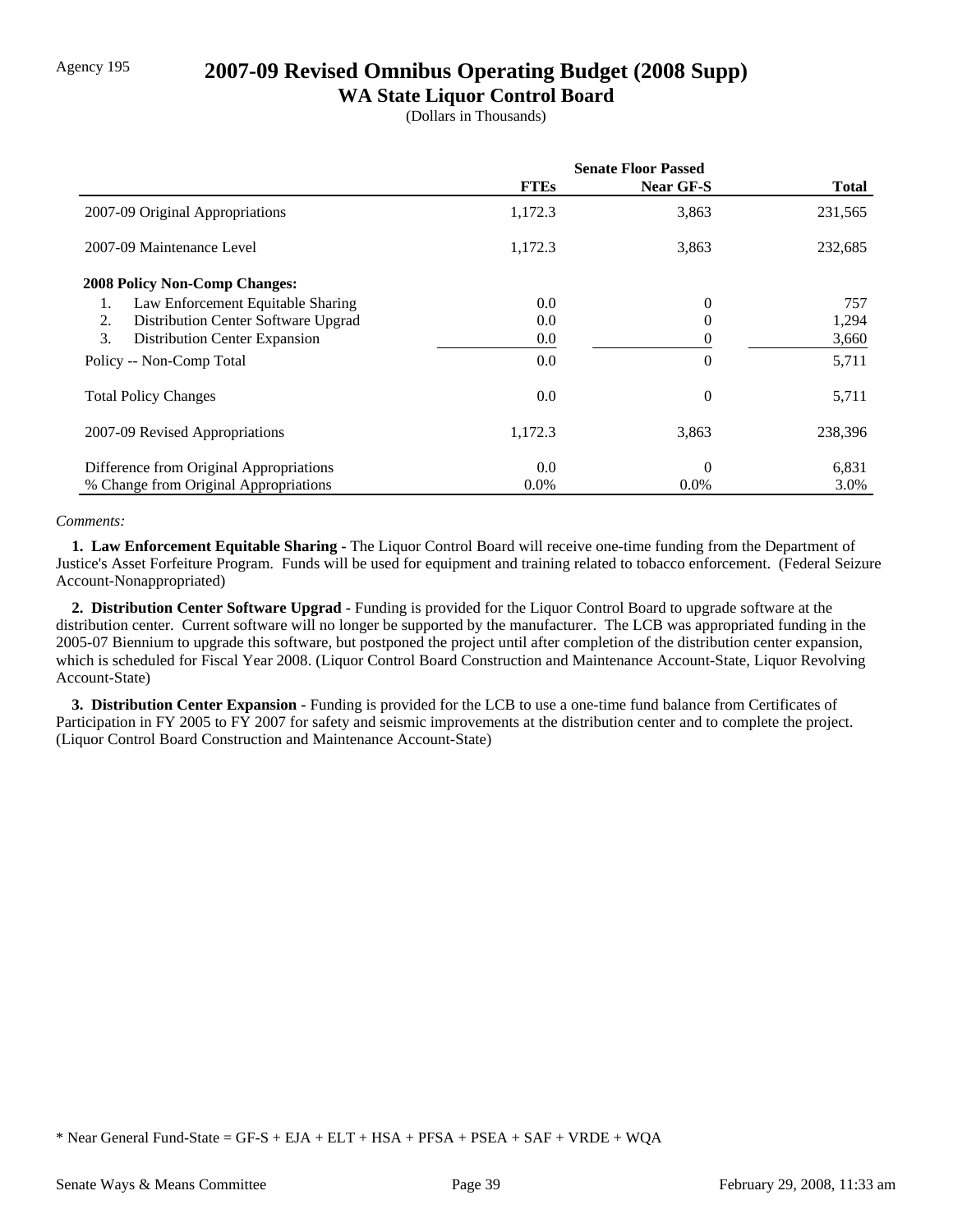## Agency 195 **2007-09 Revised Omnibus Operating Budget (2008 Supp)**

### **WA State Liquor Control Board**

(Dollars in Thousands)

|                                           | <b>Senate Floor Passed</b> |                  |              |
|-------------------------------------------|----------------------------|------------------|--------------|
|                                           | <b>FTEs</b>                | <b>Near GF-S</b> | <b>Total</b> |
| 2007-09 Original Appropriations           | 1,172.3                    | 3,863            | 231,565      |
| 2007-09 Maintenance Level                 | 1,172.3                    | 3,863            | 232,685      |
| <b>2008 Policy Non-Comp Changes:</b>      |                            |                  |              |
| Law Enforcement Equitable Sharing         | 0.0                        | 0                | 757          |
| Distribution Center Software Upgrad<br>2. | 0.0                        | 0                | 1,294        |
| 3.<br>Distribution Center Expansion       | 0.0                        | 0                | 3,660        |
| Policy -- Non-Comp Total                  | 0.0                        | 0                | 5,711        |
| <b>Total Policy Changes</b>               | 0.0                        | 0                | 5,711        |
| 2007-09 Revised Appropriations            | 1,172.3                    | 3,863            | 238,396      |
| Difference from Original Appropriations   | 0.0                        | 0                | 6,831        |
| % Change from Original Appropriations     | $0.0\%$                    | $0.0\%$          | 3.0%         |

#### *Comments:*

 **1. Law Enforcement Equitable Sharing -** The Liquor Control Board will receive one-time funding from the Department of Justice's Asset Forfeiture Program. Funds will be used for equipment and training related to tobacco enforcement. (Federal Seizure Account-Nonappropriated)

 **2. Distribution Center Software Upgrad -** Funding is provided for the Liquor Control Board to upgrade software at the distribution center. Current software will no longer be supported by the manufacturer. The LCB was appropriated funding in the 2005-07 Biennium to upgrade this software, but postponed the project until after completion of the distribution center expansion, which is scheduled for Fiscal Year 2008. (Liquor Control Board Construction and Maintenance Account-State, Liquor Revolving Account-State)

 **3. Distribution Center Expansion -** Funding is provided for the LCB to use a one-time fund balance from Certificates of Participation in FY 2005 to FY 2007 for safety and seismic improvements at the distribution center and to complete the project. (Liquor Control Board Construction and Maintenance Account-State)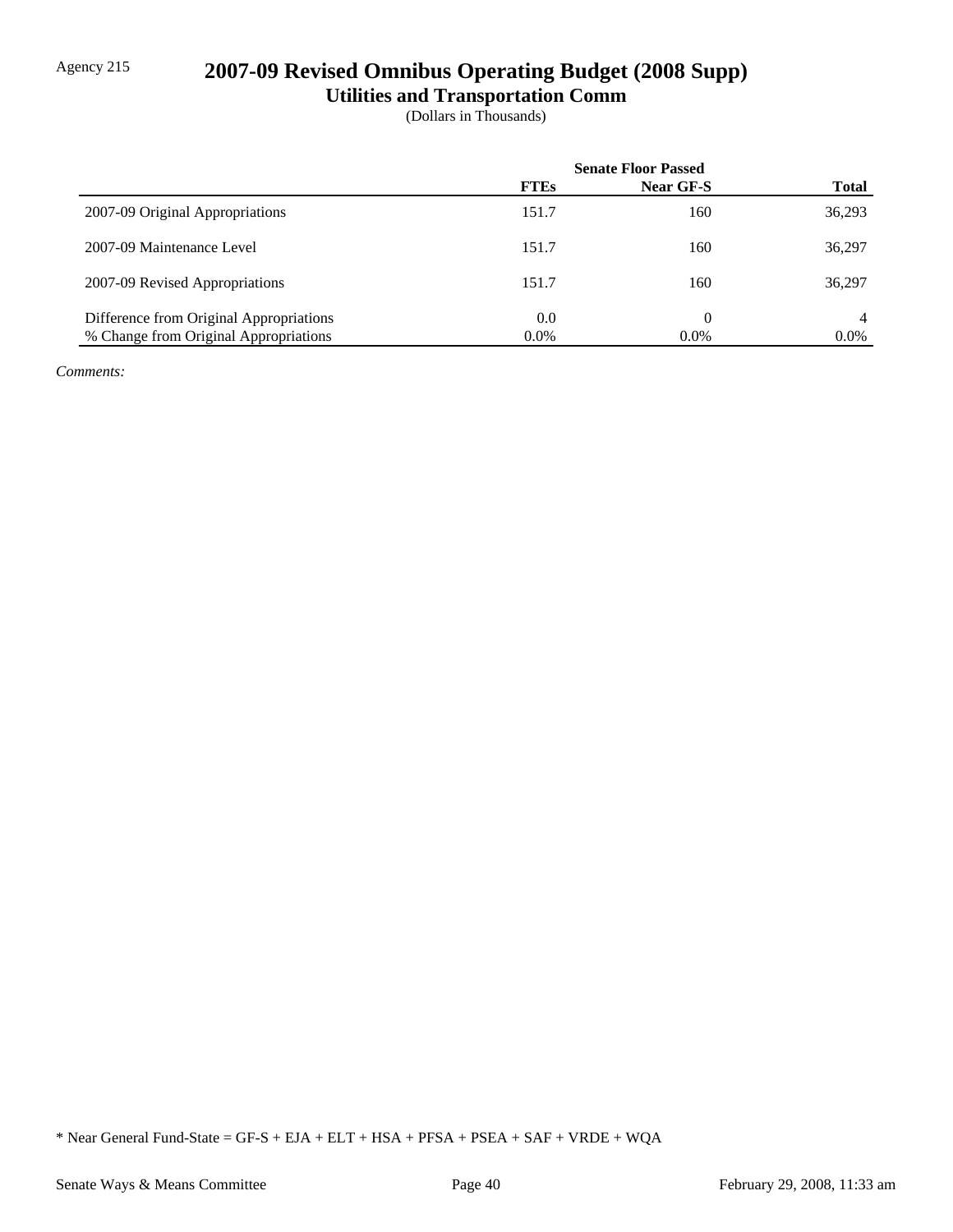# Agency 215 **2007-09 Revised Omnibus Operating Budget (2008 Supp)**

**Utilities and Transportation Comm**

(Dollars in Thousands)

|                                         | <b>Senate Floor Passed</b> |           |              |
|-----------------------------------------|----------------------------|-----------|--------------|
|                                         | <b>FTEs</b>                | Near GF-S | <b>Total</b> |
| 2007-09 Original Appropriations         | 151.7                      | 160       | 36,293       |
| 2007-09 Maintenance Level               | 151.7                      | 160       | 36,297       |
| 2007-09 Revised Appropriations          | 151.7                      | 160       | 36,297       |
| Difference from Original Appropriations | 0.0                        | 0         | 4            |
| % Change from Original Appropriations   | $0.0\%$                    | $0.0\%$   | $0.0\%$      |

*Comments:*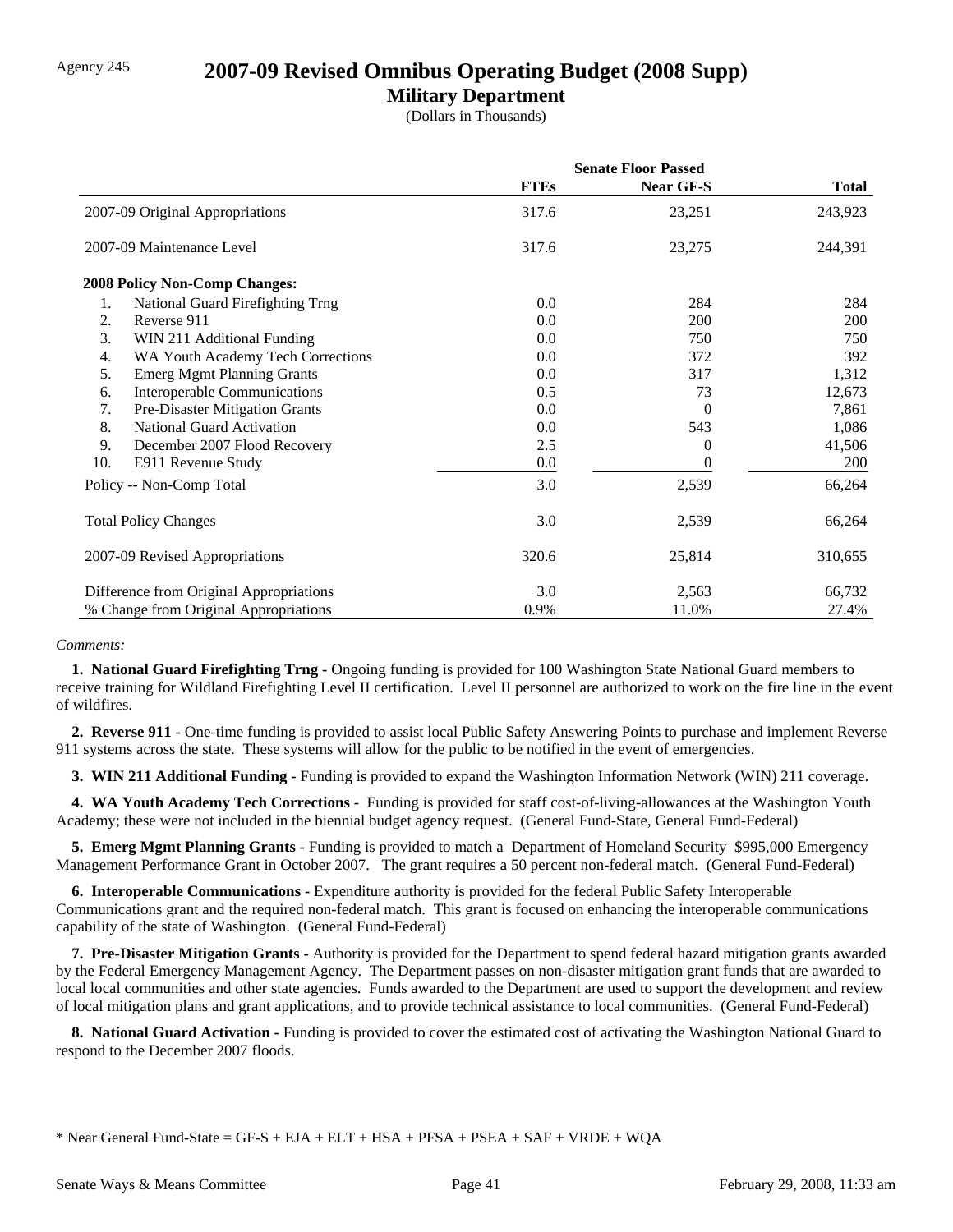### Agency 245 **2007-09 Revised Omnibus Operating Budget (2008 Supp)**

### **Military Department**

(Dollars in Thousands)

|     |                                         | <b>Senate Floor Passed</b> |           |              |
|-----|-----------------------------------------|----------------------------|-----------|--------------|
|     |                                         | <b>FTEs</b>                | Near GF-S | <b>Total</b> |
|     | 2007-09 Original Appropriations         | 317.6                      | 23,251    | 243,923      |
|     | 2007-09 Maintenance Level               | 317.6                      | 23,275    | 244,391      |
|     | <b>2008 Policy Non-Comp Changes:</b>    |                            |           |              |
| 1.  | National Guard Firefighting Trng        | 0.0                        | 284       | 284          |
| 2.  | Reverse 911                             | $0.0\,$                    | 200       | 200          |
| 3.  | WIN 211 Additional Funding              | 0.0                        | 750       | 750          |
| 4.  | WA Youth Academy Tech Corrections       | 0.0                        | 372       | 392          |
| 5.  | <b>Emerg Mgmt Planning Grants</b>       | 0.0                        | 317       | 1,312        |
| 6.  | Interoperable Communications            | 0.5                        | 73        | 12,673       |
| 7.  | Pre-Disaster Mitigation Grants          | 0.0                        | 0         | 7,861        |
| 8.  | <b>National Guard Activation</b>        | 0.0                        | 543       | 1,086        |
| 9.  | December 2007 Flood Recovery            | 2.5                        | 0         | 41,506       |
| 10. | E911 Revenue Study                      | 0.0                        | 0         | <b>200</b>   |
|     | Policy -- Non-Comp Total                | 3.0                        | 2,539     | 66,264       |
|     | <b>Total Policy Changes</b>             | 3.0                        | 2,539     | 66,264       |
|     | 2007-09 Revised Appropriations          | 320.6                      | 25,814    | 310,655      |
|     | Difference from Original Appropriations | 3.0                        | 2,563     | 66,732       |
|     | % Change from Original Appropriations   | 0.9%                       | 11.0%     | 27.4%        |

#### *Comments:*

 **1. National Guard Firefighting Trng -** Ongoing funding is provided for 100 Washington State National Guard members to receive training for Wildland Firefighting Level II certification. Level II personnel are authorized to work on the fire line in the event of wildfires.

 **2. Reverse 911 -** One-time funding is provided to assist local Public Safety Answering Points to purchase and implement Reverse 911 systems across the state. These systems will allow for the public to be notified in the event of emergencies.

 **3. WIN 211 Additional Funding -** Funding is provided to expand the Washington Information Network (WIN) 211 coverage.

 **4. WA Youth Academy Tech Corrections -** Funding is provided for staff cost-of-living-allowances at the Washington Youth Academy; these were not included in the biennial budget agency request. (General Fund-State, General Fund-Federal)

 **5. Emerg Mgmt Planning Grants -** Funding is provided to match a Department of Homeland Security \$995,000 Emergency Management Performance Grant in October 2007. The grant requires a 50 percent non-federal match. (General Fund-Federal)

 **6. Interoperable Communications -** Expenditure authority is provided for the federal Public Safety Interoperable Communications grant and the required non-federal match. This grant is focused on enhancing the interoperable communications capability of the state of Washington. (General Fund-Federal)

 **7. Pre-Disaster Mitigation Grants -** Authority is provided for the Department to spend federal hazard mitigation grants awarded by the Federal Emergency Management Agency. The Department passes on non-disaster mitigation grant funds that are awarded to local local communities and other state agencies. Funds awarded to the Department are used to support the development and review of local mitigation plans and grant applications, and to provide technical assistance to local communities. (General Fund-Federal)

 **8. National Guard Activation -** Funding is provided to cover the estimated cost of activating the Washington National Guard to respond to the December 2007 floods.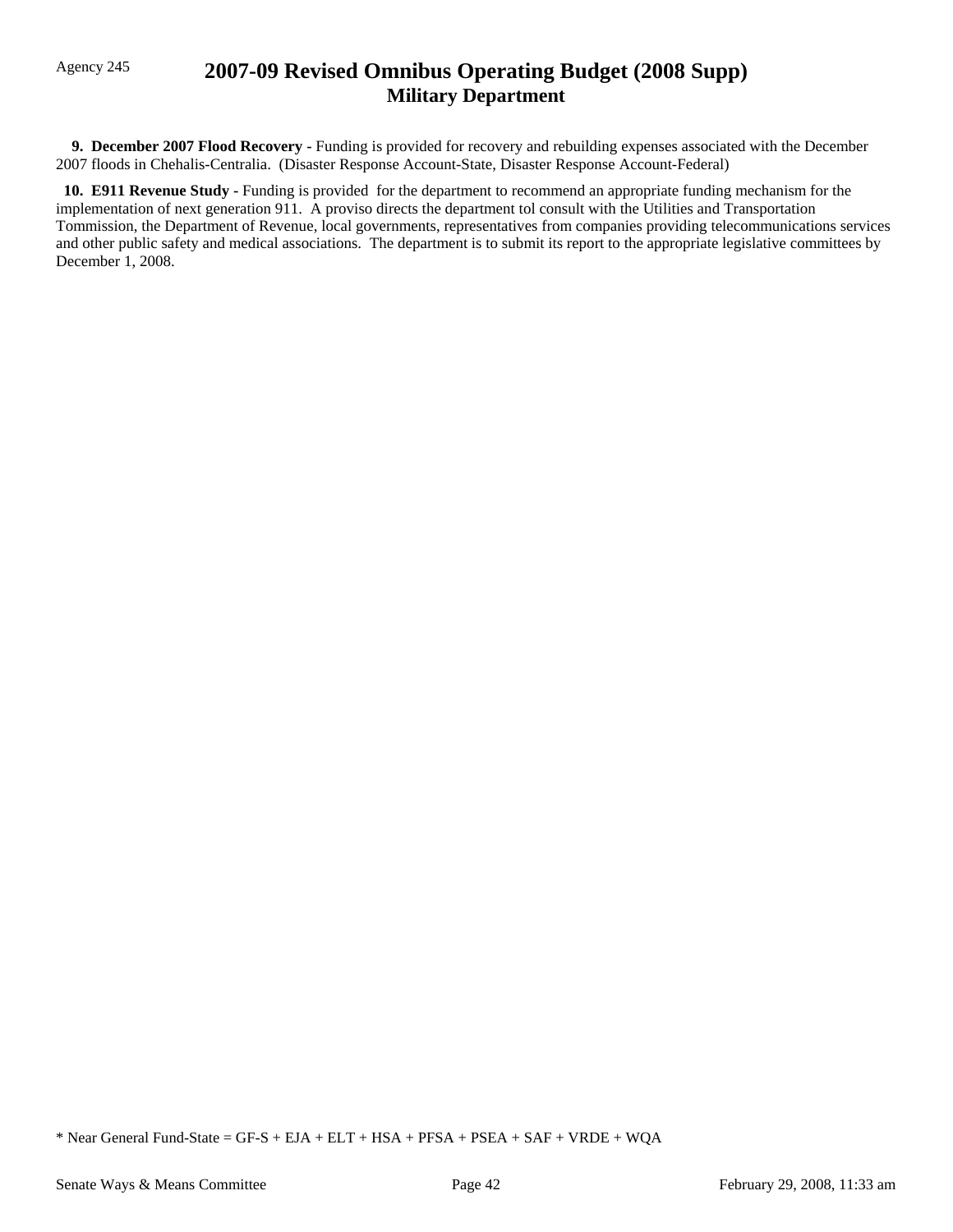## Agency 245 **2007-09 Revised Omnibus Operating Budget (2008 Supp) Military Department**

 **9. December 2007 Flood Recovery -** Funding is provided for recovery and rebuilding expenses associated with the December 2007 floods in Chehalis-Centralia. (Disaster Response Account-State, Disaster Response Account-Federal)

 **10. E911 Revenue Study -** Funding is provided for the department to recommend an appropriate funding mechanism for the implementation of next generation 911. A proviso directs the department tol consult with the Utilities and Transportation Tommission, the Department of Revenue, local governments, representatives from companies providing telecommunications services and other public safety and medical associations. The department is to submit its report to the appropriate legislative committees by December 1, 2008.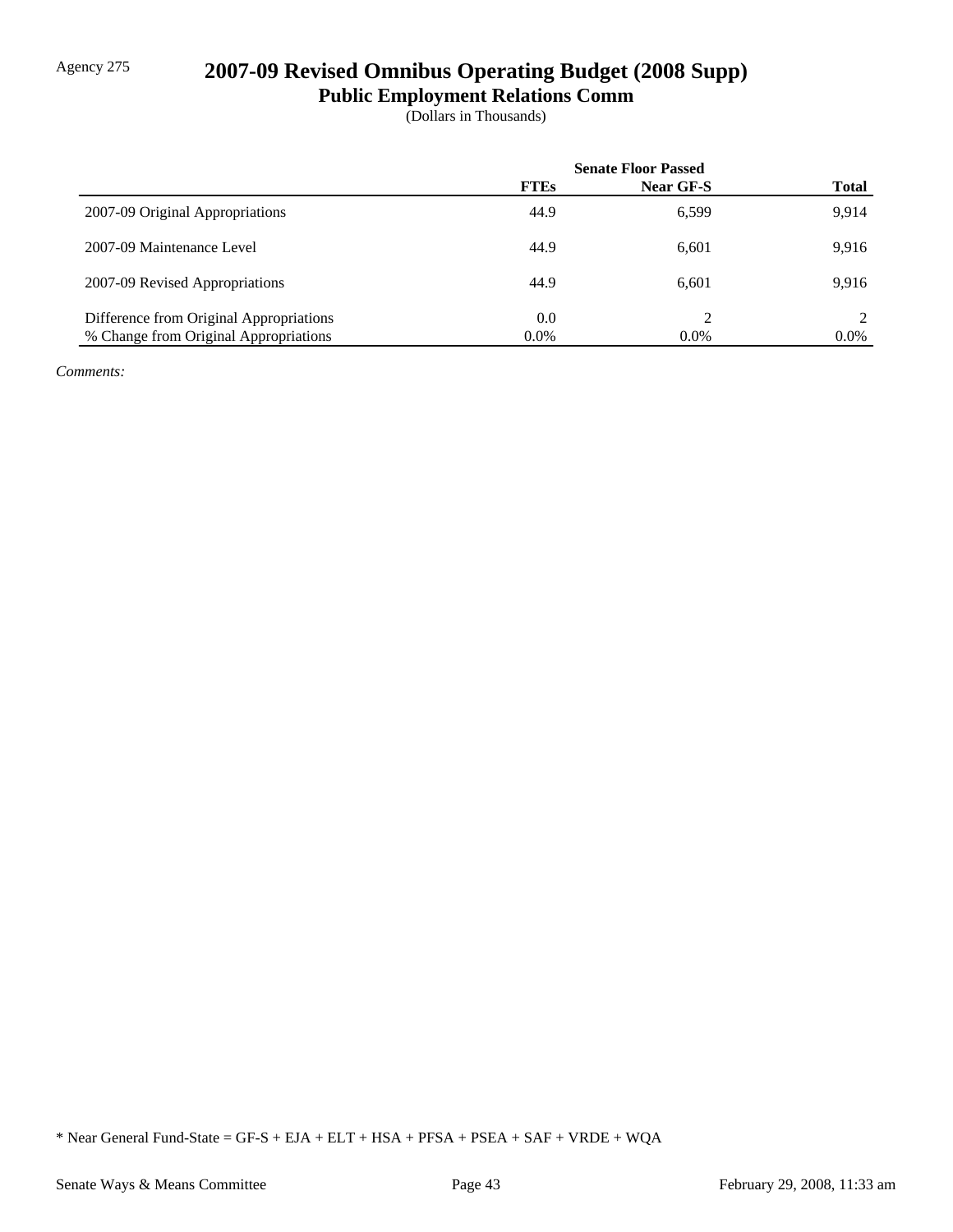# Agency 275 **2007-09 Revised Omnibus Operating Budget (2008 Supp)**

**Public Employment Relations Comm**

(Dollars in Thousands)

|                                         | <b>Senate Floor Passed</b> |           |              |
|-----------------------------------------|----------------------------|-----------|--------------|
|                                         | <b>FTEs</b>                | Near GF-S | <b>Total</b> |
| 2007-09 Original Appropriations         | 44.9                       | 6,599     | 9.914        |
| 2007-09 Maintenance Level               | 44.9                       | 6,601     | 9.916        |
| 2007-09 Revised Appropriations          | 44.9                       | 6.601     | 9.916        |
| Difference from Original Appropriations | 0.0                        |           |              |
| % Change from Original Appropriations   | $0.0\%$                    | $0.0\%$   | $0.0\%$      |

*Comments:*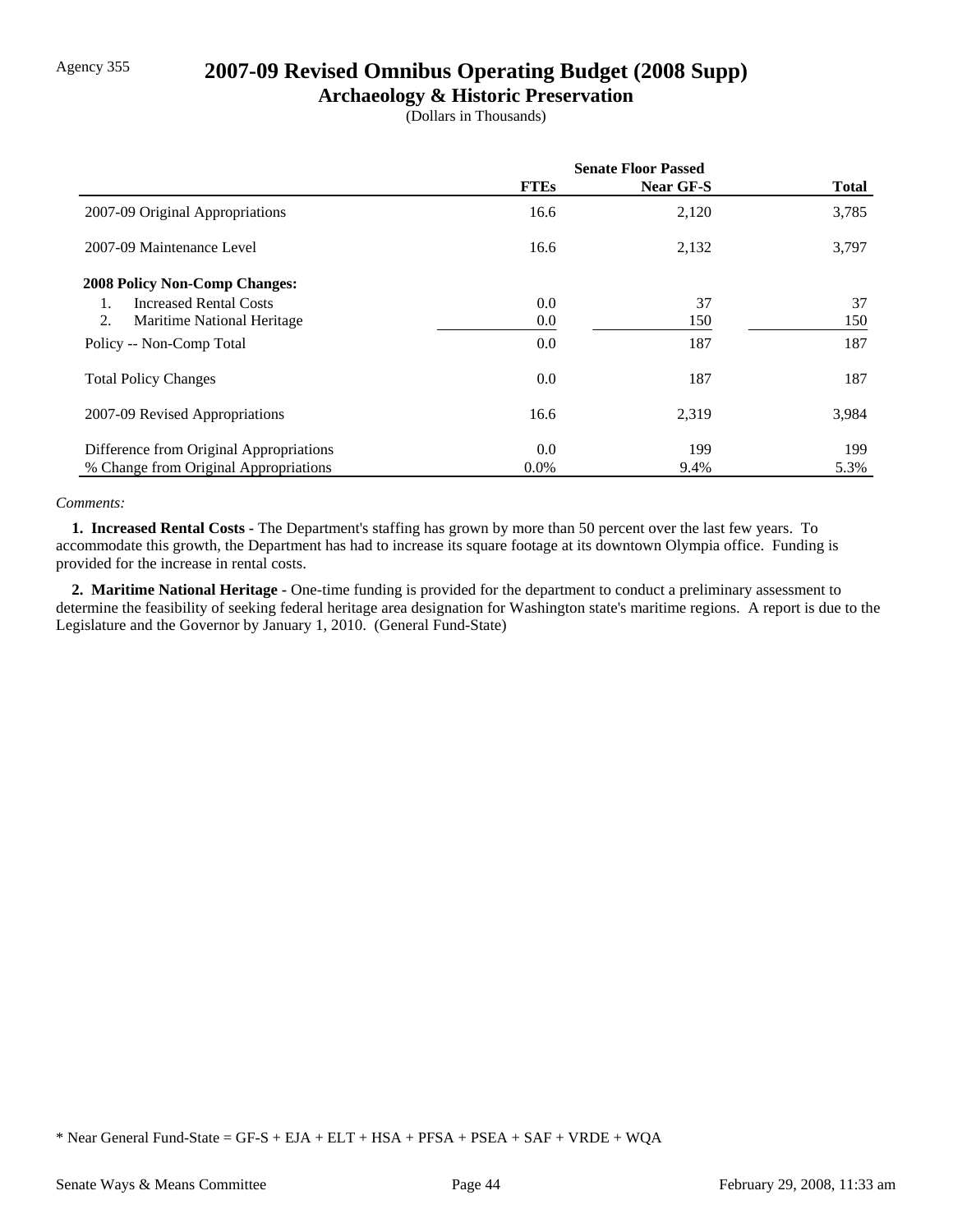## Agency 355 **2007-09 Revised Omnibus Operating Budget (2008 Supp)**

### **Archaeology & Historic Preservation**

(Dollars in Thousands)

|                                         | <b>Senate Floor Passed</b> |           |              |
|-----------------------------------------|----------------------------|-----------|--------------|
|                                         | <b>FTEs</b>                | Near GF-S | <b>Total</b> |
| 2007-09 Original Appropriations         | 16.6                       | 2,120     | 3,785        |
| 2007-09 Maintenance Level               | 16.6                       | 2,132     | 3,797        |
| <b>2008 Policy Non-Comp Changes:</b>    |                            |           |              |
| <b>Increased Rental Costs</b><br>1.     | 0.0                        | 37        | 37           |
| 2.<br>Maritime National Heritage        | 0.0                        | 150       | 150          |
| Policy -- Non-Comp Total                | 0.0                        | 187       | 187          |
| <b>Total Policy Changes</b>             | 0.0                        | 187       | 187          |
| 2007-09 Revised Appropriations          | 16.6                       | 2,319     | 3,984        |
| Difference from Original Appropriations | 0.0                        | 199       | 199          |
| % Change from Original Appropriations   | $0.0\%$                    | 9.4%      | 5.3%         |

#### *Comments:*

 **1. Increased Rental Costs -** The Department's staffing has grown by more than 50 percent over the last few years. To accommodate this growth, the Department has had to increase its square footage at its downtown Olympia office. Funding is provided for the increase in rental costs.

 **2. Maritime National Heritage -** One-time funding is provided for the department to conduct a preliminary assessment to determine the feasibility of seeking federal heritage area designation for Washington state's maritime regions. A report is due to the Legislature and the Governor by January 1, 2010. (General Fund-State)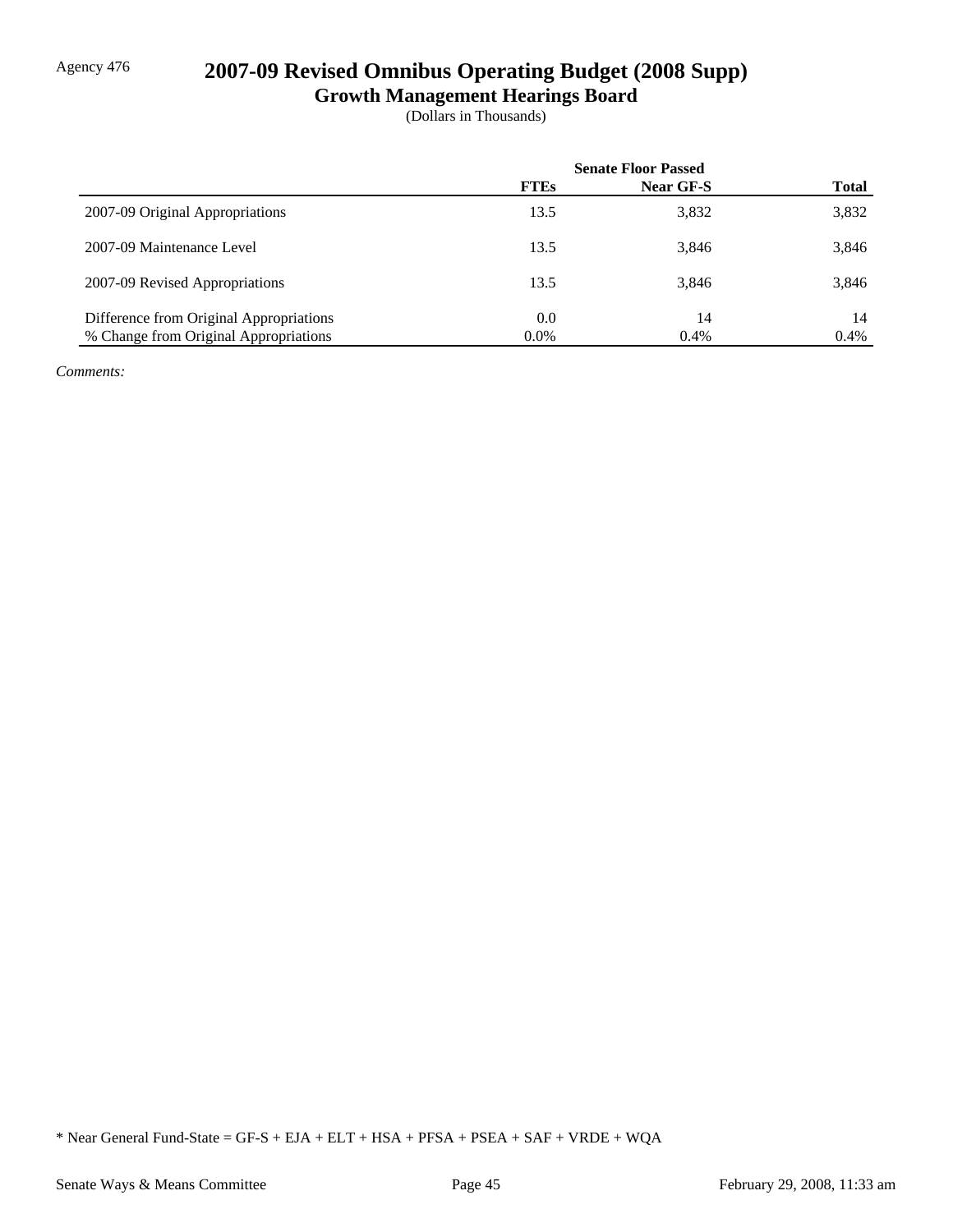# Agency 476 **2007-09 Revised Omnibus Operating Budget (2008 Supp)**

**Growth Management Hearings Board**

(Dollars in Thousands)

|                                         | <b>Senate Floor Passed</b> |                  |              |
|-----------------------------------------|----------------------------|------------------|--------------|
|                                         | <b>FTEs</b>                | <b>Near GF-S</b> | <b>Total</b> |
| 2007-09 Original Appropriations         | 13.5                       | 3,832            | 3,832        |
| 2007-09 Maintenance Level               | 13.5                       | 3.846            | 3,846        |
| 2007-09 Revised Appropriations          | 13.5                       | 3,846            | 3,846        |
| Difference from Original Appropriations | $0.0\,$                    | 14               | 14           |
| % Change from Original Appropriations   | $0.0\%$                    | 0.4%             | 0.4%         |

*Comments:*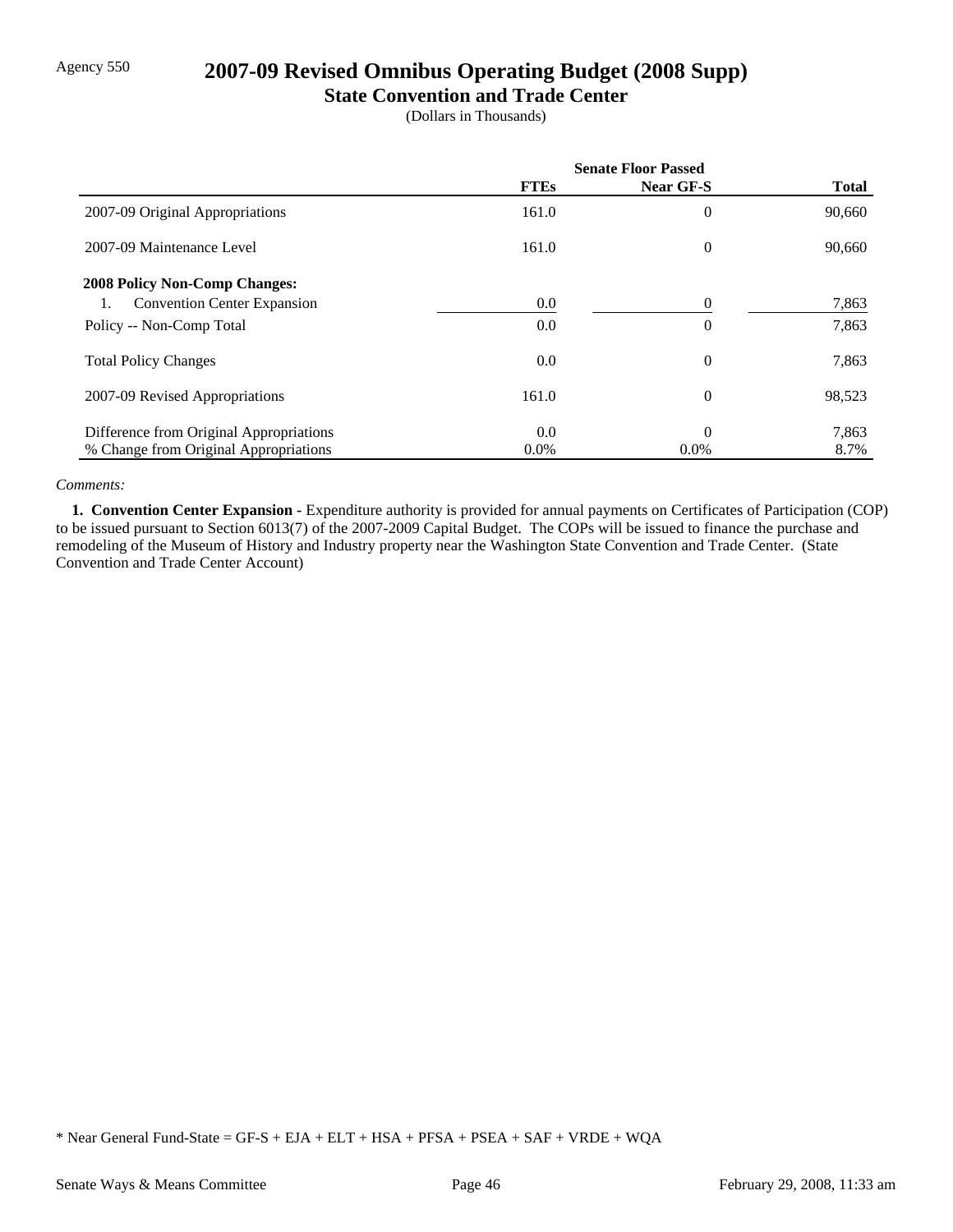## Agency 550 **2007-09 Revised Omnibus Operating Budget (2008 Supp)**

#### **State Convention and Trade Center**

(Dollars in Thousands)

|                                         | <b>Senate Floor Passed</b> |                |              |
|-----------------------------------------|----------------------------|----------------|--------------|
|                                         | <b>FTEs</b>                | Near GF-S      | <b>Total</b> |
| 2007-09 Original Appropriations         | 161.0                      | $\overline{0}$ | 90,660       |
| 2007-09 Maintenance Level               | 161.0                      | $\overline{0}$ | 90,660       |
| <b>2008 Policy Non-Comp Changes:</b>    |                            |                |              |
| <b>Convention Center Expansion</b>      | 0.0                        | 0              | 7,863        |
| Policy -- Non-Comp Total                | 0.0                        | $\overline{0}$ | 7,863        |
| <b>Total Policy Changes</b>             | 0.0                        | $\overline{0}$ | 7,863        |
| 2007-09 Revised Appropriations          | 161.0                      | $\overline{0}$ | 98,523       |
| Difference from Original Appropriations | 0.0                        | $\theta$       | 7,863        |
| % Change from Original Appropriations   | $0.0\%$                    | $0.0\%$        | 8.7%         |

#### *Comments:*

 **1. Convention Center Expansion -** Expenditure authority is provided for annual payments on Certificates of Participation (COP) to be issued pursuant to Section 6013(7) of the 2007-2009 Capital Budget. The COPs will be issued to finance the purchase and remodeling of the Museum of History and Industry property near the Washington State Convention and Trade Center. (State Convention and Trade Center Account)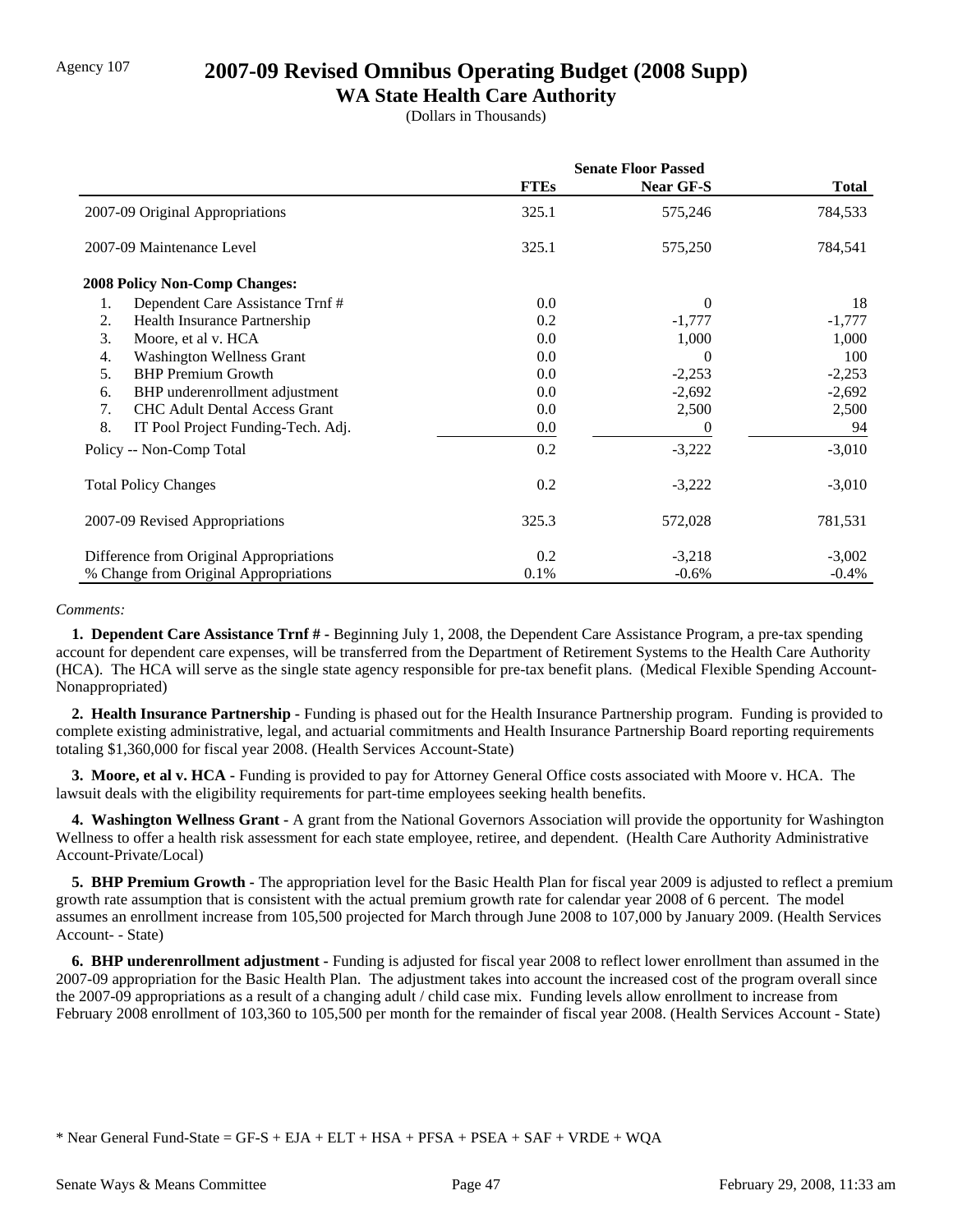## Agency 107 **2007-09 Revised Omnibus Operating Budget (2008 Supp)**

### **WA State Health Care Authority**

(Dollars in Thousands)

|                                            | <b>Senate Floor Passed</b> |           |              |
|--------------------------------------------|----------------------------|-----------|--------------|
|                                            | <b>FTEs</b>                | Near GF-S | <b>Total</b> |
| 2007-09 Original Appropriations            | 325.1                      | 575,246   | 784,533      |
| 2007-09 Maintenance Level                  | 325.1                      | 575,250   | 784,541      |
| <b>2008 Policy Non-Comp Changes:</b>       |                            |           |              |
| Dependent Care Assistance Trnf#<br>1.      | $0.0\,$                    | $\theta$  | 18           |
| 2.<br>Health Insurance Partnership         | 0.2                        | $-1,777$  | $-1,777$     |
| 3.<br>Moore, et al v. HCA                  | 0.0                        | 1,000     | 1,000        |
| <b>Washington Wellness Grant</b><br>4.     | 0.0                        | 0         | 100          |
| <b>BHP</b> Premium Growth<br>5.            | $0.0\,$                    | $-2,253$  | $-2,253$     |
| BHP underenrollment adjustment<br>6.       | $0.0\,$                    | $-2,692$  | $-2,692$     |
| <b>CHC Adult Dental Access Grant</b><br>7. | 0.0                        | 2,500     | 2,500        |
| 8.<br>IT Pool Project Funding-Tech. Adj.   | 0.0                        | 0         | 94           |
| Policy -- Non-Comp Total                   | 0.2                        | $-3,222$  | $-3,010$     |
| <b>Total Policy Changes</b>                | 0.2                        | $-3,222$  | $-3,010$     |
| 2007-09 Revised Appropriations             | 325.3                      | 572,028   | 781,531      |
| Difference from Original Appropriations    | 0.2                        | $-3,218$  | $-3,002$     |
| % Change from Original Appropriations      | 0.1%                       | $-0.6%$   | $-0.4\%$     |

#### *Comments:*

 **1. Dependent Care Assistance Trnf # -** Beginning July 1, 2008, the Dependent Care Assistance Program, a pre-tax spending account for dependent care expenses, will be transferred from the Department of Retirement Systems to the Health Care Authority (HCA). The HCA will serve as the single state agency responsible for pre-tax benefit plans. (Medical Flexible Spending Account-Nonappropriated)

 **2. Health Insurance Partnership -** Funding is phased out for the Health Insurance Partnership program. Funding is provided to complete existing administrative, legal, and actuarial commitments and Health Insurance Partnership Board reporting requirements totaling \$1,360,000 for fiscal year 2008. (Health Services Account-State)

 **3. Moore, et al v. HCA -** Funding is provided to pay for Attorney General Office costs associated with Moore v. HCA. The lawsuit deals with the eligibility requirements for part-time employees seeking health benefits.

 **4. Washington Wellness Grant -** A grant from the National Governors Association will provide the opportunity for Washington Wellness to offer a health risk assessment for each state employee, retiree, and dependent. (Health Care Authority Administrative Account-Private/Local)

**5. BHP Premium Growth -** The appropriation level for the Basic Health Plan for fiscal year 2009 is adjusted to reflect a premium growth rate assumption that is consistent with the actual premium growth rate for calendar year 2008 of 6 percent. The model assumes an enrollment increase from 105,500 projected for March through June 2008 to 107,000 by January 2009. (Health Services Account- - State)

 **6. BHP underenrollment adjustment -** Funding is adjusted for fiscal year 2008 to reflect lower enrollment than assumed in the 2007-09 appropriation for the Basic Health Plan. The adjustment takes into account the increased cost of the program overall since the 2007-09 appropriations as a result of a changing adult / child case mix. Funding levels allow enrollment to increase from February 2008 enrollment of 103,360 to 105,500 per month for the remainder of fiscal year 2008. (Health Services Account - State)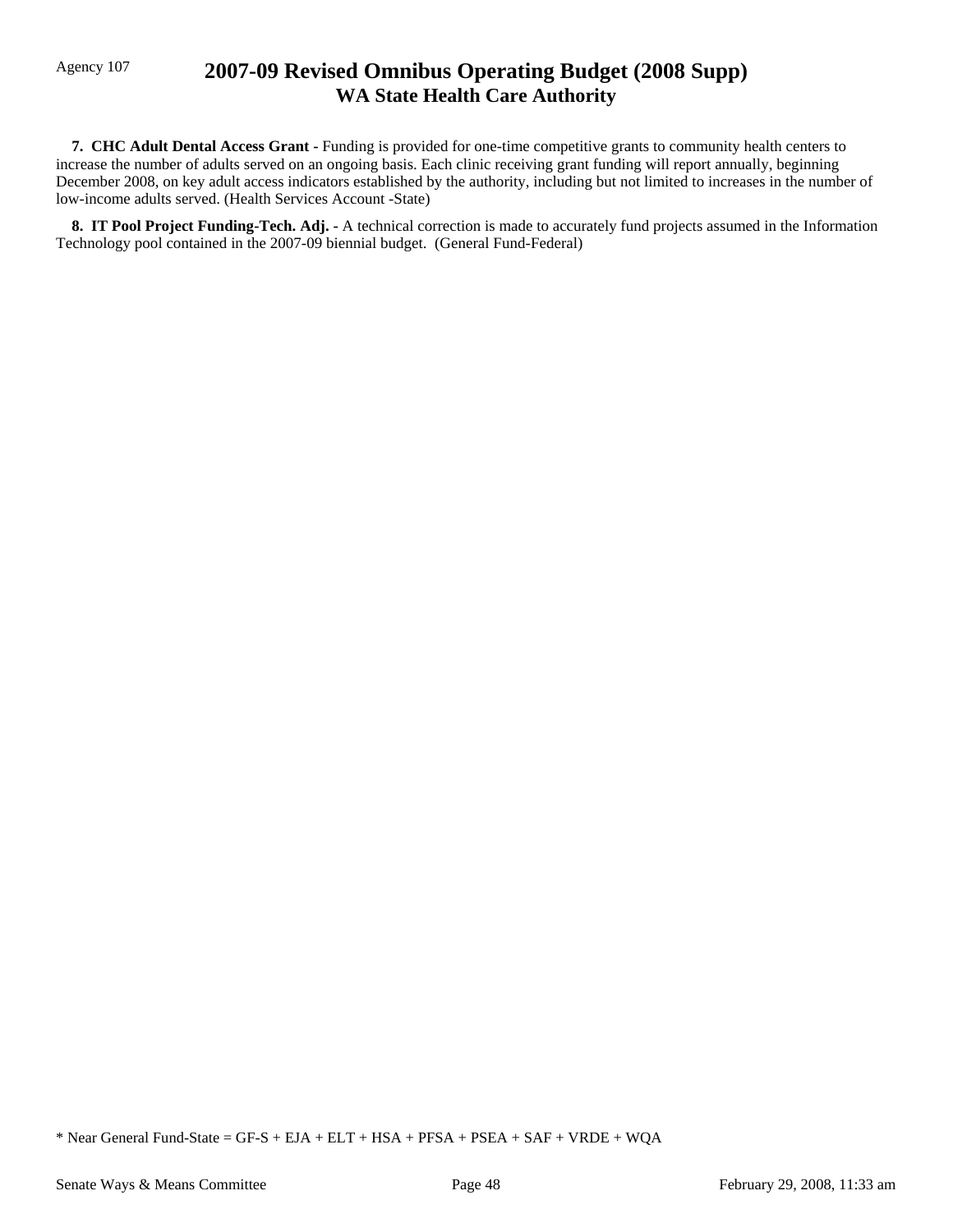## Agency 107 **2007-09 Revised Omnibus Operating Budget (2008 Supp) WA State Health Care Authority**

 **7. CHC Adult Dental Access Grant -** Funding is provided for one-time competitive grants to community health centers to increase the number of adults served on an ongoing basis. Each clinic receiving grant funding will report annually, beginning December 2008, on key adult access indicators established by the authority, including but not limited to increases in the number of low-income adults served. (Health Services Account -State)

 **8. IT Pool Project Funding-Tech. Adj. -** A technical correction is made to accurately fund projects assumed in the Information Technology pool contained in the 2007-09 biennial budget. (General Fund-Federal)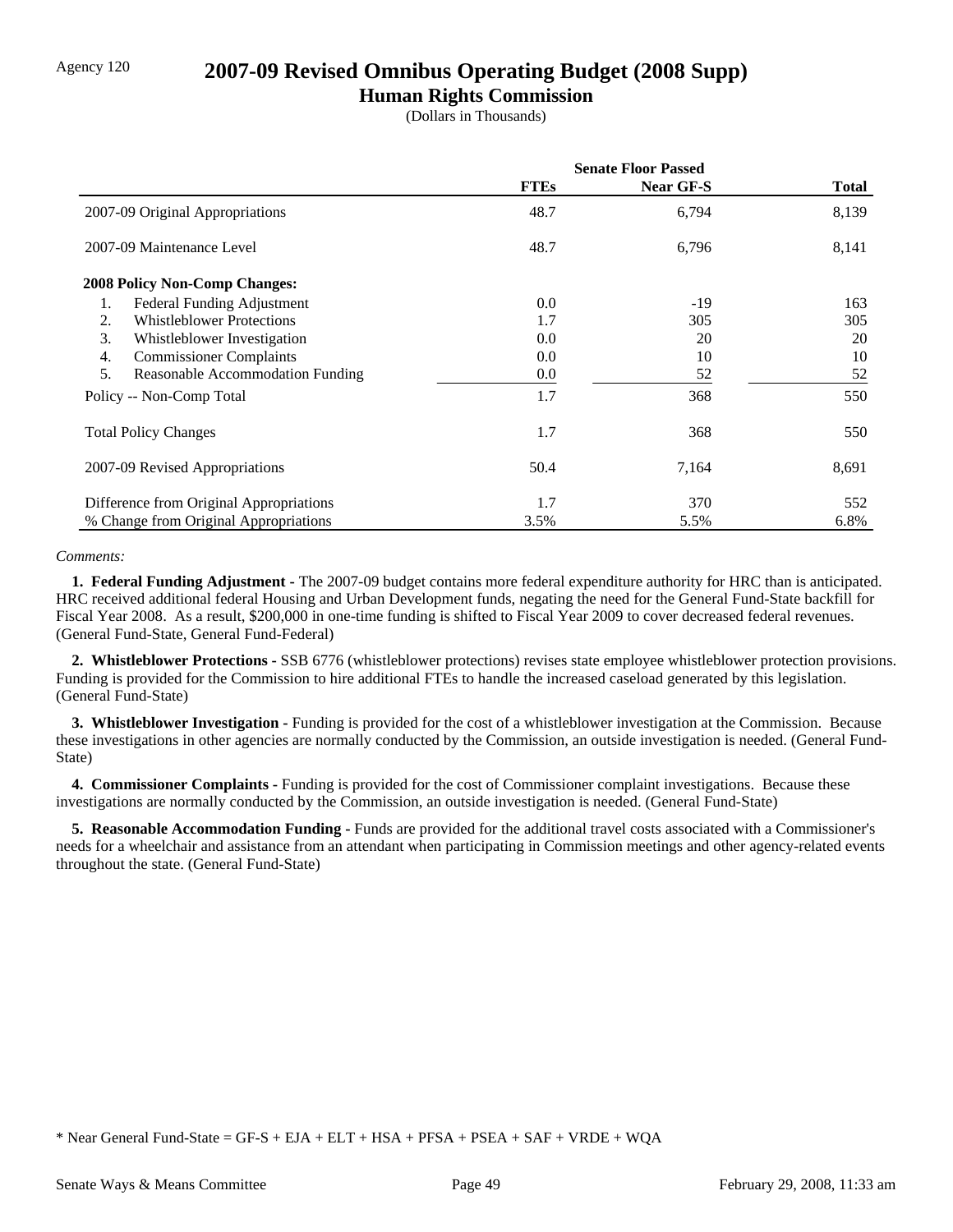### Agency 120 **2007-09 Revised Omnibus Operating Budget (2008 Supp)**

### **Human Rights Commission**

(Dollars in Thousands)

|                                         | <b>Senate Floor Passed</b> |                  |       |
|-----------------------------------------|----------------------------|------------------|-------|
|                                         | <b>FTEs</b>                | <b>Near GF-S</b> | Total |
| 2007-09 Original Appropriations         | 48.7                       | 6,794            | 8,139 |
| 2007-09 Maintenance Level               | 48.7                       | 6,796            | 8,141 |
| <b>2008 Policy Non-Comp Changes:</b>    |                            |                  |       |
| Federal Funding Adjustment<br>1.        | 0.0                        | $-19$            | 163   |
| <b>Whistleblower Protections</b><br>2.  | 1.7                        | 305              | 305   |
| 3.<br>Whistleblower Investigation       | 0.0                        | 20               | 20    |
| <b>Commissioner Complaints</b><br>4.    | 0.0                        | 10               | 10    |
| 5.<br>Reasonable Accommodation Funding  | 0.0                        | 52               | 52    |
| Policy -- Non-Comp Total                | 1.7                        | 368              | 550   |
| <b>Total Policy Changes</b>             | 1.7                        | 368              | 550   |
| 2007-09 Revised Appropriations          | 50.4                       | 7,164            | 8,691 |
| Difference from Original Appropriations | 1.7                        | 370              | 552   |
| % Change from Original Appropriations   | 3.5%                       | 5.5%             | 6.8%  |

#### *Comments:*

 **1. Federal Funding Adjustment -** The 2007-09 budget contains more federal expenditure authority for HRC than is anticipated. HRC received additional federal Housing and Urban Development funds, negating the need for the General Fund-State backfill for Fiscal Year 2008. As a result, \$200,000 in one-time funding is shifted to Fiscal Year 2009 to cover decreased federal revenues. (General Fund-State, General Fund-Federal)

 **2. Whistleblower Protections -** SSB 6776 (whistleblower protections) revises state employee whistleblower protection provisions. Funding is provided for the Commission to hire additional FTEs to handle the increased caseload generated by this legislation. (General Fund-State)

 **3. Whistleblower Investigation -** Funding is provided for the cost of a whistleblower investigation at the Commission. Because these investigations in other agencies are normally conducted by the Commission, an outside investigation is needed. (General Fund-State)

 **4. Commissioner Complaints -** Funding is provided for the cost of Commissioner complaint investigations. Because these investigations are normally conducted by the Commission, an outside investigation is needed. (General Fund-State)

 **5. Reasonable Accommodation Funding -** Funds are provided for the additional travel costs associated with a Commissioner's needs for a wheelchair and assistance from an attendant when participating in Commission meetings and other agency-related events throughout the state. (General Fund-State)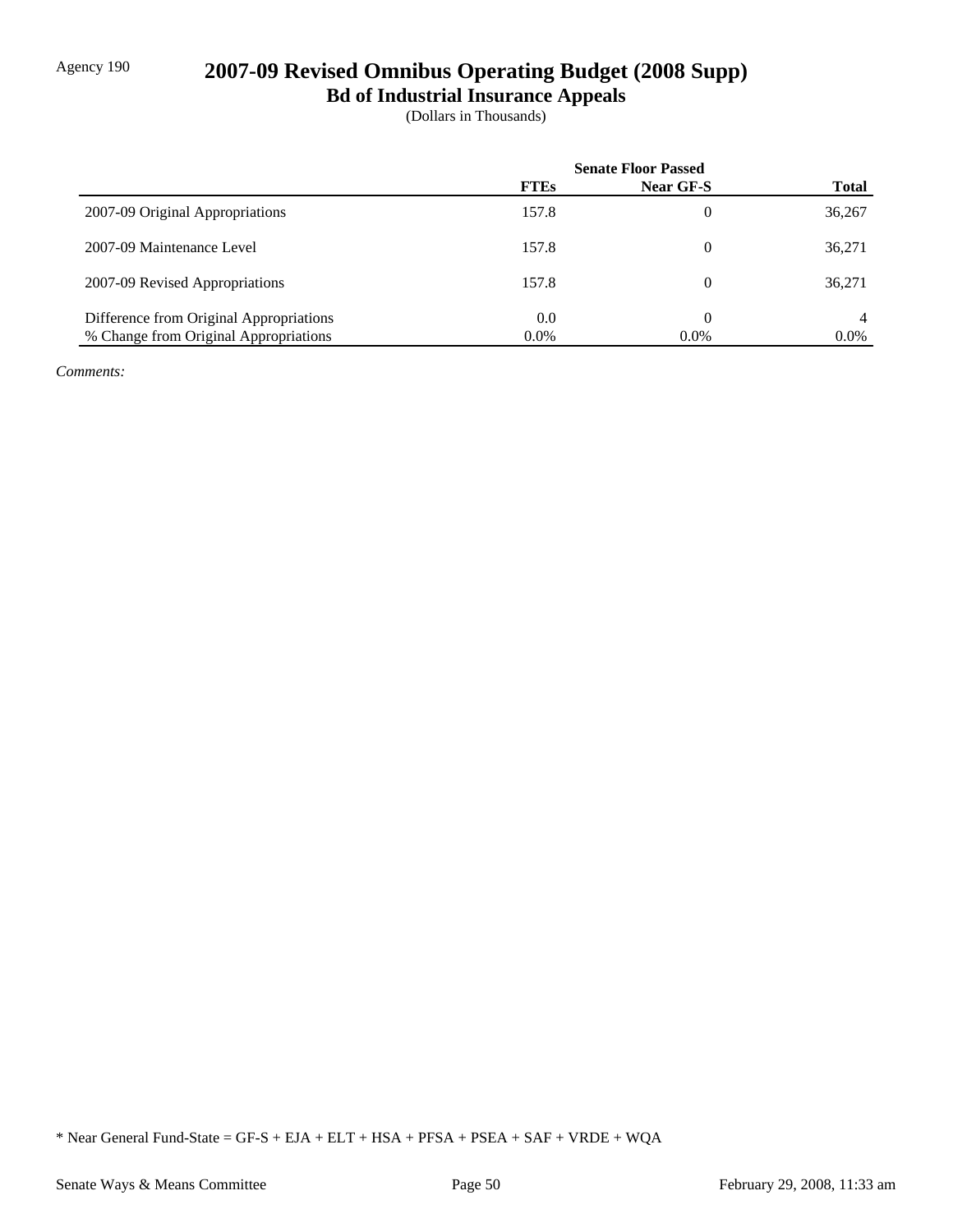# Agency 190 **2007-09 Revised Omnibus Operating Budget (2008 Supp)**

**Bd of Industrial Insurance Appeals**

(Dollars in Thousands)

|                                         | <b>Senate Floor Passed</b> |                  |              |
|-----------------------------------------|----------------------------|------------------|--------------|
|                                         | <b>FTEs</b>                | <b>Near GF-S</b> | <b>Total</b> |
| 2007-09 Original Appropriations         | 157.8                      | 0                | 36,267       |
| 2007-09 Maintenance Level               | 157.8                      | 0                | 36,271       |
| 2007-09 Revised Appropriations          | 157.8                      | 0                | 36,271       |
| Difference from Original Appropriations | 0.0                        | 0                | 4            |
| % Change from Original Appropriations   | $0.0\%$                    | $0.0\%$          | $0.0\%$      |

*Comments:*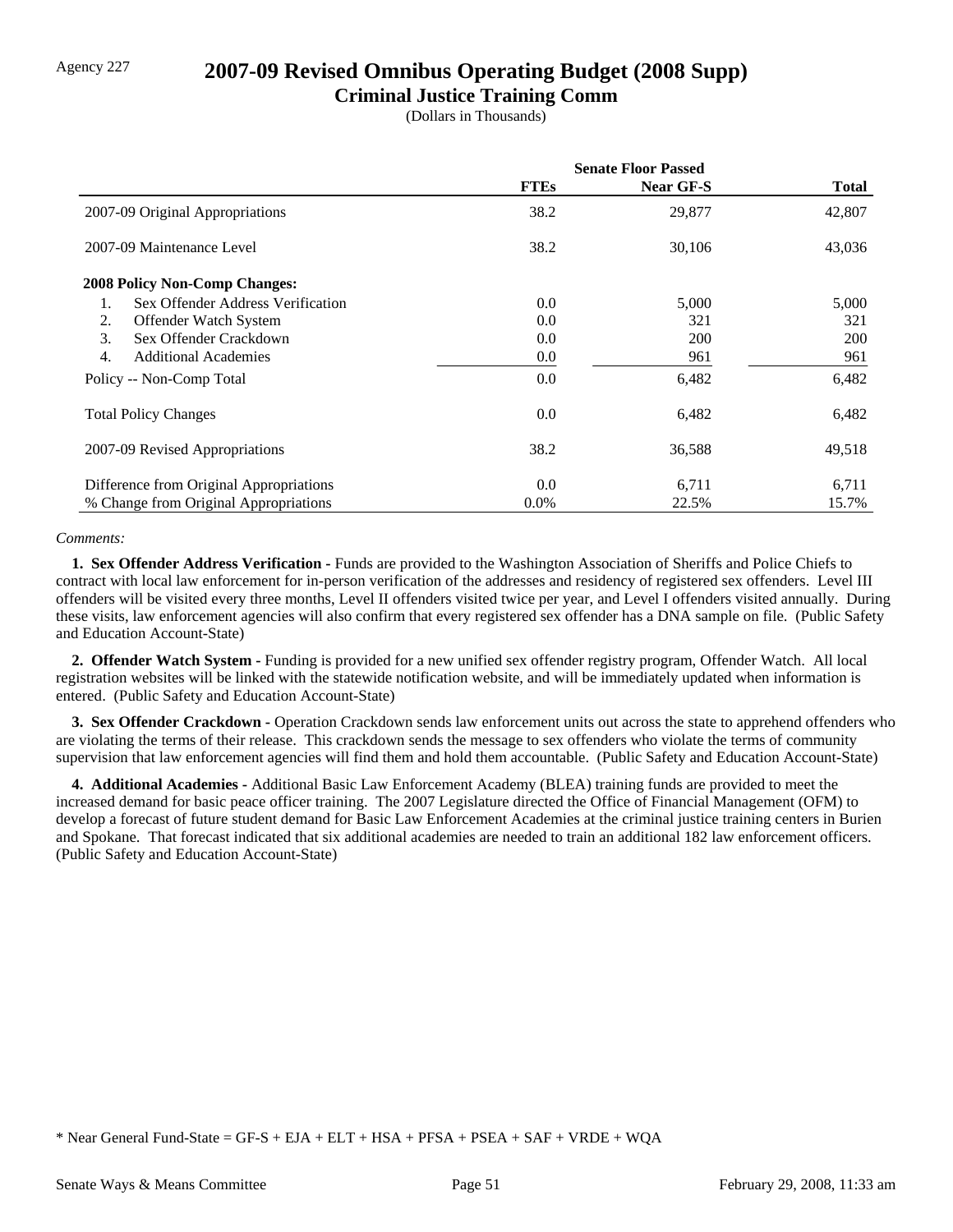## Agency 227 **2007-09 Revised Omnibus Operating Budget (2008 Supp)**

### **Criminal Justice Training Comm**

(Dollars in Thousands)

|                                         | <b>Senate Floor Passed</b> |                  |            |
|-----------------------------------------|----------------------------|------------------|------------|
|                                         | <b>FTEs</b>                | <b>Near GF-S</b> | Total      |
| 2007-09 Original Appropriations         | 38.2                       | 29,877           | 42,807     |
| 2007-09 Maintenance Level               | 38.2                       | 30,106           | 43,036     |
| <b>2008 Policy Non-Comp Changes:</b>    |                            |                  |            |
| Sex Offender Address Verification<br>1. | 0.0                        | 5,000            | 5,000      |
| 2.<br>Offender Watch System             | 0.0                        | 321              | 321        |
| Sex Offender Crackdown<br>3.            | 0.0                        | <b>200</b>       | <b>200</b> |
| 4.<br><b>Additional Academies</b>       | $0.0\,$                    | 961              | 961        |
| Policy -- Non-Comp Total                | 0.0                        | 6,482            | 6,482      |
| <b>Total Policy Changes</b>             | 0.0                        | 6,482            | 6,482      |
| 2007-09 Revised Appropriations          | 38.2                       | 36,588           | 49,518     |
| Difference from Original Appropriations | 0.0                        | 6,711            | 6,711      |
| % Change from Original Appropriations   | $0.0\%$                    | 22.5%            | 15.7%      |

#### *Comments:*

 **1. Sex Offender Address Verification -** Funds are provided to the Washington Association of Sheriffs and Police Chiefs to contract with local law enforcement for in-person verification of the addresses and residency of registered sex offenders. Level III offenders will be visited every three months, Level II offenders visited twice per year, and Level I offenders visited annually. During these visits, law enforcement agencies will also confirm that every registered sex offender has a DNA sample on file. (Public Safety and Education Account-State)

 **2. Offender Watch System -** Funding is provided for a new unified sex offender registry program, Offender Watch. All local registration websites will be linked with the statewide notification website, and will be immediately updated when information is entered. (Public Safety and Education Account-State)

**3. Sex Offender Crackdown -** Operation Crackdown sends law enforcement units out across the state to apprehend offenders who are violating the terms of their release. This crackdown sends the message to sex offenders who violate the terms of community supervision that law enforcement agencies will find them and hold them accountable. (Public Safety and Education Account-State)

 **4. Additional Academies -** Additional Basic Law Enforcement Academy (BLEA) training funds are provided to meet the increased demand for basic peace officer training. The 2007 Legislature directed the Office of Financial Management (OFM) to develop a forecast of future student demand for Basic Law Enforcement Academies at the criminal justice training centers in Burien and Spokane. That forecast indicated that six additional academies are needed to train an additional 182 law enforcement officers. (Public Safety and Education Account-State)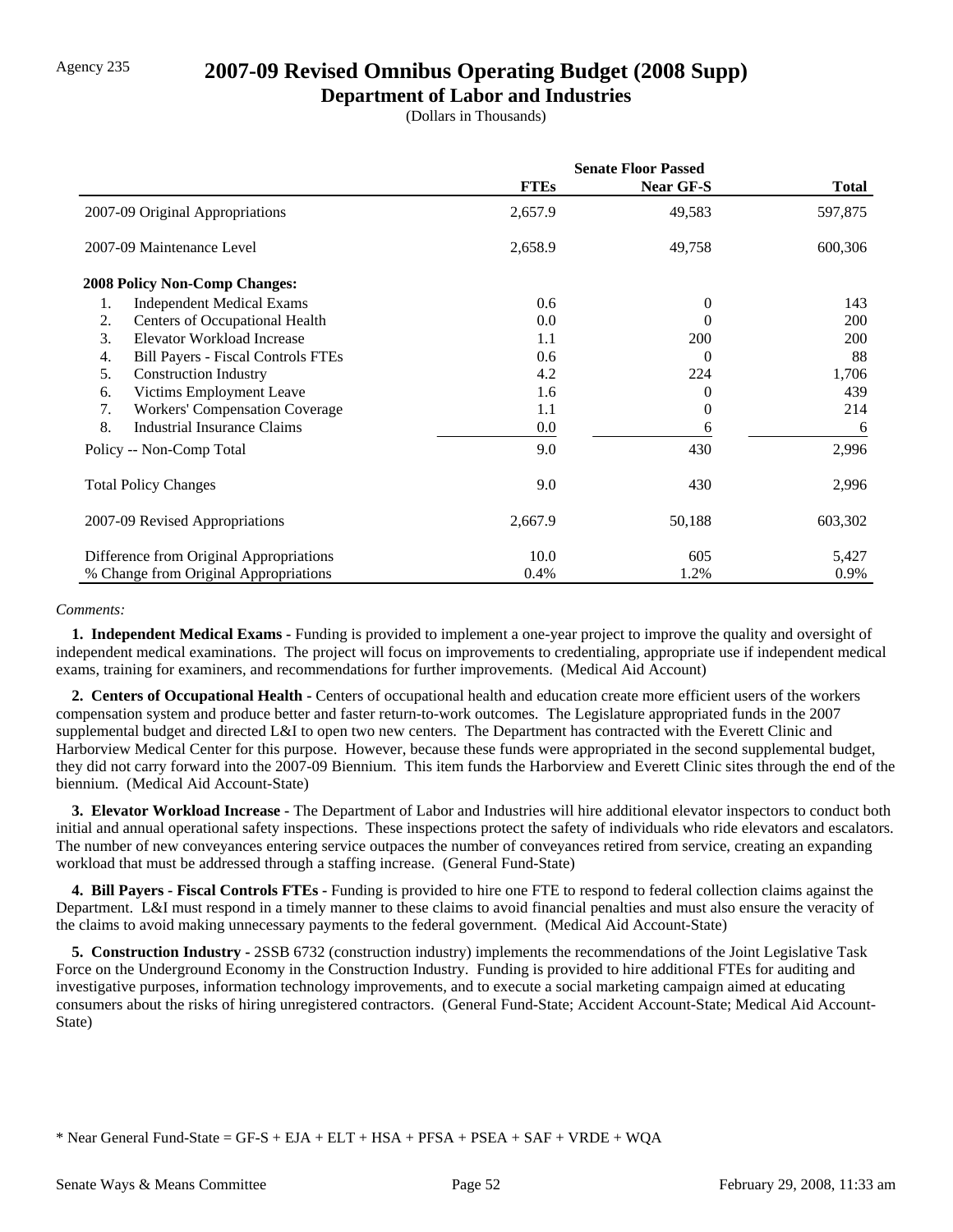### Agency 235 **2007-09 Revised Omnibus Operating Budget (2008 Supp)**

### **Department of Labor and Industries**

(Dollars in Thousands)

|                                                 | <b>Senate Floor Passed</b> |                  |              |
|-------------------------------------------------|----------------------------|------------------|--------------|
|                                                 | <b>FTEs</b>                | <b>Near GF-S</b> | <b>Total</b> |
| 2007-09 Original Appropriations                 | 2,657.9                    | 49,583           | 597,875      |
| 2007-09 Maintenance Level                       | 2,658.9                    | 49,758           | 600,306      |
| <b>2008 Policy Non-Comp Changes:</b>            |                            |                  |              |
| 1.<br><b>Independent Medical Exams</b>          | 0.6                        | $\theta$         | 143          |
| 2.<br>Centers of Occupational Health            | 0.0                        | 0                | 200          |
| 3.<br>Elevator Workload Increase                | 1.1                        | 200              | 200          |
| <b>Bill Payers - Fiscal Controls FTEs</b><br>4. | 0.6                        | 0                | 88           |
| 5.<br><b>Construction Industry</b>              | 4.2                        | 224              | 1,706        |
| Victims Employment Leave<br>6.                  | 1.6                        | 0                | 439          |
| <b>Workers' Compensation Coverage</b><br>7.     | 1.1                        | 0                | 214          |
| 8.<br>Industrial Insurance Claims               | 0.0                        | 6                | 6            |
| Policy -- Non-Comp Total                        | 9.0                        | 430              | 2,996        |
| <b>Total Policy Changes</b>                     | 9.0                        | 430              | 2,996        |
| 2007-09 Revised Appropriations                  | 2,667.9                    | 50,188           | 603,302      |
| Difference from Original Appropriations         | 10.0                       | 605              | 5,427        |
| % Change from Original Appropriations           | 0.4%                       | 1.2%             | 0.9%         |

#### *Comments:*

 **1. Independent Medical Exams -** Funding is provided to implement a one-year project to improve the quality and oversight of independent medical examinations. The project will focus on improvements to credentialing, appropriate use if independent medical exams, training for examiners, and recommendations for further improvements. (Medical Aid Account)

 **2. Centers of Occupational Health -** Centers of occupational health and education create more efficient users of the workers compensation system and produce better and faster return-to-work outcomes. The Legislature appropriated funds in the 2007 supplemental budget and directed L&I to open two new centers. The Department has contracted with the Everett Clinic and Harborview Medical Center for this purpose. However, because these funds were appropriated in the second supplemental budget, they did not carry forward into the 2007-09 Biennium. This item funds the Harborview and Everett Clinic sites through the end of the biennium. (Medical Aid Account-State)

 **3. Elevator Workload Increase -** The Department of Labor and Industries will hire additional elevator inspectors to conduct both initial and annual operational safety inspections. These inspections protect the safety of individuals who ride elevators and escalators. The number of new conveyances entering service outpaces the number of conveyances retired from service, creating an expanding workload that must be addressed through a staffing increase. (General Fund-State)

 **4. Bill Payers - Fiscal Controls FTEs -** Funding is provided to hire one FTE to respond to federal collection claims against the Department. L&I must respond in a timely manner to these claims to avoid financial penalties and must also ensure the veracity of the claims to avoid making unnecessary payments to the federal government. (Medical Aid Account-State)

 **5. Construction Industry -** 2SSB 6732 (construction industry) implements the recommendations of the Joint Legislative Task Force on the Underground Economy in the Construction Industry. Funding is provided to hire additional FTEs for auditing and investigative purposes, information technology improvements, and to execute a social marketing campaign aimed at educating consumers about the risks of hiring unregistered contractors. (General Fund-State; Accident Account-State; Medical Aid Account-State)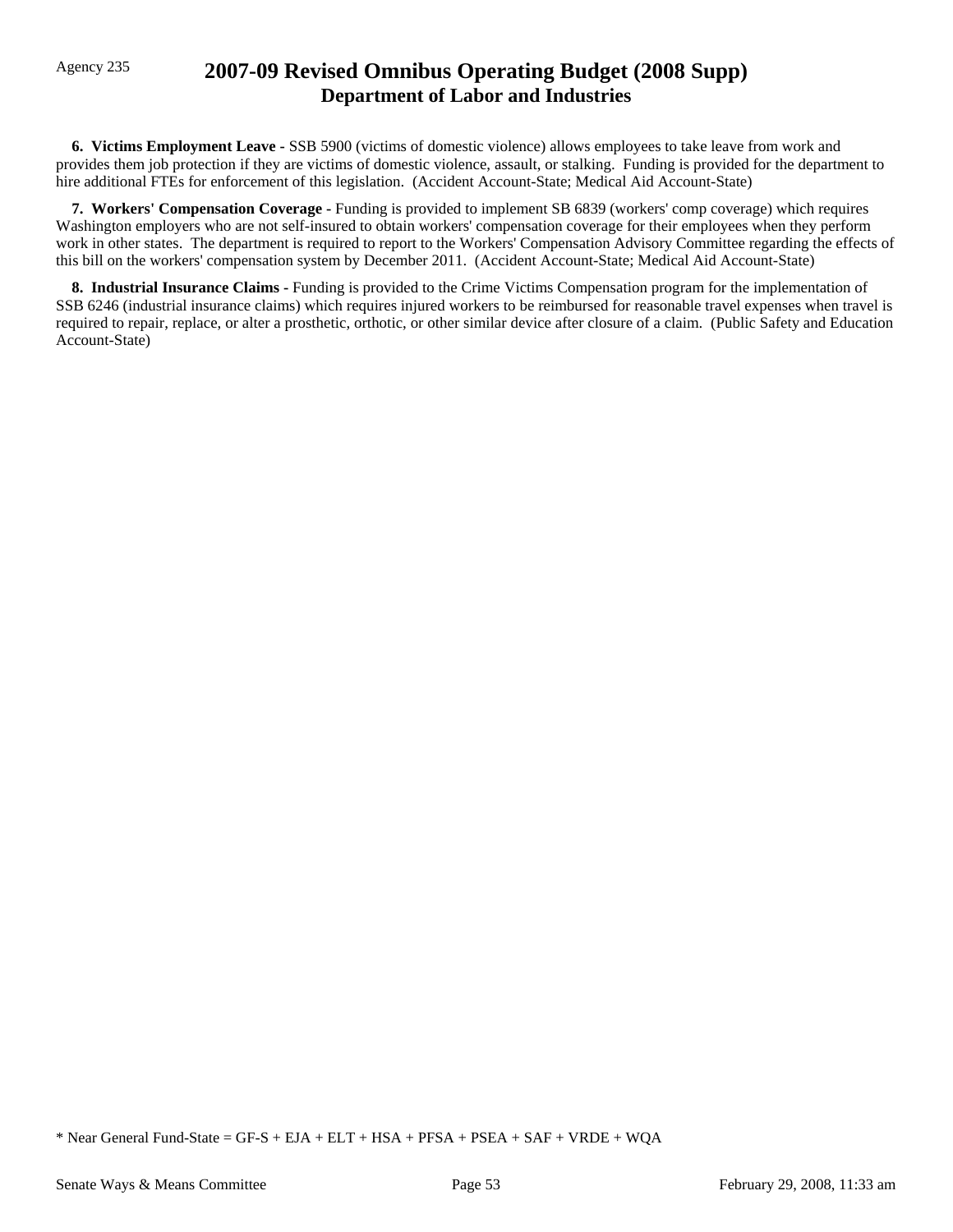## Agency 235 **2007-09 Revised Omnibus Operating Budget (2008 Supp) Department of Labor and Industries**

 **6. Victims Employment Leave -** SSB 5900 (victims of domestic violence) allows employees to take leave from work and provides them job protection if they are victims of domestic violence, assault, or stalking. Funding is provided for the department to hire additional FTEs for enforcement of this legislation. (Accident Account-State; Medical Aid Account-State)

 **7. Workers' Compensation Coverage -** Funding is provided to implement SB 6839 (workers' comp coverage) which requires Washington employers who are not self-insured to obtain workers' compensation coverage for their employees when they perform work in other states. The department is required to report to the Workers' Compensation Advisory Committee regarding the effects of this bill on the workers' compensation system by December 2011. (Accident Account-State; Medical Aid Account-State)

 **8. Industrial Insurance Claims -** Funding is provided to the Crime Victims Compensation program for the implementation of SSB 6246 (industrial insurance claims) which requires injured workers to be reimbursed for reasonable travel expenses when travel is required to repair, replace, or alter a prosthetic, orthotic, or other similar device after closure of a claim. (Public Safety and Education Account-State)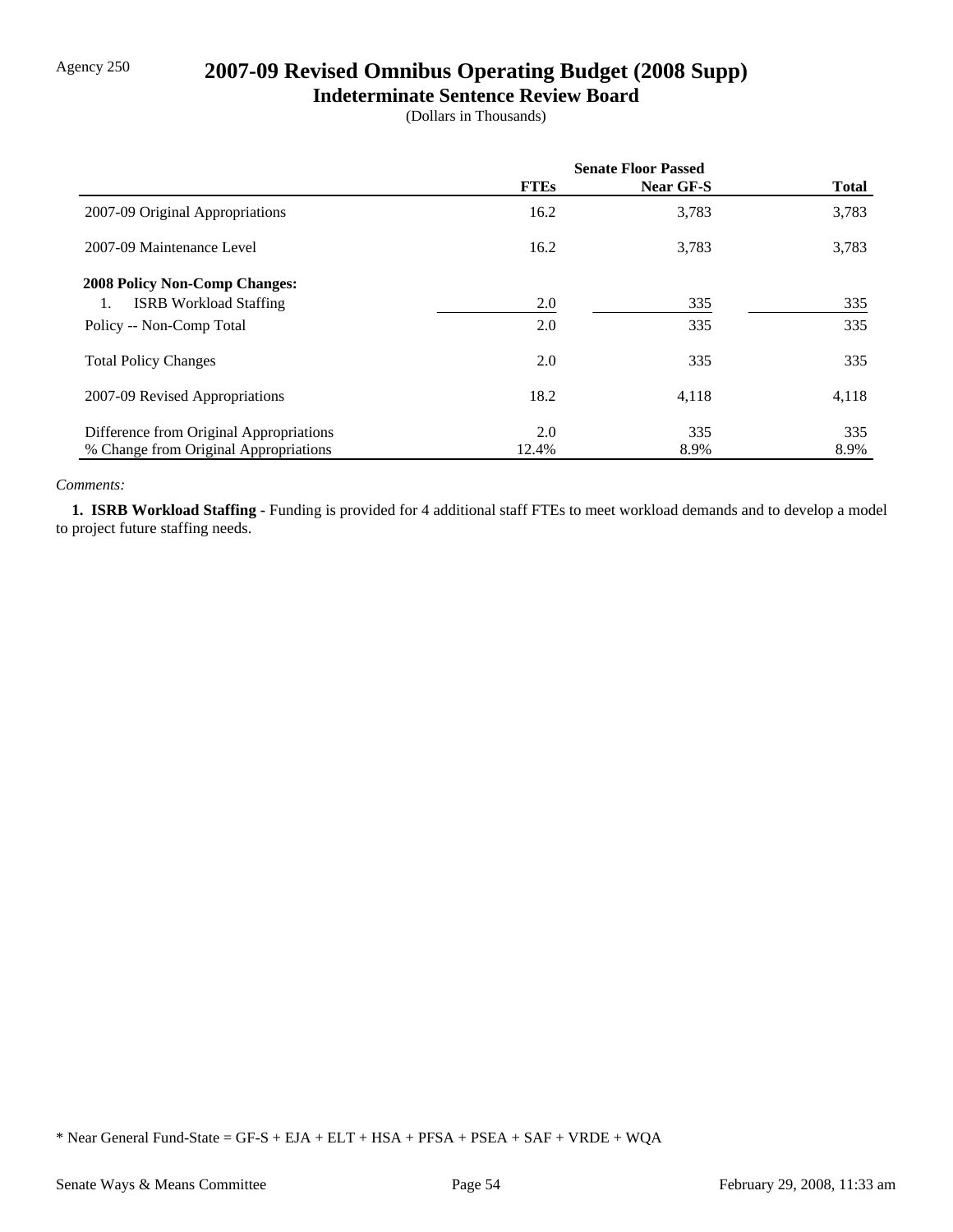# Agency 250 **2007-09 Revised Omnibus Operating Budget (2008 Supp)**

#### **Indeterminate Sentence Review Board**

(Dollars in Thousands)

|                                         | <b>Senate Floor Passed</b> |           |              |
|-----------------------------------------|----------------------------|-----------|--------------|
|                                         | <b>FTEs</b>                | Near GF-S | <b>Total</b> |
| 2007-09 Original Appropriations         | 16.2                       | 3,783     | 3,783        |
| 2007-09 Maintenance Level               | 16.2                       | 3,783     | 3,783        |
| <b>2008 Policy Non-Comp Changes:</b>    |                            |           |              |
| <b>ISRB</b> Workload Staffing<br>1.     | 2.0                        | 335       | 335          |
| Policy -- Non-Comp Total                | 2.0                        | 335       | 335          |
| <b>Total Policy Changes</b>             | 2.0                        | 335       | 335          |
| 2007-09 Revised Appropriations          | 18.2                       | 4,118     | 4,118        |
| Difference from Original Appropriations | 2.0                        | 335       | 335          |
| % Change from Original Appropriations   | 12.4%                      | 8.9%      | 8.9%         |

#### *Comments:*

 **1. ISRB Workload Staffing -** Funding is provided for 4 additional staff FTEs to meet workload demands and to develop a model to project future staffing needs.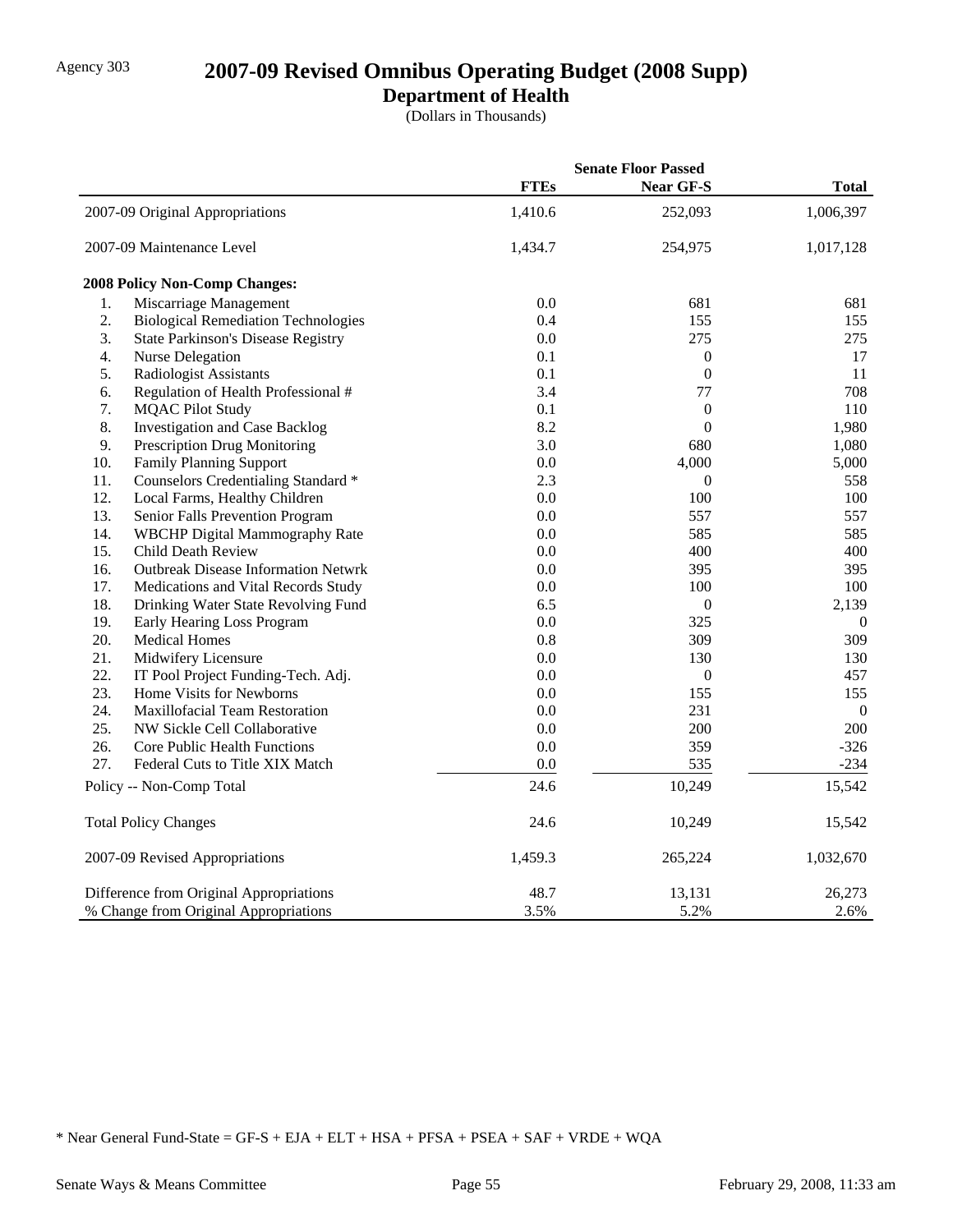# Agency 303 **2007-09 Revised Omnibus Operating Budget (2008 Supp)**

## **Department of Health**

(Dollars in Thousands)

|                                       |                                            |             | <b>Senate Floor Passed</b> |                |
|---------------------------------------|--------------------------------------------|-------------|----------------------------|----------------|
|                                       |                                            | <b>FTEs</b> | <b>Near GF-S</b>           | <b>Total</b>   |
|                                       | 2007-09 Original Appropriations            | 1,410.6     | 252,093                    | 1,006,397      |
|                                       | 2007-09 Maintenance Level                  | 1,434.7     | 254,975                    | 1,017,128      |
|                                       | 2008 Policy Non-Comp Changes:              |             |                            |                |
| 1.                                    | Miscarriage Management                     | 0.0         | 681                        | 681            |
| 2.                                    | <b>Biological Remediation Technologies</b> | 0.4         | 155                        | 155            |
| 3.                                    | <b>State Parkinson's Disease Registry</b>  | 0.0         | 275                        | 275            |
| 4.                                    | <b>Nurse Delegation</b>                    | 0.1         | $\mathbf{0}$               | 17             |
| 5.                                    | Radiologist Assistants                     | 0.1         | $\boldsymbol{0}$           | 11             |
| 6.                                    | Regulation of Health Professional #        | 3.4         | 77                         | 708            |
| 7.                                    | <b>MQAC Pilot Study</b>                    | 0.1         | $\boldsymbol{0}$           | 110            |
| 8.                                    | <b>Investigation and Case Backlog</b>      | 8.2         | $\overline{0}$             | 1,980          |
| 9.                                    | Prescription Drug Monitoring               | 3.0         | 680                        | 1,080          |
| 10.                                   | <b>Family Planning Support</b>             | 0.0         | 4,000                      | 5,000          |
| 11.                                   | Counselors Credentialing Standard *        | 2.3         | $\mathbf{0}$               | 558            |
| 12.                                   | Local Farms, Healthy Children              | 0.0         | 100                        | 100            |
| 13.                                   | Senior Falls Prevention Program            | 0.0         | 557                        | 557            |
| 14.                                   | WBCHP Digital Mammography Rate             | 0.0         | 585                        | 585            |
| 15.                                   | <b>Child Death Review</b>                  | 0.0         | 400                        | 400            |
| 16.                                   | <b>Outbreak Disease Information Netwrk</b> | 0.0         | 395                        | 395            |
| 17.                                   | Medications and Vital Records Study        | 0.0         | 100                        | 100            |
| 18.                                   | Drinking Water State Revolving Fund        | 6.5         | $\boldsymbol{0}$           | 2,139          |
| 19.                                   | Early Hearing Loss Program                 | 0.0         | 325                        | $\overline{0}$ |
| 20.                                   | <b>Medical Homes</b>                       | 0.8         | 309                        | 309            |
| 21.                                   | Midwifery Licensure                        | 0.0         | 130                        | 130            |
| 22.                                   | IT Pool Project Funding-Tech. Adj.         | 0.0         | $\boldsymbol{0}$           | 457            |
| 23.                                   | Home Visits for Newborns                   | 0.0         | 155                        | 155            |
| 24.                                   | Maxillofacial Team Restoration             | 0.0         | 231                        | $\overline{0}$ |
| 25.                                   | NW Sickle Cell Collaborative               | 0.0         | 200                        | 200            |
| 26.                                   | Core Public Health Functions               | 0.0         | 359                        | $-326$         |
| 27.                                   | Federal Cuts to Title XIX Match            | 0.0         | 535                        | $-234$         |
|                                       | Policy -- Non-Comp Total                   | 24.6        | 10,249                     | 15,542         |
|                                       | <b>Total Policy Changes</b>                | 24.6        | 10,249                     | 15,542         |
|                                       | 2007-09 Revised Appropriations             | 1,459.3     | 265,224                    | 1,032,670      |
|                                       | Difference from Original Appropriations    | 48.7        | 13,131                     | 26,273         |
| % Change from Original Appropriations |                                            | 3.5%        | 5.2%                       | 2.6%           |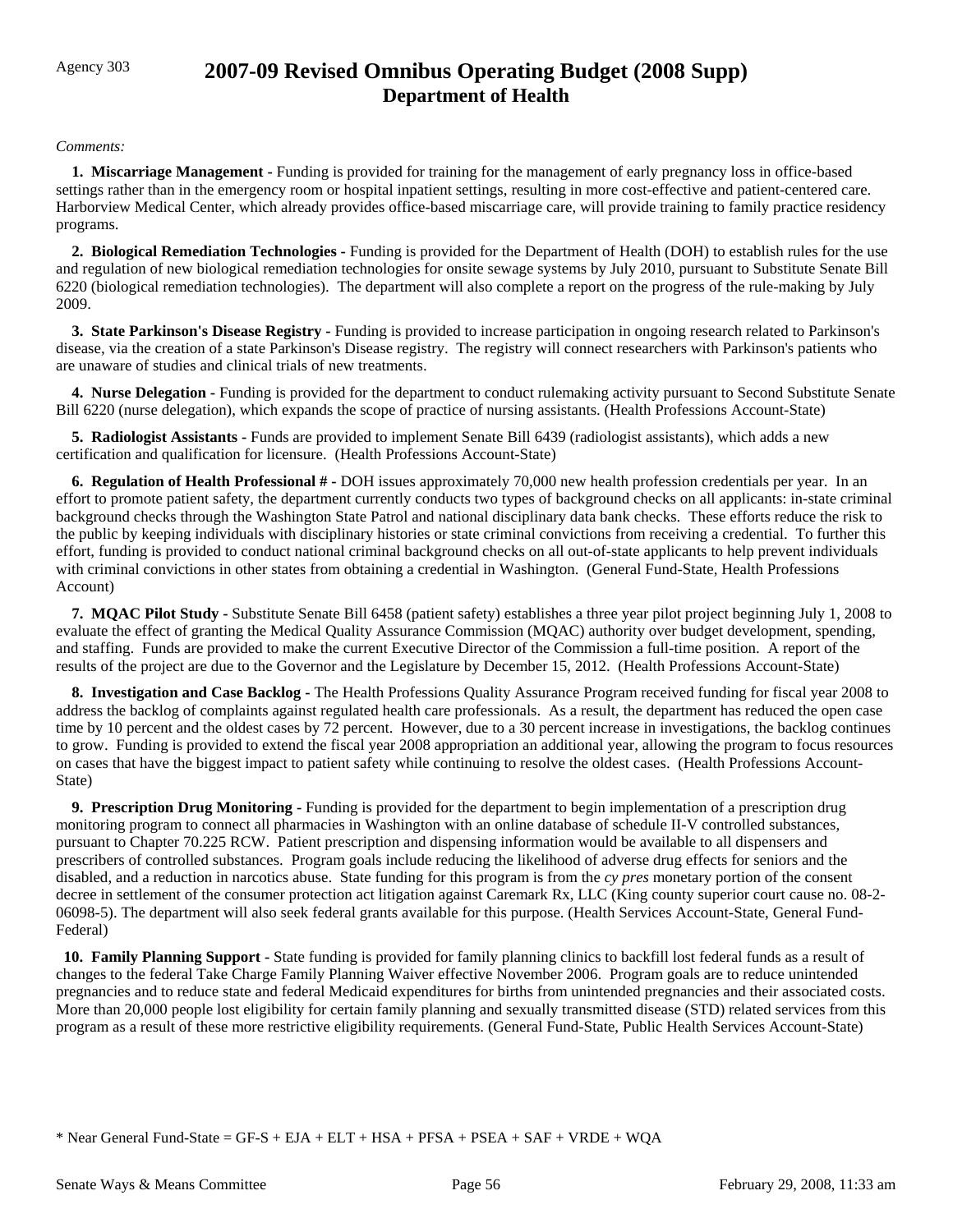## Agency 303 **2007-09 Revised Omnibus Operating Budget (2008 Supp) Department of Health**

#### *Comments:*

 **1. Miscarriage Management -** Funding is provided for training for the management of early pregnancy loss in office-based settings rather than in the emergency room or hospital inpatient settings, resulting in more cost-effective and patient-centered care. Harborview Medical Center, which already provides office-based miscarriage care, will provide training to family practice residency programs.

 **2. Biological Remediation Technologies -** Funding is provided for the Department of Health (DOH) to establish rules for the use and regulation of new biological remediation technologies for onsite sewage systems by July 2010, pursuant to Substitute Senate Bill 6220 (biological remediation technologies). The department will also complete a report on the progress of the rule-making by July 2009.

 **3. State Parkinson's Disease Registry -** Funding is provided to increase participation in ongoing research related to Parkinson's disease, via the creation of a state Parkinson's Disease registry. The registry will connect researchers with Parkinson's patients who are unaware of studies and clinical trials of new treatments.

**4. Nurse Delegation - Funding is provided for the department to conduct rulemaking activity pursuant to Second Substitute Senate** Bill 6220 (nurse delegation), which expands the scope of practice of nursing assistants. (Health Professions Account-State)

 **5. Radiologist Assistants -** Funds are provided to implement Senate Bill 6439 (radiologist assistants), which adds a new certification and qualification for licensure. (Health Professions Account-State)

 **6. Regulation of Health Professional # -** DOH issues approximately 70,000 new health profession credentials per year. In an effort to promote patient safety, the department currently conducts two types of background checks on all applicants: in-state criminal background checks through the Washington State Patrol and national disciplinary data bank checks. These efforts reduce the risk to the public by keeping individuals with disciplinary histories or state criminal convictions from receiving a credential. To further this effort, funding is provided to conduct national criminal background checks on all out-of-state applicants to help prevent individuals with criminal convictions in other states from obtaining a credential in Washington. (General Fund-State, Health Professions Account)

 **7. MQAC Pilot Study -** Substitute Senate Bill 6458 (patient safety) establishes a three year pilot project beginning July 1, 2008 to evaluate the effect of granting the Medical Quality Assurance Commission (MQAC) authority over budget development, spending, and staffing. Funds are provided to make the current Executive Director of the Commission a full-time position. A report of the results of the project are due to the Governor and the Legislature by December 15, 2012. (Health Professions Account-State)

 **8. Investigation and Case Backlog -** The Health Professions Quality Assurance Program received funding for fiscal year 2008 to address the backlog of complaints against regulated health care professionals. As a result, the department has reduced the open case time by 10 percent and the oldest cases by 72 percent. However, due to a 30 percent increase in investigations, the backlog continues to grow. Funding is provided to extend the fiscal year 2008 appropriation an additional year, allowing the program to focus resources on cases that have the biggest impact to patient safety while continuing to resolve the oldest cases. (Health Professions Account-State)

 **9. Prescription Drug Monitoring -** Funding is provided for the department to begin implementation of a prescription drug monitoring program to connect all pharmacies in Washington with an online database of schedule II-V controlled substances, pursuant to Chapter 70.225 RCW. Patient prescription and dispensing information would be available to all dispensers and prescribers of controlled substances. Program goals include reducing the likelihood of adverse drug effects for seniors and the disabled, and a reduction in narcotics abuse. State funding for this program is from the *cy pres* monetary portion of the consent decree in settlement of the consumer protection act litigation against Caremark Rx, LLC (King county superior court cause no. 08-2- 06098-5). The department will also seek federal grants available for this purpose. (Health Services Account-State, General Fund-Federal)

 **10. Family Planning Support -** State funding is provided for family planning clinics to backfill lost federal funds as a result of changes to the federal Take Charge Family Planning Waiver effective November 2006. Program goals are to reduce unintended pregnancies and to reduce state and federal Medicaid expenditures for births from unintended pregnancies and their associated costs. More than 20,000 people lost eligibility for certain family planning and sexually transmitted disease (STD) related services from this program as a result of these more restrictive eligibility requirements. (General Fund-State, Public Health Services Account-State)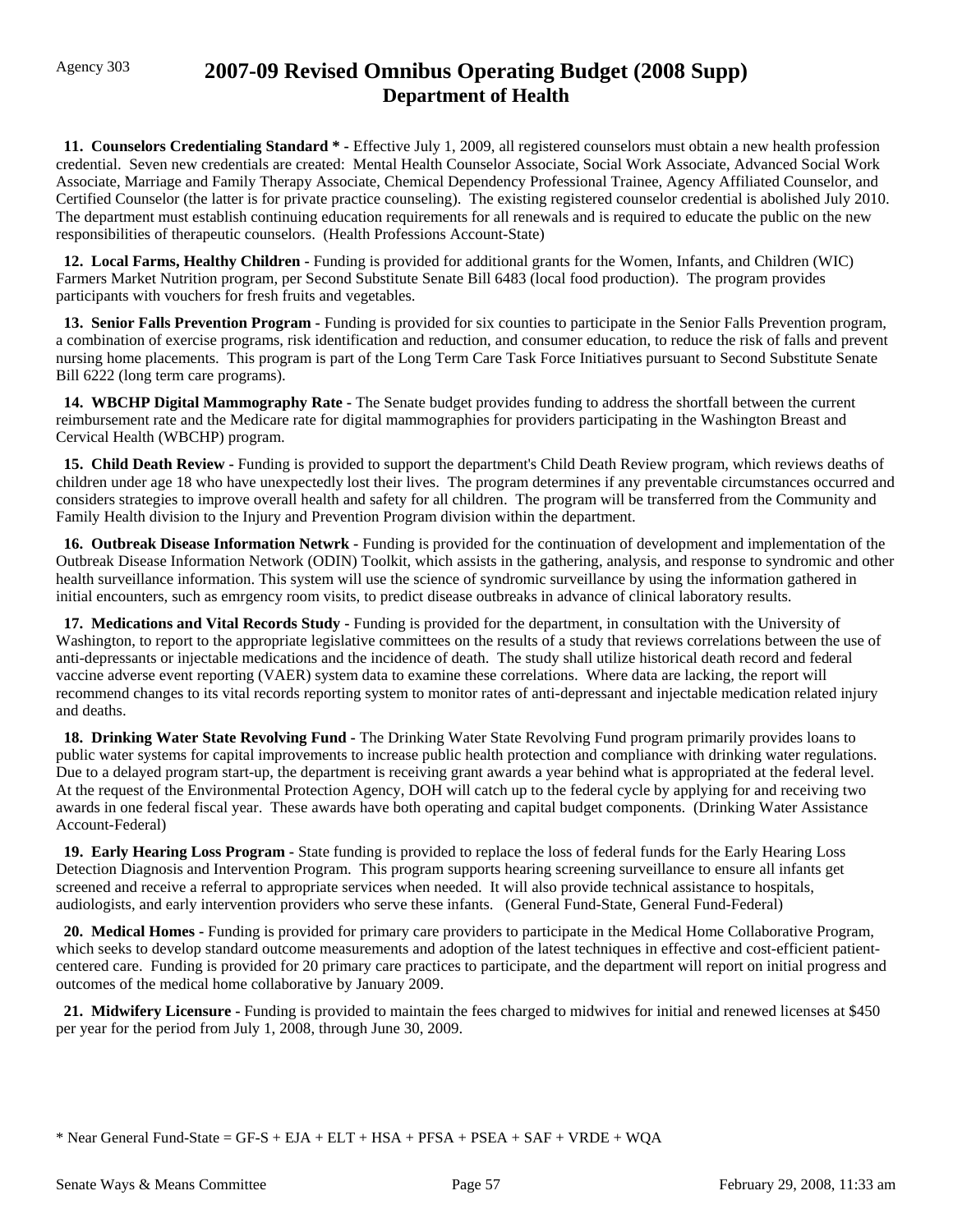## Agency 303 **2007-09 Revised Omnibus Operating Budget (2008 Supp) Department of Health**

**11. Counselors Credentialing Standard \*** - Effective July 1, 2009, all registered counselors must obtain a new health profession credential. Seven new credentials are created: Mental Health Counselor Associate, Social Work Associate, Advanced Social Work Associate, Marriage and Family Therapy Associate, Chemical Dependency Professional Trainee, Agency Affiliated Counselor, and Certified Counselor (the latter is for private practice counseling). The existing registered counselor credential is abolished July 2010. The department must establish continuing education requirements for all renewals and is required to educate the public on the new responsibilities of therapeutic counselors. (Health Professions Account-State)

**12. Local Farms, Healthy Children - Funding is provided for additional grants for the Women, Infants, and Children (WIC)** Farmers Market Nutrition program, per Second Substitute Senate Bill 6483 (local food production). The program provides participants with vouchers for fresh fruits and vegetables.

 **13. Senior Falls Prevention Program -** Funding is provided for six counties to participate in the Senior Falls Prevention program, a combination of exercise programs, risk identification and reduction, and consumer education, to reduce the risk of falls and prevent nursing home placements.This program is part of the Long Term Care Task Force Initiatives pursuant to Second Substitute Senate Bill 6222 (long term care programs).

 **14. WBCHP Digital Mammography Rate -** The Senate budget provides funding to address the shortfall between the current reimbursement rate and the Medicare rate for digital mammographies for providers participating in the Washington Breast and Cervical Health (WBCHP) program.

 **15. Child Death Review -** Funding is provided to support the department's Child Death Review program, which reviews deaths of children under age 18 who have unexpectedly lost their lives. The program determines if any preventable circumstances occurred and considers strategies to improve overall health and safety for all children. The program will be transferred from the Community and Family Health division to the Injury and Prevention Program division within the department.

 **16. Outbreak Disease Information Netwrk -** Funding is provided for the continuation of development and implementation of the Outbreak Disease Information Network (ODIN) Toolkit, which assists in the gathering, analysis, and response to syndromic and other health surveillance information. This system will use the science of syndromic surveillance by using the information gathered in initial encounters, such as emrgency room visits, to predict disease outbreaks in advance of clinical laboratory results.

 **17. Medications and Vital Records Study -** Funding is provided for the department, in consultation with the University of Washington, to report to the appropriate legislative committees on the results of a study that reviews correlations between the use of anti-depressants or injectable medications and the incidence of death. The study shall utilize historical death record and federal vaccine adverse event reporting (VAER) system data to examine these correlations. Where data are lacking, the report will recommend changes to its vital records reporting system to monitor rates of anti-depressant and injectable medication related injury and deaths.

 **18. Drinking Water State Revolving Fund -** The Drinking Water State Revolving Fund program primarily provides loans to public water systems for capital improvements to increase public health protection and compliance with drinking water regulations. Due to a delayed program start-up, the department is receiving grant awards a year behind what is appropriated at the federal level. At the request of the Environmental Protection Agency, DOH will catch up to the federal cycle by applying for and receiving two awards in one federal fiscal year. These awards have both operating and capital budget components. (Drinking Water Assistance Account-Federal)

 **19. Early Hearing Loss Program -** State funding is provided to replace the loss of federal funds for the Early Hearing Loss Detection Diagnosis and Intervention Program. This program supports hearing screening surveillance to ensure all infants get screened and receive a referral to appropriate services when needed. It will also provide technical assistance to hospitals, audiologists, and early intervention providers who serve these infants. (General Fund-State, General Fund-Federal)

 **20. Medical Homes -** Funding is provided for primary care providers to participate in the Medical Home Collaborative Program, which seeks to develop standard outcome measurements and adoption of the latest techniques in effective and cost-efficient patientcentered care. Funding is provided for 20 primary care practices to participate, and the department will report on initial progress and outcomes of the medical home collaborative by January 2009.

 **21. Midwifery Licensure -** Funding is provided to maintain the fees charged to midwives for initial and renewed licenses at \$450 per year for the period from July 1, 2008, through June 30, 2009.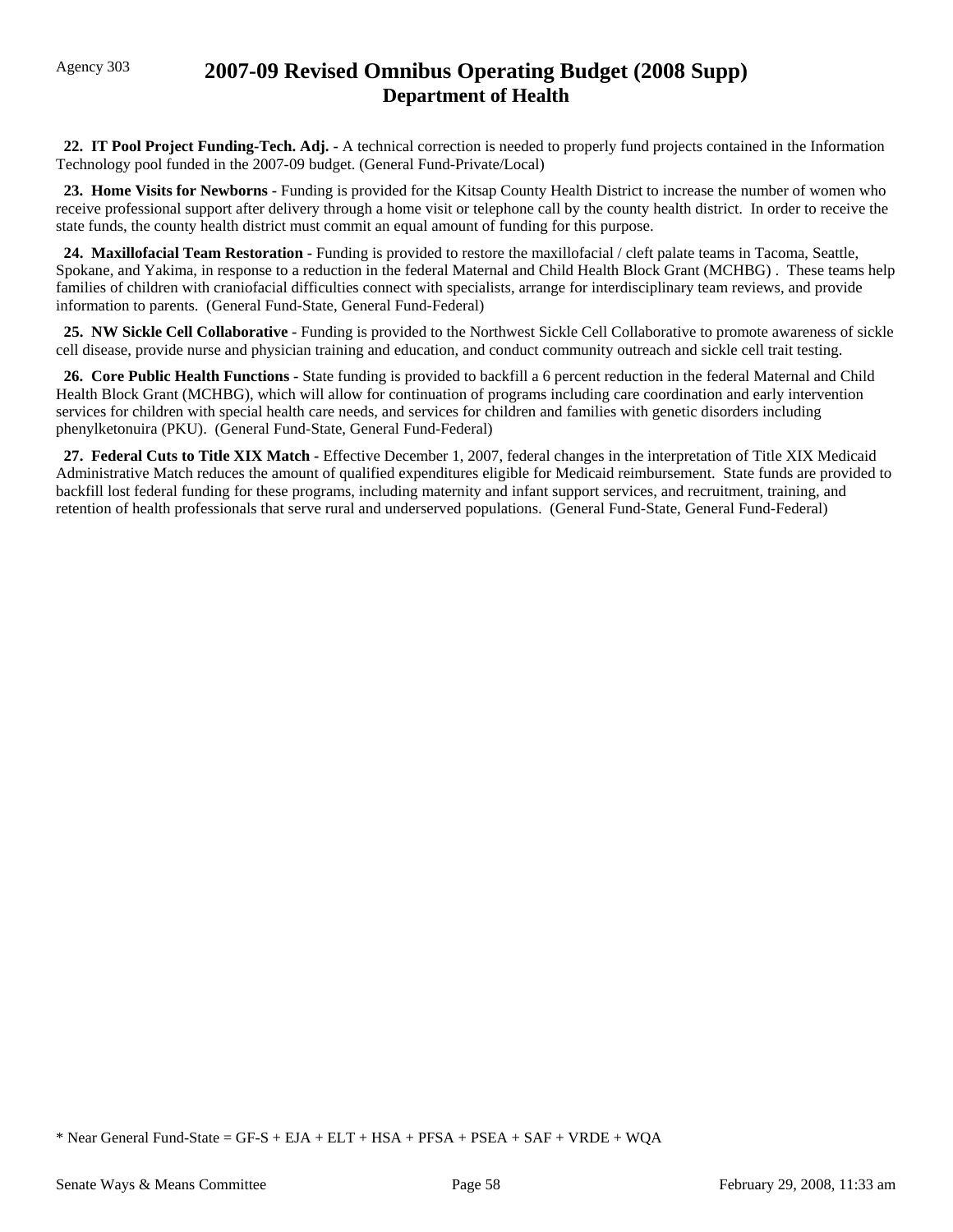## Agency 303 **2007-09 Revised Omnibus Operating Budget (2008 Supp) Department of Health**

 **22. IT Pool Project Funding-Tech. Adj. -** A technical correction is needed to properly fund projects contained in the Information Technology pool funded in the 2007-09 budget. (General Fund-Private/Local)

 **23. Home Visits for Newborns -** Funding is provided for the Kitsap County Health District to increase the number of women who receive professional support after delivery through a home visit or telephone call by the county health district. In order to receive the state funds, the county health district must commit an equal amount of funding for this purpose.

 **24. Maxillofacial Team Restoration -** Funding is provided to restore the maxillofacial / cleft palate teams in Tacoma, Seattle, Spokane, and Yakima, in response to a reduction in the federal Maternal and Child Health Block Grant (MCHBG) . These teams help families of children with craniofacial difficulties connect with specialists, arrange for interdisciplinary team reviews, and provide information to parents. (General Fund-State, General Fund-Federal)

 **25. NW Sickle Cell Collaborative -** Funding is provided to the Northwest Sickle Cell Collaborative to promote awareness of sickle cell disease, provide nurse and physician training and education, and conduct community outreach and sickle cell trait testing.

 **26. Core Public Health Functions -** State funding is provided to backfill a 6 percent reduction in the federal Maternal and Child Health Block Grant (MCHBG), which will allow for continuation of programs including care coordination and early intervention services for children with special health care needs, and services for children and families with genetic disorders including phenylketonuira (PKU). (General Fund-State, General Fund-Federal)

 **27. Federal Cuts to Title XIX Match -** Effective December 1, 2007, federal changes in the interpretation of Title XIX Medicaid Administrative Match reduces the amount of qualified expenditures eligible for Medicaid reimbursement. State funds are provided to backfill lost federal funding for these programs, including maternity and infant support services, and recruitment, training, and retention of health professionals that serve rural and underserved populations. (General Fund-State, General Fund-Federal)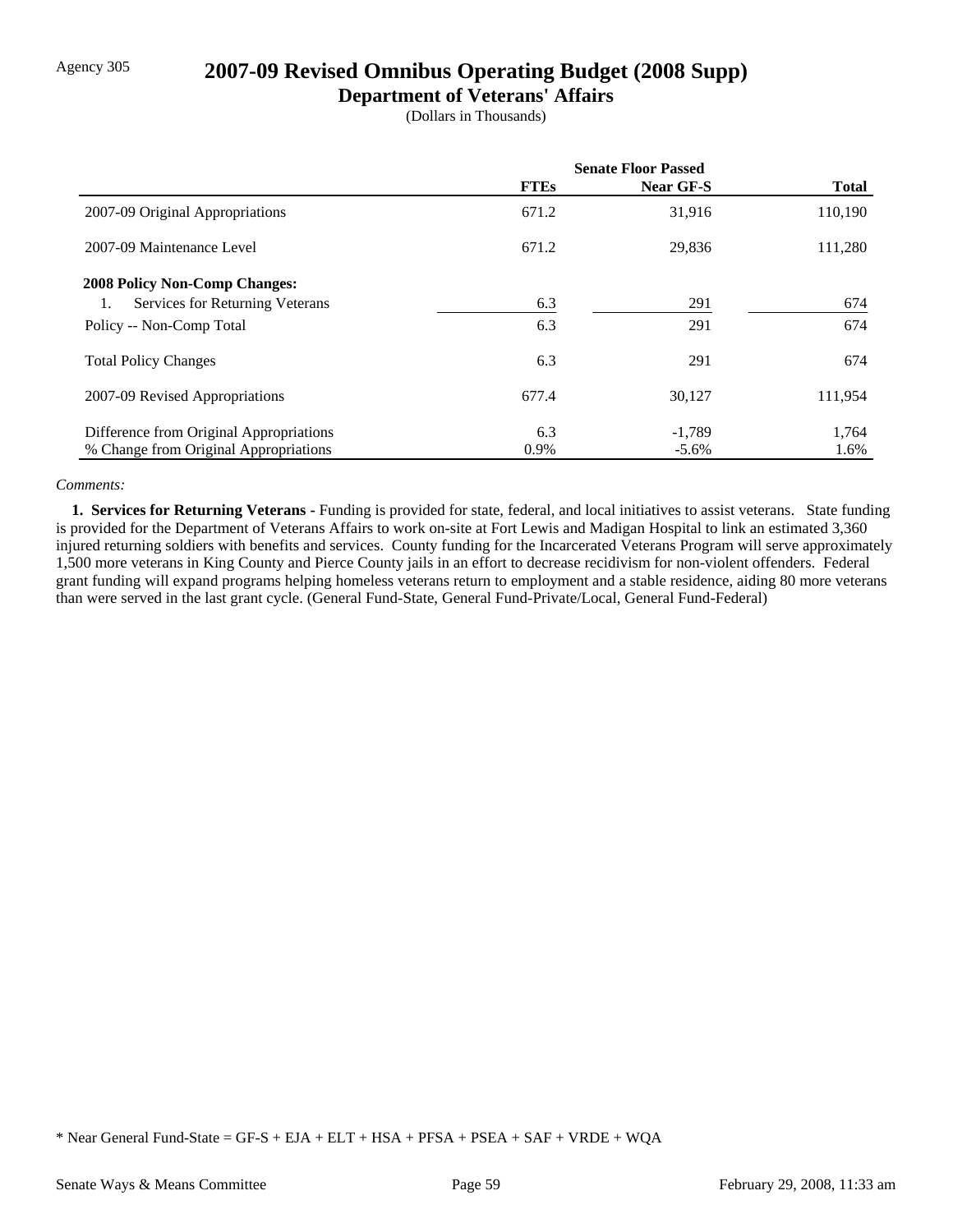## Agency 305 **2007-09 Revised Omnibus Operating Budget (2008 Supp)**

### **Department of Veterans' Affairs**

(Dollars in Thousands)

|                                         | <b>Senate Floor Passed</b> |           |              |
|-----------------------------------------|----------------------------|-----------|--------------|
|                                         | <b>FTEs</b>                | Near GF-S | <b>Total</b> |
| 2007-09 Original Appropriations         | 671.2                      | 31,916    | 110,190      |
| 2007-09 Maintenance Level               | 671.2                      | 29,836    | 111,280      |
| <b>2008 Policy Non-Comp Changes:</b>    |                            |           |              |
| Services for Returning Veterans         | 6.3                        | 291       | 674          |
| Policy -- Non-Comp Total                | 6.3                        | 291       | 674          |
| <b>Total Policy Changes</b>             | 6.3                        | 291       | 674          |
| 2007-09 Revised Appropriations          | 677.4                      | 30,127    | 111,954      |
| Difference from Original Appropriations | 6.3                        | $-1,789$  | 1,764        |
| % Change from Original Appropriations   | 0.9%                       | $-5.6\%$  | 1.6%         |

#### *Comments:*

 **1. Services for Returning Veterans -** Funding is provided for state, federal, and local initiatives to assist veterans. State funding is provided for the Department of Veterans Affairs to work on-site at Fort Lewis and Madigan Hospital to link an estimated 3,360 injured returning soldiers with benefits and services. County funding for the Incarcerated Veterans Program will serve approximately 1,500 more veterans in King County and Pierce County jails in an effort to decrease recidivism for non-violent offenders. Federal grant funding will expand programs helping homeless veterans return to employment and a stable residence, aiding 80 more veterans than were served in the last grant cycle. (General Fund-State, General Fund-Private/Local, General Fund-Federal)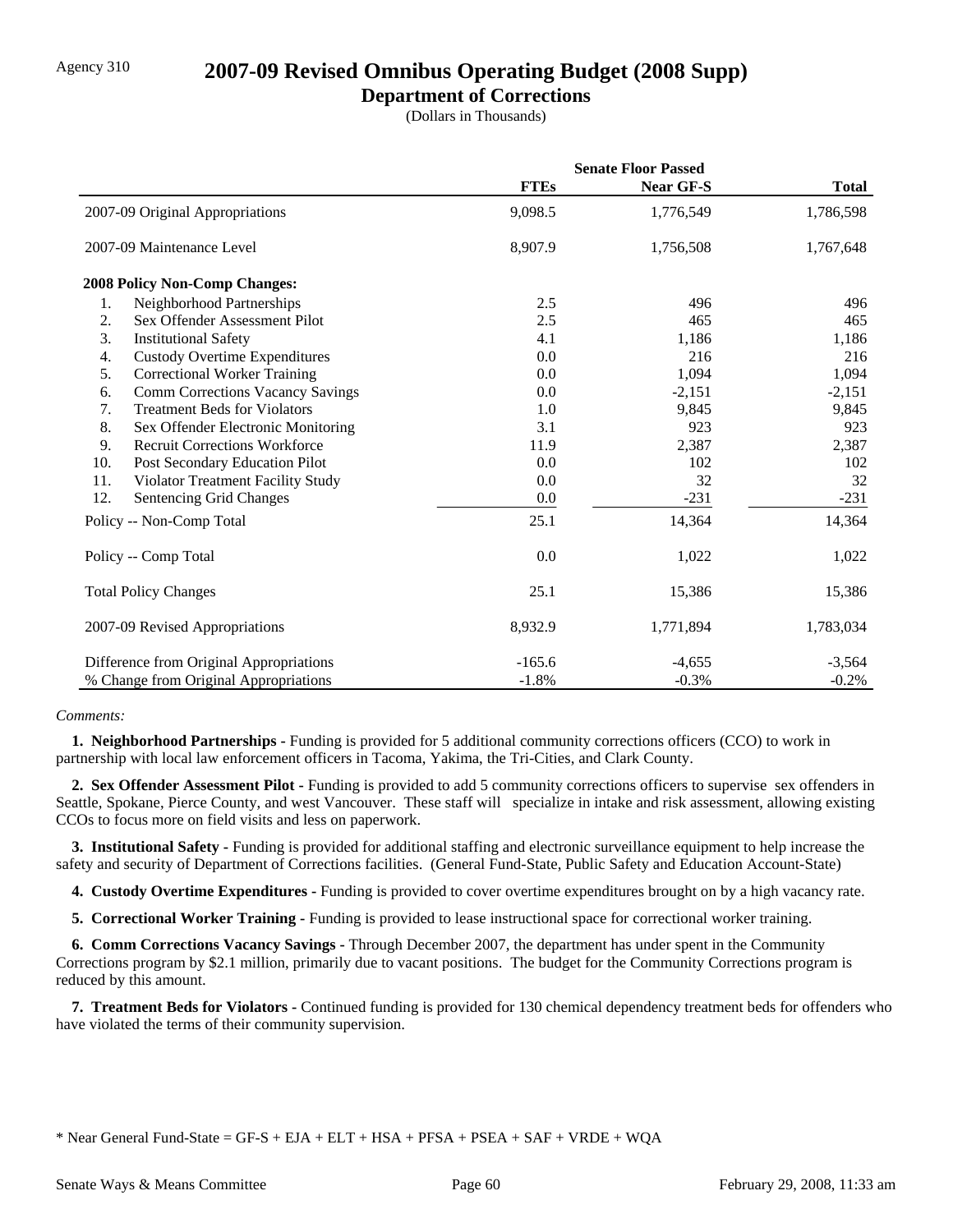### **Department of Corrections**

(Dollars in Thousands)

|     |                                         | <b>Senate Floor Passed</b> |           |              |  |
|-----|-----------------------------------------|----------------------------|-----------|--------------|--|
|     |                                         | <b>FTEs</b>                | Near GF-S | <b>Total</b> |  |
|     | 2007-09 Original Appropriations         | 9,098.5                    | 1,776,549 | 1,786,598    |  |
|     | 2007-09 Maintenance Level               | 8,907.9                    | 1,756,508 | 1,767,648    |  |
|     | 2008 Policy Non-Comp Changes:           |                            |           |              |  |
| 1.  | Neighborhood Partnerships               | 2.5                        | 496       | 496          |  |
| 2.  | Sex Offender Assessment Pilot           | 2.5                        | 465       | 465          |  |
| 3.  | <b>Institutional Safety</b>             | 4.1                        | 1,186     | 1,186        |  |
| 4.  | <b>Custody Overtime Expenditures</b>    | 0.0                        | 216       | 216          |  |
| 5.  | <b>Correctional Worker Training</b>     | 0.0                        | 1,094     | 1,094        |  |
| 6.  | <b>Comm Corrections Vacancy Savings</b> | 0.0                        | $-2,151$  | $-2,151$     |  |
| 7.  | <b>Treatment Beds for Violators</b>     | 1.0                        | 9,845     | 9,845        |  |
| 8.  | Sex Offender Electronic Monitoring      | 3.1                        | 923       | 923          |  |
| 9.  | <b>Recruit Corrections Workforce</b>    | 11.9                       | 2,387     | 2,387        |  |
| 10. | Post Secondary Education Pilot          | 0.0                        | 102       | 102          |  |
| 11. | Violator Treatment Facility Study       | 0.0                        | 32        | 32           |  |
| 12. | Sentencing Grid Changes                 | 0.0                        | $-231$    | $-231$       |  |
|     | Policy -- Non-Comp Total                | 25.1                       | 14,364    | 14,364       |  |
|     | Policy -- Comp Total                    | 0.0                        | 1,022     | 1,022        |  |
|     | <b>Total Policy Changes</b>             | 25.1                       | 15,386    | 15,386       |  |
|     | 2007-09 Revised Appropriations          | 8,932.9                    | 1,771,894 | 1,783,034    |  |
|     | Difference from Original Appropriations | $-165.6$                   | $-4,655$  | $-3,564$     |  |
|     | % Change from Original Appropriations   | $-1.8%$                    | $-0.3%$   | $-0.2%$      |  |

### *Comments:*

 **1. Neighborhood Partnerships -** Funding is provided for 5 additional community corrections officers (CCO) to work in partnership with local law enforcement officers in Tacoma, Yakima, the Tri-Cities, and Clark County.

 **2. Sex Offender Assessment Pilot -** Funding is provided to add 5 community corrections officers to supervise sex offenders in Seattle, Spokane, Pierce County, and west Vancouver. These staff will specialize in intake and risk assessment, allowing existing CCOs to focus more on field visits and less on paperwork.

 **3. Institutional Safety -** Funding is provided for additional staffing and electronic surveillance equipment to help increase the safety and security of Department of Corrections facilities. (General Fund-State, Public Safety and Education Account-State)

 **4. Custody Overtime Expenditures -** Funding is provided to cover overtime expenditures brought on by a high vacancy rate.

 **5. Correctional Worker Training -** Funding is provided to lease instructional space for correctional worker training.

 **6. Comm Corrections Vacancy Savings -** Through December 2007, the department has under spent in the Community Corrections program by \$2.1 million, primarily due to vacant positions. The budget for the Community Corrections program is reduced by this amount.

 **7. Treatment Beds for Violators -** Continued funding is provided for 130 chemical dependency treatment beds for offenders who have violated the terms of their community supervision.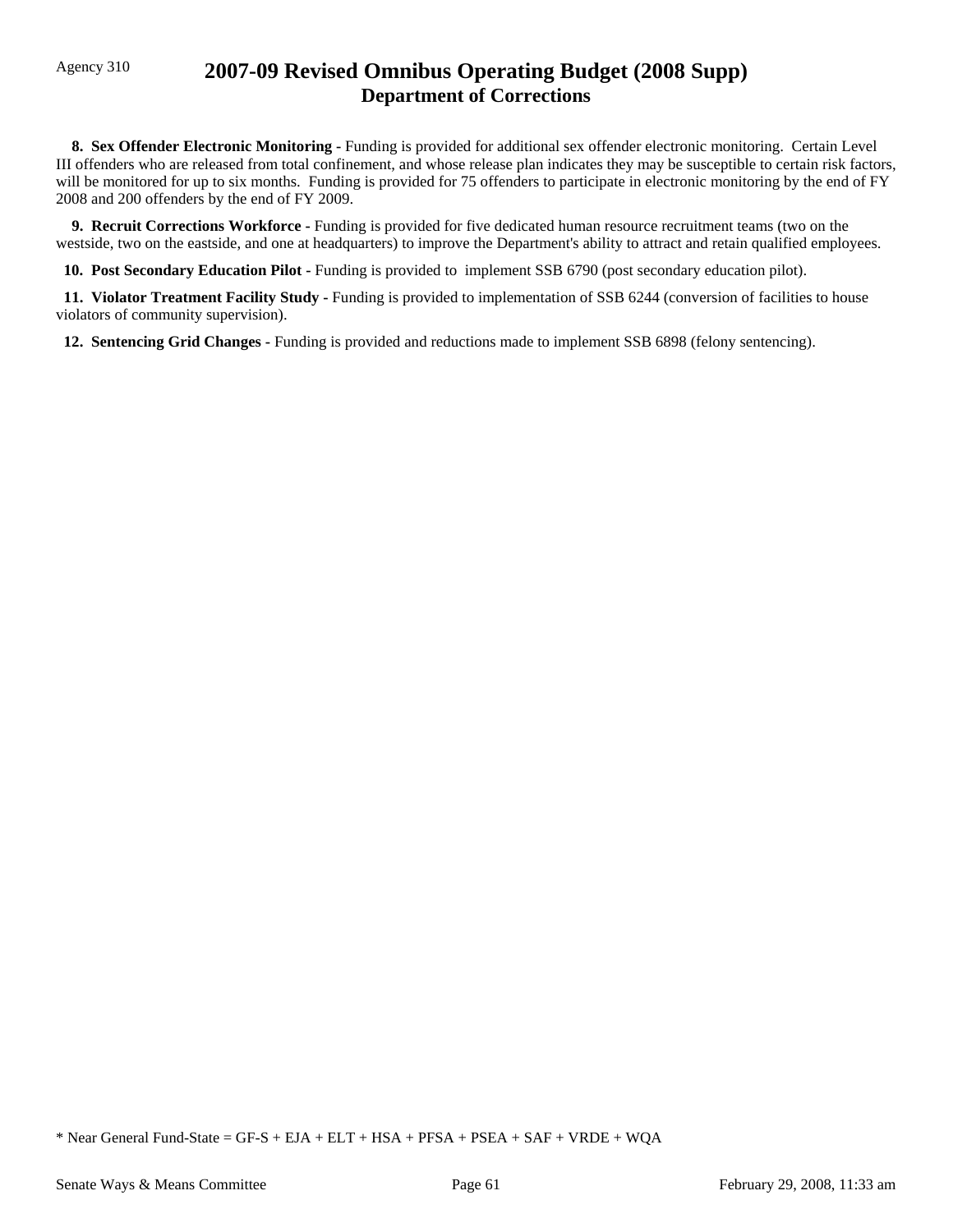## Agency 310 **2007-09 Revised Omnibus Operating Budget (2008 Supp) Department of Corrections**

 **8. Sex Offender Electronic Monitoring -** Funding is provided for additional sex offender electronic monitoring. Certain Level III offenders who are released from total confinement, and whose release plan indicates they may be susceptible to certain risk factors, will be monitored for up to six months. Funding is provided for 75 offenders to participate in electronic monitoring by the end of FY 2008 and 200 offenders by the end of FY 2009.

 **9. Recruit Corrections Workforce -** Funding is provided for five dedicated human resource recruitment teams (two on the westside, two on the eastside, and one at headquarters) to improve the Department's ability to attract and retain qualified employees.

 **10. Post Secondary Education Pilot -** Funding is provided to implement SSB 6790 (post secondary education pilot).

 **11. Violator Treatment Facility Study -** Funding is provided to implementation of SSB 6244 (conversion of facilities to house violators of community supervision).

 **12. Sentencing Grid Changes -** Funding is provided and reductions made to implement SSB 6898 (felony sentencing).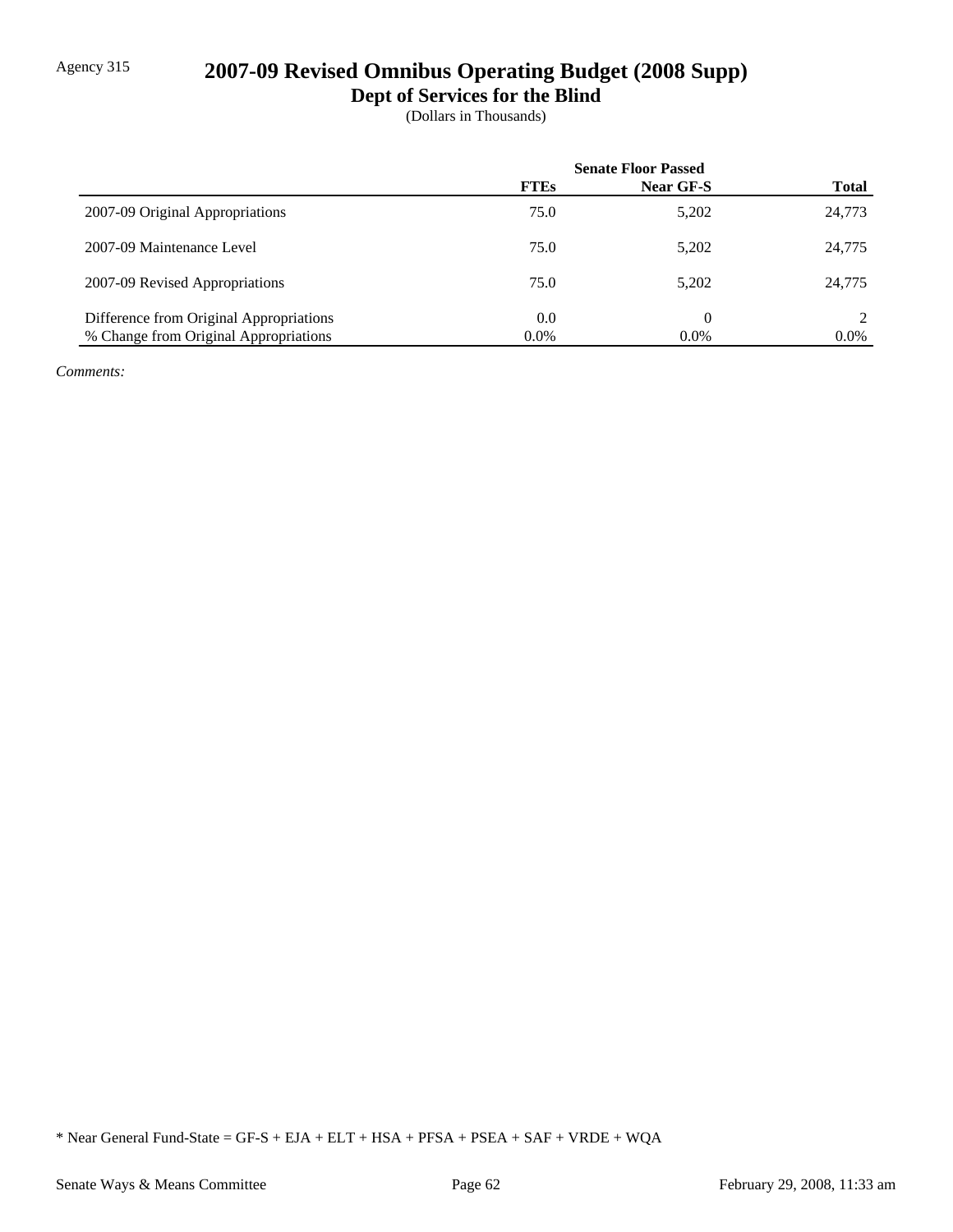# Agency 315 **2007-09 Revised Omnibus Operating Budget (2008 Supp)**

**Dept of Services for the Blind**

(Dollars in Thousands)

|                                         | <b>Senate Floor Passed</b> |           |              |
|-----------------------------------------|----------------------------|-----------|--------------|
|                                         | <b>FTEs</b>                | Near GF-S | <b>Total</b> |
| 2007-09 Original Appropriations         | 75.0                       | 5,202     | 24,773       |
| 2007-09 Maintenance Level               | 75.0                       | 5,202     | 24,775       |
| 2007-09 Revised Appropriations          | 75.0                       | 5,202     | 24,775       |
| Difference from Original Appropriations | 0.0                        | 0         |              |
| % Change from Original Appropriations   | $0.0\%$                    | $0.0\%$   | $0.0\%$      |

*Comments:*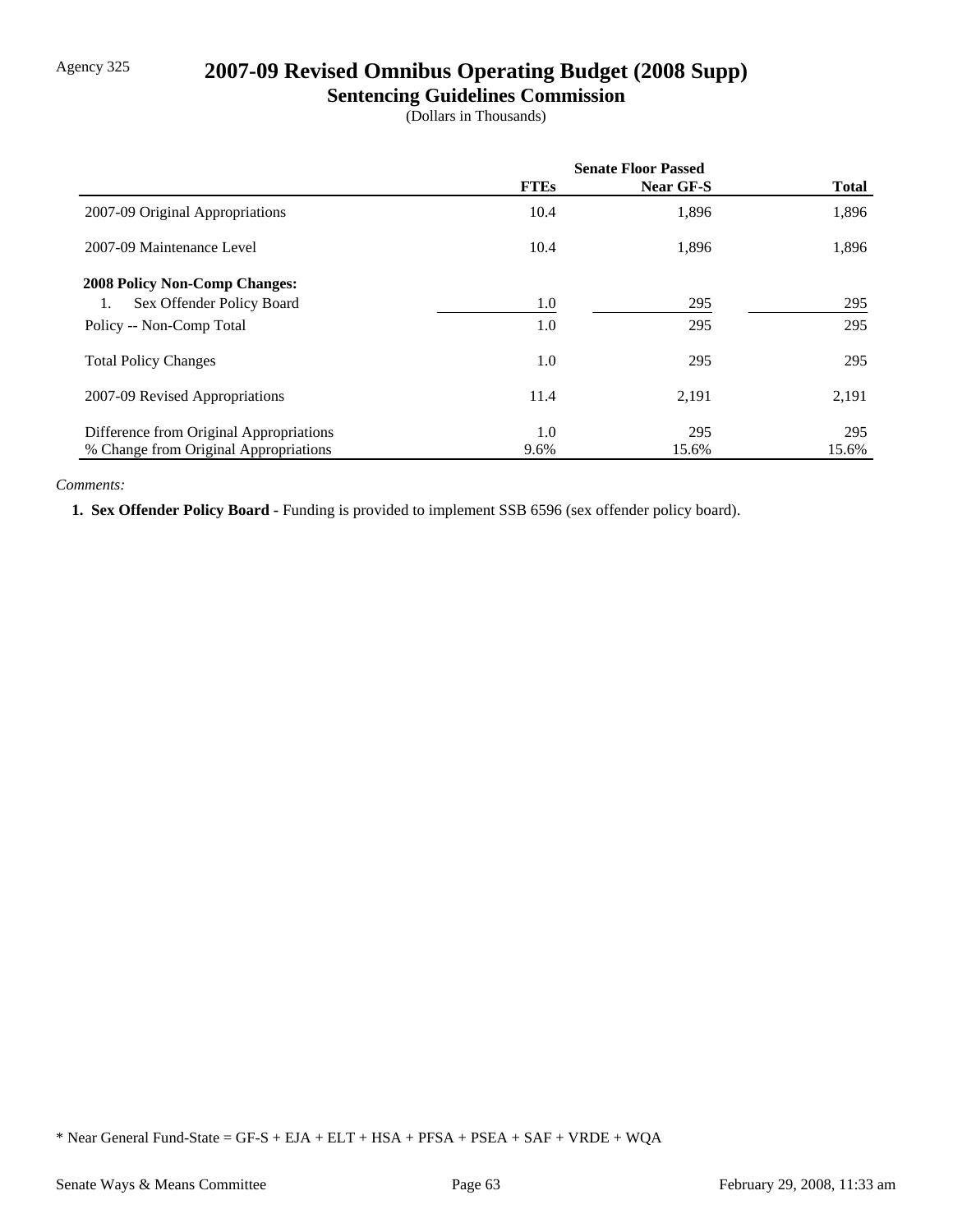# Agency 325 **2007-09 Revised Omnibus Operating Budget (2008 Supp)**

### **Sentencing Guidelines Commission**

(Dollars in Thousands)

|                                         | <b>Senate Floor Passed</b> |                  |              |
|-----------------------------------------|----------------------------|------------------|--------------|
|                                         | <b>FTEs</b>                | <b>Near GF-S</b> | <b>Total</b> |
| 2007-09 Original Appropriations         | 10.4                       | 1,896            | 1,896        |
| 2007-09 Maintenance Level               | 10.4                       | 1,896            | 1,896        |
| 2008 Policy Non-Comp Changes:           |                            |                  |              |
| Sex Offender Policy Board<br>1.         | $1.0\,$                    | 295              | 295          |
| Policy -- Non-Comp Total                | 1.0                        | 295              | 295          |
| <b>Total Policy Changes</b>             | $1.0\,$                    | 295              | 295          |
| 2007-09 Revised Appropriations          | 11.4                       | 2,191            | 2,191        |
| Difference from Original Appropriations | 1.0                        | 295              | 295          |
| % Change from Original Appropriations   | 9.6%                       | 15.6%            | 15.6%        |

### *Comments:*

 **1. Sex Offender Policy Board -** Funding is provided to implement SSB 6596 (sex offender policy board).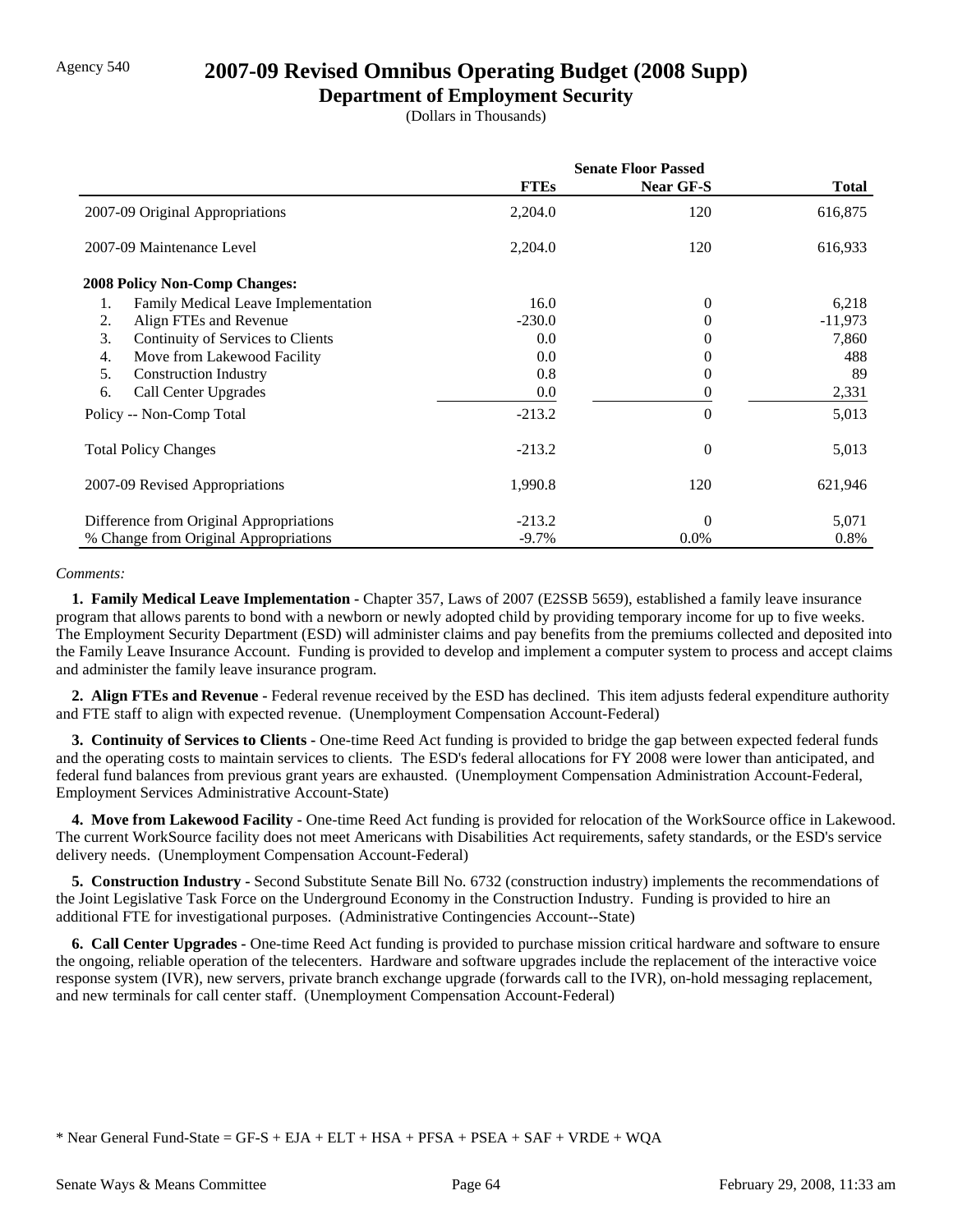## Agency 540 **2007-09 Revised Omnibus Operating Budget (2008 Supp)**

### **Department of Employment Security**

(Dollars in Thousands)

|                                           | <b>Senate Floor Passed</b> |                  |              |  |
|-------------------------------------------|----------------------------|------------------|--------------|--|
|                                           | <b>FTEs</b>                | <b>Near GF-S</b> | <b>Total</b> |  |
| 2007-09 Original Appropriations           | 2,204.0                    | 120              | 616,875      |  |
| 2007-09 Maintenance Level                 | 2,204.0                    | 120              | 616,933      |  |
| <b>2008 Policy Non-Comp Changes:</b>      |                            |                  |              |  |
| 1.<br>Family Medical Leave Implementation | 16.0                       | $\overline{0}$   | 6,218        |  |
| Align FTEs and Revenue<br>2.              | $-230.0$                   | 0                | $-11,973$    |  |
| Continuity of Services to Clients<br>3.   | 0.0                        | 0                | 7,860        |  |
| 4.<br>Move from Lakewood Facility         | 0.0                        | 0                | 488          |  |
| 5.<br><b>Construction Industry</b>        | 0.8                        | 0                | 89           |  |
| Call Center Upgrades<br>6.                | 0.0                        | 0                | 2,331        |  |
| Policy -- Non-Comp Total                  | $-213.2$                   | $\theta$         | 5,013        |  |
| <b>Total Policy Changes</b>               | $-213.2$                   | $\overline{0}$   | 5,013        |  |
| 2007-09 Revised Appropriations            | 1,990.8                    | 120              | 621,946      |  |
| Difference from Original Appropriations   | $-213.2$                   | $\theta$         | 5,071        |  |
| % Change from Original Appropriations     | $-9.7\%$                   | $0.0\%$          | 0.8%         |  |

#### *Comments:*

 **1. Family Medical Leave Implementation -** Chapter 357, Laws of 2007 (E2SSB 5659), established a family leave insurance program that allows parents to bond with a newborn or newly adopted child by providing temporary income for up to five weeks. The Employment Security Department (ESD) will administer claims and pay benefits from the premiums collected and deposited into the Family Leave Insurance Account. Funding is provided to develop and implement a computer system to process and accept claims and administer the family leave insurance program.

 **2. Align FTEs and Revenue -** Federal revenue received by the ESD has declined. This item adjusts federal expenditure authority and FTE staff to align with expected revenue. (Unemployment Compensation Account-Federal)

 **3. Continuity of Services to Clients -** One-time Reed Act funding is provided to bridge the gap between expected federal funds and the operating costs to maintain services to clients. The ESD's federal allocations for FY 2008 were lower than anticipated, and federal fund balances from previous grant years are exhausted. (Unemployment Compensation Administration Account-Federal, Employment Services Administrative Account-State)

 **4. Move from Lakewood Facility -** One-time Reed Act funding is provided for relocation of the WorkSource office in Lakewood. The current WorkSource facility does not meet Americans with Disabilities Act requirements, safety standards, or the ESD's service delivery needs. (Unemployment Compensation Account-Federal)

 **5. Construction Industry -** Second Substitute Senate Bill No. 6732 (construction industry) implements the recommendations of the Joint Legislative Task Force on the Underground Economy in the Construction Industry. Funding is provided to hire an additional FTE for investigational purposes. (Administrative Contingencies Account--State)

**6. Call Center Upgrades -** One-time Reed Act funding is provided to purchase mission critical hardware and software to ensure the ongoing, reliable operation of the telecenters. Hardware and software upgrades include the replacement of the interactive voice response system (IVR), new servers, private branch exchange upgrade (forwards call to the IVR), on-hold messaging replacement, and new terminals for call center staff. (Unemployment Compensation Account-Federal)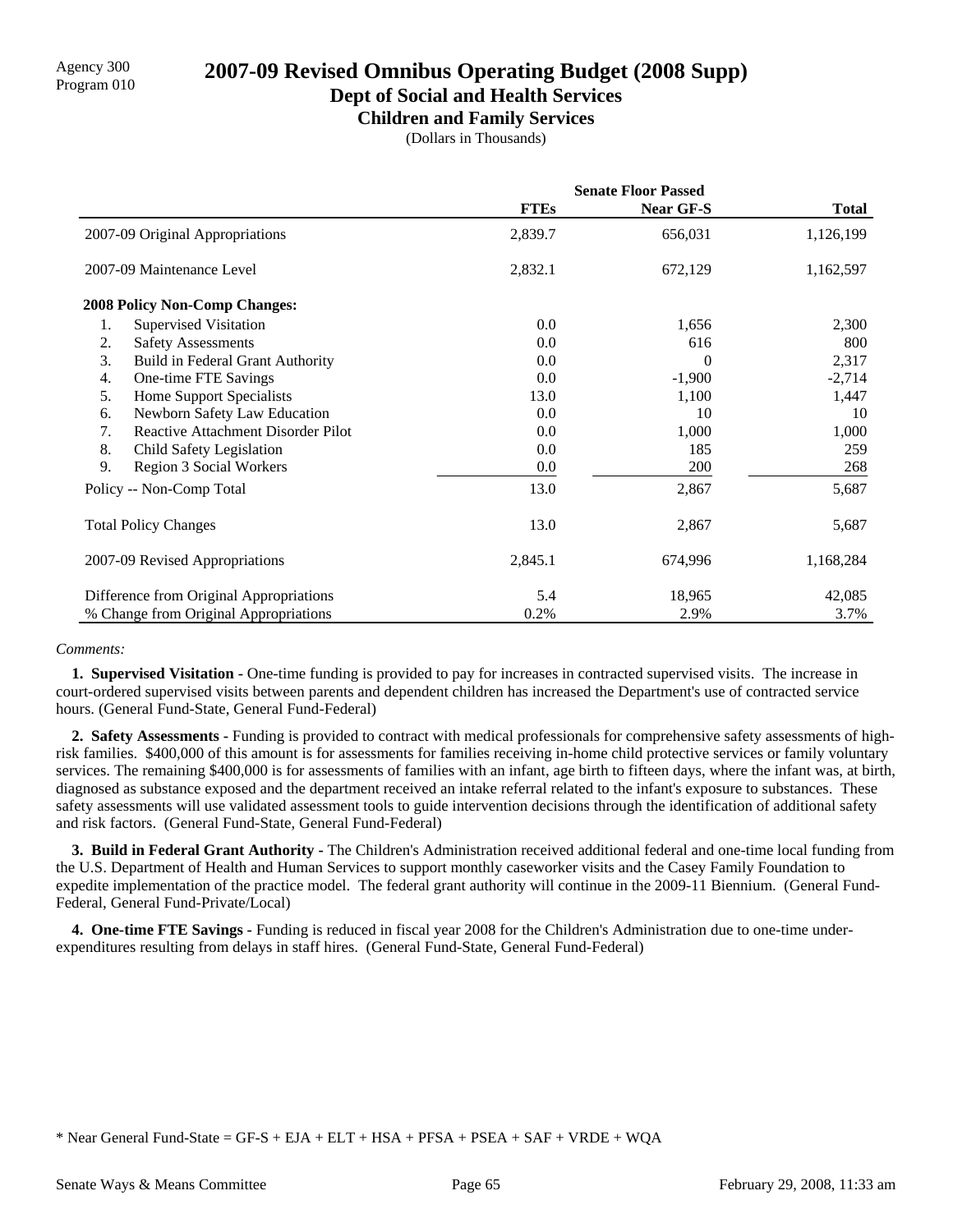**Dept of Social and Health Services**

**Children and Family Services**

(Dollars in Thousands)

|                                                 | <b>Senate Floor Passed</b> |           |              |  |
|-------------------------------------------------|----------------------------|-----------|--------------|--|
|                                                 | <b>FTEs</b>                | Near GF-S | <b>Total</b> |  |
| 2007-09 Original Appropriations                 | 2,839.7                    | 656,031   | 1,126,199    |  |
| 2007-09 Maintenance Level                       | 2,832.1                    | 672,129   | 1,162,597    |  |
| <b>2008 Policy Non-Comp Changes:</b>            |                            |           |              |  |
| <b>Supervised Visitation</b><br>1.              | 0.0                        | 1,656     | 2,300        |  |
| 2.<br><b>Safety Assessments</b>                 | 0.0                        | 616       | 800          |  |
| 3.<br>Build in Federal Grant Authority          | 0.0                        | 0         | 2,317        |  |
| One-time FTE Savings<br>4.                      | 0.0                        | $-1,900$  | $-2,714$     |  |
| 5.<br><b>Home Support Specialists</b>           | 13.0                       | 1,100     | 1,447        |  |
| Newborn Safety Law Education<br>6.              | 0.0                        | 10        | 10           |  |
| <b>Reactive Attachment Disorder Pilot</b><br>7. | 0.0                        | 1,000     | 1,000        |  |
| 8.<br>Child Safety Legislation                  | 0.0                        | 185       | 259          |  |
| 9.<br>Region 3 Social Workers                   | 0.0                        | 200       | 268          |  |
| Policy -- Non-Comp Total                        | 13.0                       | 2,867     | 5,687        |  |
| <b>Total Policy Changes</b>                     | 13.0                       | 2,867     | 5,687        |  |
| 2007-09 Revised Appropriations                  | 2,845.1                    | 674,996   | 1,168,284    |  |
| Difference from Original Appropriations         | 5.4                        | 18,965    | 42,085       |  |
| % Change from Original Appropriations           | 0.2%                       | 2.9%      | 3.7%         |  |

### *Comments:*

 **1. Supervised Visitation -** One-time funding is provided to pay for increases in contracted supervised visits. The increase in court-ordered supervised visits between parents and dependent children has increased the Department's use of contracted service hours. (General Fund-State, General Fund-Federal)

 **2. Safety Assessments -** Funding is provided to contract with medical professionals for comprehensive safety assessments of highrisk families. \$400,000 of this amount is for assessments for families receiving in-home child protective services or family voluntary services. The remaining \$400,000 is for assessments of families with an infant, age birth to fifteen days, where the infant was, at birth, diagnosed as substance exposed and the department received an intake referral related to the infant's exposure to substances. These safety assessments will use validated assessment tools to guide intervention decisions through the identification of additional safety and risk factors. (General Fund-State, General Fund-Federal)

 **3. Build in Federal Grant Authority -** The Children's Administration received additional federal and one-time local funding from the U.S. Department of Health and Human Services to support monthly caseworker visits and the Casey Family Foundation to expedite implementation of the practice model. The federal grant authority will continue in the 2009-11 Biennium. (General Fund-Federal, General Fund-Private/Local)

 **4. One-time FTE Savings -** Funding is reduced in fiscal year 2008 for the Children's Administration due to one-time underexpenditures resulting from delays in staff hires. (General Fund-State, General Fund-Federal)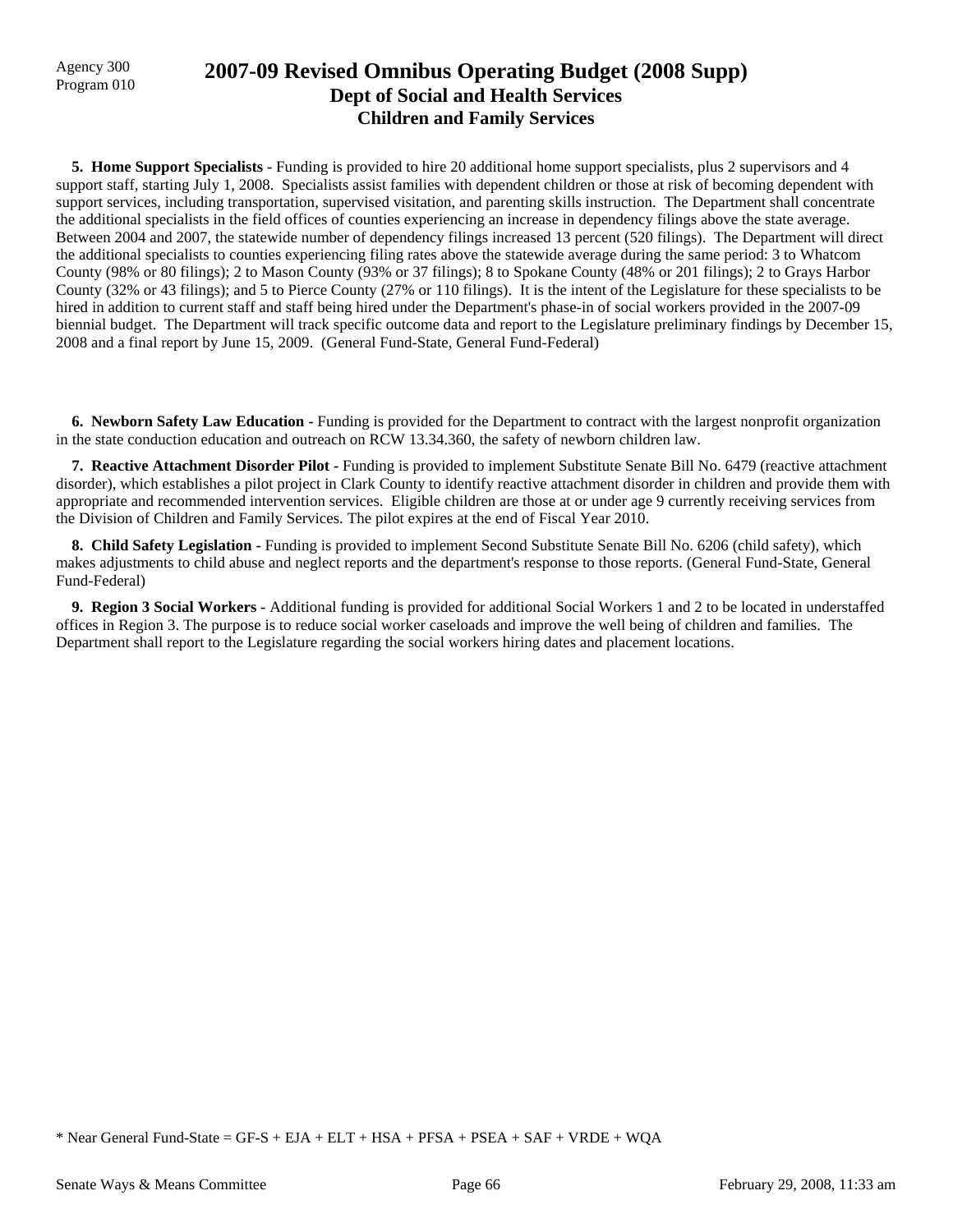## Agency 300 **2007-09 Revised Omnibus Operating Budget (2008 Supp)**<br>Program 010 **Dept of Social and Health Services Children and Family Services**

**5. Home Support Specialists - Funding is provided to hire 20 additional home support specialists, plus 2 supervisors and 4** support staff, starting July 1, 2008. Specialists assist families with dependent children or those at risk of becoming dependent with support services, including transportation, supervised visitation, and parenting skills instruction. The Department shall concentrate the additional specialists in the field offices of counties experiencing an increase in dependency filings above the state average. Between 2004 and 2007, the statewide number of dependency filings increased 13 percent (520 filings). The Department will direct the additional specialists to counties experiencing filing rates above the statewide average during the same period: 3 to Whatcom County (98% or 80 filings); 2 to Mason County (93% or 37 filings); 8 to Spokane County (48% or 201 filings); 2 to Grays Harbor County (32% or 43 filings); and 5 to Pierce County (27% or 110 filings). It is the intent of the Legislature for these specialists to be hired in addition to current staff and staff being hired under the Department's phase-in of social workers provided in the 2007-09 biennial budget. The Department will track specific outcome data and report to the Legislature preliminary findings by December 15, 2008 and a final report by June 15, 2009. (General Fund-State, General Fund-Federal)

 **6. Newborn Safety Law Education -** Funding is provided for the Department to contract with the largest nonprofit organization in the state conduction education and outreach on RCW 13.34.360, the safety of newborn children law.

 **7. Reactive Attachment Disorder Pilot -** Funding is provided to implement Substitute Senate Bill No. 6479 (reactive attachment disorder), which establishes a pilot project in Clark County to identify reactive attachment disorder in children and provide them with appropriate and recommended intervention services. Eligible children are those at or under age 9 currently receiving services from the Division of Children and Family Services. The pilot expires at the end of Fiscal Year 2010.

 **8. Child Safety Legislation -** Funding is provided to implement Second Substitute Senate Bill No. 6206 (child safety), which makes adjustments to child abuse and neglect reports and the department's response to those reports. (General Fund-State, General Fund-Federal)

 **9. Region 3 Social Workers -** Additional funding is provided for additional Social Workers 1 and 2 to be located in understaffed offices in Region 3. The purpose is to reduce social worker caseloads and improve the well being of children and families. The Department shall report to the Legislature regarding the social workers hiring dates and placement locations.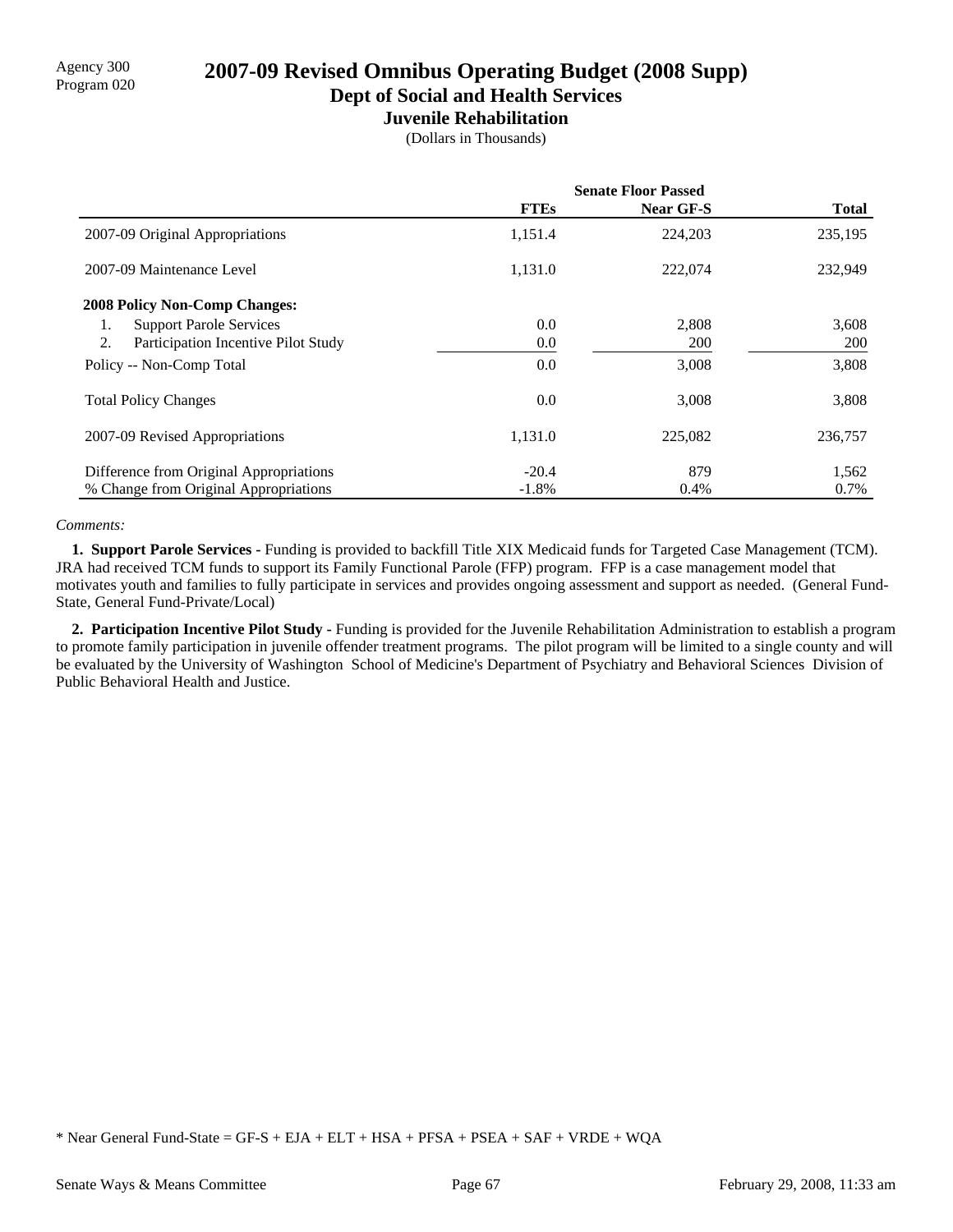**Dept of Social and Health Services**

### **Juvenile Rehabilitation**

(Dollars in Thousands)

|                                           | <b>Senate Floor Passed</b> |            |              |  |
|-------------------------------------------|----------------------------|------------|--------------|--|
|                                           | <b>FTEs</b>                | Near GF-S  | <b>Total</b> |  |
| 2007-09 Original Appropriations           | 1,151.4                    | 224,203    | 235,195      |  |
| 2007-09 Maintenance Level                 | 1,131.0                    | 222,074    | 232,949      |  |
| <b>2008 Policy Non-Comp Changes:</b>      |                            |            |              |  |
| <b>Support Parole Services</b><br>1.      | 0.0                        | 2,808      | 3,608        |  |
| 2.<br>Participation Incentive Pilot Study | 0.0                        | <b>200</b> | <b>200</b>   |  |
| Policy -- Non-Comp Total                  | 0.0                        | 3,008      | 3,808        |  |
| <b>Total Policy Changes</b>               | 0.0                        | 3,008      | 3,808        |  |
| 2007-09 Revised Appropriations            | 1,131.0                    | 225.082    | 236,757      |  |
| Difference from Original Appropriations   | $-20.4$                    | 879        | 1,562        |  |
| % Change from Original Appropriations     | $-1.8%$                    | 0.4%       | 0.7%         |  |

#### *Comments:*

 **1. Support Parole Services -** Funding is provided to backfill Title XIX Medicaid funds for Targeted Case Management (TCM). JRA had received TCM funds to support its Family Functional Parole (FFP) program. FFP is a case management model that motivates youth and families to fully participate in services and provides ongoing assessment and support as needed. (General Fund-State, General Fund-Private/Local)

 **2. Participation Incentive Pilot Study -** Funding is provided for the Juvenile Rehabilitation Administration to establish a program to promote family participation in juvenile offender treatment programs. The pilot program will be limited to a single county and will be evaluated by the University of Washington School of Medicine's Department of Psychiatry and Behavioral Sciences Division of Public Behavioral Health and Justice.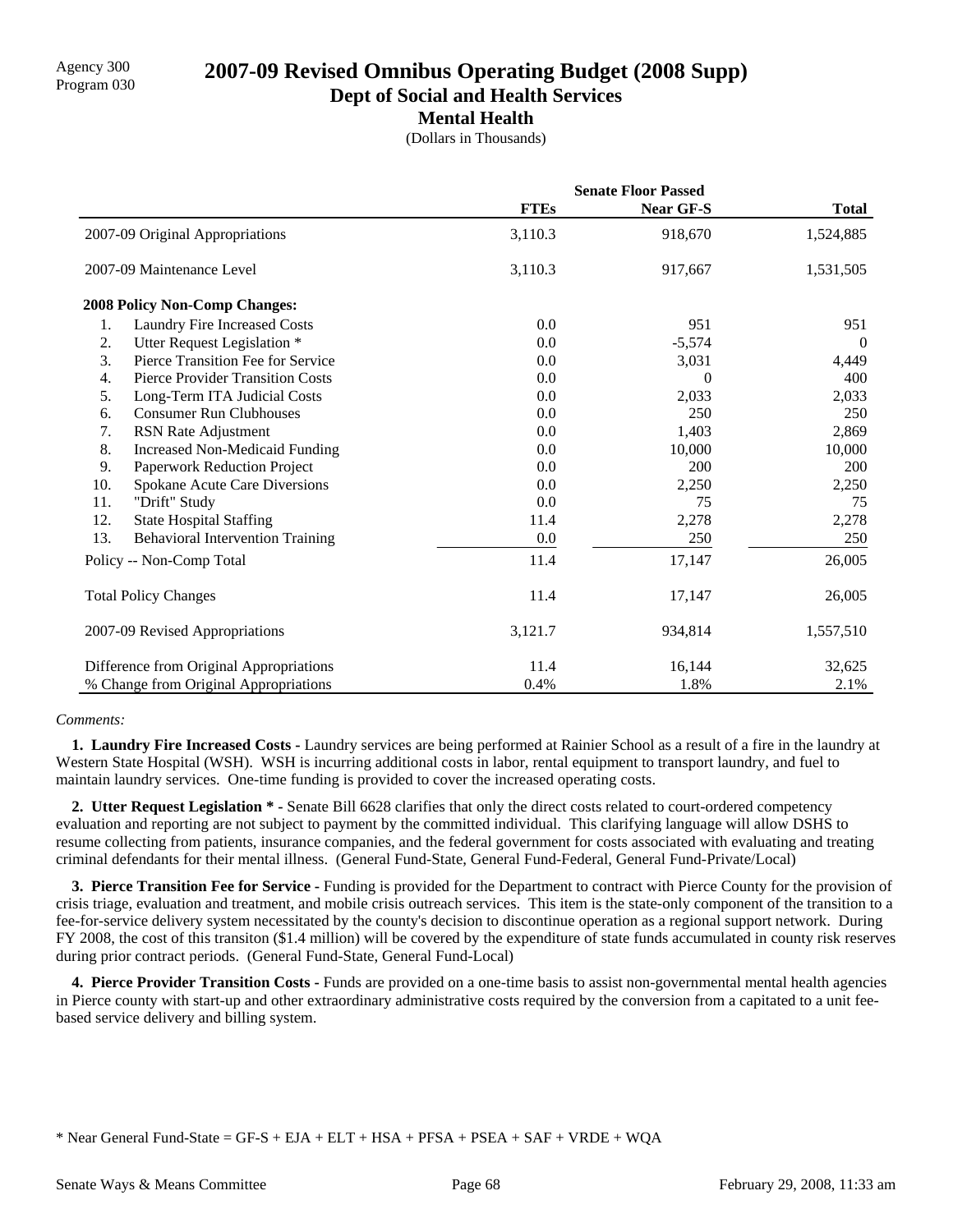**Dept of Social and Health Services**

**Mental Health**

(Dollars in Thousands)

|     |                                         | <b>Senate Floor Passed</b> |                  |              |
|-----|-----------------------------------------|----------------------------|------------------|--------------|
|     |                                         | <b>FTEs</b>                | <b>Near GF-S</b> | <b>Total</b> |
|     | 2007-09 Original Appropriations         | 3,110.3                    | 918,670          | 1,524,885    |
|     | 2007-09 Maintenance Level               | 3,110.3                    | 917,667          | 1,531,505    |
|     | <b>2008 Policy Non-Comp Changes:</b>    |                            |                  |              |
| 1.  | Laundry Fire Increased Costs            | 0.0                        | 951              | 951          |
| 2.  | Utter Request Legislation *             | 0.0                        | $-5,574$         | $\theta$     |
| 3.  | Pierce Transition Fee for Service       | 0.0                        | 3,031            | 4,449        |
| 4.  | <b>Pierce Provider Transition Costs</b> | 0.0                        | $\Omega$         | 400          |
| 5.  | Long-Term ITA Judicial Costs            | 0.0                        | 2,033            | 2,033        |
| 6.  | <b>Consumer Run Clubhouses</b>          | 0.0                        | 250              | 250          |
| 7.  | RSN Rate Adjustment                     | 0.0                        | 1,403            | 2,869        |
| 8.  | <b>Increased Non-Medicaid Funding</b>   | 0.0                        | 10,000           | 10,000       |
| 9.  | Paperwork Reduction Project             | 0.0                        | 200              | 200          |
| 10. | Spokane Acute Care Diversions           | 0.0                        | 2,250            | 2,250        |
| 11. | "Drift" Study                           | 0.0                        | 75               | 75           |
| 12. | <b>State Hospital Staffing</b>          | 11.4                       | 2,278            | 2,278        |
| 13. | <b>Behavioral Intervention Training</b> | 0.0                        | 250              | 250          |
|     | Policy -- Non-Comp Total                | 11.4                       | 17,147           | 26,005       |
|     | <b>Total Policy Changes</b>             | 11.4                       | 17,147           | 26,005       |
|     | 2007-09 Revised Appropriations          | 3,121.7                    | 934,814          | 1,557,510    |
|     | Difference from Original Appropriations | 11.4                       | 16,144           | 32,625       |
|     | % Change from Original Appropriations   | 0.4%                       | 1.8%             | 2.1%         |

### *Comments:*

 **1. Laundry Fire Increased Costs -** Laundry services are being performed at Rainier School as a result of a fire in the laundry at Western State Hospital (WSH). WSH is incurring additional costs in labor, rental equipment to transport laundry, and fuel to maintain laundry services. One-time funding is provided to cover the increased operating costs.

 **2. Utter Request Legislation \* -** Senate Bill 6628 clarifies that only the direct costs related to court-ordered competency evaluation and reporting are not subject to payment by the committed individual. This clarifying language will allow DSHS to resume collecting from patients, insurance companies, and the federal government for costs associated with evaluating and treating criminal defendants for their mental illness. (General Fund-State, General Fund-Federal, General Fund-Private/Local)

 **3. Pierce Transition Fee for Service -** Funding is provided for the Department to contract with Pierce County for the provision of crisis triage, evaluation and treatment, and mobile crisis outreach services. This item is the state-only component of the transition to a fee-for-service delivery system necessitated by the county's decision to discontinue operation as a regional support network. During FY 2008, the cost of this transiton (\$1.4 million) will be covered by the expenditure of state funds accumulated in county risk reserves during prior contract periods. (General Fund-State, General Fund-Local)

 **4. Pierce Provider Transition Costs -** Funds are provided on a one-time basis to assist non-governmental mental health agencies in Pierce county with start-up and other extraordinary administrative costs required by the conversion from a capitated to a unit feebased service delivery and billing system.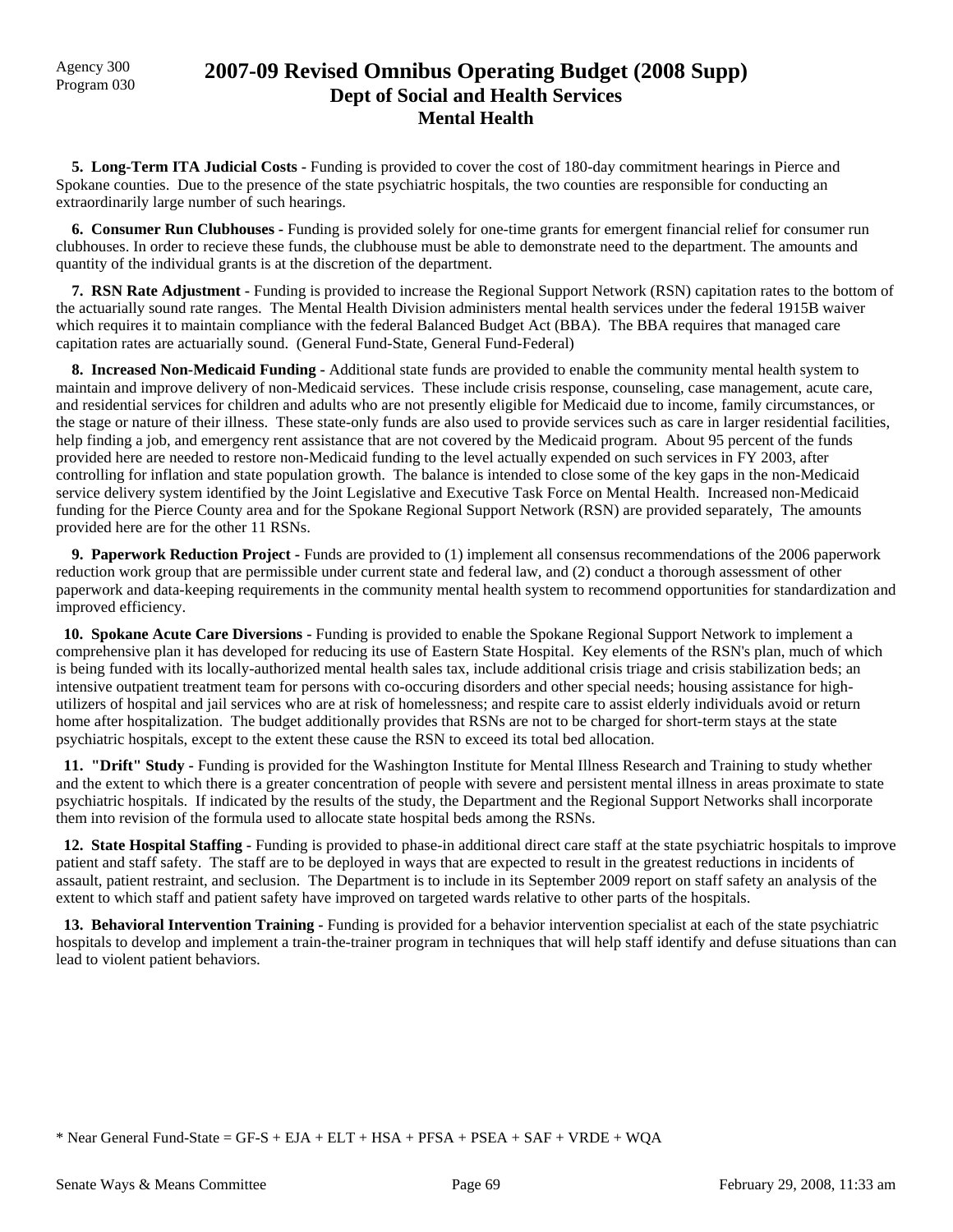## Agency 300 **2007-09 Revised Omnibus Operating Budget (2008 Supp)**<br>Program 030 **Dept of Social and Health Services Mental Health**

 **5. Long-Term ITA Judicial Costs -** Funding is provided to cover the cost of 180-day commitment hearings in Pierce and Spokane counties. Due to the presence of the state psychiatric hospitals, the two counties are responsible for conducting an extraordinarily large number of such hearings.

 **6. Consumer Run Clubhouses -** Funding is provided solely for one-time grants for emergent financial relief for consumer run clubhouses. In order to recieve these funds, the clubhouse must be able to demonstrate need to the department. The amounts and quantity of the individual grants is at the discretion of the department.

 **7. RSN Rate Adjustment -** Funding is provided to increase the Regional Support Network (RSN) capitation rates to the bottom of the actuarially sound rate ranges. The Mental Health Division administers mental health services under the federal 1915B waiver which requires it to maintain compliance with the federal Balanced Budget Act (BBA). The BBA requires that managed care capitation rates are actuarially sound. (General Fund-State, General Fund-Federal)

 **8. Increased Non-Medicaid Funding -** Additional state funds are provided to enable the community mental health system to maintain and improve delivery of non-Medicaid services. These include crisis response, counseling, case management, acute care, and residential services for children and adults who are not presently eligible for Medicaid due to income, family circumstances, or the stage or nature of their illness. These state-only funds are also used to provide services such as care in larger residential facilities, help finding a job, and emergency rent assistance that are not covered by the Medicaid program. About 95 percent of the funds provided here are needed to restore non-Medicaid funding to the level actually expended on such services in FY 2003, after controlling for inflation and state population growth. The balance is intended to close some of the key gaps in the non-Medicaid service delivery system identified by the Joint Legislative and Executive Task Force on Mental Health. Increased non-Medicaid funding for the Pierce County area and for the Spokane Regional Support Network (RSN) are provided separately, The amounts provided here are for the other 11 RSNs.

 **9. Paperwork Reduction Project -** Funds are provided to (1) implement all consensus recommendations of the 2006 paperwork reduction work group that are permissible under current state and federal law, and (2) conduct a thorough assessment of other paperwork and data-keeping requirements in the community mental health system to recommend opportunities for standardization and improved efficiency.

 **10. Spokane Acute Care Diversions -** Funding is provided to enable the Spokane Regional Support Network to implement a comprehensive plan it has developed for reducing its use of Eastern State Hospital. Key elements of the RSN's plan, much of which is being funded with its locally-authorized mental health sales tax, include additional crisis triage and crisis stabilization beds; an intensive outpatient treatment team for persons with co-occuring disorders and other special needs; housing assistance for highutilizers of hospital and jail services who are at risk of homelessness; and respite care to assist elderly individuals avoid or return home after hospitalization. The budget additionally provides that RSNs are not to be charged for short-term stays at the state psychiatric hospitals, except to the extent these cause the RSN to exceed its total bed allocation.

 **11. "Drift" Study -** Funding is provided for the Washington Institute for Mental Illness Research and Training to study whether and the extent to which there is a greater concentration of people with severe and persistent mental illness in areas proximate to state psychiatric hospitals. If indicated by the results of the study, the Department and the Regional Support Networks shall incorporate them into revision of the formula used to allocate state hospital beds among the RSNs.

 **12. State Hospital Staffing -** Funding is provided to phase-in additional direct care staff at the state psychiatric hospitals to improve patient and staff safety. The staff are to be deployed in ways that are expected to result in the greatest reductions in incidents of assault, patient restraint, and seclusion. The Department is to include in its September 2009 report on staff safety an analysis of the extent to which staff and patient safety have improved on targeted wards relative to other parts of the hospitals.

**13. Behavioral Intervention Training -** Funding is provided for a behavior intervention specialist at each of the state psychiatric hospitals to develop and implement a train-the-trainer program in techniques that will help staff identify and defuse situations than can lead to violent patient behaviors.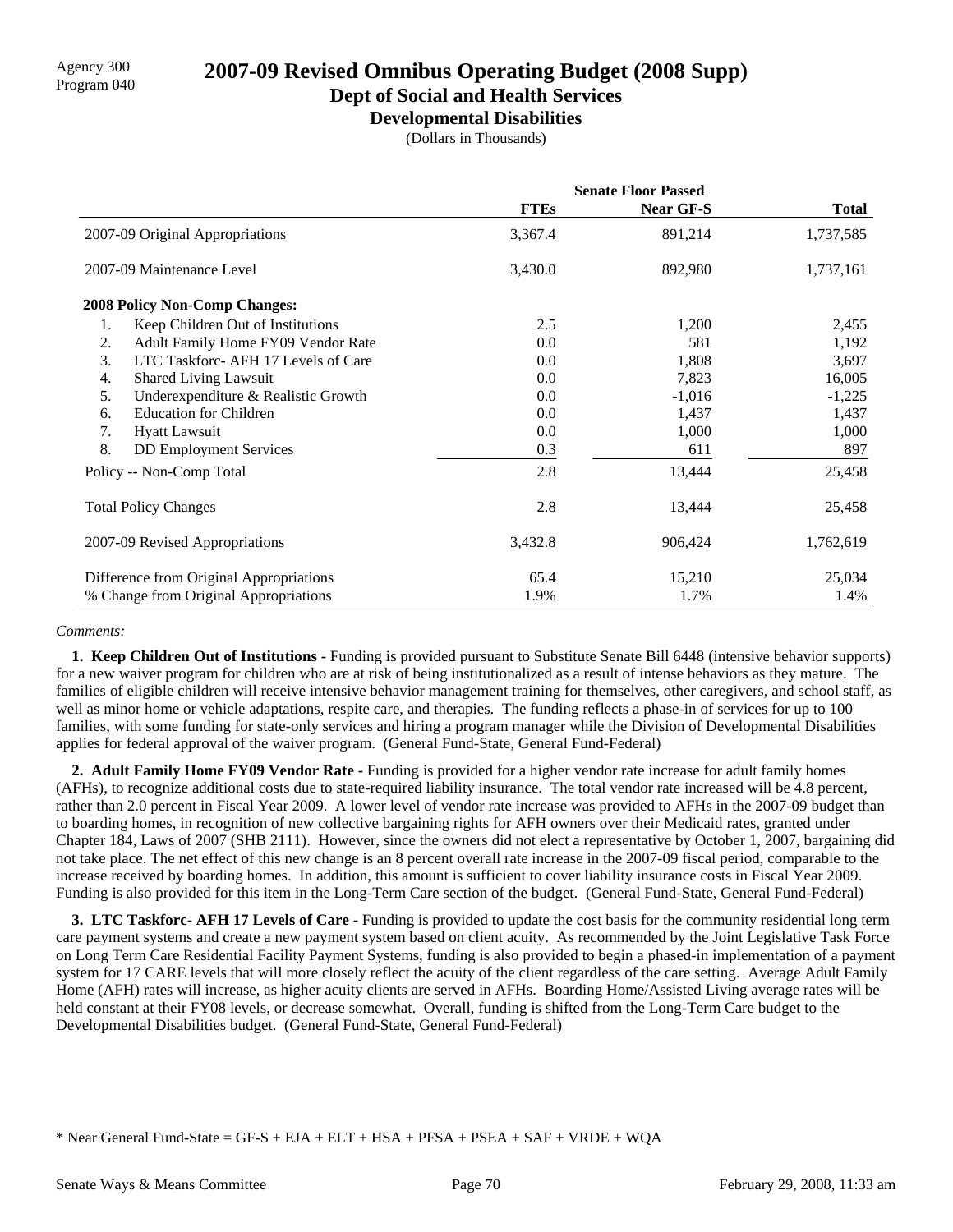# **Dept of Social and Health Services**

**Developmental Disabilities**

(Dollars in Thousands)

|                                           |             | <b>Senate Floor Passed</b> |              |
|-------------------------------------------|-------------|----------------------------|--------------|
|                                           | <b>FTEs</b> | <b>Near GF-S</b>           | <b>Total</b> |
| 2007-09 Original Appropriations           | 3,367.4     | 891,214                    | 1,737,585    |
| 2007-09 Maintenance Level                 | 3,430.0     | 892,980                    | 1,737,161    |
| <b>2008 Policy Non-Comp Changes:</b>      |             |                            |              |
| 1.<br>Keep Children Out of Institutions   | 2.5         | 1,200                      | 2,455        |
| 2.<br>Adult Family Home FY09 Vendor Rate  | 0.0         | 581                        | 1,192        |
| 3.<br>LTC Taskforc-AFH 17 Levels of Care  | 0.0         | 1,808                      | 3,697        |
| <b>Shared Living Lawsuit</b><br>4.        | 0.0         | 7,823                      | 16,005       |
| 5.<br>Underexpenditure & Realistic Growth | 0.0         | $-1,016$                   | $-1,225$     |
| <b>Education for Children</b><br>6.       | 0.0         | 1,437                      | 1,437        |
| 7.<br><b>Hyatt Lawsuit</b>                | 0.0         | 1,000                      | 1,000        |
| 8.<br><b>DD</b> Employment Services       | 0.3         | 611                        | 897          |
| Policy -- Non-Comp Total                  | 2.8         | 13,444                     | 25,458       |
| <b>Total Policy Changes</b>               | 2.8         | 13,444                     | 25,458       |
| 2007-09 Revised Appropriations            | 3,432.8     | 906,424                    | 1,762,619    |
| Difference from Original Appropriations   | 65.4        | 15,210                     | 25,034       |
| % Change from Original Appropriations     | 1.9%        | 1.7%                       | 1.4%         |

### *Comments:*

 **1. Keep Children Out of Institutions -** Funding is provided pursuant to Substitute Senate Bill 6448 (intensive behavior supports) for a new waiver program for children who are at risk of being institutionalized as a result of intense behaviors as they mature. The families of eligible children will receive intensive behavior management training for themselves, other caregivers, and school staff, as well as minor home or vehicle adaptations, respite care, and therapies. The funding reflects a phase-in of services for up to 100 families, with some funding for state-only services and hiring a program manager while the Division of Developmental Disabilities applies for federal approval of the waiver program. (General Fund-State, General Fund-Federal)

 **2. Adult Family Home FY09 Vendor Rate -** Funding is provided for a higher vendor rate increase for adult family homes (AFHs), to recognize additional costs due to state-required liability insurance. The total vendor rate increased will be 4.8 percent, rather than 2.0 percent in Fiscal Year 2009. A lower level of vendor rate increase was provided to AFHs in the 2007-09 budget than to boarding homes, in recognition of new collective bargaining rights for AFH owners over their Medicaid rates, granted under Chapter 184, Laws of 2007 (SHB 2111). However, since the owners did not elect a representative by October 1, 2007, bargaining did not take place. The net effect of this new change is an 8 percent overall rate increase in the 2007-09 fiscal period, comparable to the increase received by boarding homes. In addition, this amount is sufficient to cover liability insurance costs in Fiscal Year 2009. Funding is also provided for this item in the Long-Term Care section of the budget. (General Fund-State, General Fund-Federal)

**3. LTC Taskforc- AFH 17 Levels of Care -** Funding is provided to update the cost basis for the community residential long term care payment systems and create a new payment system based on client acuity. As recommended by the Joint Legislative Task Force on Long Term Care Residential Facility Payment Systems, funding is also provided to begin a phased-in implementation of a payment system for 17 CARE levels that will more closely reflect the acuity of the client regardless of the care setting. Average Adult Family Home (AFH) rates will increase, as higher acuity clients are served in AFHs. Boarding Home/Assisted Living average rates will be held constant at their FY08 levels, or decrease somewhat. Overall, funding is shifted from the Long-Term Care budget to the Developmental Disabilities budget. (General Fund-State, General Fund-Federal)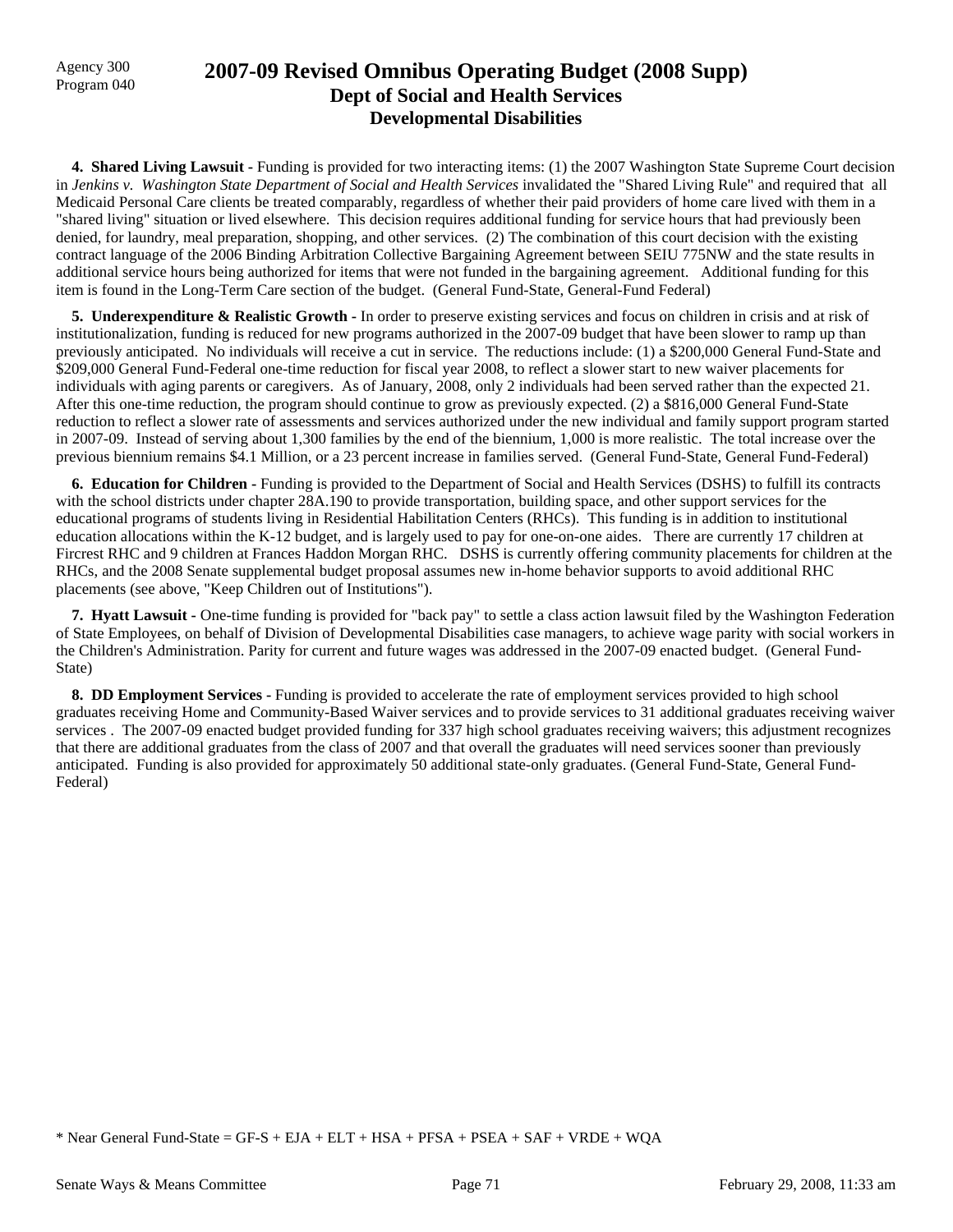### Agency 300 **2007-09 Revised Omnibus Operating Budget (2008 Supp)**<br>Program 040 **Dept of Social and Health Services Developmental Disabilities**

**4. Shared Living Lawsuit - Funding is provided for two interacting items:** (1) the 2007 Washington State Supreme Court decision in *Jenkins v. Washington State Department of Social and Health Services* invalidated the "Shared Living Rule" and required that all Medicaid Personal Care clients be treated comparably, regardless of whether their paid providers of home care lived with them in a "shared living" situation or lived elsewhere. This decision requires additional funding for service hours that had previously been denied, for laundry, meal preparation, shopping, and other services. (2) The combination of this court decision with the existing contract language of the 2006 Binding Arbitration Collective Bargaining Agreement between SEIU 775NW and the state results in additional service hours being authorized for items that were not funded in the bargaining agreement. Additional funding for this item is found in the Long-Term Care section of the budget. (General Fund-State, General-Fund Federal)

 **5. Underexpenditure & Realistic Growth -** In order to preserve existing services and focus on children in crisis and at risk of institutionalization, funding is reduced for new programs authorized in the 2007-09 budget that have been slower to ramp up than previously anticipated. No individuals will receive a cut in service. The reductions include: (1) a \$200,000 General Fund-State and \$209,000 General Fund-Federal one-time reduction for fiscal year 2008, to reflect a slower start to new waiver placements for individuals with aging parents or caregivers. As of January, 2008, only 2 individuals had been served rather than the expected 21. After this one-time reduction, the program should continue to grow as previously expected. (2) a \$816,000 General Fund-State reduction to reflect a slower rate of assessments and services authorized under the new individual and family support program started in 2007-09. Instead of serving about 1,300 families by the end of the biennium, 1,000 is more realistic. The total increase over the previous biennium remains \$4.1 Million, or a 23 percent increase in families served. (General Fund-State, General Fund-Federal)

 **6. Education for Children -** Funding is provided to the Department of Social and Health Services (DSHS) to fulfill its contracts with the school districts under chapter 28A.190 to provide transportation, building space, and other support services for the educational programs of students living in Residential Habilitation Centers (RHCs). This funding is in addition to institutional education allocations within the K-12 budget, and is largely used to pay for one-on-one aides. There are currently 17 children at Fircrest RHC and 9 children at Frances Haddon Morgan RHC. DSHS is currently offering community placements for children at the RHCs, and the 2008 Senate supplemental budget proposal assumes new in-home behavior supports to avoid additional RHC placements (see above, "Keep Children out of Institutions").

 **7. Hyatt Lawsuit -** One-time funding is provided for "back pay" to settle a class action lawsuit filed by the Washington Federation of State Employees, on behalf of Division of Developmental Disabilities case managers, to achieve wage parity with social workers in the Children's Administration. Parity for current and future wages was addressed in the 2007-09 enacted budget. (General Fund-State)

 **8. DD Employment Services -** Funding is provided to accelerate the rate of employment services provided to high school graduates receiving Home and Community-Based Waiver services and to provide services to 31 additional graduates receiving waiver services . The 2007-09 enacted budget provided funding for 337 high school graduates receiving waivers; this adjustment recognizes that there are additional graduates from the class of 2007 and that overall the graduates will need services sooner than previously anticipated. Funding is also provided for approximately 50 additional state-only graduates. (General Fund-State, General Fund-Federal)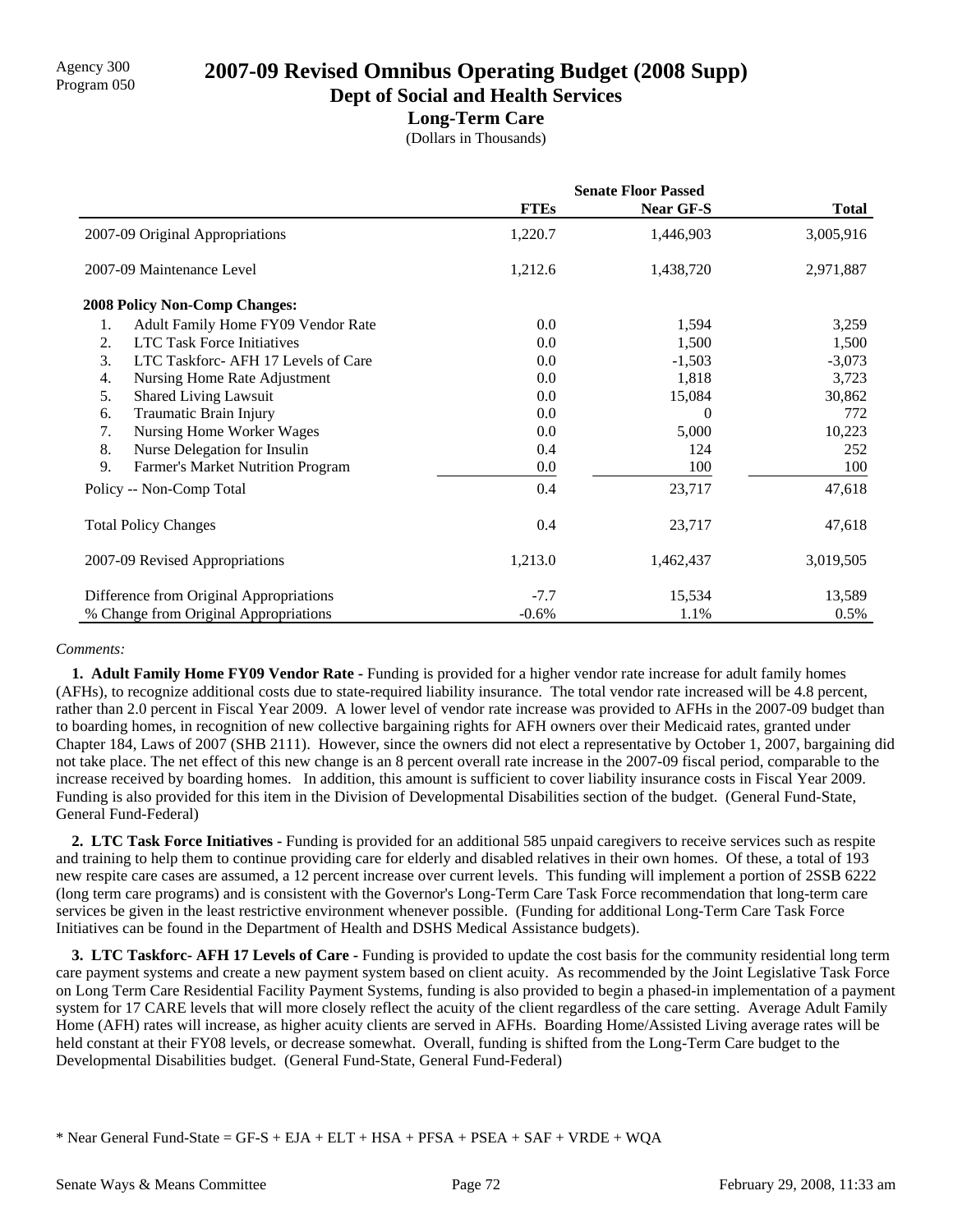**Dept of Social and Health Services**

### **Long-Term Care**

(Dollars in Thousands)

|                                           | <b>Senate Floor Passed</b> |                  |              |
|-------------------------------------------|----------------------------|------------------|--------------|
|                                           | <b>FTEs</b>                | <b>Near GF-S</b> | <b>Total</b> |
| 2007-09 Original Appropriations           | 1,220.7                    | 1,446,903        | 3,005,916    |
| 2007-09 Maintenance Level                 | 1,212.6                    | 1,438,720        | 2,971,887    |
| <b>2008 Policy Non-Comp Changes:</b>      |                            |                  |              |
| Adult Family Home FY09 Vendor Rate<br>1.  | 0.0                        | 1,594            | 3,259        |
| <b>LTC Task Force Initiatives</b><br>2.   | 0.0                        | 1,500            | 1,500        |
| LTC Taskforc- AFH 17 Levels of Care<br>3. | 0.0                        | $-1,503$         | $-3,073$     |
| Nursing Home Rate Adjustment<br>4.        | 0.0                        | 1,818            | 3,723        |
| <b>Shared Living Lawsuit</b><br>5.        | 0.0                        | 15,084           | 30,862       |
| Traumatic Brain Injury<br>6.              | 0.0                        | $\Omega$         | 772          |
| Nursing Home Worker Wages<br>7.           | 0.0                        | 5,000            | 10,223       |
| 8.<br>Nurse Delegation for Insulin        | 0.4                        | 124              | 252          |
| 9.<br>Farmer's Market Nutrition Program   | 0.0                        | 100              | 100          |
| Policy -- Non-Comp Total                  | 0.4                        | 23,717           | 47,618       |
| <b>Total Policy Changes</b>               | 0.4                        | 23,717           | 47,618       |
| 2007-09 Revised Appropriations            | 1,213.0                    | 1,462,437        | 3,019,505    |
| Difference from Original Appropriations   | $-7.7$                     | 15,534           | 13,589       |
| % Change from Original Appropriations     | $-0.6%$                    | 1.1%             | 0.5%         |

### *Comments:*

**1. Adult Family Home FY09 Vendor Rate -** Funding is provided for a higher vendor rate increase for adult family homes (AFHs), to recognize additional costs due to state-required liability insurance. The total vendor rate increased will be 4.8 percent, rather than 2.0 percent in Fiscal Year 2009. A lower level of vendor rate increase was provided to AFHs in the 2007-09 budget than to boarding homes, in recognition of new collective bargaining rights for AFH owners over their Medicaid rates, granted under Chapter 184, Laws of 2007 (SHB 2111). However, since the owners did not elect a representative by October 1, 2007, bargaining did not take place. The net effect of this new change is an 8 percent overall rate increase in the 2007-09 fiscal period, comparable to the increase received by boarding homes. In addition, this amount is sufficient to cover liability insurance costs in Fiscal Year 2009. Funding is also provided for this item in the Division of Developmental Disabilities section of the budget. (General Fund-State, General Fund-Federal)

 **2. LTC Task Force Initiatives -** Funding is provided for an additional 585 unpaid caregivers to receive services such as respite and training to help them to continue providing care for elderly and disabled relatives in their own homes. Of these, a total of 193 new respite care cases are assumed, a 12 percent increase over current levels. This funding will implement a portion of 2SSB 6222 (long term care programs) and is consistent with the Governor's Long-Term Care Task Force recommendation that long-term care services be given in the least restrictive environment whenever possible. (Funding for additional Long-Term Care Task Force Initiatives can be found in the Department of Health and DSHS Medical Assistance budgets).

**3. LTC Taskforc- AFH 17 Levels of Care -** Funding is provided to update the cost basis for the community residential long term care payment systems and create a new payment system based on client acuity. As recommended by the Joint Legislative Task Force on Long Term Care Residential Facility Payment Systems, funding is also provided to begin a phased-in implementation of a payment system for 17 CARE levels that will more closely reflect the acuity of the client regardless of the care setting. Average Adult Family Home (AFH) rates will increase, as higher acuity clients are served in AFHs. Boarding Home/Assisted Living average rates will be held constant at their FY08 levels, or decrease somewhat. Overall, funding is shifted from the Long-Term Care budget to the Developmental Disabilities budget. (General Fund-State, General Fund-Federal)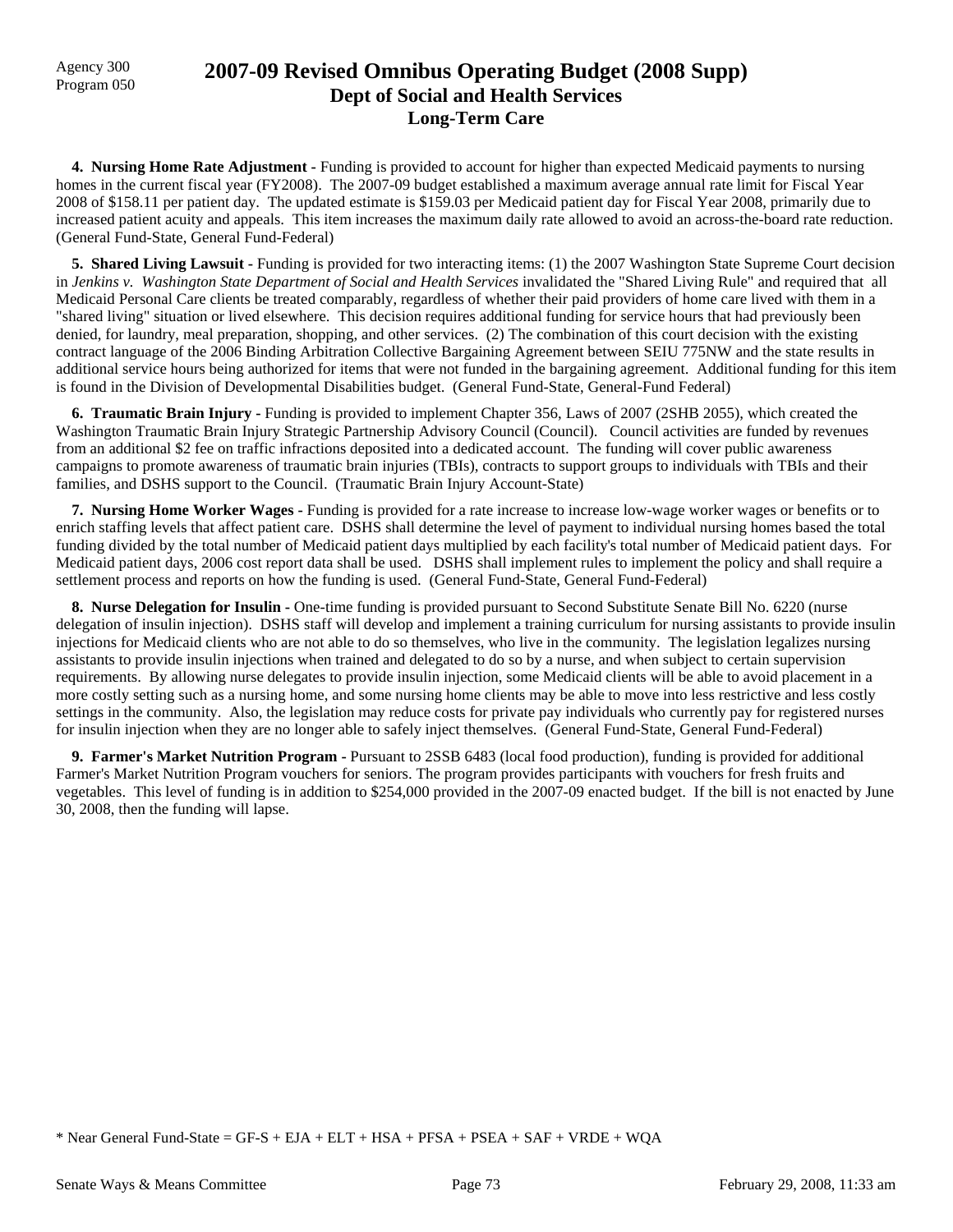## Program 050 **2007-09 Revised Omnibus Operating Budget (2008 Supp) Dept of Social and Health Services Long-Term Care**

 **4. Nursing Home Rate Adjustment -** Funding is provided to account for higher than expected Medicaid payments to nursing homes in the current fiscal year (FY2008). The 2007-09 budget established a maximum average annual rate limit for Fiscal Year 2008 of \$158.11 per patient day. The updated estimate is \$159.03 per Medicaid patient day for Fiscal Year 2008, primarily due to increased patient acuity and appeals. This item increases the maximum daily rate allowed to avoid an across-the-board rate reduction. (General Fund-State, General Fund-Federal)

**5. Shared Living Lawsuit - Funding is provided for two interacting items:** (1) the 2007 Washington State Supreme Court decision in *Jenkins v. Washington State Department of Social and Health Services* invalidated the "Shared Living Rule" and required that all Medicaid Personal Care clients be treated comparably, regardless of whether their paid providers of home care lived with them in a "shared living" situation or lived elsewhere. This decision requires additional funding for service hours that had previously been denied, for laundry, meal preparation, shopping, and other services. (2) The combination of this court decision with the existing contract language of the 2006 Binding Arbitration Collective Bargaining Agreement between SEIU 775NW and the state results in additional service hours being authorized for items that were not funded in the bargaining agreement. Additional funding for this item is found in the Division of Developmental Disabilities budget. (General Fund-State, General-Fund Federal)

**6. Traumatic Brain Injury -** Funding is provided to implement Chapter 356, Laws of 2007 (2SHB 2055), which created the Washington Traumatic Brain Injury Strategic Partnership Advisory Council (Council). Council activities are funded by revenues from an additional \$2 fee on traffic infractions deposited into a dedicated account. The funding will cover public awareness campaigns to promote awareness of traumatic brain injuries (TBIs), contracts to support groups to individuals with TBIs and their families, and DSHS support to the Council. (Traumatic Brain Injury Account-State)

 **7. Nursing Home Worker Wages -** Funding is provided for a rate increase to increase low-wage worker wages or benefits or to enrich staffing levels that affect patient care. DSHS shall determine the level of payment to individual nursing homes based the total funding divided by the total number of Medicaid patient days multiplied by each facility's total number of Medicaid patient days. For Medicaid patient days, 2006 cost report data shall be used. DSHS shall implement rules to implement the policy and shall require a settlement process and reports on how the funding is used. (General Fund-State, General Fund-Federal)

 **8. Nurse Delegation for Insulin -** One-time funding is provided pursuant to Second Substitute Senate Bill No. 6220 (nurse delegation of insulin injection). DSHS staff will develop and implement a training curriculum for nursing assistants to provide insulin injections for Medicaid clients who are not able to do so themselves, who live in the community. The legislation legalizes nursing assistants to provide insulin injections when trained and delegated to do so by a nurse, and when subject to certain supervision requirements. By allowing nurse delegates to provide insulin injection, some Medicaid clients will be able to avoid placement in a more costly setting such as a nursing home, and some nursing home clients may be able to move into less restrictive and less costly settings in the community. Also, the legislation may reduce costs for private pay individuals who currently pay for registered nurses for insulin injection when they are no longer able to safely inject themselves. (General Fund-State, General Fund-Federal)

 **9. Farmer's Market Nutrition Program -** Pursuant to 2SSB 6483 (local food production), funding is provided for additional Farmer's Market Nutrition Program vouchers for seniors. The program provides participants with vouchers for fresh fruits and vegetables. This level of funding is in addition to \$254,000 provided in the 2007-09 enacted budget. If the bill is not enacted by June 30, 2008, then the funding will lapse.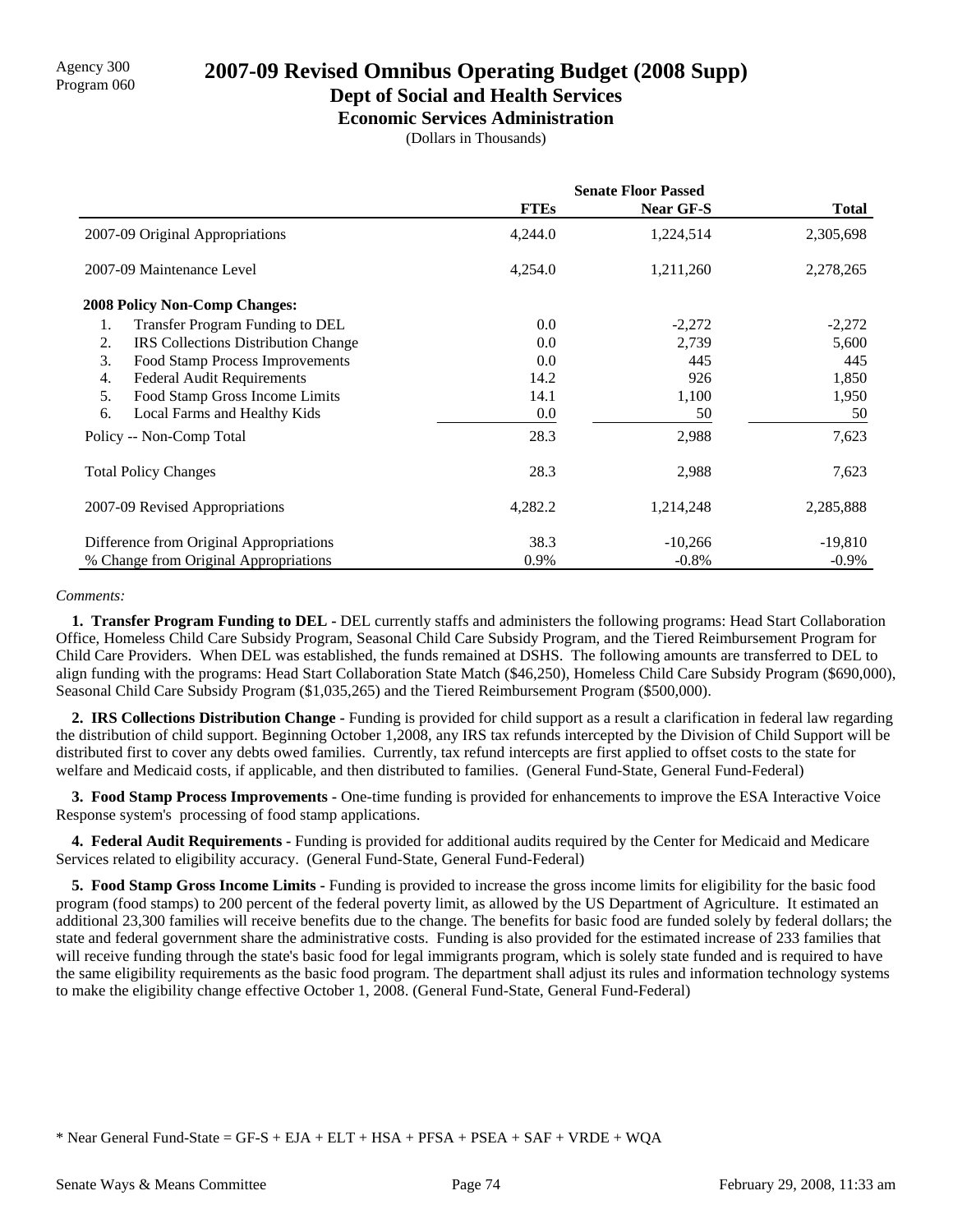### **Dept of Social and Health Services**

**Economic Services Administration**

(Dollars in Thousands)

|                                                  | <b>Senate Floor Passed</b> |                  |           |
|--------------------------------------------------|----------------------------|------------------|-----------|
|                                                  | <b>FTEs</b>                | <b>Near GF-S</b> | Total     |
| 2007-09 Original Appropriations                  | 4,244.0                    | 1,224,514        | 2,305,698 |
| 2007-09 Maintenance Level                        | 4,254.0                    | 1,211,260        | 2,278,265 |
| <b>2008 Policy Non-Comp Changes:</b>             |                            |                  |           |
| Transfer Program Funding to DEL<br>1.            | 0.0                        | $-2,272$         | $-2,272$  |
| 2.<br><b>IRS</b> Collections Distribution Change | 0.0                        | 2,739            | 5,600     |
| 3.<br>Food Stamp Process Improvements            | 0.0                        | 445              | 445       |
| 4.<br><b>Federal Audit Requirements</b>          | 14.2                       | 926              | 1,850     |
| 5.<br>Food Stamp Gross Income Limits             | 14.1                       | 1,100            | 1,950     |
| 6.<br>Local Farms and Healthy Kids               | 0.0                        | 50               | 50        |
| Policy -- Non-Comp Total                         | 28.3                       | 2,988            | 7,623     |
| <b>Total Policy Changes</b>                      | 28.3                       | 2,988            | 7,623     |
| 2007-09 Revised Appropriations                   | 4,282.2                    | 1,214,248        | 2,285,888 |
| Difference from Original Appropriations          | 38.3                       | $-10,266$        | $-19,810$ |
| % Change from Original Appropriations            | 0.9%                       | $-0.8\%$         | $-0.9\%$  |

#### *Comments:*

 **1. Transfer Program Funding to DEL -** DEL currently staffs and administers the following programs: Head Start Collaboration Office, Homeless Child Care Subsidy Program, Seasonal Child Care Subsidy Program, and the Tiered Reimbursement Program for Child Care Providers. When DEL was established, the funds remained at DSHS. The following amounts are transferred to DEL to align funding with the programs: Head Start Collaboration State Match (\$46,250), Homeless Child Care Subsidy Program (\$690,000), Seasonal Child Care Subsidy Program (\$1,035,265) and the Tiered Reimbursement Program (\$500,000).

 **2. IRS Collections Distribution Change -** Funding is provided for child support as a result a clarification in federal law regarding the distribution of child support. Beginning October 1,2008, any IRS tax refunds intercepted by the Division of Child Support will be distributed first to cover any debts owed families. Currently, tax refund intercepts are first applied to offset costs to the state for welfare and Medicaid costs, if applicable, and then distributed to families. (General Fund-State, General Fund-Federal)

 **3. Food Stamp Process Improvements -** One-time funding is provided for enhancements to improve the ESA Interactive Voice Response system's processing of food stamp applications.

 **4. Federal Audit Requirements -** Funding is provided for additional audits required by the Center for Medicaid and Medicare Services related to eligibility accuracy. (General Fund-State, General Fund-Federal)

 **5. Food Stamp Gross Income Limits -** Funding is provided to increase the gross income limits for eligibility for the basic food program (food stamps) to 200 percent of the federal poverty limit, as allowed by the US Department of Agriculture. It estimated an additional 23,300 families will receive benefits due to the change. The benefits for basic food are funded solely by federal dollars; the state and federal government share the administrative costs. Funding is also provided for the estimated increase of 233 families that will receive funding through the state's basic food for legal immigrants program, which is solely state funded and is required to have the same eligibility requirements as the basic food program. The department shall adjust its rules and information technology systems to make the eligibility change effective October 1, 2008. (General Fund-State, General Fund-Federal)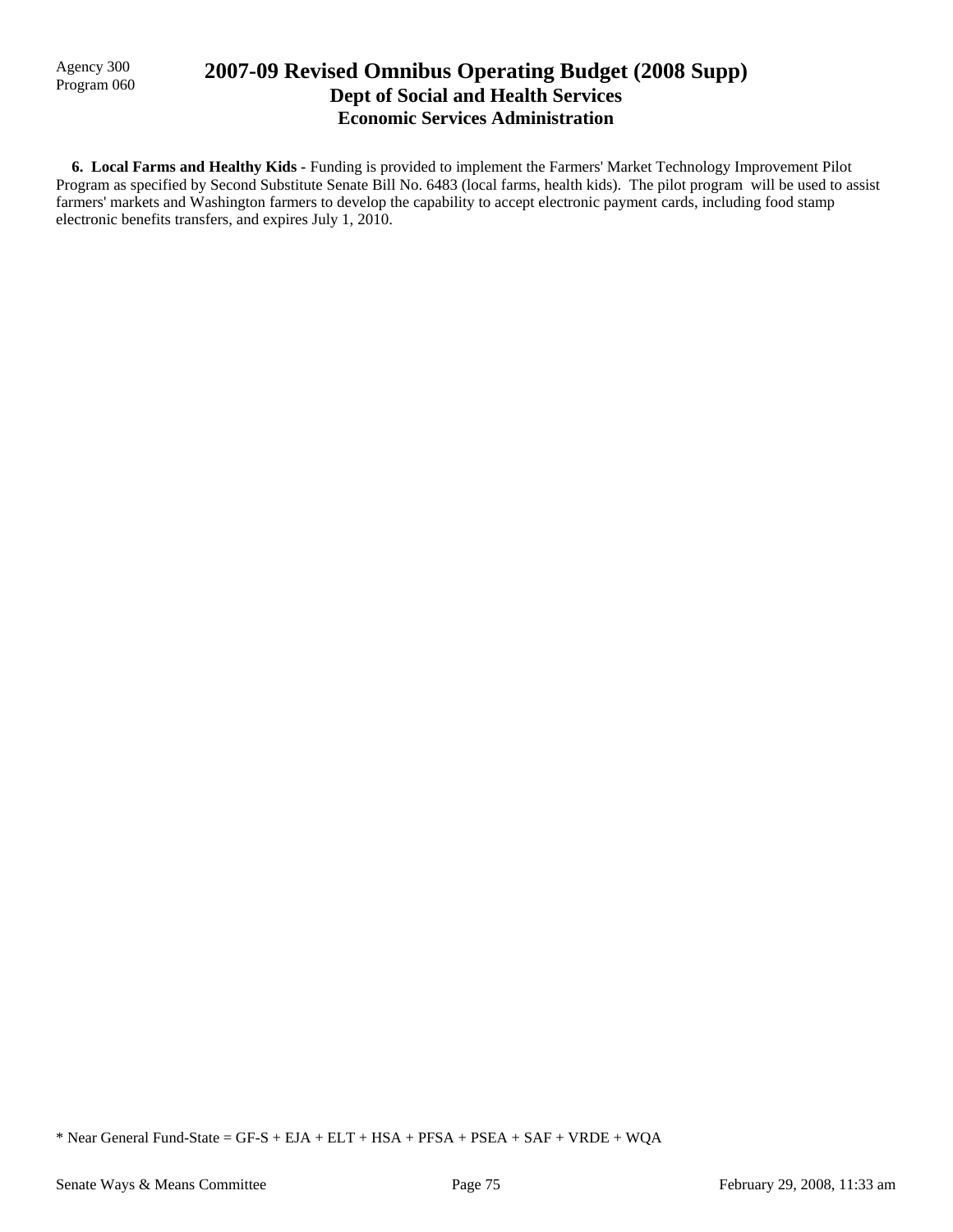Agency 300

## Agency 300 **2007-09 Revised Omnibus Operating Budget (2008 Supp)** Program 060 **Dept of Social and Health Services Economic Services Administration**

 **6. Local Farms and Healthy Kids -** Funding is provided to implement the Farmers' Market Technology Improvement Pilot Program as specified by Second Substitute Senate Bill No. 6483 (local farms, health kids). The pilot program will be used to assist farmers' markets and Washington farmers to develop the capability to accept electronic payment cards, including food stamp electronic benefits transfers, and expires July 1, 2010.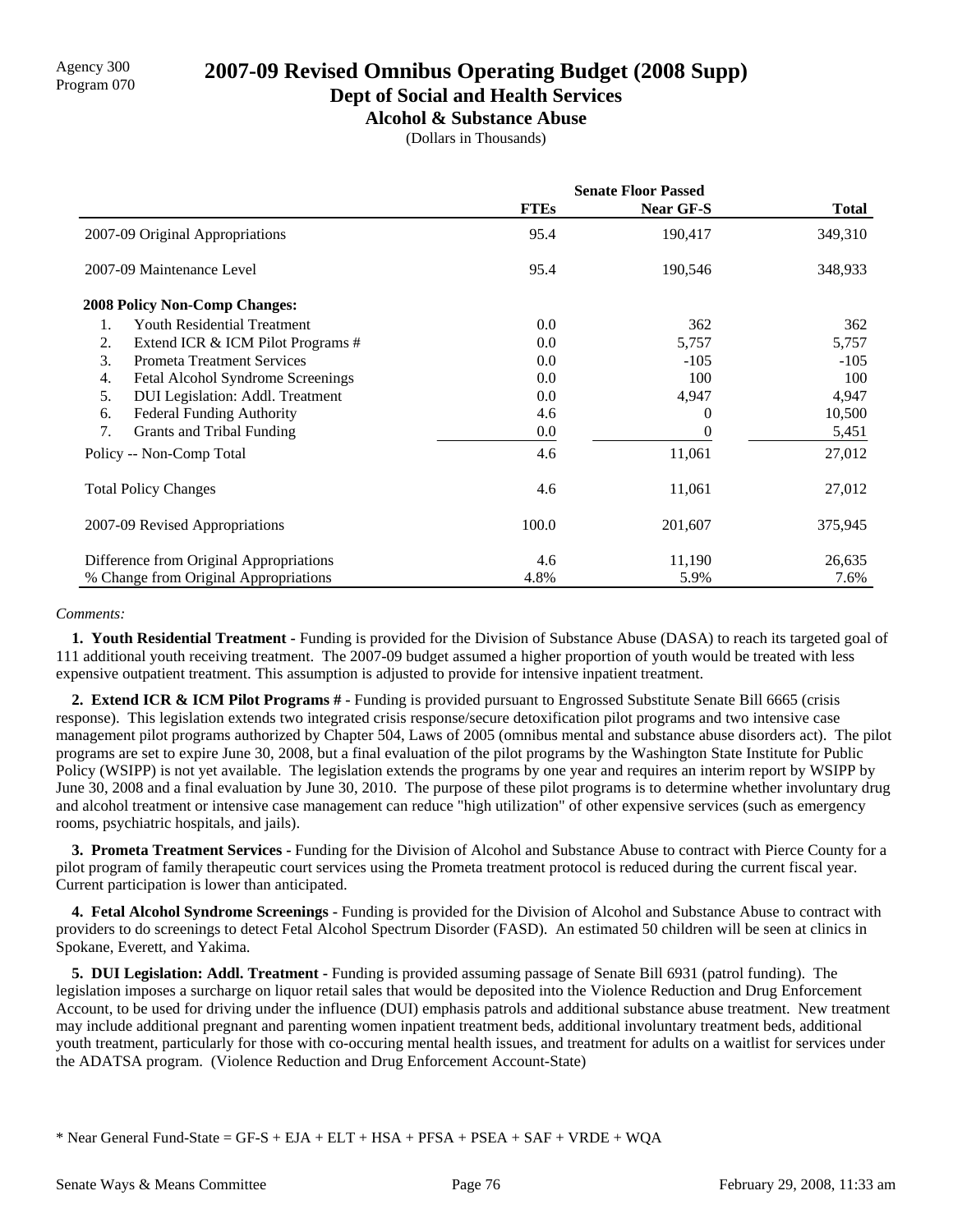### **Dept of Social and Health Services**

**Alcohol & Substance Abuse**

(Dollars in Thousands)

|                                         | <b>Senate Floor Passed</b> |           |              |  |
|-----------------------------------------|----------------------------|-----------|--------------|--|
|                                         | <b>FTEs</b>                | Near GF-S | <b>Total</b> |  |
| 2007-09 Original Appropriations         | 95.4                       | 190,417   | 349,310      |  |
| 2007-09 Maintenance Level               | 95.4                       | 190,546   | 348,933      |  |
| <b>2008 Policy Non-Comp Changes:</b>    |                            |           |              |  |
| Youth Residential Treatment<br>1.       | 0.0                        | 362       | 362          |  |
| 2.<br>Extend ICR & ICM Pilot Programs # | 0.0                        | 5,757     | 5,757        |  |
| 3.<br><b>Prometa Treatment Services</b> | 0.0                        | $-105$    | $-105$       |  |
| 4.<br>Fetal Alcohol Syndrome Screenings | 0.0                        | 100       | 100          |  |
| DUI Legislation: Addl. Treatment<br>5.  | 0.0                        | 4,947     | 4,947        |  |
| <b>Federal Funding Authority</b><br>6.  | 4.6                        | $_{0}$    | 10,500       |  |
| 7.<br>Grants and Tribal Funding         | 0.0                        |           | 5,451        |  |
| Policy -- Non-Comp Total                | 4.6                        | 11,061    | 27,012       |  |
| <b>Total Policy Changes</b>             | 4.6                        | 11,061    | 27,012       |  |
| 2007-09 Revised Appropriations          | 100.0                      | 201,607   | 375,945      |  |
| Difference from Original Appropriations | 4.6                        | 11,190    | 26,635       |  |
| % Change from Original Appropriations   | 4.8%                       | 5.9%      | 7.6%         |  |

### *Comments:*

 **1. Youth Residential Treatment -** Funding is provided for the Division of Substance Abuse (DASA) to reach its targeted goal of 111 additional youth receiving treatment. The 2007-09 budget assumed a higher proportion of youth would be treated with less expensive outpatient treatment. This assumption is adjusted to provide for intensive inpatient treatment.

 **2. Extend ICR & ICM Pilot Programs # -** Funding is provided pursuant to Engrossed Substitute Senate Bill 6665 (crisis response). This legislation extends two integrated crisis response/secure detoxification pilot programs and two intensive case management pilot programs authorized by Chapter 504, Laws of 2005 (omnibus mental and substance abuse disorders act). The pilot programs are set to expire June 30, 2008, but a final evaluation of the pilot programs by the Washington State Institute for Public Policy (WSIPP) is not yet available. The legislation extends the programs by one year and requires an interim report by WSIPP by June 30, 2008 and a final evaluation by June 30, 2010. The purpose of these pilot programs is to determine whether involuntary drug and alcohol treatment or intensive case management can reduce "high utilization" of other expensive services (such as emergency rooms, psychiatric hospitals, and jails).

 **3. Prometa Treatment Services -** Funding for the Division of Alcohol and Substance Abuse to contract with Pierce County for a pilot program of family therapeutic court services using the Prometa treatment protocol is reduced during the current fiscal year. Current participation is lower than anticipated.

 **4. Fetal Alcohol Syndrome Screenings -** Funding is provided for the Division of Alcohol and Substance Abuse to contract with providers to do screenings to detect Fetal Alcohol Spectrum Disorder (FASD). An estimated 50 children will be seen at clinics in Spokane, Everett, and Yakima.

 **5. DUI Legislation: Addl. Treatment -** Funding is provided assuming passage of Senate Bill 6931 (patrol funding). The legislation imposes a surcharge on liquor retail sales that would be deposited into the Violence Reduction and Drug Enforcement Account, to be used for driving under the influence (DUI) emphasis patrols and additional substance abuse treatment. New treatment may include additional pregnant and parenting women inpatient treatment beds, additional involuntary treatment beds, additional youth treatment, particularly for those with co-occuring mental health issues, and treatment for adults on a waitlist for services under the ADATSA program. (Violence Reduction and Drug Enforcement Account-State)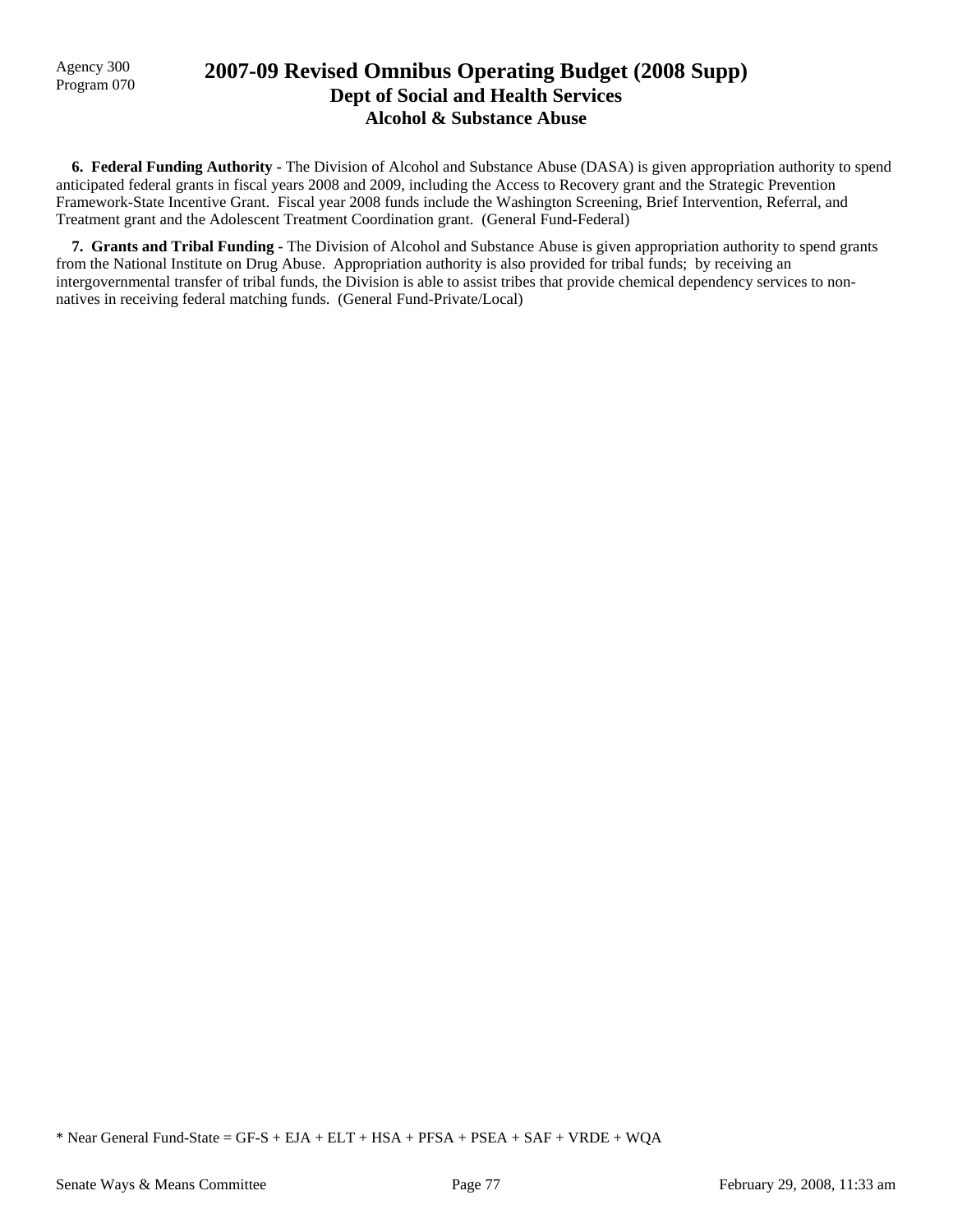### Agency 300 **2007-09 Revised Omnibus Operating Budget (2008 Supp)**<br>Program 070 **Dept of Social and Health Services Alcohol & Substance Abuse**

 **6. Federal Funding Authority -** The Division of Alcohol and Substance Abuse (DASA) is given appropriation authority to spend anticipated federal grants in fiscal years 2008 and 2009, including the Access to Recovery grant and the Strategic Prevention Framework-State Incentive Grant. Fiscal year 2008 funds include the Washington Screening, Brief Intervention, Referral, and Treatment grant and the Adolescent Treatment Coordination grant. (General Fund-Federal)

 **7. Grants and Tribal Funding -** The Division of Alcohol and Substance Abuse is given appropriation authority to spend grants from the National Institute on Drug Abuse. Appropriation authority is also provided for tribal funds; by receiving an intergovernmental transfer of tribal funds, the Division is able to assist tribes that provide chemical dependency services to nonnatives in receiving federal matching funds. (General Fund-Private/Local)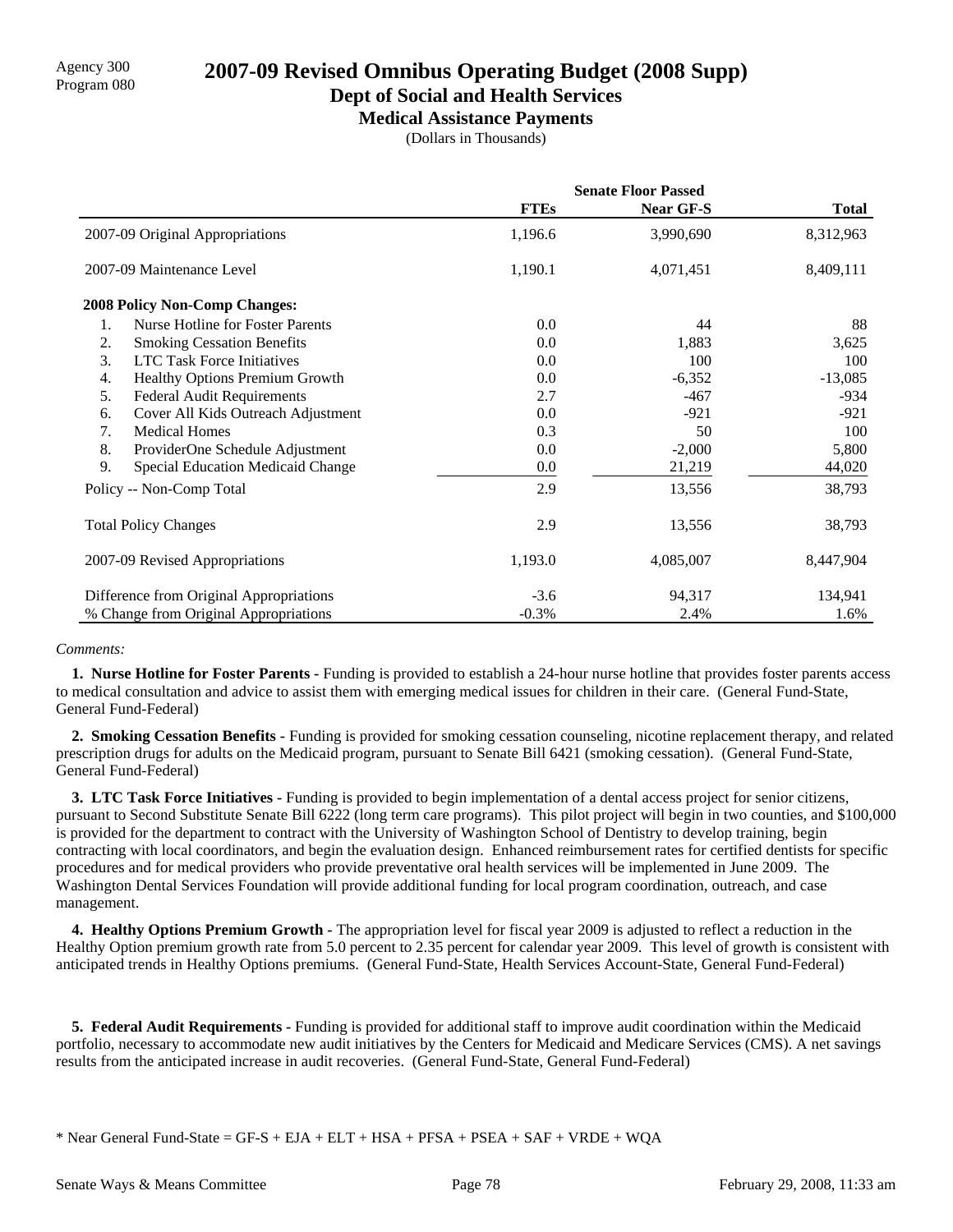**Dept of Social and Health Services**

**Medical Assistance Payments**

(Dollars in Thousands)

|                                                | <b>Senate Floor Passed</b> |           |              |
|------------------------------------------------|----------------------------|-----------|--------------|
|                                                | <b>FTEs</b>                | Near GF-S | <b>Total</b> |
| 2007-09 Original Appropriations                | 1,196.6                    | 3,990,690 | 8,312,963    |
| 2007-09 Maintenance Level                      | 1,190.1                    | 4,071,451 | 8,409,111    |
| <b>2008 Policy Non-Comp Changes:</b>           |                            |           |              |
| Nurse Hotline for Foster Parents<br>1.         | 0.0                        | 44        | 88           |
| 2.<br><b>Smoking Cessation Benefits</b>        | 0.0                        | 1,883     | 3,625        |
| 3.<br><b>LTC Task Force Initiatives</b>        | 0.0                        | 100       | 100          |
| Healthy Options Premium Growth<br>4.           | 0.0                        | $-6,352$  | $-13,085$    |
| 5.<br><b>Federal Audit Requirements</b>        | 2.7                        | $-467$    | $-934$       |
| Cover All Kids Outreach Adjustment<br>6.       | 0.0                        | $-921$    | $-921$       |
| 7.<br><b>Medical Homes</b>                     | 0.3                        | 50        | 100          |
| 8.<br>ProviderOne Schedule Adjustment          | 0.0                        | $-2,000$  | 5,800        |
| 9.<br><b>Special Education Medicaid Change</b> | 0.0                        | 21,219    | 44,020       |
| Policy -- Non-Comp Total                       | 2.9                        | 13,556    | 38,793       |
| <b>Total Policy Changes</b>                    | 2.9                        | 13,556    | 38,793       |
| 2007-09 Revised Appropriations                 | 1,193.0                    | 4,085,007 | 8,447,904    |
| Difference from Original Appropriations        | $-3.6$                     | 94,317    | 134,941      |
| % Change from Original Appropriations          | $-0.3\%$                   | 2.4%      | 1.6%         |

### *Comments:*

 **1. Nurse Hotline for Foster Parents -** Funding is provided to establish a 24-hour nurse hotline that provides foster parents access to medical consultation and advice to assist them with emerging medical issues for children in their care. (General Fund-State, General Fund-Federal)

 **2. Smoking Cessation Benefits -** Funding is provided for smoking cessation counseling, nicotine replacement therapy, and related prescription drugs for adults on the Medicaid program, pursuant to Senate Bill 6421 (smoking cessation). (General Fund-State, General Fund-Federal)

 **3. LTC Task Force Initiatives -** Funding is provided to begin implementation of a dental access project for senior citizens, pursuant to Second Substitute Senate Bill 6222 (long term care programs). This pilot project will begin in two counties, and \$100,000 is provided for the department to contract with the University of Washington School of Dentistry to develop training, begin contracting with local coordinators, and begin the evaluation design. Enhanced reimbursement rates for certified dentists for specific procedures and for medical providers who provide preventative oral health services will be implemented in June 2009. The Washington Dental Services Foundation will provide additional funding for local program coordination, outreach, and case management.

 **4. Healthy Options Premium Growth -** The appropriation level for fiscal year 2009 is adjusted to reflect a reduction in the Healthy Option premium growth rate from 5.0 percent to 2.35 percent for calendar year 2009. This level of growth is consistent with anticipated trends in Healthy Options premiums. (General Fund-State, Health Services Account-State, General Fund-Federal)

 **5. Federal Audit Requirements -** Funding is provided for additional staff to improve audit coordination within the Medicaid portfolio, necessary to accommodate new audit initiatives by the Centers for Medicaid and Medicare Services (CMS). A net savings results from the anticipated increase in audit recoveries. (General Fund-State, General Fund-Federal)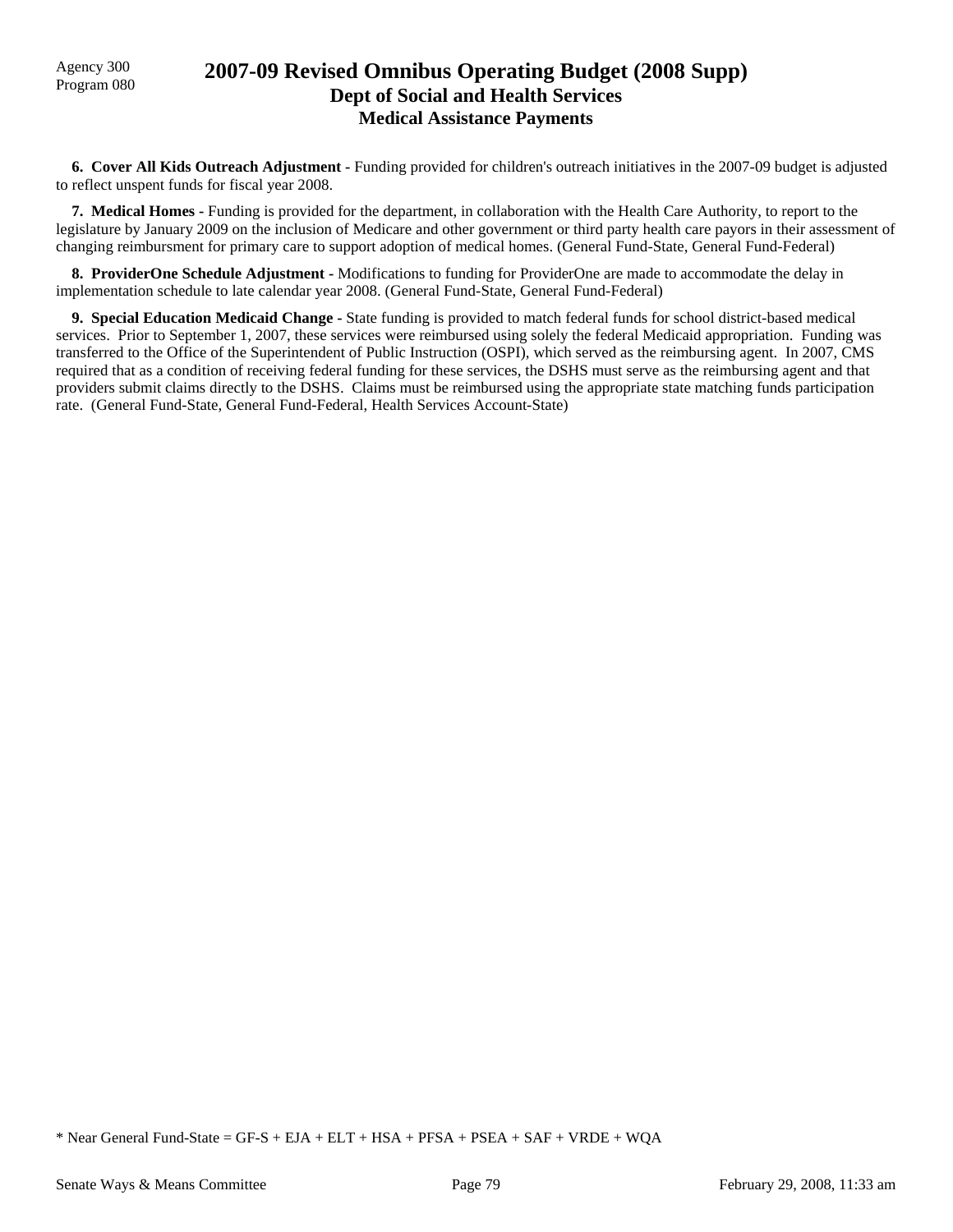## Agency 300 **2007-09 Revised Omnibus Operating Budget (2008 Supp)**<br>Program 080 **Dept of Social and Health Services Medical Assistance Payments**

 **6. Cover All Kids Outreach Adjustment -** Funding provided for children's outreach initiatives in the 2007-09 budget is adjusted to reflect unspent funds for fiscal year 2008.

 **7. Medical Homes -** Funding is provided for the department, in collaboration with the Health Care Authority, to report to the legislature by January 2009 on the inclusion of Medicare and other government or third party health care payors in their assessment of changing reimbursment for primary care to support adoption of medical homes. (General Fund-State, General Fund-Federal)

 **8. ProviderOne Schedule Adjustment -** Modifications to funding for ProviderOne are made to accommodate the delay in implementation schedule to late calendar year 2008. (General Fund-State, General Fund-Federal)

 **9. Special Education Medicaid Change -** State funding is provided to match federal funds for school district-based medical services. Prior to September 1, 2007, these services were reimbursed using solely the federal Medicaid appropriation. Funding was transferred to the Office of the Superintendent of Public Instruction (OSPI), which served as the reimbursing agent. In 2007, CMS required that as a condition of receiving federal funding for these services, the DSHS must serve as the reimbursing agent and that providers submit claims directly to the DSHS. Claims must be reimbursed using the appropriate state matching funds participation rate. (General Fund-State, General Fund-Federal, Health Services Account-State)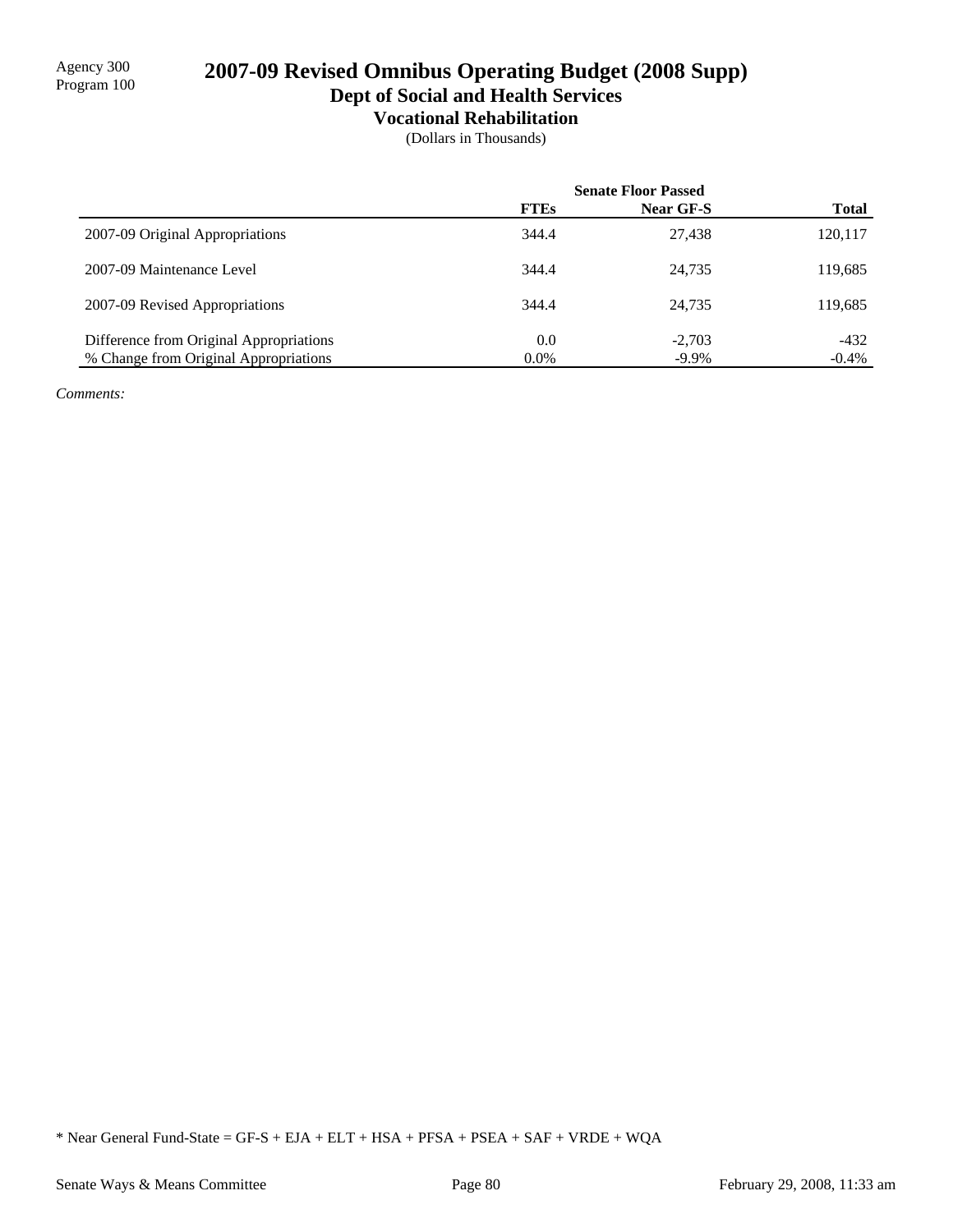# 2007-09 Revised Omnibus Operating Budget (2008 Supp) **Dept of Social and Health Services**

# **Vocational Rehabilitation**

(Dollars in Thousands)

|                                         | <b>Senate Floor Passed</b> |                  |              |
|-----------------------------------------|----------------------------|------------------|--------------|
|                                         | <b>FTEs</b>                | <b>Near GF-S</b> | <b>Total</b> |
| 2007-09 Original Appropriations         | 344.4                      | 27.438           | 120,117      |
| 2007-09 Maintenance Level               | 344.4                      | 24.735           | 119,685      |
| 2007-09 Revised Appropriations          | 344.4                      | 24.735           | 119,685      |
| Difference from Original Appropriations | 0.0                        | $-2.703$         | $-432$       |
| % Change from Original Appropriations   | $0.0\%$                    | $-9.9\%$         | $-0.4\%$     |

*Comments:*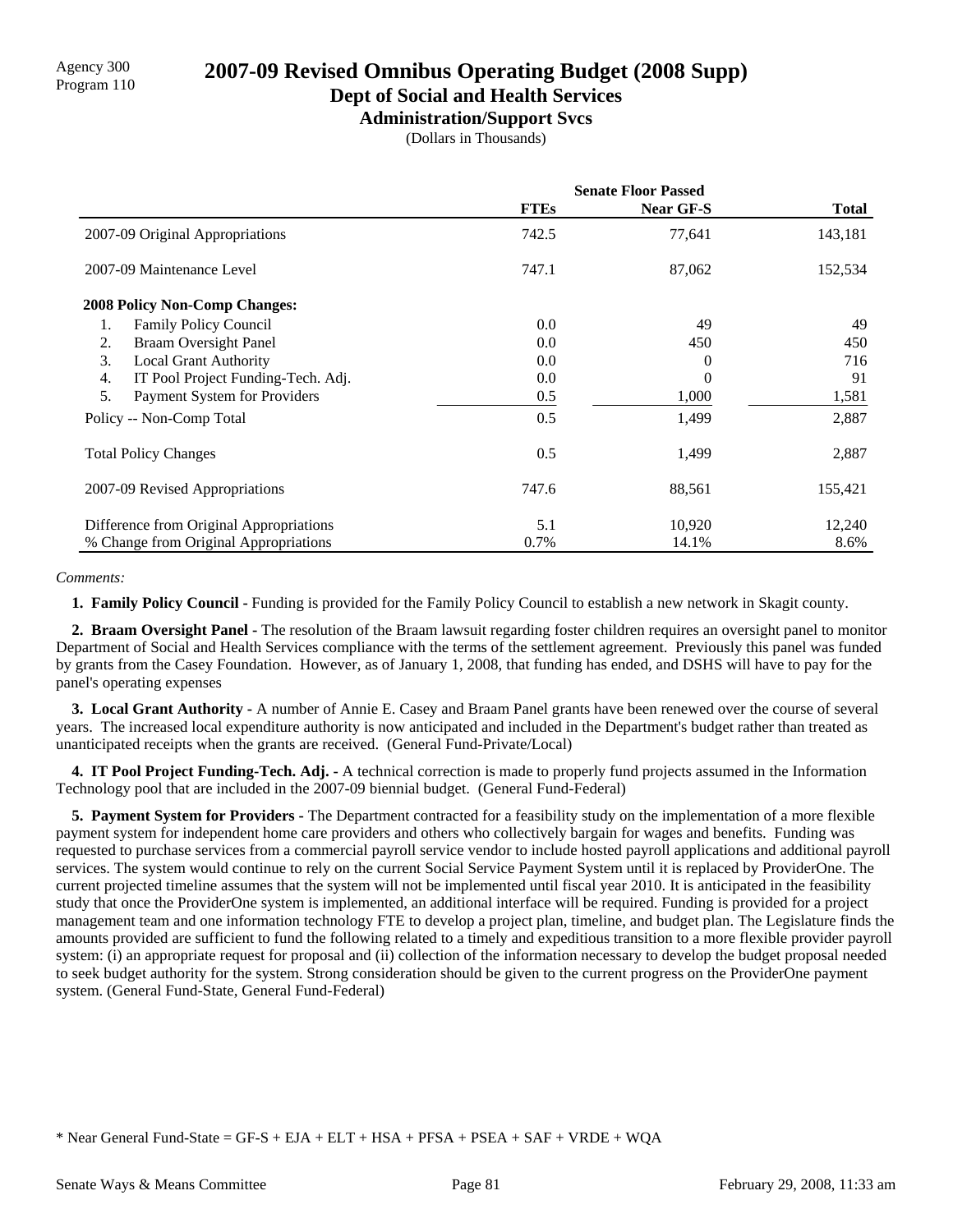## **Dept of Social and Health Services**

**Administration/Support Svcs**

(Dollars in Thousands)

|                                          | <b>Senate Floor Passed</b> |           |         |
|------------------------------------------|----------------------------|-----------|---------|
|                                          | <b>FTEs</b>                | Near GF-S | Total   |
| 2007-09 Original Appropriations          | 742.5                      | 77,641    | 143,181 |
| 2007-09 Maintenance Level                | 747.1                      | 87,062    | 152,534 |
| <b>2008 Policy Non-Comp Changes:</b>     |                            |           |         |
| <b>Family Policy Council</b><br>1.       | 0.0                        | 49        | 49      |
| <b>Braam Oversight Panel</b><br>2.       | 0.0                        | 450       | 450     |
| 3.<br><b>Local Grant Authority</b>       | 0.0                        | 0         | 716     |
| IT Pool Project Funding-Tech. Adj.<br>4. | 0.0                        | 0         | 91      |
| 5.<br>Payment System for Providers       | 0.5                        | 1,000     | 1,581   |
| Policy -- Non-Comp Total                 | 0.5                        | 1,499     | 2,887   |
| <b>Total Policy Changes</b>              | 0.5                        | 1,499     | 2,887   |
| 2007-09 Revised Appropriations           | 747.6                      | 88,561    | 155,421 |
| Difference from Original Appropriations  | 5.1                        | 10,920    | 12,240  |
| % Change from Original Appropriations    | 0.7%                       | 14.1%     | 8.6%    |

### *Comments:*

 **1. Family Policy Council -** Funding is provided for the Family Policy Council to establish a new network in Skagit county.

 **2. Braam Oversight Panel -** The resolution of the Braam lawsuit regarding foster children requires an oversight panel to monitor Department of Social and Health Services compliance with the terms of the settlement agreement. Previously this panel was funded by grants from the Casey Foundation. However, as of January 1, 2008, that funding has ended, and DSHS will have to pay for the panel's operating expenses

 **3. Local Grant Authority -** A number of Annie E. Casey and Braam Panel grants have been renewed over the course of several years. The increased local expenditure authority is now anticipated and included in the Department's budget rather than treated as unanticipated receipts when the grants are received. (General Fund-Private/Local)

 **4. IT Pool Project Funding-Tech. Adj. -** A technical correction is made to properly fund projects assumed in the Information Technology pool that are included in the 2007-09 biennial budget. (General Fund-Federal)

 **5. Payment System for Providers -** The Department contracted for a feasibility study on the implementation of a more flexible payment system for independent home care providers and others who collectively bargain for wages and benefits. Funding was requested to purchase services from a commercial payroll service vendor to include hosted payroll applications and additional payroll services. The system would continue to rely on the current Social Service Payment System until it is replaced by ProviderOne. The current projected timeline assumes that the system will not be implemented until fiscal year 2010. It is anticipated in the feasibility study that once the ProviderOne system is implemented, an additional interface will be required. Funding is provided for a project management team and one information technology FTE to develop a project plan, timeline, and budget plan. The Legislature finds the amounts provided are sufficient to fund the following related to a timely and expeditious transition to a more flexible provider payroll system: (i) an appropriate request for proposal and (ii) collection of the information necessary to develop the budget proposal needed to seek budget authority for the system. Strong consideration should be given to the current progress on the ProviderOne payment system. (General Fund-State, General Fund-Federal)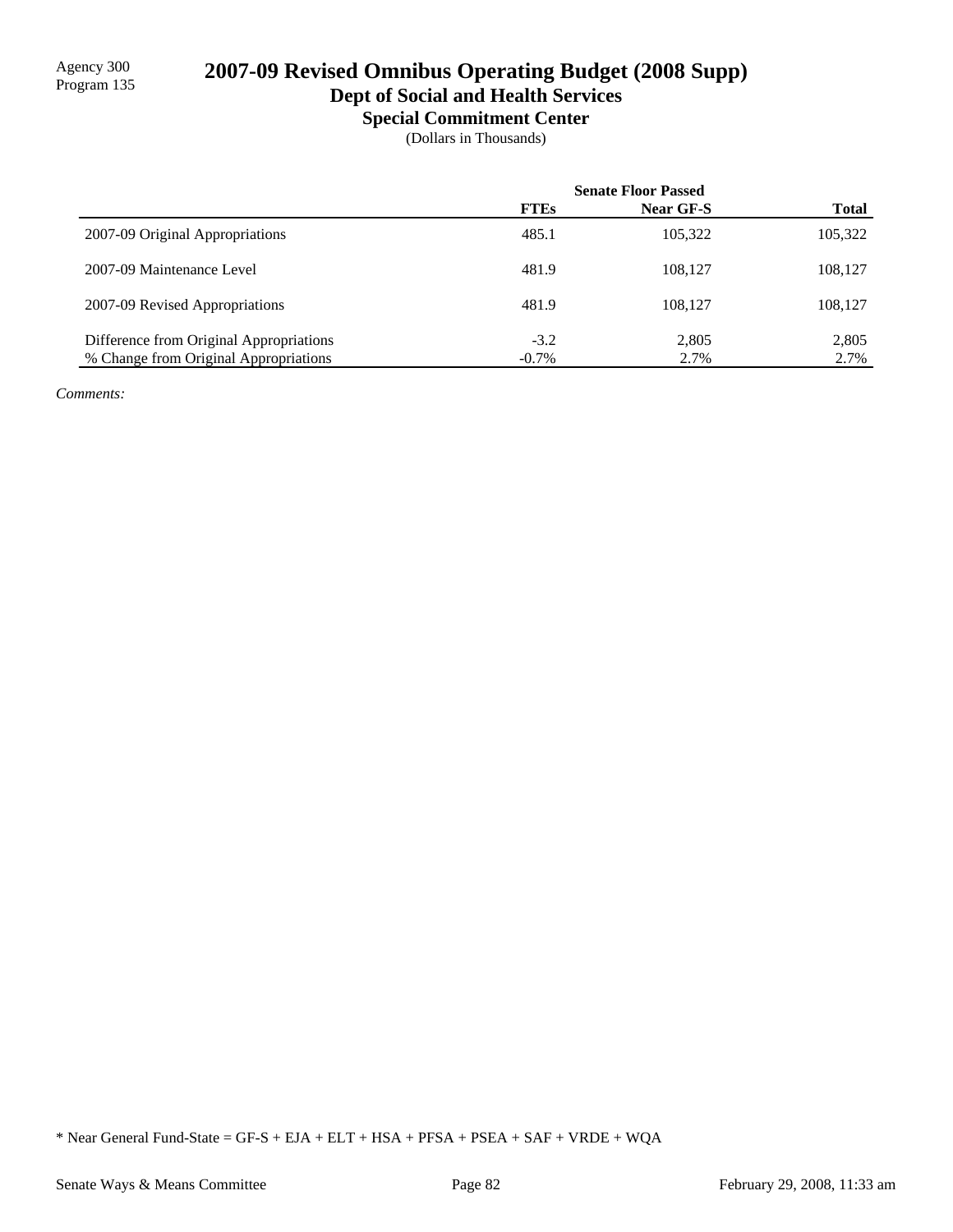# 2007-09 Revised Omnibus Operating Budget (2008 Supp)

# **Dept of Social and Health Services**

**Special Commitment Center**

(Dollars in Thousands)

|                                         | <b>Senate Floor Passed</b> |                  |              |
|-----------------------------------------|----------------------------|------------------|--------------|
|                                         | <b>FTEs</b>                | <b>Near GF-S</b> | <b>Total</b> |
| 2007-09 Original Appropriations         | 485.1                      | 105,322          | 105,322      |
| 2007-09 Maintenance Level               | 481.9                      | 108.127          | 108,127      |
| 2007-09 Revised Appropriations          | 481.9                      | 108.127          | 108,127      |
| Difference from Original Appropriations | $-3.2$                     | 2,805            | 2,805        |
| % Change from Original Appropriations   | $-0.7\%$                   | 2.7%             | 2.7%         |

*Comments:*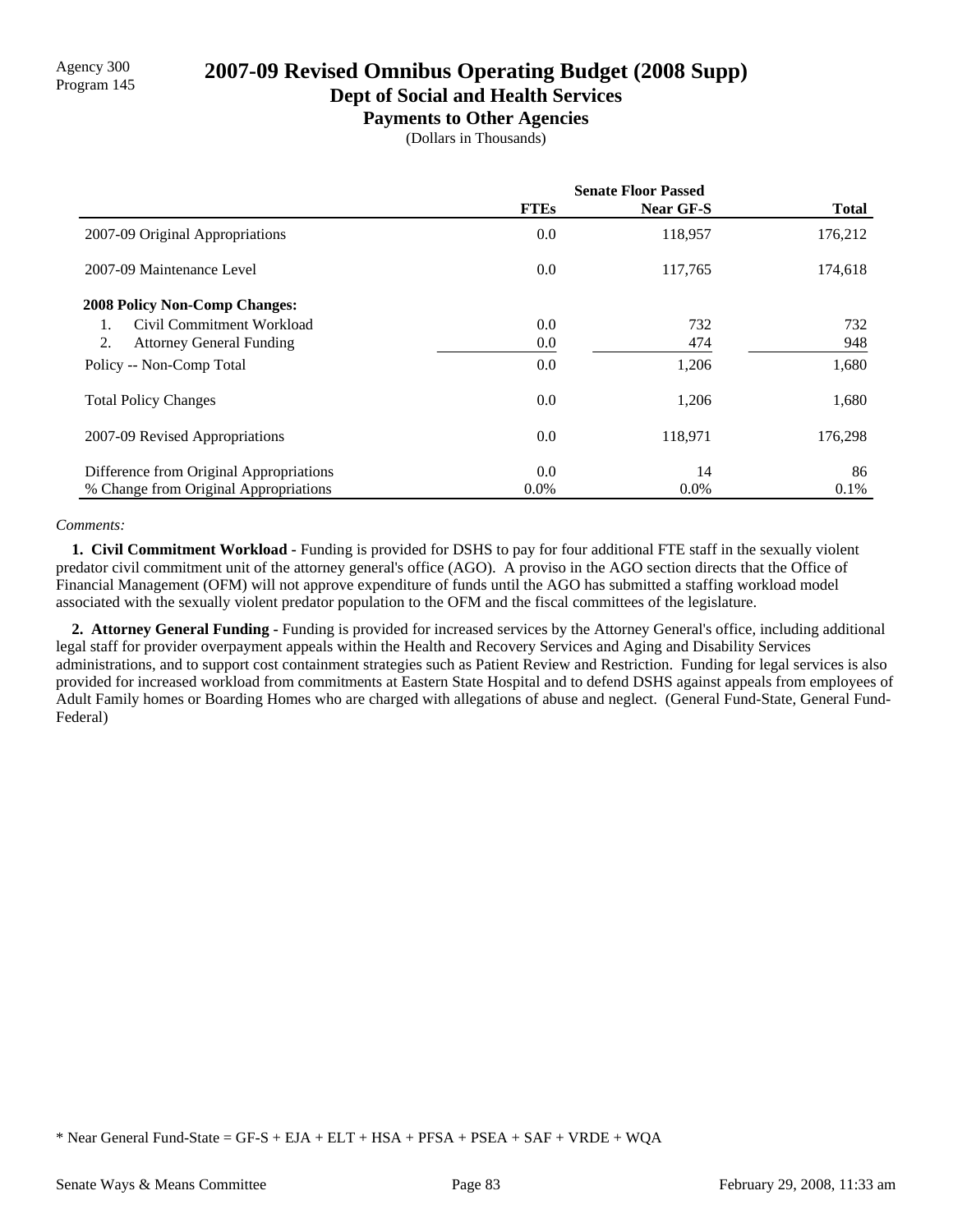# Agency 300<br>Program 145 **2007-09 Revised Omnibus Operating Budget (2008 Supp)**

### **Dept of Social and Health Services**

**Payments to Other Agencies**

(Dollars in Thousands)

|                                         | <b>Senate Floor Passed</b> |                  |              |  |
|-----------------------------------------|----------------------------|------------------|--------------|--|
|                                         | <b>FTEs</b>                | <b>Near GF-S</b> | <b>Total</b> |  |
| 2007-09 Original Appropriations         | 0.0                        | 118,957          | 176,212      |  |
| 2007-09 Maintenance Level               | 0.0                        | 117,765          | 174,618      |  |
| 2008 Policy Non-Comp Changes:           |                            |                  |              |  |
| Civil Commitment Workload               | 0.0                        | 732              | 732          |  |
| 2.<br><b>Attorney General Funding</b>   | 0.0                        | 474              | 948          |  |
| Policy -- Non-Comp Total                | 0.0                        | 1,206            | 1,680        |  |
| <b>Total Policy Changes</b>             | 0.0                        | 1,206            | 1,680        |  |
| 2007-09 Revised Appropriations          | 0.0                        | 118,971          | 176,298      |  |
| Difference from Original Appropriations | 0.0                        | 14               | 86           |  |
| % Change from Original Appropriations   | $0.0\%$                    | $0.0\%$          | $0.1\%$      |  |

### *Comments:*

 **1. Civil Commitment Workload -** Funding is provided for DSHS to pay for four additional FTE staff in the sexually violent predator civil commitment unit of the attorney general's office (AGO). A proviso in the AGO section directs that the Office of Financial Management (OFM) will not approve expenditure of funds until the AGO has submitted a staffing workload model associated with the sexually violent predator population to the OFM and the fiscal committees of the legislature.

 **2. Attorney General Funding -** Funding is provided for increased services by the Attorney General's office, including additional legal staff for provider overpayment appeals within the Health and Recovery Services and Aging and Disability Services administrations, and to support cost containment strategies such as Patient Review and Restriction. Funding for legal services is also provided for increased workload from commitments at Eastern State Hospital and to defend DSHS against appeals from employees of Adult Family homes or Boarding Homes who are charged with allegations of abuse and neglect. (General Fund-State, General Fund-Federal)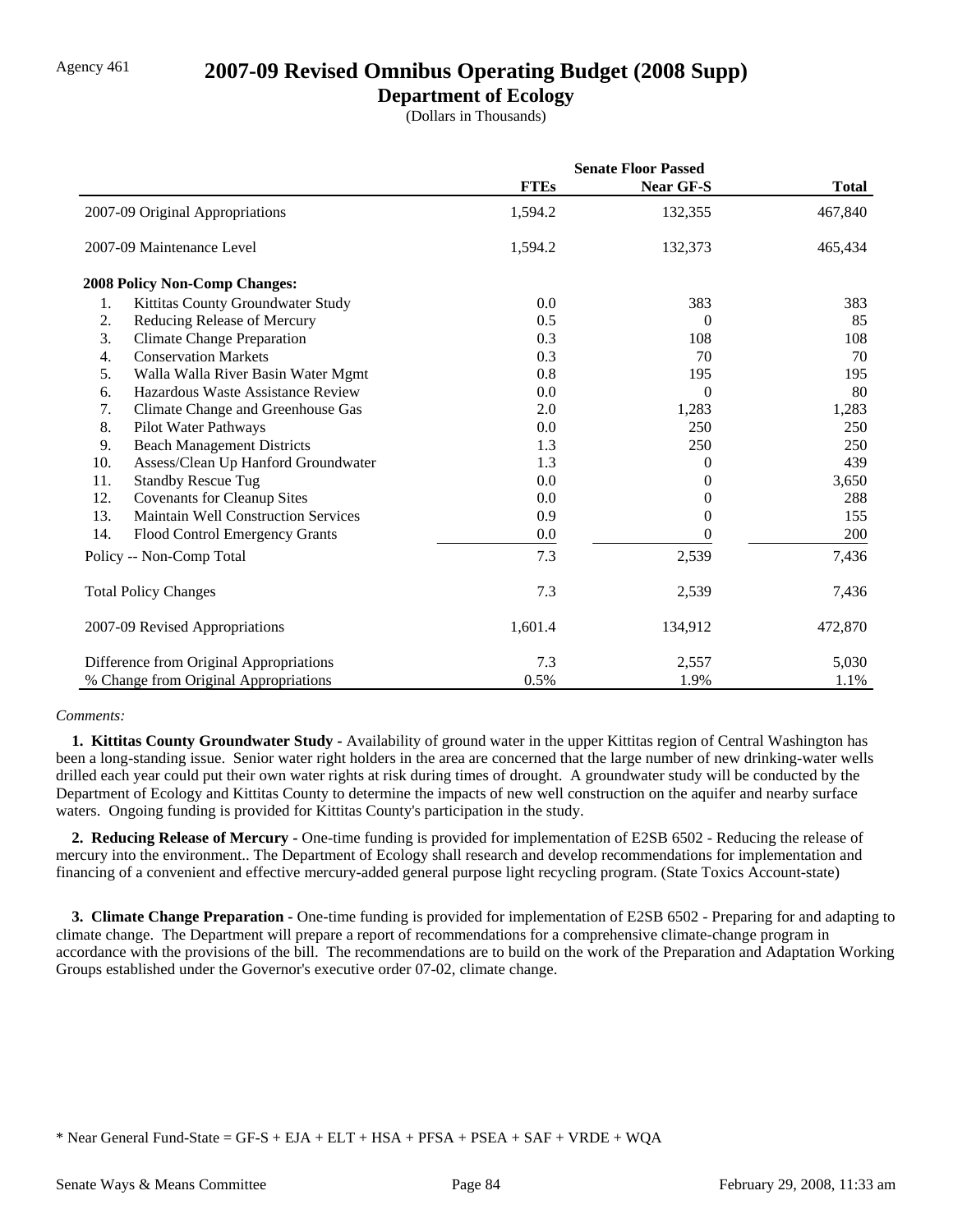### Agency 461 **2007-09 Revised Omnibus Operating Budget (2008 Supp)**

### **Department of Ecology**

(Dollars in Thousands)

|     |                                            | <b>Senate Floor Passed</b> |                |              |
|-----|--------------------------------------------|----------------------------|----------------|--------------|
|     |                                            | <b>FTEs</b>                | Near GF-S      | <b>Total</b> |
|     | 2007-09 Original Appropriations            | 1,594.2                    | 132,355        | 467,840      |
|     | 2007-09 Maintenance Level                  | 1,594.2                    | 132,373        | 465,434      |
|     | 2008 Policy Non-Comp Changes:              |                            |                |              |
| 1.  | Kittitas County Groundwater Study          | 0.0                        | 383            | 383          |
| 2.  | Reducing Release of Mercury                | 0.5                        | 0              | 85           |
| 3.  | <b>Climate Change Preparation</b>          | 0.3                        | 108            | 108          |
| 4.  | <b>Conservation Markets</b>                | 0.3                        | 70             | 70           |
| 5.  | Walla Walla River Basin Water Mgmt         | 0.8                        | 195            | 195          |
| 6.  | Hazardous Waste Assistance Review          | 0.0                        | $\overline{0}$ | 80           |
| 7.  | Climate Change and Greenhouse Gas          | 2.0                        | 1,283          | 1,283        |
| 8.  | Pilot Water Pathways                       | 0.0                        | 250            | 250          |
| 9.  | <b>Beach Management Districts</b>          | 1.3                        | 250            | 250          |
| 10. | Assess/Clean Up Hanford Groundwater        | 1.3                        | 0              | 439          |
| 11. | <b>Standby Rescue Tug</b>                  | 0.0                        | 0              | 3,650        |
| 12. | <b>Covenants for Cleanup Sites</b>         | 0.0                        | 0              | 288          |
| 13. | <b>Maintain Well Construction Services</b> | 0.9                        | 0              | 155          |
| 14. | Flood Control Emergency Grants             | 0.0                        | 0              | 200          |
|     | Policy -- Non-Comp Total                   | 7.3                        | 2,539          | 7,436        |
|     | <b>Total Policy Changes</b>                | 7.3                        | 2,539          | 7,436        |
|     | 2007-09 Revised Appropriations             | 1,601.4                    | 134,912        | 472,870      |
|     | Difference from Original Appropriations    | 7.3                        | 2,557          | 5,030        |
|     | % Change from Original Appropriations      | 0.5%                       | 1.9%           | 1.1%         |

### *Comments:*

 **1. Kittitas County Groundwater Study -** Availability of ground water in the upper Kittitas region of Central Washington has been a long-standing issue. Senior water right holders in the area are concerned that the large number of new drinking-water wells drilled each year could put their own water rights at risk during times of drought. A groundwater study will be conducted by the Department of Ecology and Kittitas County to determine the impacts of new well construction on the aquifer and nearby surface waters. Ongoing funding is provided for Kittitas County's participation in the study.

 **2. Reducing Release of Mercury -** One-time funding is provided for implementation of E2SB 6502 - Reducing the release of mercury into the environment.. The Department of Ecology shall research and develop recommendations for implementation and financing of a convenient and effective mercury-added general purpose light recycling program. (State Toxics Account-state)

 **3. Climate Change Preparation -** One-time funding is provided for implementation of E2SB 6502 - Preparing for and adapting to climate change. The Department will prepare a report of recommendations for a comprehensive climate-change program in accordance with the provisions of the bill. The recommendations are to build on the work of the Preparation and Adaptation Working Groups established under the Governor's executive order 07-02, climate change.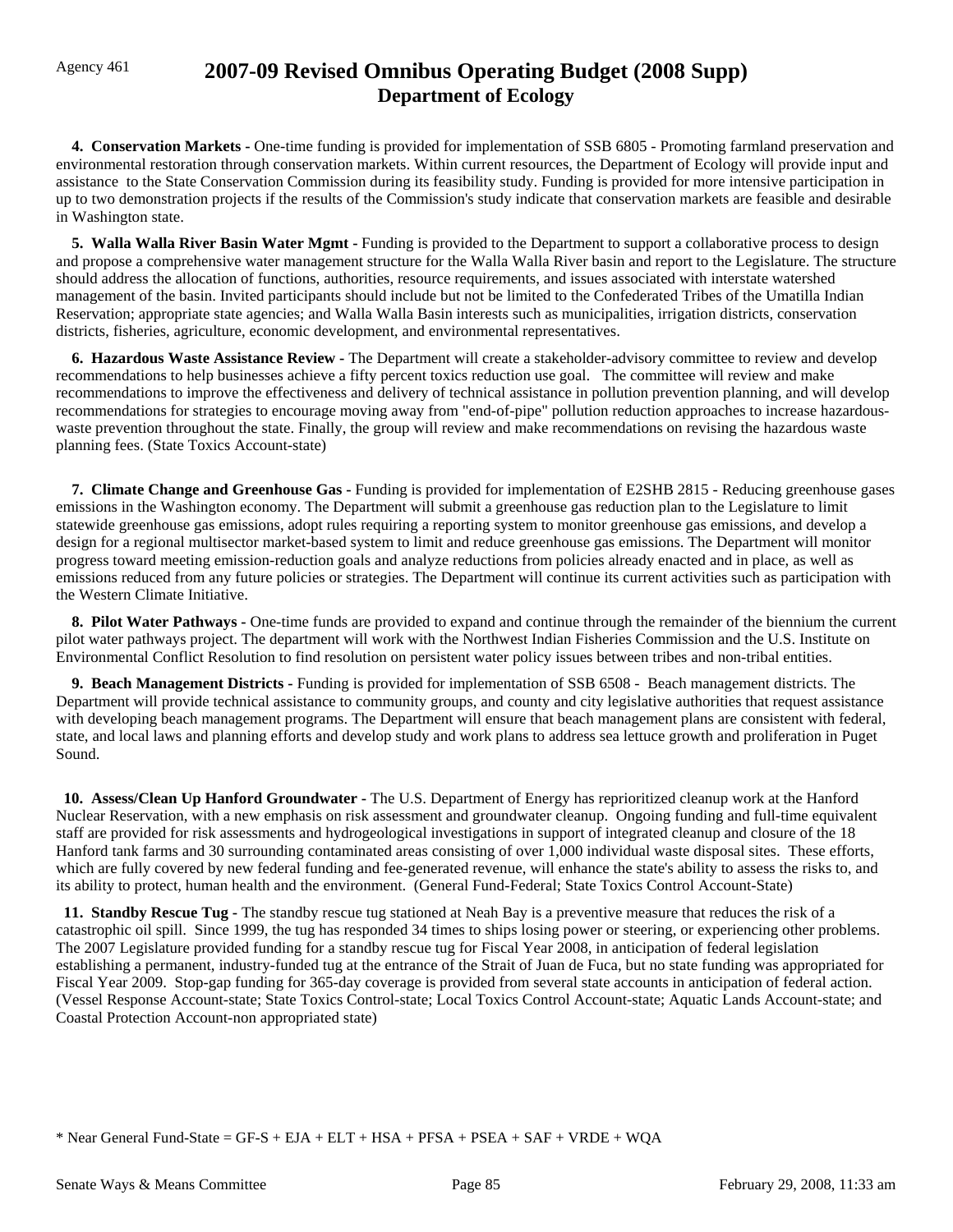# Agency 461 **2007-09 Revised Omnibus Operating Budget (2008 Supp) Department of Ecology**

 **4. Conservation Markets -** One-time funding is provided for implementation of SSB 6805 - Promoting farmland preservation and environmental restoration through conservation markets. Within current resources, the Department of Ecology will provide input and assistance to the State Conservation Commission during its feasibility study. Funding is provided for more intensive participation in up to two demonstration projects if the results of the Commission's study indicate that conservation markets are feasible and desirable in Washington state.

 **5. Walla Walla River Basin Water Mgmt -** Funding is provided to the Department to support a collaborative process to design and propose a comprehensive water management structure for the Walla Walla River basin and report to the Legislature. The structure should address the allocation of functions, authorities, resource requirements, and issues associated with interstate watershed management of the basin. Invited participants should include but not be limited to the Confederated Tribes of the Umatilla Indian Reservation; appropriate state agencies; and Walla Walla Basin interests such as municipalities, irrigation districts, conservation districts, fisheries, agriculture, economic development, and environmental representatives.

 **6. Hazardous Waste Assistance Review -** The Department will create a stakeholder-advisory committee to review and develop recommendations to help businesses achieve a fifty percent toxics reduction use goal. The committee will review and make recommendations to improve the effectiveness and delivery of technical assistance in pollution prevention planning, and will develop recommendations for strategies to encourage moving away from "end-of-pipe" pollution reduction approaches to increase hazardouswaste prevention throughout the state. Finally, the group will review and make recommendations on revising the hazardous waste planning fees. (State Toxics Account-state)

 **7. Climate Change and Greenhouse Gas -** Funding is provided for implementation of E2SHB 2815 - Reducing greenhouse gases emissions in the Washington economy. The Department will submit a greenhouse gas reduction plan to the Legislature to limit statewide greenhouse gas emissions, adopt rules requiring a reporting system to monitor greenhouse gas emissions, and develop a design for a regional multisector market-based system to limit and reduce greenhouse gas emissions. The Department will monitor progress toward meeting emission-reduction goals and analyze reductions from policies already enacted and in place, as well as emissions reduced from any future policies or strategies. The Department will continue its current activities such as participation with the Western Climate Initiative.

 **8. Pilot Water Pathways -** One-time funds are provided to expand and continue through the remainder of the biennium the current pilot water pathways project. The department will work with the Northwest Indian Fisheries Commission and the U.S. Institute on Environmental Conflict Resolution to find resolution on persistent water policy issues between tribes and non-tribal entities.

 **9. Beach Management Districts -** Funding is provided for implementation of SSB 6508 - Beach management districts. The Department will provide technical assistance to community groups, and county and city legislative authorities that request assistance with developing beach management programs. The Department will ensure that beach management plans are consistent with federal, state, and local laws and planning efforts and develop study and work plans to address sea lettuce growth and proliferation in Puget Sound.

 **10. Assess/Clean Up Hanford Groundwater -** The U.S. Department of Energy has reprioritized cleanup work at the Hanford Nuclear Reservation, with a new emphasis on risk assessment and groundwater cleanup. Ongoing funding and full-time equivalent staff are provided for risk assessments and hydrogeological investigations in support of integrated cleanup and closure of the 18 Hanford tank farms and 30 surrounding contaminated areas consisting of over 1,000 individual waste disposal sites. These efforts, which are fully covered by new federal funding and fee-generated revenue, will enhance the state's ability to assess the risks to, and its ability to protect, human health and the environment. (General Fund-Federal; State Toxics Control Account-State)

 **11. Standby Rescue Tug -** The standby rescue tug stationed at Neah Bay is a preventive measure that reduces the risk of a catastrophic oil spill. Since 1999, the tug has responded 34 times to ships losing power or steering, or experiencing other problems. The 2007 Legislature provided funding for a standby rescue tug for Fiscal Year 2008, in anticipation of federal legislation establishing a permanent, industry-funded tug at the entrance of the Strait of Juan de Fuca, but no state funding was appropriated for Fiscal Year 2009. Stop-gap funding for 365-day coverage is provided from several state accounts in anticipation of federal action. (Vessel Response Account-state; State Toxics Control-state; Local Toxics Control Account-state; Aquatic Lands Account-state; and Coastal Protection Account-non appropriated state)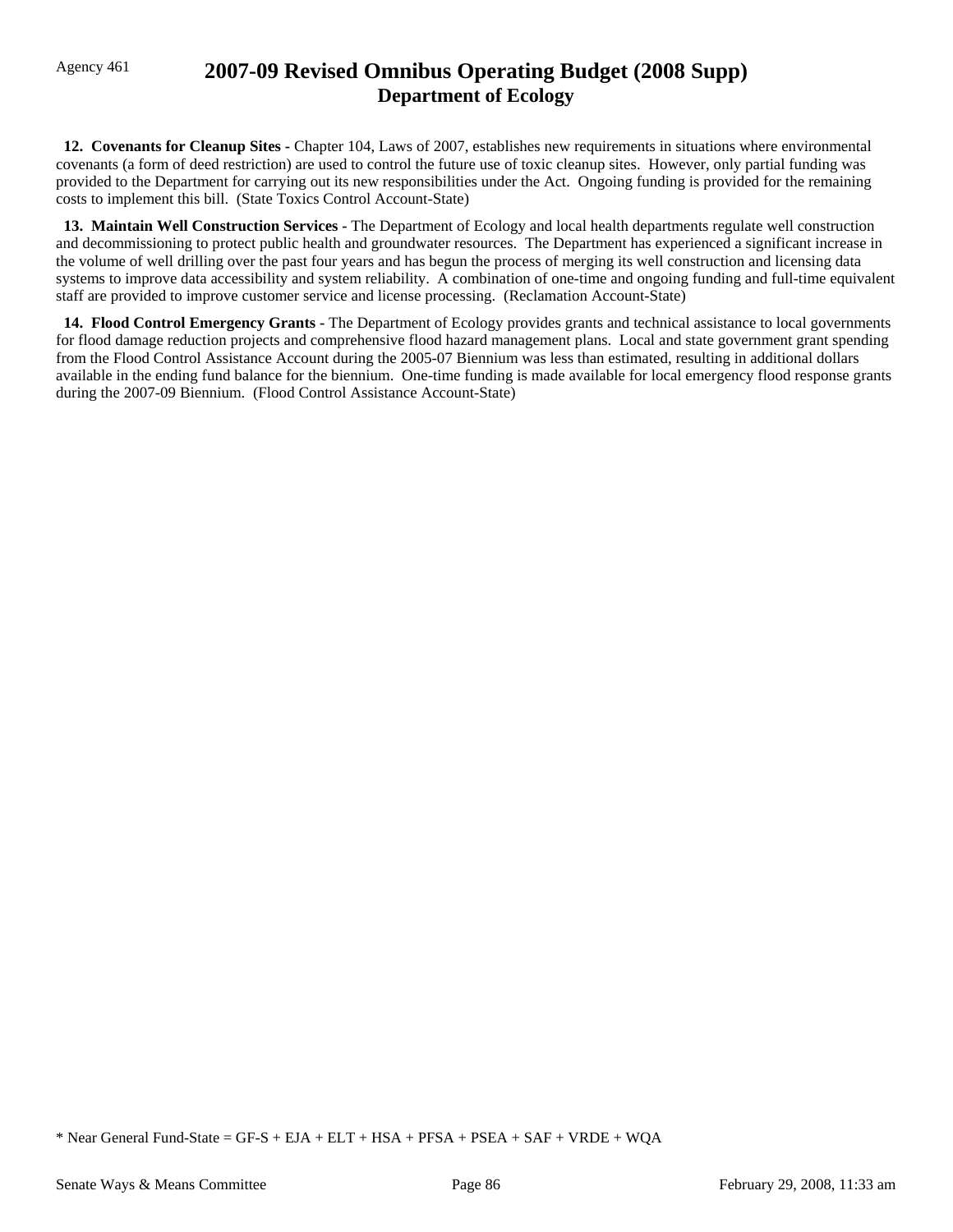## Agency 461 **2007-09 Revised Omnibus Operating Budget (2008 Supp) Department of Ecology**

 **12. Covenants for Cleanup Sites -** Chapter 104, Laws of 2007, establishes new requirements in situations where environmental covenants (a form of deed restriction) are used to control the future use of toxic cleanup sites. However, only partial funding was provided to the Department for carrying out its new responsibilities under the Act. Ongoing funding is provided for the remaining costs to implement this bill. (State Toxics Control Account-State)

 **13. Maintain Well Construction Services -** The Department of Ecology and local health departments regulate well construction and decommissioning to protect public health and groundwater resources. The Department has experienced a significant increase in the volume of well drilling over the past four years and has begun the process of merging its well construction and licensing data systems to improve data accessibility and system reliability. A combination of one-time and ongoing funding and full-time equivalent staff are provided to improve customer service and license processing. (Reclamation Account-State)

 **14. Flood Control Emergency Grants -** The Department of Ecology provides grants and technical assistance to local governments for flood damage reduction projects and comprehensive flood hazard management plans. Local and state government grant spending from the Flood Control Assistance Account during the 2005-07 Biennium was less than estimated, resulting in additional dollars available in the ending fund balance for the biennium. One-time funding is made available for local emergency flood response grants during the 2007-09 Biennium. (Flood Control Assistance Account-State)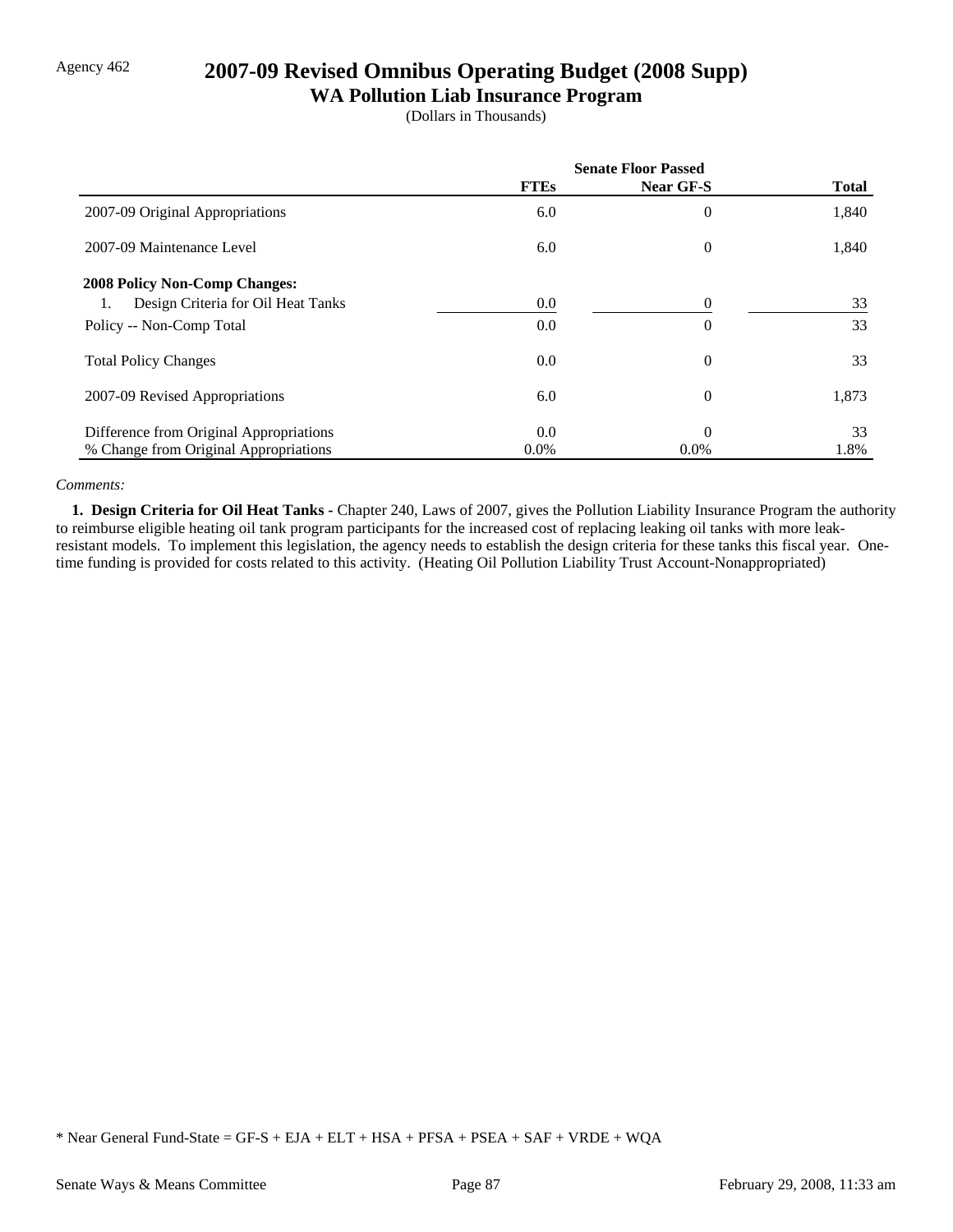# Agency 462 **2007-09 Revised Omnibus Operating Budget (2008 Supp)**

### **WA Pollution Liab Insurance Program**

(Dollars in Thousands)

|                                          | <b>Senate Floor Passed</b> |                |              |
|------------------------------------------|----------------------------|----------------|--------------|
|                                          | <b>FTEs</b>                | Near GF-S      | <b>Total</b> |
| 2007-09 Original Appropriations          | 6.0                        | $\overline{0}$ | 1,840        |
| 2007-09 Maintenance Level                | 6.0                        | $\overline{0}$ | 1,840        |
| <b>2008 Policy Non-Comp Changes:</b>     |                            |                |              |
| Design Criteria for Oil Heat Tanks<br>1. | 0.0                        | 0              | 33           |
| Policy -- Non-Comp Total                 | 0.0                        | $\overline{0}$ | 33           |
| <b>Total Policy Changes</b>              | 0.0                        | $\overline{0}$ | 33           |
| 2007-09 Revised Appropriations           | 6.0                        | $\overline{0}$ | 1,873        |
| Difference from Original Appropriations  | 0.0                        | $\theta$       | 33           |
| % Change from Original Appropriations    | $0.0\%$                    | $0.0\%$        | 1.8%         |

### *Comments:*

 **1. Design Criteria for Oil Heat Tanks -** Chapter 240, Laws of 2007, gives the Pollution Liability Insurance Program the authority to reimburse eligible heating oil tank program participants for the increased cost of replacing leaking oil tanks with more leakresistant models. To implement this legislation, the agency needs to establish the design criteria for these tanks this fiscal year. Onetime funding is provided for costs related to this activity. (Heating Oil Pollution Liability Trust Account-Nonappropriated)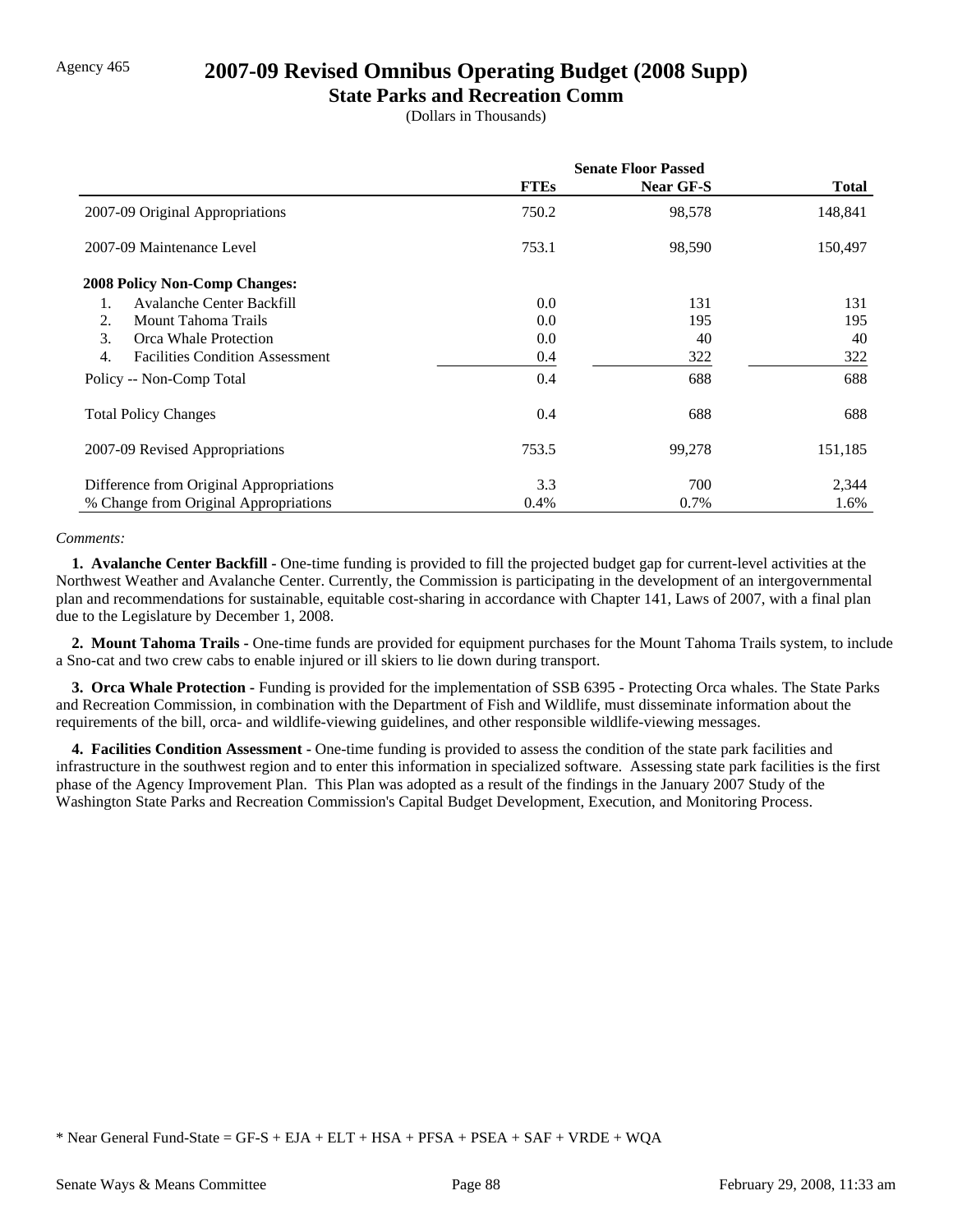### Agency 465 **2007-09 Revised Omnibus Operating Budget (2008 Supp)**

### **State Parks and Recreation Comm**

(Dollars in Thousands)

|                                              | <b>Senate Floor Passed</b> |                  |              |
|----------------------------------------------|----------------------------|------------------|--------------|
|                                              | <b>FTEs</b>                | <b>Near GF-S</b> | <b>Total</b> |
| 2007-09 Original Appropriations              | 750.2                      | 98,578           | 148,841      |
| 2007-09 Maintenance Level                    | 753.1                      | 98,590           | 150,497      |
| <b>2008 Policy Non-Comp Changes:</b>         |                            |                  |              |
| Avalanche Center Backfill<br>1.              | 0.0                        | 131              | 131          |
| <b>Mount Tahoma Trails</b><br>2.             | 0.0                        | 195              | 195          |
| 3.<br>Orca Whale Protection                  | 0.0                        | 40               | 40           |
| 4.<br><b>Facilities Condition Assessment</b> | 0.4                        | 322              | 322          |
| Policy -- Non-Comp Total                     | 0.4                        | 688              | 688          |
| <b>Total Policy Changes</b>                  | 0.4                        | 688              | 688          |
| 2007-09 Revised Appropriations               | 753.5                      | 99,278           | 151,185      |
| Difference from Original Appropriations      | 3.3                        | 700              | 2,344        |
| % Change from Original Appropriations        | 0.4%                       | 0.7%             | 1.6%         |

### *Comments:*

 **1. Avalanche Center Backfill -** One-time funding is provided to fill the projected budget gap for current-level activities at the Northwest Weather and Avalanche Center. Currently, the Commission is participating in the development of an intergovernmental plan and recommendations for sustainable, equitable cost-sharing in accordance with Chapter 141, Laws of 2007, with a final plan due to the Legislature by December 1, 2008.

 **2. Mount Tahoma Trails -** One-time funds are provided for equipment purchases for the Mount Tahoma Trails system, to include a Sno-cat and two crew cabs to enable injured or ill skiers to lie down during transport.

 **3. Orca Whale Protection -** Funding is provided for the implementation of SSB 6395 - Protecting Orca whales. The State Parks and Recreation Commission, in combination with the Department of Fish and Wildlife, must disseminate information about the requirements of the bill, orca- and wildlife-viewing guidelines, and other responsible wildlife-viewing messages.

 **4. Facilities Condition Assessment -** One-time funding is provided to assess the condition of the state park facilities and infrastructure in the southwest region and to enter this information in specialized software. Assessing state park facilities is the first phase of the Agency Improvement Plan. This Plan was adopted as a result of the findings in the January 2007 Study of the Washington State Parks and Recreation Commission's Capital Budget Development, Execution, and Monitoring Process.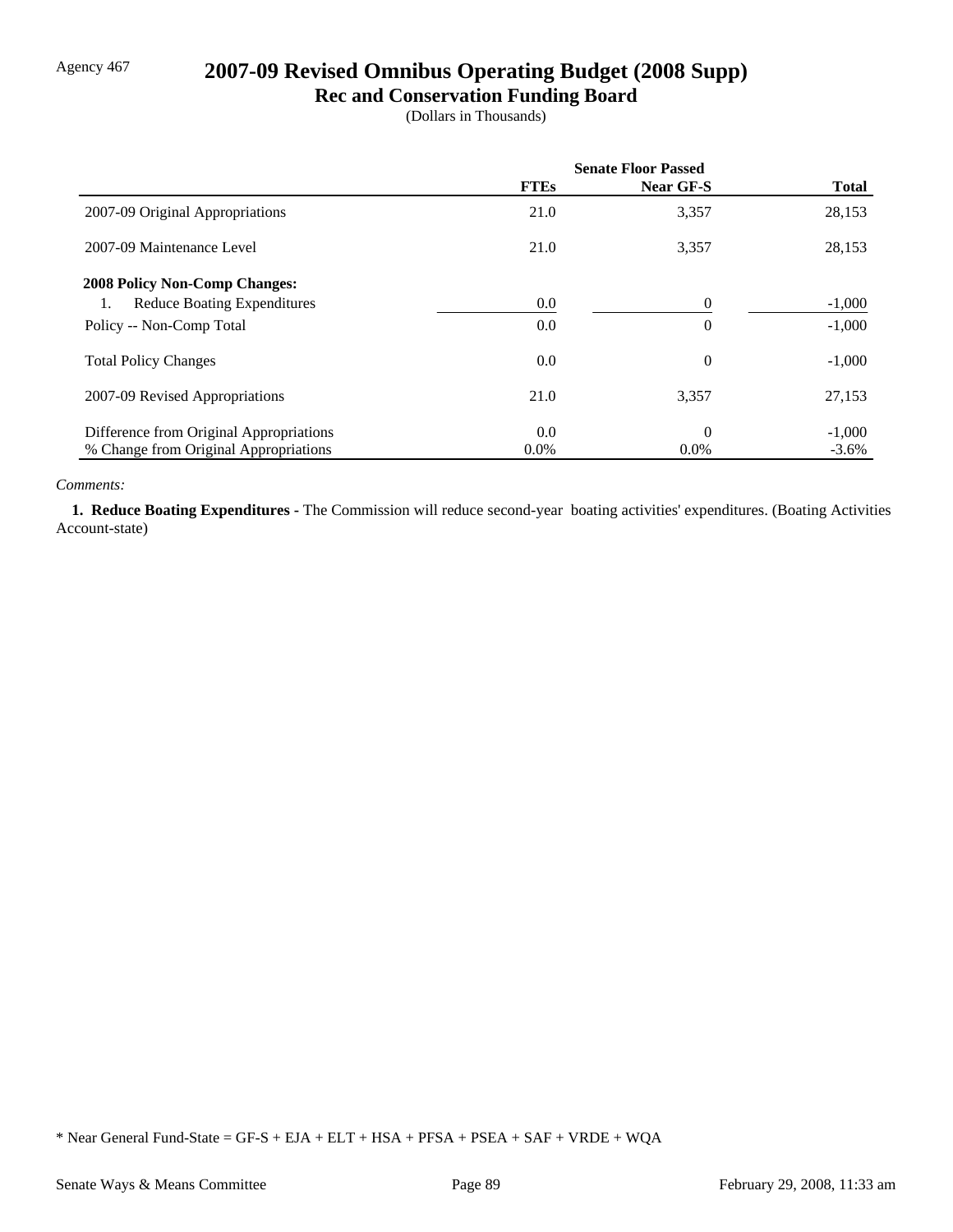# Agency 467 **2007-09 Revised Omnibus Operating Budget (2008 Supp)**

**Rec and Conservation Funding Board**

(Dollars in Thousands)

|                                          | <b>Senate Floor Passed</b> |                  |              |
|------------------------------------------|----------------------------|------------------|--------------|
|                                          | <b>FTEs</b>                | <b>Near GF-S</b> | <b>Total</b> |
| 2007-09 Original Appropriations          | 21.0                       | 3,357            | 28,153       |
| 2007-09 Maintenance Level                | 21.0                       | 3,357            | 28,153       |
| 2008 Policy Non-Comp Changes:            |                            |                  |              |
| <b>Reduce Boating Expenditures</b><br>1. | 0.0                        | $\theta$         | $-1,000$     |
| Policy -- Non-Comp Total                 | 0.0                        | $\theta$         | $-1,000$     |
| <b>Total Policy Changes</b>              | 0.0                        | $\overline{0}$   | $-1,000$     |
| 2007-09 Revised Appropriations           | 21.0                       | 3,357            | 27,153       |
| Difference from Original Appropriations  | 0.0                        | $\Omega$         | $-1,000$     |
| % Change from Original Appropriations    | $0.0\%$                    | $0.0\%$          | $-3.6\%$     |

#### *Comments:*

 **1. Reduce Boating Expenditures -** The Commission will reduce second-year boating activities' expenditures. (Boating Activities Account-state)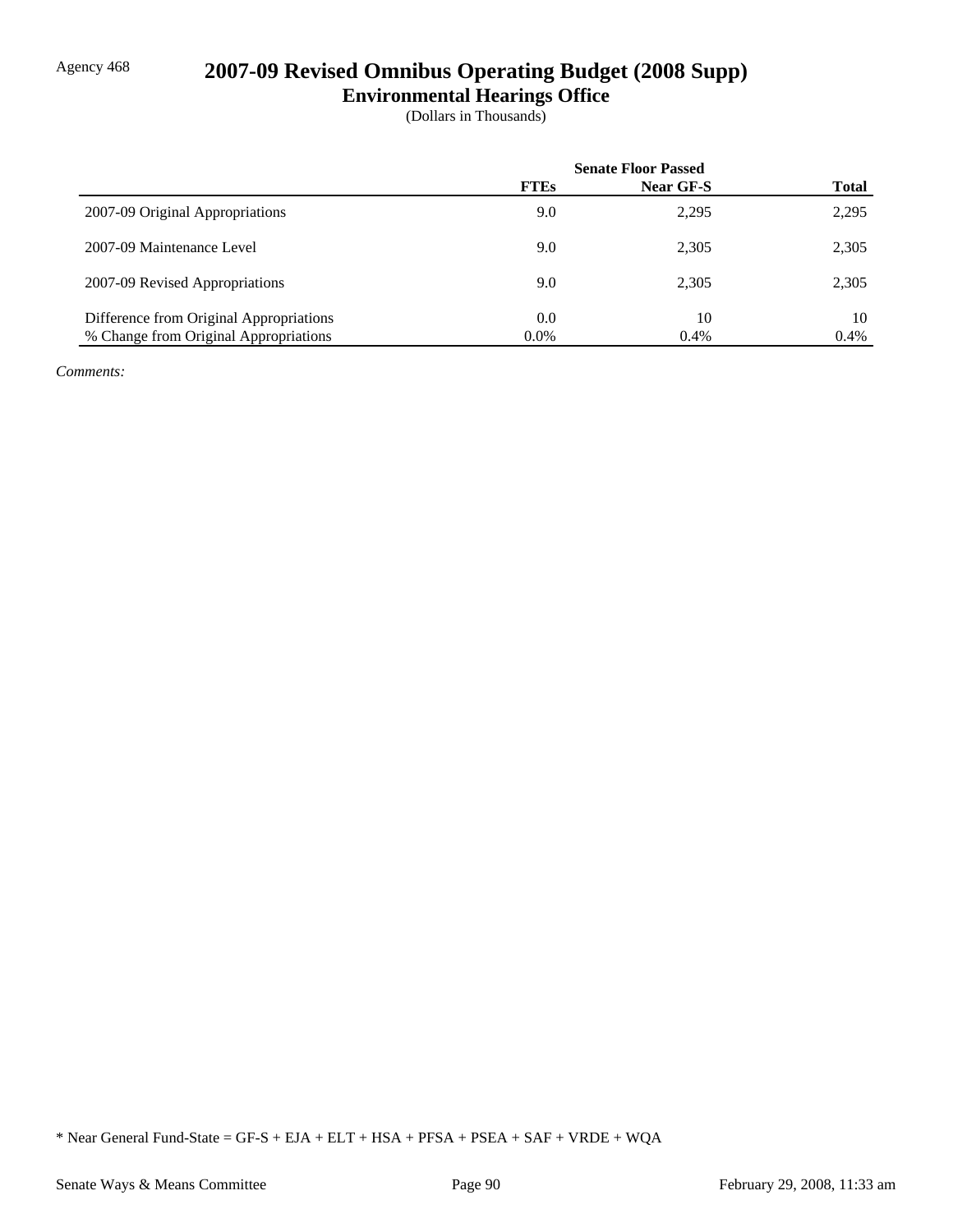# Agency 468 **2007-09 Revised Omnibus Operating Budget (2008 Supp)**

**Environmental Hearings Office**

(Dollars in Thousands)

|                                         | <b>Senate Floor Passed</b> |                  |              |
|-----------------------------------------|----------------------------|------------------|--------------|
|                                         | <b>FTEs</b>                | <b>Near GF-S</b> | <b>Total</b> |
| 2007-09 Original Appropriations         | 9.0                        | 2,295            | 2,295        |
| 2007-09 Maintenance Level               | 9.0                        | 2,305            | 2,305        |
| 2007-09 Revised Appropriations          | 9.0                        | 2,305            | 2,305        |
| Difference from Original Appropriations | 0.0                        | 10               | 10           |
| % Change from Original Appropriations   | $0.0\%$                    | 0.4%             | 0.4%         |

*Comments:*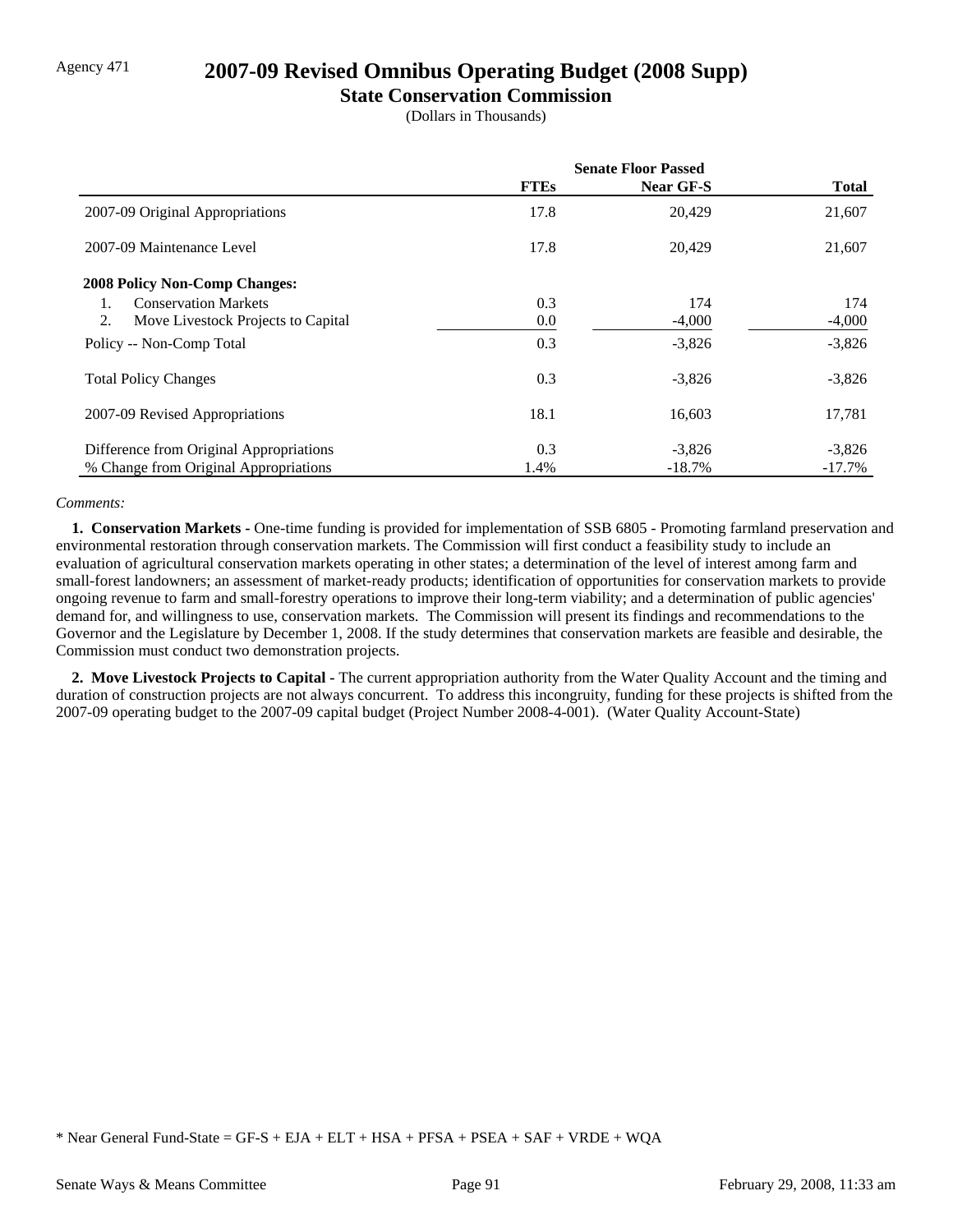### Agency 471 **2007-09 Revised Omnibus Operating Budget (2008 Supp)**

### **State Conservation Commission**

(Dollars in Thousands)

|                                          | <b>Senate Floor Passed</b> |                  |              |
|------------------------------------------|----------------------------|------------------|--------------|
|                                          | <b>FTEs</b>                | <b>Near GF-S</b> | <b>Total</b> |
| 2007-09 Original Appropriations          | 17.8                       | 20,429           | 21,607       |
| 2007-09 Maintenance Level                | 17.8                       | 20.429           | 21,607       |
| <b>2008 Policy Non-Comp Changes:</b>     |                            |                  |              |
| <b>Conservation Markets</b>              | 0.3                        | 174              | 174          |
| Move Livestock Projects to Capital<br>2. | 0.0                        | $-4,000$         | $-4,000$     |
| Policy -- Non-Comp Total                 | 0.3                        | $-3,826$         | $-3,826$     |
| <b>Total Policy Changes</b>              | 0.3                        | $-3,826$         | $-3,826$     |
| 2007-09 Revised Appropriations           | 18.1                       | 16,603           | 17,781       |
| Difference from Original Appropriations  | 0.3                        | $-3,826$         | $-3,826$     |
| % Change from Original Appropriations    | 1.4%                       | $-18.7\%$        | $-17.7\%$    |

### *Comments:*

 **1. Conservation Markets -** One-time funding is provided for implementation of SSB 6805 - Promoting farmland preservation and environmental restoration through conservation markets. The Commission will first conduct a feasibility study to include an evaluation of agricultural conservation markets operating in other states; a determination of the level of interest among farm and small-forest landowners; an assessment of market-ready products; identification of opportunities for conservation markets to provide ongoing revenue to farm and small-forestry operations to improve their long-term viability; and a determination of public agencies' demand for, and willingness to use, conservation markets. The Commission will present its findings and recommendations to the Governor and the Legislature by December 1, 2008. If the study determines that conservation markets are feasible and desirable, the Commission must conduct two demonstration projects.

 **2. Move Livestock Projects to Capital -** The current appropriation authority from the Water Quality Account and the timing and duration of construction projects are not always concurrent. To address this incongruity, funding for these projects is shifted from the 2007-09 operating budget to the 2007-09 capital budget (Project Number 2008-4-001). (Water Quality Account-State)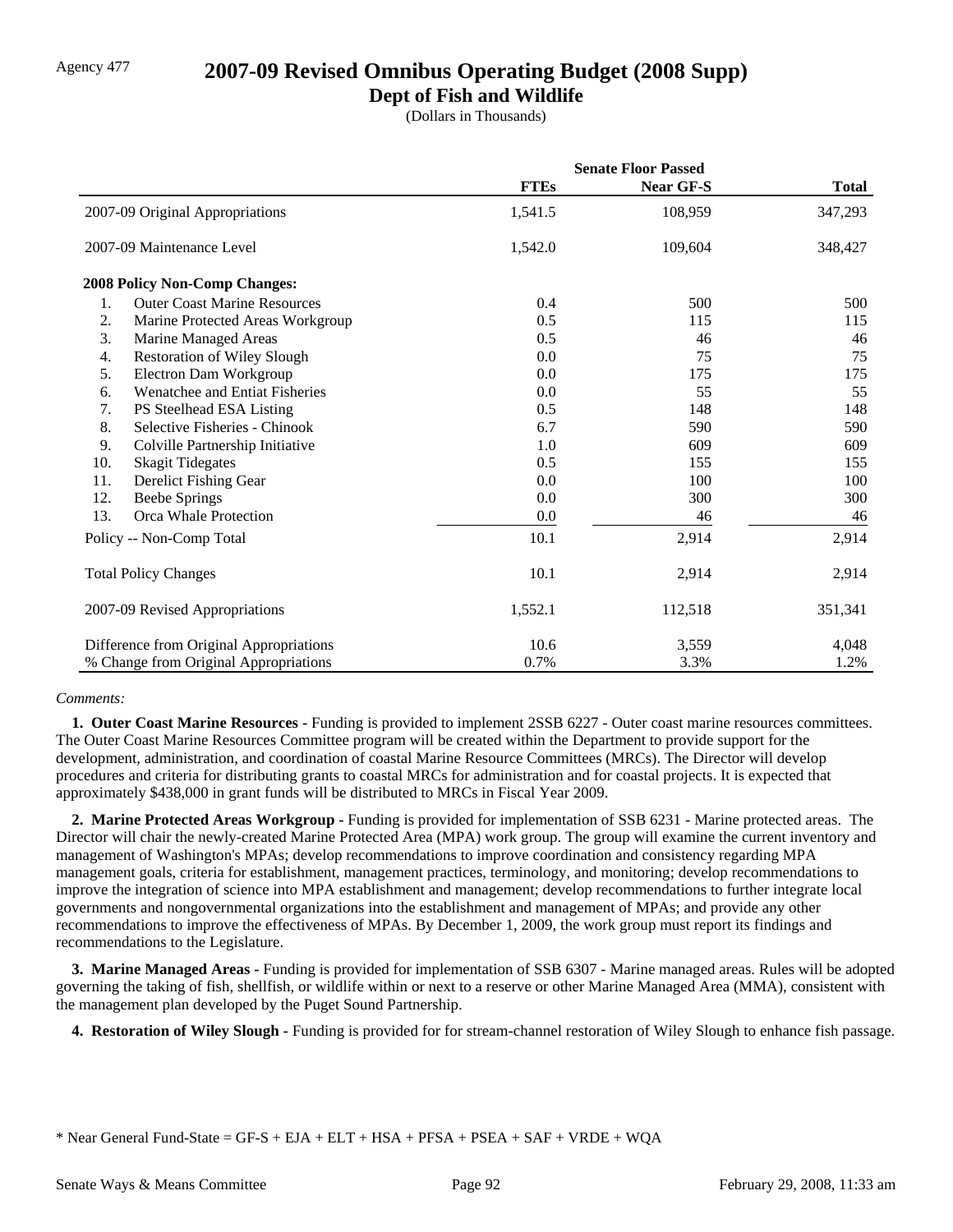# Agency 477 **2007-09 Revised Omnibus Operating Budget (2008 Supp)**

### **Dept of Fish and Wildlife**

(Dollars in Thousands)

|     |                                         | <b>Senate Floor Passed</b> |                  |              |
|-----|-----------------------------------------|----------------------------|------------------|--------------|
|     |                                         | <b>FTEs</b>                | <b>Near GF-S</b> | <b>Total</b> |
|     | 2007-09 Original Appropriations         | 1,541.5                    | 108,959          | 347,293      |
|     | 2007-09 Maintenance Level               | 1,542.0                    | 109,604          | 348,427      |
|     | 2008 Policy Non-Comp Changes:           |                            |                  |              |
| 1.  | <b>Outer Coast Marine Resources</b>     | 0.4                        | 500              | 500          |
| 2.  | Marine Protected Areas Workgroup        | 0.5                        | 115              | 115          |
| 3.  | Marine Managed Areas                    | 0.5                        | 46               | 46           |
| 4.  | <b>Restoration of Wiley Slough</b>      | 0.0                        | 75               | 75           |
| 5.  | Electron Dam Workgroup                  | 0.0                        | 175              | 175          |
| 6.  | Wenatchee and Entiat Fisheries          | 0.0                        | 55               | 55           |
| 7.  | PS Steelhead ESA Listing                | 0.5                        | 148              | 148          |
| 8.  | Selective Fisheries - Chinook           | 6.7                        | 590              | 590          |
| 9.  | Colville Partnership Initiative         | 1.0                        | 609              | 609          |
| 10. | <b>Skagit Tidegates</b>                 | 0.5                        | 155              | 155          |
| 11. | Derelict Fishing Gear                   | 0.0                        | 100              | 100          |
| 12. | <b>Beebe Springs</b>                    | 0.0                        | 300              | 300          |
| 13. | Orca Whale Protection                   | 0.0                        | 46               | 46           |
|     | Policy -- Non-Comp Total                | 10.1                       | 2,914            | 2,914        |
|     | <b>Total Policy Changes</b>             | 10.1                       | 2,914            | 2,914        |
|     | 2007-09 Revised Appropriations          | 1,552.1                    | 112,518          | 351,341      |
|     | Difference from Original Appropriations | 10.6                       | 3,559            | 4,048        |
|     | % Change from Original Appropriations   | 0.7%                       | 3.3%             | 1.2%         |

### *Comments:*

 **1. Outer Coast Marine Resources -** Funding is provided to implement 2SSB 6227 - Outer coast marine resources committees. The Outer Coast Marine Resources Committee program will be created within the Department to provide support for the development, administration, and coordination of coastal Marine Resource Committees (MRCs). The Director will develop procedures and criteria for distributing grants to coastal MRCs for administration and for coastal projects. It is expected that approximately \$438,000 in grant funds will be distributed to MRCs in Fiscal Year 2009.

 **2. Marine Protected Areas Workgroup -** Funding is provided for implementation of SSB 6231 - Marine protected areas. The Director will chair the newly-created Marine Protected Area (MPA) work group. The group will examine the current inventory and management of Washington's MPAs; develop recommendations to improve coordination and consistency regarding MPA management goals, criteria for establishment, management practices, terminology, and monitoring; develop recommendations to improve the integration of science into MPA establishment and management; develop recommendations to further integrate local governments and nongovernmental organizations into the establishment and management of MPAs; and provide any other recommendations to improve the effectiveness of MPAs. By December 1, 2009, the work group must report its findings and recommendations to the Legislature.

 **3. Marine Managed Areas -** Funding is provided for implementation of SSB 6307 - Marine managed areas. Rules will be adopted governing the taking of fish, shellfish, or wildlife within or next to a reserve or other Marine Managed Area (MMA), consistent with the management plan developed by the Puget Sound Partnership.

 **4. Restoration of Wiley Slough -** Funding is provided for for stream-channel restoration of Wiley Slough to enhance fish passage.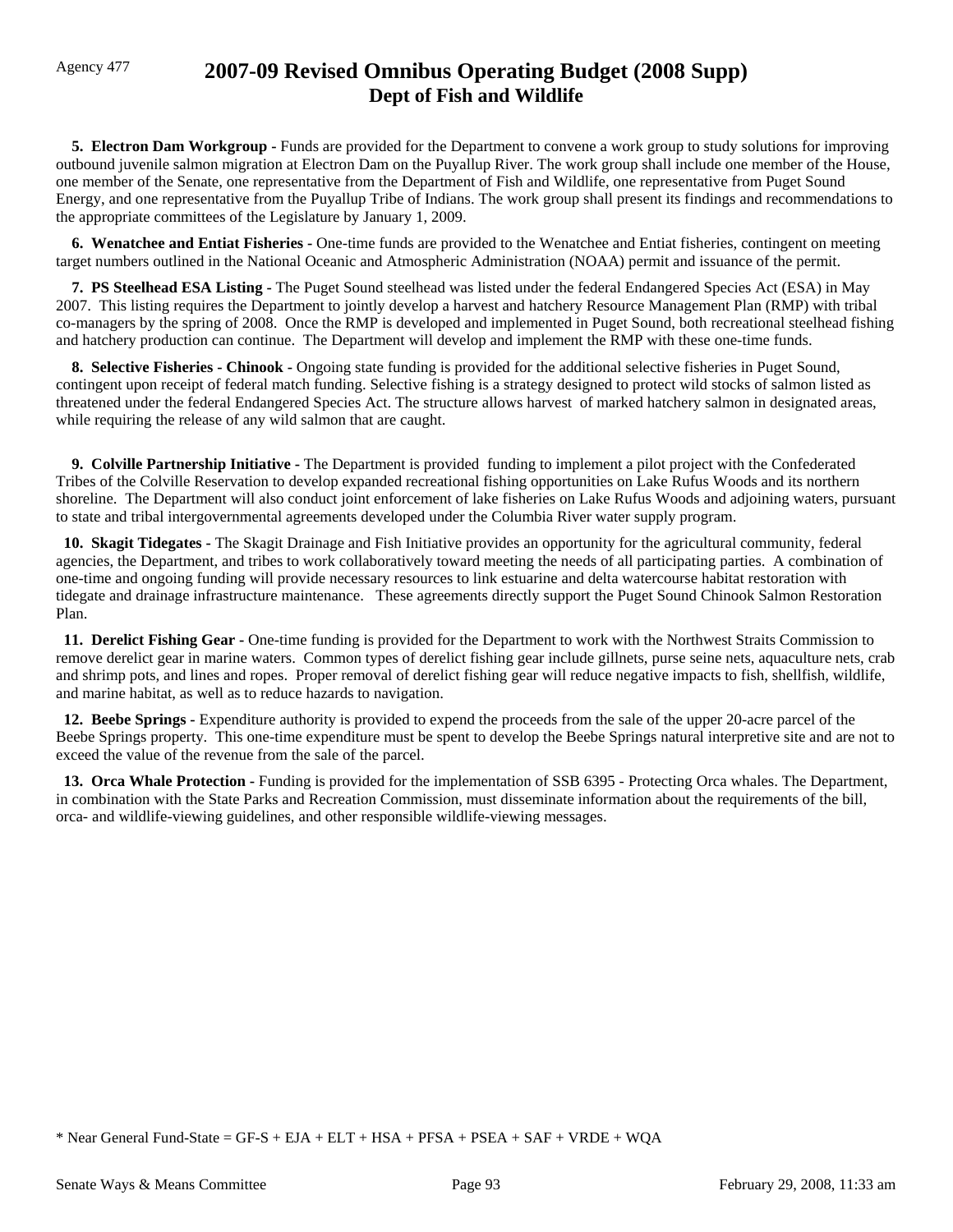## Agency 477 **2007-09 Revised Omnibus Operating Budget (2008 Supp) Dept of Fish and Wildlife**

**5. Electron Dam Workgroup - Funds are provided for the Department to convene a work group to study solutions for improving** outbound juvenile salmon migration at Electron Dam on the Puyallup River. The work group shall include one member of the House, one member of the Senate, one representative from the Department of Fish and Wildlife, one representative from Puget Sound Energy, and one representative from the Puyallup Tribe of Indians. The work group shall present its findings and recommendations to the appropriate committees of the Legislature by January 1, 2009.

 **6. Wenatchee and Entiat Fisheries -** One-time funds are provided to the Wenatchee and Entiat fisheries, contingent on meeting target numbers outlined in the National Oceanic and Atmospheric Administration (NOAA) permit and issuance of the permit.

 **7. PS Steelhead ESA Listing -** The Puget Sound steelhead was listed under the federal Endangered Species Act (ESA) in May 2007. This listing requires the Department to jointly develop a harvest and hatchery Resource Management Plan (RMP) with tribal co-managers by the spring of 2008. Once the RMP is developed and implemented in Puget Sound, both recreational steelhead fishing and hatchery production can continue. The Department will develop and implement the RMP with these one-time funds.

 **8. Selective Fisheries - Chinook -** Ongoing state funding is provided for the additional selective fisheries in Puget Sound, contingent upon receipt of federal match funding. Selective fishing is a strategy designed to protect wild stocks of salmon listed as threatened under the federal Endangered Species Act. The structure allows harvest of marked hatchery salmon in designated areas, while requiring the release of any wild salmon that are caught.

 **9. Colville Partnership Initiative -** The Department is provided funding to implement a pilot project with the Confederated Tribes of the Colville Reservation to develop expanded recreational fishing opportunities on Lake Rufus Woods and its northern shoreline. The Department will also conduct joint enforcement of lake fisheries on Lake Rufus Woods and adjoining waters, pursuant to state and tribal intergovernmental agreements developed under the Columbia River water supply program.

 **10. Skagit Tidegates -** The Skagit Drainage and Fish Initiative provides an opportunity for the agricultural community, federal agencies, the Department, and tribes to work collaboratively toward meeting the needs of all participating parties. A combination of one-time and ongoing funding will provide necessary resources to link estuarine and delta watercourse habitat restoration with tidegate and drainage infrastructure maintenance. These agreements directly support the Puget Sound Chinook Salmon Restoration Plan.

 **11. Derelict Fishing Gear -** One-time funding is provided for the Department to work with the Northwest Straits Commission to remove derelict gear in marine waters. Common types of derelict fishing gear include gillnets, purse seine nets, aquaculture nets, crab and shrimp pots, and lines and ropes. Proper removal of derelict fishing gear will reduce negative impacts to fish, shellfish, wildlife, and marine habitat, as well as to reduce hazards to navigation.

 **12. Beebe Springs -** Expenditure authority is provided to expend the proceeds from the sale of the upper 20-acre parcel of the Beebe Springs property. This one-time expenditure must be spent to develop the Beebe Springs natural interpretive site and are not to exceed the value of the revenue from the sale of the parcel.

 **13. Orca Whale Protection -** Funding is provided for the implementation of SSB 6395 - Protecting Orca whales. The Department, in combination with the State Parks and Recreation Commission, must disseminate information about the requirements of the bill, orca- and wildlife-viewing guidelines, and other responsible wildlife-viewing messages.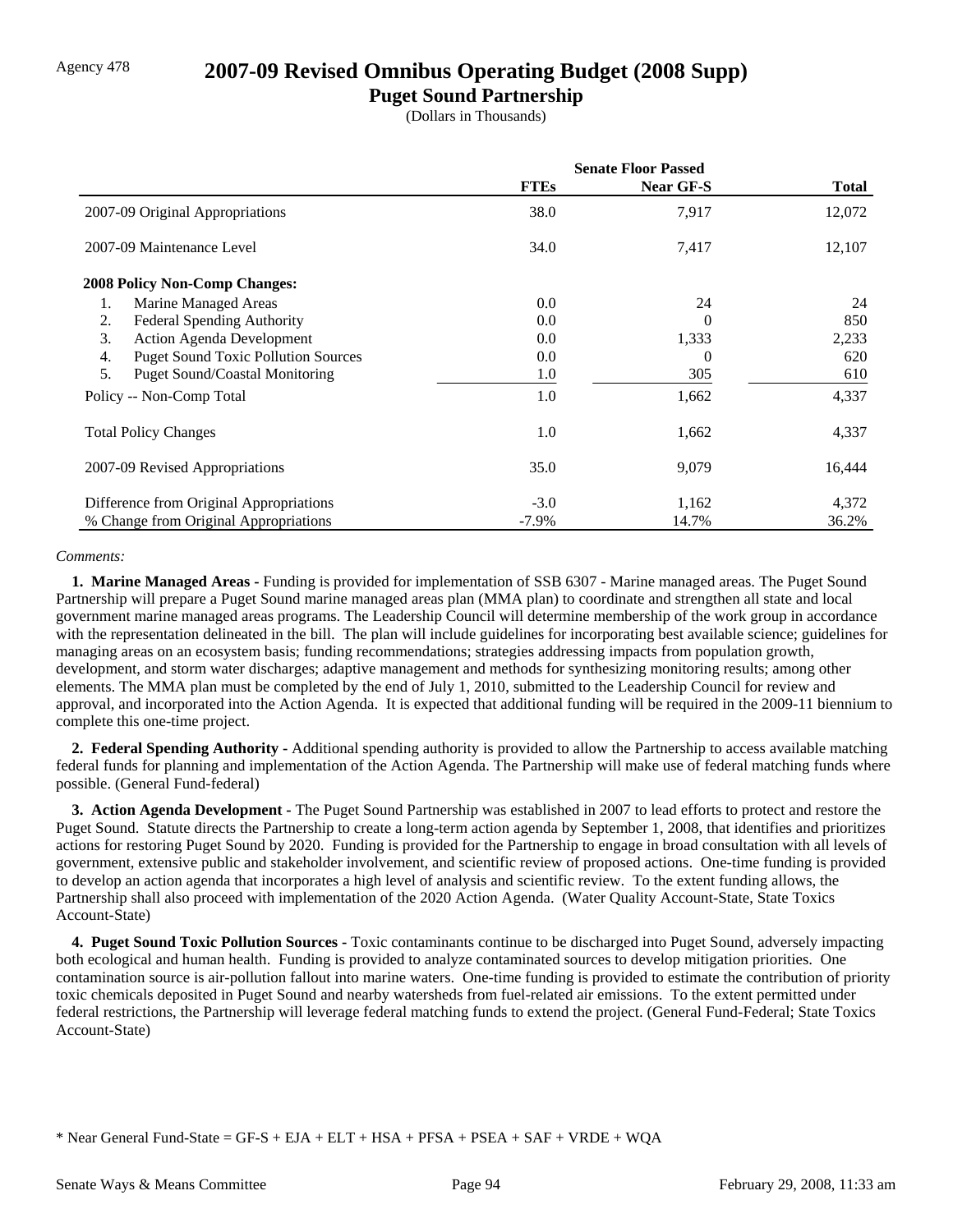### Agency 478 **2007-09 Revised Omnibus Operating Budget (2008 Supp)**

### **Puget Sound Partnership**

(Dollars in Thousands)

|                                                  | <b>Senate Floor Passed</b> |                  |              |
|--------------------------------------------------|----------------------------|------------------|--------------|
|                                                  | <b>FTEs</b>                | <b>Near GF-S</b> | <b>Total</b> |
| 2007-09 Original Appropriations                  | 38.0                       | 7,917            | 12,072       |
| 2007-09 Maintenance Level                        | 34.0                       | 7,417            | 12,107       |
| <b>2008 Policy Non-Comp Changes:</b>             |                            |                  |              |
| Marine Managed Areas<br>1.                       | 0.0                        | 24               | 24           |
| <b>Federal Spending Authority</b><br>2.          | 0.0                        | 0                | 850          |
| 3.<br><b>Action Agenda Development</b>           | 0.0                        | 1,333            | 2,233        |
| <b>Puget Sound Toxic Pollution Sources</b><br>4. | 0.0                        | $\Omega$         | 620          |
| 5.<br><b>Puget Sound/Coastal Monitoring</b>      | 1.0                        | 305              | 610          |
| Policy -- Non-Comp Total                         | 1.0                        | 1,662            | 4,337        |
| <b>Total Policy Changes</b>                      | 1.0                        | 1,662            | 4,337        |
| 2007-09 Revised Appropriations                   | 35.0                       | 9,079            | 16,444       |
| Difference from Original Appropriations          | $-3.0$                     | 1,162            | 4,372        |
| % Change from Original Appropriations            | $-7.9\%$                   | 14.7%            | 36.2%        |

#### *Comments:*

 **1. Marine Managed Areas -** Funding is provided for implementation of SSB 6307 - Marine managed areas. The Puget Sound Partnership will prepare a Puget Sound marine managed areas plan (MMA plan) to coordinate and strengthen all state and local government marine managed areas programs. The Leadership Council will determine membership of the work group in accordance with the representation delineated in the bill. The plan will include guidelines for incorporating best available science; guidelines for managing areas on an ecosystem basis; funding recommendations; strategies addressing impacts from population growth, development, and storm water discharges; adaptive management and methods for synthesizing monitoring results; among other elements. The MMA plan must be completed by the end of July 1, 2010, submitted to the Leadership Council for review and approval, and incorporated into the Action Agenda. It is expected that additional funding will be required in the 2009-11 biennium to complete this one-time project.

 **2. Federal Spending Authority -** Additional spending authority is provided to allow the Partnership to access available matching federal funds for planning and implementation of the Action Agenda. The Partnership will make use of federal matching funds where possible. (General Fund-federal)

 **3. Action Agenda Development -** The Puget Sound Partnership was established in 2007 to lead efforts to protect and restore the Puget Sound. Statute directs the Partnership to create a long-term action agenda by September 1, 2008, that identifies and prioritizes actions for restoring Puget Sound by 2020. Funding is provided for the Partnership to engage in broad consultation with all levels of government, extensive public and stakeholder involvement, and scientific review of proposed actions. One-time funding is provided to develop an action agenda that incorporates a high level of analysis and scientific review. To the extent funding allows, the Partnership shall also proceed with implementation of the 2020 Action Agenda. (Water Quality Account-State, State Toxics Account-State)

 **4. Puget Sound Toxic Pollution Sources -** Toxic contaminants continue to be discharged into Puget Sound, adversely impacting both ecological and human health. Funding is provided to analyze contaminated sources to develop mitigation priorities. One contamination source is air-pollution fallout into marine waters. One-time funding is provided to estimate the contribution of priority toxic chemicals deposited in Puget Sound and nearby watersheds from fuel-related air emissions. To the extent permitted under federal restrictions, the Partnership will leverage federal matching funds to extend the project. (General Fund-Federal; State Toxics Account-State)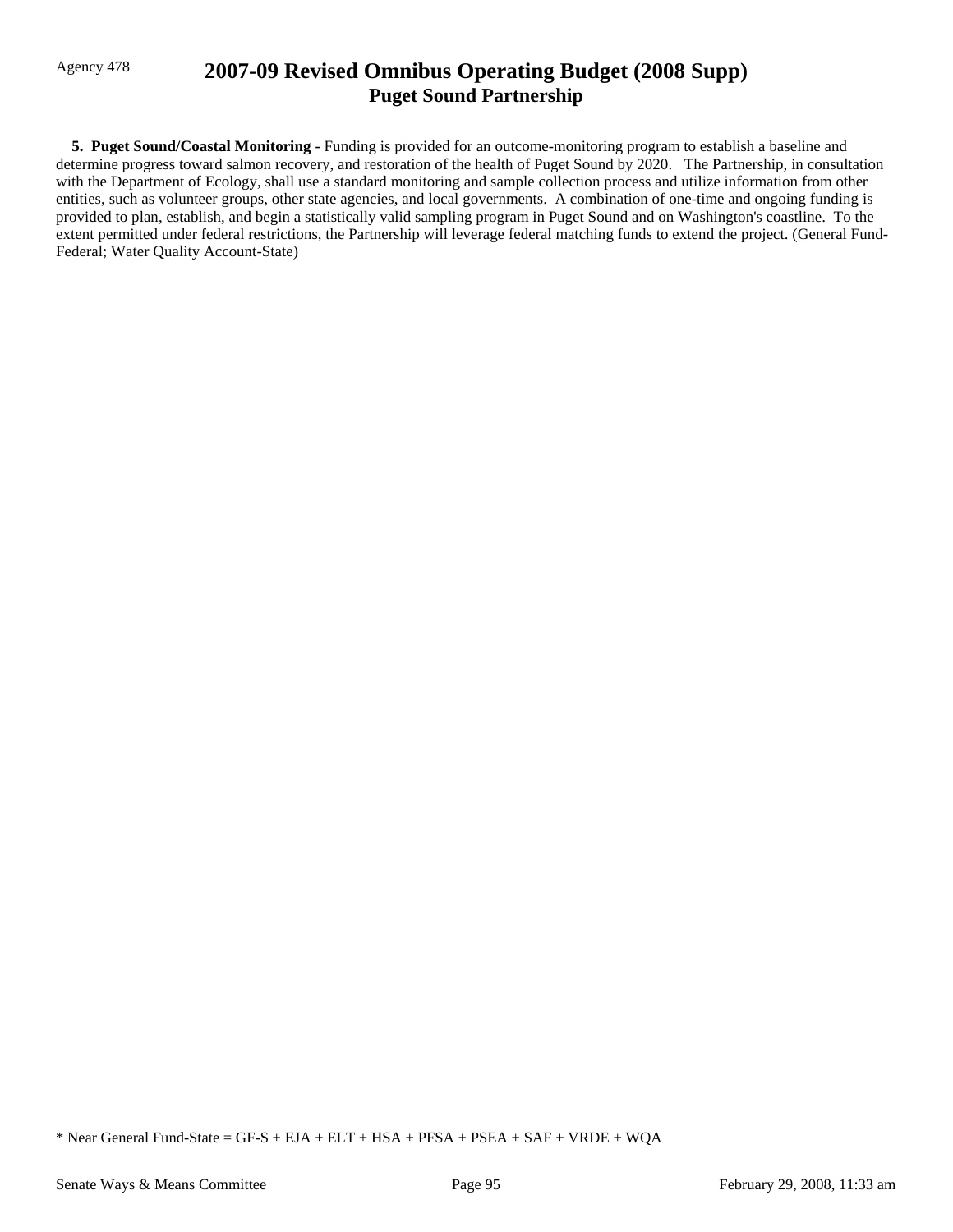# Agency 478 **2007-09 Revised Omnibus Operating Budget (2008 Supp) Puget Sound Partnership**

 **5. Puget Sound/Coastal Monitoring -** Funding is provided for an outcome-monitoring program to establish a baseline and determine progress toward salmon recovery, and restoration of the health of Puget Sound by 2020. The Partnership, in consultation with the Department of Ecology, shall use a standard monitoring and sample collection process and utilize information from other entities, such as volunteer groups, other state agencies, and local governments. A combination of one-time and ongoing funding is provided to plan, establish, and begin a statistically valid sampling program in Puget Sound and on Washington's coastline. To the extent permitted under federal restrictions, the Partnership will leverage federal matching funds to extend the project. (General Fund-Federal; Water Quality Account-State)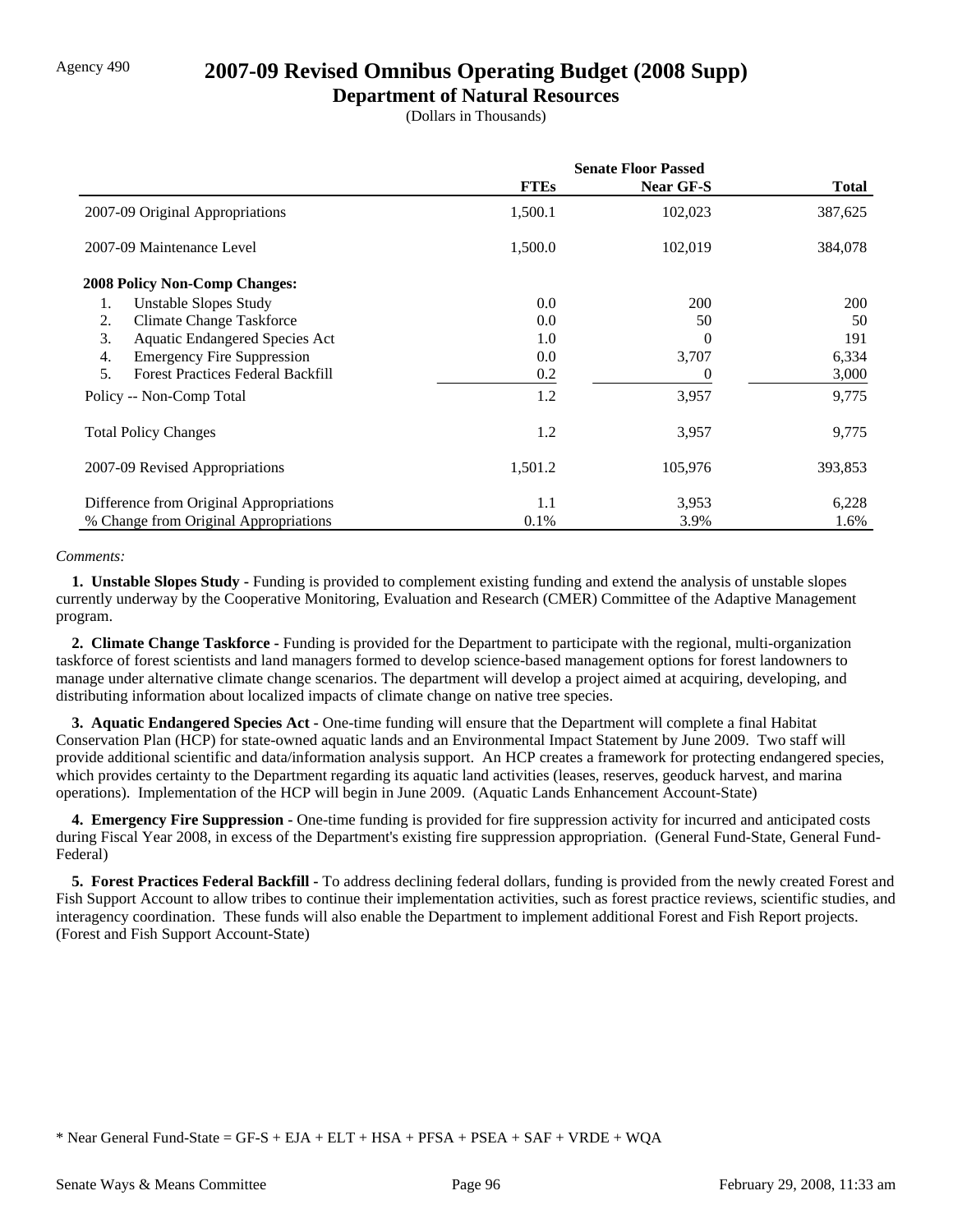## Agency 490 **2007-09 Revised Omnibus Operating Budget (2008 Supp)**

### **Department of Natural Resources**

(Dollars in Thousands)

|                                                | <b>Senate Floor Passed</b> |                  |              |
|------------------------------------------------|----------------------------|------------------|--------------|
|                                                | <b>FTEs</b>                | <b>Near GF-S</b> | <b>Total</b> |
| 2007-09 Original Appropriations                | 1,500.1                    | 102,023          | 387,625      |
| 2007-09 Maintenance Level                      | 1,500.0                    | 102,019          | 384,078      |
| <b>2008 Policy Non-Comp Changes:</b>           |                            |                  |              |
| <b>Unstable Slopes Study</b><br>1.             | 0.0                        | <b>200</b>       | <b>200</b>   |
| <b>Climate Change Taskforce</b><br>2.          | 0.0                        | 50               | 50           |
| 3.<br><b>Aquatic Endangered Species Act</b>    | 1.0                        | 0                | 191          |
| <b>Emergency Fire Suppression</b><br>4.        | 0.0                        | 3,707            | 6,334        |
| 5.<br><b>Forest Practices Federal Backfill</b> | 0.2                        | $\mathbf{0}$     | 3,000        |
| Policy -- Non-Comp Total                       | 1.2                        | 3,957            | 9,775        |
| <b>Total Policy Changes</b>                    | 1.2                        | 3,957            | 9,775        |
| 2007-09 Revised Appropriations                 | 1,501.2                    | 105,976          | 393,853      |
| Difference from Original Appropriations        | 1.1                        | 3,953            | 6,228        |
| % Change from Original Appropriations          | 0.1%                       | 3.9%             | 1.6%         |

#### *Comments:*

 **1. Unstable Slopes Study -** Funding is provided to complement existing funding and extend the analysis of unstable slopes currently underway by the Cooperative Monitoring, Evaluation and Research (CMER) Committee of the Adaptive Management program.

 **2. Climate Change Taskforce -** Funding is provided for the Department to participate with the regional, multi-organization taskforce of forest scientists and land managers formed to develop science-based management options for forest landowners to manage under alternative climate change scenarios. The department will develop a project aimed at acquiring, developing, and distributing information about localized impacts of climate change on native tree species.

 **3. Aquatic Endangered Species Act -** One-time funding will ensure that the Department will complete a final Habitat Conservation Plan (HCP) for state-owned aquatic lands and an Environmental Impact Statement by June 2009. Two staff will provide additional scientific and data/information analysis support. An HCP creates a framework for protecting endangered species, which provides certainty to the Department regarding its aquatic land activities (leases, reserves, geoduck harvest, and marina operations). Implementation of the HCP will begin in June 2009. (Aquatic Lands Enhancement Account-State)

**4. Emergency Fire Suppression -** One-time funding is provided for fire suppression activity for incurred and anticipated costs during Fiscal Year 2008, in excess of the Department's existing fire suppression appropriation. (General Fund-State, General Fund-Federal)

 **5. Forest Practices Federal Backfill -** To address declining federal dollars, funding is provided from the newly created Forest and Fish Support Account to allow tribes to continue their implementation activities, such as forest practice reviews, scientific studies, and interagency coordination. These funds will also enable the Department to implement additional Forest and Fish Report projects. (Forest and Fish Support Account-State)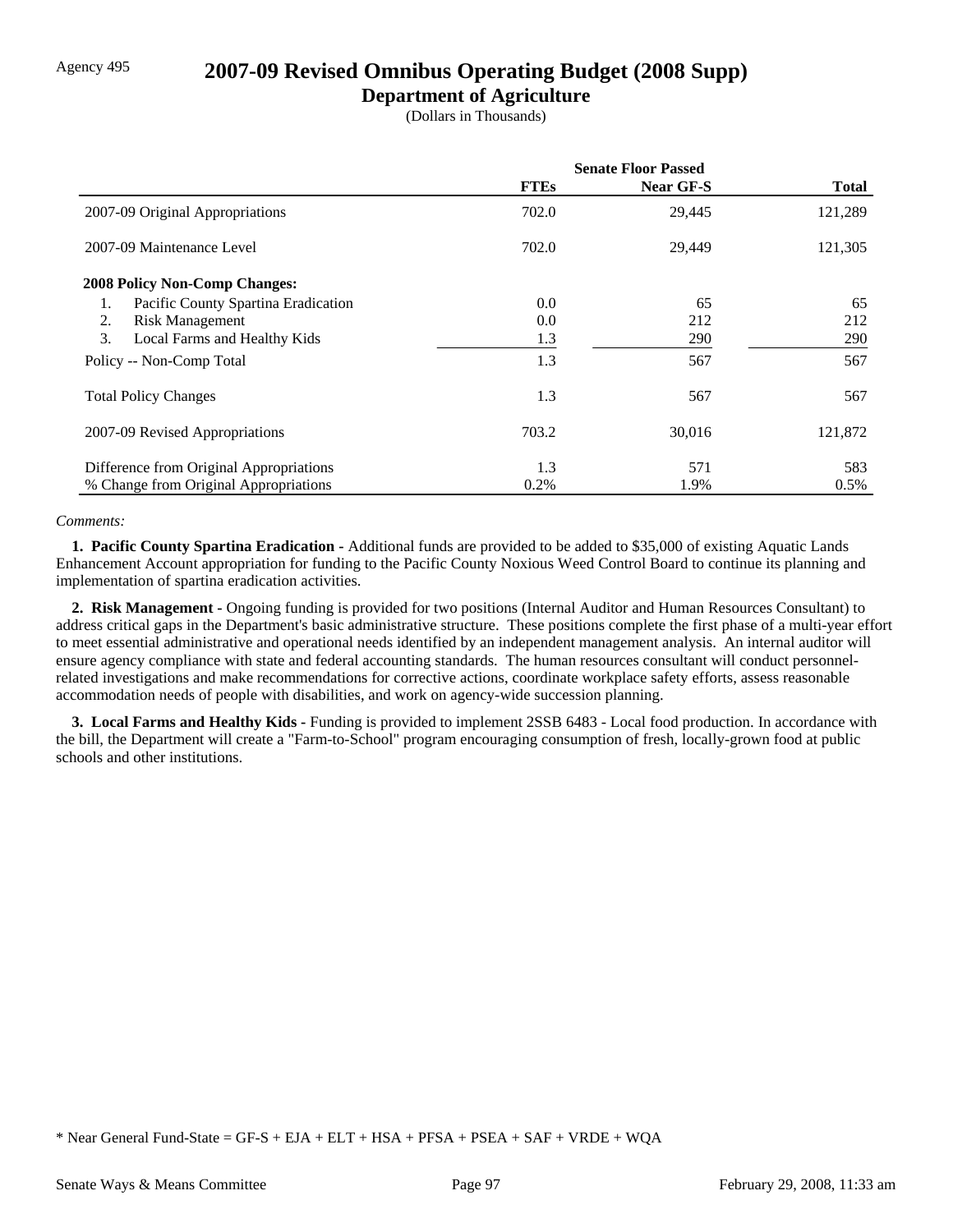# Agency 495 **2007-09 Revised Omnibus Operating Budget (2008 Supp)**

## **Department of Agriculture**

(Dollars in Thousands)

|                                           | <b>Senate Floor Passed</b> |                  |              |
|-------------------------------------------|----------------------------|------------------|--------------|
|                                           | <b>FTEs</b>                | <b>Near GF-S</b> | <b>Total</b> |
| 2007-09 Original Appropriations           | 702.0                      | 29,445           | 121,289      |
| 2007-09 Maintenance Level                 | 702.0                      | 29,449           | 121,305      |
| <b>2008 Policy Non-Comp Changes:</b>      |                            |                  |              |
| Pacific County Spartina Eradication<br>1. | 0.0                        | 65               | 65           |
| 2.<br><b>Risk Management</b>              | 0.0                        | 212              | 212          |
| 3.<br>Local Farms and Healthy Kids        | 1.3                        | 290              | 290          |
| Policy -- Non-Comp Total                  | 1.3                        | 567              | 567          |
| <b>Total Policy Changes</b>               | 1.3                        | 567              | 567          |
| 2007-09 Revised Appropriations            | 703.2                      | 30,016           | 121,872      |
| Difference from Original Appropriations   | 1.3                        | 571              | 583          |
| % Change from Original Appropriations     | 0.2%                       | 1.9%             | $0.5\%$      |

### *Comments:*

 **1. Pacific County Spartina Eradication -** Additional funds are provided to be added to \$35,000 of existing Aquatic Lands Enhancement Account appropriation for funding to the Pacific County Noxious Weed Control Board to continue its planning and implementation of spartina eradication activities.

 **2. Risk Management -** Ongoing funding is provided for two positions (Internal Auditor and Human Resources Consultant) to address critical gaps in the Department's basic administrative structure. These positions complete the first phase of a multi-year effort to meet essential administrative and operational needs identified by an independent management analysis. An internal auditor will ensure agency compliance with state and federal accounting standards. The human resources consultant will conduct personnelrelated investigations and make recommendations for corrective actions, coordinate workplace safety efforts, assess reasonable accommodation needs of people with disabilities, and work on agency-wide succession planning.

 **3. Local Farms and Healthy Kids -** Funding is provided to implement 2SSB 6483 - Local food production. In accordance with the bill, the Department will create a "Farm-to-School" program encouraging consumption of fresh, locally-grown food at public schools and other institutions.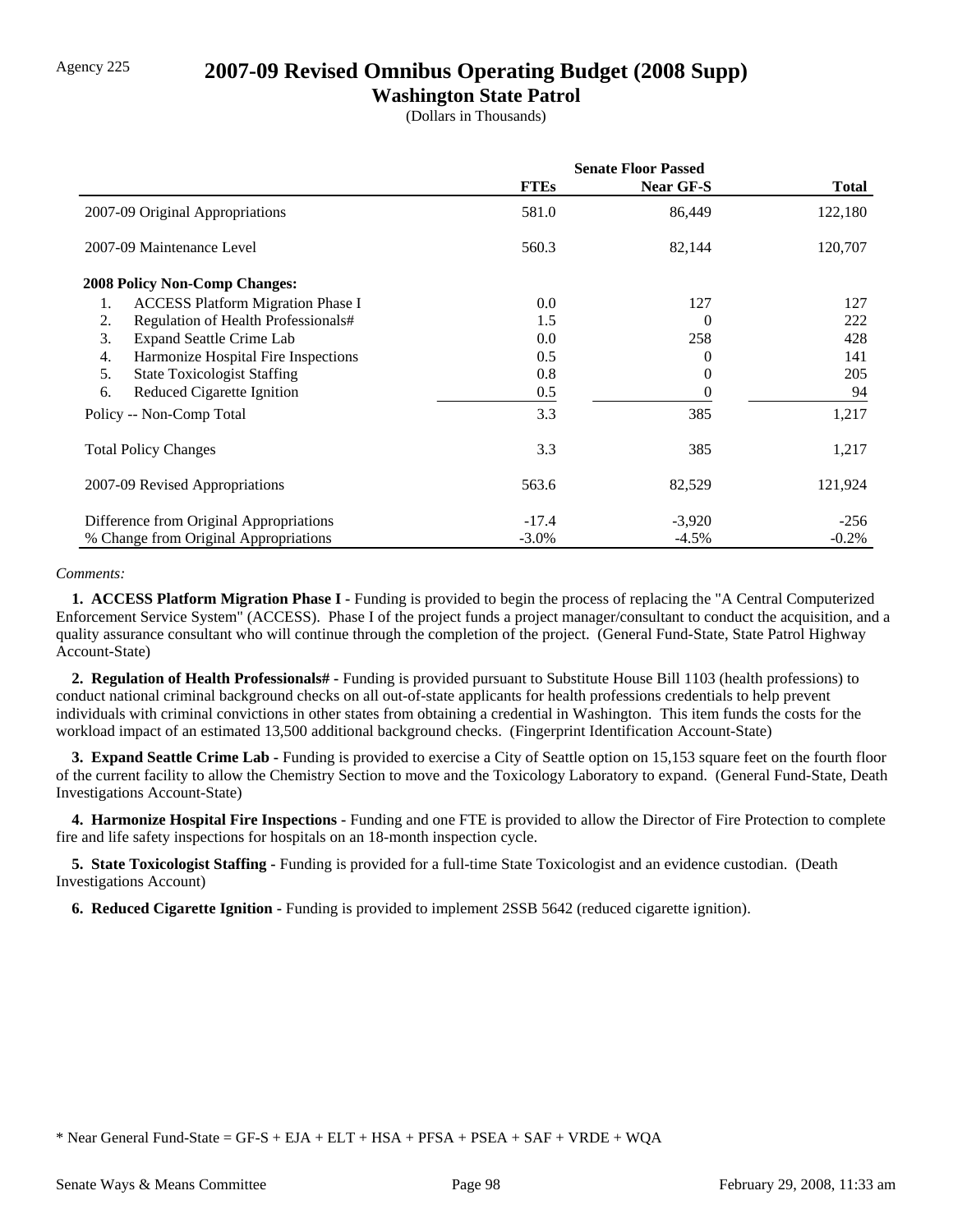# Agency 225 **2007-09 Revised Omnibus Operating Budget (2008 Supp)**

## **Washington State Patrol**

(Dollars in Thousands)

|                                                | <b>Senate Floor Passed</b> |                  |              |
|------------------------------------------------|----------------------------|------------------|--------------|
|                                                | <b>FTEs</b>                | <b>Near GF-S</b> | <b>Total</b> |
| 2007-09 Original Appropriations                | 581.0                      | 86,449           | 122,180      |
| 2007-09 Maintenance Level                      | 560.3                      | 82,144           | 120,707      |
| <b>2008 Policy Non-Comp Changes:</b>           |                            |                  |              |
| 1.<br><b>ACCESS Platform Migration Phase I</b> | 0.0                        | 127              | 127          |
| Regulation of Health Professionals#<br>2.      | 1.5                        | 0                | 222          |
| <b>Expand Seattle Crime Lab</b><br>3.          | 0.0                        | 258              | 428          |
| Harmonize Hospital Fire Inspections<br>4.      | 0.5                        | 0                | 141          |
| 5.<br><b>State Toxicologist Staffing</b>       | 0.8                        | $^{(1)}$         | 205          |
| 6.<br>Reduced Cigarette Ignition               | 0.5                        | $_{0}$           | 94           |
| Policy -- Non-Comp Total                       | 3.3                        | 385              | 1,217        |
| <b>Total Policy Changes</b>                    | 3.3                        | 385              | 1,217        |
| 2007-09 Revised Appropriations                 | 563.6                      | 82,529           | 121,924      |
| Difference from Original Appropriations        | $-17.4$                    | $-3,920$         | $-256$       |
| % Change from Original Appropriations          | $-3.0\%$                   | $-4.5\%$         | $-0.2\%$     |

### *Comments:*

 **1. ACCESS Platform Migration Phase I -** Funding is provided to begin the process of replacing the "A Central Computerized Enforcement Service System" (ACCESS). Phase I of the project funds a project manager/consultant to conduct the acquisition, and a quality assurance consultant who will continue through the completion of the project. (General Fund-State, State Patrol Highway Account-State)

 **2. Regulation of Health Professionals# -** Funding is provided pursuant to Substitute House Bill 1103 (health professions) to conduct national criminal background checks on all out-of-state applicants for health professions credentials to help prevent individuals with criminal convictions in other states from obtaining a credential in Washington. This item funds the costs for the workload impact of an estimated 13,500 additional background checks. (Fingerprint Identification Account-State)

**3. Expand Seattle Crime Lab - Funding is provided to exercise a City of Seattle option on 15,153 square feet on the fourth floor** of the current facility to allow the Chemistry Section to move and the Toxicology Laboratory to expand. (General Fund-State, Death Investigations Account-State)

 **4. Harmonize Hospital Fire Inspections -** Funding and one FTE is provided to allow the Director of Fire Protection to complete fire and life safety inspections for hospitals on an 18-month inspection cycle.

 **5. State Toxicologist Staffing -** Funding is provided for a full-time State Toxicologist and an evidence custodian. (Death Investigations Account)

 **6. Reduced Cigarette Ignition -** Funding is provided to implement 2SSB 5642 (reduced cigarette ignition).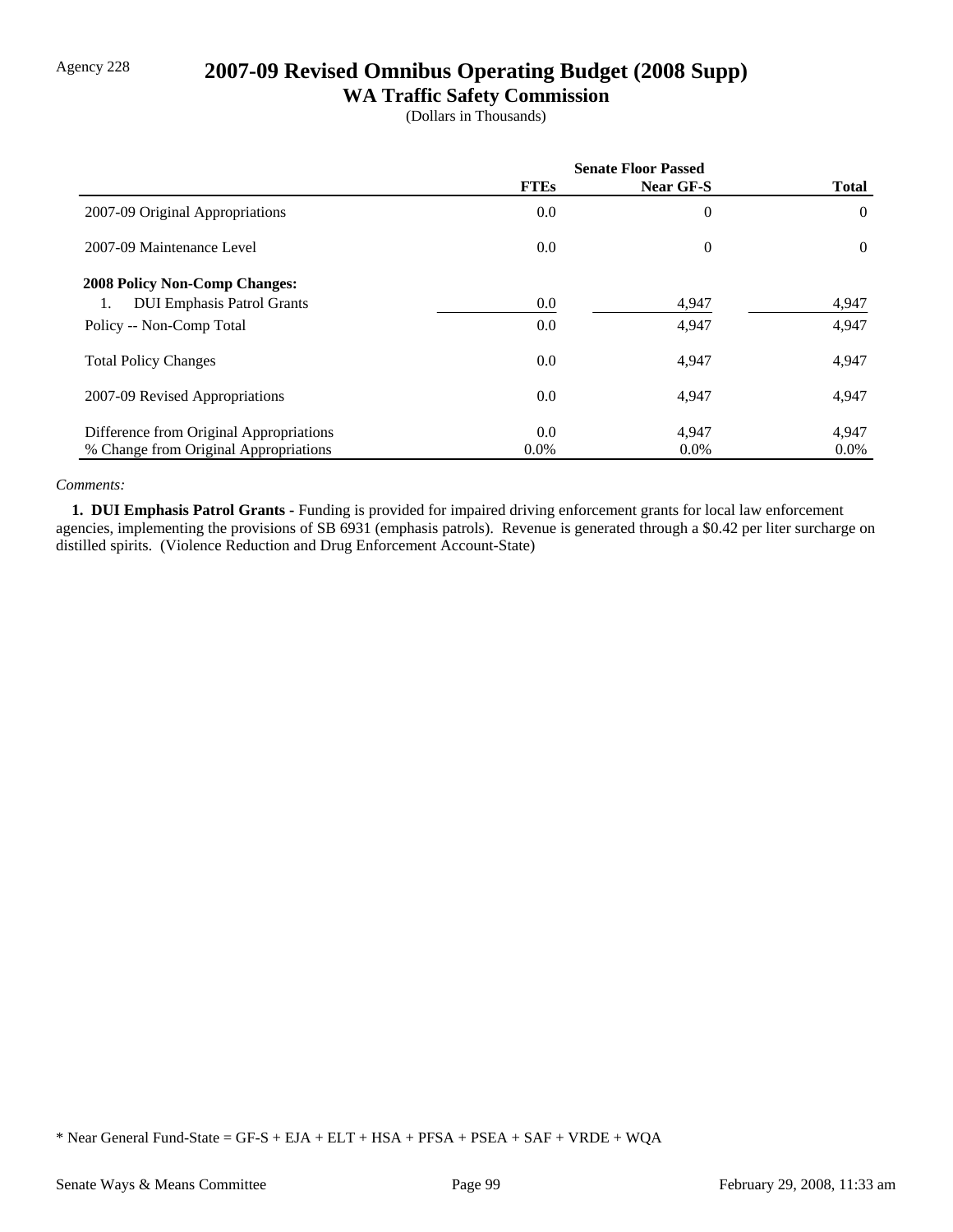# Agency 228 **2007-09 Revised Omnibus Operating Budget (2008 Supp)**

## **WA Traffic Safety Commission**

(Dollars in Thousands)

|                                         | <b>Senate Floor Passed</b> |           |                |
|-----------------------------------------|----------------------------|-----------|----------------|
|                                         | <b>FTEs</b>                | Near GF-S | <b>Total</b>   |
| 2007-09 Original Appropriations         | 0.0                        | $\theta$  | $\Omega$       |
| 2007-09 Maintenance Level               | $0.0\,$                    | $\theta$  | $\overline{0}$ |
| <b>2008 Policy Non-Comp Changes:</b>    |                            |           |                |
| <b>DUI Emphasis Patrol Grants</b><br>1. | $0.0\,$                    | 4,947     | 4,947          |
| Policy -- Non-Comp Total                | $0.0\,$                    | 4,947     | 4,947          |
| <b>Total Policy Changes</b>             | $0.0\,$                    | 4,947     | 4,947          |
| 2007-09 Revised Appropriations          | $0.0\,$                    | 4,947     | 4,947          |
| Difference from Original Appropriations | $0.0\,$                    | 4,947     | 4,947          |
| % Change from Original Appropriations   | $0.0\%$                    | $0.0\%$   | $0.0\%$        |

### *Comments:*

 **1. DUI Emphasis Patrol Grants -** Funding is provided for impaired driving enforcement grants for local law enforcement agencies, implementing the provisions of SB 6931 (emphasis patrols). Revenue is generated through a \$0.42 per liter surcharge on distilled spirits. (Violence Reduction and Drug Enforcement Account-State)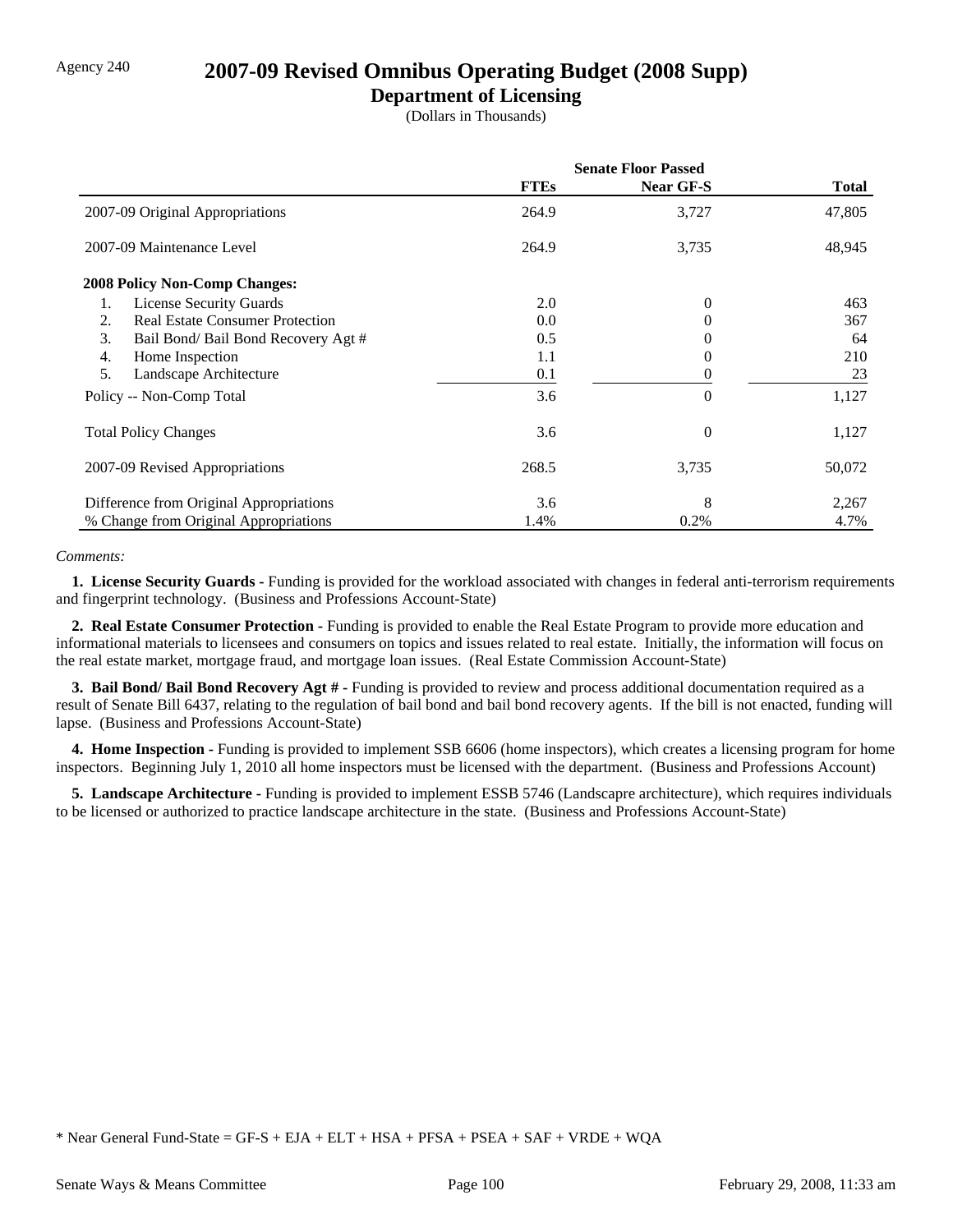## Agency 240 **2007-09 Revised Omnibus Operating Budget (2008 Supp)**

## **Department of Licensing**

(Dollars in Thousands)

|                                              | <b>Senate Floor Passed</b> |                  |        |  |
|----------------------------------------------|----------------------------|------------------|--------|--|
|                                              | <b>FTEs</b>                | <b>Near GF-S</b> | Total  |  |
| 2007-09 Original Appropriations              | 264.9                      | 3,727            | 47,805 |  |
| 2007-09 Maintenance Level                    | 264.9                      | 3,735            | 48,945 |  |
| <b>2008 Policy Non-Comp Changes:</b>         |                            |                  |        |  |
| <b>License Security Guards</b><br>1.         | 2.0                        | $\theta$         | 463    |  |
| <b>Real Estate Consumer Protection</b><br>2. | 0.0                        | $^{(1)}$         | 367    |  |
| 3.<br>Bail Bond/ Bail Bond Recovery Agt #    | 0.5                        | $^{(1)}$         | 64     |  |
| 4.<br>Home Inspection                        | 1.1                        | 0                | 210    |  |
| 5.<br>Landscape Architecture                 | 0.1                        | 0                | 23     |  |
| Policy -- Non-Comp Total                     | 3.6                        | $\theta$         | 1,127  |  |
| <b>Total Policy Changes</b>                  | 3.6                        | $\overline{0}$   | 1,127  |  |
| 2007-09 Revised Appropriations               | 268.5                      | 3,735            | 50,072 |  |
| Difference from Original Appropriations      | 3.6                        | 8                | 2,267  |  |
| % Change from Original Appropriations        | 1.4%                       | 0.2%             | 4.7%   |  |

### *Comments:*

 **1. License Security Guards -** Funding is provided for the workload associated with changes in federal anti-terrorism requirements and fingerprint technology. (Business and Professions Account-State)

 **2. Real Estate Consumer Protection -** Funding is provided to enable the Real Estate Program to provide more education and informational materials to licensees and consumers on topics and issues related to real estate. Initially, the information will focus on the real estate market, mortgage fraud, and mortgage loan issues. (Real Estate Commission Account-State)

 **3. Bail Bond/ Bail Bond Recovery Agt # -** Funding is provided to review and process additional documentation required as a result of Senate Bill 6437, relating to the regulation of bail bond and bail bond recovery agents. If the bill is not enacted, funding will lapse. (Business and Professions Account-State)

**4. Home Inspection -** Funding is provided to implement SSB 6606 (home inspectors), which creates a licensing program for home inspectors. Beginning July 1, 2010 all home inspectors must be licensed with the department. (Business and Professions Account)

 **5. Landscape Architecture -** Funding is provided to implement ESSB 5746 (Landscapre architecture), which requires individuals to be licensed or authorized to practice landscape architecture in the state. (Business and Professions Account-State)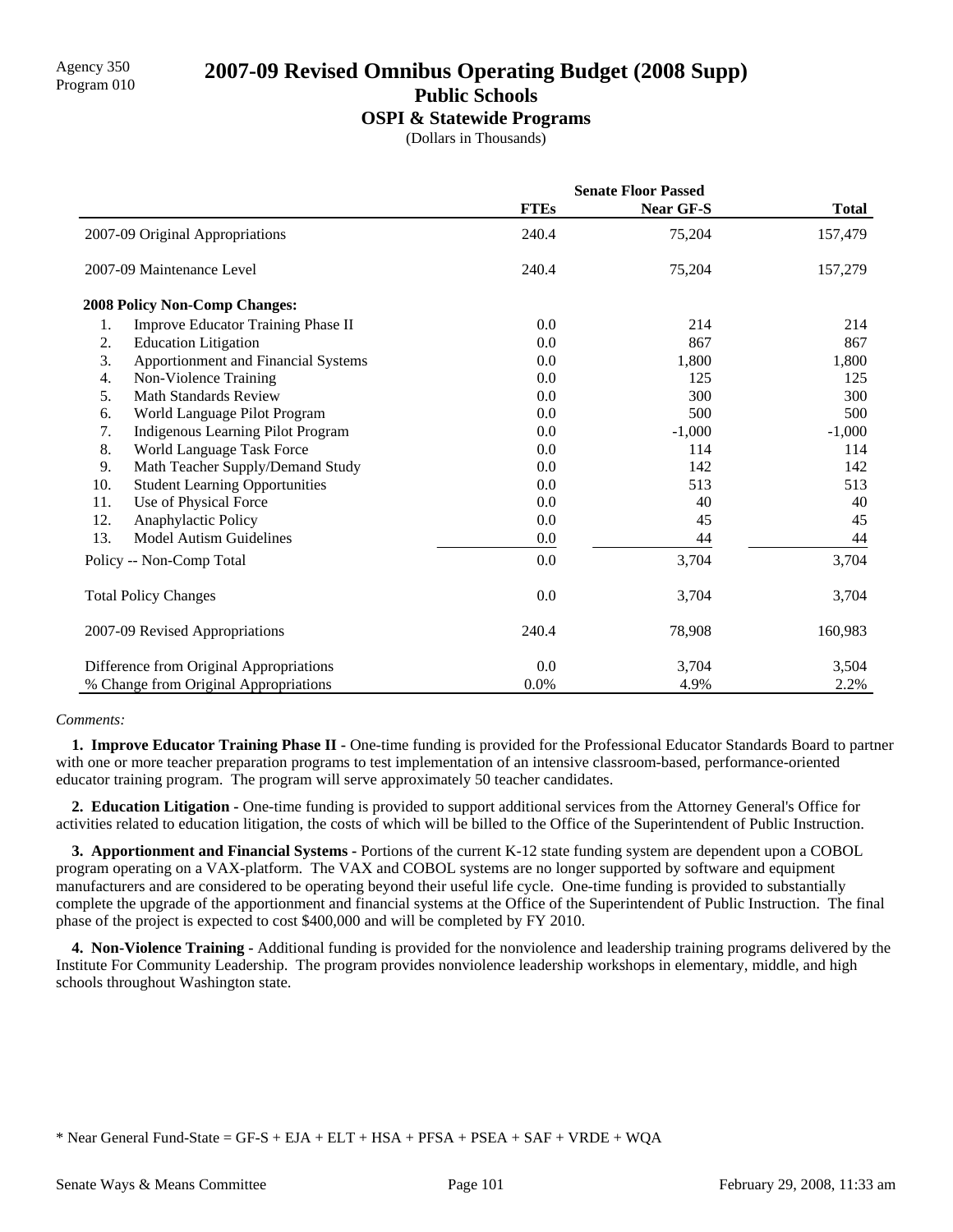## Agency 350 **2007-09 Revised Omnibus Operating Budget (2008 Supp)** Program 010 **Public Schools**

### **OSPI & Statewide Programs**

(Dollars in Thousands)

|     |                                         | <b>Senate Floor Passed</b> |                  |              |  |
|-----|-----------------------------------------|----------------------------|------------------|--------------|--|
|     |                                         | <b>FTEs</b>                | <b>Near GF-S</b> | <b>Total</b> |  |
|     | 2007-09 Original Appropriations         | 240.4                      | 75,204           | 157,479      |  |
|     | 2007-09 Maintenance Level               | 240.4                      | 75,204           | 157,279      |  |
|     | <b>2008 Policy Non-Comp Changes:</b>    |                            |                  |              |  |
| 1.  | Improve Educator Training Phase II      | 0.0                        | 214              | 214          |  |
| 2.  | <b>Education Litigation</b>             | 0.0                        | 867              | 867          |  |
| 3.  | Apportionment and Financial Systems     | 0.0                        | 1,800            | 1,800        |  |
| 4.  | Non-Violence Training                   | 0.0                        | 125              | 125          |  |
| 5.  | <b>Math Standards Review</b>            | 0.0                        | 300              | 300          |  |
| 6.  | World Language Pilot Program            | 0.0                        | 500              | 500          |  |
| 7.  | Indigenous Learning Pilot Program       | 0.0                        | $-1,000$         | $-1,000$     |  |
| 8.  | World Language Task Force               | 0.0                        | 114              | 114          |  |
| 9.  | Math Teacher Supply/Demand Study        | 0.0                        | 142              | 142          |  |
| 10. | <b>Student Learning Opportunities</b>   | 0.0                        | 513              | 513          |  |
| 11. | Use of Physical Force                   | 0.0                        | 40               | 40           |  |
| 12. | Anaphylactic Policy                     | 0.0                        | 45               | 45           |  |
| 13. | Model Autism Guidelines                 | 0.0                        | 44               | 44           |  |
|     | Policy -- Non-Comp Total                | 0.0                        | 3,704            | 3,704        |  |
|     | <b>Total Policy Changes</b>             | 0.0                        | 3,704            | 3,704        |  |
|     | 2007-09 Revised Appropriations          | 240.4                      | 78,908           | 160,983      |  |
|     | Difference from Original Appropriations | 0.0                        | 3,704            | 3,504        |  |
|     | % Change from Original Appropriations   | 0.0%                       | 4.9%             | 2.2%         |  |

### *Comments:*

**1. Improve Educator Training Phase II -** One-time funding is provided for the Professional Educator Standards Board to partner with one or more teacher preparation programs to test implementation of an intensive classroom-based, performance-oriented educator training program. The program will serve approximately 50 teacher candidates.

 **2. Education Litigation -** One-time funding is provided to support additional services from the Attorney General's Office for activities related to education litigation, the costs of which will be billed to the Office of the Superintendent of Public Instruction.

 **3. Apportionment and Financial Systems -** Portions of the current K-12 state funding system are dependent upon a COBOL program operating on a VAX-platform. The VAX and COBOL systems are no longer supported by software and equipment manufacturers and are considered to be operating beyond their useful life cycle. One-time funding is provided to substantially complete the upgrade of the apportionment and financial systems at the Office of the Superintendent of Public Instruction. The final phase of the project is expected to cost \$400,000 and will be completed by FY 2010.

 **4. Non-Violence Training -** Additional funding is provided for the nonviolence and leadership training programs delivered by the Institute For Community Leadership. The program provides nonviolence leadership workshops in elementary, middle, and high schools throughout Washington state.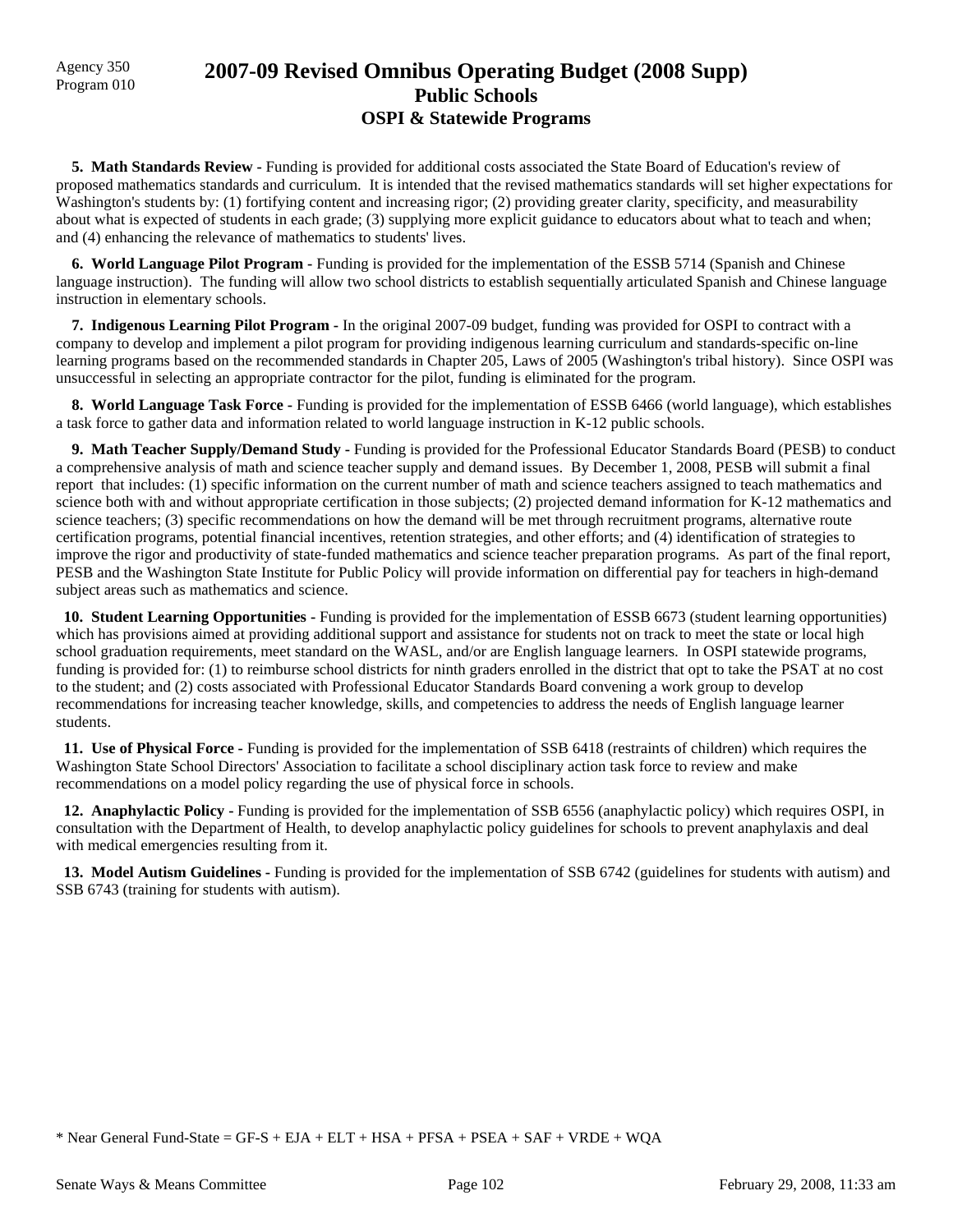# Agency 350 **2007-09 Revised Omnibus Operating Budget (2008 Supp)** Program 010 **Public Schools OSPI & Statewide Programs**

 **5. Math Standards Review -** Funding is provided for additional costs associated the State Board of Education's review of proposed mathematics standards and curriculum. It is intended that the revised mathematics standards will set higher expectations for Washington's students by: (1) fortifying content and increasing rigor; (2) providing greater clarity, specificity, and measurability about what is expected of students in each grade; (3) supplying more explicit guidance to educators about what to teach and when; and (4) enhancing the relevance of mathematics to students' lives.

 **6. World Language Pilot Program -** Funding is provided for the implementation of the ESSB 5714 (Spanish and Chinese language instruction). The funding will allow two school districts to establish sequentially articulated Spanish and Chinese language instruction in elementary schools.

 **7. Indigenous Learning Pilot Program -** In the original 2007-09 budget, funding was provided for OSPI to contract with a company to develop and implement a pilot program for providing indigenous learning curriculum and standards-specific on-line learning programs based on the recommended standards in Chapter 205, Laws of 2005 (Washington's tribal history). Since OSPI was unsuccessful in selecting an appropriate contractor for the pilot, funding is eliminated for the program.

 **8. World Language Task Force -** Funding is provided for the implementation of ESSB 6466 (world language), which establishes a task force to gather data and information related to world language instruction in K-12 public schools.

 **9. Math Teacher Supply/Demand Study -** Funding is provided for the Professional Educator Standards Board (PESB) to conduct a comprehensive analysis of math and science teacher supply and demand issues. By December 1, 2008, PESB will submit a final report that includes: (1) specific information on the current number of math and science teachers assigned to teach mathematics and science both with and without appropriate certification in those subjects; (2) projected demand information for K-12 mathematics and science teachers; (3) specific recommendations on how the demand will be met through recruitment programs, alternative route certification programs, potential financial incentives, retention strategies, and other efforts; and (4) identification of strategies to improve the rigor and productivity of state-funded mathematics and science teacher preparation programs. As part of the final report, PESB and the Washington State Institute for Public Policy will provide information on differential pay for teachers in high-demand subject areas such as mathematics and science.

 **10. Student Learning Opportunities -** Funding is provided for the implementation of ESSB 6673 (student learning opportunities) which has provisions aimed at providing additional support and assistance for students not on track to meet the state or local high school graduation requirements, meet standard on the WASL, and/or are English language learners. In OSPI statewide programs, funding is provided for: (1) to reimburse school districts for ninth graders enrolled in the district that opt to take the PSAT at no cost to the student; and (2) costs associated with Professional Educator Standards Board convening a work group to develop recommendations for increasing teacher knowledge, skills, and competencies to address the needs of English language learner students.

 **11. Use of Physical Force -** Funding is provided for the implementation of SSB 6418 (restraints of children) which requires the Washington State School Directors' Association to facilitate a school disciplinary action task force to review and make recommendations on a model policy regarding the use of physical force in schools.

 **12. Anaphylactic Policy -** Funding is provided for the implementation of SSB 6556 (anaphylactic policy) which requires OSPI, in consultation with the Department of Health, to develop anaphylactic policy guidelines for schools to prevent anaphylaxis and deal with medical emergencies resulting from it.

 **13. Model Autism Guidelines -** Funding is provided for the implementation of SSB 6742 (guidelines for students with autism) and SSB 6743 (training for students with autism).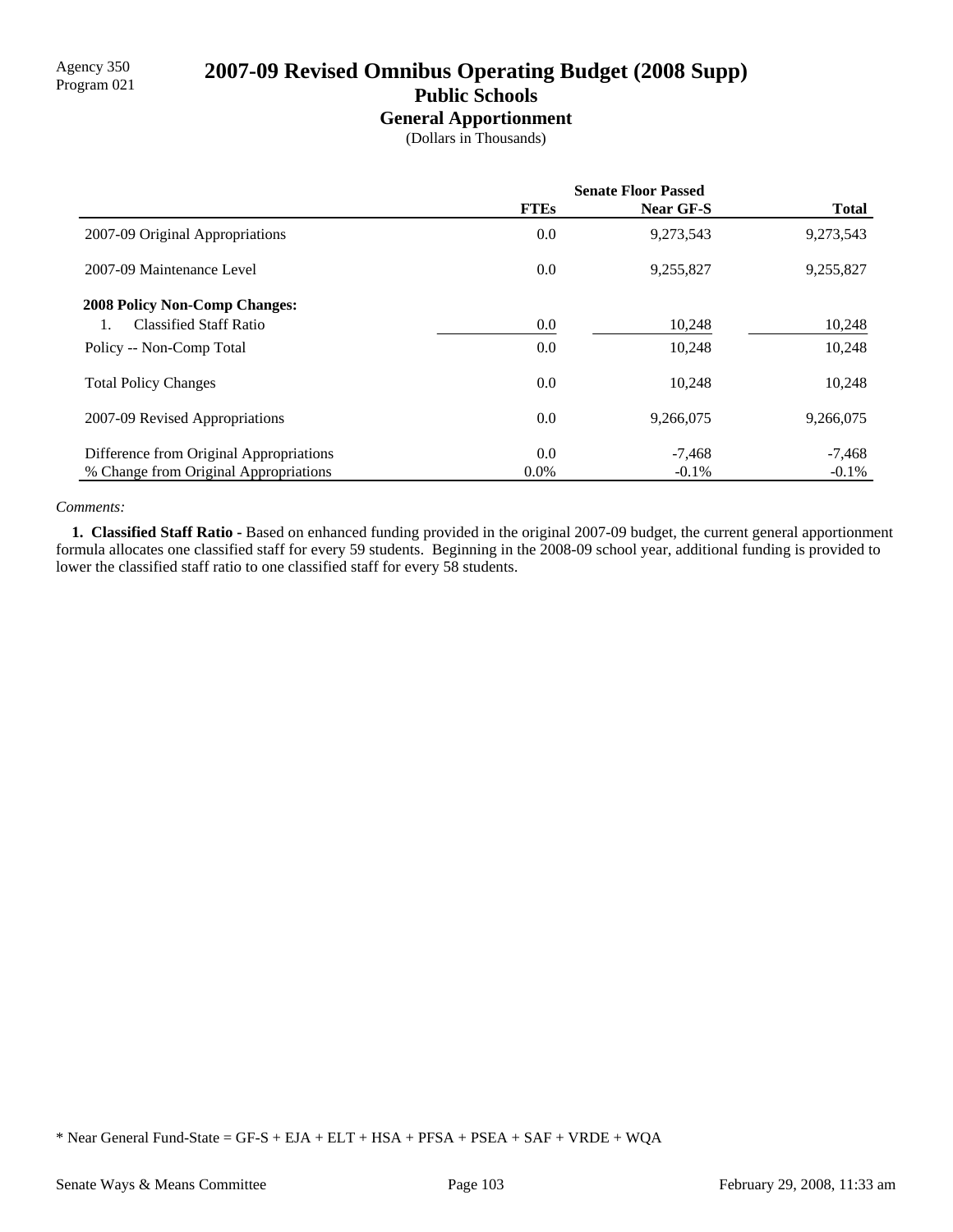# Agency 350<br>Program 021 **2007-09 Revised Omnibus Operating Budget (2008 Supp) Public Schools**

## **General Apportionment**

(Dollars in Thousands)

|                                         | <b>Senate Floor Passed</b> |           |              |
|-----------------------------------------|----------------------------|-----------|--------------|
|                                         | <b>FTEs</b>                | Near GF-S | <b>Total</b> |
| 2007-09 Original Appropriations         | 0.0                        | 9,273,543 | 9,273,543    |
| 2007-09 Maintenance Level               | 0.0                        | 9,255,827 | 9,255,827    |
| <b>2008 Policy Non-Comp Changes:</b>    |                            |           |              |
| <b>Classified Staff Ratio</b>           | $0.0\,$                    | 10,248    | 10,248       |
| Policy -- Non-Comp Total                | 0.0                        | 10,248    | 10,248       |
| <b>Total Policy Changes</b>             | 0.0                        | 10,248    | 10,248       |
| 2007-09 Revised Appropriations          | 0.0                        | 9,266,075 | 9,266,075    |
| Difference from Original Appropriations | 0.0                        | $-7.468$  | $-7,468$     |
| % Change from Original Appropriations   | $0.0\%$                    | $-0.1\%$  | $-0.1\%$     |

### *Comments:*

 **1. Classified Staff Ratio -** Based on enhanced funding provided in the original 2007-09 budget, the current general apportionment formula allocates one classified staff for every 59 students. Beginning in the 2008-09 school year, additional funding is provided to lower the classified staff ratio to one classified staff for every 58 students.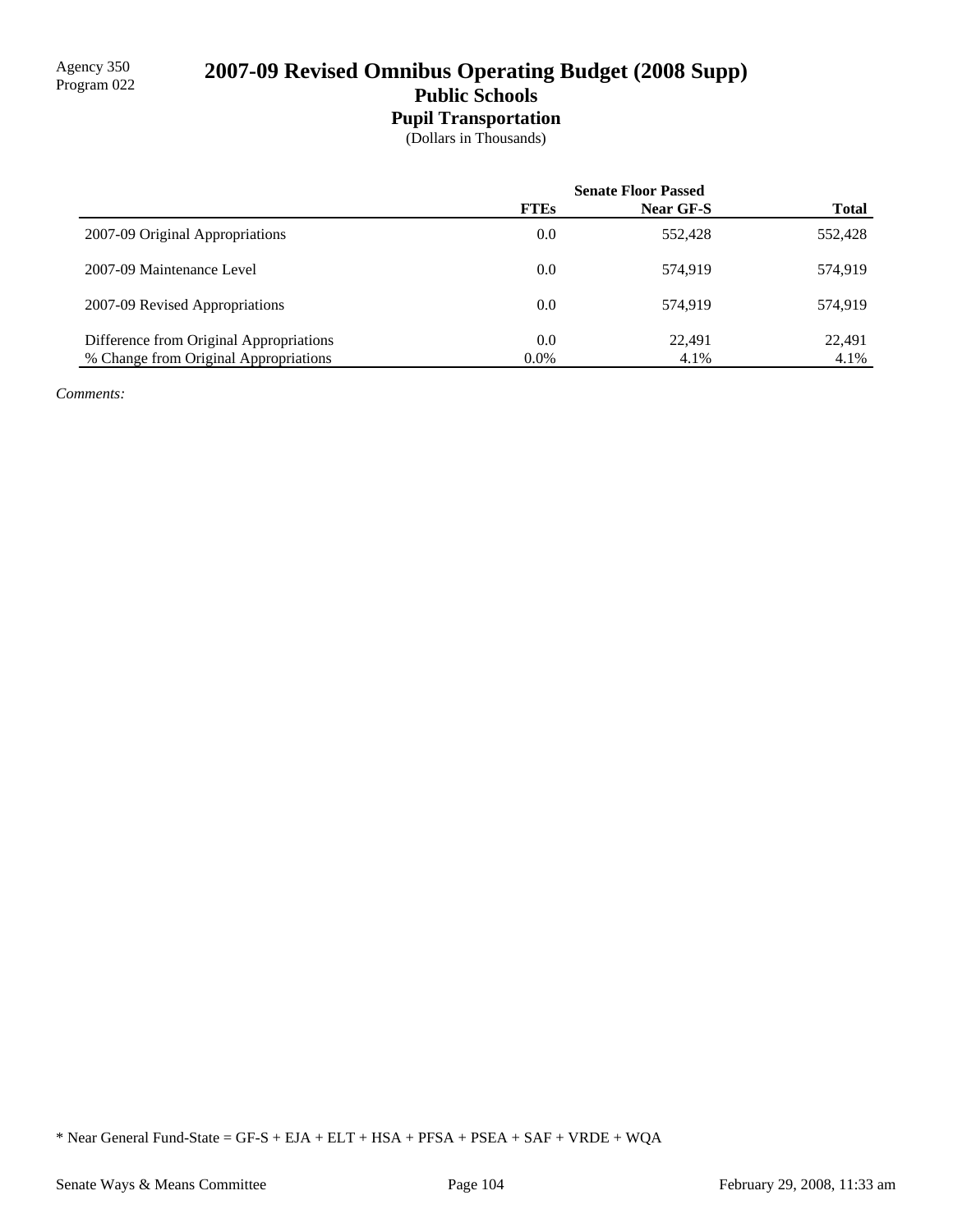## **Pupil Transportation**

(Dollars in Thousands)

|                                         | <b>Senate Floor Passed</b> |           |              |
|-----------------------------------------|----------------------------|-----------|--------------|
|                                         | <b>FTEs</b>                | Near GF-S | <b>Total</b> |
| 2007-09 Original Appropriations         | 0.0                        | 552,428   | 552,428      |
| 2007-09 Maintenance Level               | 0.0                        | 574.919   | 574.919      |
| 2007-09 Revised Appropriations          | 0.0                        | 574.919   | 574.919      |
| Difference from Original Appropriations | 0.0                        | 22.491    | 22,491       |
| % Change from Original Appropriations   | $0.0\%$                    | 4.1%      | 4.1%         |

*Comments:*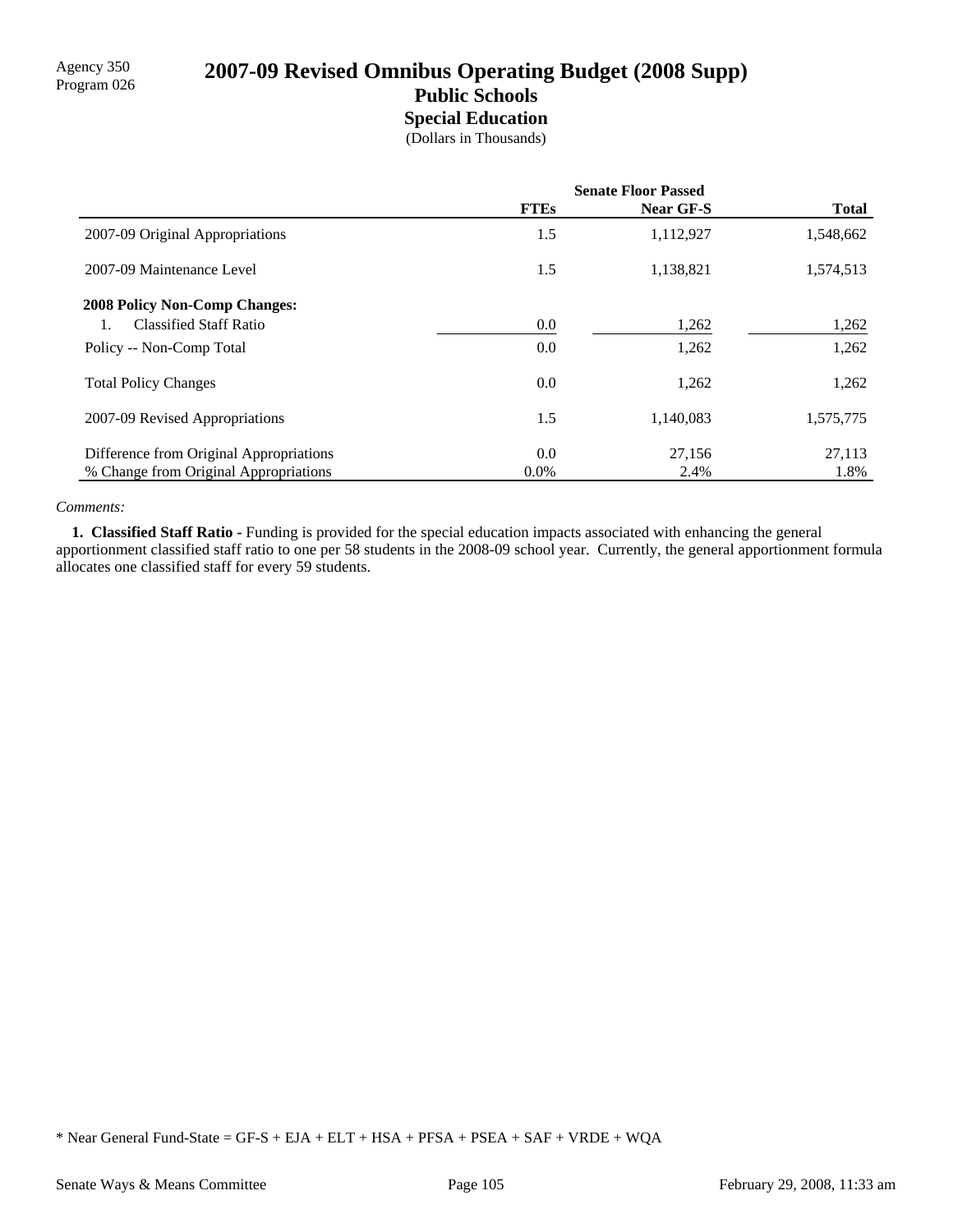# Agency 350<br>Program 026 **2007-09 Revised Omnibus Operating Budget (2008 Supp) Public Schools**

**Special Education**

|  | (Dollars in Thousands) |  |
|--|------------------------|--|
|  |                        |  |

|                                         | <b>Senate Floor Passed</b> |                  |              |
|-----------------------------------------|----------------------------|------------------|--------------|
|                                         | <b>FTEs</b>                | <b>Near GF-S</b> | <b>Total</b> |
| 2007-09 Original Appropriations         | 1.5                        | 1,112,927        | 1,548,662    |
| 2007-09 Maintenance Level               | 1.5                        | 1,138,821        | 1,574,513    |
| <b>2008 Policy Non-Comp Changes:</b>    |                            |                  |              |
| <b>Classified Staff Ratio</b>           | $0.0\,$                    | 1,262            | 1,262        |
| Policy -- Non-Comp Total                | 0.0                        | 1,262            | 1,262        |
| <b>Total Policy Changes</b>             | 0.0                        | 1,262            | 1,262        |
| 2007-09 Revised Appropriations          | 1.5                        | 1,140,083        | 1,575,775    |
| Difference from Original Appropriations | 0.0                        | 27,156           | 27,113       |
| % Change from Original Appropriations   | $0.0\%$                    | 2.4%             | 1.8%         |

### *Comments:*

 **1. Classified Staff Ratio -** Funding is provided for the special education impacts associated with enhancing the general apportionment classified staff ratio to one per 58 students in the 2008-09 school year. Currently, the general apportionment formula allocates one classified staff for every 59 students.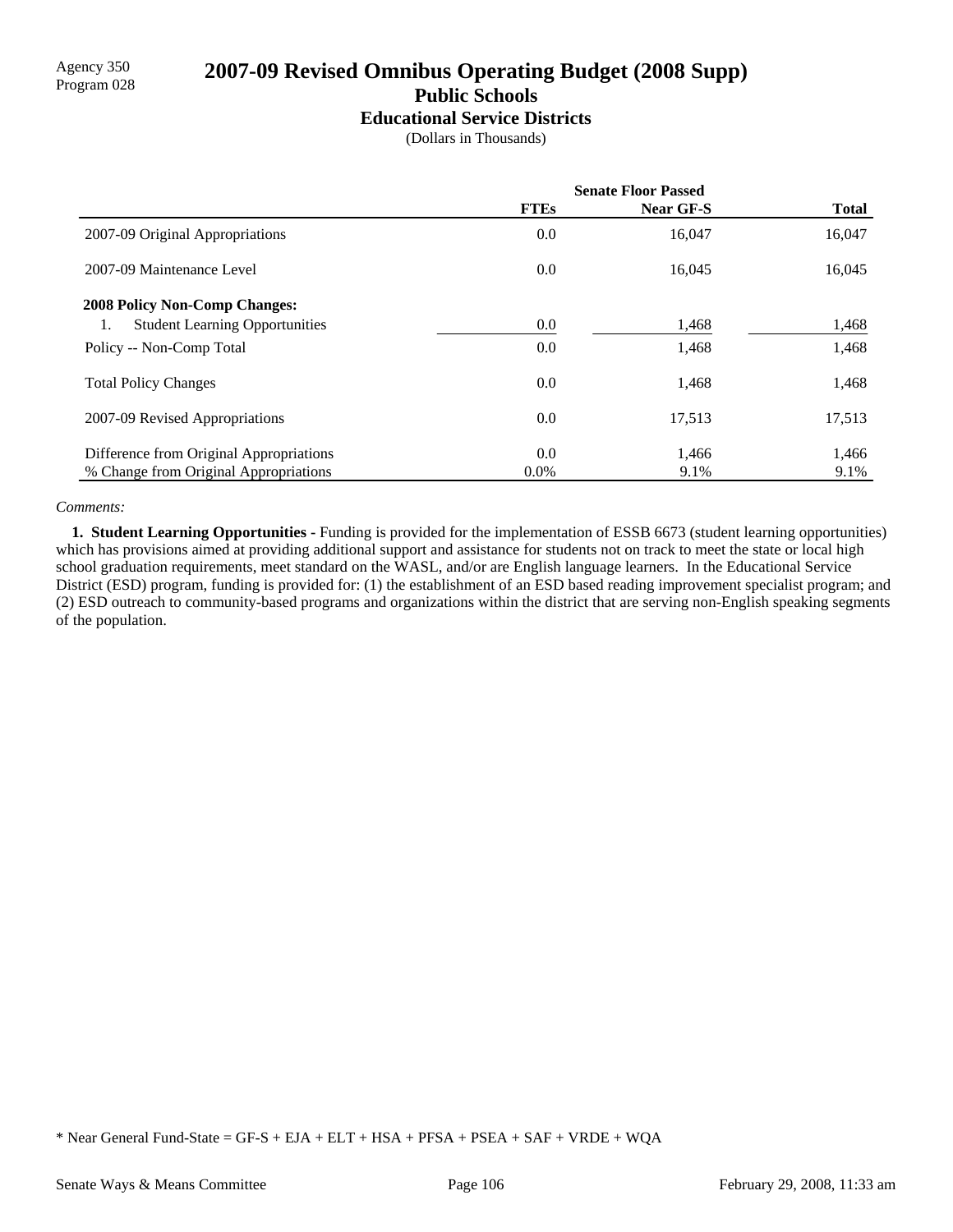# Agency 350<br>Program 028 **2007-09 Revised Omnibus Operating Budget (2008 Supp) Public Schools**

**Educational Service Districts**

(Dollars in Thousands)

|                                             | <b>Senate Floor Passed</b> |                  |              |
|---------------------------------------------|----------------------------|------------------|--------------|
|                                             | <b>FTEs</b>                | <b>Near GF-S</b> | <b>Total</b> |
| 2007-09 Original Appropriations             | 0.0                        | 16,047           | 16,047       |
| 2007-09 Maintenance Level                   | 0.0                        | 16,045           | 16,045       |
| <b>2008 Policy Non-Comp Changes:</b>        |                            |                  |              |
| <b>Student Learning Opportunities</b><br>1. | 0.0                        | 1,468            | 1,468        |
| Policy -- Non-Comp Total                    | 0.0                        | 1,468            | 1,468        |
| <b>Total Policy Changes</b>                 | 0.0                        | 1,468            | 1,468        |
| 2007-09 Revised Appropriations              | 0.0                        | 17,513           | 17,513       |
| Difference from Original Appropriations     | 0.0                        | 1,466            | 1,466        |
| % Change from Original Appropriations       | $0.0\%$                    | 9.1%             | 9.1%         |

### *Comments:*

 **1. Student Learning Opportunities -** Funding is provided for the implementation of ESSB 6673 (student learning opportunities) which has provisions aimed at providing additional support and assistance for students not on track to meet the state or local high school graduation requirements, meet standard on the WASL, and/or are English language learners. In the Educational Service District (ESD) program, funding is provided for: (1) the establishment of an ESD based reading improvement specialist program; and (2) ESD outreach to community-based programs and organizations within the district that are serving non-English speaking segments of the population.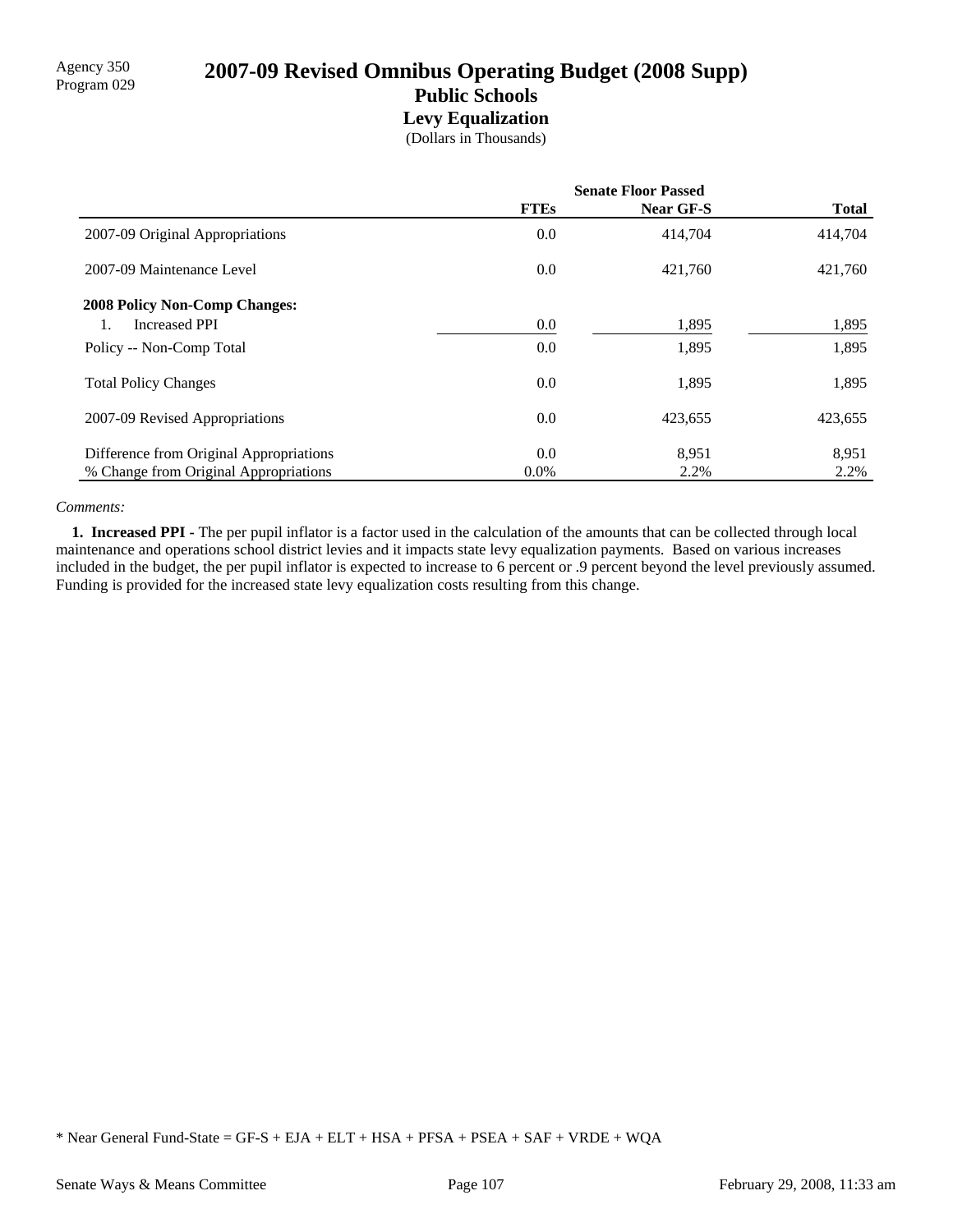# 2007-09 Revised Omnibus Operating Budget (2008 Supp) **Public Schools Levy Equalization**

(Dollars in Thousands)

|                                         | <b>Senate Floor Passed</b> |                  |              |
|-----------------------------------------|----------------------------|------------------|--------------|
|                                         | <b>FTEs</b>                | <b>Near GF-S</b> | <b>Total</b> |
| 2007-09 Original Appropriations         | 0.0                        | 414,704          | 414,704      |
| 2007-09 Maintenance Level               | 0.0                        | 421,760          | 421,760      |
| <b>2008 Policy Non-Comp Changes:</b>    |                            |                  |              |
| <b>Increased PPI</b>                    | 0.0                        | 1,895            | 1,895        |
| Policy -- Non-Comp Total                | 0.0                        | 1,895            | 1,895        |
| <b>Total Policy Changes</b>             | 0.0                        | 1,895            | 1,895        |
| 2007-09 Revised Appropriations          | 0.0                        | 423,655          | 423,655      |
| Difference from Original Appropriations | 0.0                        | 8,951            | 8,951        |
| % Change from Original Appropriations   | $0.0\%$                    | 2.2%             | 2.2%         |

### *Comments:*

 **1. Increased PPI -** The per pupil inflator is a factor used in the calculation of the amounts that can be collected through local maintenance and operations school district levies and it impacts state levy equalization payments. Based on various increases included in the budget, the per pupil inflator is expected to increase to 6 percent or .9 percent beyond the level previously assumed. Funding is provided for the increased state levy equalization costs resulting from this change.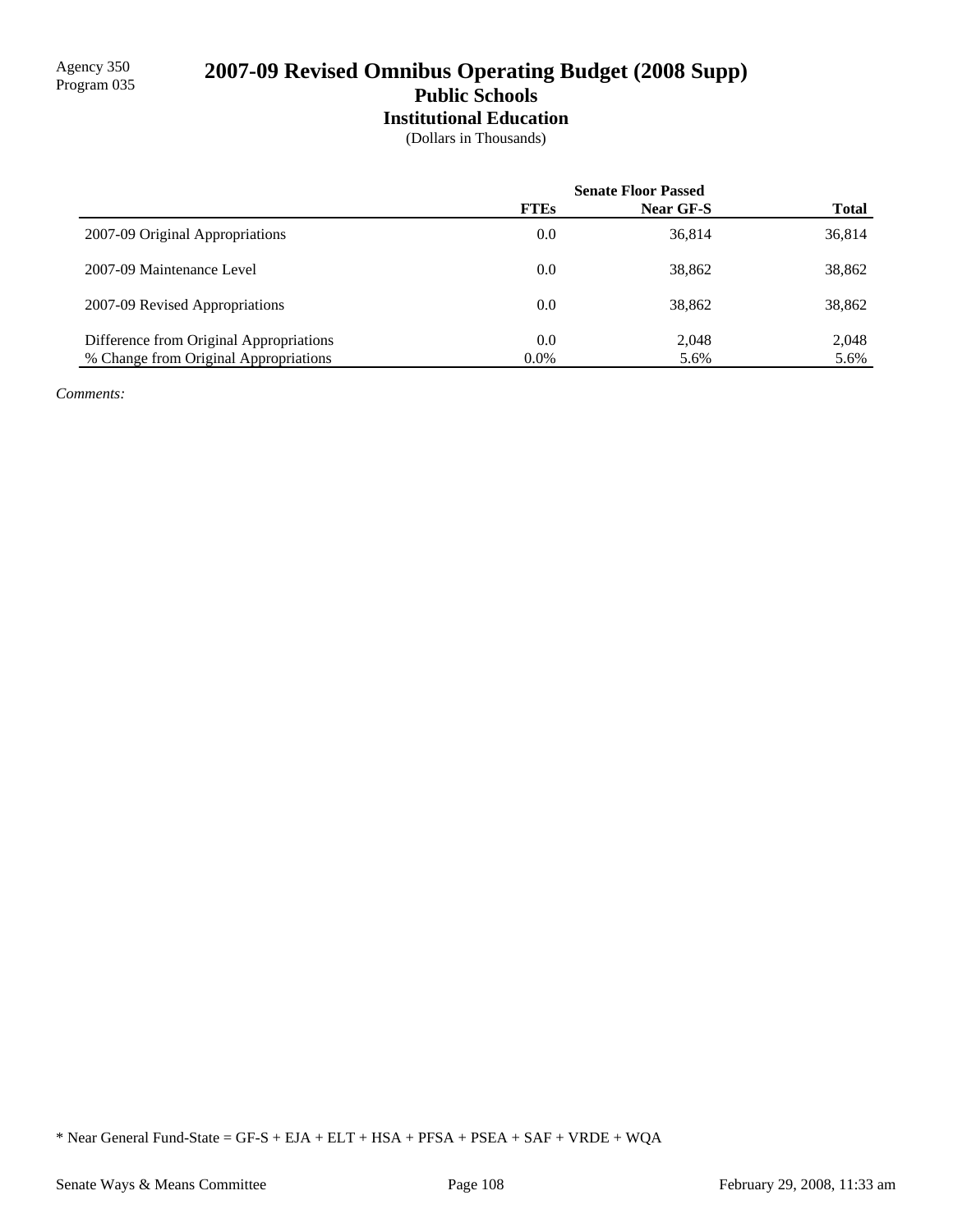**Institutional Education**

(Dollars in Thousands)

|                                         | <b>Senate Floor Passed</b> |           |              |
|-----------------------------------------|----------------------------|-----------|--------------|
|                                         | <b>FTEs</b>                | Near GF-S | <b>Total</b> |
| 2007-09 Original Appropriations         | 0.0                        | 36,814    | 36,814       |
| 2007-09 Maintenance Level               | 0.0                        | 38,862    | 38,862       |
| 2007-09 Revised Appropriations          | 0.0                        | 38,862    | 38,862       |
| Difference from Original Appropriations | 0.0                        | 2,048     | 2,048        |
| % Change from Original Appropriations   | $0.0\%$                    | 5.6%      | 5.6%         |

*Comments:*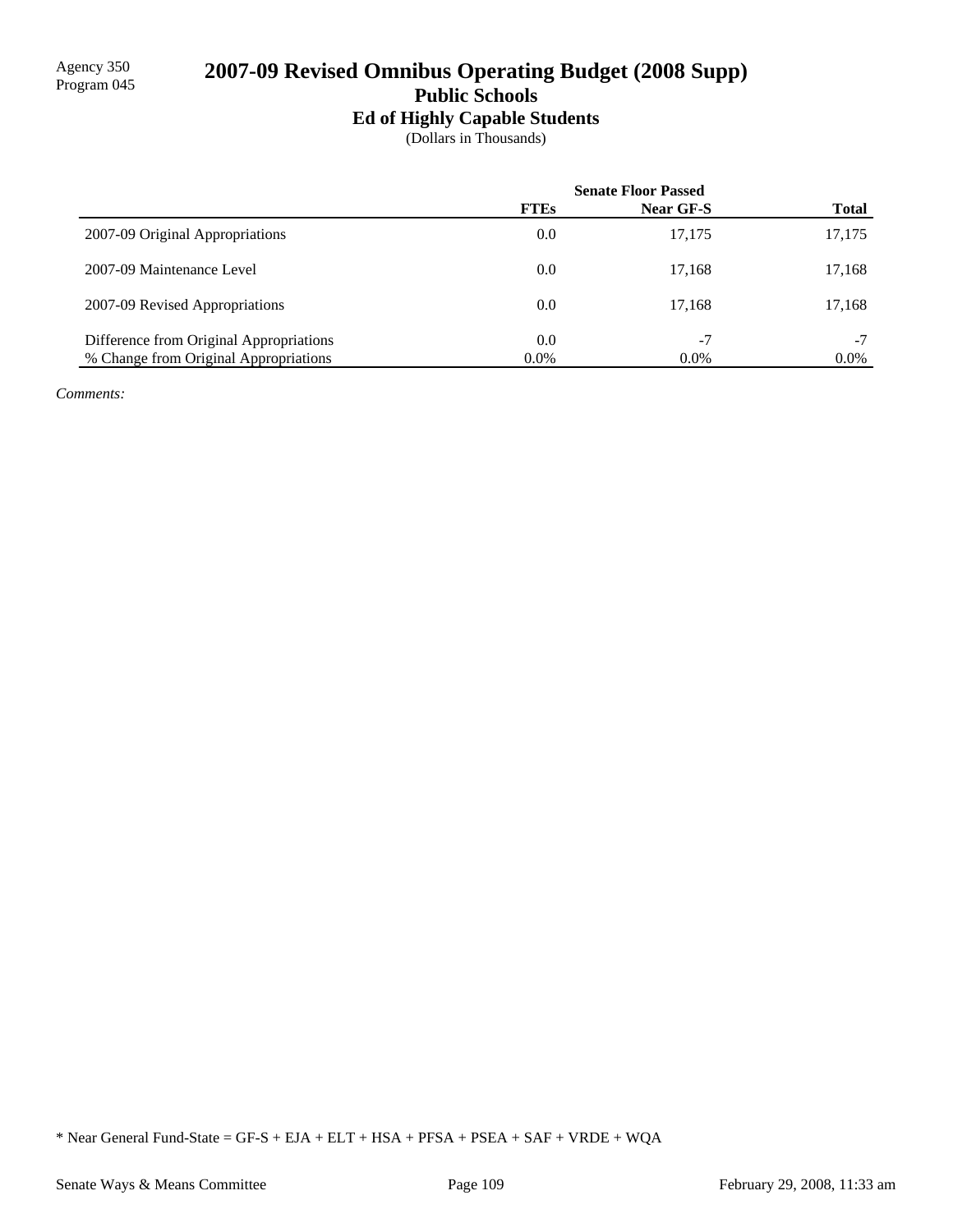## **Ed of Highly Capable Students**

(Dollars in Thousands)

|                                         | <b>Senate Floor Passed</b> |           |              |
|-----------------------------------------|----------------------------|-----------|--------------|
|                                         | <b>FTEs</b>                | Near GF-S | <b>Total</b> |
| 2007-09 Original Appropriations         | 0.0                        | 17,175    | 17,175       |
| 2007-09 Maintenance Level               | 0.0                        | 17.168    | 17,168       |
| 2007-09 Revised Appropriations          | 0.0                        | 17.168    | 17,168       |
| Difference from Original Appropriations | 0.0                        | $-7$      | $-7$         |
| % Change from Original Appropriations   | $0.0\%$                    | $0.0\%$   | $0.0\%$      |

*Comments:*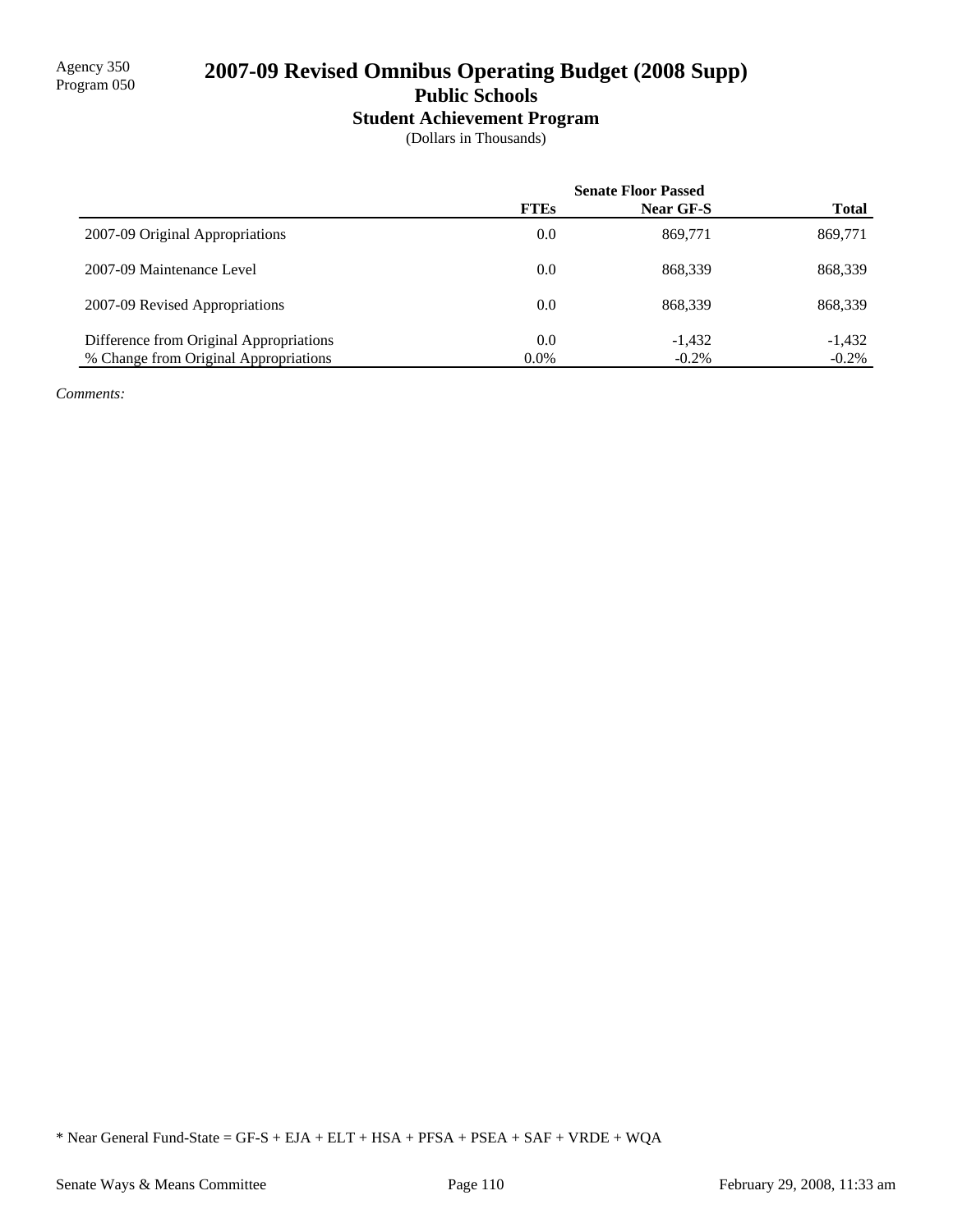# **Student Achievement Program**

(Dollars in Thousands)

|                                         | <b>Senate Floor Passed</b> |                  |              |
|-----------------------------------------|----------------------------|------------------|--------------|
|                                         | <b>FTEs</b>                | <b>Near GF-S</b> | <b>Total</b> |
| 2007-09 Original Appropriations         | 0.0                        | 869,771          | 869,771      |
| 2007-09 Maintenance Level               | 0.0                        | 868.339          | 868,339      |
| 2007-09 Revised Appropriations          | 0.0                        | 868.339          | 868,339      |
| Difference from Original Appropriations | 0.0                        | $-1.432$         | $-1,432$     |
| % Change from Original Appropriations   | $0.0\%$                    | $-0.2\%$         | $-0.2\%$     |

*Comments:*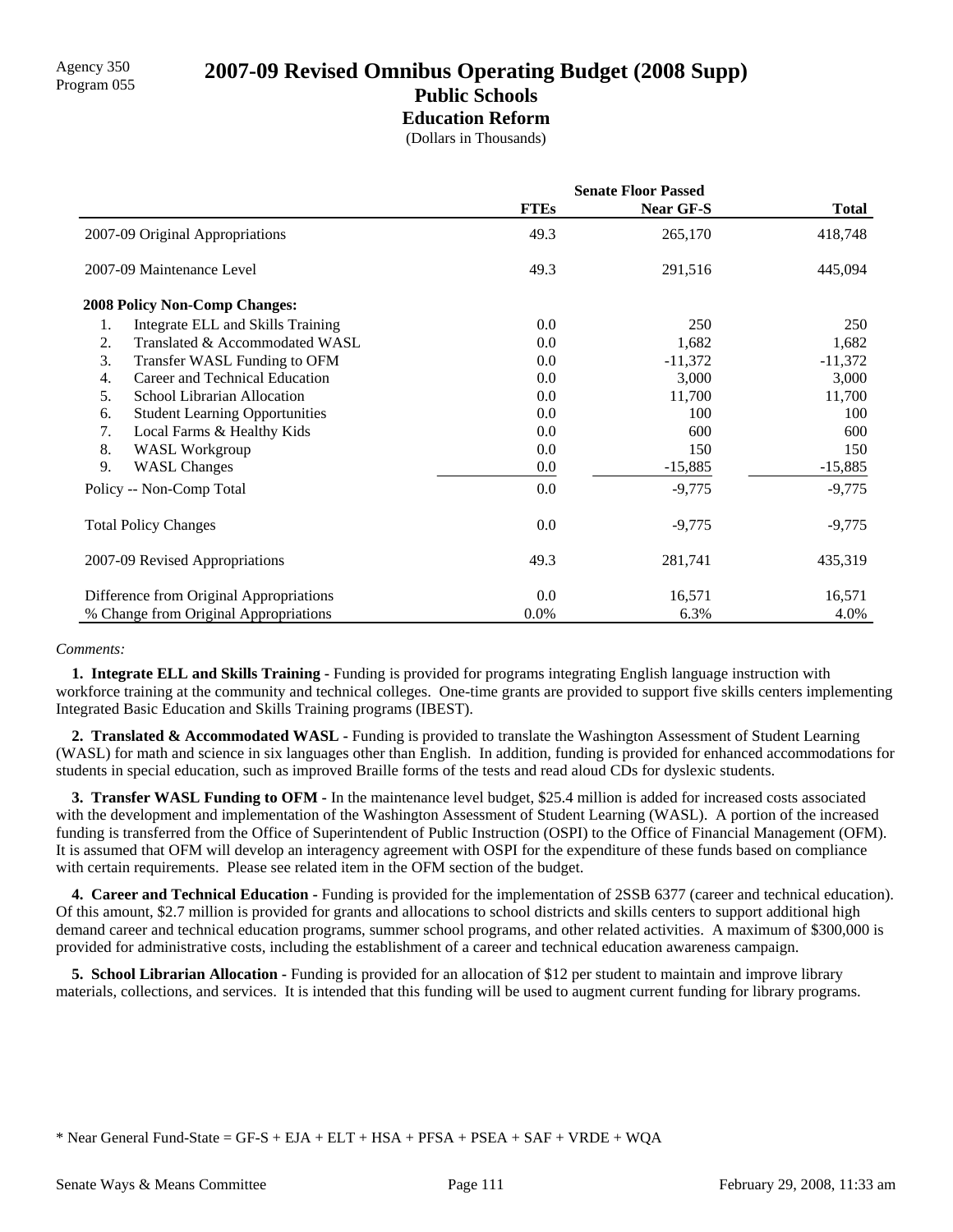# Agency 350 **2007-09 Revised Omnibus Operating Budget (2008 Supp)** Program 055 **Public Schools Education Reform**

(Dollars in Thousands)

|                                             | <b>Senate Floor Passed</b> |                  |              |
|---------------------------------------------|----------------------------|------------------|--------------|
|                                             | <b>FTEs</b>                | <b>Near GF-S</b> | <b>Total</b> |
| 2007-09 Original Appropriations             | 49.3                       | 265,170          | 418,748      |
| 2007-09 Maintenance Level                   | 49.3                       | 291,516          | 445,094      |
| <b>2008 Policy Non-Comp Changes:</b>        |                            |                  |              |
| Integrate ELL and Skills Training<br>1.     | 0.0                        | 250              | 250          |
| Translated & Accommodated WASL<br>2.        | 0.0                        | 1,682            | 1,682        |
| 3.<br>Transfer WASL Funding to OFM          | 0.0                        | $-11,372$        | $-11,372$    |
| Career and Technical Education<br>4.        | 0.0                        | 3,000            | 3,000        |
| School Librarian Allocation<br>5.           | 0.0                        | 11,700           | 11,700       |
| <b>Student Learning Opportunities</b><br>6. | 0.0                        | 100              | 100          |
| Local Farms & Healthy Kids<br>7.            | 0.0                        | 600              | 600          |
| 8.<br><b>WASL Workgroup</b>                 | 0.0                        | 150              | 150          |
| 9.<br><b>WASL Changes</b>                   | 0.0                        | $-15,885$        | $-15,885$    |
| Policy -- Non-Comp Total                    | 0.0                        | $-9,775$         | $-9,775$     |
| <b>Total Policy Changes</b>                 | 0.0                        | $-9,775$         | $-9,775$     |
| 2007-09 Revised Appropriations              | 49.3                       | 281,741          | 435,319      |
| Difference from Original Appropriations     | 0.0                        | 16,571           | 16,571       |
| % Change from Original Appropriations       | $0.0\%$                    | 6.3%             | 4.0%         |

### *Comments:*

 **1. Integrate ELL and Skills Training -** Funding is provided for programs integrating English language instruction with workforce training at the community and technical colleges. One-time grants are provided to support five skills centers implementing Integrated Basic Education and Skills Training programs (IBEST).

 **2. Translated & Accommodated WASL -** Funding is provided to translate the Washington Assessment of Student Learning (WASL) for math and science in six languages other than English. In addition, funding is provided for enhanced accommodations for students in special education, such as improved Braille forms of the tests and read aloud CDs for dyslexic students.

**3. Transfer WASL Funding to OFM -** In the maintenance level budget, \$25.4 million is added for increased costs associated with the development and implementation of the Washington Assessment of Student Learning (WASL). A portion of the increased funding is transferred from the Office of Superintendent of Public Instruction (OSPI) to the Office of Financial Management (OFM). It is assumed that OFM will develop an interagency agreement with OSPI for the expenditure of these funds based on compliance with certain requirements. Please see related item in the OFM section of the budget.

 **4. Career and Technical Education -** Funding is provided for the implementation of 2SSB 6377 (career and technical education). Of this amount, \$2.7 million is provided for grants and allocations to school districts and skills centers to support additional high demand career and technical education programs, summer school programs, and other related activities. A maximum of \$300,000 is provided for administrative costs, including the establishment of a career and technical education awareness campaign.

**5. School Librarian Allocation -** Funding is provided for an allocation of \$12 per student to maintain and improve library materials, collections, and services. It is intended that this funding will be used to augment current funding for library programs.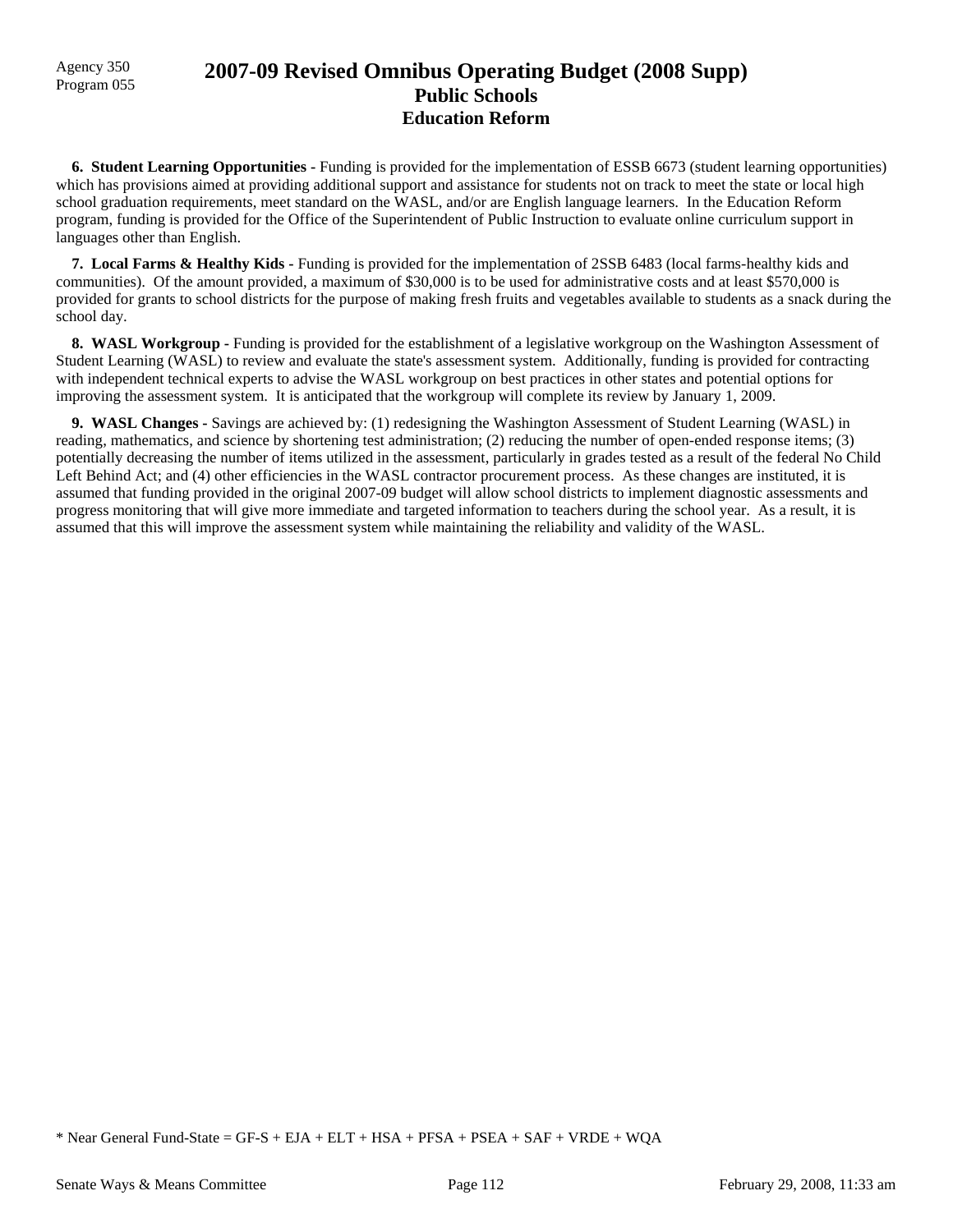## Agency 350 **2007-09 Revised Omnibus Operating Budget (2008 Supp)** Program 055 **Public Schools Education Reform**

 **6. Student Learning Opportunities -** Funding is provided for the implementation of ESSB 6673 (student learning opportunities) which has provisions aimed at providing additional support and assistance for students not on track to meet the state or local high school graduation requirements, meet standard on the WASL, and/or are English language learners. In the Education Reform program, funding is provided for the Office of the Superintendent of Public Instruction to evaluate online curriculum support in languages other than English.

 **7. Local Farms & Healthy Kids -** Funding is provided for the implementation of 2SSB 6483 (local farms-healthy kids and communities). Of the amount provided, a maximum of \$30,000 is to be used for administrative costs and at least \$570,000 is provided for grants to school districts for the purpose of making fresh fruits and vegetables available to students as a snack during the school day.

**8. WASL Workgroup - Funding is provided for the establishment of a legislative workgroup on the Washington Assessment of** Student Learning (WASL) to review and evaluate the state's assessment system. Additionally, funding is provided for contracting with independent technical experts to advise the WASL workgroup on best practices in other states and potential options for improving the assessment system. It is anticipated that the workgroup will complete its review by January 1, 2009.

 **9. WASL Changes -** Savings are achieved by: (1) redesigning the Washington Assessment of Student Learning (WASL) in reading, mathematics, and science by shortening test administration; (2) reducing the number of open-ended response items; (3) potentially decreasing the number of items utilized in the assessment, particularly in grades tested as a result of the federal No Child Left Behind Act; and (4) other efficiencies in the WASL contractor procurement process. As these changes are instituted, it is assumed that funding provided in the original 2007-09 budget will allow school districts to implement diagnostic assessments and progress monitoring that will give more immediate and targeted information to teachers during the school year. As a result, it is assumed that this will improve the assessment system while maintaining the reliability and validity of the WASL.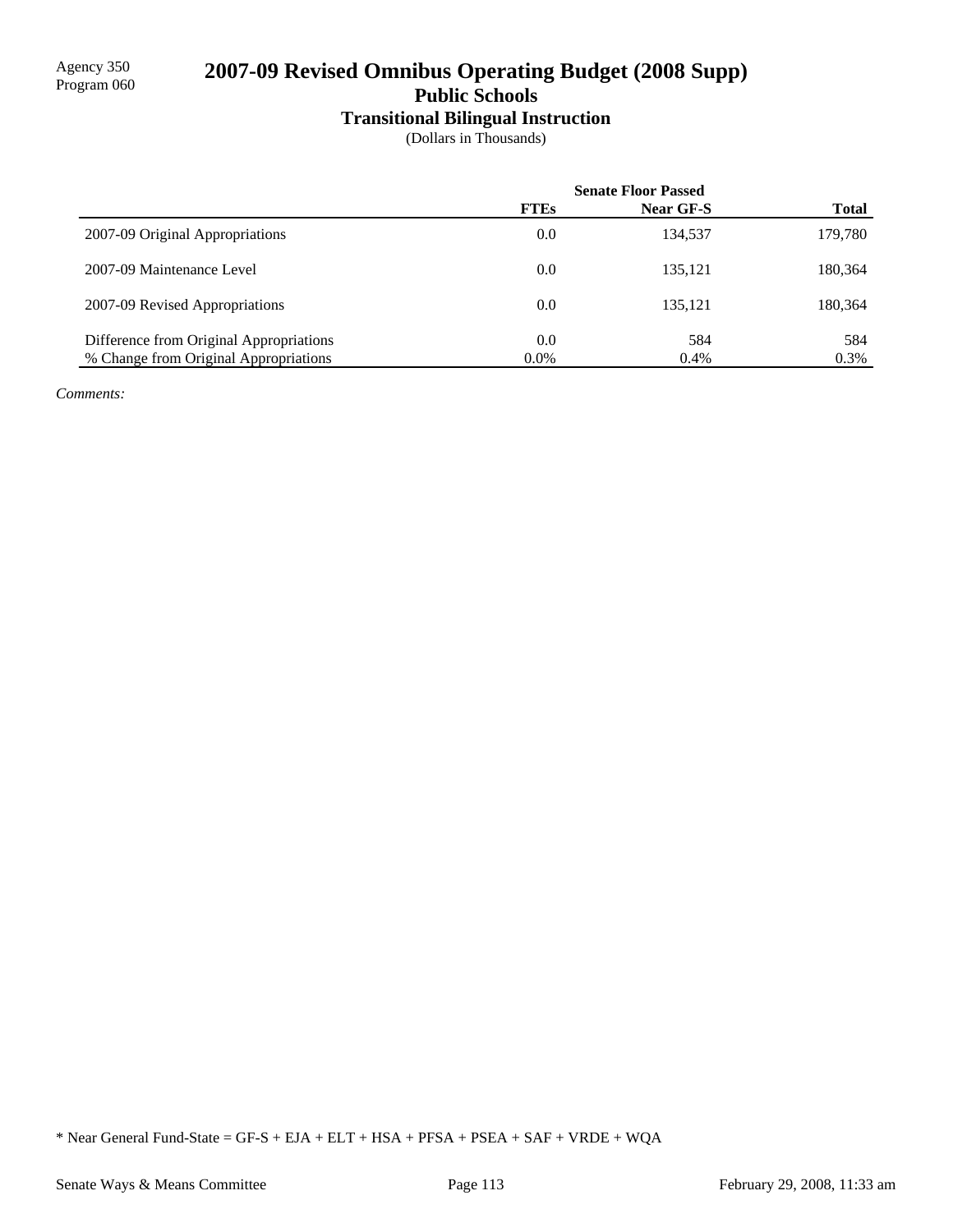# 2007-09 Revised Omnibus Operating Budget (2008 Supp)

**Public Schools**

# **Transitional Bilingual Instruction**

(Dollars in Thousands)

|                                         | <b>Senate Floor Passed</b> |                  |              |
|-----------------------------------------|----------------------------|------------------|--------------|
|                                         | <b>FTEs</b>                | <b>Near GF-S</b> | <b>Total</b> |
| 2007-09 Original Appropriations         | 0.0                        | 134.537          | 179,780      |
| 2007-09 Maintenance Level               | 0.0                        | 135.121          | 180,364      |
| 2007-09 Revised Appropriations          | 0.0                        | 135.121          | 180,364      |
| Difference from Original Appropriations | 0.0                        | 584              | 584          |
| % Change from Original Appropriations   | $0.0\%$                    | 0.4%             | 0.3%         |

*Comments:*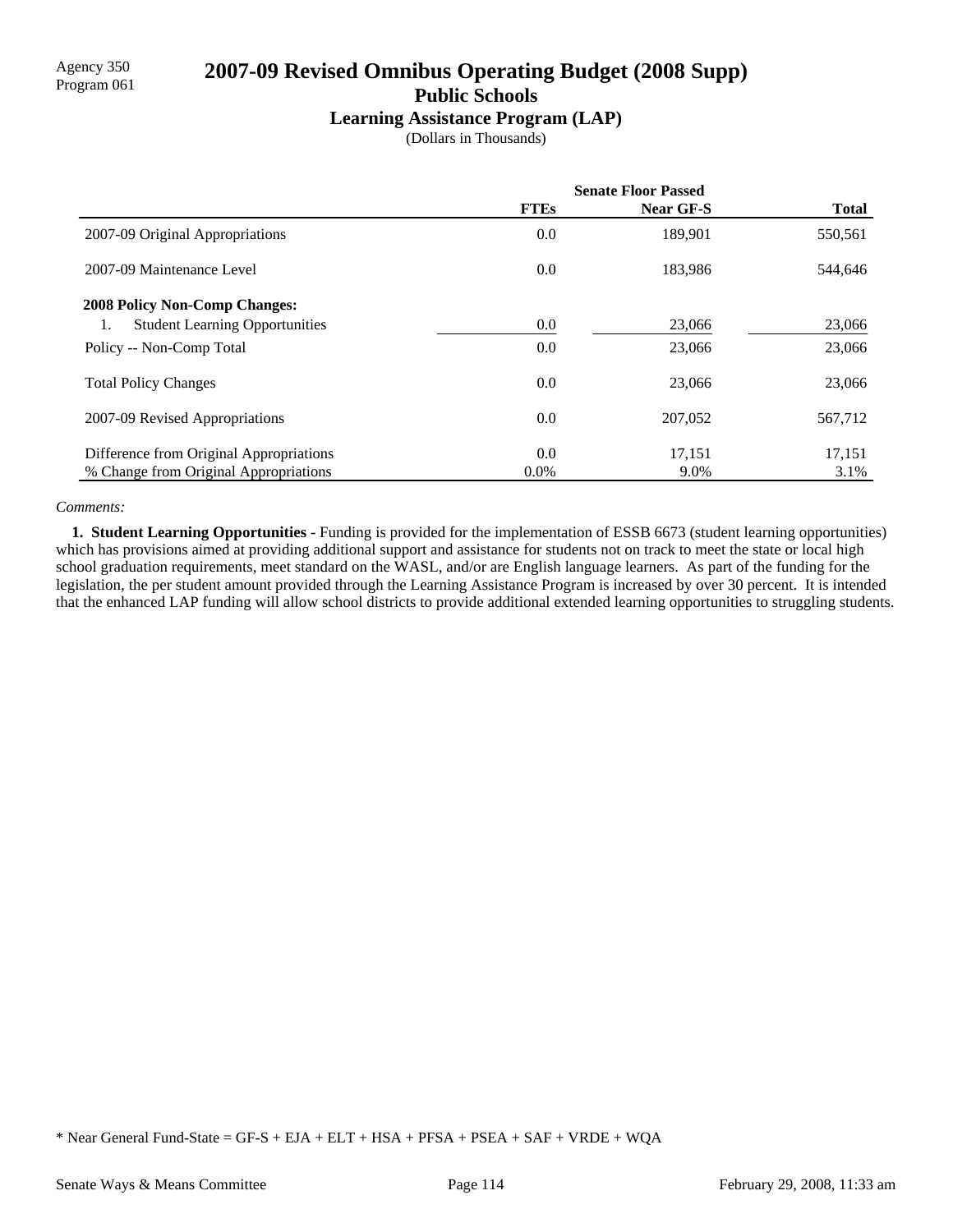# Agency 350 **2007-09 Revised Omnibus Operating Budget (2008 Supp)** Program 061 **Public Schools**

### **Learning Assistance Program (LAP)**

(Dollars in Thousands)

|                                             | <b>Senate Floor Passed</b> |           |              |
|---------------------------------------------|----------------------------|-----------|--------------|
|                                             | <b>FTEs</b>                | Near GF-S | <b>Total</b> |
| 2007-09 Original Appropriations             | 0.0                        | 189,901   | 550,561      |
| 2007-09 Maintenance Level                   | 0.0                        | 183,986   | 544,646      |
| <b>2008 Policy Non-Comp Changes:</b>        |                            |           |              |
| <b>Student Learning Opportunities</b><br>1. | 0.0                        | 23,066    | 23,066       |
| Policy -- Non-Comp Total                    | 0.0                        | 23,066    | 23,066       |
| <b>Total Policy Changes</b>                 | 0.0                        | 23,066    | 23,066       |
| 2007-09 Revised Appropriations              | 0.0                        | 207.052   | 567,712      |
| Difference from Original Appropriations     | 0.0                        | 17,151    | 17,151       |
| % Change from Original Appropriations       | $0.0\%$                    | 9.0%      | 3.1%         |

### *Comments:*

 **1. Student Learning Opportunities -** Funding is provided for the implementation of ESSB 6673 (student learning opportunities) which has provisions aimed at providing additional support and assistance for students not on track to meet the state or local high school graduation requirements, meet standard on the WASL, and/or are English language learners. As part of the funding for the legislation, the per student amount provided through the Learning Assistance Program is increased by over 30 percent. It is intended that the enhanced LAP funding will allow school districts to provide additional extended learning opportunities to struggling students.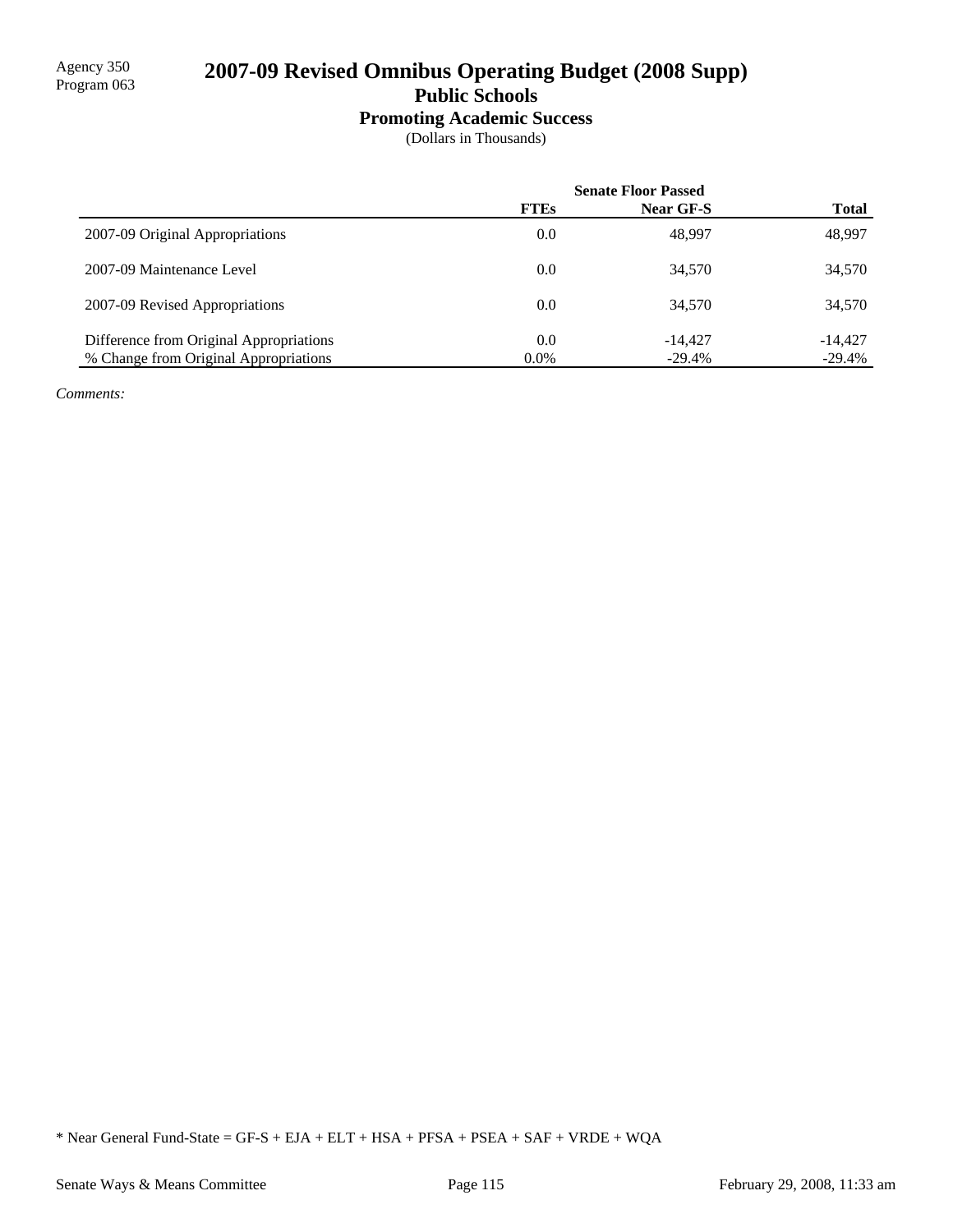# 2007-09 Revised Omnibus Operating Budget (2008 Supp)

**Public Schools**

## **Promoting Academic Success**

(Dollars in Thousands)

|                                         | <b>Senate Floor Passed</b> |           |              |
|-----------------------------------------|----------------------------|-----------|--------------|
|                                         | <b>FTEs</b>                | Near GF-S | <b>Total</b> |
| 2007-09 Original Appropriations         | 0.0                        | 48,997    | 48,997       |
| 2007-09 Maintenance Level               | 0.0                        | 34,570    | 34,570       |
| 2007-09 Revised Appropriations          | 0.0                        | 34,570    | 34,570       |
| Difference from Original Appropriations | 0.0                        | $-14.427$ | $-14.427$    |
| % Change from Original Appropriations   | $0.0\%$                    | $-29.4%$  | $-29.4%$     |

*Comments:*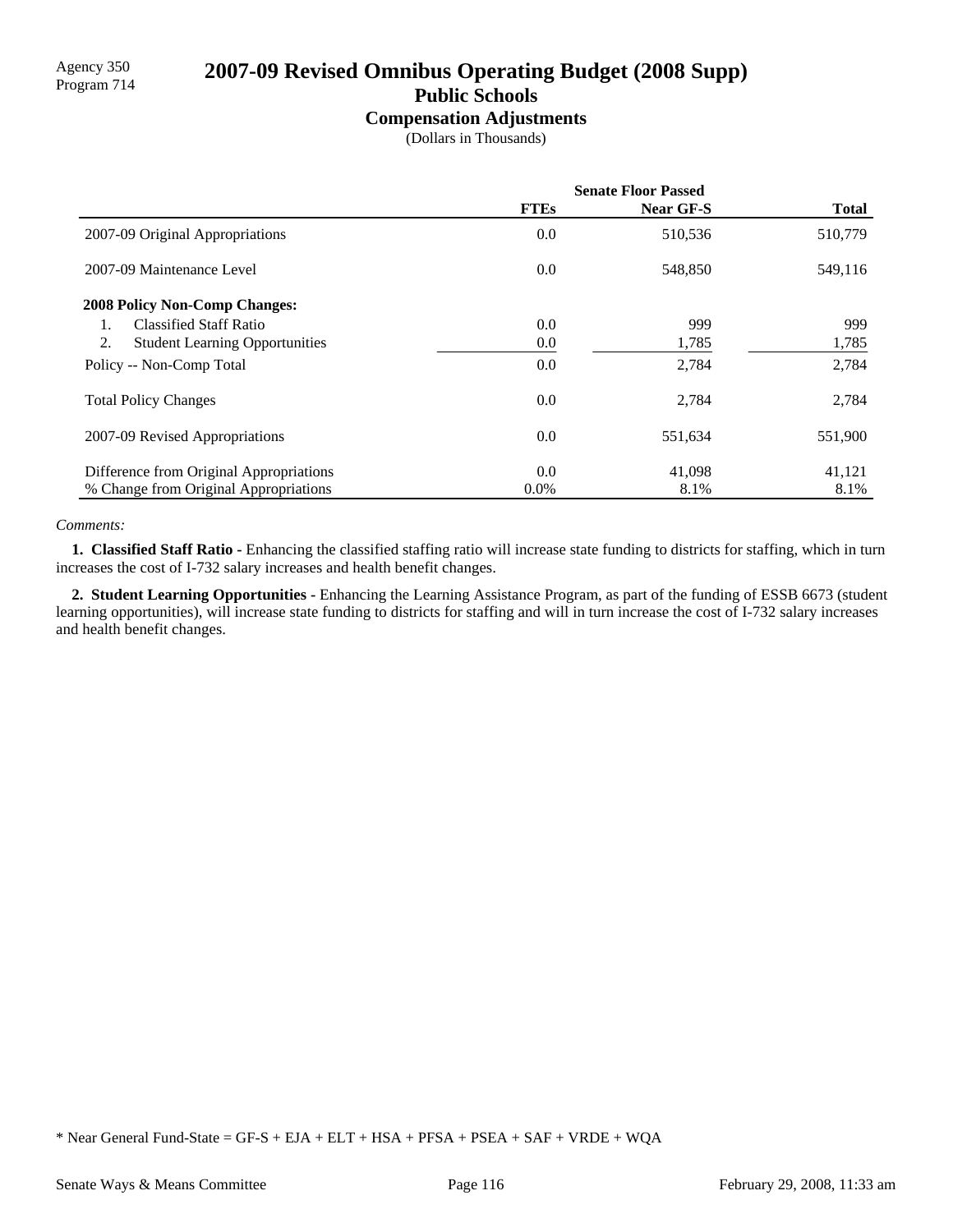# Agency 350<br>Program 714 **2007-09 Revised Omnibus Operating Budget (2008 Supp)**

# **Public Schools**

**Compensation Adjustments**

(Dollars in Thousands)

|                                             | <b>Senate Floor Passed</b> |                  |              |
|---------------------------------------------|----------------------------|------------------|--------------|
|                                             | <b>FTEs</b>                | <b>Near GF-S</b> | <b>Total</b> |
| 2007-09 Original Appropriations             | 0.0                        | 510,536          | 510,779      |
| 2007-09 Maintenance Level                   | 0.0                        | 548,850          | 549,116      |
| <b>2008 Policy Non-Comp Changes:</b>        |                            |                  |              |
| <b>Classified Staff Ratio</b><br>1.         | 0.0                        | 999              | 999          |
| 2.<br><b>Student Learning Opportunities</b> | 0.0                        | 1,785            | 1,785        |
| Policy -- Non-Comp Total                    | 0.0                        | 2,784            | 2,784        |
| <b>Total Policy Changes</b>                 | 0.0                        | 2,784            | 2,784        |
| 2007-09 Revised Appropriations              | 0.0                        | 551,634          | 551,900      |
| Difference from Original Appropriations     | 0.0                        | 41,098           | 41,121       |
| % Change from Original Appropriations       | 0.0%                       | 8.1%             | 8.1%         |

#### *Comments:*

 **1. Classified Staff Ratio -** Enhancing the classified staffing ratio will increase state funding to districts for staffing, which in turn increases the cost of I-732 salary increases and health benefit changes.

 **2. Student Learning Opportunities -** Enhancing the Learning Assistance Program, as part of the funding of ESSB 6673 (student learning opportunities), will increase state funding to districts for staffing and will in turn increase the cost of I-732 salary increases and health benefit changes.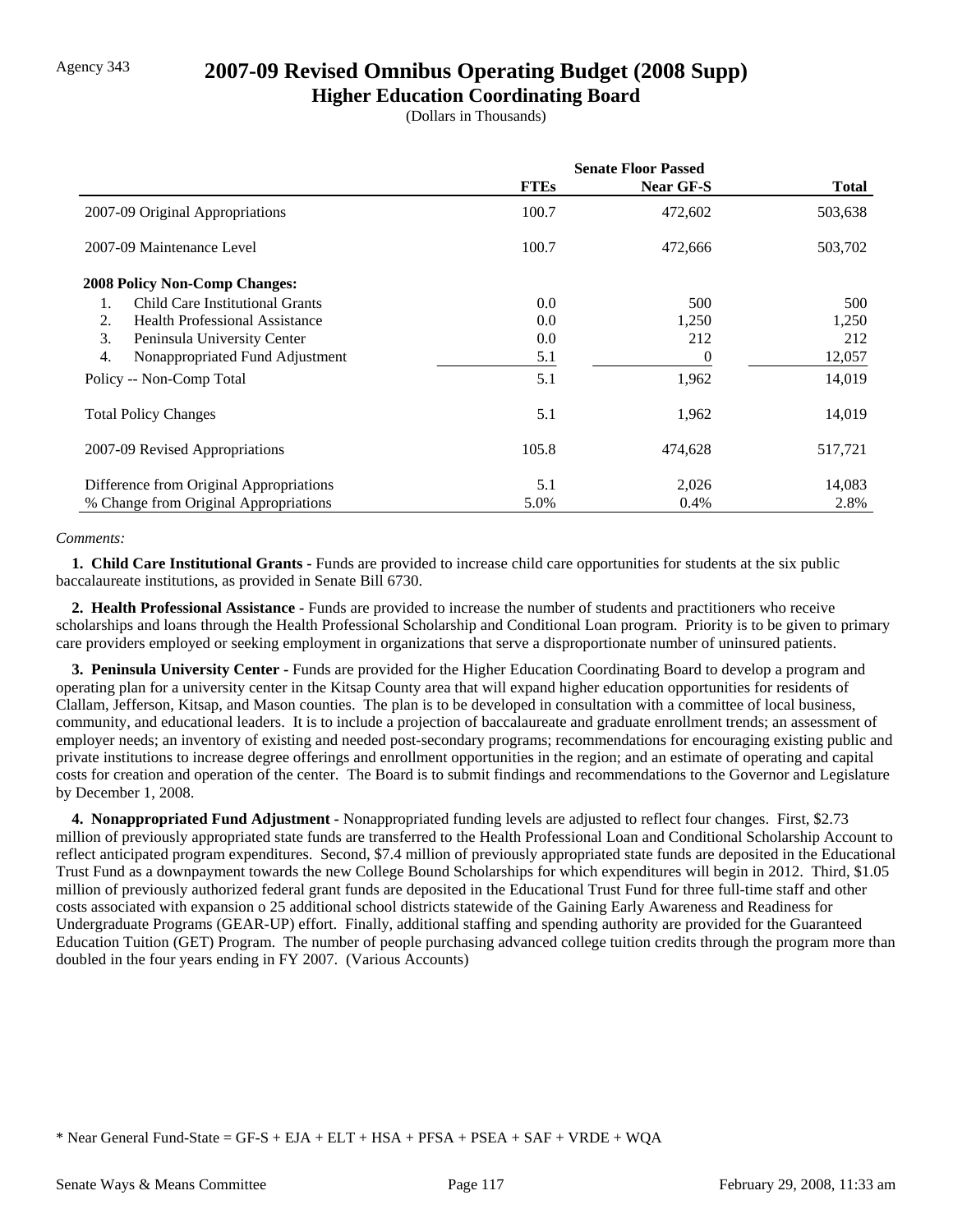# Agency 343 **2007-09 Revised Omnibus Operating Budget (2008 Supp)**

**Higher Education Coordinating Board**

(Dollars in Thousands)

|                                              | <b>Senate Floor Passed</b> |           |              |
|----------------------------------------------|----------------------------|-----------|--------------|
|                                              | <b>FTEs</b>                | Near GF-S | <b>Total</b> |
| 2007-09 Original Appropriations              | 100.7                      | 472,602   | 503,638      |
| 2007-09 Maintenance Level                    | 100.7                      | 472,666   | 503,702      |
| <b>2008 Policy Non-Comp Changes:</b>         |                            |           |              |
| <b>Child Care Institutional Grants</b><br>1. | 0.0                        | 500       | 500          |
| 2.<br><b>Health Professional Assistance</b>  | 0.0                        | 1,250     | 1,250        |
| 3.<br>Peninsula University Center            | 0.0                        | 212       | 212          |
| 4.<br>Nonappropriated Fund Adjustment        | 5.1                        | 0         | 12,057       |
| Policy -- Non-Comp Total                     | 5.1                        | 1,962     | 14,019       |
| <b>Total Policy Changes</b>                  | 5.1                        | 1,962     | 14,019       |
| 2007-09 Revised Appropriations               | 105.8                      | 474,628   | 517,721      |
| Difference from Original Appropriations      | 5.1                        | 2,026     | 14,083       |
| % Change from Original Appropriations        | 5.0%                       | 0.4%      | 2.8%         |

### *Comments:*

**1. Child Care Institutional Grants - Funds are provided to increase child care opportunities for students at the six public** baccalaureate institutions, as provided in Senate Bill 6730.

 **2. Health Professional Assistance -** Funds are provided to increase the number of students and practitioners who receive scholarships and loans through the Health Professional Scholarship and Conditional Loan program. Priority is to be given to primary care providers employed or seeking employment in organizations that serve a disproportionate number of uninsured patients.

 **3. Peninsula University Center -** Funds are provided for the Higher Education Coordinating Board to develop a program and operating plan for a university center in the Kitsap County area that will expand higher education opportunities for residents of Clallam, Jefferson, Kitsap, and Mason counties. The plan is to be developed in consultation with a committee of local business, community, and educational leaders. It is to include a projection of baccalaureate and graduate enrollment trends; an assessment of employer needs; an inventory of existing and needed post-secondary programs; recommendations for encouraging existing public and private institutions to increase degree offerings and enrollment opportunities in the region; and an estimate of operating and capital costs for creation and operation of the center. The Board is to submit findings and recommendations to the Governor and Legislature by December 1, 2008.

 **4. Nonappropriated Fund Adjustment -** Nonappropriated funding levels are adjusted to reflect four changes. First, \$2.73 million of previously appropriated state funds are transferred to the Health Professional Loan and Conditional Scholarship Account to reflect anticipated program expenditures. Second, \$7.4 million of previously appropriated state funds are deposited in the Educational Trust Fund as a downpayment towards the new College Bound Scholarships for which expenditures will begin in 2012. Third, \$1.05 million of previously authorized federal grant funds are deposited in the Educational Trust Fund for three full-time staff and other costs associated with expansion o 25 additional school districts statewide of the Gaining Early Awareness and Readiness for Undergraduate Programs (GEAR-UP) effort. Finally, additional staffing and spending authority are provided for the Guaranteed Education Tuition (GET) Program. The number of people purchasing advanced college tuition credits through the program more than doubled in the four years ending in FY 2007. (Various Accounts)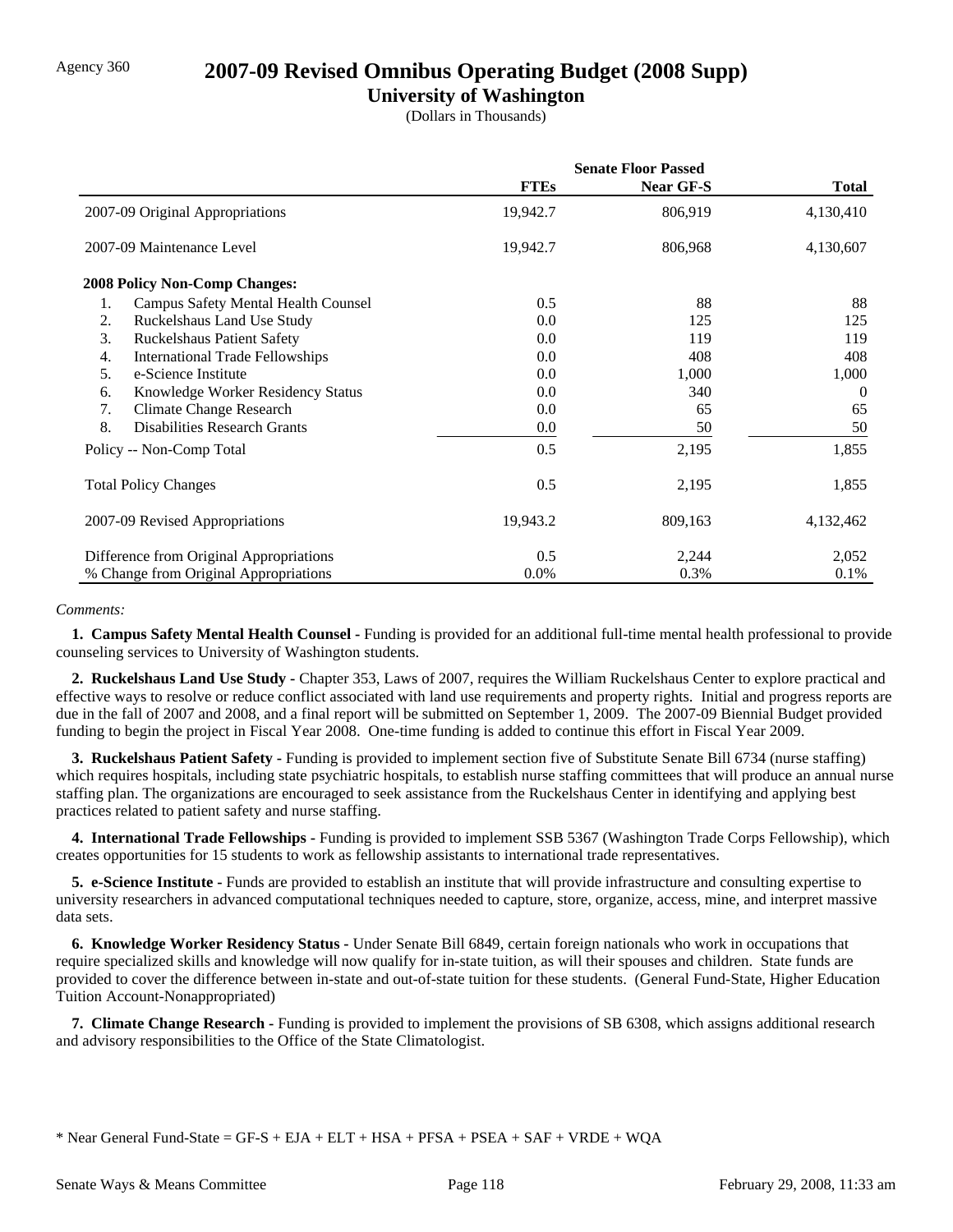## Agency 360 **2007-09 Revised Omnibus Operating Budget (2008 Supp)**

## **University of Washington**

(Dollars in Thousands)

|                                                  | <b>Senate Floor Passed</b> |                  |              |
|--------------------------------------------------|----------------------------|------------------|--------------|
|                                                  | <b>FTEs</b>                | <b>Near GF-S</b> | <b>Total</b> |
| 2007-09 Original Appropriations                  | 19,942.7                   | 806,919          | 4,130,410    |
| 2007-09 Maintenance Level                        | 19,942.7                   | 806,968          | 4,130,607    |
| <b>2008 Policy Non-Comp Changes:</b>             |                            |                  |              |
| 1.<br><b>Campus Safety Mental Health Counsel</b> | 0.5                        | 88               | 88           |
| 2.<br>Ruckelshaus Land Use Study                 | 0.0                        | 125              | 125          |
| 3.<br><b>Ruckelshaus Patient Safety</b>          | 0.0                        | 119              | 119          |
| 4.<br>International Trade Fellowships            | 0.0                        | 408              | 408          |
| e-Science Institute<br>5.                        | 0.0                        | 1,000            | 1,000        |
| Knowledge Worker Residency Status<br>6.          | 0.0                        | 340              | $\Omega$     |
| 7.<br>Climate Change Research                    | 0.0                        | 65               | 65           |
| 8.<br><b>Disabilities Research Grants</b>        | 0.0                        | 50               | 50           |
| Policy -- Non-Comp Total                         | 0.5                        | 2,195            | 1,855        |
| <b>Total Policy Changes</b>                      | 0.5                        | 2,195            | 1,855        |
| 2007-09 Revised Appropriations                   | 19,943.2                   | 809,163          | 4,132,462    |
| Difference from Original Appropriations          | 0.5                        | 2,244            | 2,052        |
| % Change from Original Appropriations            | 0.0%                       | 0.3%             | 0.1%         |

### *Comments:*

 **1. Campus Safety Mental Health Counsel -** Funding is provided for an additional full-time mental health professional to provide counseling services to University of Washington students.

 **2. Ruckelshaus Land Use Study -** Chapter 353, Laws of 2007, requires the William Ruckelshaus Center to explore practical and effective ways to resolve or reduce conflict associated with land use requirements and property rights. Initial and progress reports are due in the fall of 2007 and 2008, and a final report will be submitted on September 1, 2009. The 2007-09 Biennial Budget provided funding to begin the project in Fiscal Year 2008. One-time funding is added to continue this effort in Fiscal Year 2009.

 **3. Ruckelshaus Patient Safety -** Funding is provided to implement section five of Substitute Senate Bill 6734 (nurse staffing) which requires hospitals, including state psychiatric hospitals, to establish nurse staffing committees that will produce an annual nurse staffing plan. The organizations are encouraged to seek assistance from the Ruckelshaus Center in identifying and applying best practices related to patient safety and nurse staffing.

 **4. International Trade Fellowships -** Funding is provided to implement SSB 5367 (Washington Trade Corps Fellowship), which creates opportunities for 15 students to work as fellowship assistants to international trade representatives.

 **5. e-Science Institute -** Funds are provided to establish an institute that will provide infrastructure and consulting expertise to university researchers in advanced computational techniques needed to capture, store, organize, access, mine, and interpret massive data sets.

 **6. Knowledge Worker Residency Status -** Under Senate Bill 6849, certain foreign nationals who work in occupations that require specialized skills and knowledge will now qualify for in-state tuition, as will their spouses and children. State funds are provided to cover the difference between in-state and out-of-state tuition for these students. (General Fund-State, Higher Education Tuition Account-Nonappropriated)

 **7. Climate Change Research -** Funding is provided to implement the provisions of SB 6308, which assigns additional research and advisory responsibilities to the Office of the State Climatologist.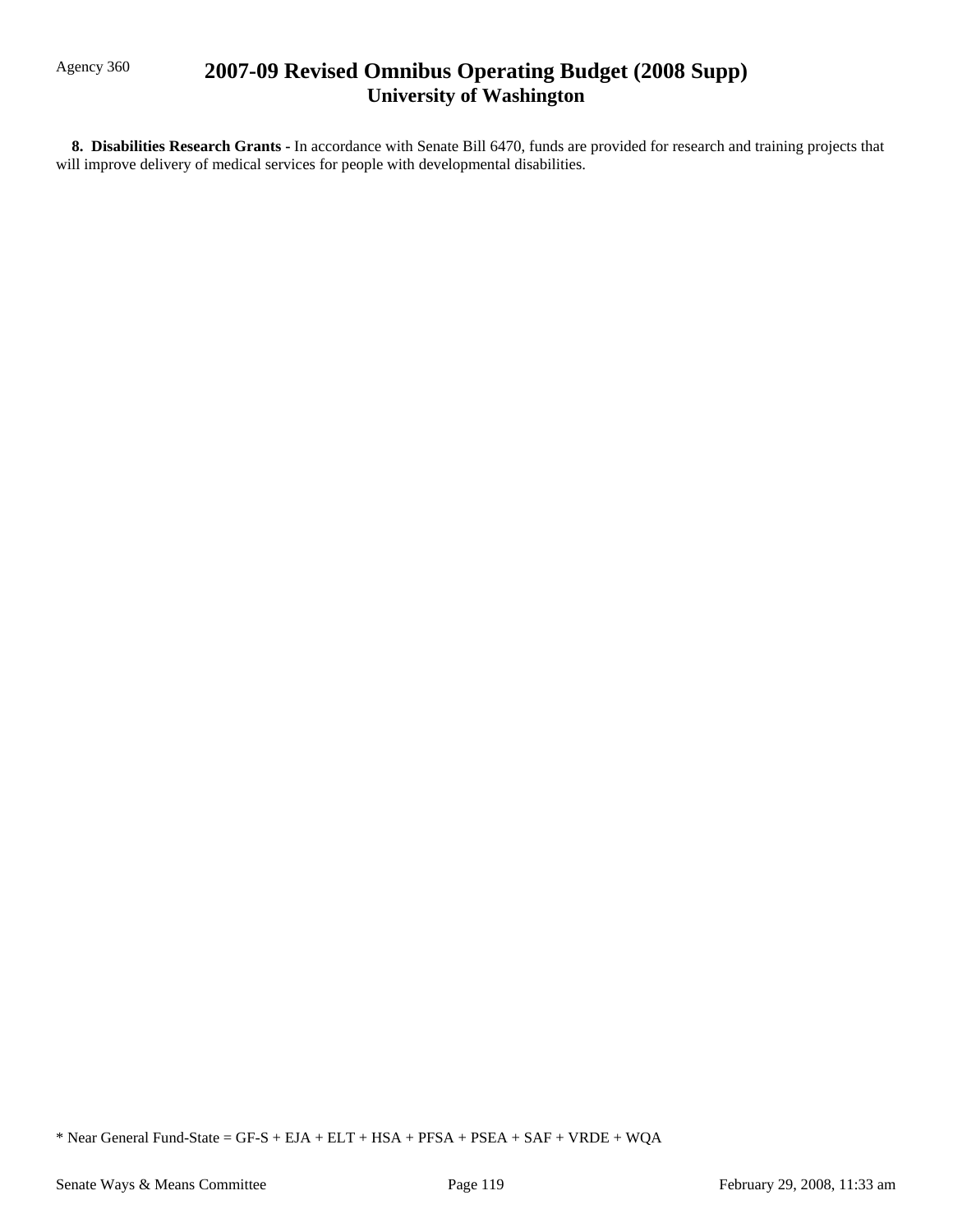# Agency 360 **2007-09 Revised Omnibus Operating Budget (2008 Supp) University of Washington**

 **8. Disabilities Research Grants -** In accordance with Senate Bill 6470, funds are provided for research and training projects that will improve delivery of medical services for people with developmental disabilities.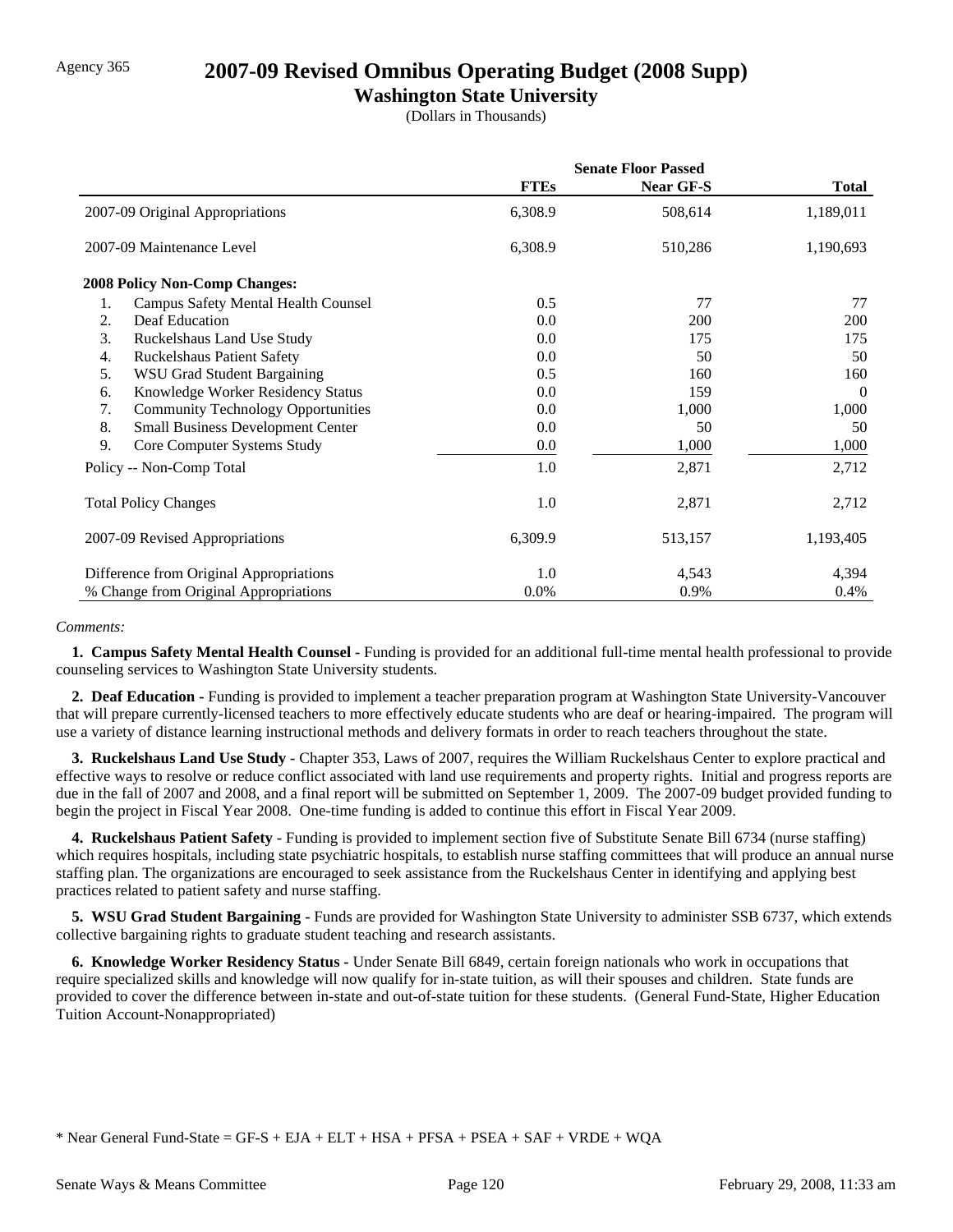## Agency 365 **2007-09 Revised Omnibus Operating Budget (2008 Supp)**

## **Washington State University**

(Dollars in Thousands)

|                                                 | <b>Senate Floor Passed</b> |           |              |
|-------------------------------------------------|----------------------------|-----------|--------------|
|                                                 | <b>FTEs</b>                | Near GF-S | <b>Total</b> |
| 2007-09 Original Appropriations                 | 6,308.9                    | 508,614   | 1,189,011    |
| 2007-09 Maintenance Level                       | 6,308.9                    | 510,286   | 1,190,693    |
| <b>2008 Policy Non-Comp Changes:</b>            |                            |           |              |
| Campus Safety Mental Health Counsel<br>1.       | 0.5                        | 77        | 77           |
| Deaf Education<br>2.                            | 0.0                        | 200       | <b>200</b>   |
| 3.<br>Ruckelshaus Land Use Study                | 0.0                        | 175       | 175          |
| <b>Ruckelshaus Patient Safety</b><br>4.         | 0.0                        | 50        | 50           |
| 5.<br><b>WSU Grad Student Bargaining</b>        | 0.5                        | 160       | 160          |
| Knowledge Worker Residency Status<br>6.         | 0.0                        | 159       | $\Omega$     |
| 7.<br><b>Community Technology Opportunities</b> | 0.0                        | 1,000     | 1,000        |
| 8.<br><b>Small Business Development Center</b>  | $0.0\,$                    | 50        | 50           |
| 9.<br>Core Computer Systems Study               | $0.0\,$                    | 1,000     | 1,000        |
| Policy -- Non-Comp Total                        | 1.0                        | 2,871     | 2,712        |
| <b>Total Policy Changes</b>                     | 1.0                        | 2,871     | 2,712        |
| 2007-09 Revised Appropriations                  | 6,309.9                    | 513,157   | 1,193,405    |
| Difference from Original Appropriations         | 1.0                        | 4,543     | 4,394        |
| % Change from Original Appropriations           | $0.0\%$                    | 0.9%      | $0.4\%$      |

### *Comments:*

 **1. Campus Safety Mental Health Counsel -** Funding is provided for an additional full-time mental health professional to provide counseling services to Washington State University students.

 **2. Deaf Education -** Funding is provided to implement a teacher preparation program at Washington State University-Vancouver that will prepare currently-licensed teachers to more effectively educate students who are deaf or hearing-impaired. The program will use a variety of distance learning instructional methods and delivery formats in order to reach teachers throughout the state.

**3. Ruckelshaus Land Use Study - Chapter 353, Laws of 2007, requires the William Ruckelshaus Center to explore practical and** effective ways to resolve or reduce conflict associated with land use requirements and property rights. Initial and progress reports are due in the fall of 2007 and 2008, and a final report will be submitted on September 1, 2009. The 2007-09 budget provided funding to begin the project in Fiscal Year 2008. One-time funding is added to continue this effort in Fiscal Year 2009.

 **4. Ruckelshaus Patient Safety -** Funding is provided to implement section five of Substitute Senate Bill 6734 (nurse staffing) which requires hospitals, including state psychiatric hospitals, to establish nurse staffing committees that will produce an annual nurse staffing plan. The organizations are encouraged to seek assistance from the Ruckelshaus Center in identifying and applying best practices related to patient safety and nurse staffing.

 **5. WSU Grad Student Bargaining -** Funds are provided for Washington State University to administer SSB 6737, which extends collective bargaining rights to graduate student teaching and research assistants.

 **6. Knowledge Worker Residency Status -** Under Senate Bill 6849, certain foreign nationals who work in occupations that require specialized skills and knowledge will now qualify for in-state tuition, as will their spouses and children. State funds are provided to cover the difference between in-state and out-of-state tuition for these students. (General Fund-State, Higher Education Tuition Account-Nonappropriated)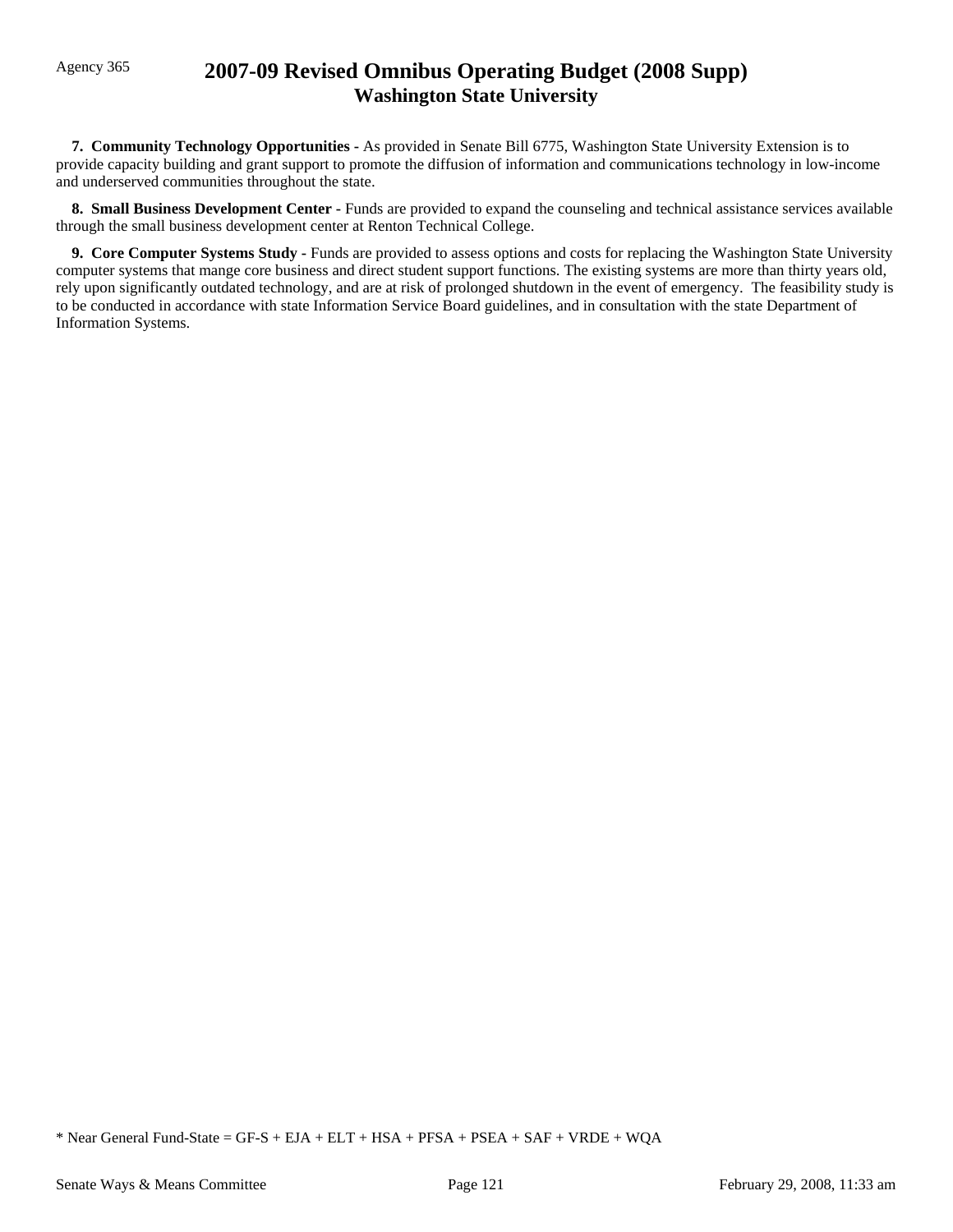# Agency 365 **2007-09 Revised Omnibus Operating Budget (2008 Supp) Washington State University**

 **7. Community Technology Opportunities -** As provided in Senate Bill 6775, Washington State University Extension is to provide capacity building and grant support to promote the diffusion of information and communications technology in low-income and underserved communities throughout the state.

**8. Small Business Development Center - Funds are provided to expand the counseling and technical assistance services available** through the small business development center at Renton Technical College.

 **9. Core Computer Systems Study -** Funds are provided to assess options and costs for replacing the Washington State University computer systems that mange core business and direct student support functions. The existing systems are more than thirty years old, rely upon significantly outdated technology, and are at risk of prolonged shutdown in the event of emergency. The feasibility study is to be conducted in accordance with state Information Service Board guidelines, and in consultation with the state Department of Information Systems.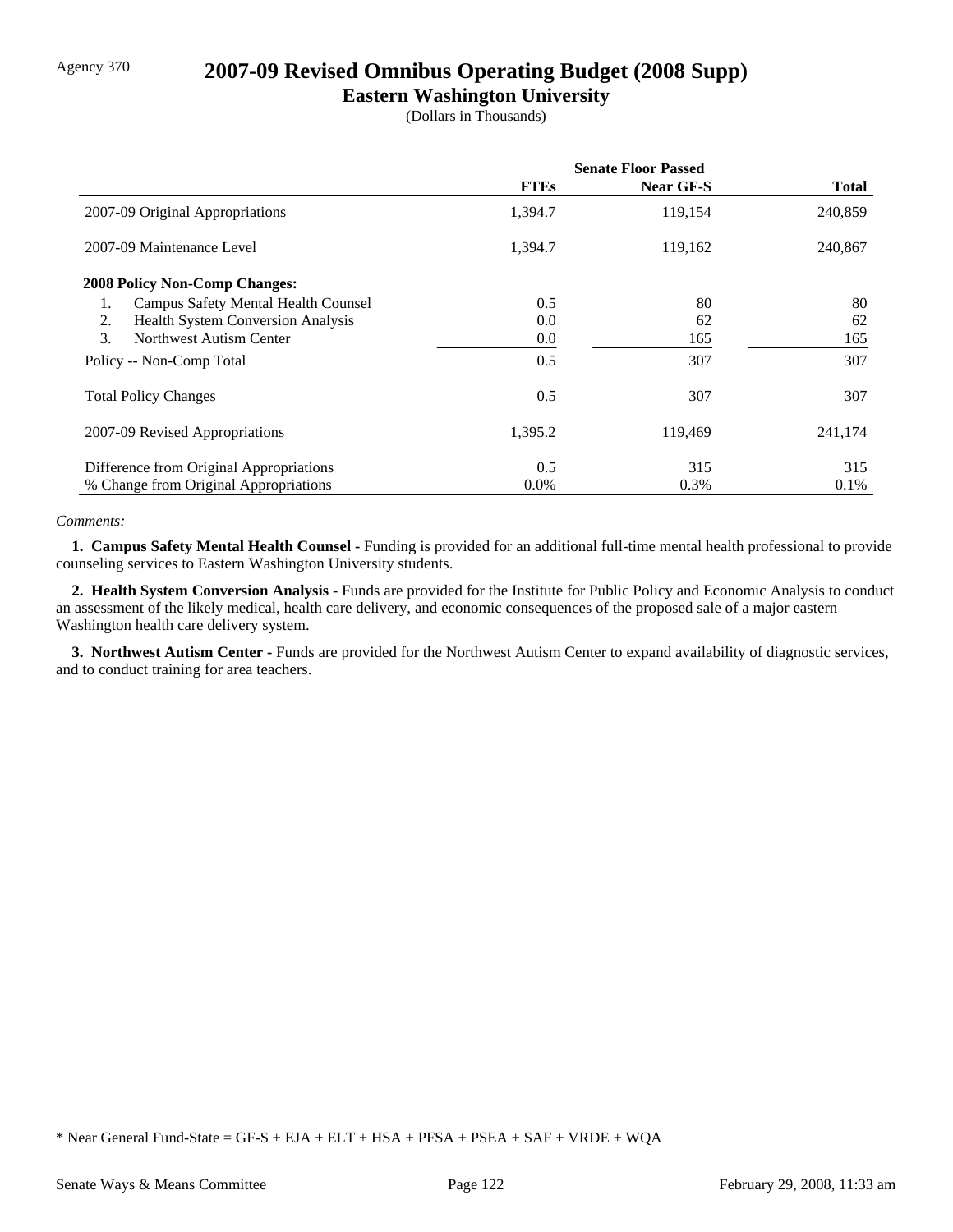# Agency 370 **2007-09 Revised Omnibus Operating Budget (2008 Supp)**

## **Eastern Washington University**

(Dollars in Thousands)

|                                                  | <b>Senate Floor Passed</b> |           |         |
|--------------------------------------------------|----------------------------|-----------|---------|
|                                                  | <b>FTEs</b>                | Near GF-S | Total   |
| 2007-09 Original Appropriations                  | 1,394.7                    | 119,154   | 240,859 |
| 2007-09 Maintenance Level                        | 1,394.7                    | 119,162   | 240,867 |
| <b>2008 Policy Non-Comp Changes:</b>             |                            |           |         |
| <b>Campus Safety Mental Health Counsel</b><br>1. | 0.5                        | 80        | 80      |
| <b>Health System Conversion Analysis</b><br>2.   | 0.0                        | 62        | 62      |
| 3.<br>Northwest Autism Center                    | 0.0                        | 165       | 165     |
| Policy -- Non-Comp Total                         | 0.5                        | 307       | 307     |
| <b>Total Policy Changes</b>                      | 0.5                        | 307       | 307     |
| 2007-09 Revised Appropriations                   | 1,395.2                    | 119.469   | 241,174 |
| Difference from Original Appropriations          | 0.5                        | 315       | 315     |
| % Change from Original Appropriations            | $0.0\%$                    | 0.3%      | $0.1\%$ |

### *Comments:*

 **1. Campus Safety Mental Health Counsel -** Funding is provided for an additional full-time mental health professional to provide counseling services to Eastern Washington University students.

 **2. Health System Conversion Analysis -** Funds are provided for the Institute for Public Policy and Economic Analysis to conduct an assessment of the likely medical, health care delivery, and economic consequences of the proposed sale of a major eastern Washington health care delivery system.

 **3. Northwest Autism Center -** Funds are provided for the Northwest Autism Center to expand availability of diagnostic services, and to conduct training for area teachers.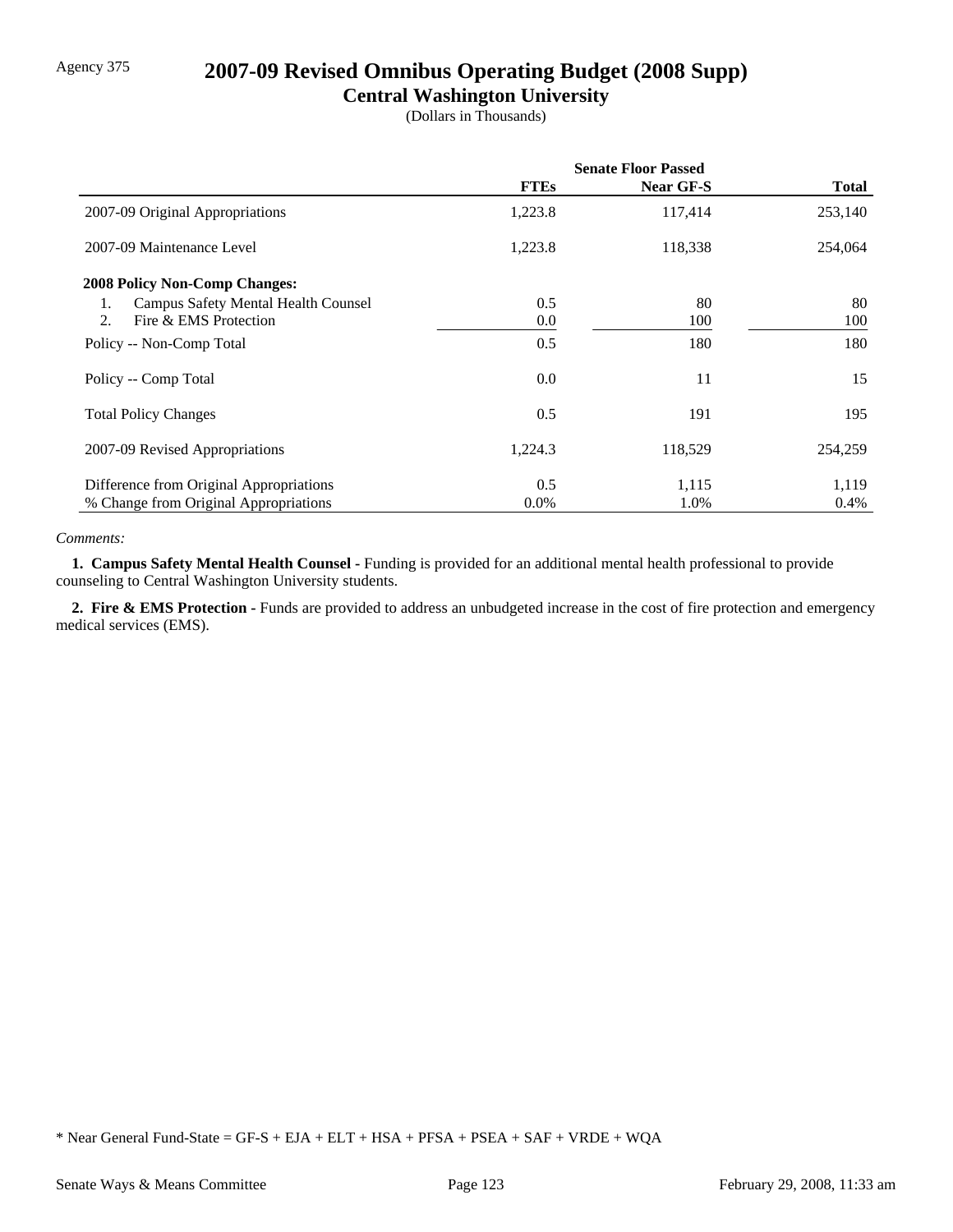# Agency 375 **2007-09 Revised Omnibus Operating Budget (2008 Supp)**

## **Central Washington University**

(Dollars in Thousands)

|                                                  | <b>Senate Floor Passed</b> |           |         |
|--------------------------------------------------|----------------------------|-----------|---------|
|                                                  | <b>FTEs</b>                | Near GF-S | Total   |
| 2007-09 Original Appropriations                  | 1,223.8                    | 117,414   | 253,140 |
| 2007-09 Maintenance Level                        | 1,223.8                    | 118,338   | 254,064 |
| 2008 Policy Non-Comp Changes:                    |                            |           |         |
| <b>Campus Safety Mental Health Counsel</b><br>1. | 0.5                        | 80        | 80      |
| Fire & EMS Protection<br>2.                      | 0.0                        | 100       | 100     |
| Policy -- Non-Comp Total                         | 0.5                        | 180       | 180     |
| Policy -- Comp Total                             | 0.0                        | 11        | 15      |
| <b>Total Policy Changes</b>                      | 0.5                        | 191       | 195     |
| 2007-09 Revised Appropriations                   | 1,224.3                    | 118,529   | 254,259 |
| Difference from Original Appropriations          | 0.5                        | 1,115     | 1,119   |
| % Change from Original Appropriations            | $0.0\%$                    | 1.0%      | 0.4%    |

### *Comments:*

 **1. Campus Safety Mental Health Counsel -** Funding is provided for an additional mental health professional to provide counseling to Central Washington University students.

 **2. Fire & EMS Protection -** Funds are provided to address an unbudgeted increase in the cost of fire protection and emergency medical services (EMS).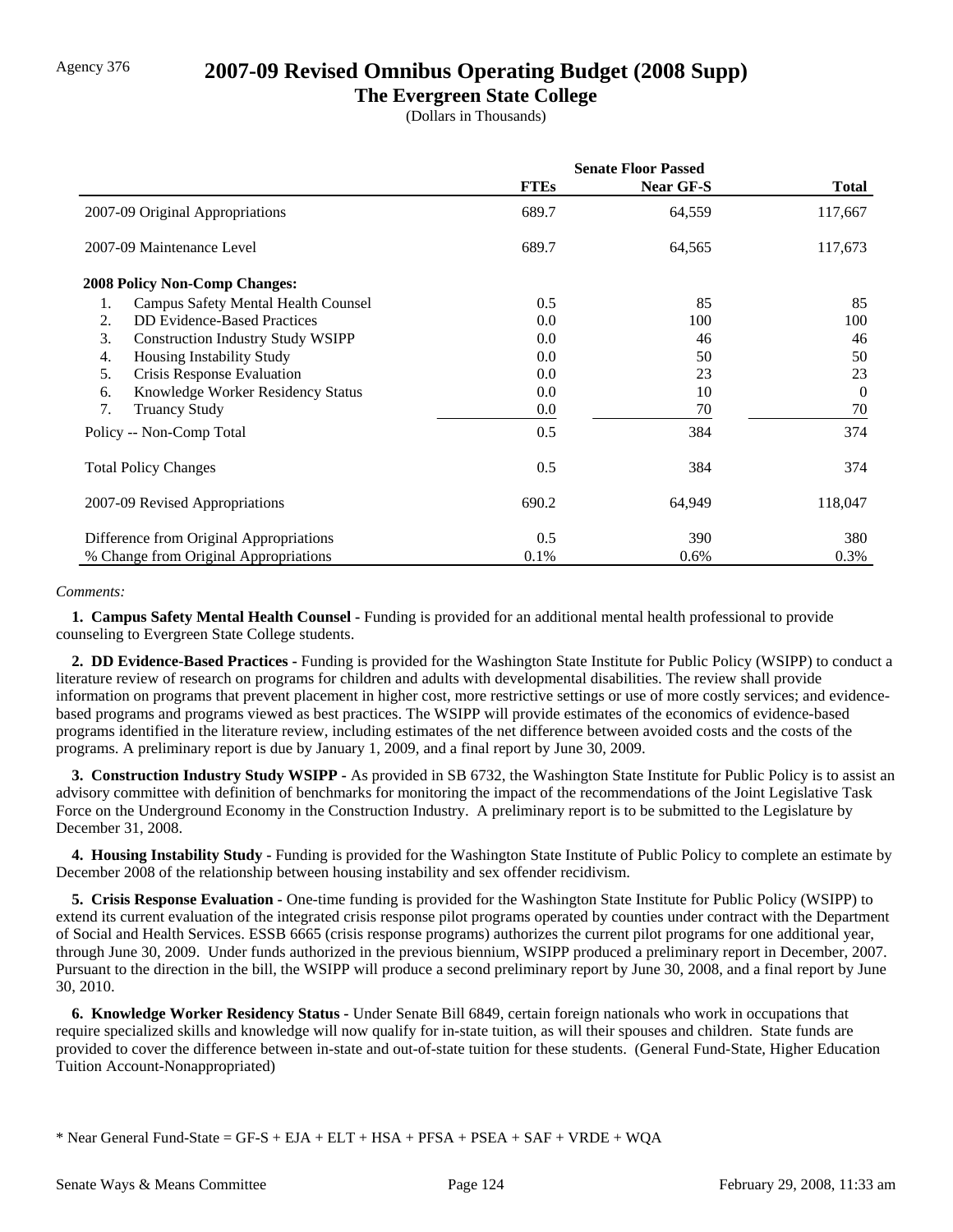# Agency 376 **2007-09 Revised Omnibus Operating Budget (2008 Supp)**

## **The Evergreen State College**

(Dollars in Thousands)

|                                                | <b>Senate Floor Passed</b> |                  |              |
|------------------------------------------------|----------------------------|------------------|--------------|
|                                                | <b>FTEs</b>                | <b>Near GF-S</b> | <b>Total</b> |
| 2007-09 Original Appropriations                | 689.7                      | 64,559           | 117,667      |
| 2007-09 Maintenance Level                      | 689.7                      | 64,565           | 117,673      |
| <b>2008 Policy Non-Comp Changes:</b>           |                            |                  |              |
| Campus Safety Mental Health Counsel<br>1.      | 0.5                        | 85               | 85           |
| <b>DD</b> Evidence-Based Practices<br>2.       | 0.0                        | 100              | 100          |
| 3.<br><b>Construction Industry Study WSIPP</b> | 0.0                        | 46               | 46           |
| Housing Instability Study<br>4.                | 0.0                        | 50               | 50           |
| 5.<br>Crisis Response Evaluation               | 0.0                        | 23               | 23           |
| Knowledge Worker Residency Status<br>6.        | 0.0                        | 10               | $\Omega$     |
| 7.<br><b>Truancy Study</b>                     | 0.0                        | 70               | 70           |
| Policy -- Non-Comp Total                       | 0.5                        | 384              | 374          |
| <b>Total Policy Changes</b>                    | 0.5                        | 384              | 374          |
| 2007-09 Revised Appropriations                 | 690.2                      | 64,949           | 118,047      |
| Difference from Original Appropriations        | 0.5                        | 390              | 380          |
| % Change from Original Appropriations          | 0.1%                       | 0.6%             | 0.3%         |

#### *Comments:*

 **1. Campus Safety Mental Health Counsel -** Funding is provided for an additional mental health professional to provide counseling to Evergreen State College students.

 **2. DD Evidence-Based Practices -** Funding is provided for the Washington State Institute for Public Policy (WSIPP) to conduct a literature review of research on programs for children and adults with developmental disabilities. The review shall provide information on programs that prevent placement in higher cost, more restrictive settings or use of more costly services; and evidencebased programs and programs viewed as best practices. The WSIPP will provide estimates of the economics of evidence-based programs identified in the literature review, including estimates of the net difference between avoided costs and the costs of the programs. A preliminary report is due by January 1, 2009, and a final report by June 30, 2009.

 **3. Construction Industry Study WSIPP -** As provided in SB 6732, the Washington State Institute for Public Policy is to assist an advisory committee with definition of benchmarks for monitoring the impact of the recommendations of the Joint Legislative Task Force on the Underground Economy in the Construction Industry. A preliminary report is to be submitted to the Legislature by December 31, 2008.

 **4. Housing Instability Study -** Funding is provided for the Washington State Institute of Public Policy to complete an estimate by December 2008 of the relationship between housing instability and sex offender recidivism.

 **5. Crisis Response Evaluation -** One-time funding is provided for the Washington State Institute for Public Policy (WSIPP) to extend its current evaluation of the integrated crisis response pilot programs operated by counties under contract with the Department of Social and Health Services. ESSB 6665 (crisis response programs) authorizes the current pilot programs for one additional year, through June 30, 2009. Under funds authorized in the previous biennium, WSIPP produced a preliminary report in December, 2007. Pursuant to the direction in the bill, the WSIPP will produce a second preliminary report by June 30, 2008, and a final report by June 30, 2010.

 **6. Knowledge Worker Residency Status -** Under Senate Bill 6849, certain foreign nationals who work in occupations that require specialized skills and knowledge will now qualify for in-state tuition, as will their spouses and children. State funds are provided to cover the difference between in-state and out-of-state tuition for these students. (General Fund-State, Higher Education Tuition Account-Nonappropriated)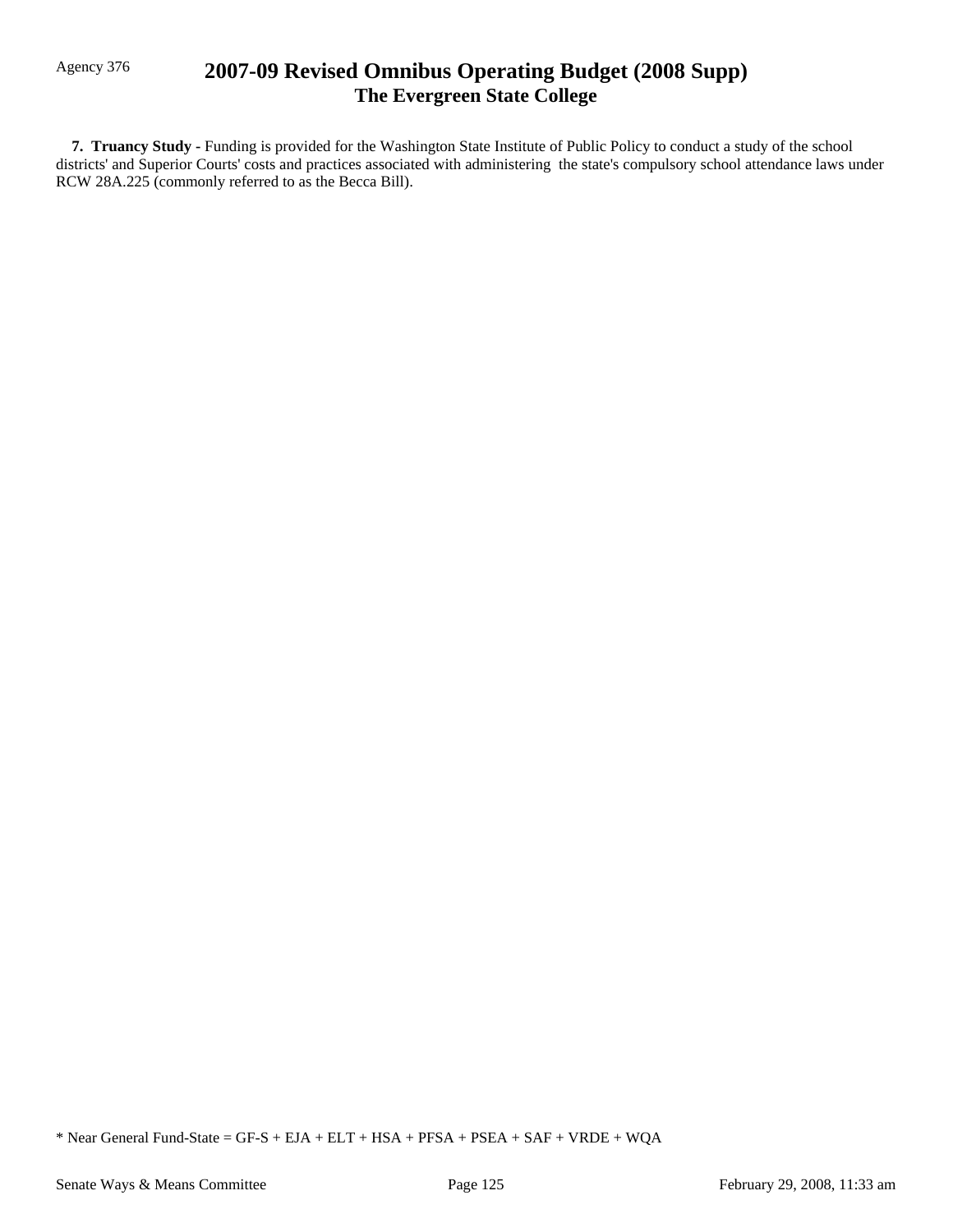# Agency 376 **2007-09 Revised Omnibus Operating Budget (2008 Supp) The Evergreen State College**

 **7. Truancy Study -** Funding is provided for the Washington State Institute of Public Policy to conduct a study of the school districts' and Superior Courts' costs and practices associated with administering the state's compulsory school attendance laws under RCW 28A.225 (commonly referred to as the Becca Bill).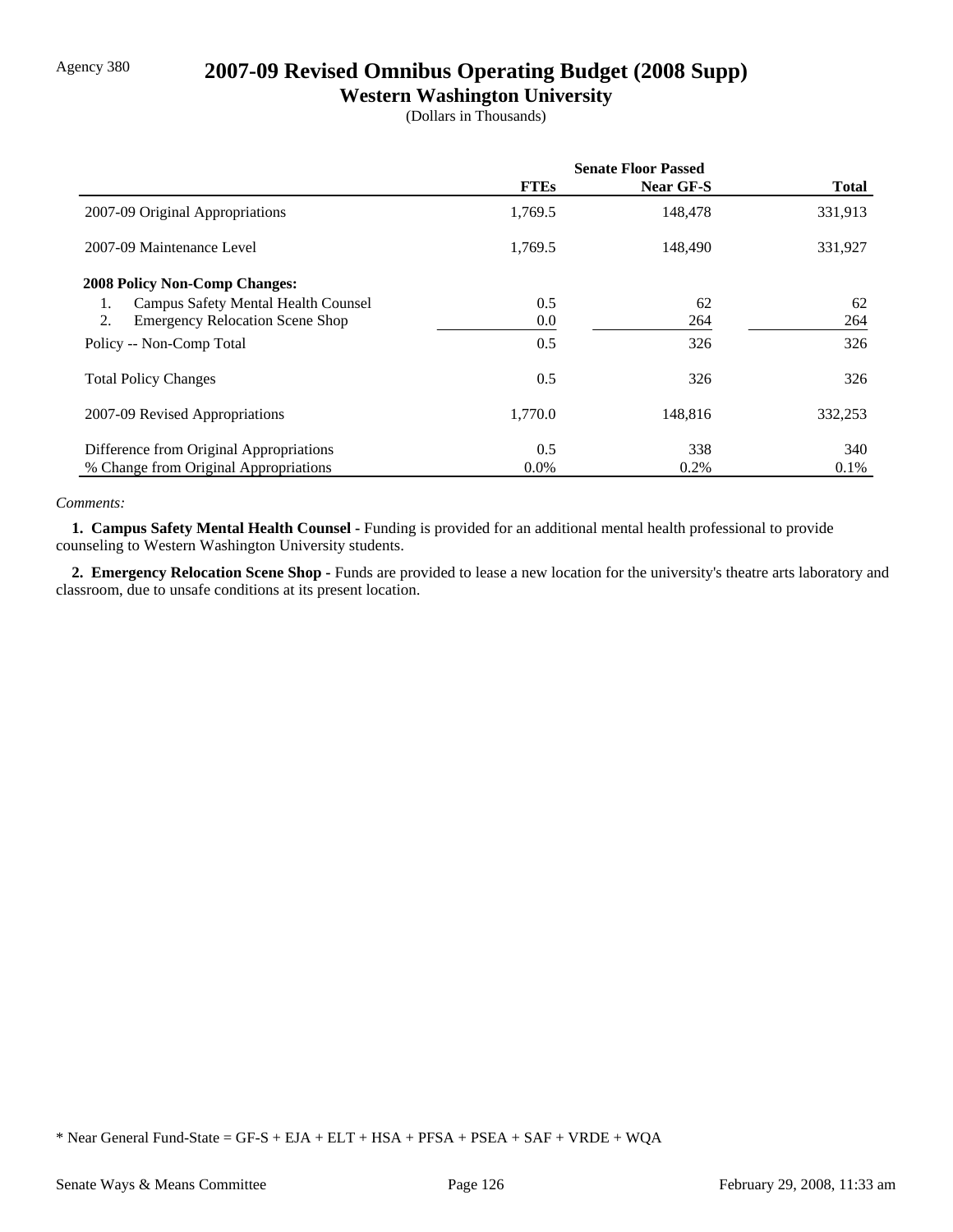# Agency 380 **2007-09 Revised Omnibus Operating Budget (2008 Supp)**

## **Western Washington University**

(Dollars in Thousands)

|                                              | <b>Senate Floor Passed</b> |           |              |
|----------------------------------------------|----------------------------|-----------|--------------|
|                                              | <b>FTEs</b>                | Near GF-S | <b>Total</b> |
| 2007-09 Original Appropriations              | 1,769.5                    | 148,478   | 331,913      |
| 2007-09 Maintenance Level                    | 1,769.5                    | 148,490   | 331,927      |
| <b>2008 Policy Non-Comp Changes:</b>         |                            |           |              |
| Campus Safety Mental Health Counsel<br>1.    | 0.5                        | 62        | 62           |
| 2.<br><b>Emergency Relocation Scene Shop</b> | 0.0                        | 264       | 264          |
| Policy -- Non-Comp Total                     | 0.5                        | 326       | 326          |
| <b>Total Policy Changes</b>                  | 0.5                        | 326       | 326          |
| 2007-09 Revised Appropriations               | 1,770.0                    | 148,816   | 332,253      |
| Difference from Original Appropriations      | 0.5                        | 338       | 340          |
| % Change from Original Appropriations        | $0.0\%$                    | 0.2%      | $0.1\%$      |

### *Comments:*

 **1. Campus Safety Mental Health Counsel -** Funding is provided for an additional mental health professional to provide counseling to Western Washington University students.

2. Emergency Relocation Scene Shop - Funds are provided to lease a new location for the university's theatre arts laboratory and classroom, due to unsafe conditions at its present location.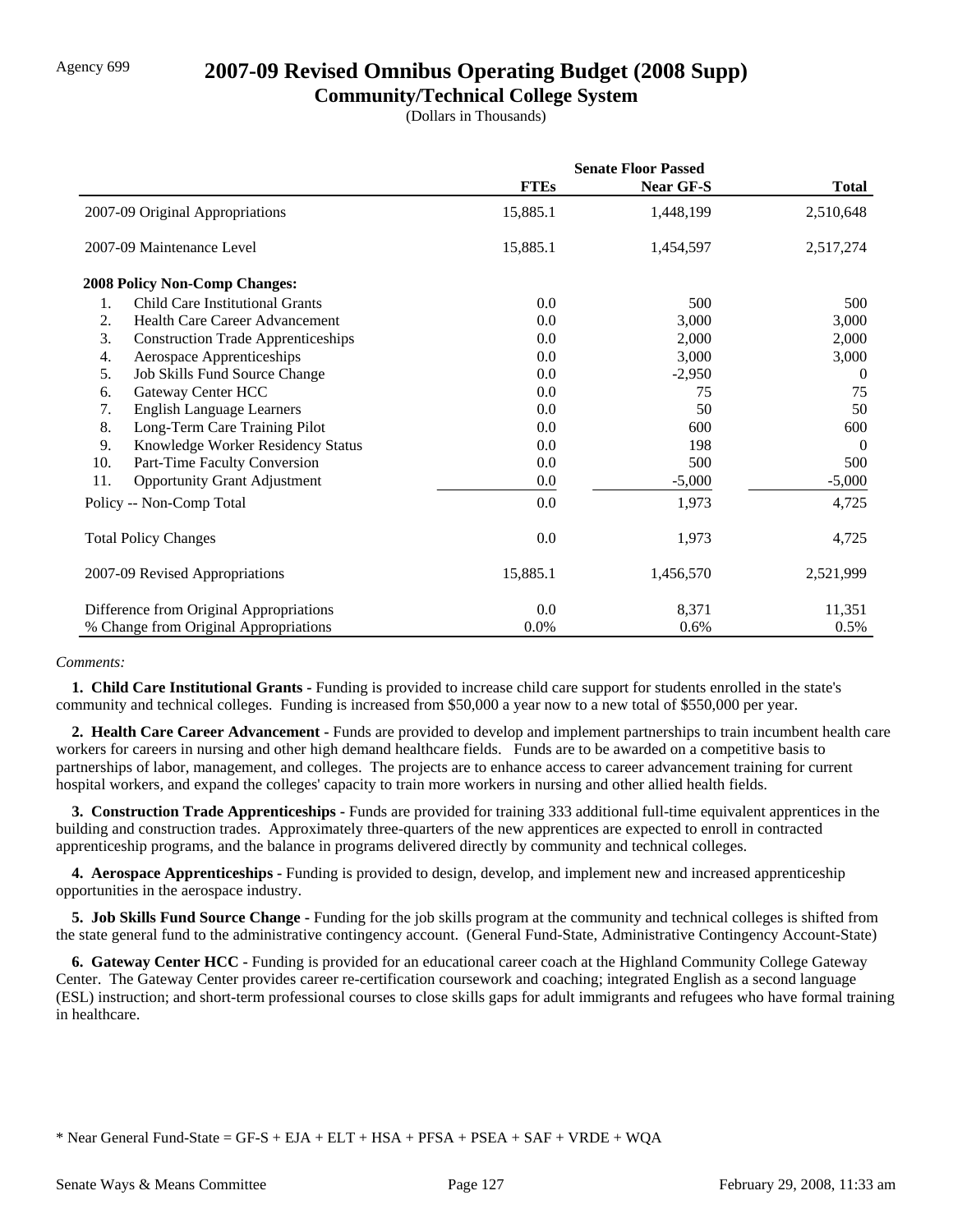# Agency 699 **2007-09 Revised Omnibus Operating Budget (2008 Supp)**

### **Community/Technical College System**

(Dollars in Thousands)

|     |                                           | <b>Senate Floor Passed</b> |           |              |
|-----|-------------------------------------------|----------------------------|-----------|--------------|
|     |                                           | <b>FTEs</b>                | Near GF-S | <b>Total</b> |
|     | 2007-09 Original Appropriations           | 15,885.1                   | 1,448,199 | 2,510,648    |
|     | 2007-09 Maintenance Level                 | 15,885.1                   | 1,454,597 | 2,517,274    |
|     | <b>2008 Policy Non-Comp Changes:</b>      |                            |           |              |
| 1.  | Child Care Institutional Grants           | 0.0                        | 500       | 500          |
| 2.  | <b>Health Care Career Advancement</b>     | 0.0                        | 3,000     | 3,000        |
| 3.  | <b>Construction Trade Apprenticeships</b> | 0.0                        | 2,000     | 2,000        |
| 4.  | Aerospace Apprenticeships                 | 0.0                        | 3,000     | 3,000        |
| 5.  | Job Skills Fund Source Change             | 0.0                        | $-2,950$  | $\theta$     |
| 6.  | Gateway Center HCC                        | 0.0                        | 75        | 75           |
| 7.  | <b>English Language Learners</b>          | 0.0                        | 50        | 50           |
| 8.  | Long-Term Care Training Pilot             | 0.0                        | 600       | 600          |
| 9.  | Knowledge Worker Residency Status         | 0.0                        | 198       | $\theta$     |
| 10. | Part-Time Faculty Conversion              | 0.0                        | 500       | 500          |
| 11. | <b>Opportunity Grant Adjustment</b>       | 0.0                        | $-5,000$  | $-5,000$     |
|     | Policy -- Non-Comp Total                  | 0.0                        | 1,973     | 4,725        |
|     | <b>Total Policy Changes</b>               | 0.0                        | 1,973     | 4,725        |
|     | 2007-09 Revised Appropriations            | 15,885.1                   | 1,456,570 | 2,521,999    |
|     | Difference from Original Appropriations   | 0.0                        | 8,371     | 11,351       |
|     | % Change from Original Appropriations     | $0.0\%$                    | 0.6%      | 0.5%         |

### *Comments:*

 **1. Child Care Institutional Grants -** Funding is provided to increase child care support for students enrolled in the state's community and technical colleges. Funding is increased from \$50,000 a year now to a new total of \$550,000 per year.

 **2. Health Care Career Advancement -** Funds are provided to develop and implement partnerships to train incumbent health care workers for careers in nursing and other high demand healthcare fields. Funds are to be awarded on a competitive basis to partnerships of labor, management, and colleges. The projects are to enhance access to career advancement training for current hospital workers, and expand the colleges' capacity to train more workers in nursing and other allied health fields.

**3. Construction Trade Apprenticeships - Funds are provided for training 333 additional full-time equivalent apprentices in the** building and construction trades. Approximately three-quarters of the new apprentices are expected to enroll in contracted apprenticeship programs, and the balance in programs delivered directly by community and technical colleges.

 **4. Aerospace Apprenticeships -** Funding is provided to design, develop, and implement new and increased apprenticeship opportunities in the aerospace industry.

 **5. Job Skills Fund Source Change -** Funding for the job skills program at the community and technical colleges is shifted from the state general fund to the administrative contingency account. (General Fund-State, Administrative Contingency Account-State)

 **6. Gateway Center HCC -** Funding is provided for an educational career coach at the Highland Community College Gateway Center. The Gateway Center provides career re-certification coursework and coaching; integrated English as a second language (ESL) instruction; and short-term professional courses to close skills gaps for adult immigrants and refugees who have formal training in healthcare.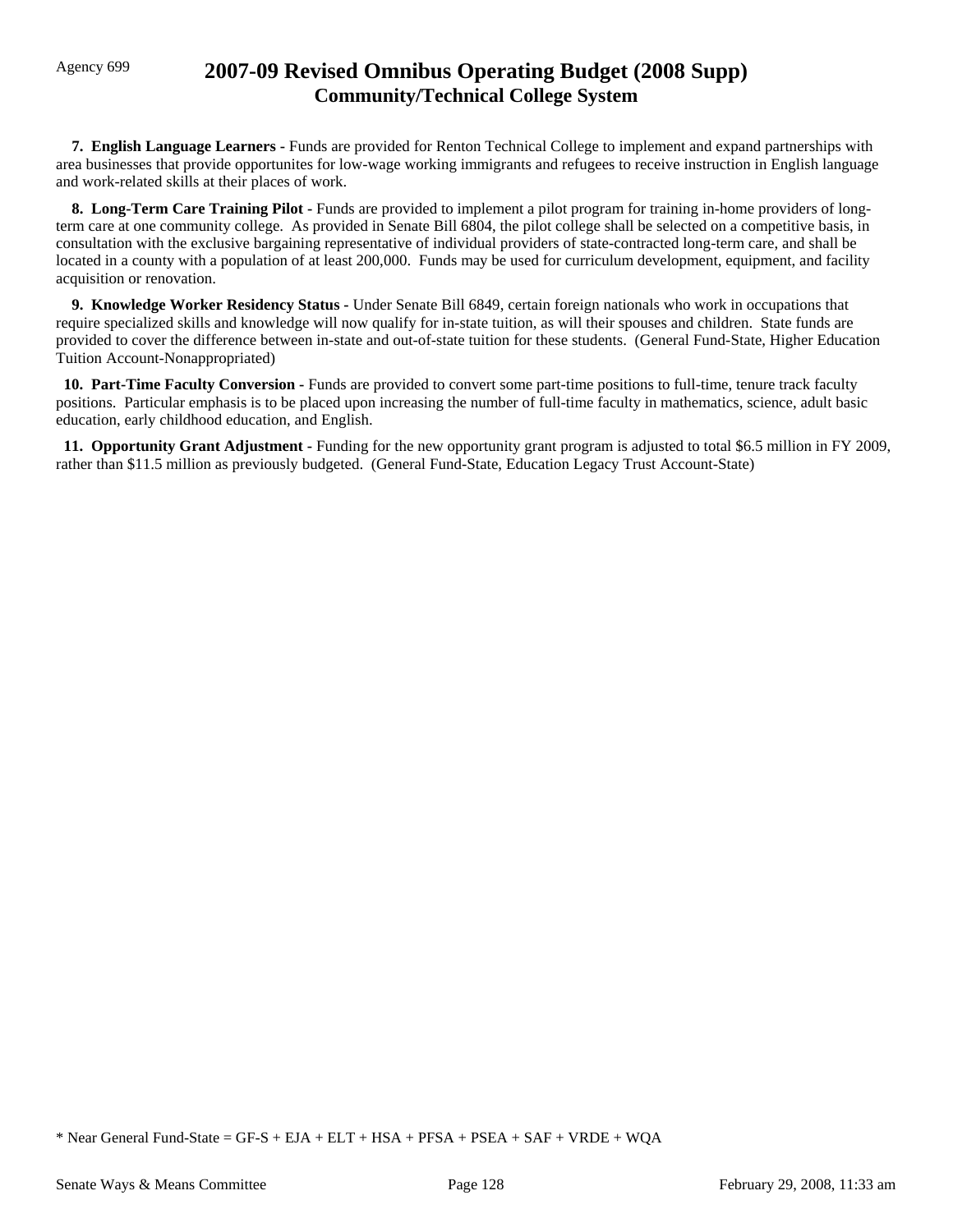# Agency 699 **2007-09 Revised Omnibus Operating Budget (2008 Supp) Community/Technical College System**

 **7. English Language Learners -** Funds are provided for Renton Technical College to implement and expand partnerships with area businesses that provide opportunites for low-wage working immigrants and refugees to receive instruction in English language and work-related skills at their places of work.

**8. Long-Term Care Training Pilot - Funds are provided to implement a pilot program for training in-home providers of long**term care at one community college. As provided in Senate Bill 6804, the pilot college shall be selected on a competitive basis, in consultation with the exclusive bargaining representative of individual providers of state-contracted long-term care, and shall be located in a county with a population of at least 200,000. Funds may be used for curriculum development, equipment, and facility acquisition or renovation.

 **9. Knowledge Worker Residency Status -** Under Senate Bill 6849, certain foreign nationals who work in occupations that require specialized skills and knowledge will now qualify for in-state tuition, as will their spouses and children. State funds are provided to cover the difference between in-state and out-of-state tuition for these students. (General Fund-State, Higher Education Tuition Account-Nonappropriated)

 **10. Part-Time Faculty Conversion -** Funds are provided to convert some part-time positions to full-time, tenure track faculty positions. Particular emphasis is to be placed upon increasing the number of full-time faculty in mathematics, science, adult basic education, early childhood education, and English.

 **11. Opportunity Grant Adjustment -** Funding for the new opportunity grant program is adjusted to total \$6.5 million in FY 2009, rather than \$11.5 million as previously budgeted. (General Fund-State, Education Legacy Trust Account-State)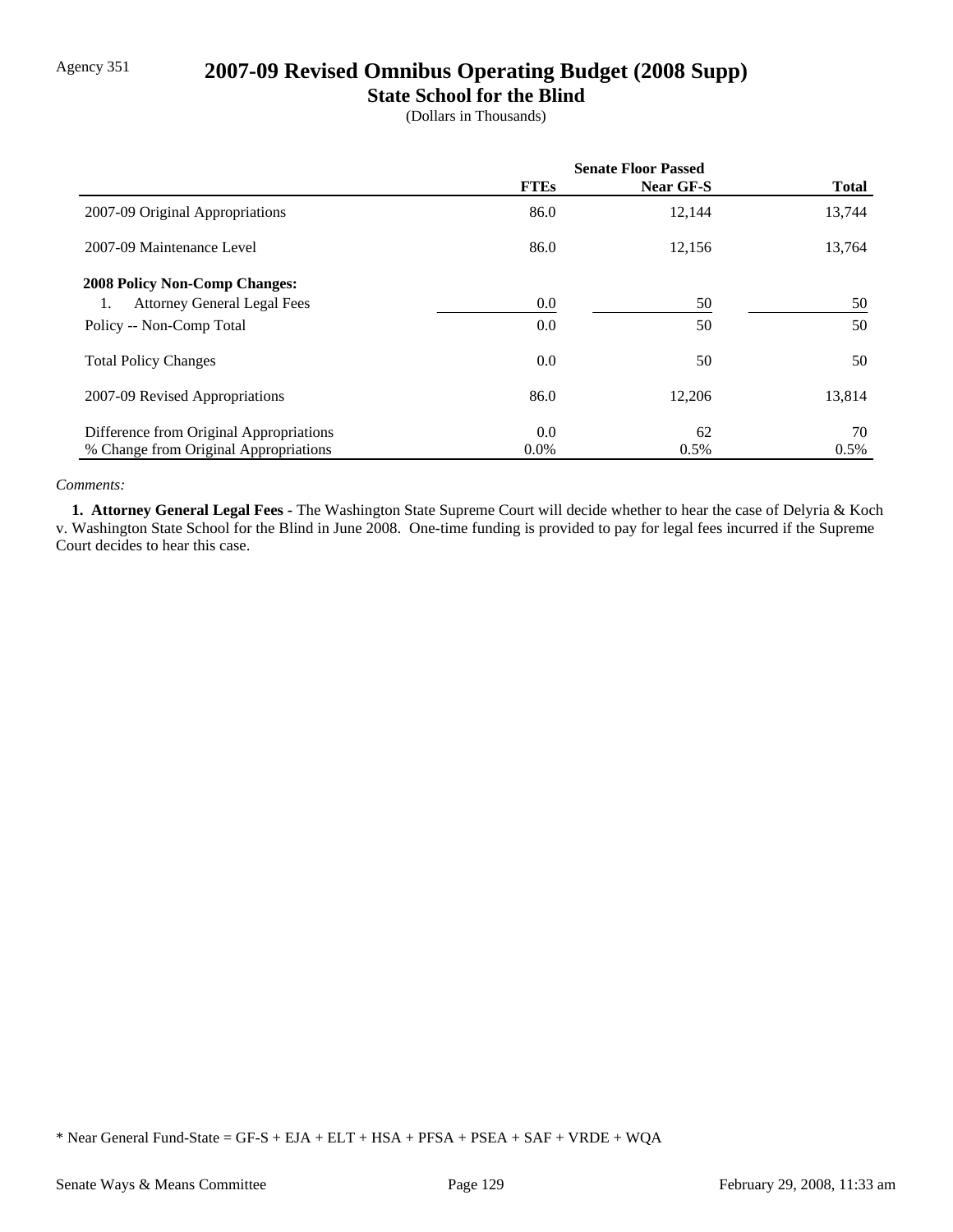# Agency 351 **2007-09 Revised Omnibus Operating Budget (2008 Supp)**

## **State School for the Blind**

(Dollars in Thousands)

|                                         | <b>Senate Floor Passed</b> |           |              |
|-----------------------------------------|----------------------------|-----------|--------------|
|                                         | <b>FTEs</b>                | Near GF-S | <b>Total</b> |
| 2007-09 Original Appropriations         | 86.0                       | 12,144    | 13,744       |
| 2007-09 Maintenance Level               | 86.0                       | 12,156    | 13,764       |
| <b>2008 Policy Non-Comp Changes:</b>    |                            |           |              |
| <b>Attorney General Legal Fees</b>      | 0.0                        | 50        | 50           |
| Policy -- Non-Comp Total                | 0.0                        | 50        | 50           |
| <b>Total Policy Changes</b>             | 0.0                        | 50        | 50           |
| 2007-09 Revised Appropriations          | 86.0                       | 12,206    | 13,814       |
| Difference from Original Appropriations | 0.0                        | 62        | 70           |
| % Change from Original Appropriations   | $0.0\%$                    | 0.5%      | 0.5%         |

### *Comments:*

 **1. Attorney General Legal Fees -** The Washington State Supreme Court will decide whether to hear the case of Delyria & Koch v. Washington State School for the Blind in June 2008. One-time funding is provided to pay for legal fees incurred if the Supreme Court decides to hear this case.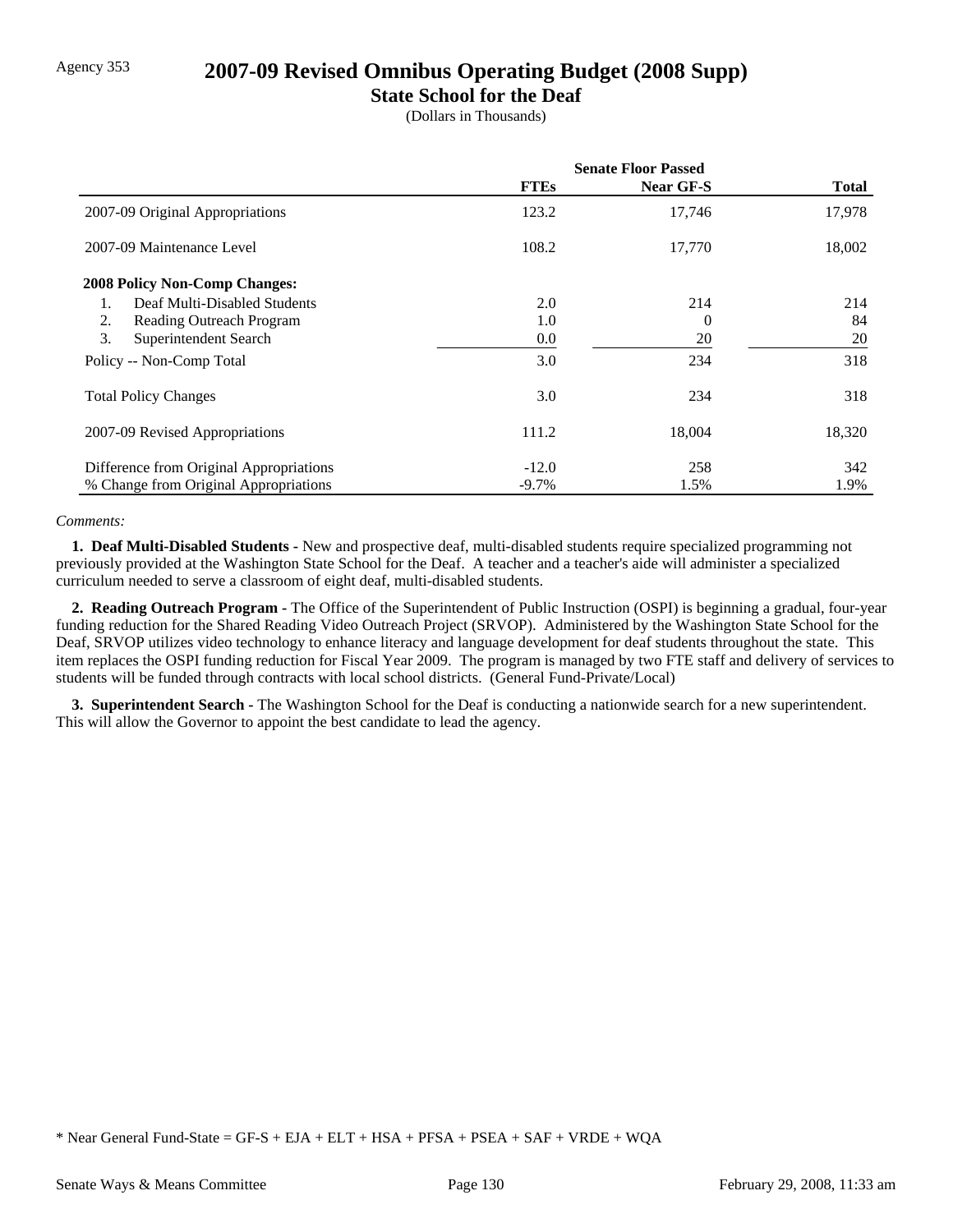## Agency 353 **2007-09 Revised Omnibus Operating Budget (2008 Supp)**

## **State School for the Deaf**

(Dollars in Thousands)

|                                         | <b>Senate Floor Passed</b> |                  |              |
|-----------------------------------------|----------------------------|------------------|--------------|
|                                         | <b>FTEs</b>                | <b>Near GF-S</b> | <b>Total</b> |
| 2007-09 Original Appropriations         | 123.2                      | 17,746           | 17,978       |
| 2007-09 Maintenance Level               | 108.2                      | 17,770           | 18,002       |
| <b>2008 Policy Non-Comp Changes:</b>    |                            |                  |              |
| Deaf Multi-Disabled Students            | 2.0                        | 214              | 214          |
| 2.<br>Reading Outreach Program          | 1.0                        | 0                | 84           |
| 3.<br>Superintendent Search             | 0.0                        | 20               | 20           |
| Policy -- Non-Comp Total                | 3.0                        | 234              | 318          |
| <b>Total Policy Changes</b>             | 3.0                        | 234              | 318          |
| 2007-09 Revised Appropriations          | 111.2                      | 18,004           | 18,320       |
| Difference from Original Appropriations | $-12.0$                    | 258              | 342          |
| % Change from Original Appropriations   | $-9.7\%$                   | 1.5%             | 1.9%         |

#### *Comments:*

 **1. Deaf Multi-Disabled Students -** New and prospective deaf, multi-disabled students require specialized programming not previously provided at the Washington State School for the Deaf. A teacher and a teacher's aide will administer a specialized curriculum needed to serve a classroom of eight deaf, multi-disabled students.

 **2. Reading Outreach Program -** The Office of the Superintendent of Public Instruction (OSPI) is beginning a gradual, four-year funding reduction for the Shared Reading Video Outreach Project (SRVOP). Administered by the Washington State School for the Deaf, SRVOP utilizes video technology to enhance literacy and language development for deaf students throughout the state. This item replaces the OSPI funding reduction for Fiscal Year 2009. The program is managed by two FTE staff and delivery of services to students will be funded through contracts with local school districts. (General Fund-Private/Local)

 **3. Superintendent Search -** The Washington School for the Deaf is conducting a nationwide search for a new superintendent. This will allow the Governor to appoint the best candidate to lead the agency.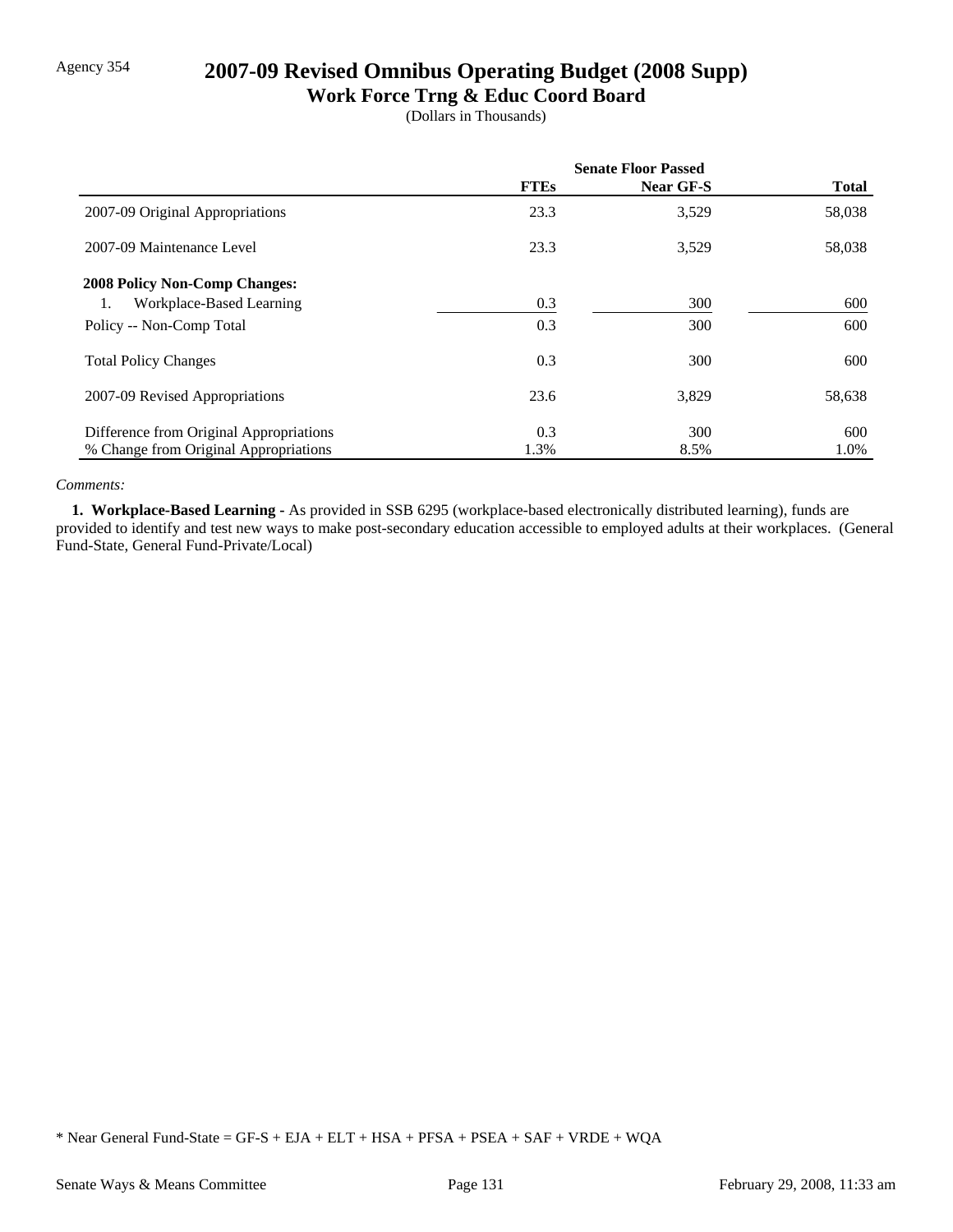# Agency 354 **2007-09 Revised Omnibus Operating Budget (2008 Supp)**

## **Work Force Trng & Educ Coord Board**

(Dollars in Thousands)

|                                         | <b>Senate Floor Passed</b> |           |              |
|-----------------------------------------|----------------------------|-----------|--------------|
|                                         | <b>FTEs</b>                | Near GF-S | <b>Total</b> |
| 2007-09 Original Appropriations         | 23.3                       | 3,529     | 58,038       |
| 2007-09 Maintenance Level               | 23.3                       | 3,529     | 58,038       |
| <b>2008 Policy Non-Comp Changes:</b>    |                            |           |              |
| Workplace-Based Learning<br>1.          | 0.3                        | 300       | 600          |
| Policy -- Non-Comp Total                | 0.3                        | 300       | 600          |
| <b>Total Policy Changes</b>             | 0.3                        | 300       | 600          |
| 2007-09 Revised Appropriations          | 23.6                       | 3,829     | 58,638       |
| Difference from Original Appropriations | 0.3                        | 300       | 600          |
| % Change from Original Appropriations   | 1.3%                       | 8.5%      | 1.0%         |

### *Comments:*

 **1. Workplace-Based Learning -** As provided in SSB 6295 (workplace-based electronically distributed learning), funds are provided to identify and test new ways to make post-secondary education accessible to employed adults at their workplaces. (General Fund-State, General Fund-Private/Local)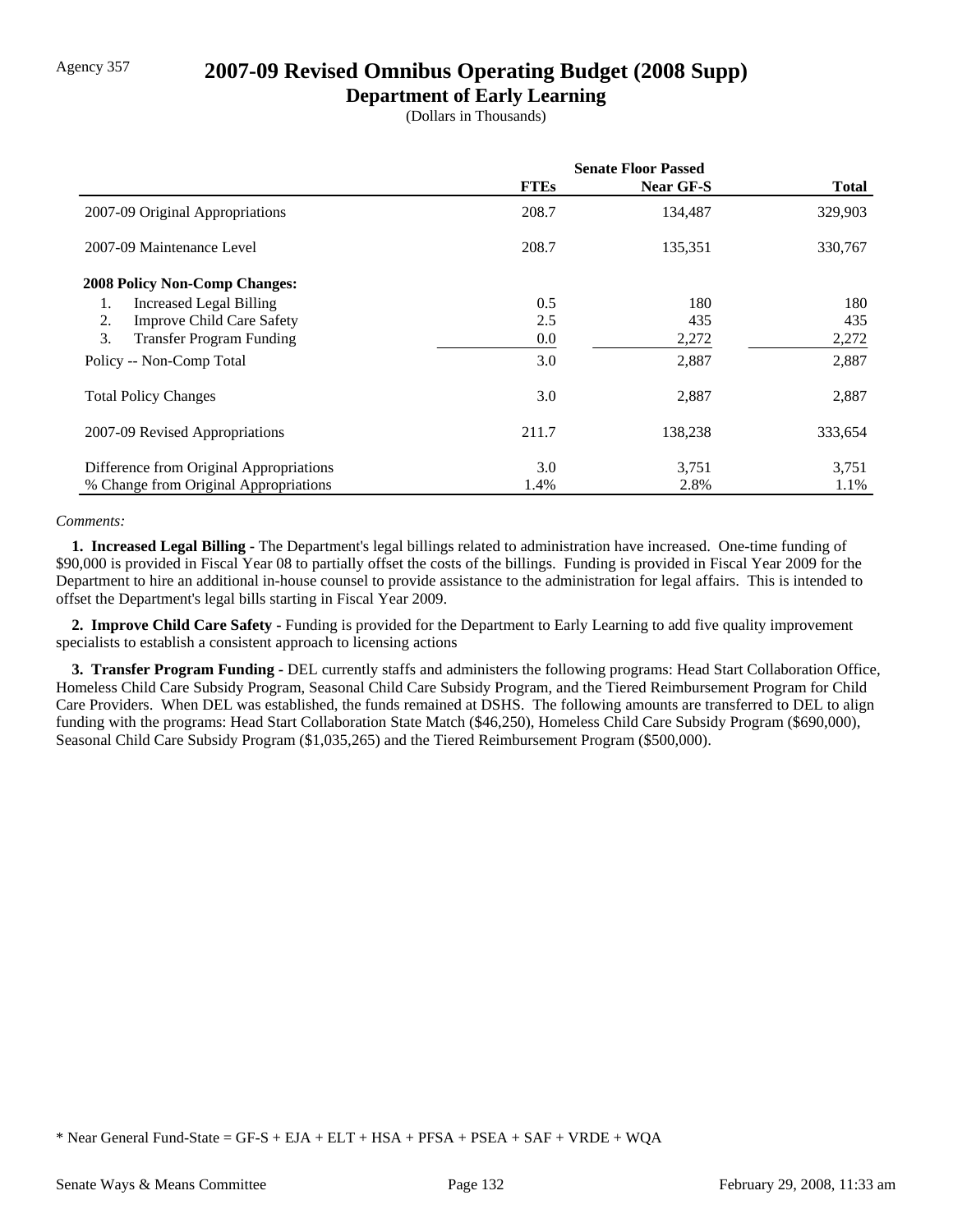## Agency 357 **2007-09 Revised Omnibus Operating Budget (2008 Supp)**

### **Department of Early Learning**

(Dollars in Thousands)

|                                         | <b>Senate Floor Passed</b> |                  |              |
|-----------------------------------------|----------------------------|------------------|--------------|
|                                         | <b>FTEs</b>                | <b>Near GF-S</b> | <b>Total</b> |
| 2007-09 Original Appropriations         | 208.7                      | 134,487          | 329,903      |
| 2007-09 Maintenance Level               | 208.7                      | 135,351          | 330,767      |
| <b>2008 Policy Non-Comp Changes:</b>    |                            |                  |              |
| Increased Legal Billing<br>1.           | 0.5                        | 180              | 180          |
| <b>Improve Child Care Safety</b><br>2.  | 2.5                        | 435              | 435          |
| 3.<br><b>Transfer Program Funding</b>   | 0.0                        | 2,272            | 2,272        |
| Policy -- Non-Comp Total                | 3.0                        | 2,887            | 2,887        |
| <b>Total Policy Changes</b>             | 3.0                        | 2,887            | 2,887        |
| 2007-09 Revised Appropriations          | 211.7                      | 138,238          | 333,654      |
| Difference from Original Appropriations | 3.0                        | 3,751            | 3,751        |
| % Change from Original Appropriations   | 1.4%                       | 2.8%             | 1.1%         |

#### *Comments:*

 **1. Increased Legal Billing -** The Department's legal billings related to administration have increased. One-time funding of \$90,000 is provided in Fiscal Year 08 to partially offset the costs of the billings. Funding is provided in Fiscal Year 2009 for the Department to hire an additional in-house counsel to provide assistance to the administration for legal affairs. This is intended to offset the Department's legal bills starting in Fiscal Year 2009.

 **2. Improve Child Care Safety -** Funding is provided for the Department to Early Learning to add five quality improvement specialists to establish a consistent approach to licensing actions

 **3. Transfer Program Funding -** DEL currently staffs and administers the following programs: Head Start Collaboration Office, Homeless Child Care Subsidy Program, Seasonal Child Care Subsidy Program, and the Tiered Reimbursement Program for Child Care Providers. When DEL was established, the funds remained at DSHS. The following amounts are transferred to DEL to align funding with the programs: Head Start Collaboration State Match (\$46,250), Homeless Child Care Subsidy Program (\$690,000), Seasonal Child Care Subsidy Program (\$1,035,265) and the Tiered Reimbursement Program (\$500,000).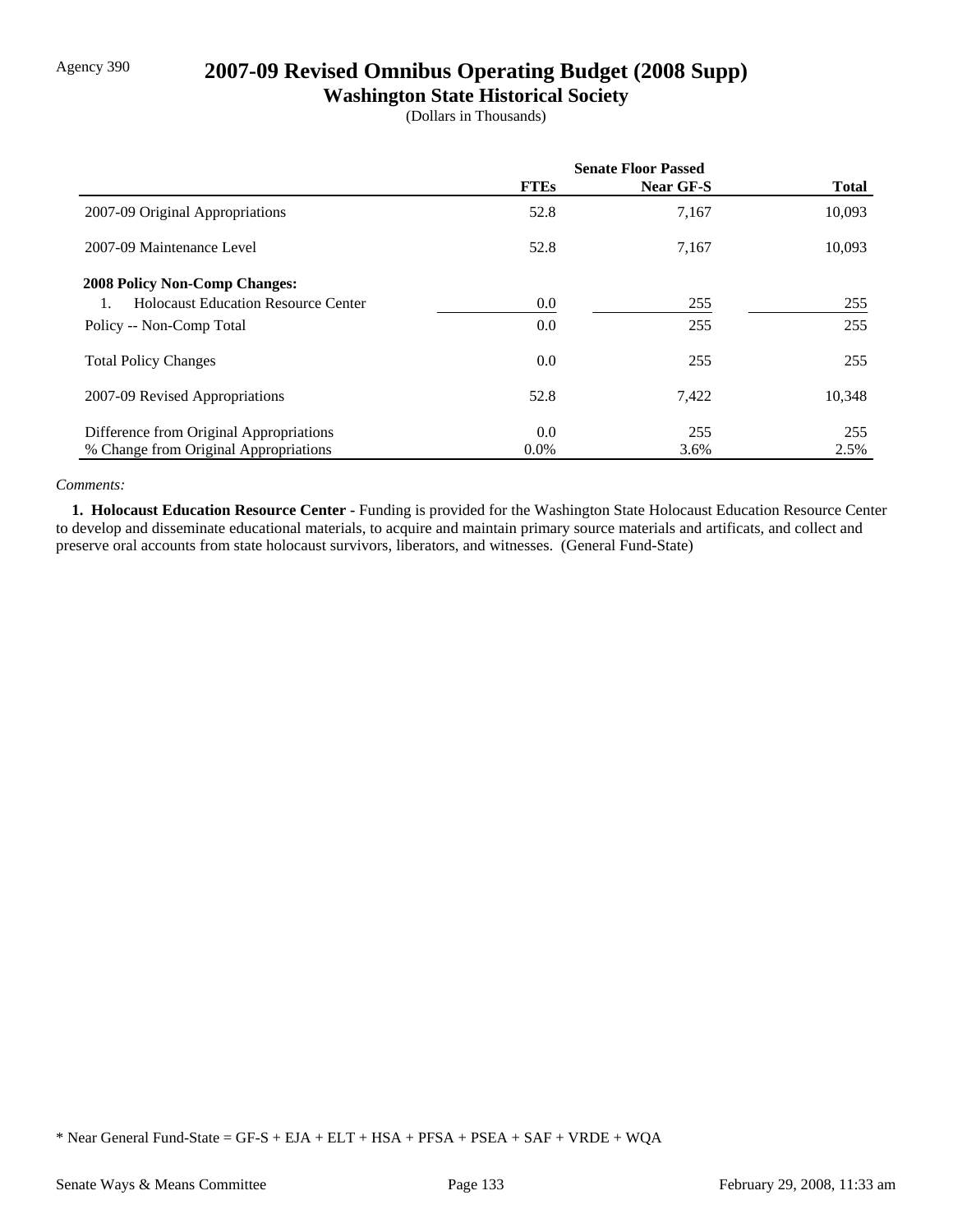## Agency 390 **2007-09 Revised Omnibus Operating Budget (2008 Supp)**

## **Washington State Historical Society**

(Dollars in Thousands)

|                                            | <b>Senate Floor Passed</b> |           |              |
|--------------------------------------------|----------------------------|-----------|--------------|
|                                            | <b>FTEs</b>                | Near GF-S | <b>Total</b> |
| 2007-09 Original Appropriations            | 52.8                       | 7,167     | 10,093       |
| 2007-09 Maintenance Level                  | 52.8                       | 7,167     | 10,093       |
| <b>2008 Policy Non-Comp Changes:</b>       |                            |           |              |
| <b>Holocaust Education Resource Center</b> | $0.0\,$                    | 255       | 255          |
| Policy -- Non-Comp Total                   | $0.0\,$                    | 255       | 255          |
| <b>Total Policy Changes</b>                | 0.0                        | 255       | 255          |
| 2007-09 Revised Appropriations             | 52.8                       | 7,422     | 10,348       |
| Difference from Original Appropriations    | 0.0                        | 255       | 255          |
| % Change from Original Appropriations      | $0.0\%$                    | 3.6%      | 2.5%         |

#### *Comments:*

 **1. Holocaust Education Resource Center -** Funding is provided for the Washington State Holocaust Education Resource Center to develop and disseminate educational materials, to acquire and maintain primary source materials and artificats, and collect and preserve oral accounts from state holocaust survivors, liberators, and witnesses. (General Fund-State)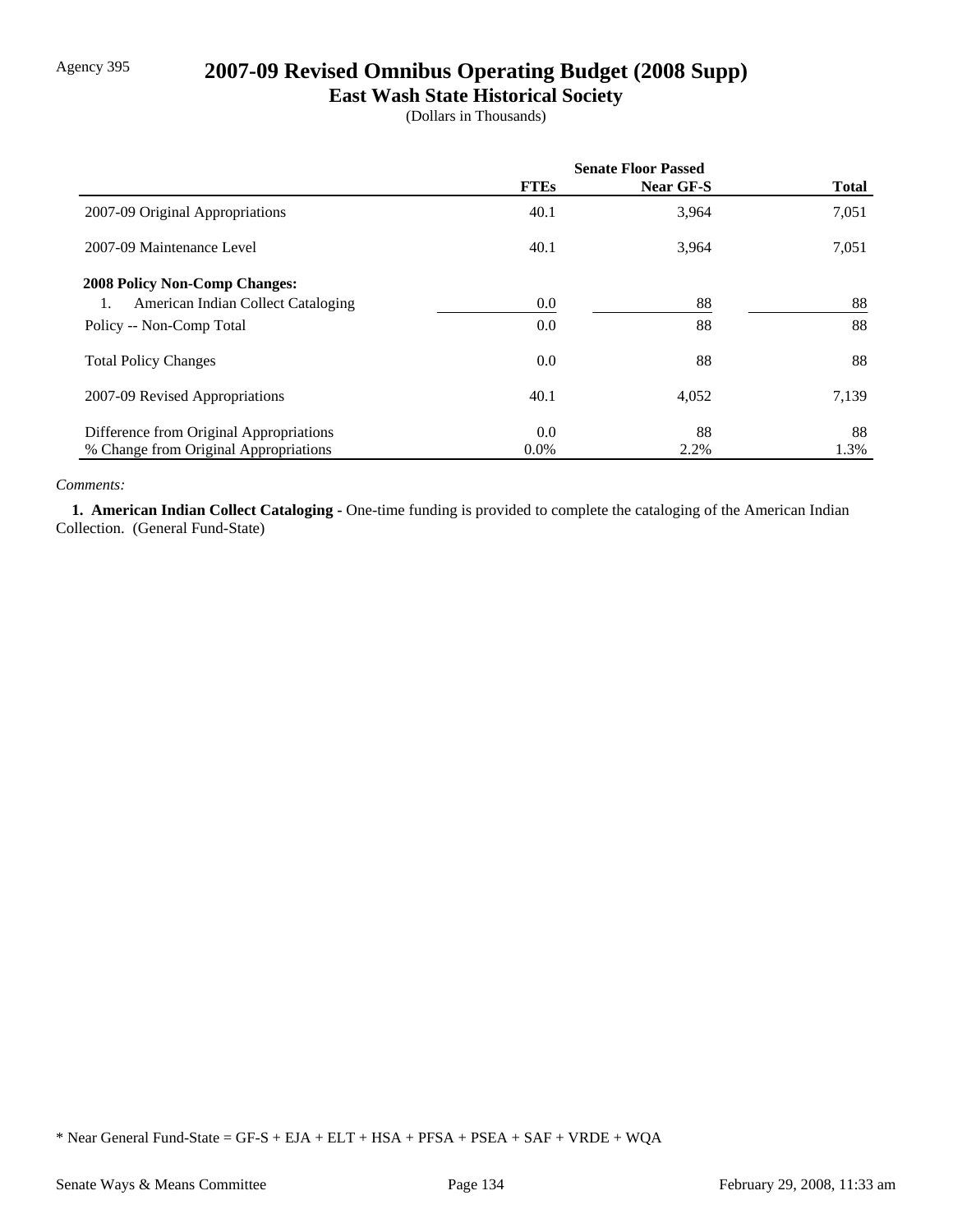# Agency 395 **2007-09 Revised Omnibus Operating Budget (2008 Supp)**

## **East Wash State Historical Society**

(Dollars in Thousands)

|                                          | <b>Senate Floor Passed</b> |           |              |
|------------------------------------------|----------------------------|-----------|--------------|
|                                          | <b>FTEs</b>                | Near GF-S | <b>Total</b> |
| 2007-09 Original Appropriations          | 40.1                       | 3,964     | 7,051        |
| 2007-09 Maintenance Level                | 40.1                       | 3,964     | 7,051        |
| <b>2008 Policy Non-Comp Changes:</b>     |                            |           |              |
| American Indian Collect Cataloging<br>1. | $0.0\,$                    | 88        | 88           |
| Policy -- Non-Comp Total                 | $0.0\,$                    | 88        | 88           |
| <b>Total Policy Changes</b>              | $0.0\,$                    | 88        | 88           |
| 2007-09 Revised Appropriations           | 40.1                       | 4,052     | 7,139        |
| Difference from Original Appropriations  | $0.0\,$                    | 88        | 88           |
| % Change from Original Appropriations    | $0.0\%$                    | 2.2%      | 1.3%         |

#### *Comments:*

 **1. American Indian Collect Cataloging -** One-time funding is provided to complete the cataloging of the American Indian Collection. (General Fund-State)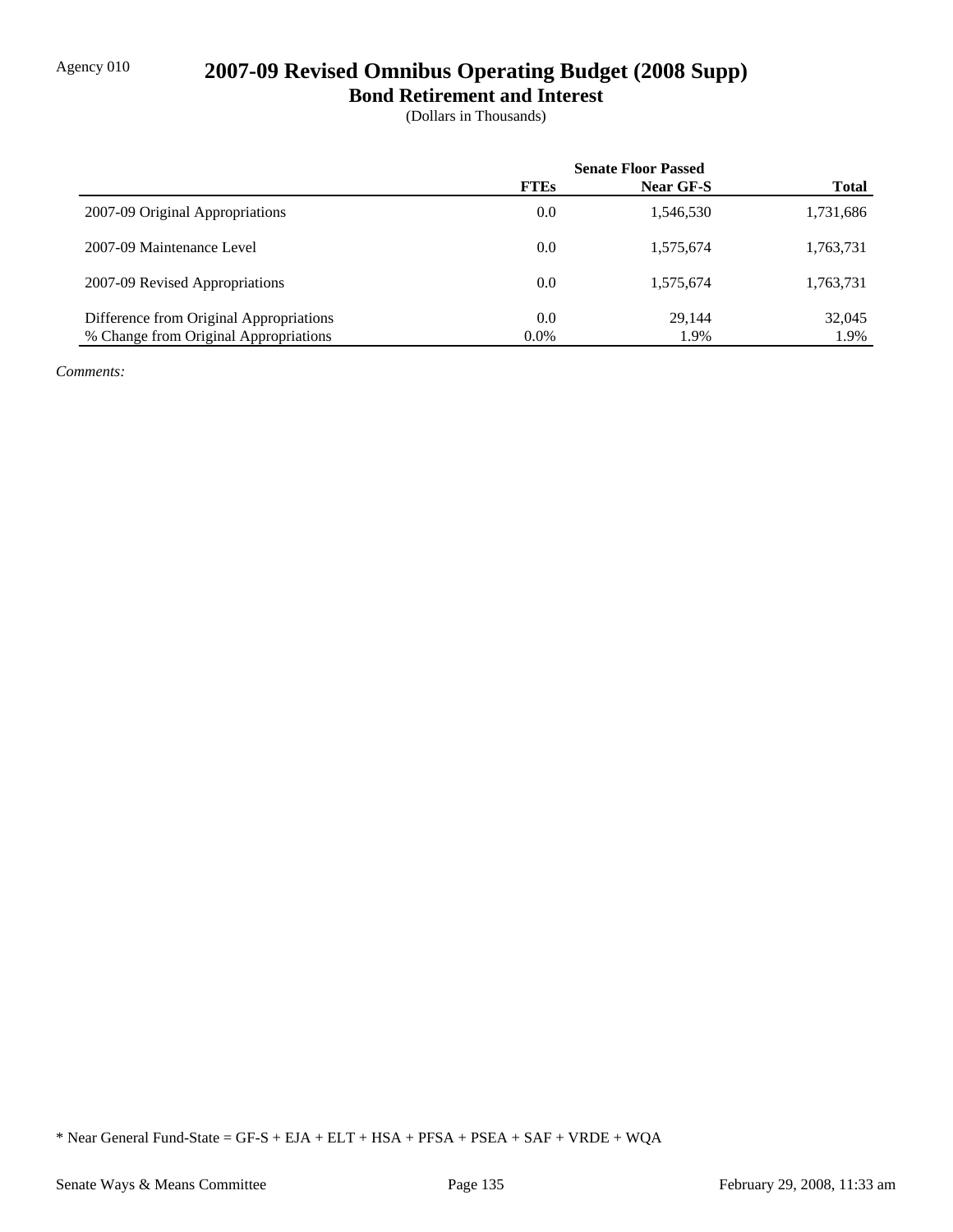# Agency 010 **2007-09 Revised Omnibus Operating Budget (2008 Supp)**

**Bond Retirement and Interest**

(Dollars in Thousands)

|                                         | <b>Senate Floor Passed</b> |           |              |
|-----------------------------------------|----------------------------|-----------|--------------|
|                                         | <b>FTEs</b>                | Near GF-S | <b>Total</b> |
| 2007-09 Original Appropriations         | 0.0                        | 1,546,530 | 1,731,686    |
| 2007-09 Maintenance Level               | 0.0                        | 1,575,674 | 1,763,731    |
| 2007-09 Revised Appropriations          | 0.0                        | 1,575,674 | 1,763,731    |
| Difference from Original Appropriations | 0.0                        | 29.144    | 32,045       |
| % Change from Original Appropriations   | $0.0\%$                    | 1.9%      | 1.9%         |

*Comments:*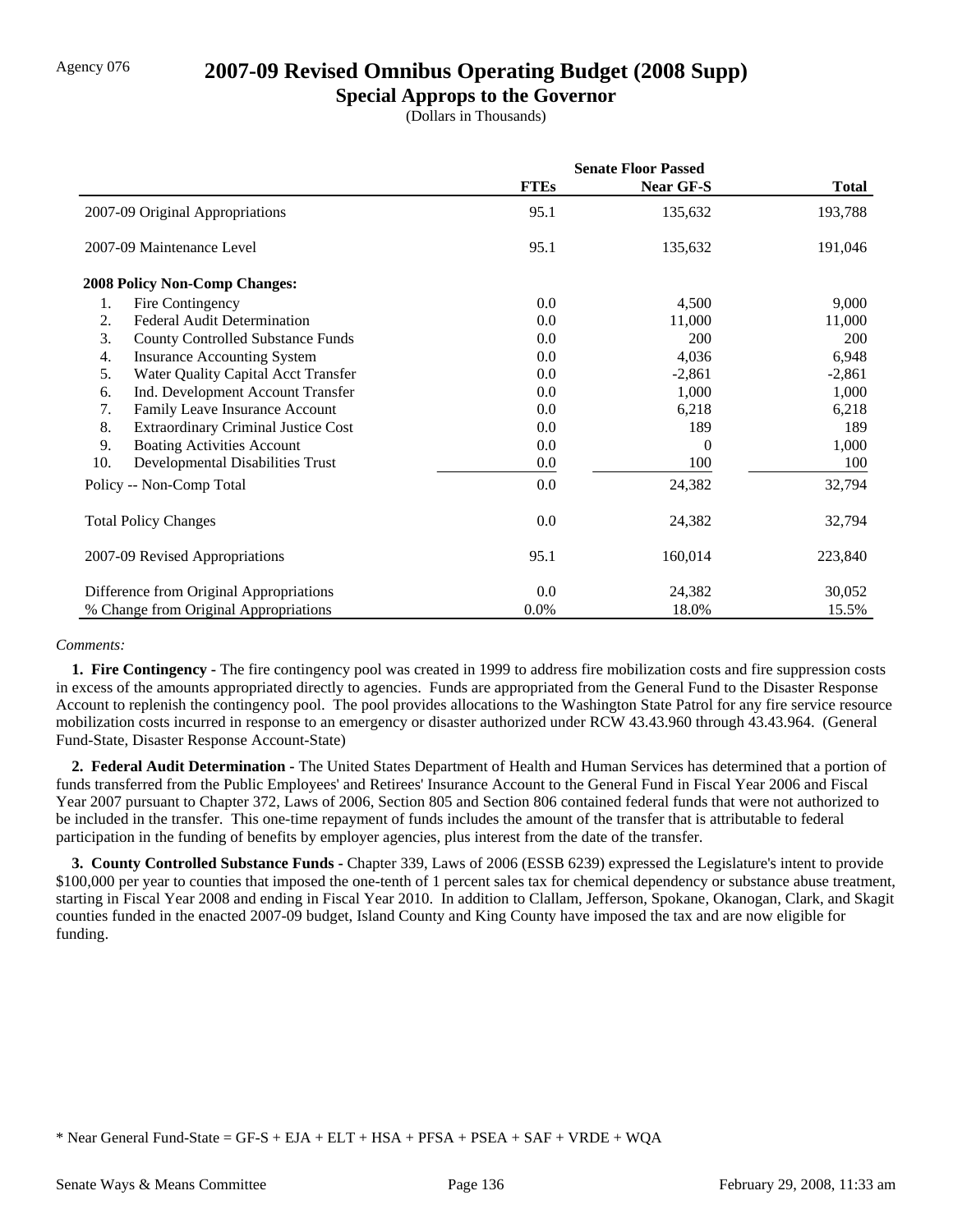## Agency 076 **2007-09 Revised Omnibus Operating Budget (2008 Supp)**

### **Special Approps to the Governor**

(Dollars in Thousands)

|                                                  | <b>Senate Floor Passed</b> |           |              |
|--------------------------------------------------|----------------------------|-----------|--------------|
|                                                  | <b>FTEs</b>                | Near GF-S | <b>Total</b> |
| 2007-09 Original Appropriations                  | 95.1                       | 135,632   | 193,788      |
| 2007-09 Maintenance Level                        | 95.1                       | 135,632   | 191,046      |
| <b>2008 Policy Non-Comp Changes:</b>             |                            |           |              |
| 1.<br>Fire Contingency                           | 0.0                        | 4,500     | 9,000        |
| <b>Federal Audit Determination</b><br>2.         | 0.0                        | 11,000    | 11,000       |
| 3.<br><b>County Controlled Substance Funds</b>   | 0.0                        | 200       | 200          |
| <b>Insurance Accounting System</b><br>4.         | 0.0                        | 4,036     | 6,948        |
| 5.<br>Water Quality Capital Acct Transfer        | 0.0                        | $-2,861$  | $-2,861$     |
| 6.<br>Ind. Development Account Transfer          | 0.0                        | 1,000     | 1,000        |
| 7.<br>Family Leave Insurance Account             | 0.0                        | 6,218     | 6,218        |
| 8.<br><b>Extraordinary Criminal Justice Cost</b> | 0.0                        | 189       | 189          |
| 9.<br><b>Boating Activities Account</b>          | 0.0                        | 0         | 1,000        |
| 10.<br>Developmental Disabilities Trust          | 0.0                        | 100       | 100          |
| Policy -- Non-Comp Total                         | 0.0                        | 24,382    | 32,794       |
| <b>Total Policy Changes</b>                      | 0.0                        | 24,382    | 32,794       |
| 2007-09 Revised Appropriations                   | 95.1                       | 160,014   | 223,840      |
| Difference from Original Appropriations          | 0.0                        | 24,382    | 30,052       |
| % Change from Original Appropriations            | 0.0%                       | 18.0%     | 15.5%        |

#### *Comments:*

 **1. Fire Contingency -** The fire contingency pool was created in 1999 to address fire mobilization costs and fire suppression costs in excess of the amounts appropriated directly to agencies. Funds are appropriated from the General Fund to the Disaster Response Account to replenish the contingency pool. The pool provides allocations to the Washington State Patrol for any fire service resource mobilization costs incurred in response to an emergency or disaster authorized under RCW 43.43.960 through 43.43.964. (General Fund-State, Disaster Response Account-State)

 **2. Federal Audit Determination -** The United States Department of Health and Human Services has determined that a portion of funds transferred from the Public Employees' and Retirees' Insurance Account to the General Fund in Fiscal Year 2006 and Fiscal Year 2007 pursuant to Chapter 372, Laws of 2006, Section 805 and Section 806 contained federal funds that were not authorized to be included in the transfer. This one-time repayment of funds includes the amount of the transfer that is attributable to federal participation in the funding of benefits by employer agencies, plus interest from the date of the transfer.

**3. County Controlled Substance Funds - Chapter 339, Laws of 2006 (ESSB 6239) expressed the Legislature's intent to provide** \$100,000 per year to counties that imposed the one-tenth of 1 percent sales tax for chemical dependency or substance abuse treatment, starting in Fiscal Year 2008 and ending in Fiscal Year 2010. In addition to Clallam, Jefferson, Spokane, Okanogan, Clark, and Skagit counties funded in the enacted 2007-09 budget, Island County and King County have imposed the tax and are now eligible for funding.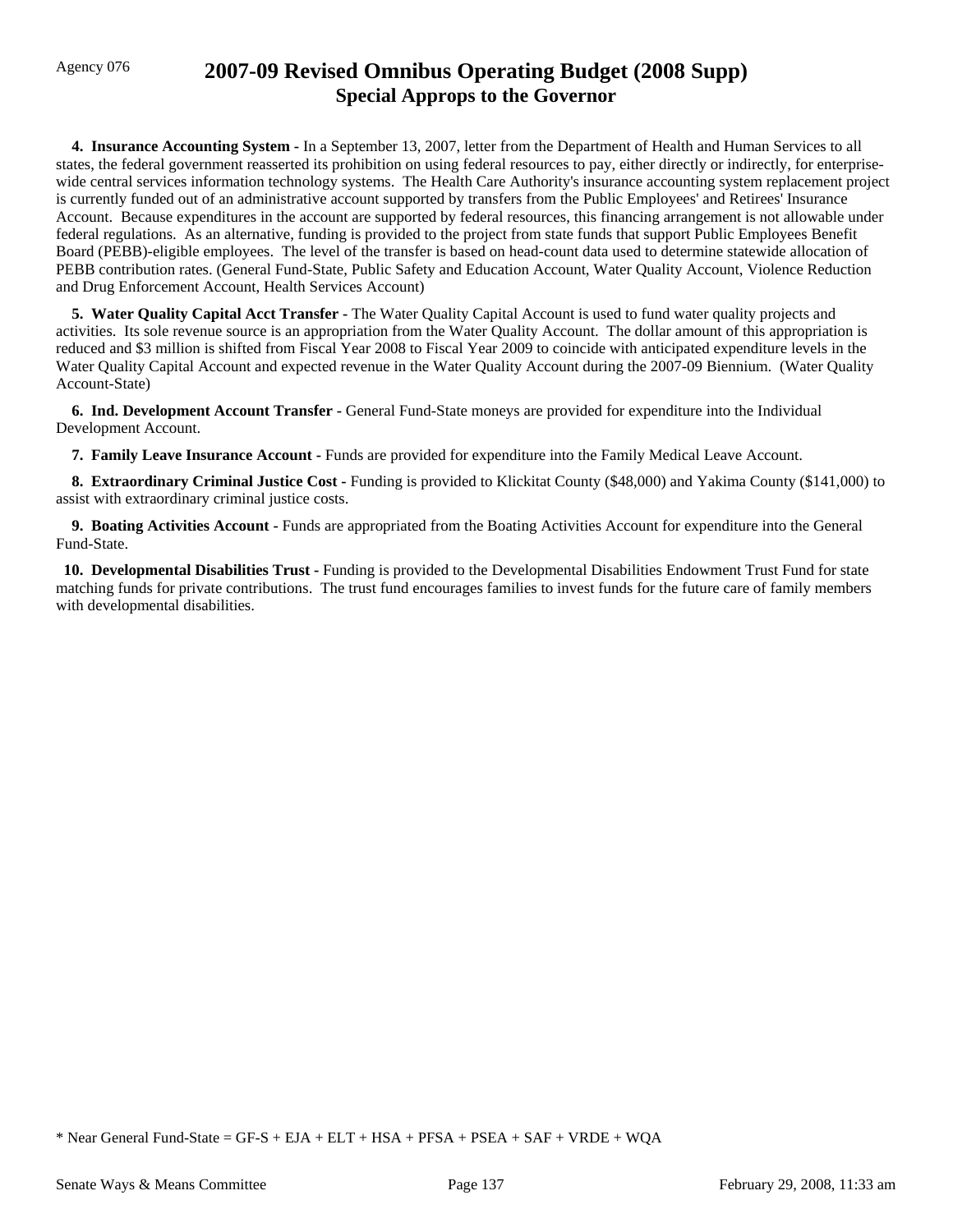## Agency 076 **2007-09 Revised Omnibus Operating Budget (2008 Supp) Special Approps to the Governor**

 **4. Insurance Accounting System -** In a September 13, 2007, letter from the Department of Health and Human Services to all states, the federal government reasserted its prohibition on using federal resources to pay, either directly or indirectly, for enterprisewide central services information technology systems. The Health Care Authority's insurance accounting system replacement project is currently funded out of an administrative account supported by transfers from the Public Employees' and Retirees' Insurance Account. Because expenditures in the account are supported by federal resources, this financing arrangement is not allowable under federal regulations. As an alternative, funding is provided to the project from state funds that support Public Employees Benefit Board (PEBB)-eligible employees. The level of the transfer is based on head-count data used to determine statewide allocation of PEBB contribution rates. (General Fund-State, Public Safety and Education Account, Water Quality Account, Violence Reduction and Drug Enforcement Account, Health Services Account)

 **5. Water Quality Capital Acct Transfer -** The Water Quality Capital Account is used to fund water quality projects and activities. Its sole revenue source is an appropriation from the Water Quality Account. The dollar amount of this appropriation is reduced and \$3 million is shifted from Fiscal Year 2008 to Fiscal Year 2009 to coincide with anticipated expenditure levels in the Water Quality Capital Account and expected revenue in the Water Quality Account during the 2007-09 Biennium. (Water Quality Account-State)

 **6. Ind. Development Account Transfer -** General Fund-State moneys are provided for expenditure into the Individual Development Account.

 **7. Family Leave Insurance Account -** Funds are provided for expenditure into the Family Medical Leave Account.

 **8. Extraordinary Criminal Justice Cost -** Funding is provided to Klickitat County (\$48,000) and Yakima County (\$141,000) to assist with extraordinary criminal justice costs.

 **9. Boating Activities Account -** Funds are appropriated from the Boating Activities Account for expenditure into the General Fund-State.

 **10. Developmental Disabilities Trust -** Funding is provided to the Developmental Disabilities Endowment Trust Fund for state matching funds for private contributions. The trust fund encourages families to invest funds for the future care of family members with developmental disabilities.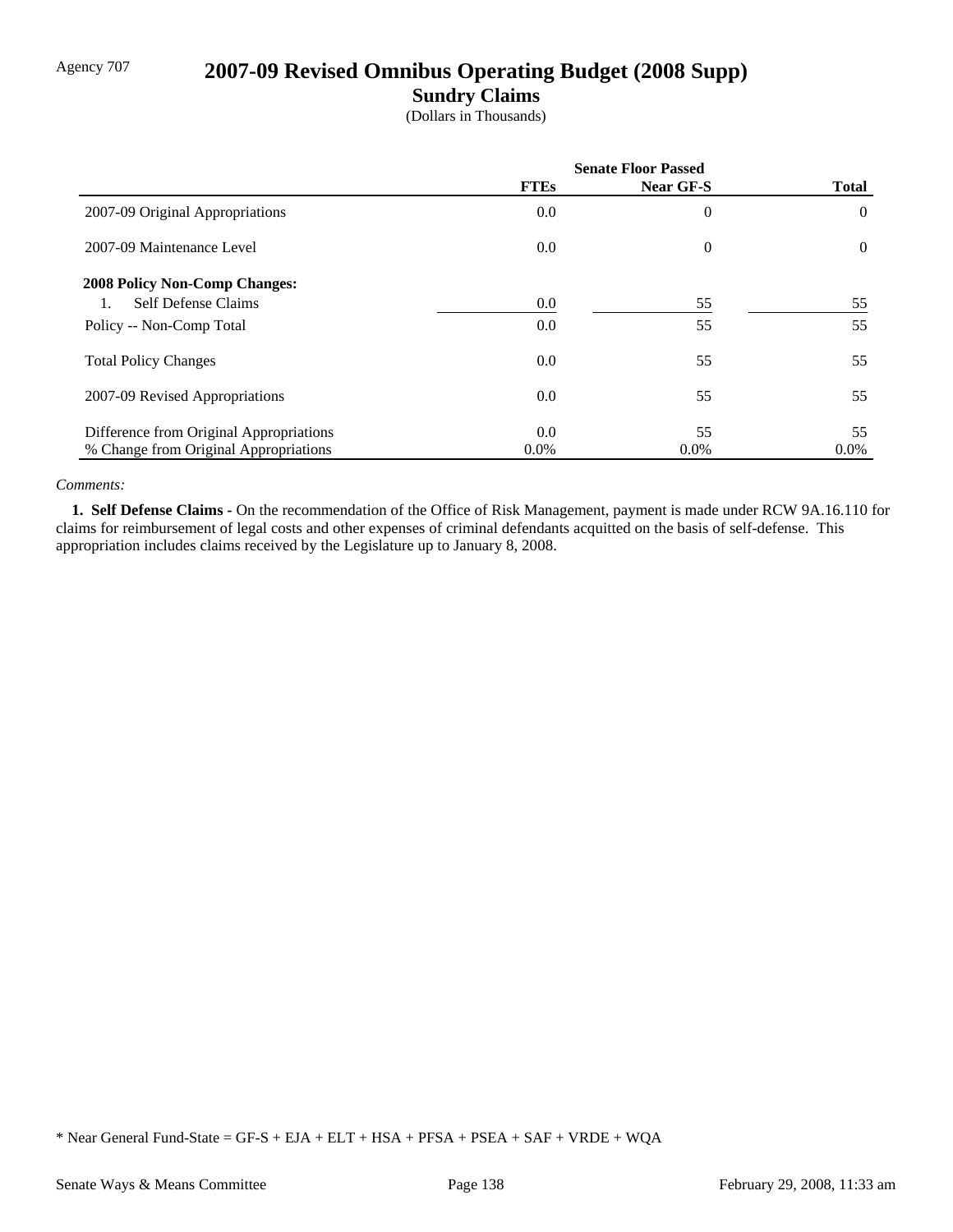# Agency 707 **2007-09 Revised Omnibus Operating Budget (2008 Supp)**

### **Sundry Claims**

(Dollars in Thousands)

|                                         | <b>Senate Floor Passed</b> |                |                |
|-----------------------------------------|----------------------------|----------------|----------------|
|                                         | <b>FTEs</b>                | Near GF-S      | <b>Total</b>   |
| 2007-09 Original Appropriations         | 0.0                        | $\overline{0}$ | $\overline{0}$ |
| 2007-09 Maintenance Level               | 0.0                        | $\overline{0}$ | $\overline{0}$ |
| <b>2008 Policy Non-Comp Changes:</b>    |                            |                |                |
| <b>Self Defense Claims</b>              | 0.0                        | 55             | 55             |
| Policy -- Non-Comp Total                | 0.0                        | 55             | 55             |
| <b>Total Policy Changes</b>             | 0.0                        | 55             | 55             |
| 2007-09 Revised Appropriations          | 0.0                        | 55             | 55             |
| Difference from Original Appropriations | 0.0                        | 55             | 55             |
| % Change from Original Appropriations   | $0.0\%$                    | $0.0\%$        | $0.0\%$        |

#### *Comments:*

 **1. Self Defense Claims -** On the recommendation of the Office of Risk Management, payment is made under RCW 9A.16.110 for claims for reimbursement of legal costs and other expenses of criminal defendants acquitted on the basis of self-defense. This appropriation includes claims received by the Legislature up to January 8, 2008.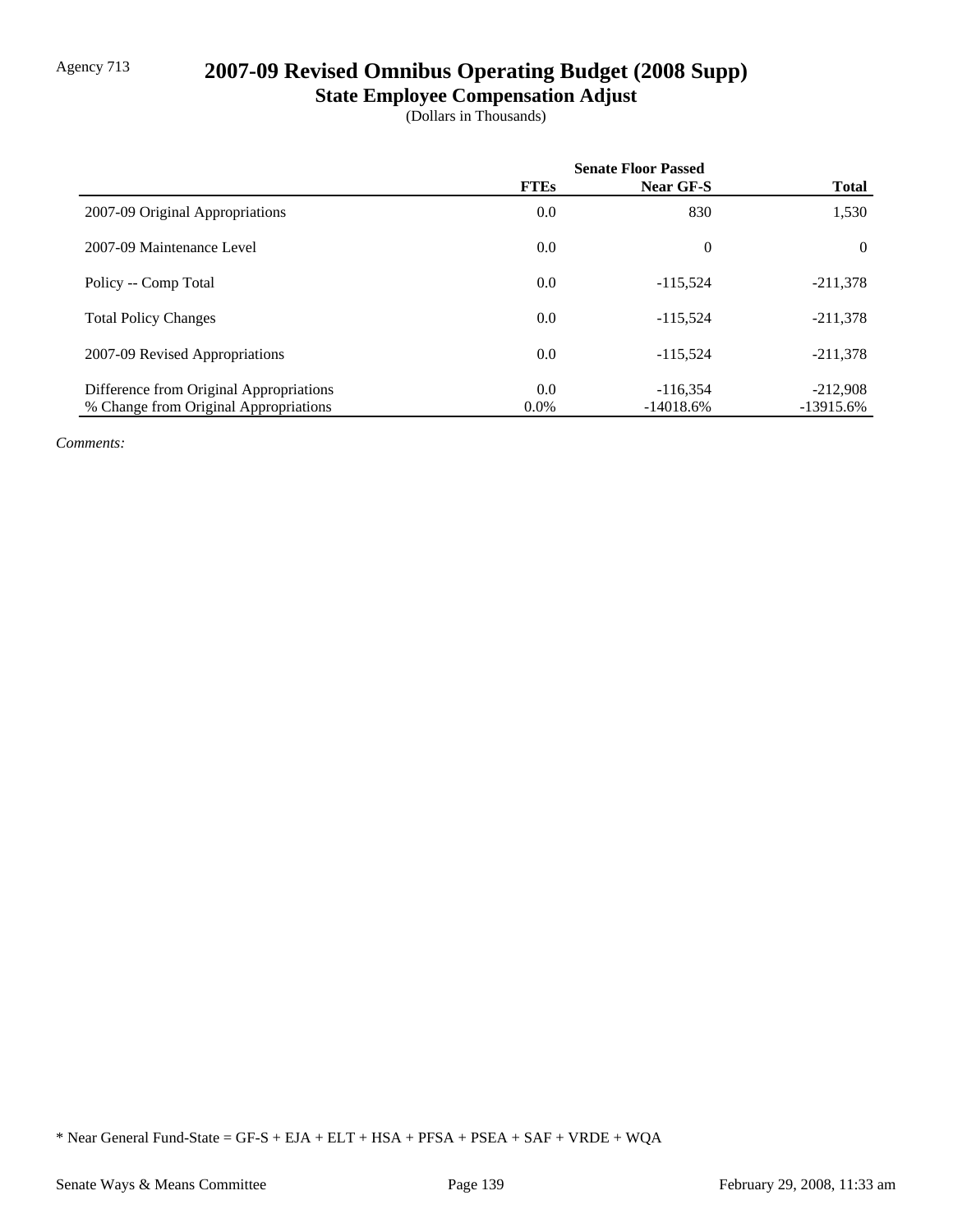# Agency 713 **2007-09 Revised Omnibus Operating Budget (2008 Supp)**

# **State Employee Compensation Adjust**

(Dollars in Thousands)

|                                         | <b>Senate Floor Passed</b> |                  |              |
|-----------------------------------------|----------------------------|------------------|--------------|
|                                         | <b>FTEs</b>                | <b>Near GF-S</b> | <b>Total</b> |
| 2007-09 Original Appropriations         | 0.0                        | 830              | 1,530        |
| 2007-09 Maintenance Level               | 0.0                        | $\theta$         | $\theta$     |
| Policy -- Comp Total                    | 0.0                        | $-115.524$       | $-211,378$   |
| <b>Total Policy Changes</b>             | 0.0                        | $-115.524$       | $-211,378$   |
| 2007-09 Revised Appropriations          | 0.0                        | $-115.524$       | $-211,378$   |
| Difference from Original Appropriations | 0.0                        | $-116.354$       | $-212,908$   |
| % Change from Original Appropriations   | $0.0\%$                    | $-14018.6%$      | $-13915.6%$  |

*Comments:*